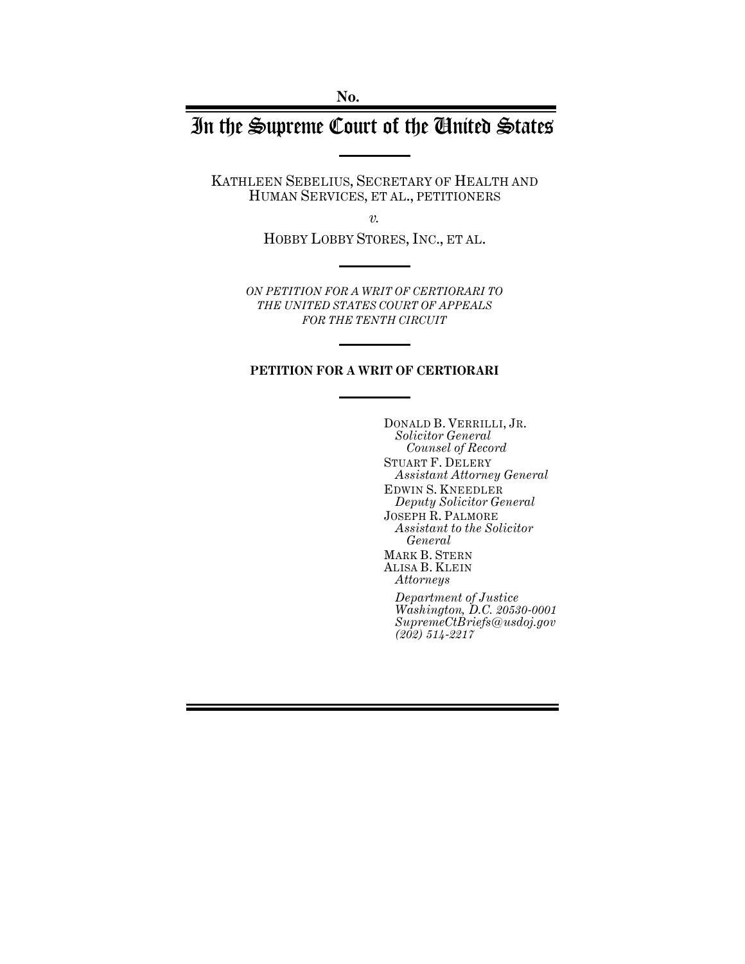# In the Supreme Court of the United States

KATHLEEN SEBELIUS, SECRETARY OF HEALTH AND HUMAN SERVICES, ET AL., PETITIONERS

*v.*

HOBBY LOBBY STORES, INC., ET AL.

*ON PETITION FOR A WRIT OF CERTIORARI TO THE UNITED STATES COURT OF APPEALS FOR THE TENTH CIRCUIT* 

### **PETITION FOR A WRIT OF CERTIORARI**

DONALD B. VERRILLI, JR. *Solicitor General Counsel of Record*  STUART F. DELERY *Assistant Attorney General*  EDWIN S. KNEEDLER *Deputy Solicitor General*  JOSEPH R. PALMORE *Assistant to the Solicitor General*  MARK B. STERN ALISA B. KLEIN *Attorneys Department of Justice* 

*Washington, D.C. 20530-0001 SupremeCtBriefs@usdoj.gov (202) 514-2217*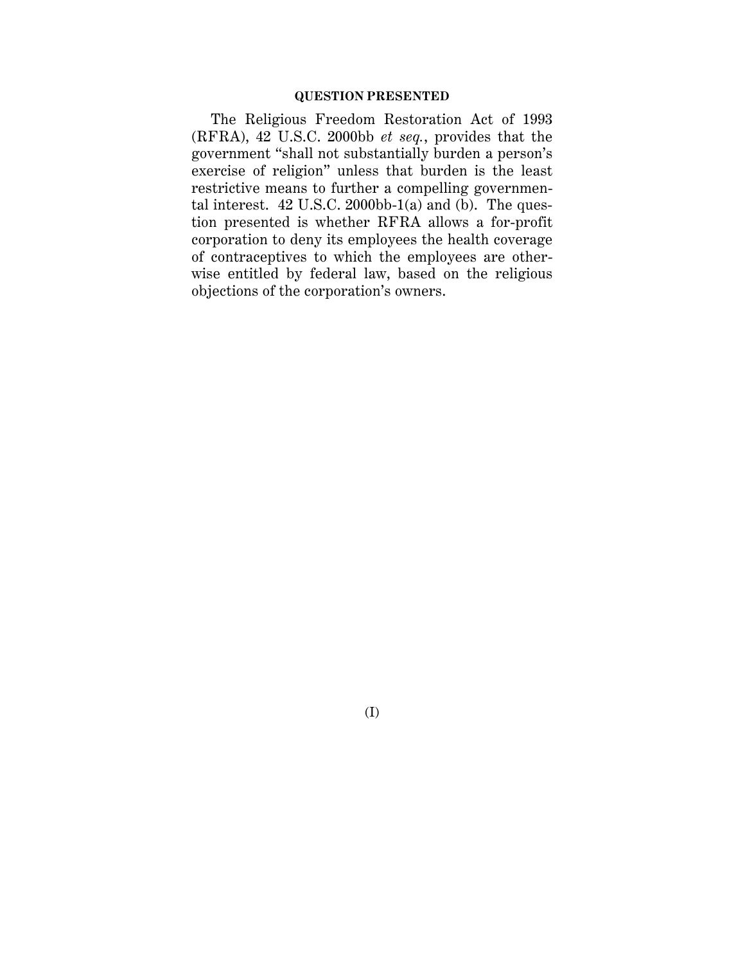### **QUESTION PRESENTED**

The Religious Freedom Restoration Act of 1993 (RFRA), 42 U.S.C. 2000bb *et seq.*, provides that the government "shall not substantially burden a person's exercise of religion" unless that burden is the least restrictive means to further a compelling governmental interest. 42 U.S.C. 2000bb-1(a) and (b). The question presented is whether RFRA allows a for-profit corporation to deny its employees the health coverage of contraceptives to which the employees are otherwise entitled by federal law, based on the religious objections of the corporation's owners.

(I)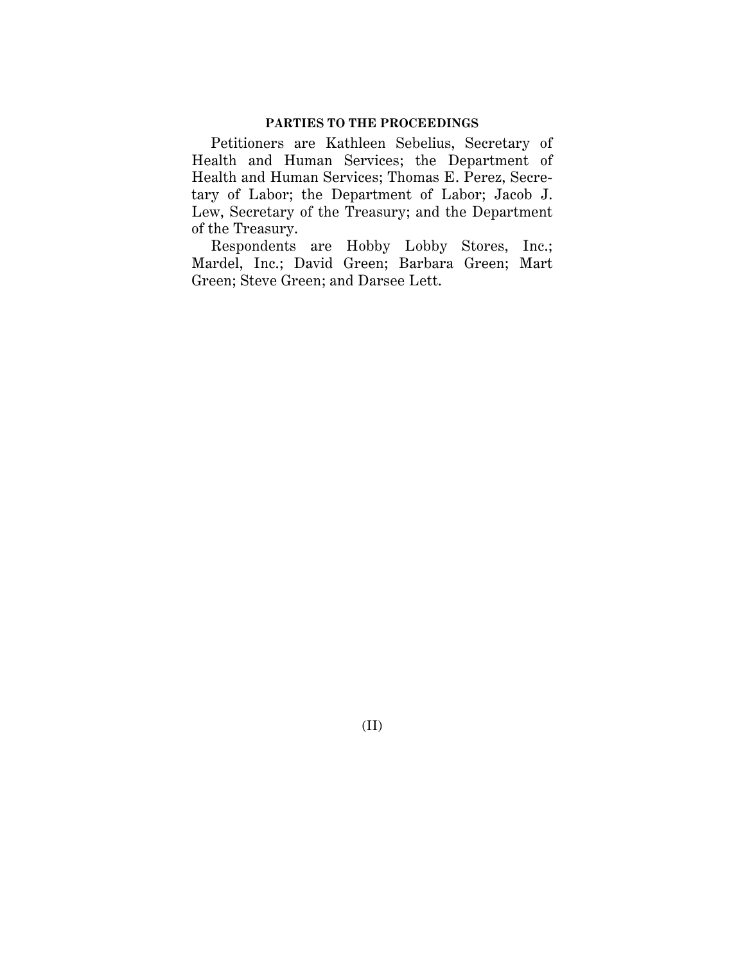### **PARTIES TO THE PROCEEDINGS**

Petitioners are Kathleen Sebelius, Secretary of Health and Human Services; the Department of Health and Human Services; Thomas E. Perez, Secretary of Labor; the Department of Labor; Jacob J. Lew, Secretary of the Treasury; and the Department of the Treasury.

Respondents are Hobby Lobby Stores, Inc.; Mardel, Inc.; David Green; Barbara Green; Mart Green; Steve Green; and Darsee Lett.

(II)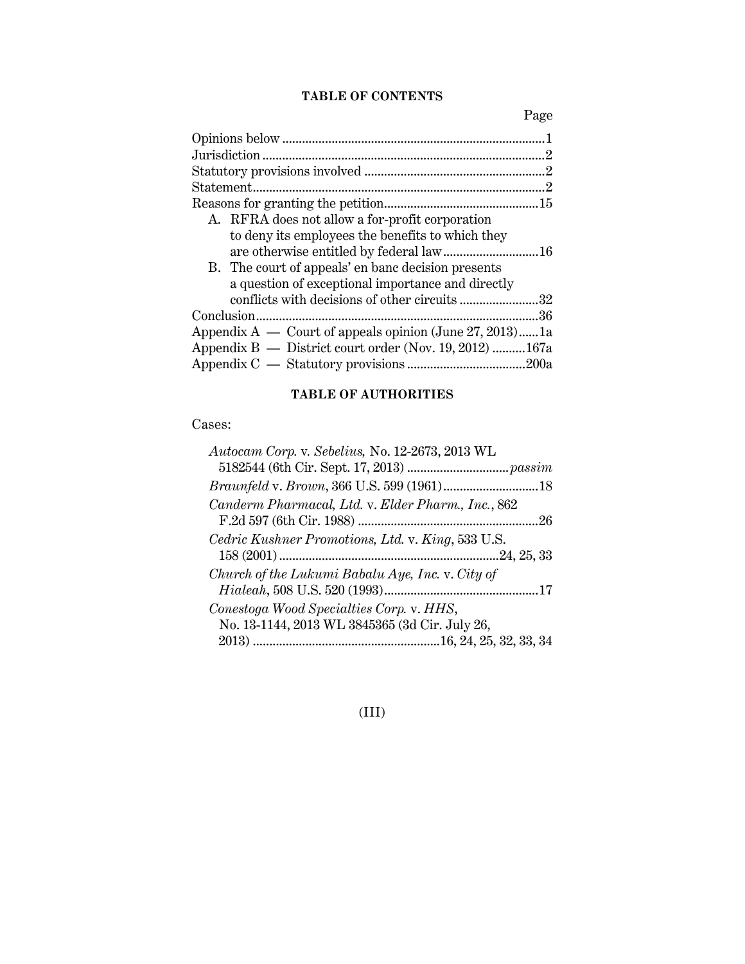### **TABLE OF CONTENTS**

Page

| $\mathcal{P}$                                             |
|-----------------------------------------------------------|
|                                                           |
|                                                           |
|                                                           |
| A. RFRA does not allow a for-profit corporation           |
| to deny its employees the benefits to which they          |
|                                                           |
| B. The court of appeals' en banc decision presents        |
| a question of exceptional importance and directly         |
| conflicts with decisions of other circuits 32             |
| .36                                                       |
| Appendix $A$ — Court of appeals opinion (June 27, 2013)1a |
| Appendix B — District court order (Nov. 19, 2012) 167a    |
|                                                           |

# **TABLE OF AUTHORITIES**

# Cases:

| Autocam Corp. v. Sebelius, No. 12-2673, 2013 WL    |
|----------------------------------------------------|
|                                                    |
|                                                    |
| Canderm Pharmacal, Ltd. v. Elder Pharm., Inc., 862 |
|                                                    |
| Cedric Kushner Promotions, Ltd. v. King, 533 U.S.  |
|                                                    |
| Church of the Lukumi Babalu Aye, Inc. v. City of   |
|                                                    |
| Conestoga Wood Specialties Corp. v. HHS,           |
| No. 13-1144, 2013 WL 3845365 (3d Cir. July 26,     |
|                                                    |

# (III)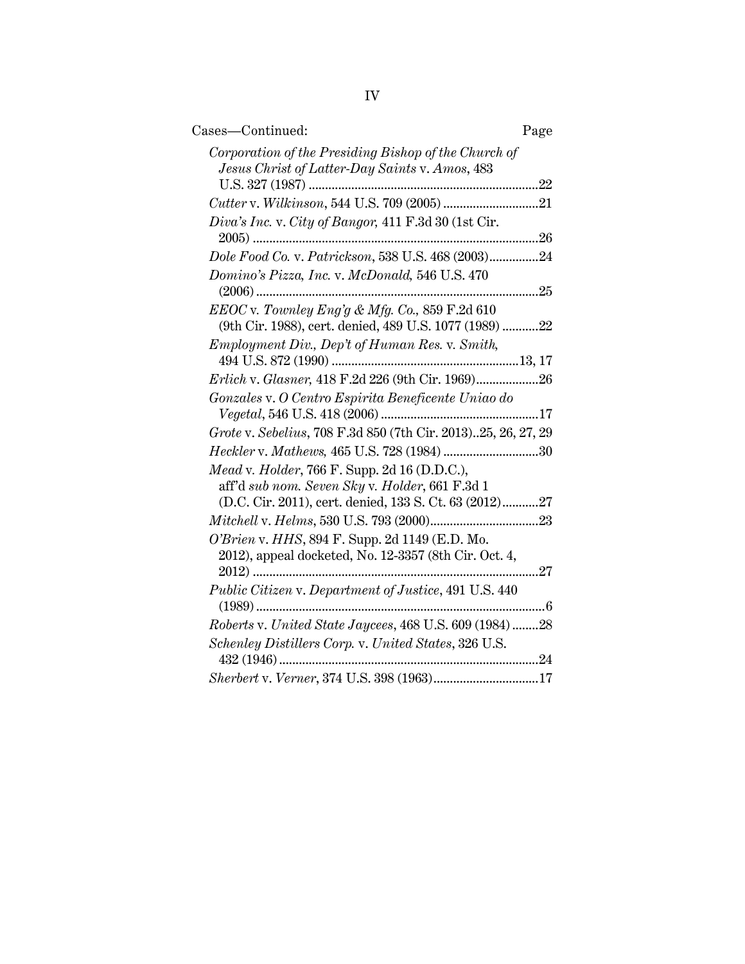| Cases-Continued:<br>Page                                                                               |  |
|--------------------------------------------------------------------------------------------------------|--|
| Corporation of the Presiding Bishop of the Church of<br>Jesus Christ of Latter-Day Saints v. Amos, 483 |  |
|                                                                                                        |  |
|                                                                                                        |  |
| Diva's Inc. v. City of Bangor, 411 F.3d 30 (1st Cir.                                                   |  |
| Dole Food Co. v. Patrickson, 538 U.S. 468 (2003)24                                                     |  |
| Domino's Pizza, Inc. v. McDonald, 546 U.S. 470<br>$(2006)$                                             |  |
| $EEOC$ v. Townley $Eng'g \& Mfg.$ Co., 859 F.2d 610                                                    |  |
| (9th Cir. 1988), cert. denied, 489 U.S. 1077 (1989) 22                                                 |  |
|                                                                                                        |  |
| Employment Div., Dep't of Human Res. v. Smith,                                                         |  |
| Erlich v. Glasner, 418 F.2d 226 (9th Cir. 1969)26                                                      |  |
| Gonzales v. O Centro Espirita Beneficente Uniao do                                                     |  |
| Grote v. Sebelius, 708 F.3d 850 (7th Cir. 2013)25, 26, 27, 29                                          |  |
|                                                                                                        |  |
| Mead v. Holder, 766 F. Supp. 2d 16 (D.D.C.),                                                           |  |
| aff'd sub nom. Seven Sky v. Holder, 661 F.3d 1                                                         |  |
| (D.C. Cir. 2011), cert. denied, 133 S. Ct. 63 (2012)27                                                 |  |
|                                                                                                        |  |
| O'Brien v. HHS, 894 F. Supp. 2d 1149 (E.D. Mo.                                                         |  |
| 2012), appeal docketed, No. 12-3357 (8th Cir. Oct. 4,<br>27                                            |  |
| Public Citizen v. Department of Justice, 491 U.S. 440                                                  |  |
| Roberts v. United State Jaycees, 468 U.S. 609 (1984) 28                                                |  |
| Schenley Distillers Corp. v. United States, 326 U.S.                                                   |  |
|                                                                                                        |  |
| Sherbert v. Verner, 374 U.S. 398 (1963)17                                                              |  |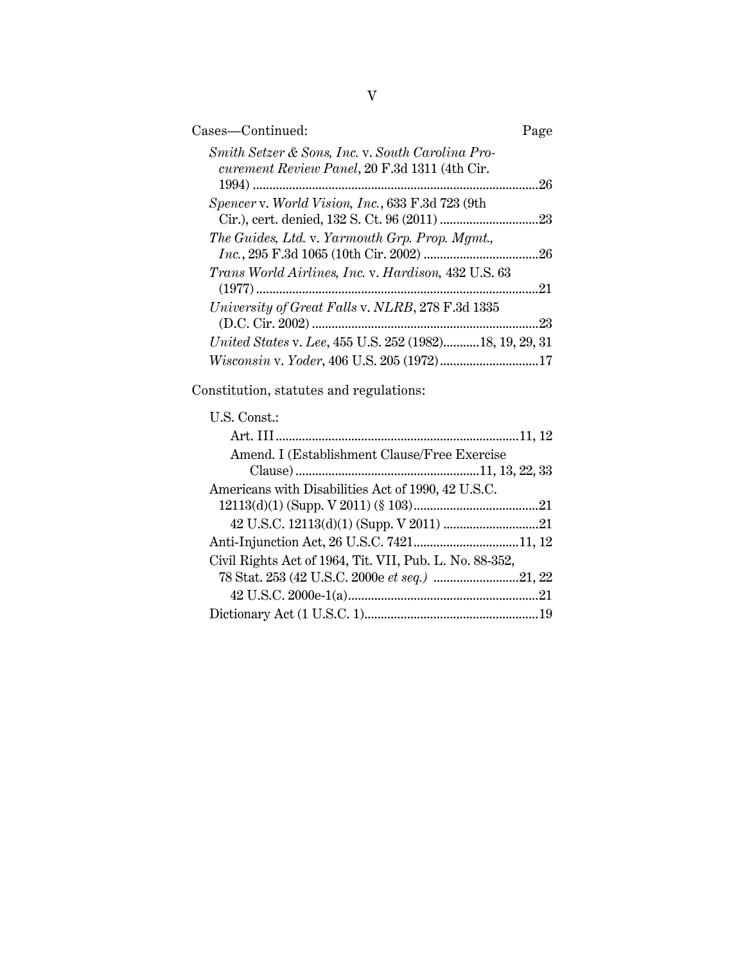| Cases—Continued:                                        | Page |
|---------------------------------------------------------|------|
| Smith Setzer & Sons, Inc. v. South Carolina Pro-        |      |
| curement Review Panel, 20 F.3d 1311 (4th Cir.           |      |
|                                                         | .26  |
| Spencer v. World Vision, Inc., 633 F.3d 723 (9th        |      |
|                                                         | .23  |
| The Guides, Ltd. v. Yarmouth Grp. Prop. Mgmt.,          |      |
|                                                         | .26  |
| Trans World Airlines, Inc. v. Hardison, 432 U.S. 63     |      |
|                                                         | 21   |
| University of Great Falls v. NLRB, 278 F.3d 1335        |      |
|                                                         | .23  |
| United States v. Lee, 455 U.S. 252 (1982)18, 19, 29, 31 |      |
|                                                         |      |

Constitution, statutes and regulations:

| U.S. Const.:                                            |
|---------------------------------------------------------|
|                                                         |
|                                                         |
| Amend. I (Establishment Clause/Free Exercise            |
|                                                         |
| Americans with Disabilities Act of 1990, 42 U.S.C.      |
|                                                         |
|                                                         |
|                                                         |
| Civil Rights Act of 1964, Tit. VII, Pub. L. No. 88-352, |
|                                                         |
|                                                         |
|                                                         |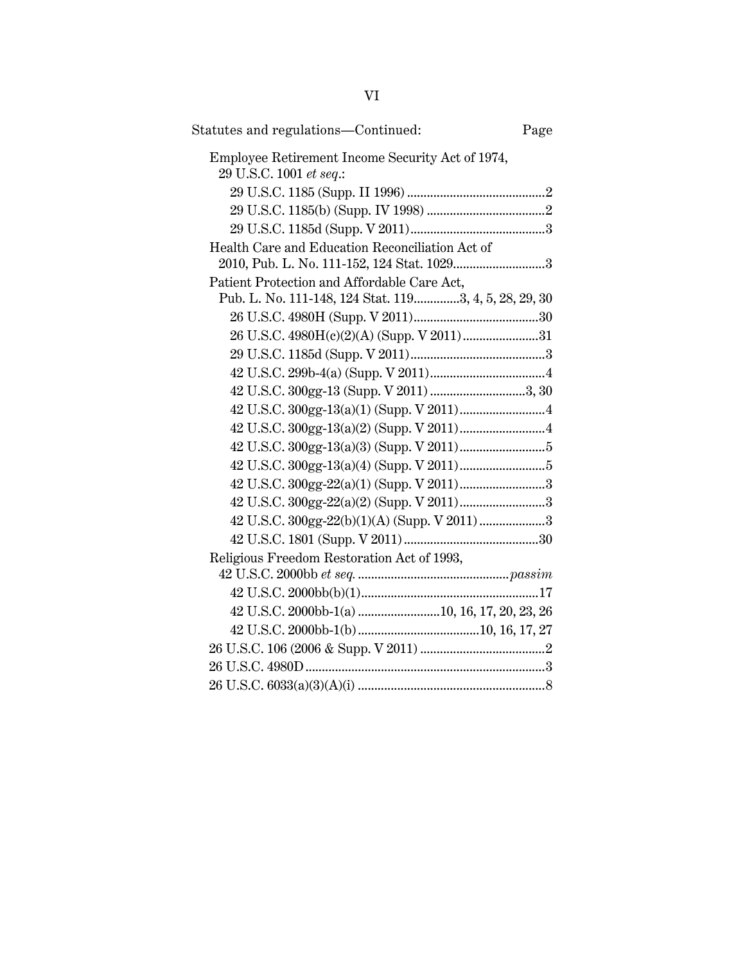| Statutes and regulations-Continued:                                                           | Page |
|-----------------------------------------------------------------------------------------------|------|
| Employee Retirement Income Security Act of 1974,<br>29 U.S.C. 1001 et seq.:                   |      |
|                                                                                               |      |
|                                                                                               |      |
|                                                                                               |      |
| Health Care and Education Reconciliation Act of<br>2010, Pub. L. No. 111-152, 124 Stat. 10293 |      |
| Patient Protection and Affordable Care Act,                                                   |      |
| Pub. L. No. 111-148, 124 Stat. 1193, 4, 5, 28, 29, 30                                         |      |
|                                                                                               |      |
|                                                                                               |      |
|                                                                                               |      |
|                                                                                               |      |
|                                                                                               |      |
|                                                                                               |      |
|                                                                                               |      |
|                                                                                               |      |
|                                                                                               |      |
|                                                                                               |      |
|                                                                                               |      |
| 42 U.S.C. 300gg-22(b)(1)(A) (Supp. V 2011) 3                                                  |      |
|                                                                                               |      |
| Religious Freedom Restoration Act of 1993,                                                    |      |
|                                                                                               |      |
| 42 U.S.C. 2000bb-1(a) 10, 16, 17, 20, 23, 26                                                  |      |
|                                                                                               |      |
|                                                                                               |      |
|                                                                                               |      |
|                                                                                               |      |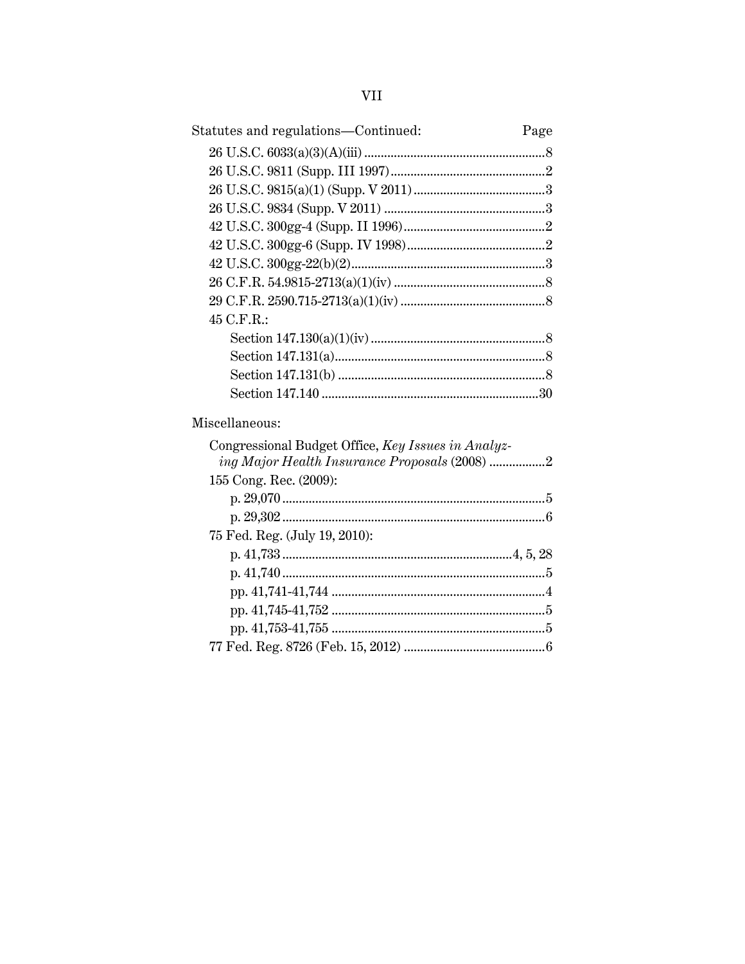| ٠ | ٠ |
|---|---|
|   |   |

| Statutes and regulations-Continued:                | Page |
|----------------------------------------------------|------|
|                                                    |      |
|                                                    |      |
|                                                    |      |
|                                                    |      |
|                                                    |      |
|                                                    |      |
|                                                    |      |
|                                                    |      |
|                                                    |      |
| 45 C.F.R.:                                         |      |
|                                                    |      |
|                                                    |      |
|                                                    |      |
|                                                    |      |
| Miscellaneous:                                     |      |
| Congressional Budget Office, Key Issues in Analyz- |      |
| ing Major Health Insurance Proposals (2008) 2      |      |
| 155 Cong. Rec. (2009):                             |      |
|                                                    |      |
|                                                    |      |
| 75 Fed. Reg. (July 19, 2010):                      |      |
|                                                    |      |
|                                                    |      |
|                                                    |      |
|                                                    |      |
|                                                    |      |
|                                                    |      |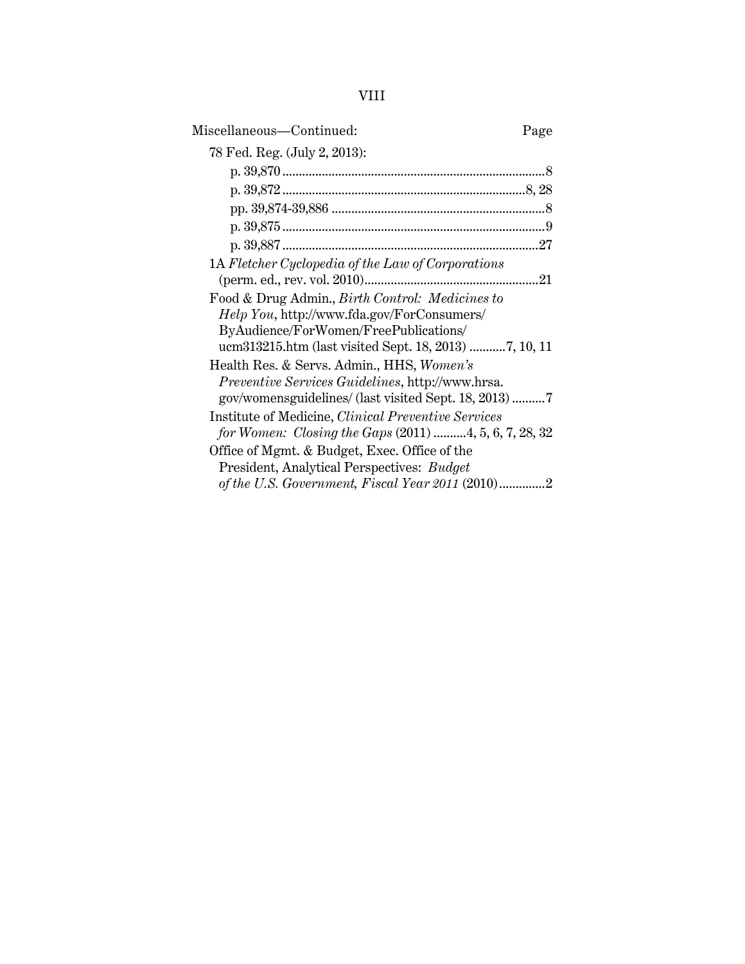| Miscellaneous—Continued:                                   | Page |
|------------------------------------------------------------|------|
| 78 Fed. Reg. (July 2, 2013):                               |      |
|                                                            |      |
|                                                            |      |
|                                                            |      |
|                                                            |      |
|                                                            |      |
| 1A Fletcher Cyclopedia of the Law of Corporations          |      |
|                                                            |      |
| Food & Drug Admin., Birth Control: Medicines to            |      |
| Help You, http://www.fda.gov/ForConsumers/                 |      |
| ByAudience/ForWomen/FreePublications/                      |      |
|                                                            |      |
| Health Res. & Servs. Admin., HHS, Women's                  |      |
| <i>Preventive Services Guidelines, http://www.hrsa.</i>    |      |
| gov/womensguidelines/ (last visited Sept. 18, 2013)        |      |
| Institute of Medicine, <i>Clinical Preventive Services</i> |      |
| for Women: Closing the Gaps (2011) 4, 5, 6, 7, 28, 32      |      |
| Office of Mgmt. & Budget, Exec. Office of the              |      |
| President, Analytical Perspectives: Budget                 |      |
| of the U.S. Government, Fiscal Year 2011 (2010)2           |      |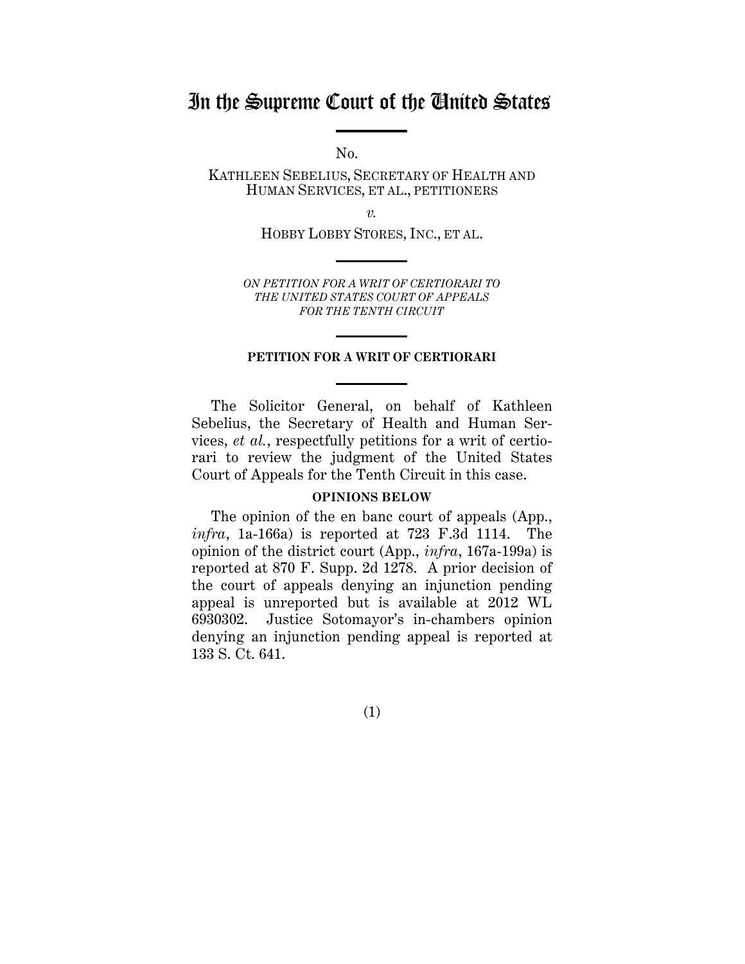# In the Supreme Court of the United States

 $No.$ 

KATHLEEN SEBELIUS, SECRETARY OF HEALTH AND HUMAN SERVICES, ET AL., PETITIONERS

*v.*

HOBBY LOBBY STORES, INC., ET AL.

*ON PETITION FOR A WRIT OF CERTIORARI TO THE UNITED STATES COURT OF APPEALS FOR THE TENTH CIRCUIT* 

#### **PETITION FOR A WRIT OF CERTIORARI**

The Solicitor General, on behalf of Kathleen Sebelius, the Secretary of Health and Human Services, *et al.*, respectfully petitions for a writ of certiorari to review the judgment of the United States Court of Appeals for the Tenth Circuit in this case.

### **OPINIONS BELOW**

The opinion of the en banc court of appeals (App., *infra*, 1a-166a) is reported at 723 F.3d 1114. The opinion of the district court (App., *infra*, 167a-199a) is reported at 870 F. Supp. 2d 1278. A prior decision of the court of appeals denying an injunction pending appeal is unreported but is available at 2012 WL 6930302. Justice Sotomayor's in-chambers opinion denying an injunction pending appeal is reported at 133 S. Ct. 641.

(1)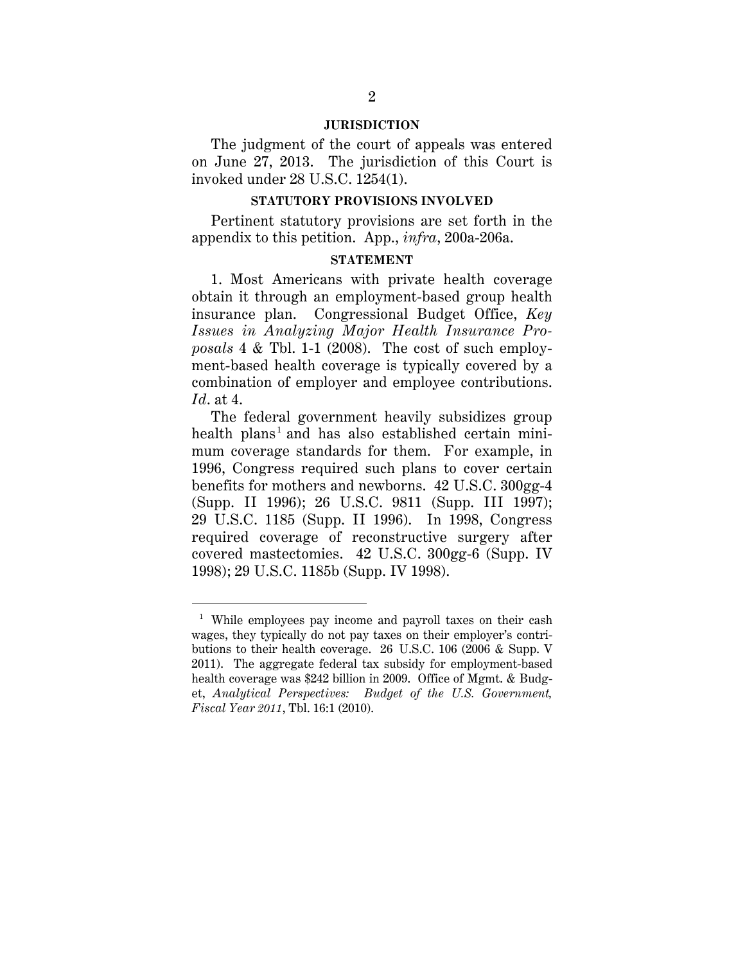#### **JURISDICTION**

The judgment of the court of appeals was entered on June 27, 2013. The jurisdiction of this Court is invoked under 28 U.S.C. 1254(1).

### **STATUTORY PROVISIONS INVOLVED**

Pertinent statutory provisions are set forth in the appendix to this petition. App., *infra*, 200a-206a.

### **STATEMENT**

1. Most Americans with private health coverage obtain it through an employment-based group health insurance plan. Congressional Budget Office, *Key Issues in Analyzing Major Health Insurance Proposals* 4 & Tbl. 1-1 (2008). The cost of such employment-based health coverage is typically covered by a combination of employer and employee contributions. *Id*. at 4.

The federal government heavily subsidizes group health plans<sup>1</sup> and has also established certain minimum coverage standards for them. For example, in 1996, Congress required such plans to cover certain benefits for mothers and newborns. 42 U.S.C. 300gg-4 (Supp. II 1996); 26 U.S.C. 9811 (Supp. III 1997); 29 U.S.C. 1185 (Supp. II 1996). In 1998, Congress required coverage of reconstructive surgery after covered mastectomies. 42 U.S.C. 300gg-6 (Supp. IV 1998); 29 U.S.C. 1185b (Supp. IV 1998).

<sup>&</sup>lt;sup>1</sup> While employees pay income and payroll taxes on their cash wages, they typically do not pay taxes on their employer's contributions to their health coverage. 26 U.S.C. 106 (2006 & Supp. V 2011). The aggregate federal tax subsidy for employment-based health coverage was \$242 billion in 2009. Office of Mgmt. & Budget, *Analytical Perspectives: Budget of the U.S. Government, Fiscal Year 2011*, Tbl. 16:1 (2010).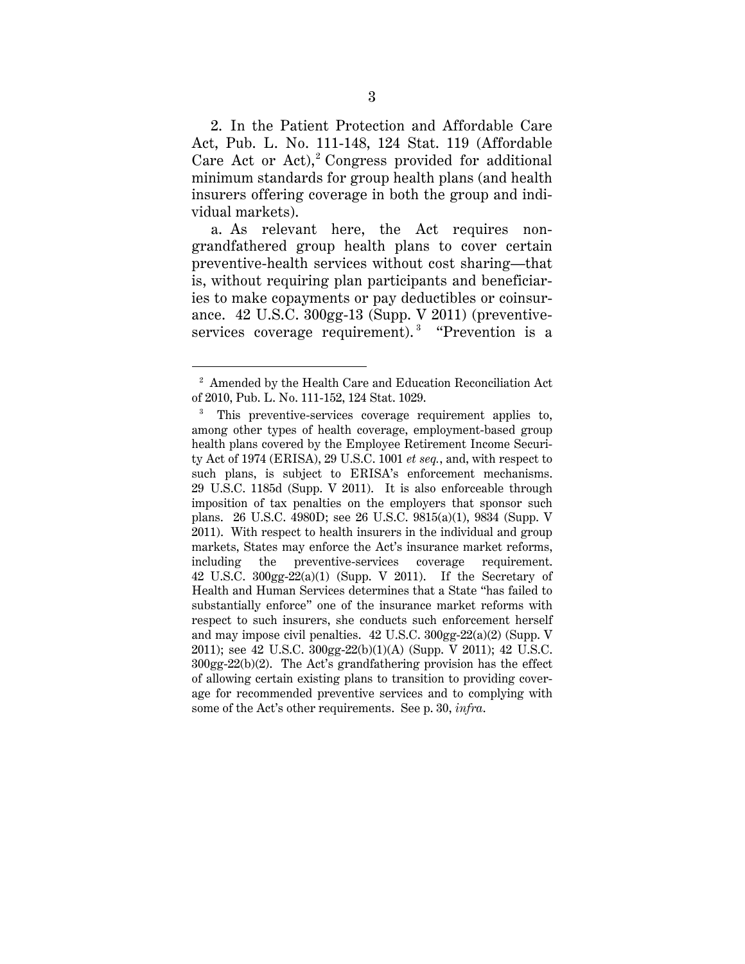2. In the Patient Protection and Affordable Care Act, Pub. L. No. 111-148, 124 Stat. 119 (Affordable Care Act or  $Act$ ),<sup>2</sup> Congress provided for additional minimum standards for group health plans (and health insurers offering coverage in both the group and individual markets).

a. As relevant here, the Act requires nongrandfathered group health plans to cover certain preventive-health services without cost sharing—that is, without requiring plan participants and beneficiaries to make copayments or pay deductibles or coinsurance. 42 U.S.C. 300gg-13 (Supp. V 2011) (preventiveservices coverage requirement).<sup>3</sup> "Prevention is a

 $2$  Amended by the Health Care and Education Reconciliation Act of 2010, Pub. L. No. 111-152, 124 Stat. 1029.

This preventive-services coverage requirement applies to, among other types of health coverage, employment-based group health plans covered by the Employee Retirement Income Security Act of 1974 (ERISA), 29 U.S.C. 1001 *et seq.*, and, with respect to such plans, is subject to ERISA's enforcement mechanisms. 29 U.S.C. 1185d (Supp. V 2011). It is also enforceable through imposition of tax penalties on the employers that sponsor such plans. 26 U.S.C. 4980D; see 26 U.S.C. 9815(a)(1), 9834 (Supp. V 2011). With respect to health insurers in the individual and group markets, States may enforce the Act's insurance market reforms, including the preventive-services coverage requirement. 42 U.S.C. 300gg-22(a)(1) (Supp. V 2011). If the Secretary of Health and Human Services determines that a State "has failed to substantially enforce" one of the insurance market reforms with respect to such insurers, she conducts such enforcement herself and may impose civil penalties. 42 U.S.C. 300gg-22(a)(2) (Supp. V 2011); see 42 U.S.C. 300gg-22(b)(1)(A) (Supp. V 2011); 42 U.S.C. 300gg-22(b)(2). The Act's grandfathering provision has the effect of allowing certain existing plans to transition to providing coverage for recommended preventive services and to complying with some of the Act's other requirements. See p. 30, *infra*.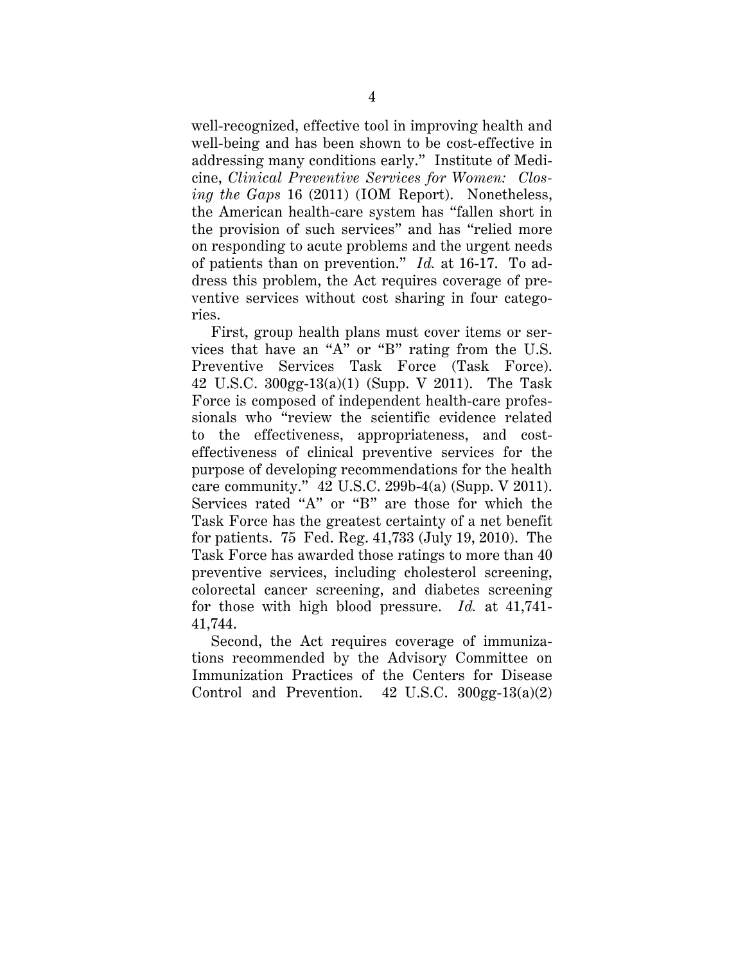well-recognized, effective tool in improving health and well-being and has been shown to be cost-effective in addressing many conditions early." Institute of Medicine, *Clinical Preventive Services for Women: Closing the Gaps* 16 (2011) (IOM Report). Nonetheless, the American health-care system has "fallen short in the provision of such services" and has "relied more on responding to acute problems and the urgent needs of patients than on prevention." *Id.* at 16-17. To address this problem, the Act requires coverage of preventive services without cost sharing in four categories.

First, group health plans must cover items or services that have an "A" or "B" rating from the U.S. Preventive Services Task Force (Task Force). 42 U.S.C. 300gg-13(a)(1) (Supp. V 2011). The Task Force is composed of independent health-care professionals who "review the scientific evidence related to the effectiveness, appropriateness, and costeffectiveness of clinical preventive services for the purpose of developing recommendations for the health care community." 42 U.S.C. 299b-4(a) (Supp. V 2011). Services rated "A" or "B" are those for which the Task Force has the greatest certainty of a net benefit for patients. 75 Fed. Reg. 41,733 (July 19, 2010). The Task Force has awarded those ratings to more than 40 preventive services, including cholesterol screening, colorectal cancer screening, and diabetes screening for those with high blood pressure. *Id.* at 41,741- 41,744.

Second, the Act requires coverage of immunizations recommended by the Advisory Committee on Immunization Practices of the Centers for Disease Control and Prevention. 42 U.S.C. 300gg-13(a)(2)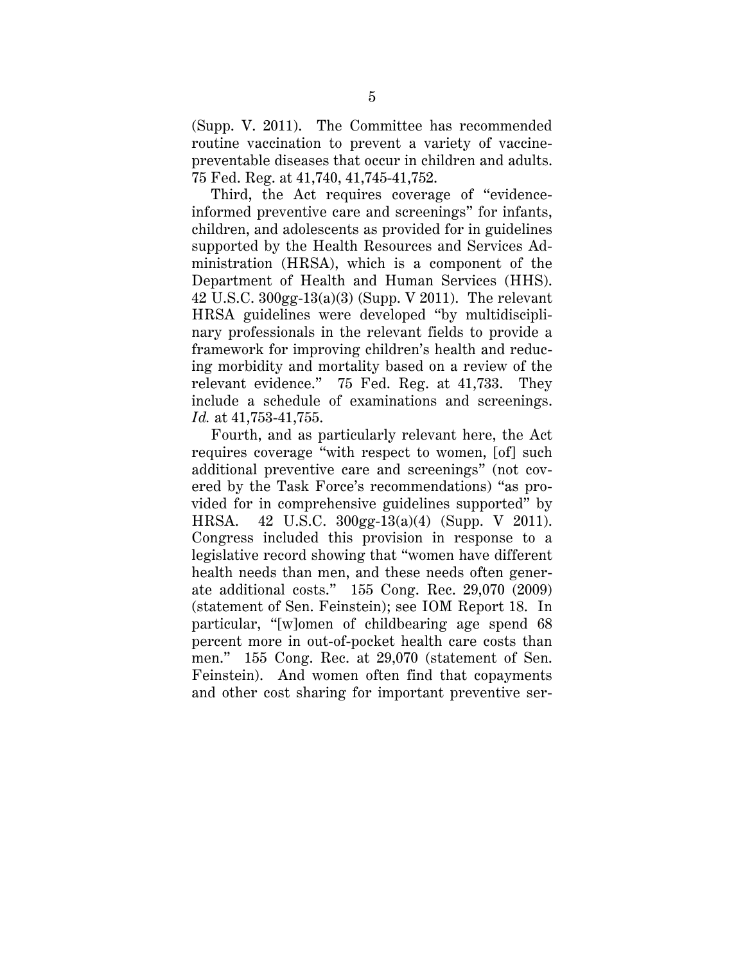(Supp. V. 2011). The Committee has recommended routine vaccination to prevent a variety of vaccinepreventable diseases that occur in children and adults. 75 Fed. Reg. at 41,740, 41,745-41,752.

Third, the Act requires coverage of "evidenceinformed preventive care and screenings" for infants, children, and adolescents as provided for in guidelines supported by the Health Resources and Services Administration (HRSA), which is a component of the Department of Health and Human Services (HHS). 42 U.S.C. 300gg-13(a)(3) (Supp. V 2011). The relevant HRSA guidelines were developed "by multidisciplinary professionals in the relevant fields to provide a framework for improving children's health and reducing morbidity and mortality based on a review of the relevant evidence." 75 Fed. Reg. at 41,733. They include a schedule of examinations and screenings. *Id.* at 41,753-41,755.

Fourth, and as particularly relevant here, the Act requires coverage "with respect to women, [of] such additional preventive care and screenings" (not covered by the Task Force's recommendations) "as provided for in comprehensive guidelines supported" by HRSA. 42 U.S.C. 300gg-13(a)(4) (Supp. V 2011). Congress included this provision in response to a legislative record showing that "women have different health needs than men, and these needs often generate additional costs." 155 Cong. Rec. 29,070 (2009) (statement of Sen. Feinstein); see IOM Report 18. In particular, "[w]omen of childbearing age spend 68 percent more in out-of-pocket health care costs than men." 155 Cong. Rec. at 29,070 (statement of Sen. Feinstein). And women often find that copayments and other cost sharing for important preventive ser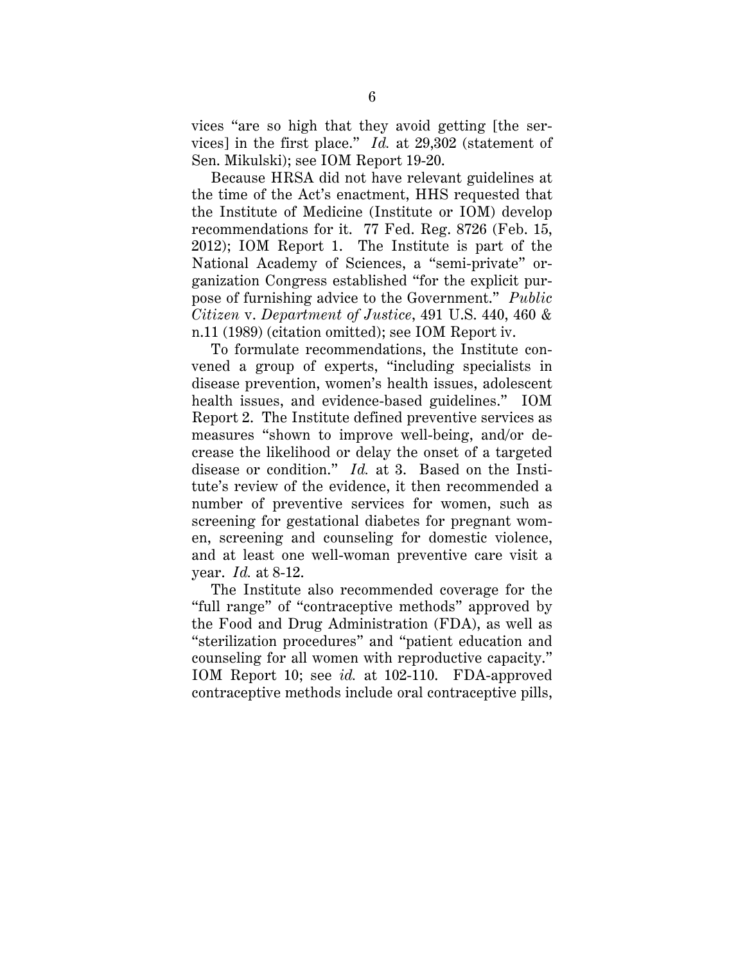vices "are so high that they avoid getting [the services] in the first place." *Id.* at 29,302 (statement of Sen. Mikulski); see IOM Report 19-20.

Because HRSA did not have relevant guidelines at the time of the Act's enactment, HHS requested that the Institute of Medicine (Institute or IOM) develop recommendations for it. 77 Fed. Reg. 8726 (Feb. 15, 2012); IOM Report 1. The Institute is part of the National Academy of Sciences, a "semi-private" organization Congress established "for the explicit purpose of furnishing advice to the Government." *Public Citizen* v. *Department of Justice*, 491 U.S. 440, 460 & n.11 (1989) (citation omitted); see IOM Report iv.

To formulate recommendations, the Institute convened a group of experts, "including specialists in disease prevention, women's health issues, adolescent health issues, and evidence-based guidelines." IOM Report 2. The Institute defined preventive services as measures "shown to improve well-being, and/or decrease the likelihood or delay the onset of a targeted disease or condition." *Id.* at 3. Based on the Institute's review of the evidence, it then recommended a number of preventive services for women, such as screening for gestational diabetes for pregnant women, screening and counseling for domestic violence, and at least one well-woman preventive care visit a year. *Id.* at 8-12.

The Institute also recommended coverage for the "full range" of "contraceptive methods" approved by the Food and Drug Administration (FDA), as well as "sterilization procedures" and "patient education and counseling for all women with reproductive capacity." IOM Report 10; see *id.* at 102-110. FDA-approved contraceptive methods include oral contraceptive pills,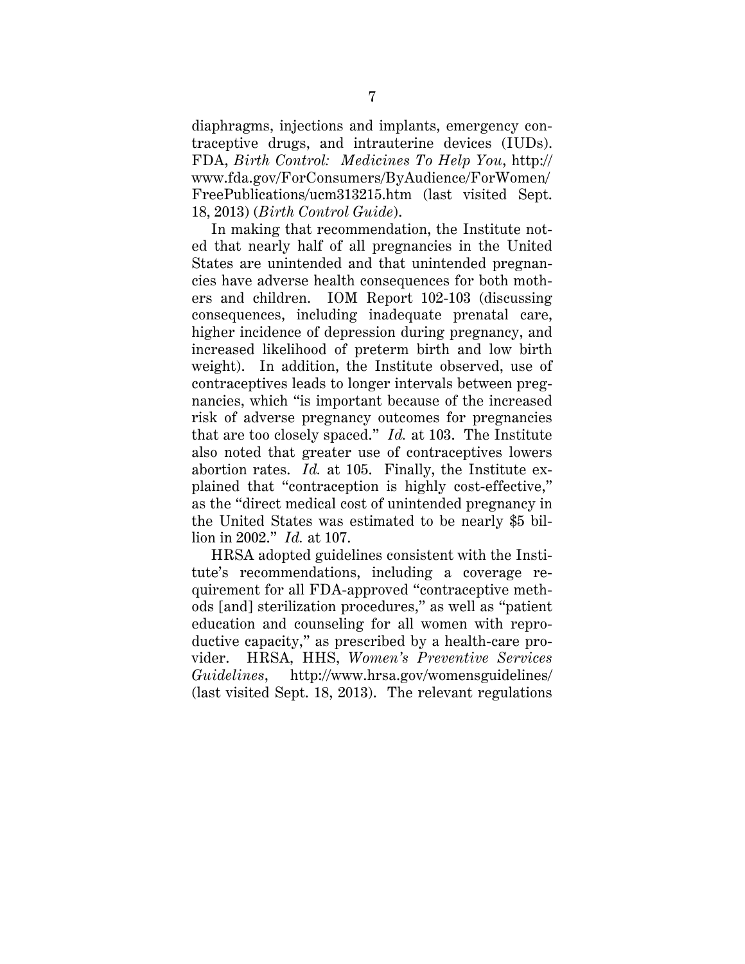diaphragms, injections and implants, emergency contraceptive drugs, and intrauterine devices (IUDs). FDA, *Birth Control: Medicines To Help You*, http:// www.fda.gov/ForConsumers/ByAudience/ForWomen/ FreePublications/ucm313215.htm (last visited Sept. 18, 2013) (*Birth Control Guide*).

In making that recommendation, the Institute noted that nearly half of all pregnancies in the United States are unintended and that unintended pregnancies have adverse health consequences for both mothers and children. IOM Report 102-103 (discussing consequences, including inadequate prenatal care, higher incidence of depression during pregnancy, and increased likelihood of preterm birth and low birth weight). In addition, the Institute observed, use of contraceptives leads to longer intervals between pregnancies, which "is important because of the increased risk of adverse pregnancy outcomes for pregnancies that are too closely spaced." *Id.* at 103. The Institute also noted that greater use of contraceptives lowers abortion rates. *Id.* at 105. Finally, the Institute explained that "contraception is highly cost-effective," as the "direct medical cost of unintended pregnancy in the United States was estimated to be nearly \$5 billion in 2002." *Id.* at 107.

HRSA adopted guidelines consistent with the Institute's recommendations, including a coverage requirement for all FDA-approved "contraceptive methods [and] sterilization procedures," as well as "patient education and counseling for all women with reproductive capacity," as prescribed by a health-care provider. HRSA, HHS, *Women's Preventive Services Guidelines*, http://www.hrsa.gov/womensguidelines/ (last visited Sept. 18, 2013). The relevant regulations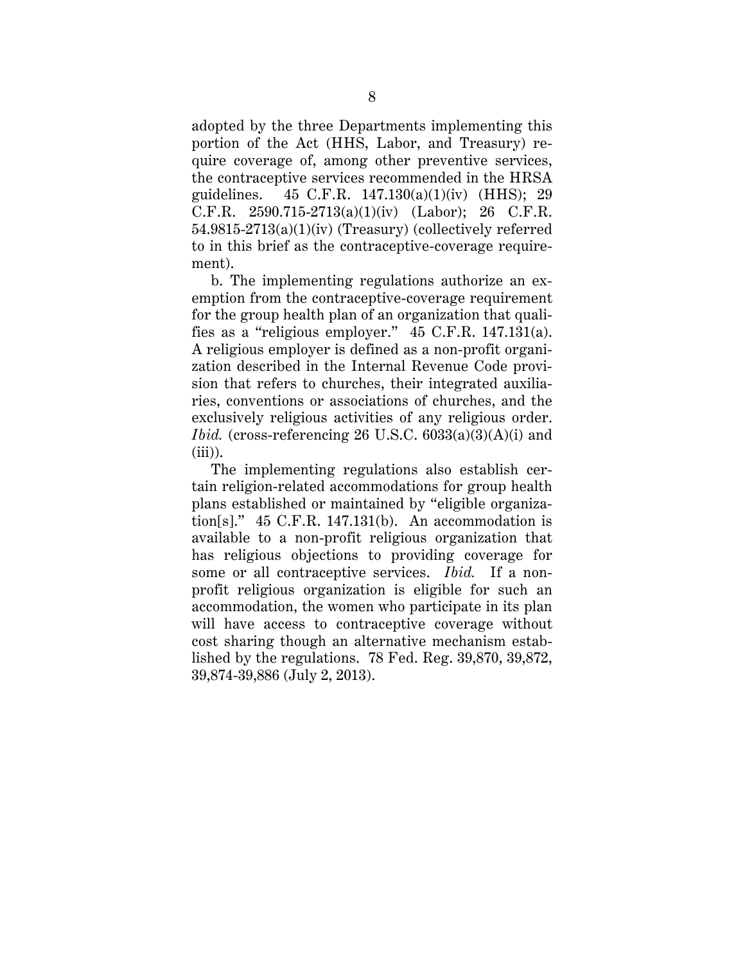adopted by the three Departments implementing this portion of the Act (HHS, Labor, and Treasury) require coverage of, among other preventive services, the contraceptive services recommended in the HRSA guidelines.  $45 \text{ C.F.R. } 147.130(a)(1)(iv)$  (HHS); 29 C.F.R. 2590.715-2713(a)(1)(iv) (Labor); 26 C.F.R. 54.9815-2713(a)(1)(iv) (Treasury) (collectively referred to in this brief as the contraceptive-coverage requirement).

b. The implementing regulations authorize an exemption from the contraceptive-coverage requirement for the group health plan of an organization that qualifies as a "religious employer." 45 C.F.R. 147.131(a). A religious employer is defined as a non-profit organization described in the Internal Revenue Code provision that refers to churches, their integrated auxiliaries, conventions or associations of churches, and the exclusively religious activities of any religious order. *Ibid.* (cross-referencing 26 U.S.C.  $6033(a)(3)(A)(i)$  and  $(iii)$ ).

The implementing regulations also establish certain religion-related accommodations for group health plans established or maintained by "eligible organization[s]."  $45$  C.F.R. 147.131(b). An accommodation is available to a non-profit religious organization that has religious objections to providing coverage for some or all contraceptive services. *Ibid.* If a nonprofit religious organization is eligible for such an accommodation, the women who participate in its plan will have access to contraceptive coverage without cost sharing though an alternative mechanism established by the regulations. 78 Fed. Reg. 39,870, 39,872, 39,874-39,886 (July 2, 2013).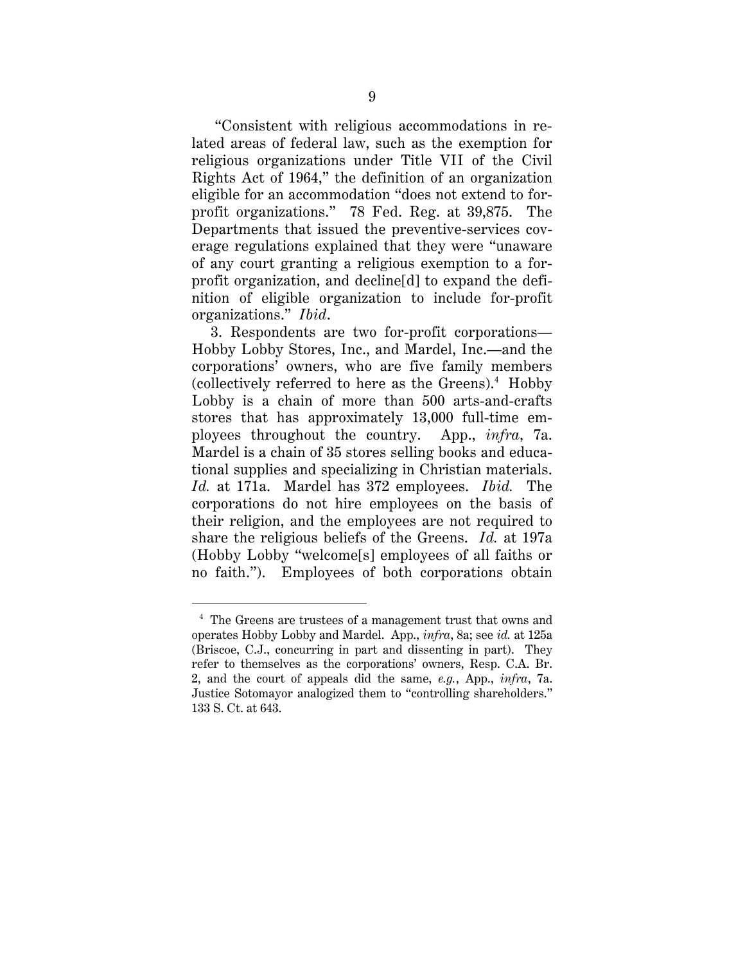"Consistent with religious accommodations in related areas of federal law, such as the exemption for religious organizations under Title VII of the Civil Rights Act of 1964," the definition of an organization eligible for an accommodation "does not extend to forprofit organizations." 78 Fed. Reg. at 39,875. The Departments that issued the preventive-services coverage regulations explained that they were "unaware of any court granting a religious exemption to a forprofit organization, and decline[d] to expand the definition of eligible organization to include for-profit organizations." *Ibid*.

3. Respondents are two for-profit corporations— Hobby Lobby Stores, Inc., and Mardel, Inc.—and the corporations' owners, who are five family members (collectively referred to here as the Greens). $<sup>4</sup>$  Hobby</sup> Lobby is a chain of more than 500 arts-and-crafts stores that has approximately 13,000 full-time employees throughout the country. App., *infra*, 7a. Mardel is a chain of 35 stores selling books and educational supplies and specializing in Christian materials. *Id.* at 171a. Mardel has 372 employees. *Ibid.* The corporations do not hire employees on the basis of their religion, and the employees are not required to share the religious beliefs of the Greens. *Id.* at 197a (Hobby Lobby "welcome[s] employees of all faiths or no faith."). Employees of both corporations obtain

<sup>&</sup>lt;sup>4</sup> The Greens are trustees of a management trust that owns and operates Hobby Lobby and Mardel. App., *infra*, 8a; see *id.* at 125a (Briscoe, C.J., concurring in part and dissenting in part). They refer to themselves as the corporations' owners, Resp. C.A. Br. 2, and the court of appeals did the same, *e.g.*, App., *infra*, 7a. Justice Sotomayor analogized them to "controlling shareholders." 133 S. Ct. at 643.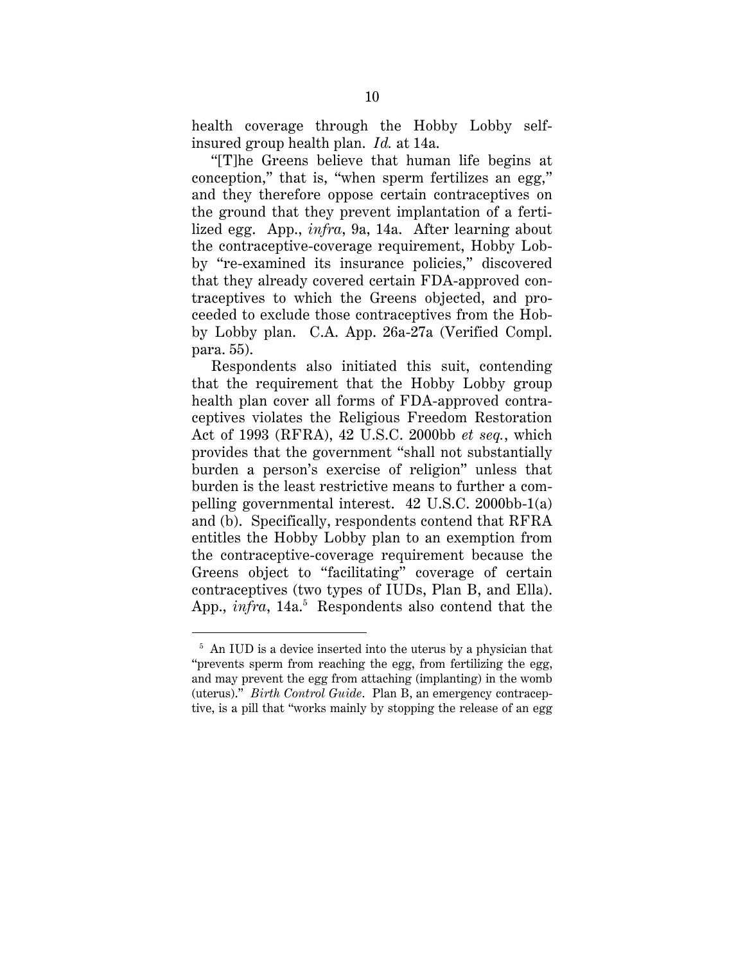health coverage through the Hobby Lobby selfinsured group health plan. *Id.* at 14a.

"[T]he Greens believe that human life begins at conception," that is, "when sperm fertilizes an egg," and they therefore oppose certain contraceptives on the ground that they prevent implantation of a fertilized egg. App., *infra*, 9a, 14a. After learning about the contraceptive-coverage requirement, Hobby Lobby "re-examined its insurance policies," discovered that they already covered certain FDA-approved contraceptives to which the Greens objected, and proceeded to exclude those contraceptives from the Hobby Lobby plan. C.A. App. 26a-27a (Verified Compl. para. 55).

Respondents also initiated this suit, contending that the requirement that the Hobby Lobby group health plan cover all forms of FDA-approved contraceptives violates the Religious Freedom Restoration Act of 1993 (RFRA), 42 U.S.C. 2000bb *et seq.*, which provides that the government "shall not substantially burden a person's exercise of religion" unless that burden is the least restrictive means to further a compelling governmental interest. 42 U.S.C. 2000bb-1(a) and (b). Specifically, respondents contend that RFRA entitles the Hobby Lobby plan to an exemption from the contraceptive-coverage requirement because the Greens object to "facilitating" coverage of certain contraceptives (two types of IUDs, Plan B, and Ella). App., *infra*, 14a.<sup>5</sup> Respondents also contend that the

<sup>&</sup>lt;sup>5</sup> An IUD is a device inserted into the uterus by a physician that "prevents sperm from reaching the egg, from fertilizing the egg, and may prevent the egg from attaching (implanting) in the womb (uterus)." *Birth Control Guide*. Plan B, an emergency contraceptive, is a pill that "works mainly by stopping the release of an egg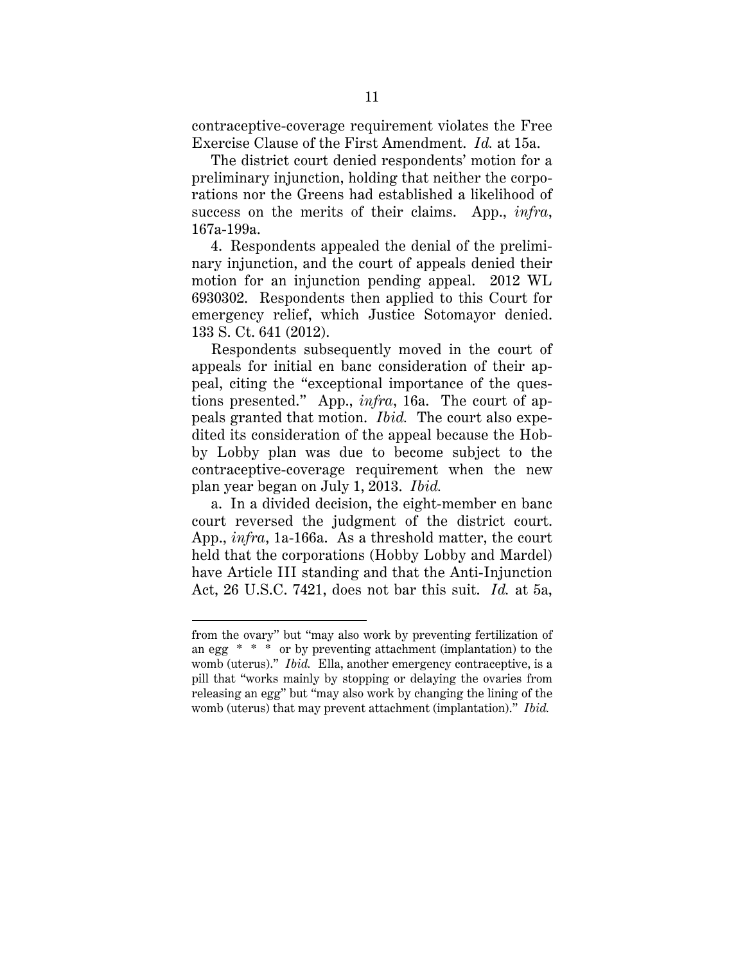contraceptive-coverage requirement violates the Free Exercise Clause of the First Amendment. *Id.* at 15a.

The district court denied respondents' motion for a preliminary injunction, holding that neither the corporations nor the Greens had established a likelihood of success on the merits of their claims. App., *infra*, 167a-199a.

4. Respondents appealed the denial of the preliminary injunction, and the court of appeals denied their motion for an injunction pending appeal. 2012 WL 6930302. Respondents then applied to this Court for emergency relief, which Justice Sotomayor denied. 133 S. Ct. 641 (2012).

Respondents subsequently moved in the court of appeals for initial en banc consideration of their appeal, citing the "exceptional importance of the questions presented." App., *infra*, 16a. The court of appeals granted that motion. *Ibid.* The court also expedited its consideration of the appeal because the Hobby Lobby plan was due to become subject to the contraceptive-coverage requirement when the new plan year began on July 1, 2013. *Ibid.*

a. In a divided decision, the eight-member en banc court reversed the judgment of the district court. App., *infra*, 1a-166a. As a threshold matter, the court held that the corporations (Hobby Lobby and Mardel) have Article III standing and that the Anti-Injunction Act, 26 U.S.C. 7421, does not bar this suit. *Id.* at 5a,

from the ovary" but "may also work by preventing fertilization of an egg  $* * *$  or by preventing attachment (implantation) to the womb (uterus)." *Ibid.* Ella, another emergency contraceptive, is a pill that "works mainly by stopping or delaying the ovaries from releasing an egg" but "may also work by changing the lining of the womb (uterus) that may prevent attachment (implantation)." *Ibid.*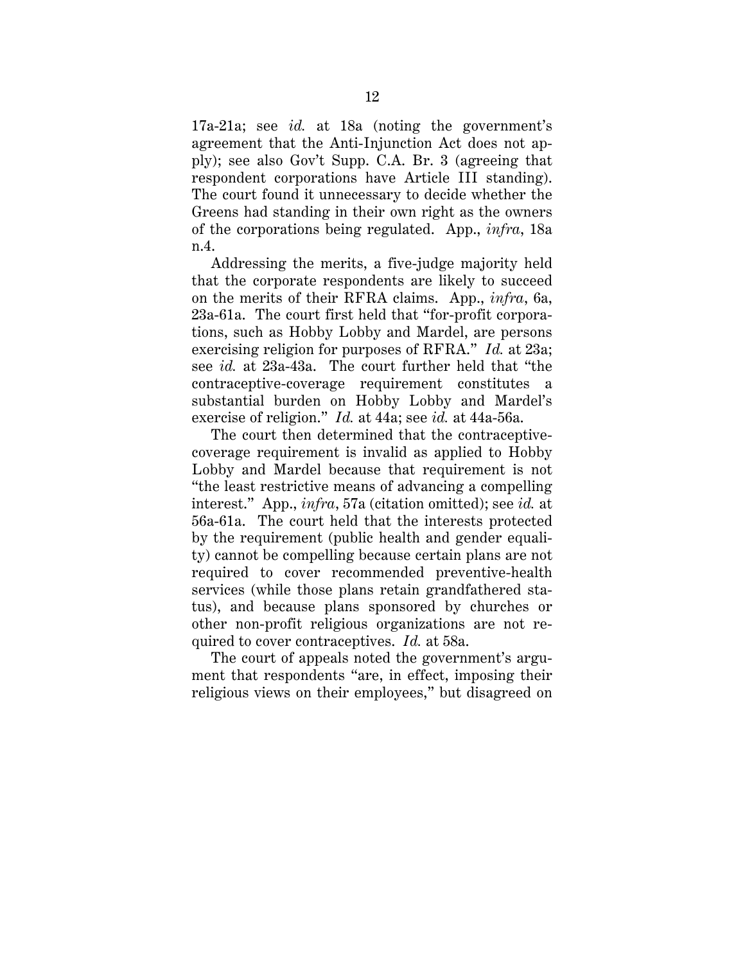17a-21a; see *id.* at 18a (noting the government's agreement that the Anti-Injunction Act does not apply); see also Gov't Supp. C.A. Br. 3 (agreeing that respondent corporations have Article III standing). The court found it unnecessary to decide whether the Greens had standing in their own right as the owners of the corporations being regulated. App., *infra*, 18a n.4.

Addressing the merits, a five-judge majority held that the corporate respondents are likely to succeed on the merits of their RFRA claims. App., *infra*, 6a, 23a-61a. The court first held that "for-profit corporations, such as Hobby Lobby and Mardel, are persons exercising religion for purposes of RFRA." *Id.* at 23a; see *id.* at 23a-43a. The court further held that "the contraceptive-coverage requirement constitutes a substantial burden on Hobby Lobby and Mardel's exercise of religion." *Id.* at 44a; see *id.* at 44a-56a.

The court then determined that the contraceptivecoverage requirement is invalid as applied to Hobby Lobby and Mardel because that requirement is not "the least restrictive means of advancing a compelling interest." App., *infra*, 57a (citation omitted); see *id.* at 56a-61a. The court held that the interests protected by the requirement (public health and gender equality) cannot be compelling because certain plans are not required to cover recommended preventive-health services (while those plans retain grandfathered status), and because plans sponsored by churches or other non-profit religious organizations are not required to cover contraceptives. *Id.* at 58a.

The court of appeals noted the government's argument that respondents "are, in effect, imposing their religious views on their employees," but disagreed on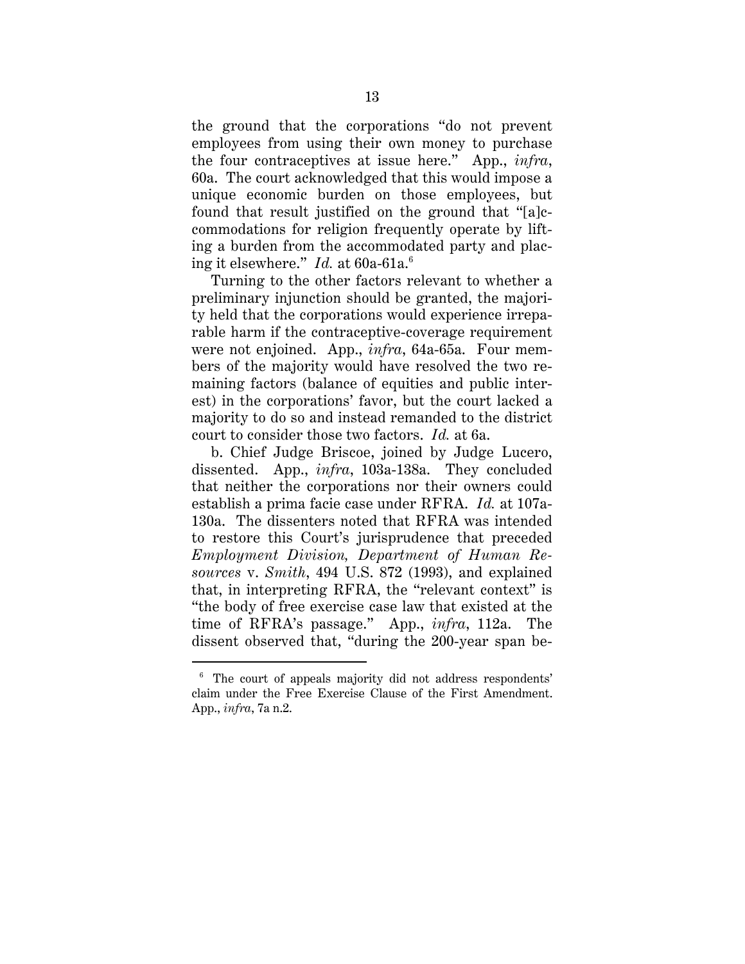the ground that the corporations "do not prevent employees from using their own money to purchase the four contraceptives at issue here." App., *infra*, 60a. The court acknowledged that this would impose a unique economic burden on those employees, but found that result justified on the ground that "[a]ccommodations for religion frequently operate by lifting a burden from the accommodated party and placing it elsewhere." *Id.* at 60a-61a.6

Turning to the other factors relevant to whether a preliminary injunction should be granted, the majority held that the corporations would experience irreparable harm if the contraceptive-coverage requirement were not enjoined. App., *infra*, 64a-65a. Four members of the majority would have resolved the two remaining factors (balance of equities and public interest) in the corporations' favor, but the court lacked a majority to do so and instead remanded to the district court to consider those two factors. *Id.* at 6a.

b. Chief Judge Briscoe, joined by Judge Lucero, dissented. App., *infra*, 103a-138a. They concluded that neither the corporations nor their owners could establish a prima facie case under RFRA. *Id.* at 107a-130a. The dissenters noted that RFRA was intended to restore this Court's jurisprudence that preceded *Employment Division, Department of Human Resources* v. *Smith*, 494 U.S. 872 (1993), and explained that, in interpreting RFRA, the "relevant context" is "the body of free exercise case law that existed at the time of RFRA's passage." App., *infra*, 112a. The dissent observed that, "during the 200-year span be-

<sup>&</sup>lt;sup>6</sup> The court of appeals majority did not address respondents' claim under the Free Exercise Clause of the First Amendment. App., *infra*, 7a n.2.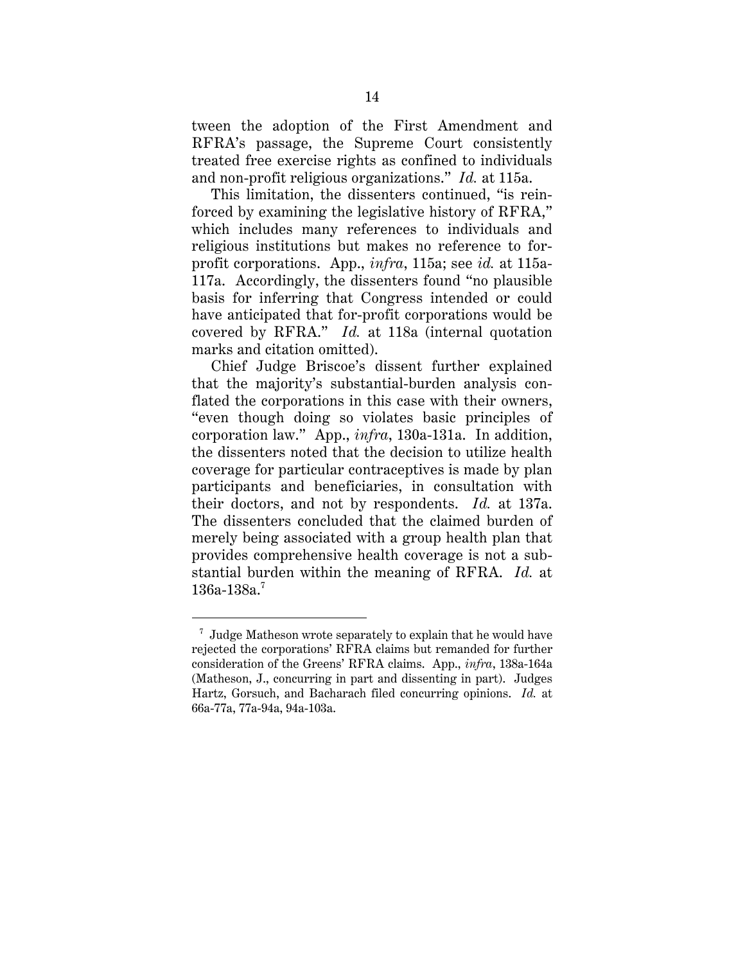tween the adoption of the First Amendment and RFRA's passage, the Supreme Court consistently treated free exercise rights as confined to individuals and non-profit religious organizations." *Id.* at 115a.

This limitation, the dissenters continued, "is reinforced by examining the legislative history of RFRA," which includes many references to individuals and religious institutions but makes no reference to forprofit corporations. App., *infra*, 115a; see *id.* at 115a-117a. Accordingly, the dissenters found "no plausible basis for inferring that Congress intended or could have anticipated that for-profit corporations would be covered by RFRA." *Id.* at 118a (internal quotation marks and citation omitted).

Chief Judge Briscoe's dissent further explained that the majority's substantial-burden analysis conflated the corporations in this case with their owners, "even though doing so violates basic principles of corporation law." App., *infra*, 130a-131a. In addition, the dissenters noted that the decision to utilize health coverage for particular contraceptives is made by plan participants and beneficiaries, in consultation with their doctors, and not by respondents. *Id.* at 137a. The dissenters concluded that the claimed burden of merely being associated with a group health plan that provides comprehensive health coverage is not a substantial burden within the meaning of RFRA. *Id.* at 136a-138a.7

<sup>&</sup>lt;sup>7</sup> Judge Matheson wrote separately to explain that he would have rejected the corporations' RFRA claims but remanded for further consideration of the Greens' RFRA claims. App., *infra*, 138a-164a (Matheson, J., concurring in part and dissenting in part). Judges Hartz, Gorsuch, and Bacharach filed concurring opinions. *Id.* at 66a-77a, 77a-94a, 94a-103a.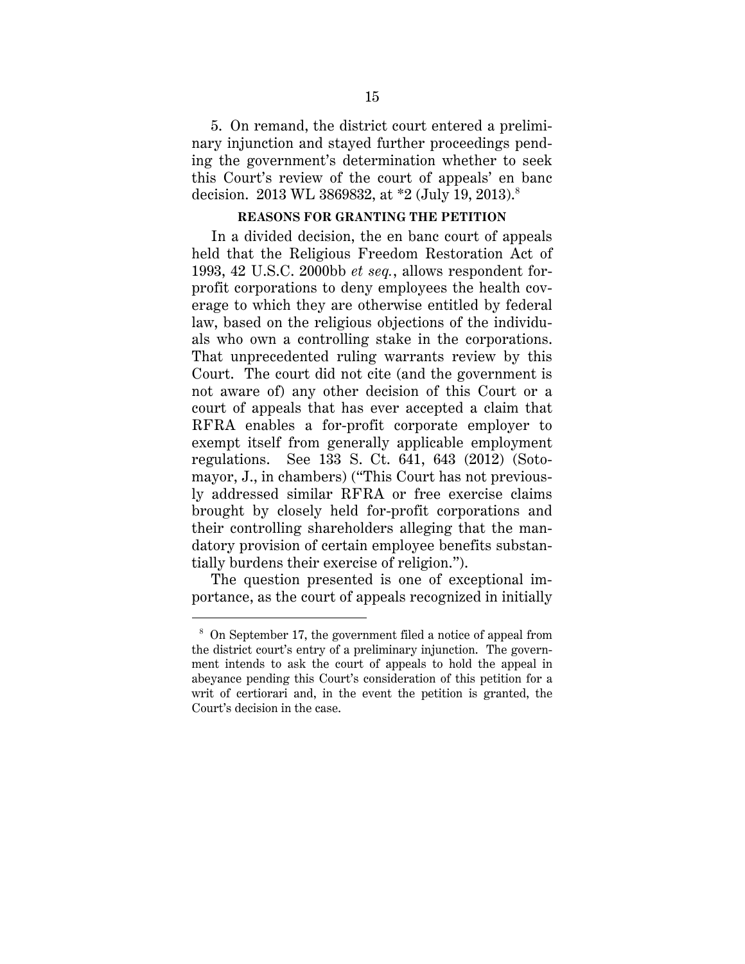5. On remand, the district court entered a preliminary injunction and stayed further proceedings pending the government's determination whether to seek this Court's review of the court of appeals' en banc decision. 2013 WL 3869832, at \*2 (July 19, 2013).<sup>8</sup>

### **REASONS FOR GRANTING THE PETITION**

In a divided decision, the en banc court of appeals held that the Religious Freedom Restoration Act of 1993, 42 U.S.C. 2000bb *et seq.*, allows respondent forprofit corporations to deny employees the health coverage to which they are otherwise entitled by federal law, based on the religious objections of the individuals who own a controlling stake in the corporations. That unprecedented ruling warrants review by this Court. The court did not cite (and the government is not aware of) any other decision of this Court or a court of appeals that has ever accepted a claim that RFRA enables a for-profit corporate employer to exempt itself from generally applicable employment regulations. See 133 S. Ct. 641, 643 (2012) (Sotomayor, J., in chambers) ("This Court has not previously addressed similar RFRA or free exercise claims brought by closely held for-profit corporations and their controlling shareholders alleging that the mandatory provision of certain employee benefits substantially burdens their exercise of religion.").

The question presented is one of exceptional importance, as the court of appeals recognized in initially

<sup>&</sup>lt;sup>8</sup> On September 17, the government filed a notice of appeal from the district court's entry of a preliminary injunction. The government intends to ask the court of appeals to hold the appeal in abeyance pending this Court's consideration of this petition for a writ of certiorari and, in the event the petition is granted, the Court's decision in the case.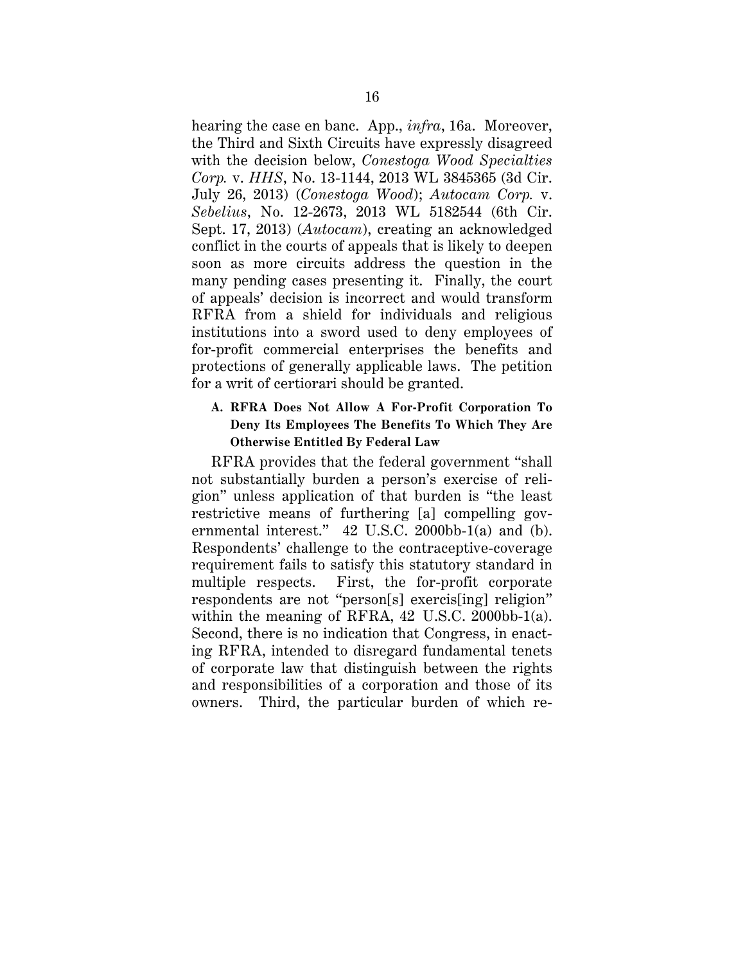hearing the case en banc. App., *infra*, 16a. Moreover, the Third and Sixth Circuits have expressly disagreed with the decision below, *Conestoga Wood Specialties Corp.* v. *HHS*, No. 13-1144, 2013 WL 3845365 (3d Cir. July 26, 2013) (*Conestoga Wood*); *Autocam Corp.* v. *Sebelius*, No. 12-2673, 2013 WL 5182544 (6th Cir. Sept. 17, 2013) (*Autocam*), creating an acknowledged conflict in the courts of appeals that is likely to deepen soon as more circuits address the question in the many pending cases presenting it. Finally, the court of appeals' decision is incorrect and would transform RFRA from a shield for individuals and religious institutions into a sword used to deny employees of for-profit commercial enterprises the benefits and protections of generally applicable laws. The petition for a writ of certiorari should be granted.

### **A. RFRA Does Not Allow A For-Profit Corporation To Deny Its Employees The Benefits To Which They Are Otherwise Entitled By Federal Law**

RFRA provides that the federal government "shall not substantially burden a person's exercise of religion" unless application of that burden is "the least restrictive means of furthering [a] compelling governmental interest." 42 U.S.C. 2000bb-1(a) and (b). Respondents' challenge to the contraceptive-coverage requirement fails to satisfy this statutory standard in multiple respects. First, the for-profit corporate respondents are not "person[s] exercis[ing] religion" within the meaning of RFRA, 42 U.S.C. 2000bb-1(a). Second, there is no indication that Congress, in enacting RFRA, intended to disregard fundamental tenets of corporate law that distinguish between the rights and responsibilities of a corporation and those of its owners. Third, the particular burden of which re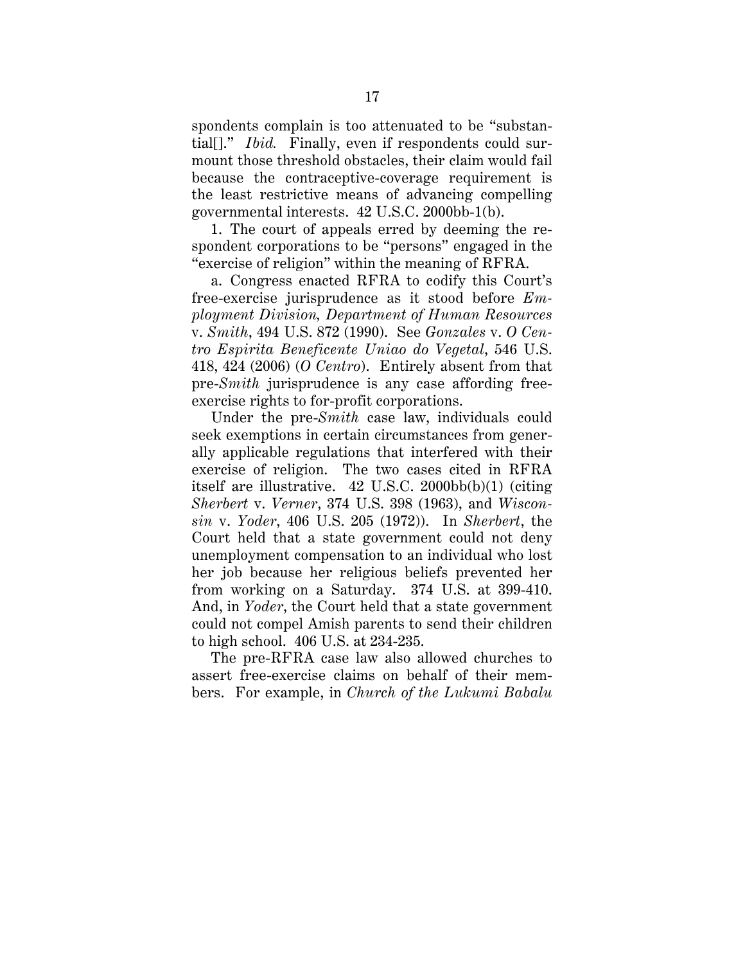spondents complain is too attenuated to be "substantial[]." *Ibid.* Finally, even if respondents could surmount those threshold obstacles, their claim would fail because the contraceptive-coverage requirement is the least restrictive means of advancing compelling governmental interests. 42 U.S.C. 2000bb-1(b).

1. The court of appeals erred by deeming the respondent corporations to be "persons" engaged in the "exercise of religion" within the meaning of RFRA.

a. Congress enacted RFRA to codify this Court's free-exercise jurisprudence as it stood before *Employment Division, Department of Human Resources*  v. *Smith*, 494 U.S. 872 (1990). See *Gonzales* v. *O Centro Espirita Beneficente Uniao do Vegetal*, 546 U.S. 418, 424 (2006) (*O Centro*).Entirely absent from that pre-*Smith* jurisprudence is any case affording freeexercise rights to for-profit corporations.

Under the pre-*Smith* case law, individuals could seek exemptions in certain circumstances from generally applicable regulations that interfered with their exercise of religion. The two cases cited in RFRA itself are illustrative.  $42 \text{ U.S.C. } 2000 \text{bb(b)}(1)$  (citing *Sherbert* v. *Verner*, 374 U.S. 398 (1963), and *Wisconsin* v. *Yoder*, 406 U.S. 205 (1972)). In *Sherbert*, the Court held that a state government could not deny unemployment compensation to an individual who lost her job because her religious beliefs prevented her from working on a Saturday. 374 U.S. at 399-410. And, in *Yoder*, the Court held that a state government could not compel Amish parents to send their children to high school. 406 U.S. at 234-235.

The pre-RFRA case law also allowed churches to assert free-exercise claims on behalf of their members. For example, in *Church of the Lukumi Babalu*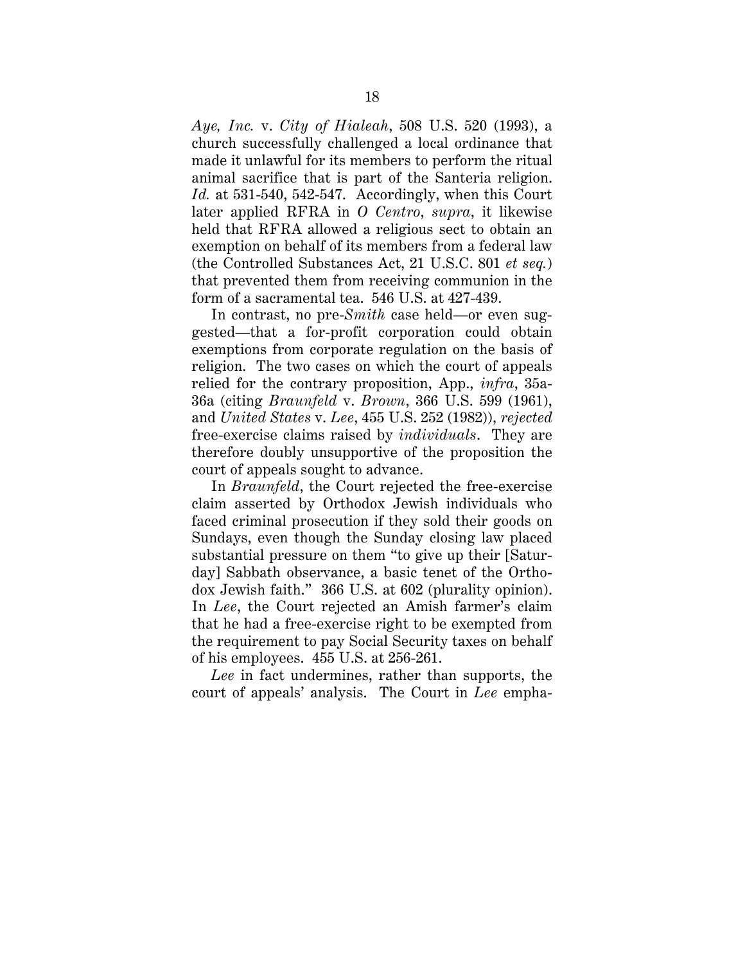*Aye, Inc.* v. *City of Hialeah*, 508 U.S. 520 (1993), a church successfully challenged a local ordinance that made it unlawful for its members to perform the ritual animal sacrifice that is part of the Santeria religion. *Id.* at 531-540, 542-547. Accordingly, when this Court later applied RFRA in *O Centro*, *supra*, it likewise held that RFRA allowed a religious sect to obtain an exemption on behalf of its members from a federal law (the Controlled Substances Act, 21 U.S.C. 801 *et seq.*) that prevented them from receiving communion in the form of a sacramental tea. 546 U.S. at 427-439.

In contrast, no pre-*Smith* case held—or even suggested—that a for-profit corporation could obtain exemptions from corporate regulation on the basis of religion. The two cases on which the court of appeals relied for the contrary proposition, App., *infra*, 35a-36a (citing *Braunfeld* v. *Brown*, 366 U.S. 599 (1961), and *United States* v. *Lee*, 455 U.S. 252 (1982)), *rejected* free-exercise claims raised by *individuals*. They are therefore doubly unsupportive of the proposition the court of appeals sought to advance.

In *Braunfeld*, the Court rejected the free-exercise claim asserted by Orthodox Jewish individuals who faced criminal prosecution if they sold their goods on Sundays, even though the Sunday closing law placed substantial pressure on them "to give up their [Saturday] Sabbath observance, a basic tenet of the Orthodox Jewish faith." 366 U.S. at 602 (plurality opinion). In *Lee*, the Court rejected an Amish farmer's claim that he had a free-exercise right to be exempted from the requirement to pay Social Security taxes on behalf of his employees. 455 U.S. at 256-261.

*Lee* in fact undermines, rather than supports, the court of appeals' analysis. The Court in *Lee* empha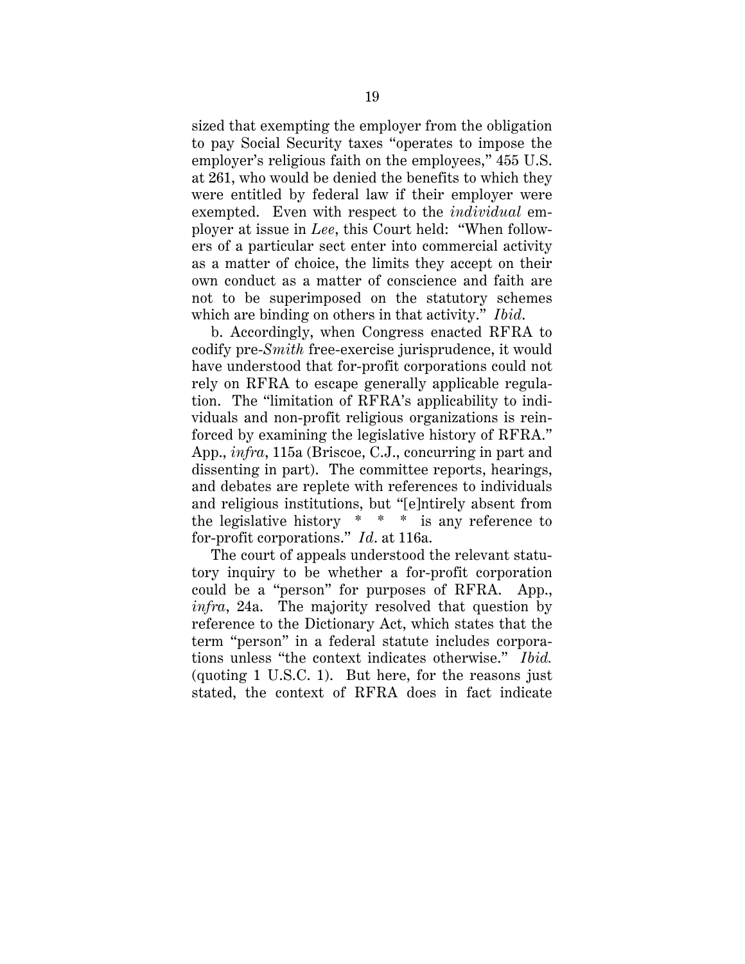sized that exempting the employer from the obligation to pay Social Security taxes "operates to impose the employer's religious faith on the employees," 455 U.S. at 261, who would be denied the benefits to which they were entitled by federal law if their employer were exempted. Even with respect to the *individual* employer at issue in *Lee*, this Court held: "When followers of a particular sect enter into commercial activity as a matter of choice, the limits they accept on their own conduct as a matter of conscience and faith are not to be superimposed on the statutory schemes which are binding on others in that activity." *Ibid*.

b. Accordingly, when Congress enacted RFRA to codify pre-*Smith* free-exercise jurisprudence, it would have understood that for-profit corporations could not rely on RFRA to escape generally applicable regulation. The "limitation of RFRA's applicability to individuals and non-profit religious organizations is reinforced by examining the legislative history of RFRA." App., *infra*, 115a (Briscoe, C.J., concurring in part and dissenting in part). The committee reports, hearings, and debates are replete with references to individuals and religious institutions, but "[e]ntirely absent from the legislative history \* \* \* is any reference to for-profit corporations." *Id*. at 116a.

The court of appeals understood the relevant statutory inquiry to be whether a for-profit corporation could be a "person" for purposes of RFRA. App., *infra*, 24a. The majority resolved that question by reference to the Dictionary Act, which states that the term "person" in a federal statute includes corporations unless "the context indicates otherwise." *Ibid.* (quoting 1 U.S.C. 1). But here, for the reasons just stated, the context of RFRA does in fact indicate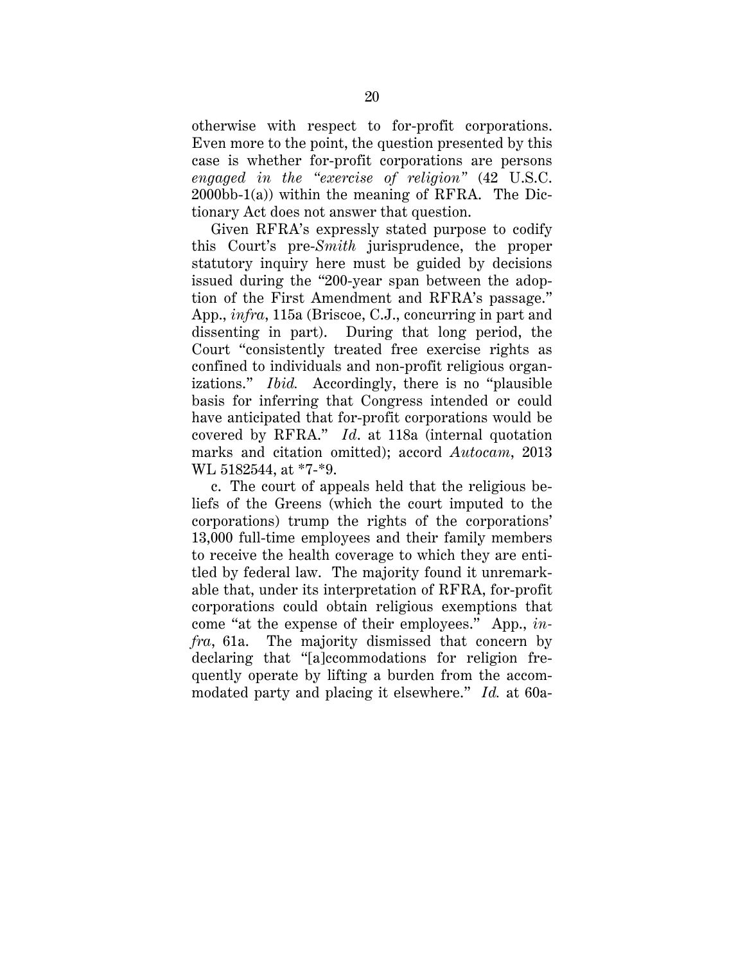otherwise with respect to for-profit corporations. Even more to the point, the question presented by this case is whether for-profit corporations are persons *engaged in the "exercise of religion"* (42 U.S.C. 2000bb-1(a)) within the meaning of RFRA. The Dictionary Act does not answer that question.

Given RFRA's expressly stated purpose to codify this Court's pre-*Smith* jurisprudence, the proper statutory inquiry here must be guided by decisions issued during the "200-year span between the adoption of the First Amendment and RFRA's passage." App., *infra*, 115a (Briscoe, C.J., concurring in part and dissenting in part). During that long period, the Court "consistently treated free exercise rights as confined to individuals and non-profit religious organizations." *Ibid.* Accordingly, there is no "plausible basis for inferring that Congress intended or could have anticipated that for-profit corporations would be covered by RFRA." *Id*. at 118a (internal quotation marks and citation omitted); accord *Autocam*, 2013 WL 5182544, at \*7-\*9.

c. The court of appeals held that the religious beliefs of the Greens (which the court imputed to the corporations) trump the rights of the corporations' 13,000 full-time employees and their family members to receive the health coverage to which they are entitled by federal law. The majority found it unremarkable that, under its interpretation of RFRA, for-profit corporations could obtain religious exemptions that come "at the expense of their employees." App., *infra*, 61a. The majority dismissed that concern by declaring that "[a]ccommodations for religion frequently operate by lifting a burden from the accommodated party and placing it elsewhere." *Id.* at 60a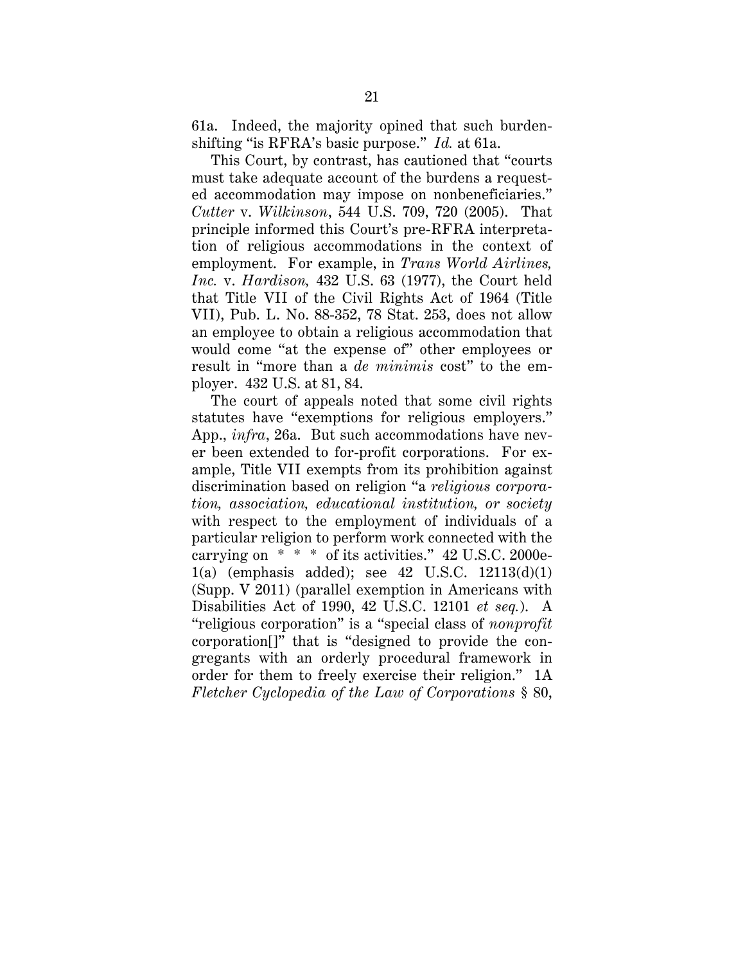61a. Indeed, the majority opined that such burdenshifting "is RFRA's basic purpose." *Id.* at 61a.

This Court, by contrast, has cautioned that "courts must take adequate account of the burdens a requested accommodation may impose on nonbeneficiaries." *Cutter* v. *Wilkinson*, 544 U.S. 709, 720 (2005). That principle informed this Court's pre-RFRA interpretation of religious accommodations in the context of employment. For example, in *Trans World Airlines, Inc.* v. *Hardison,* 432 U.S. 63 (1977), the Court held that Title VII of the Civil Rights Act of 1964 (Title VII), Pub. L. No. 88-352, 78 Stat. 253, does not allow an employee to obtain a religious accommodation that would come "at the expense of" other employees or result in "more than a *de minimis* cost" to the employer. 432 U.S. at 81, 84.

The court of appeals noted that some civil rights statutes have "exemptions for religious employers." App., *infra*, 26a. But such accommodations have never been extended to for-profit corporations. For example, Title VII exempts from its prohibition against discrimination based on religion "a *religious corporation, association, educational institution, or society* with respect to the employment of individuals of a particular religion to perform work connected with the carrying on  $* * *$  of its activities." 42 U.S.C. 2000e-1(a) (emphasis added); see 42 U.S.C. 12113(d)(1) (Supp. V 2011) (parallel exemption in Americans with Disabilities Act of 1990, 42 U.S.C. 12101 *et seq.*). A "religious corporation" is a "special class of *nonprofit* corporation[]" that is "designed to provide the congregants with an orderly procedural framework in order for them to freely exercise their religion." 1A *Fletcher Cyclopedia of the Law of Corporations* § 80,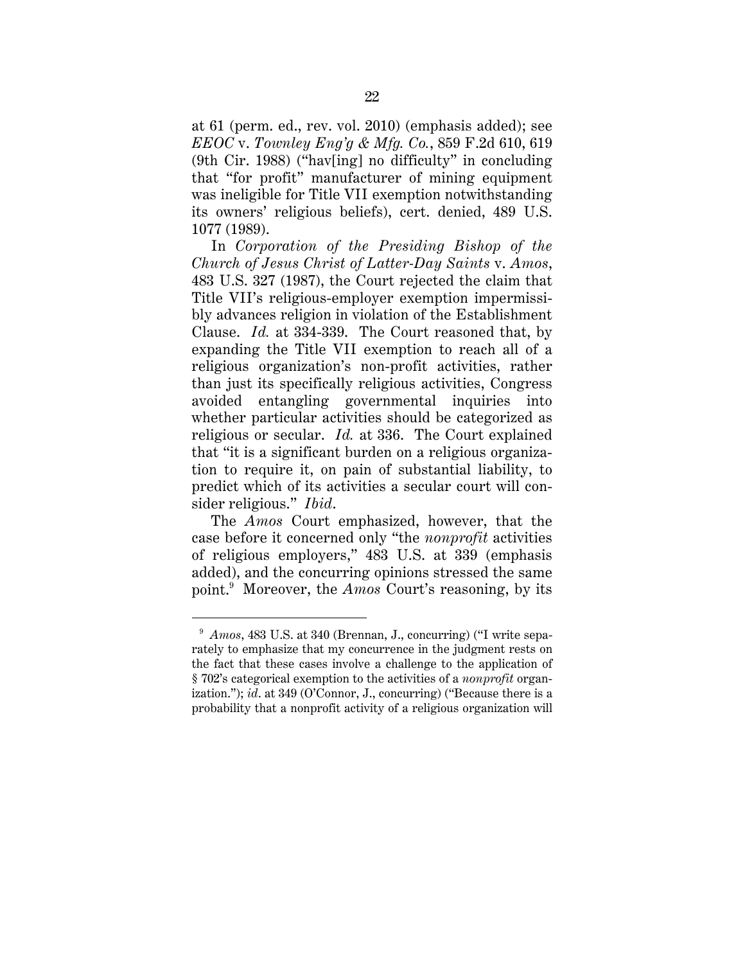at 61 (perm. ed., rev. vol. 2010) (emphasis added); see *EEOC* v. *Townley Eng'g & Mfg. Co.*, 859 F.2d 610, 619 (9th Cir. 1988) ("hav[ing] no difficulty" in concluding that "for profit" manufacturer of mining equipment was ineligible for Title VII exemption notwithstanding its owners' religious beliefs), cert. denied, 489 U.S. 1077 (1989).

In *Corporation of the Presiding Bishop of the Church of Jesus Christ of Latter-Day Saints* v. *Amos*, 483 U.S. 327 (1987), the Court rejected the claim that Title VII's religious-employer exemption impermissibly advances religion in violation of the Establishment Clause. *Id.* at 334-339. The Court reasoned that, by expanding the Title VII exemption to reach all of a religious organization's non-profit activities, rather than just its specifically religious activities, Congress avoided entangling governmental inquiries into whether particular activities should be categorized as religious or secular. *Id.* at 336. The Court explained that "it is a significant burden on a religious organization to require it, on pain of substantial liability, to predict which of its activities a secular court will consider religious." *Ibid*.

The *Amos* Court emphasized, however, that the case before it concerned only "the *nonprofit* activities of religious employers," 483 U.S. at 339 (emphasis added), and the concurring opinions stressed the same point.9 Moreover, the *Amos* Court's reasoning, by its

<sup>&</sup>lt;sup>9</sup> Amos, 483 U.S. at 340 (Brennan, J., concurring) ("I write separately to emphasize that my concurrence in the judgment rests on the fact that these cases involve a challenge to the application of § 702's categorical exemption to the activities of a *nonprofit* organization."); *id*. at 349 (O'Connor, J., concurring) ("Because there is a probability that a nonprofit activity of a religious organization will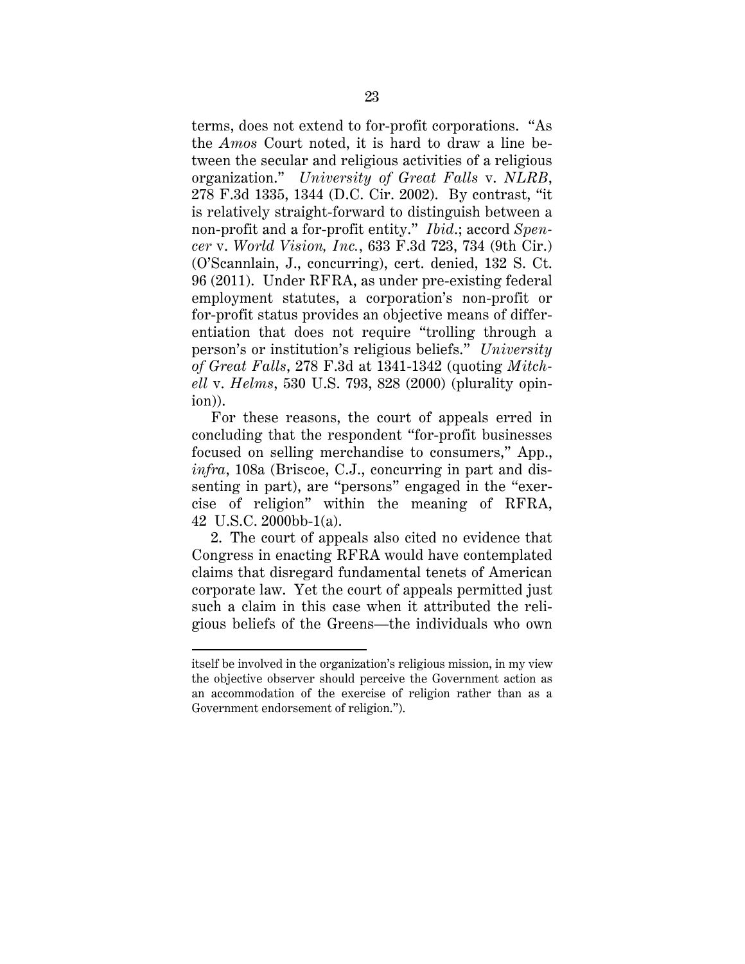terms, does not extend to for-profit corporations. "As the *Amos* Court noted, it is hard to draw a line between the secular and religious activities of a religious organization." *University of Great Falls* v. *NLRB*, 278 F.3d 1335, 1344 (D.C. Cir. 2002). By contrast, "it is relatively straight-forward to distinguish between a non-profit and a for-profit entity." *Ibid*.; accord *Spencer* v. *World Vision, Inc.*, 633 F.3d 723, 734 (9th Cir.) (O'Scannlain, J., concurring), cert. denied, 132 S. Ct. 96 (2011). Under RFRA, as under pre-existing federal employment statutes, a corporation's non-profit or for-profit status provides an objective means of differentiation that does not require "trolling through a person's or institution's religious beliefs." *University of Great Falls*, 278 F.3d at 1341-1342 (quoting *Mitchell* v. *Helms*, 530 U.S. 793, 828 (2000) (plurality opinion)).

For these reasons, the court of appeals erred in concluding that the respondent "for-profit businesses focused on selling merchandise to consumers," App., *infra*, 108a (Briscoe, C.J., concurring in part and dissenting in part), are "persons" engaged in the "exercise of religion" within the meaning of RFRA, 42 U.S.C. 2000bb-1(a).

2. The court of appeals also cited no evidence that Congress in enacting RFRA would have contemplated claims that disregard fundamental tenets of American corporate law. Yet the court of appeals permitted just such a claim in this case when it attributed the religious beliefs of the Greens—the individuals who own

itself be involved in the organization's religious mission, in my view the objective observer should perceive the Government action as an accommodation of the exercise of religion rather than as a Government endorsement of religion.").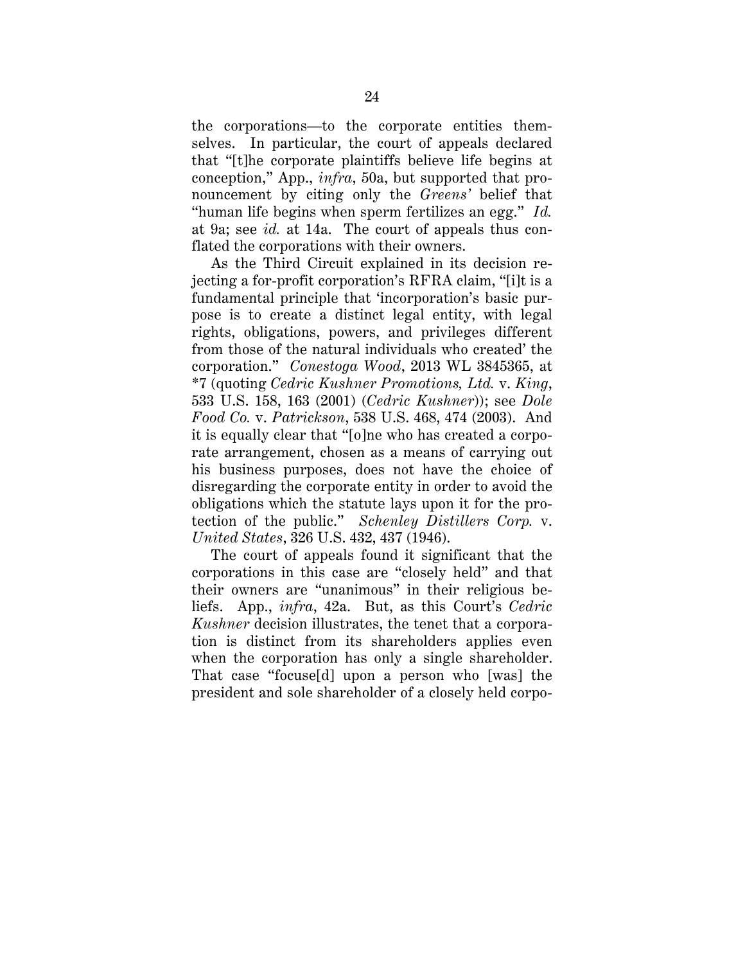the corporations—to the corporate entities themselves. In particular, the court of appeals declared that "[t]he corporate plaintiffs believe life begins at conception," App., *infra*, 50a, but supported that pronouncement by citing only the *Greens'* belief that "human life begins when sperm fertilizes an egg." *Id.* at 9a; see *id.* at 14a. The court of appeals thus conflated the corporations with their owners.

As the Third Circuit explained in its decision rejecting a for-profit corporation's RFRA claim, "[i]t is a fundamental principle that 'incorporation's basic purpose is to create a distinct legal entity, with legal rights, obligations, powers, and privileges different from those of the natural individuals who created' the corporation." *Conestoga Wood*, 2013 WL 3845365, at \*7 (quoting *Cedric Kushner Promotions, Ltd.* v. *King*, 533 U.S. 158, 163 (2001) (*Cedric Kushner*)); see *Dole Food Co.* v. *Patrickson*, 538 U.S. 468, 474 (2003). And it is equally clear that "[o]ne who has created a corporate arrangement, chosen as a means of carrying out his business purposes, does not have the choice of disregarding the corporate entity in order to avoid the obligations which the statute lays upon it for the protection of the public." *Schenley Distillers Corp.* v. *United States*, 326 U.S. 432, 437 (1946).

The court of appeals found it significant that the corporations in this case are "closely held" and that their owners are "unanimous" in their religious beliefs. App., *infra*, 42a. But, as this Court's *Cedric Kushner* decision illustrates, the tenet that a corporation is distinct from its shareholders applies even when the corporation has only a single shareholder. That case "focuse[d] upon a person who [was] the president and sole shareholder of a closely held corpo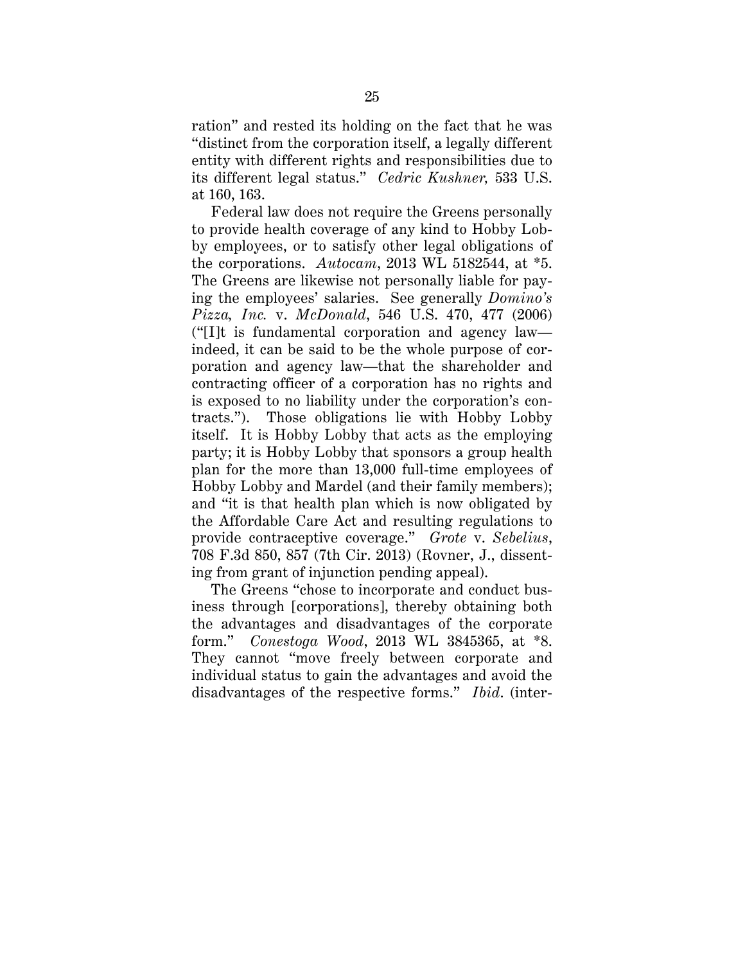ration" and rested its holding on the fact that he was "distinct from the corporation itself, a legally different entity with different rights and responsibilities due to its different legal status." *Cedric Kushner,* 533 U.S. at 160, 163.

Federal law does not require the Greens personally to provide health coverage of any kind to Hobby Lobby employees, or to satisfy other legal obligations of the corporations. *Autocam*, 2013 WL 5182544, at \*5. The Greens are likewise not personally liable for paying the employees' salaries. See generally *Domino's Pizza, Inc.* v. *McDonald*, 546 U.S. 470, 477 (2006) ("[I]t is fundamental corporation and agency law indeed, it can be said to be the whole purpose of corporation and agency law—that the shareholder and contracting officer of a corporation has no rights and is exposed to no liability under the corporation's contracts."). Those obligations lie with Hobby Lobby itself. It is Hobby Lobby that acts as the employing party; it is Hobby Lobby that sponsors a group health plan for the more than 13,000 full-time employees of Hobby Lobby and Mardel (and their family members); and "it is that health plan which is now obligated by the Affordable Care Act and resulting regulations to provide contraceptive coverage." *Grote* v. *Sebelius*, 708 F.3d 850, 857 (7th Cir. 2013) (Rovner, J., dissenting from grant of injunction pending appeal).

The Greens "chose to incorporate and conduct business through [corporations], thereby obtaining both the advantages and disadvantages of the corporate form." *Conestoga Wood*, 2013 WL 3845365, at \*8. They cannot "move freely between corporate and individual status to gain the advantages and avoid the disadvantages of the respective forms." *Ibid*. (inter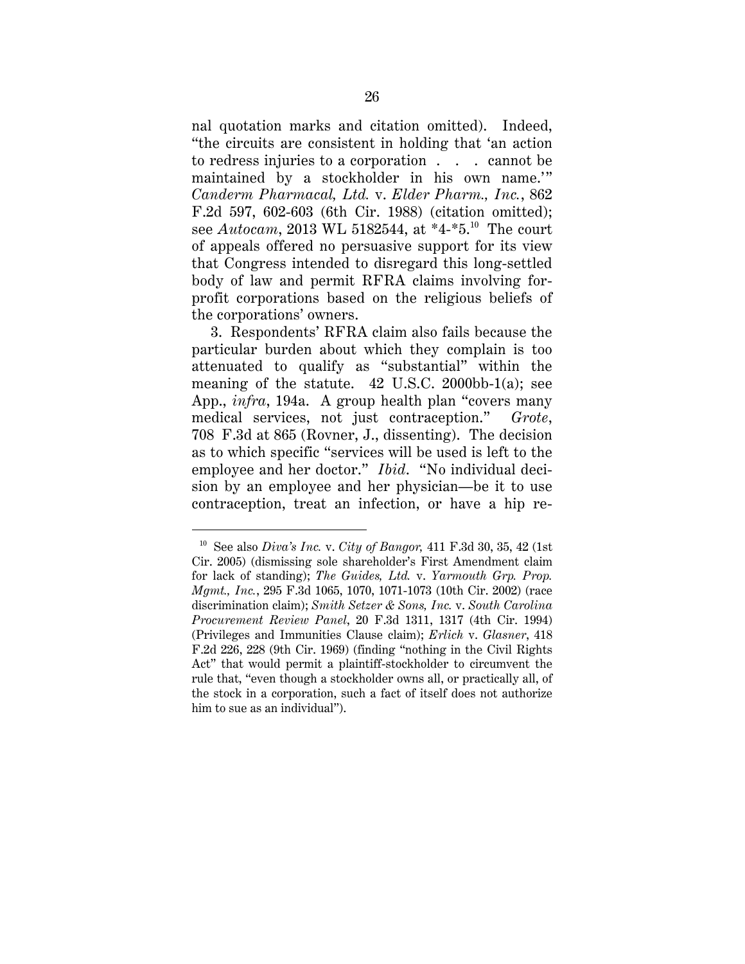nal quotation marks and citation omitted). Indeed, "the circuits are consistent in holding that 'an action to redress injuries to a corporation . . . cannot be maintained by a stockholder in his own name.'" *Canderm Pharmacal, Ltd.* v. *Elder Pharm., Inc.*, 862 F.2d 597, 602-603 (6th Cir. 1988) (citation omitted); see *Autocam*, 2013 WL 5182544, at \*4-\*5.10 The court of appeals offered no persuasive support for its view that Congress intended to disregard this long-settled body of law and permit RFRA claims involving forprofit corporations based on the religious beliefs of the corporations' owners.

3. Respondents' RFRA claim also fails because the particular burden about which they complain is too attenuated to qualify as "substantial" within the meaning of the statute.  $42 \text{ U.S.C. } 2000 \text{ bb-1(a)}$ ; see App., *infra*, 194a. A group health plan "covers many medical services, not just contraception." *Grote*, 708 F.3d at 865 (Rovner, J., dissenting). The decision as to which specific "services will be used is left to the employee and her doctor." *Ibid*. "No individual decision by an employee and her physician—be it to use contraception, treat an infection, or have a hip re-

<sup>10</sup> See also *Diva's Inc.* v. *City of Bangor,* 411 F.3d 30, 35, 42 (1st Cir. 2005) (dismissing sole shareholder's First Amendment claim for lack of standing); *The Guides, Ltd.* v. *Yarmouth Grp. Prop. Mgmt., Inc.*, 295 F.3d 1065, 1070, 1071-1073 (10th Cir. 2002) (race discrimination claim); *Smith Setzer & Sons, Inc.* v. *South Carolina Procurement Review Panel*, 20 F.3d 1311, 1317 (4th Cir. 1994) (Privileges and Immunities Clause claim); *Erlich* v. *Glasner*, 418 F.2d 226, 228 (9th Cir. 1969) (finding "nothing in the Civil Rights Act" that would permit a plaintiff-stockholder to circumvent the rule that, "even though a stockholder owns all, or practically all, of the stock in a corporation, such a fact of itself does not authorize him to sue as an individual").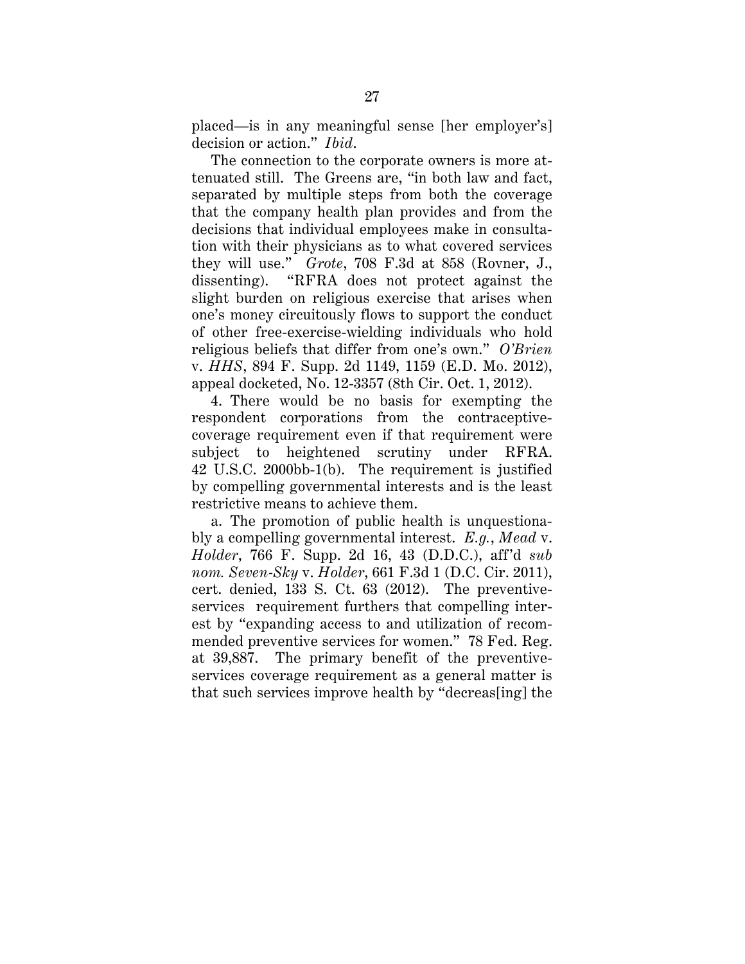placed—is in any meaningful sense [her employer's] decision or action." *Ibid*.

The connection to the corporate owners is more attenuated still. The Greens are, "in both law and fact, separated by multiple steps from both the coverage that the company health plan provides and from the decisions that individual employees make in consultation with their physicians as to what covered services they will use." *Grote*, 708 F.3d at 858 (Rovner, J., dissenting). "RFRA does not protect against the slight burden on religious exercise that arises when one's money circuitously flows to support the conduct of other free-exercise-wielding individuals who hold religious beliefs that differ from one's own." *O'Brien*  v. *HHS*, 894 F. Supp. 2d 1149, 1159 (E.D. Mo. 2012), appeal docketed, No. 12-3357 (8th Cir. Oct. 1, 2012).

4. There would be no basis for exempting the respondent corporations from the contraceptivecoverage requirement even if that requirement were subject to heightened scrutiny under RFRA. 42 U.S.C. 2000bb-1(b). The requirement is justified by compelling governmental interests and is the least restrictive means to achieve them.

a. The promotion of public health is unquestionably a compelling governmental interest. *E.g.*, *Mead* v. *Holder*, 766 F. Supp. 2d 16, 43 (D.D.C.), aff'd *sub nom. Seven-Sky* v. *Holder*, 661 F.3d 1 (D.C. Cir. 2011), cert. denied, 133 S. Ct. 63 (2012). The preventiveservices requirement furthers that compelling interest by "expanding access to and utilization of recommended preventive services for women." 78 Fed. Reg. at 39,887. The primary benefit of the preventiveservices coverage requirement as a general matter is that such services improve health by "decreas[ing] the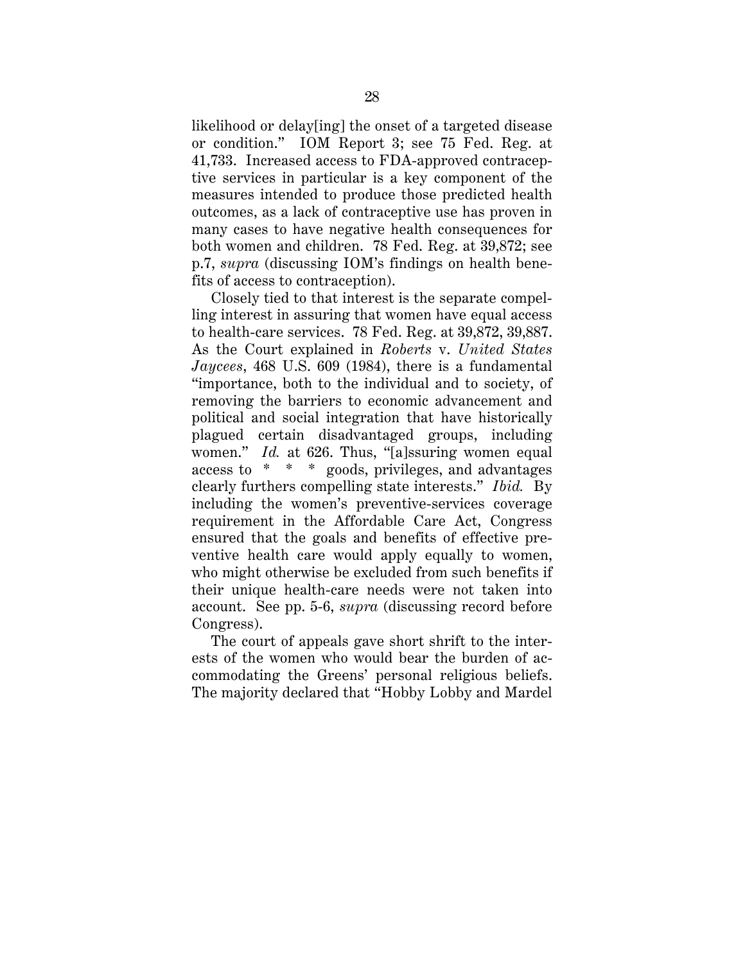likelihood or delay[ing] the onset of a targeted disease or condition." IOM Report 3; see 75 Fed. Reg. at 41,733. Increased access to FDA-approved contraceptive services in particular is a key component of the measures intended to produce those predicted health outcomes, as a lack of contraceptive use has proven in many cases to have negative health consequences for both women and children. 78 Fed. Reg. at 39,872; see p.7, *supra* (discussing IOM's findings on health benefits of access to contraception).

Closely tied to that interest is the separate compelling interest in assuring that women have equal access to health-care services. 78 Fed. Reg. at 39,872, 39,887. As the Court explained in *Roberts* v. *United States Jaycees*, 468 U.S. 609 (1984), there is a fundamental "importance, both to the individual and to society, of removing the barriers to economic advancement and political and social integration that have historically plagued certain disadvantaged groups, including women." *Id.* at 626. Thus, "[a]ssuring women equal access to \* \* \* goods, privileges, and advantages clearly furthers compelling state interests." *Ibid.* By including the women's preventive-services coverage requirement in the Affordable Care Act, Congress ensured that the goals and benefits of effective preventive health care would apply equally to women, who might otherwise be excluded from such benefits if their unique health-care needs were not taken into account. See pp. 5-6, *supra* (discussing record before Congress).

The court of appeals gave short shrift to the interests of the women who would bear the burden of accommodating the Greens' personal religious beliefs. The majority declared that "Hobby Lobby and Mardel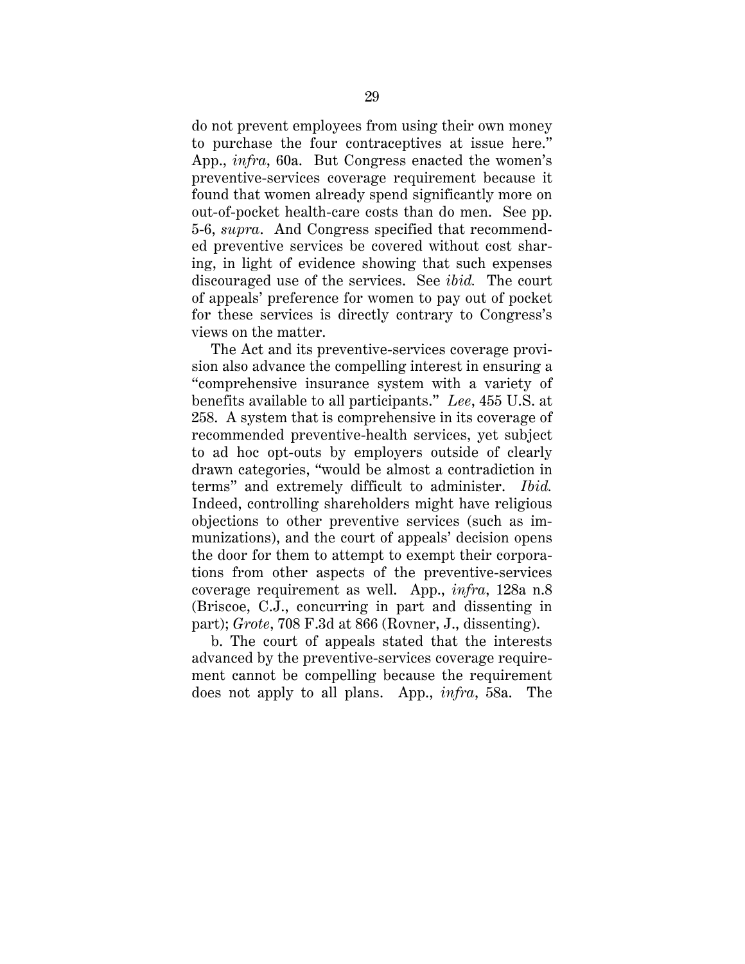do not prevent employees from using their own money to purchase the four contraceptives at issue here." App., *infra*, 60a. But Congress enacted the women's preventive-services coverage requirement because it found that women already spend significantly more on out-of-pocket health-care costs than do men. See pp. 5-6, *supra*. And Congress specified that recommended preventive services be covered without cost sharing, in light of evidence showing that such expenses discouraged use of the services. See *ibid.* The court of appeals' preference for women to pay out of pocket for these services is directly contrary to Congress's views on the matter.

The Act and its preventive-services coverage provision also advance the compelling interest in ensuring a "comprehensive insurance system with a variety of benefits available to all participants." *Lee*, 455 U.S. at 258. A system that is comprehensive in its coverage of recommended preventive-health services, yet subject to ad hoc opt-outs by employers outside of clearly drawn categories, "would be almost a contradiction in terms" and extremely difficult to administer. *Ibid.* Indeed, controlling shareholders might have religious objections to other preventive services (such as immunizations), and the court of appeals' decision opens the door for them to attempt to exempt their corporations from other aspects of the preventive-services coverage requirement as well. App., *infra*, 128a n.8 (Briscoe, C.J., concurring in part and dissenting in part); *Grote*, 708 F.3d at 866 (Rovner, J., dissenting).

b. The court of appeals stated that the interests advanced by the preventive-services coverage requirement cannot be compelling because the requirement does not apply to all plans. App., *infra*, 58a. The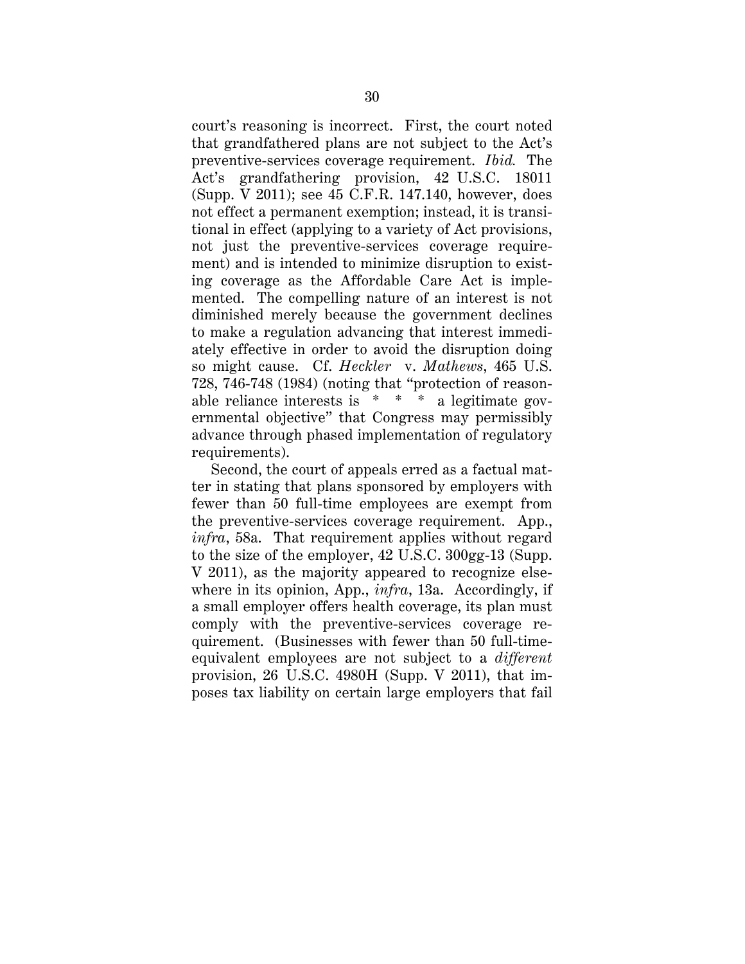court's reasoning is incorrect. First, the court noted that grandfathered plans are not subject to the Act's preventive-services coverage requirement. *Ibid.* The Act's grandfathering provision, 42 U.S.C. 18011 (Supp. V 2011); see 45 C.F.R. 147.140, however, does not effect a permanent exemption; instead, it is transitional in effect (applying to a variety of Act provisions, not just the preventive-services coverage requirement) and is intended to minimize disruption to existing coverage as the Affordable Care Act is implemented. The compelling nature of an interest is not diminished merely because the government declines to make a regulation advancing that interest immediately effective in order to avoid the disruption doing so might cause. Cf. *Heckler* v. *Mathews*, 465 U.S. 728, 746-748 (1984) (noting that "protection of reasonable reliance interests is \* \* \* a legitimate governmental objective" that Congress may permissibly advance through phased implementation of regulatory requirements).

Second, the court of appeals erred as a factual matter in stating that plans sponsored by employers with fewer than 50 full-time employees are exempt from the preventive-services coverage requirement. App., *infra*, 58a. That requirement applies without regard to the size of the employer, 42 U.S.C. 300gg-13 (Supp. V 2011), as the majority appeared to recognize elsewhere in its opinion, App., *infra*, 13a. Accordingly, if a small employer offers health coverage, its plan must comply with the preventive-services coverage requirement. (Businesses with fewer than 50 full-timeequivalent employees are not subject to a *different* provision, 26 U.S.C. 4980H (Supp. V 2011), that imposes tax liability on certain large employers that fail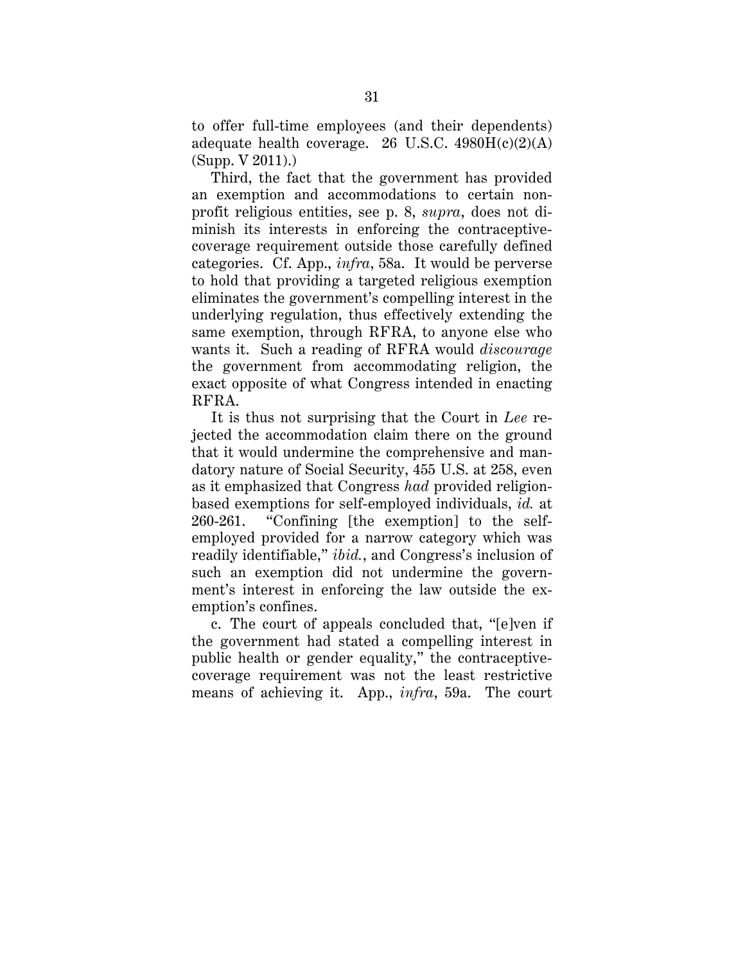to offer full-time employees (and their dependents) adequate health coverage. 26 U.S.C.  $4980H(c)(2)(A)$ (Supp. V 2011).)

Third, the fact that the government has provided an exemption and accommodations to certain nonprofit religious entities, see p. 8, *supra*, does not diminish its interests in enforcing the contraceptivecoverage requirement outside those carefully defined categories. Cf. App., *infra*, 58a. It would be perverse to hold that providing a targeted religious exemption eliminates the government's compelling interest in the underlying regulation, thus effectively extending the same exemption, through RFRA, to anyone else who wants it. Such a reading of RFRA would *discourage* the government from accommodating religion, the exact opposite of what Congress intended in enacting RFRA.

It is thus not surprising that the Court in *Lee* rejected the accommodation claim there on the ground that it would undermine the comprehensive and mandatory nature of Social Security, 455 U.S. at 258, even as it emphasized that Congress *had* provided religionbased exemptions for self-employed individuals, *id.* at 260-261. "Confining [the exemption] to the selfemployed provided for a narrow category which was readily identifiable," *ibid.*, and Congress's inclusion of such an exemption did not undermine the government's interest in enforcing the law outside the exemption's confines.

c. The court of appeals concluded that, "[e]ven if the government had stated a compelling interest in public health or gender equality," the contraceptivecoverage requirement was not the least restrictive means of achieving it. App., *infra*, 59a. The court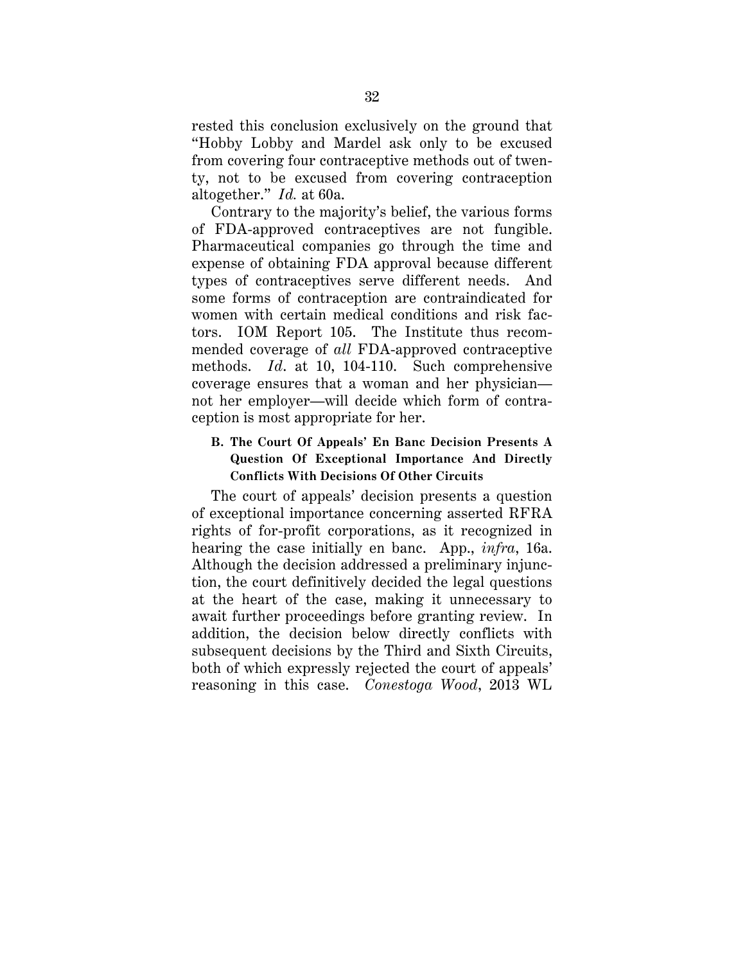rested this conclusion exclusively on the ground that "Hobby Lobby and Mardel ask only to be excused from covering four contraceptive methods out of twenty, not to be excused from covering contraception altogether." *Id.* at 60a.

Contrary to the majority's belief, the various forms of FDA-approved contraceptives are not fungible. Pharmaceutical companies go through the time and expense of obtaining FDA approval because different types of contraceptives serve different needs. And some forms of contraception are contraindicated for women with certain medical conditions and risk factors. IOM Report 105. The Institute thus recommended coverage of *all* FDA-approved contraceptive methods. *Id*. at 10, 104-110. Such comprehensive coverage ensures that a woman and her physician not her employer—will decide which form of contraception is most appropriate for her.

# **B. The Court Of Appeals' En Banc Decision Presents A Question Of Exceptional Importance And Directly Conflicts With Decisions Of Other Circuits**

The court of appeals' decision presents a question of exceptional importance concerning asserted RFRA rights of for-profit corporations, as it recognized in hearing the case initially en banc. App., *infra*, 16a. Although the decision addressed a preliminary injunction, the court definitively decided the legal questions at the heart of the case, making it unnecessary to await further proceedings before granting review. In addition, the decision below directly conflicts with subsequent decisions by the Third and Sixth Circuits, both of which expressly rejected the court of appeals' reasoning in this case. *Conestoga Wood*, 2013 WL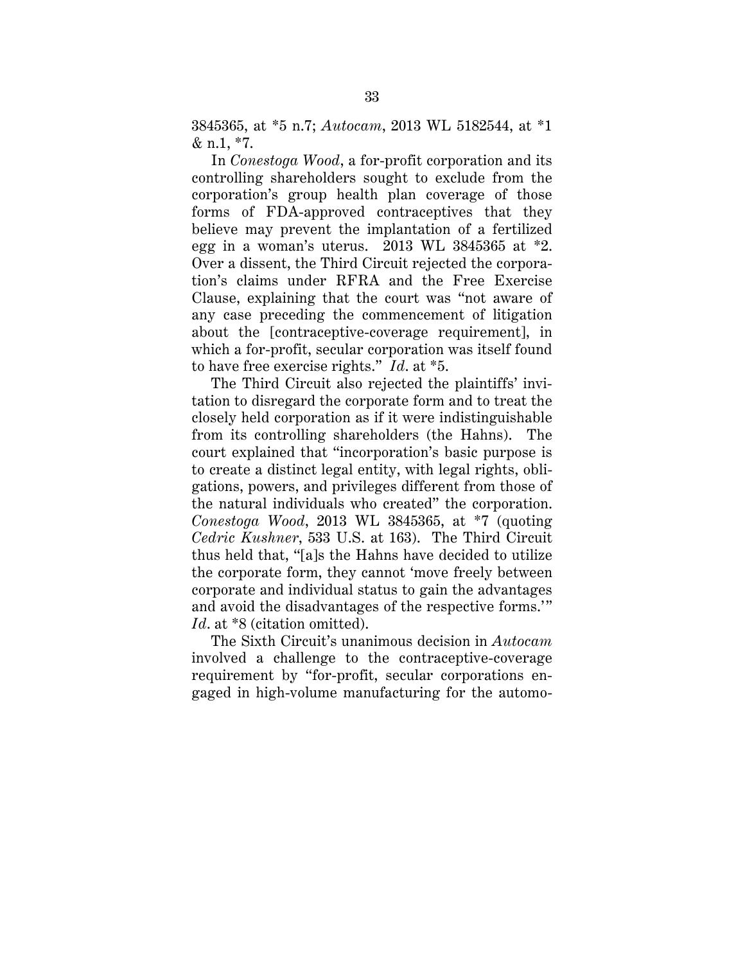3845365, at \*5 n.7; *Autocam*, 2013 WL 5182544, at \*1 & n.1, \*7.

In *Conestoga Wood*, a for-profit corporation and its controlling shareholders sought to exclude from the corporation's group health plan coverage of those forms of FDA-approved contraceptives that they believe may prevent the implantation of a fertilized egg in a woman's uterus. 2013 WL 3845365 at \*2. Over a dissent, the Third Circuit rejected the corporation's claims under RFRA and the Free Exercise Clause, explaining that the court was "not aware of any case preceding the commencement of litigation about the [contraceptive-coverage requirement], in which a for-profit, secular corporation was itself found to have free exercise rights." *Id*. at \*5.

The Third Circuit also rejected the plaintiffs' invitation to disregard the corporate form and to treat the closely held corporation as if it were indistinguishable from its controlling shareholders (the Hahns). The court explained that "incorporation's basic purpose is to create a distinct legal entity, with legal rights, obligations, powers, and privileges different from those of the natural individuals who created" the corporation. *Conestoga Wood*, 2013 WL 3845365, at \*7 (quoting *Cedric Kushner*, 533 U.S. at 163). The Third Circuit thus held that, "[a]s the Hahns have decided to utilize the corporate form, they cannot 'move freely between corporate and individual status to gain the advantages and avoid the disadvantages of the respective forms.'" *Id*. at \*8 (citation omitted).

The Sixth Circuit's unanimous decision in *Autocam*  involved a challenge to the contraceptive-coverage requirement by "for-profit, secular corporations engaged in high-volume manufacturing for the automo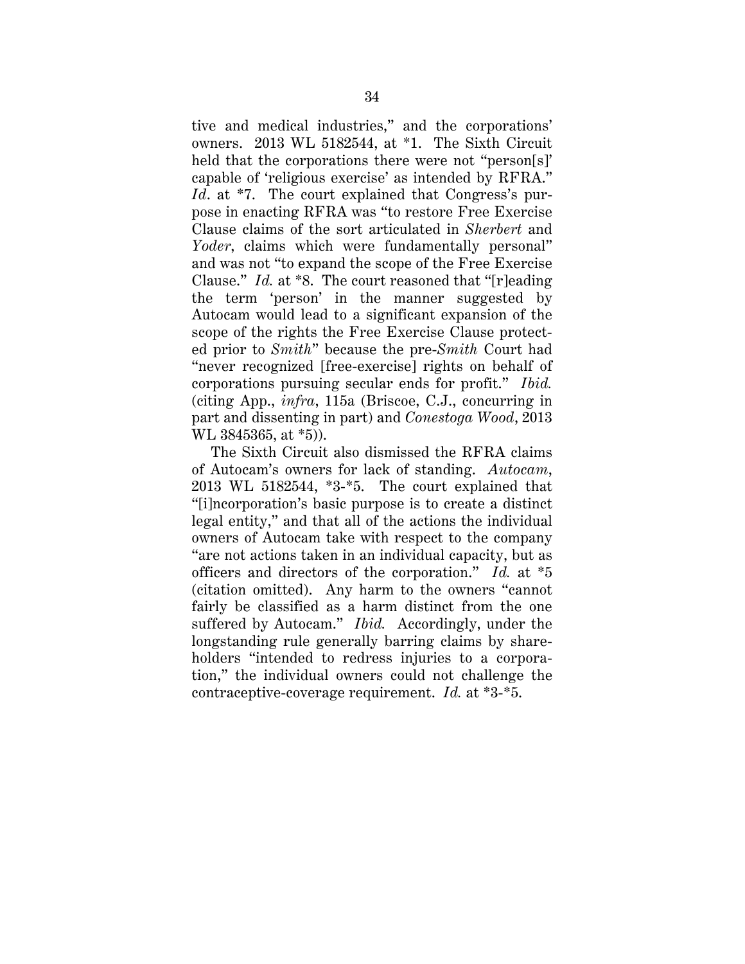tive and medical industries," and the corporations' owners. 2013 WL 5182544, at \*1. The Sixth Circuit held that the corporations there were not "person[s]' capable of 'religious exercise' as intended by RFRA." *Id*. at \*7. The court explained that Congress's purpose in enacting RFRA was "to restore Free Exercise Clause claims of the sort articulated in *Sherbert* and *Yoder*, claims which were fundamentally personal" and was not "to expand the scope of the Free Exercise Clause." *Id.* at \*8. The court reasoned that "[r]eading the term 'person' in the manner suggested by Autocam would lead to a significant expansion of the scope of the rights the Free Exercise Clause protected prior to *Smith*" because the pre-*Smith* Court had "never recognized [free-exercise] rights on behalf of corporations pursuing secular ends for profit." *Ibid.*  (citing App., *infra*, 115a (Briscoe, C.J., concurring in part and dissenting in part) and *Conestoga Wood*, 2013 WL 3845365, at \*5)).

The Sixth Circuit also dismissed the RFRA claims of Autocam's owners for lack of standing. *Autocam*, 2013 WL 5182544, \*3-\*5. The court explained that "[i]ncorporation's basic purpose is to create a distinct legal entity," and that all of the actions the individual owners of Autocam take with respect to the company "are not actions taken in an individual capacity, but as officers and directors of the corporation." *Id.* at \*5 (citation omitted). Any harm to the owners "cannot fairly be classified as a harm distinct from the one suffered by Autocam." *Ibid.* Accordingly, under the longstanding rule generally barring claims by shareholders "intended to redress injuries to a corporation," the individual owners could not challenge the contraceptive-coverage requirement. *Id.* at \*3-\*5.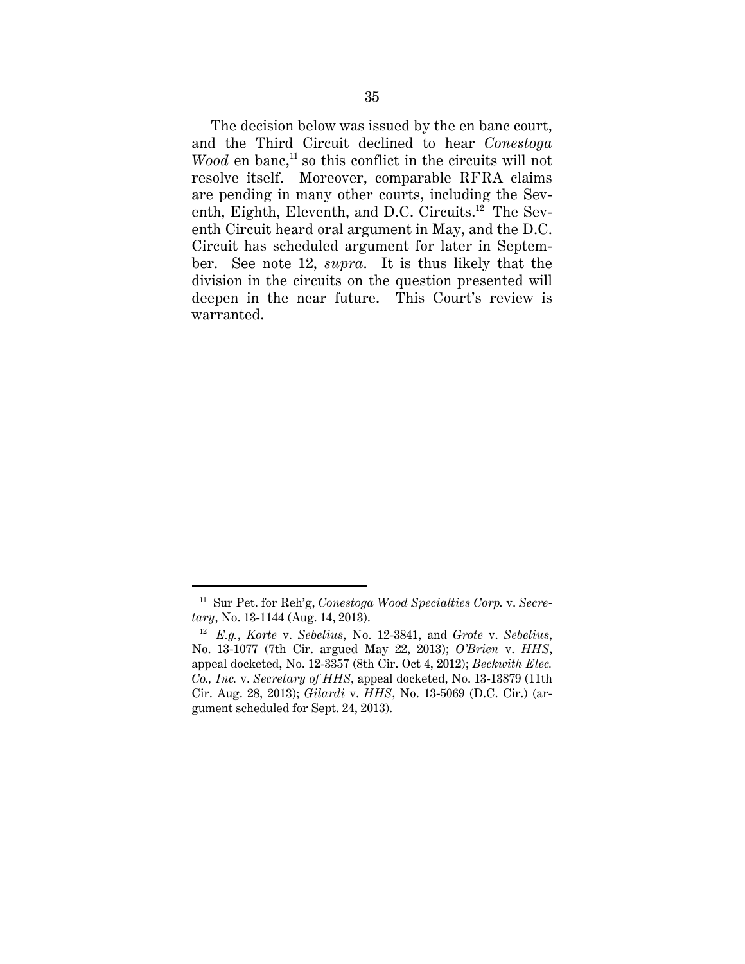The decision below was issued by the en banc court, and the Third Circuit declined to hear *Conestoga Wood* en banc,<sup>11</sup> so this conflict in the circuits will not resolve itself. Moreover, comparable RFRA claims are pending in many other courts, including the Seventh, Eighth, Eleventh, and D.C. Circuits.<sup>12</sup> The Seventh Circuit heard oral argument in May, and the D.C. Circuit has scheduled argument for later in September. See note 12, *supra*. It is thus likely that the division in the circuits on the question presented will deepen in the near future. This Court's review is warranted.

 $\overline{a}$ 

<sup>11</sup> Sur Pet. for Reh'g, *Conestoga Wood Specialties Corp.* v. *Secretary*, No. 13-1144 (Aug. 14, 2013).

<sup>12</sup> *E.g.*, *Korte* v. *Sebelius*, No. 12-3841, and *Grote* v. *Sebelius*, No. 13-1077 (7th Cir. argued May 22, 2013); *O'Brien* v. *HHS*, appeal docketed, No. 12-3357 (8th Cir. Oct 4, 2012); *Beckwith Elec. Co., Inc.* v. *Secretary of HHS*, appeal docketed, No. 13-13879 (11th Cir. Aug. 28, 2013); *Gilardi* v. *HHS*, No. 13-5069 (D.C. Cir.) (argument scheduled for Sept. 24, 2013).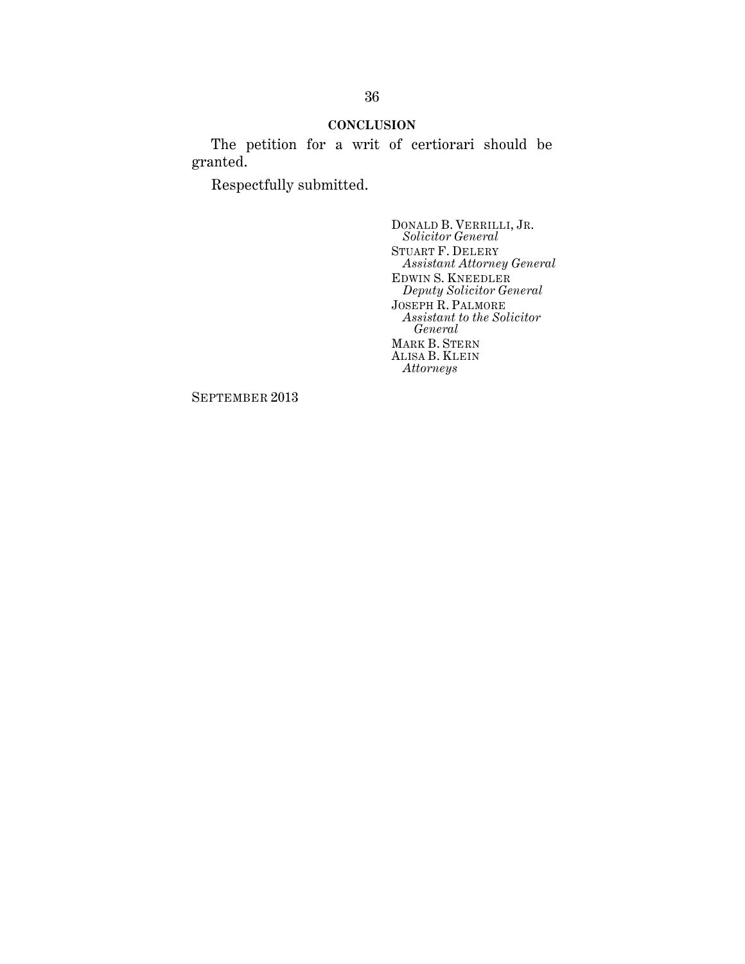#### **CONCLUSION**

The petition for a writ of certiorari should be granted.

Respectfully submitted.

DONALD B. VERRILLI, JR. *Solicitor General*  STUART F. DELERY *Assistant Attorney General*  EDWIN S. KNEEDLER *Deputy Solicitor General*  JOSEPH R. PALMORE *Assistant to the Solicitor General*  MARK B. STERN ALISA B. KLEIN *Attorneys* 

SEPTEMBER 2013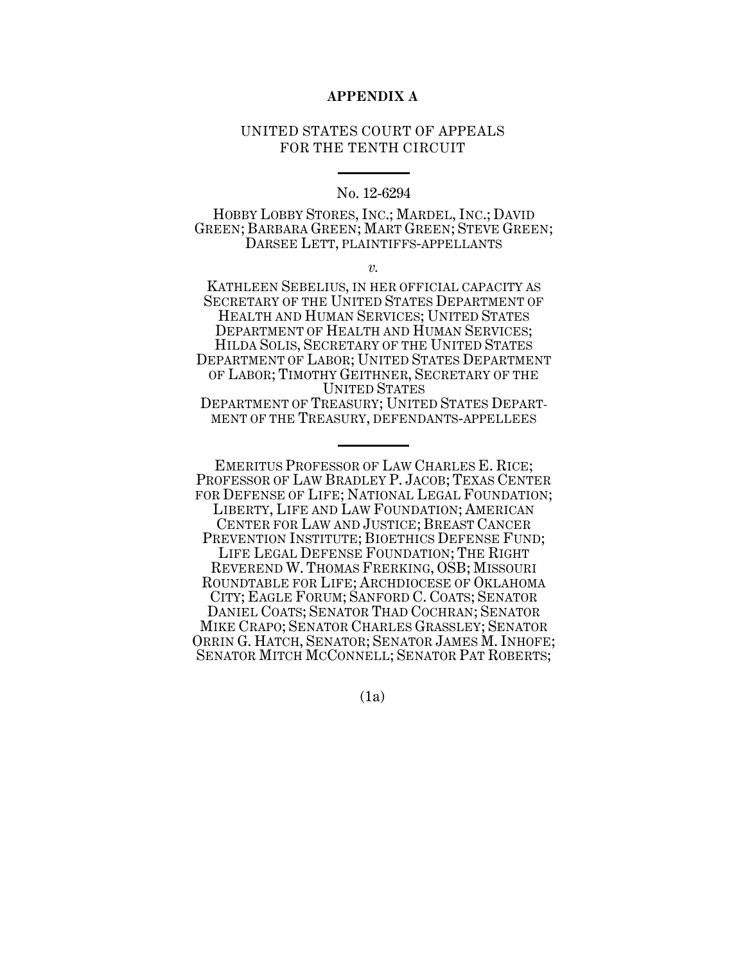### **APPENDIX A**

# UNITED STATES COURT OF APPEALS FOR THE TENTH CIRCUIT

### No. 12-6294

### HOBBY LOBBY STORES, INC.; MARDEL, INC.; DAVID GREEN; BARBARA GREEN; MART GREEN; STEVE GREEN; DARSEE LETT, PLAINTIFFS-APPELLANTS

*v.*

KATHLEEN SEBELIUS, IN HER OFFICIAL CAPACITY AS SECRETARY OF THE UNITED STATES DEPARTMENT OF HEALTH AND HUMAN SERVICES; UNITED STATES DEPARTMENT OF HEALTH AND HUMAN SERVICES; HILDA SOLIS, SECRETARY OF THE UNITED STATES DEPARTMENT OF LABOR; UNITED STATES DEPARTMENT OF LABOR; TIMOTHY GEITHNER, SECRETARY OF THE UNITED STATES DEPARTMENT OF TREASURY; UNITED STATES DEPART-MENT OF THE TREASURY, DEFENDANTS-APPELLEES

EMERITUS PROFESSOR OF LAW CHARLES E. RICE; PROFESSOR OF LAW BRADLEY P. JACOB; TEXAS CENTER FOR DEFENSE OF LIFE; NATIONAL LEGAL FOUNDATION; LIBERTY, LIFE AND LAW FOUNDATION; AMERICAN CENTER FOR LAW AND JUSTICE; BREAST CANCER PREVENTION INSTITUTE; BIOETHICS DEFENSE FUND; LIFE LEGAL DEFENSE FOUNDATION; THE RIGHT REVEREND W. THOMAS FRERKING, OSB; MISSOURI ROUNDTABLE FOR LIFE; ARCHDIOCESE OF OKLAHOMA CITY; EAGLE FORUM; SANFORD C. COATS; SENATOR DANIEL COATS; SENATOR THAD COCHRAN; SENATOR MIKE CRAPO; SENATOR CHARLES GRASSLEY; SENATOR ORRIN G. HATCH, SENATOR; SENATOR JAMES M. INHOFE; SENATOR MITCH MCCONNELL; SENATOR PAT ROBERTS;

(1a)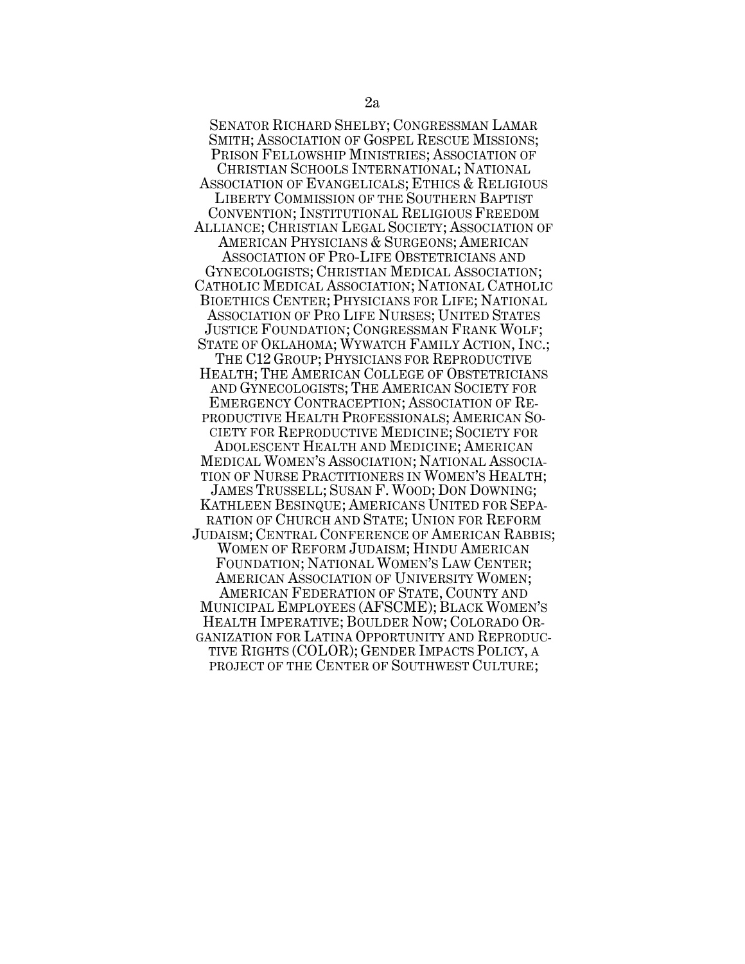SENATOR RICHARD SHELBY; CONGRESSMAN LAMAR SMITH; ASSOCIATION OF GOSPEL RESCUE MISSIONS; PRISON FELLOWSHIP MINISTRIES; ASSOCIATION OF CHRISTIAN SCHOOLS INTERNATIONAL; NATIONAL ASSOCIATION OF EVANGELICALS; ETHICS & RELIGIOUS LIBERTY COMMISSION OF THE SOUTHERN BAPTIST CONVENTION; INSTITUTIONAL RELIGIOUS FREEDOM ALLIANCE; CHRISTIAN LEGAL SOCIETY; ASSOCIATION OF AMERICAN PHYSICIANS & SURGEONS; AMERICAN ASSOCIATION OF PRO-LIFE OBSTETRICIANS AND GYNECOLOGISTS; CHRISTIAN MEDICAL ASSOCIATION; CATHOLIC MEDICAL ASSOCIATION; NATIONAL CATHOLIC BIOETHICS CENTER; PHYSICIANS FOR LIFE; NATIONAL ASSOCIATION OF PRO LIFE NURSES; UNITED STATES JUSTICE FOUNDATION; CONGRESSMAN FRANK WOLF; STATE OF OKLAHOMA; WYWATCH FAMILY ACTION, INC.; THE C12 GROUP; PHYSICIANS FOR REPRODUCTIVE HEALTH; THE AMERICAN COLLEGE OF OBSTETRICIANS AND GYNECOLOGISTS; THE AMERICAN SOCIETY FOR EMERGENCY CONTRACEPTION; ASSOCIATION OF RE-PRODUCTIVE HEALTH PROFESSIONALS; AMERICAN SO-CIETY FOR REPRODUCTIVE MEDICINE; SOCIETY FOR ADOLESCENT HEALTH AND MEDICINE; AMERICAN MEDICAL WOMEN'S ASSOCIATION; NATIONAL ASSOCIA-TION OF NURSE PRACTITIONERS IN WOMEN'S HEALTH; JAMES TRUSSELL; SUSAN F. WOOD; DON DOWNING; KATHLEEN BESINQUE; AMERICANS UNITED FOR SEPA-RATION OF CHURCH AND STATE; UNION FOR REFORM JUDAISM; CENTRAL CONFERENCE OF AMERICAN RABBIS; WOMEN OF REFORM JUDAISM; HINDU AMERICAN FOUNDATION; NATIONAL WOMEN'S LAW CENTER; AMERICAN ASSOCIATION OF UNIVERSITY WOMEN; AMERICAN FEDERATION OF STATE, COUNTY AND MUNICIPAL EMPLOYEES (AFSCME); BLACK WOMEN'S HEALTH IMPERATIVE; BOULDER NOW; COLORADO OR-GANIZATION FOR LATINA OPPORTUNITY AND REPRODUC-TIVE RIGHTS (COLOR); GENDER IMPACTS POLICY, A PROJECT OF THE CENTER OF SOUTHWEST CULTURE;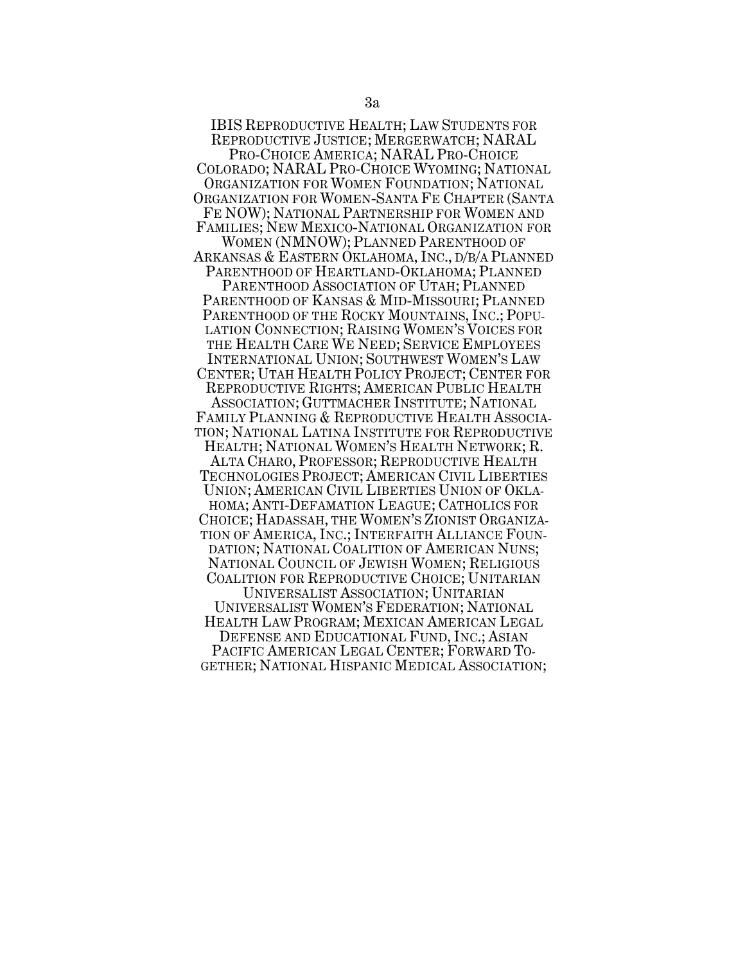IBIS REPRODUCTIVE HEALTH; LAW STUDENTS FOR REPRODUCTIVE JUSTICE; MERGERWATCH; NARAL PRO-CHOICE AMERICA; NARAL PRO-CHOICE COLORADO; NARAL PRO-CHOICE WYOMING; NATIONAL ORGANIZATION FOR WOMEN FOUNDATION; NATIONAL ORGANIZATION FOR WOMEN-SANTA FE CHAPTER (SANTA FE NOW); NATIONAL PARTNERSHIP FOR WOMEN AND FAMILIES; NEW MEXICO-NATIONAL ORGANIZATION FOR WOMEN (NMNOW); PLANNED PARENTHOOD OF ARKANSAS & EASTERN OKLAHOMA, INC., D/B/A PLANNED PARENTHOOD OF HEARTLAND-OKLAHOMA; PLANNED PARENTHOOD ASSOCIATION OF UTAH; PLANNED PARENTHOOD OF KANSAS & MID-MISSOURI; PLANNED PARENTHOOD OF THE ROCKY MOUNTAINS, INC.; POPU-LATION CONNECTION; RAISING WOMEN'S VOICES FOR THE HEALTH CARE WE NEED; SERVICE EMPLOYEES INTERNATIONAL UNION; SOUTHWEST WOMEN'S LAW CENTER; UTAH HEALTH POLICY PROJECT; CENTER FOR REPRODUCTIVE RIGHTS; AMERICAN PUBLIC HEALTH ASSOCIATION; GUTTMACHER INSTITUTE; NATIONAL FAMILY PLANNING & REPRODUCTIVE HEALTH ASSOCIA-TION; NATIONAL LATINA INSTITUTE FOR REPRODUCTIVE HEALTH; NATIONAL WOMEN'S HEALTH NETWORK; R. ALTA CHARO, PROFESSOR; REPRODUCTIVE HEALTH TECHNOLOGIES PROJECT; AMERICAN CIVIL LIBERTIES UNION; AMERICAN CIVIL LIBERTIES UNION OF OKLA-HOMA; ANTI-DEFAMATION LEAGUE; CATHOLICS FOR CHOICE; HADASSAH, THE WOMEN'S ZIONIST ORGANIZA-TION OF AMERICA, INC.; INTERFAITH ALLIANCE FOUN-DATION; NATIONAL COALITION OF AMERICAN NUNS; NATIONAL COUNCIL OF JEWISH WOMEN; RELIGIOUS COALITION FOR REPRODUCTIVE CHOICE; UNITARIAN UNIVERSALIST ASSOCIATION; UNITARIAN UNIVERSALIST WOMEN'S FEDERATION; NATIONAL HEALTH LAW PROGRAM; MEXICAN AMERICAN LEGAL DEFENSE AND EDUCATIONAL FUND, INC.; ASIAN PACIFIC AMERICAN LEGAL CENTER; FORWARD TO-GETHER; NATIONAL HISPANIC MEDICAL ASSOCIATION;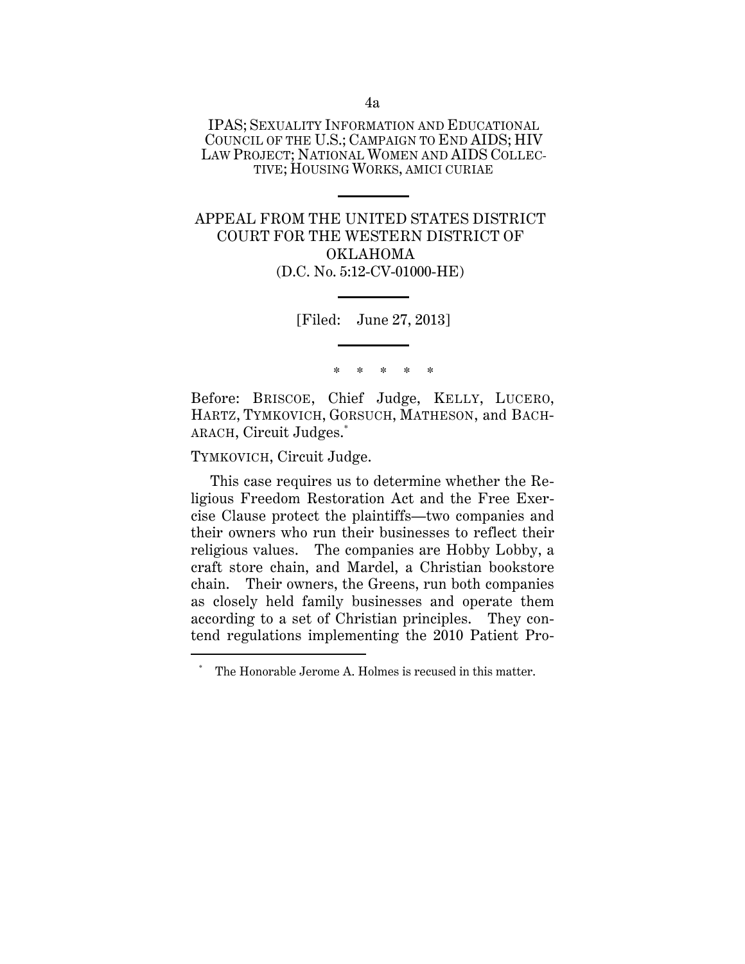IPAS; SEXUALITY INFORMATION AND EDUCATIONAL COUNCIL OF THE U.S.; CAMPAIGN TO END AIDS; HIV LAW PROJECT; NATIONAL WOMEN AND AIDS COLLEC-TIVE; HOUSING WORKS, AMICI CURIAE

APPEAL FROM THE UNITED STATES DISTRICT COURT FOR THE WESTERN DISTRICT OF OKLAHOMA (D.C. No. 5:12-CV-01000-HE)

[Filed: June 27, 2013]

\* \* \* \* \*

Before: BRISCOE, Chief Judge, KELLY, LUCERO, HARTZ, TYMKOVICH, GORSUCH, MATHESON, and BACH-ARACH, Circuit Judges.\*

TYMKOVICH, Circuit Judge.

-

This case requires us to determine whether the Religious Freedom Restoration Act and the Free Exercise Clause protect the plaintiffs—two companies and their owners who run their businesses to reflect their religious values. The companies are Hobby Lobby, a craft store chain, and Mardel, a Christian bookstore chain. Their owners, the Greens, run both companies as closely held family businesses and operate them according to a set of Christian principles. They contend regulations implementing the 2010 Patient Pro-

<sup>\*</sup> The Honorable Jerome A. Holmes is recused in this matter.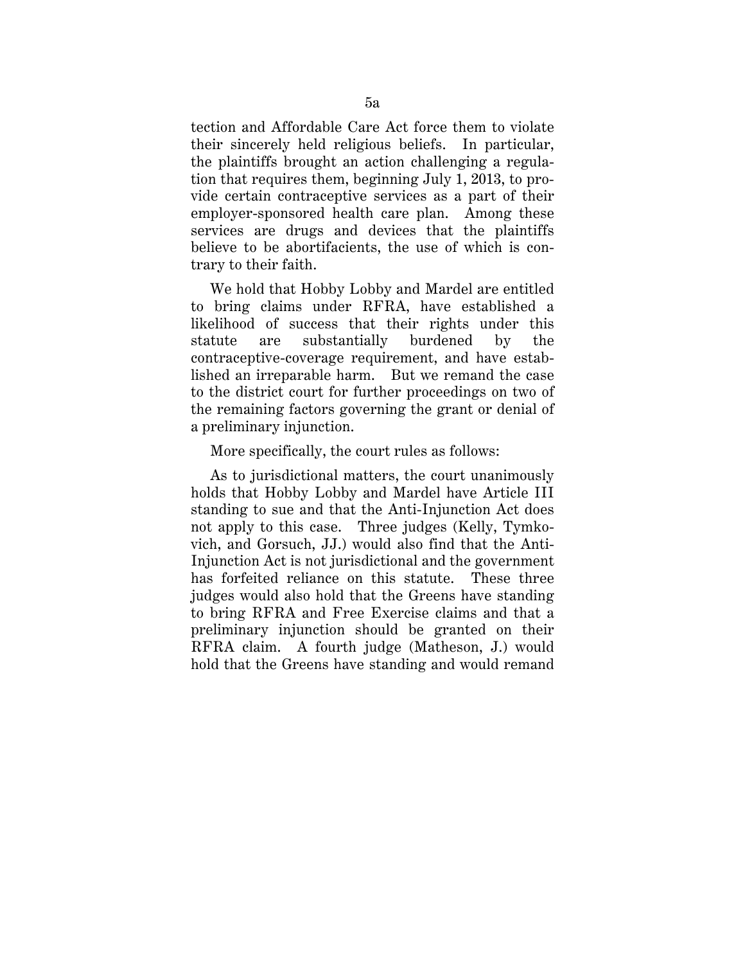tection and Affordable Care Act force them to violate their sincerely held religious beliefs. In particular, the plaintiffs brought an action challenging a regulation that requires them, beginning July 1, 2013, to provide certain contraceptive services as a part of their employer-sponsored health care plan. Among these services are drugs and devices that the plaintiffs believe to be abortifacients, the use of which is contrary to their faith.

We hold that Hobby Lobby and Mardel are entitled to bring claims under RFRA, have established a likelihood of success that their rights under this statute are substantially burdened by the contraceptive-coverage requirement, and have established an irreparable harm. But we remand the case to the district court for further proceedings on two of the remaining factors governing the grant or denial of a preliminary injunction.

### More specifically, the court rules as follows:

As to jurisdictional matters, the court unanimously holds that Hobby Lobby and Mardel have Article III standing to sue and that the Anti-Injunction Act does not apply to this case. Three judges (Kelly, Tymkovich, and Gorsuch, JJ.) would also find that the Anti-Injunction Act is not jurisdictional and the government has forfeited reliance on this statute. These three judges would also hold that the Greens have standing to bring RFRA and Free Exercise claims and that a preliminary injunction should be granted on their RFRA claim. A fourth judge (Matheson, J.) would hold that the Greens have standing and would remand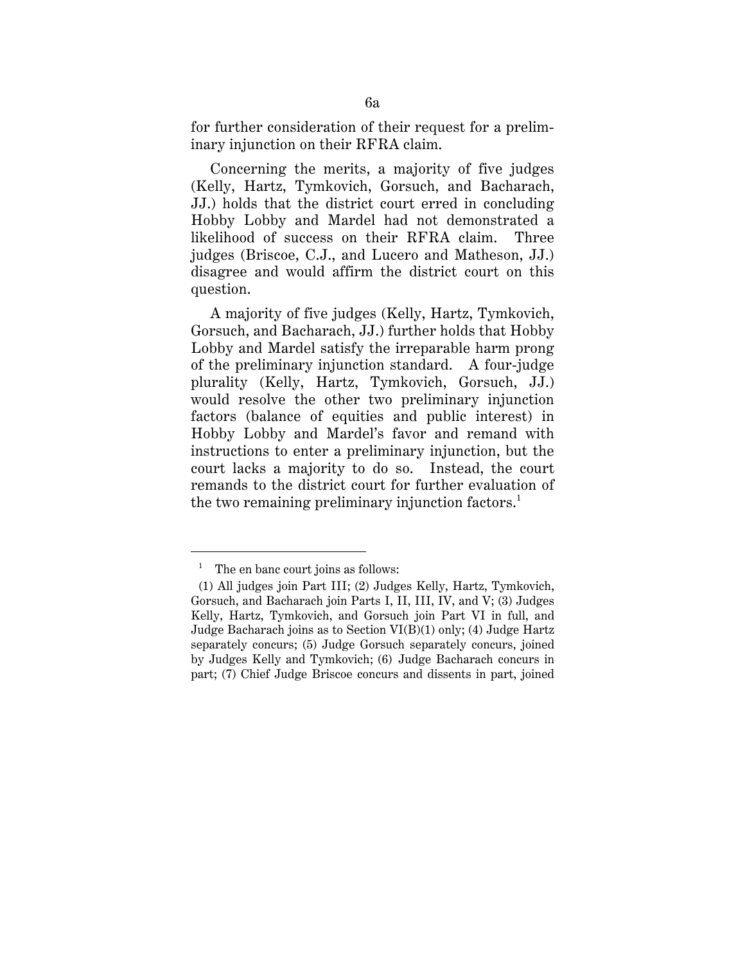for further consideration of their request for a preliminary injunction on their RFRA claim.

 Concerning the merits, a majority of five judges (Kelly, Hartz, Tymkovich, Gorsuch, and Bacharach, JJ.) holds that the district court erred in concluding Hobby Lobby and Mardel had not demonstrated a likelihood of success on their RFRA claim. Three judges (Briscoe, C.J., and Lucero and Matheson, JJ.) disagree and would affirm the district court on this question.

A majority of five judges (Kelly, Hartz, Tymkovich, Gorsuch, and Bacharach, JJ.) further holds that Hobby Lobby and Mardel satisfy the irreparable harm prong of the preliminary injunction standard. A four-judge plurality (Kelly, Hartz, Tymkovich, Gorsuch, JJ.) would resolve the other two preliminary injunction factors (balance of equities and public interest) in Hobby Lobby and Mardel's favor and remand with instructions to enter a preliminary injunction, but the court lacks a majority to do so. Instead, the court remands to the district court for further evaluation of the two remaining preliminary injunction factors.<sup>1</sup>

<u>.</u>

<sup>1</sup> The en banc court joins as follows:

<sup>(1)</sup> All judges join Part III; (2) Judges Kelly, Hartz, Tymkovich, Gorsuch, and Bacharach join Parts I, II, III, IV, and V; (3) Judges Kelly, Hartz, Tymkovich, and Gorsuch join Part VI in full, and Judge Bacharach joins as to Section VI(B)(1) only; (4) Judge Hartz separately concurs; (5) Judge Gorsuch separately concurs, joined by Judges Kelly and Tymkovich; (6) Judge Bacharach concurs in part; (7) Chief Judge Briscoe concurs and dissents in part, joined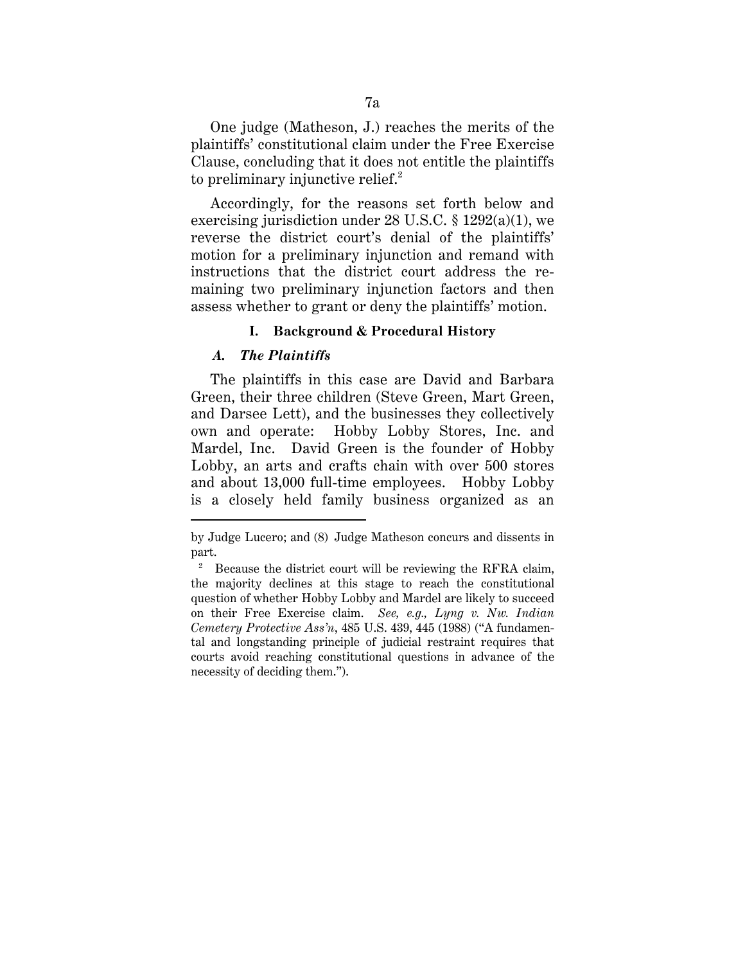One judge (Matheson, J.) reaches the merits of the plaintiffs' constitutional claim under the Free Exercise Clause, concluding that it does not entitle the plaintiffs to preliminary injunctive relief. $^2$ 

Accordingly, for the reasons set forth below and exercising jurisdiction under 28 U.S.C. § 1292(a)(1), we reverse the district court's denial of the plaintiffs' motion for a preliminary injunction and remand with instructions that the district court address the remaining two preliminary injunction factors and then assess whether to grant or deny the plaintiffs' motion.

# **I. Background & Procedural History**

### *A. The Plaintiffs*

<u>.</u>

The plaintiffs in this case are David and Barbara Green, their three children (Steve Green, Mart Green, and Darsee Lett), and the businesses they collectively own and operate: Hobby Lobby Stores, Inc. and Mardel, Inc. David Green is the founder of Hobby Lobby, an arts and crafts chain with over 500 stores and about 13,000 full-time employees. Hobby Lobby is a closely held family business organized as an

by Judge Lucero; and (8) Judge Matheson concurs and dissents in part.

<sup>2</sup> Because the district court will be reviewing the RFRA claim, the majority declines at this stage to reach the constitutional question of whether Hobby Lobby and Mardel are likely to succeed on their Free Exercise claim. *See, e.g., Lyng v. Nw. Indian Cemetery Protective Ass'n*, 485 U.S. 439, 445 (1988) ("A fundamental and longstanding principle of judicial restraint requires that courts avoid reaching constitutional questions in advance of the necessity of deciding them.").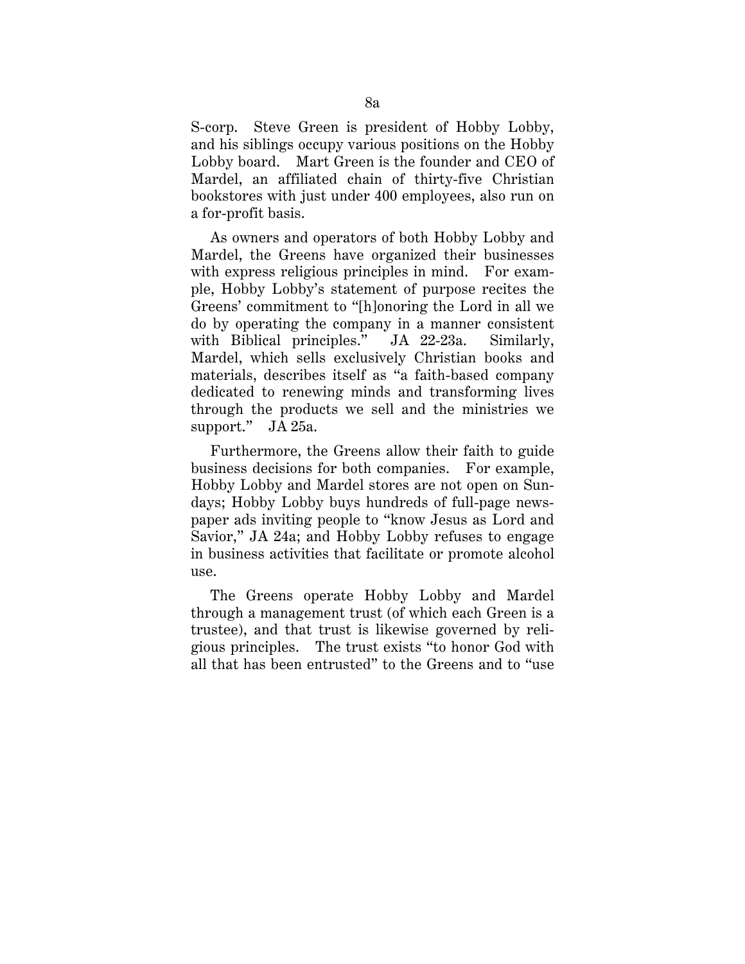S-corp. Steve Green is president of Hobby Lobby, and his siblings occupy various positions on the Hobby Lobby board. Mart Green is the founder and CEO of Mardel, an affiliated chain of thirty-five Christian bookstores with just under 400 employees, also run on a for-profit basis.

As owners and operators of both Hobby Lobby and Mardel, the Greens have organized their businesses with express religious principles in mind. For example, Hobby Lobby's statement of purpose recites the Greens' commitment to "[h]onoring the Lord in all we do by operating the company in a manner consistent with Biblical principles." JA 22-23a. Similarly, Mardel, which sells exclusively Christian books and materials, describes itself as "a faith-based company dedicated to renewing minds and transforming lives through the products we sell and the ministries we support." JA 25a.

Furthermore, the Greens allow their faith to guide business decisions for both companies. For example, Hobby Lobby and Mardel stores are not open on Sundays; Hobby Lobby buys hundreds of full-page newspaper ads inviting people to "know Jesus as Lord and Savior," JA 24a; and Hobby Lobby refuses to engage in business activities that facilitate or promote alcohol use.

The Greens operate Hobby Lobby and Mardel through a management trust (of which each Green is a trustee), and that trust is likewise governed by religious principles. The trust exists "to honor God with all that has been entrusted" to the Greens and to "use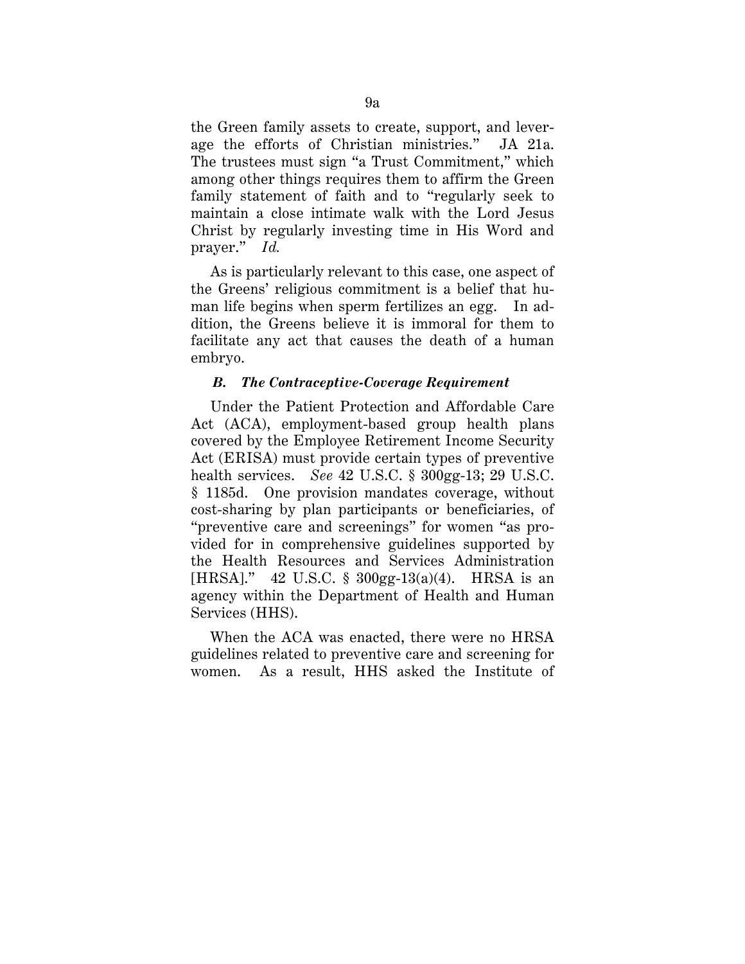the Green family assets to create, support, and leverage the efforts of Christian ministries." JA 21a. The trustees must sign "a Trust Commitment," which among other things requires them to affirm the Green family statement of faith and to "regularly seek to maintain a close intimate walk with the Lord Jesus Christ by regularly investing time in His Word and prayer." *Id.*

As is particularly relevant to this case, one aspect of the Greens' religious commitment is a belief that human life begins when sperm fertilizes an egg. In addition, the Greens believe it is immoral for them to facilitate any act that causes the death of a human embryo.

# *B. The Contraceptive-Coverage Requirement*

Under the Patient Protection and Affordable Care Act (ACA), employment-based group health plans covered by the Employee Retirement Income Security Act (ERISA) must provide certain types of preventive health services. *See* 42 U.S.C. § 300gg-13; 29 U.S.C. § 1185d. One provision mandates coverage, without cost-sharing by plan participants or beneficiaries, of "preventive care and screenings" for women "as provided for in comprehensive guidelines supported by the Health Resources and Services Administration [HRSA]." 42 U.S.C. § 300gg-13(a)(4). HRSA is an agency within the Department of Health and Human Services (HHS).

When the ACA was enacted, there were no HRSA guidelines related to preventive care and screening for women. As a result, HHS asked the Institute of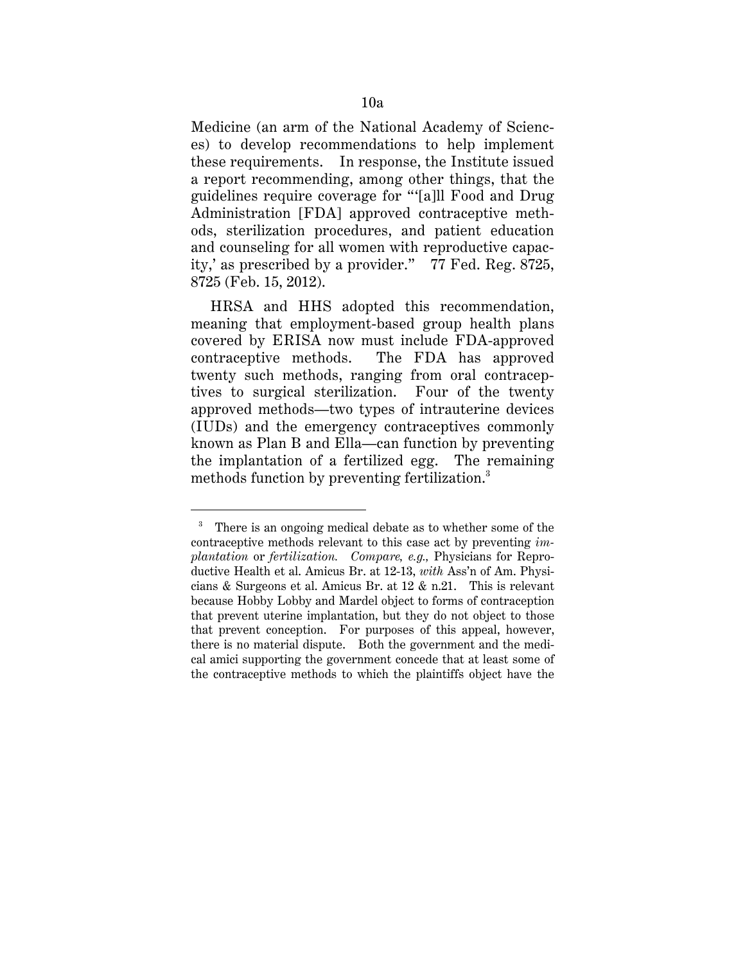Medicine (an arm of the National Academy of Sciences) to develop recommendations to help implement these requirements. In response, the Institute issued a report recommending, among other things, that the guidelines require coverage for "'[a]ll Food and Drug Administration [FDA] approved contraceptive methods, sterilization procedures, and patient education and counseling for all women with reproductive capacity,' as prescribed by a provider." 77 Fed. Reg. 8725, 8725 (Feb. 15, 2012).

HRSA and HHS adopted this recommendation, meaning that employment-based group health plans covered by ERISA now must include FDA-approved contraceptive methods. The FDA has approved twenty such methods, ranging from oral contraceptives to surgical sterilization. Four of the twenty approved methods—two types of intrauterine devices (IUDs) and the emergency contraceptives commonly known as Plan B and Ella—can function by preventing the implantation of a fertilized egg. The remaining methods function by preventing fertilization.<sup>3</sup>

<u>.</u>

<sup>3</sup> There is an ongoing medical debate as to whether some of the contraceptive methods relevant to this case act by preventing *implantation* or *fertilization. Compare, e.g.,* Physicians for Reproductive Health et al. Amicus Br. at 12-13, *with* Ass'n of Am. Physicians & Surgeons et al. Amicus Br. at 12 & n.21. This is relevant because Hobby Lobby and Mardel object to forms of contraception that prevent uterine implantation, but they do not object to those that prevent conception. For purposes of this appeal, however, there is no material dispute. Both the government and the medical amici supporting the government concede that at least some of the contraceptive methods to which the plaintiffs object have the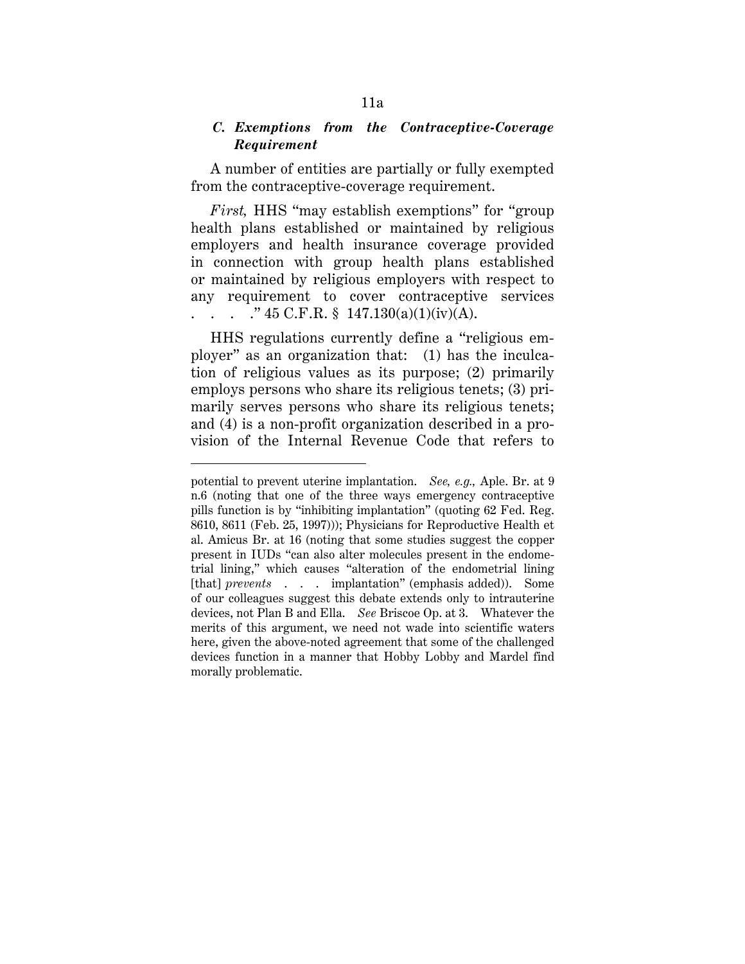# *C. Exemptions from the Contraceptive-Coverage Requirement*

A number of entities are partially or fully exempted from the contraceptive-coverage requirement.

*First,* HHS "may establish exemptions" for "group health plans established or maintained by religious employers and health insurance coverage provided in connection with group health plans established or maintained by religious employers with respect to any requirement to cover contraceptive services . . . . . . 45 C.F.R. § 147.130(a)(1)(iv)(A).

HHS regulations currently define a "religious employer" as an organization that: (1) has the inculcation of religious values as its purpose; (2) primarily employs persons who share its religious tenets; (3) primarily serves persons who share its religious tenets; and (4) is a non-profit organization described in a provision of the Internal Revenue Code that refers to

<u>.</u>

potential to prevent uterine implantation. *See, e.g.,* Aple. Br. at 9 n.6 (noting that one of the three ways emergency contraceptive pills function is by "inhibiting implantation" (quoting 62 Fed. Reg. 8610, 8611 (Feb. 25, 1997))); Physicians for Reproductive Health et al. Amicus Br. at 16 (noting that some studies suggest the copper present in IUDs "can also alter molecules present in the endometrial lining," which causes "alteration of the endometrial lining [that] *prevents* . . . implantation" (emphasis added)). Some of our colleagues suggest this debate extends only to intrauterine devices, not Plan B and Ella. *See* Briscoe Op. at 3. Whatever the merits of this argument, we need not wade into scientific waters here, given the above-noted agreement that some of the challenged devices function in a manner that Hobby Lobby and Mardel find morally problematic.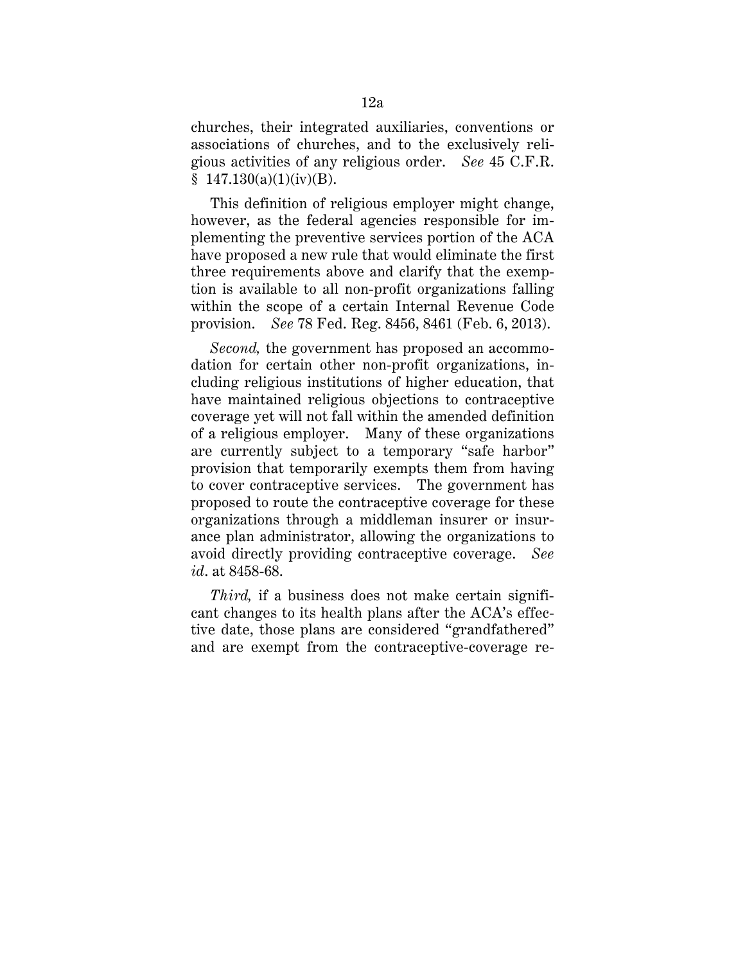churches, their integrated auxiliaries, conventions or associations of churches, and to the exclusively religious activities of any religious order. *See* 45 C.F.R.  $$147.130(a)(1)(iv)(B).$ 

This definition of religious employer might change, however, as the federal agencies responsible for implementing the preventive services portion of the ACA have proposed a new rule that would eliminate the first three requirements above and clarify that the exemption is available to all non-profit organizations falling within the scope of a certain Internal Revenue Code provision. *See* 78 Fed. Reg. 8456, 8461 (Feb. 6, 2013).

*Second,* the government has proposed an accommodation for certain other non-profit organizations, including religious institutions of higher education, that have maintained religious objections to contraceptive coverage yet will not fall within the amended definition of a religious employer. Many of these organizations are currently subject to a temporary "safe harbor" provision that temporarily exempts them from having to cover contraceptive services. The government has proposed to route the contraceptive coverage for these organizations through a middleman insurer or insurance plan administrator, allowing the organizations to avoid directly providing contraceptive coverage. *See id*. at 8458-68.

*Third,* if a business does not make certain significant changes to its health plans after the ACA's effective date, those plans are considered "grandfathered" and are exempt from the contraceptive-coverage re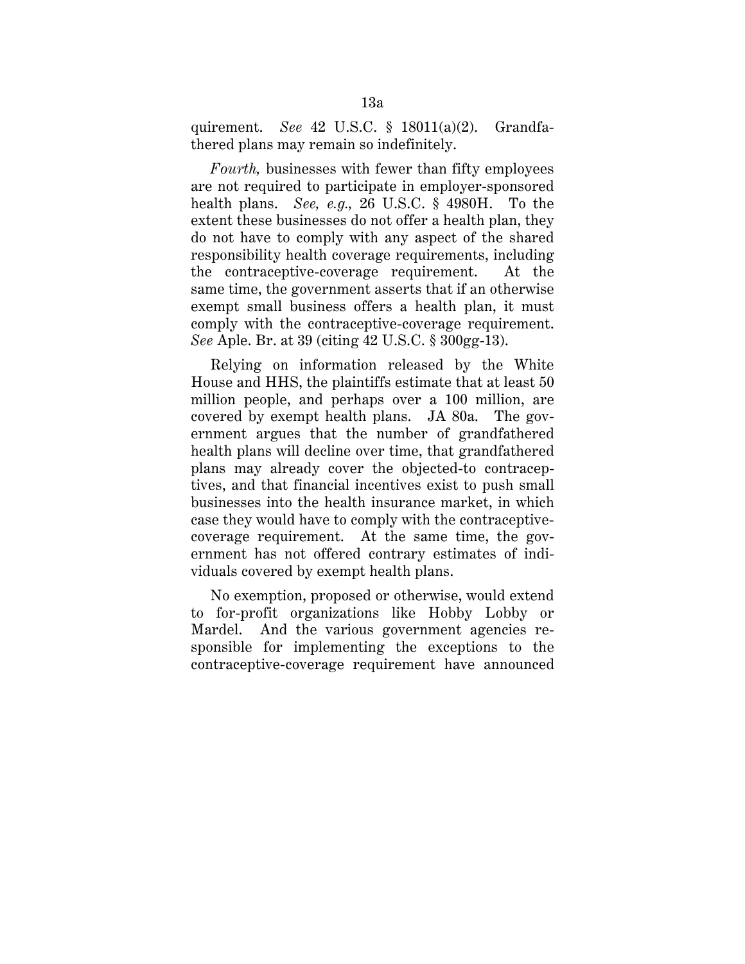quirement. *See* 42 U.S.C. § 18011(a)(2). Grandfathered plans may remain so indefinitely.

*Fourth,* businesses with fewer than fifty employees are not required to participate in employer-sponsored health plans. *See, e.g.,* 26 U.S.C. § 4980H. To the extent these businesses do not offer a health plan, they do not have to comply with any aspect of the shared responsibility health coverage requirements, including the contraceptive-coverage requirement. At the same time, the government asserts that if an otherwise exempt small business offers a health plan, it must comply with the contraceptive-coverage requirement. *See* Aple. Br. at 39 (citing 42 U.S.C. § 300gg-13).

Relying on information released by the White House and HHS, the plaintiffs estimate that at least 50 million people, and perhaps over a 100 million, are covered by exempt health plans. JA 80a. The government argues that the number of grandfathered health plans will decline over time, that grandfathered plans may already cover the objected-to contraceptives, and that financial incentives exist to push small businesses into the health insurance market, in which case they would have to comply with the contraceptivecoverage requirement. At the same time, the government has not offered contrary estimates of individuals covered by exempt health plans.

No exemption, proposed or otherwise, would extend to for-profit organizations like Hobby Lobby or Mardel. And the various government agencies responsible for implementing the exceptions to the contraceptive-coverage requirement have announced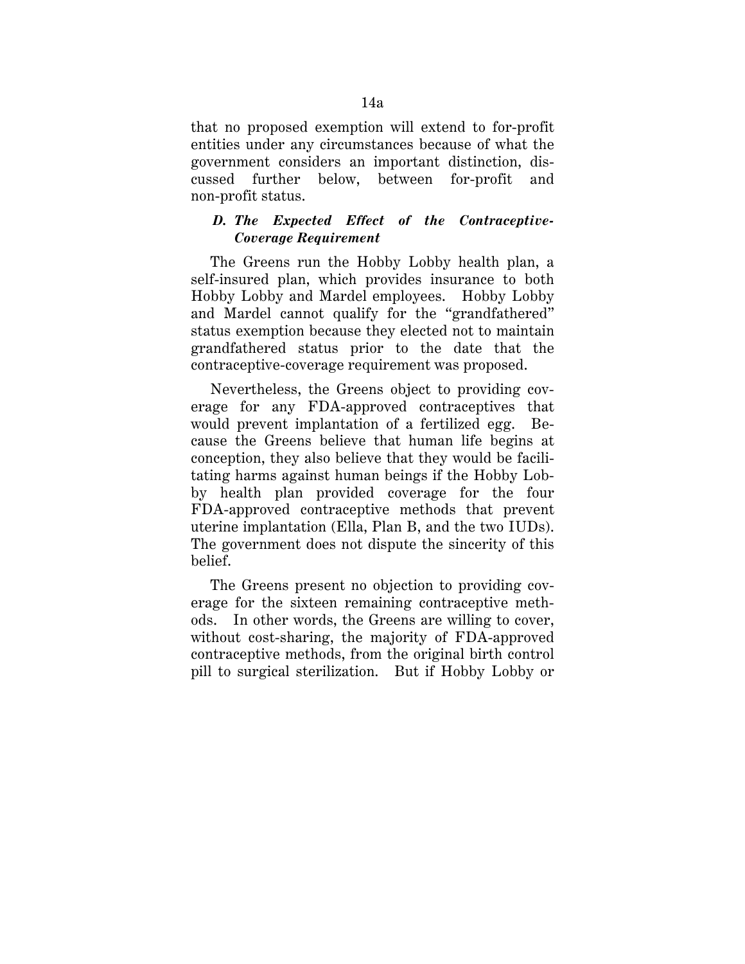that no proposed exemption will extend to for-profit entities under any circumstances because of what the government considers an important distinction, discussed further below, between for-profit and non-profit status.

# *D. The Expected Effect of the Contraceptive-Coverage Requirement*

The Greens run the Hobby Lobby health plan, a self-insured plan, which provides insurance to both Hobby Lobby and Mardel employees. Hobby Lobby and Mardel cannot qualify for the "grandfathered" status exemption because they elected not to maintain grandfathered status prior to the date that the contraceptive-coverage requirement was proposed.

Nevertheless, the Greens object to providing coverage for any FDA-approved contraceptives that would prevent implantation of a fertilized egg. Because the Greens believe that human life begins at conception, they also believe that they would be facilitating harms against human beings if the Hobby Lobby health plan provided coverage for the four FDA-approved contraceptive methods that prevent uterine implantation (Ella, Plan B, and the two IUDs). The government does not dispute the sincerity of this belief.

The Greens present no objection to providing coverage for the sixteen remaining contraceptive methods. In other words, the Greens are willing to cover, without cost-sharing, the majority of FDA-approved contraceptive methods, from the original birth control pill to surgical sterilization. But if Hobby Lobby or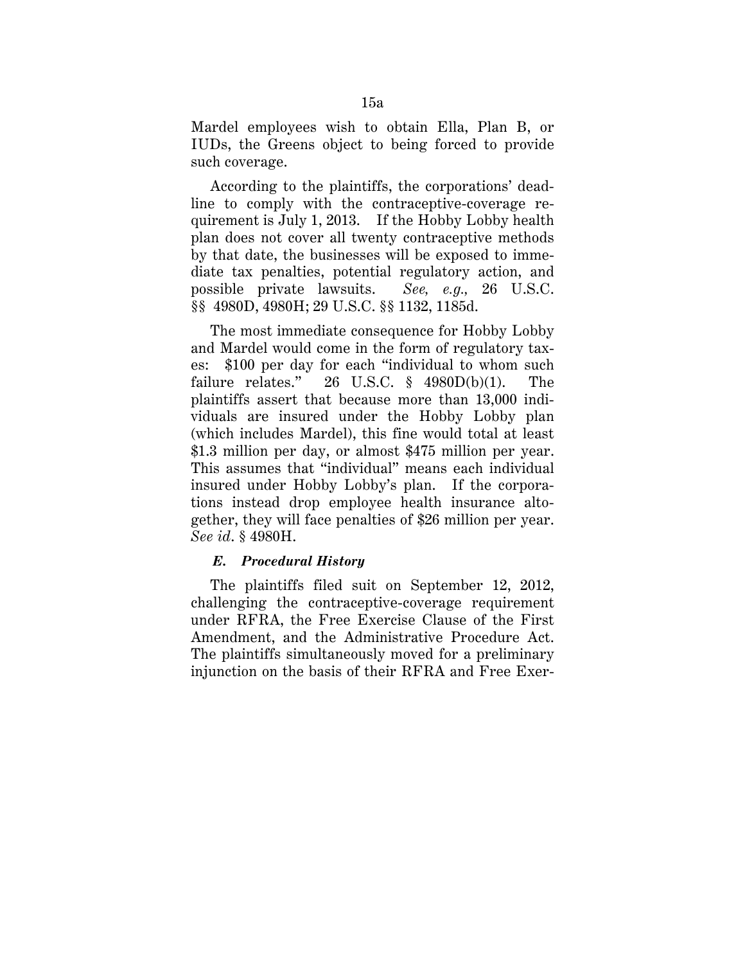Mardel employees wish to obtain Ella, Plan B, or IUDs, the Greens object to being forced to provide such coverage.

According to the plaintiffs, the corporations' deadline to comply with the contraceptive-coverage requirement is July 1, 2013. If the Hobby Lobby health plan does not cover all twenty contraceptive methods by that date, the businesses will be exposed to immediate tax penalties, potential regulatory action, and possible private lawsuits. *See, e.g.,* 26 U.S.C. §§ 4980D, 4980H; 29 U.S.C. §§ 1132, 1185d.

The most immediate consequence for Hobby Lobby and Mardel would come in the form of regulatory taxes: \$100 per day for each "individual to whom such failure relates." 26 U.S.C.  $\S$  4980D(b)(1). The plaintiffs assert that because more than 13,000 individuals are insured under the Hobby Lobby plan (which includes Mardel), this fine would total at least \$1.3 million per day, or almost \$475 million per year. This assumes that "individual" means each individual insured under Hobby Lobby's plan. If the corporations instead drop employee health insurance altogether, they will face penalties of \$26 million per year. *See id*. § 4980H.

### *E. Procedural History*

The plaintiffs filed suit on September 12, 2012, challenging the contraceptive-coverage requirement under RFRA, the Free Exercise Clause of the First Amendment, and the Administrative Procedure Act. The plaintiffs simultaneously moved for a preliminary injunction on the basis of their RFRA and Free Exer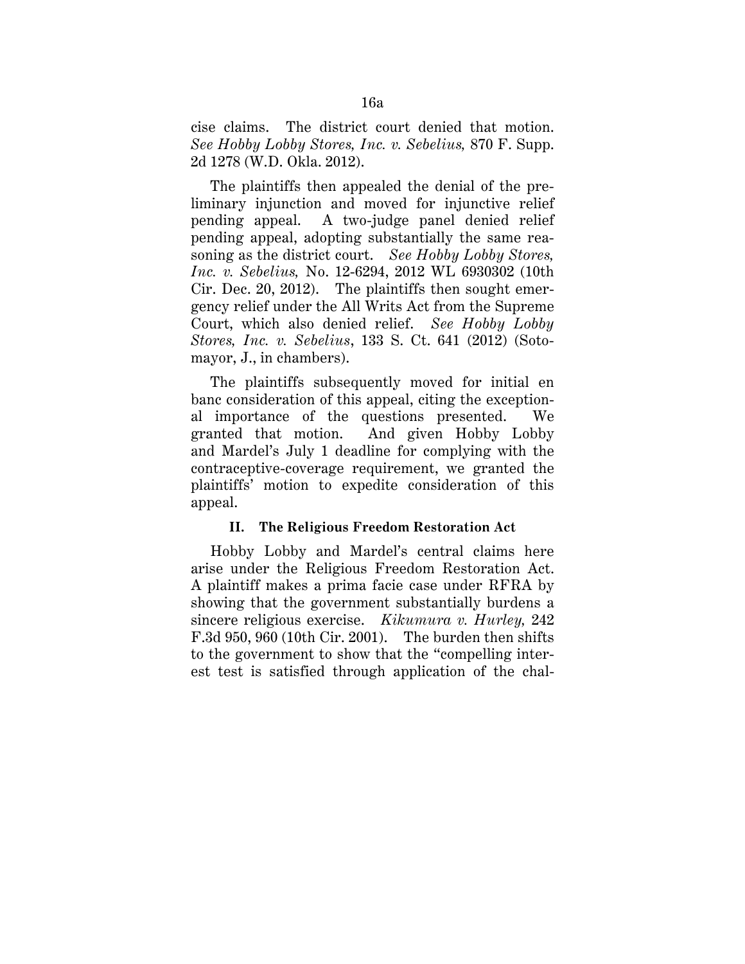cise claims. The district court denied that motion. *See Hobby Lobby Stores, Inc. v. Sebelius,* 870 F. Supp. 2d 1278 (W.D. Okla. 2012).

The plaintiffs then appealed the denial of the preliminary injunction and moved for injunctive relief pending appeal. A two-judge panel denied relief pending appeal, adopting substantially the same reasoning as the district court. *See Hobby Lobby Stores, Inc. v. Sebelius,* No. 12-6294, 2012 WL 6930302 (10th Cir. Dec. 20, 2012). The plaintiffs then sought emergency relief under the All Writs Act from the Supreme Court, which also denied relief. *See Hobby Lobby Stores, Inc. v. Sebelius*, 133 S. Ct. 641 (2012) (Sotomayor, J., in chambers).

The plaintiffs subsequently moved for initial en banc consideration of this appeal, citing the exceptional importance of the questions presented. We granted that motion. And given Hobby Lobby and Mardel's July 1 deadline for complying with the contraceptive-coverage requirement, we granted the plaintiffs' motion to expedite consideration of this appeal.

## **II. The Religious Freedom Restoration Act**

Hobby Lobby and Mardel's central claims here arise under the Religious Freedom Restoration Act. A plaintiff makes a prima facie case under RFRA by showing that the government substantially burdens a sincere religious exercise. *Kikumura v. Hurley,* 242 F.3d 950, 960 (10th Cir. 2001). The burden then shifts to the government to show that the "compelling interest test is satisfied through application of the chal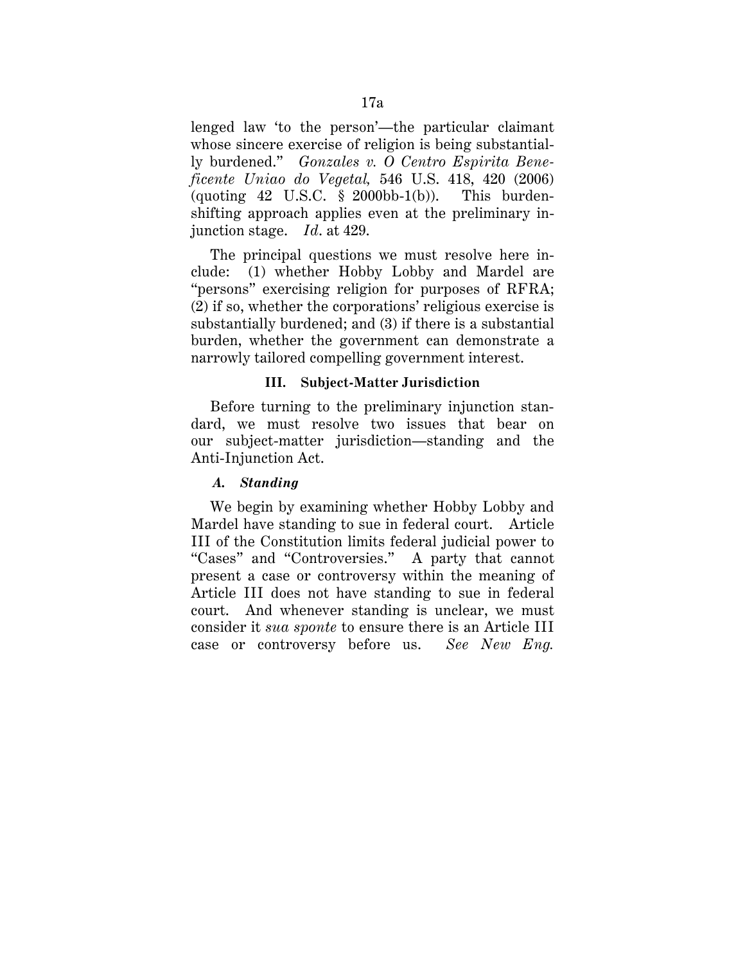lenged law 'to the person'—the particular claimant whose sincere exercise of religion is being substantially burdened." *Gonzales v. O Centro Espirita Beneficente Uniao do Vegetal,* 546 U.S. 418, 420 (2006) (quoting  $42 \text{ U.S.C. }$  \$ 2000bb-1(b)). This burdenshifting approach applies even at the preliminary injunction stage. *Id*. at 429.

The principal questions we must resolve here include: (1) whether Hobby Lobby and Mardel are "persons" exercising religion for purposes of RFRA; (2) if so, whether the corporations' religious exercise is substantially burdened; and (3) if there is a substantial burden, whether the government can demonstrate a narrowly tailored compelling government interest.

# **III. Subject-Matter Jurisdiction**

Before turning to the preliminary injunction standard, we must resolve two issues that bear on our subject-matter jurisdiction—standing and the Anti-Injunction Act.

# *A. Standing*

We begin by examining whether Hobby Lobby and Mardel have standing to sue in federal court. Article III of the Constitution limits federal judicial power to "Cases" and "Controversies." A party that cannot present a case or controversy within the meaning of Article III does not have standing to sue in federal court. And whenever standing is unclear, we must consider it *sua sponte* to ensure there is an Article III case or controversy before us. *See New Eng.*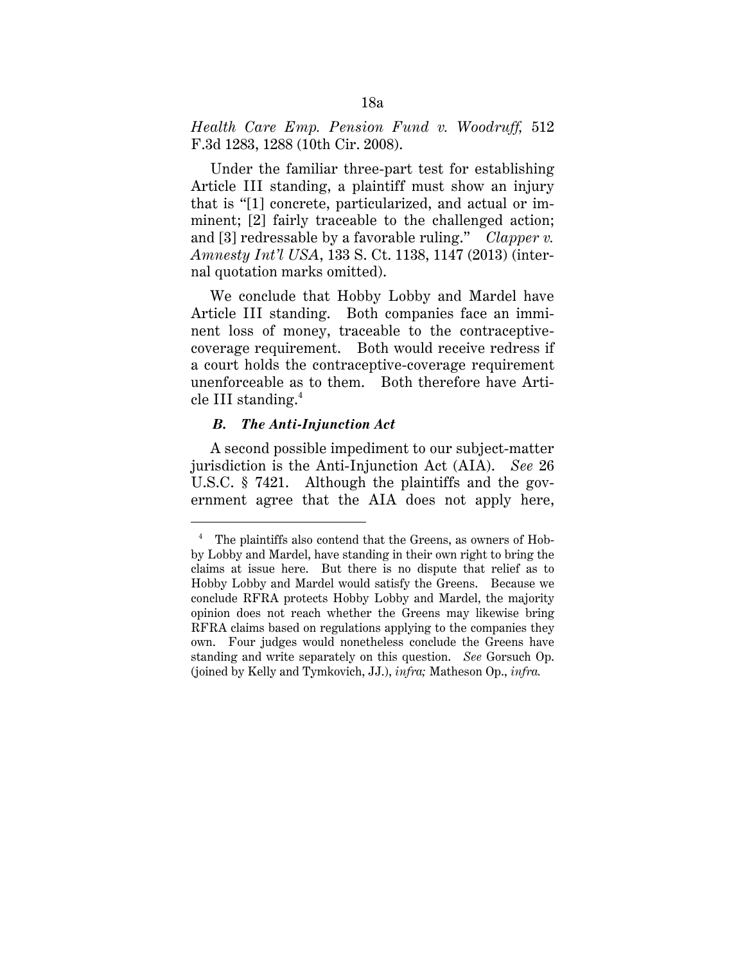*Health Care Emp. Pension Fund v. Woodruff,* 512 F.3d 1283, 1288 (10th Cir. 2008).

Under the familiar three-part test for establishing Article III standing, a plaintiff must show an injury that is "[1] concrete, particularized, and actual or imminent; [2] fairly traceable to the challenged action; and [3] redressable by a favorable ruling." *Clapper v. Amnesty Int'l USA*, 133 S. Ct. 1138, 1147 (2013) (internal quotation marks omitted).

We conclude that Hobby Lobby and Mardel have Article III standing. Both companies face an imminent loss of money, traceable to the contraceptivecoverage requirement. Both would receive redress if a court holds the contraceptive-coverage requirement unenforceable as to them. Both therefore have Article III standing.4

### *B. The Anti-Injunction Act*

-

A second possible impediment to our subject-matter jurisdiction is the Anti-Injunction Act (AIA). *See* 26 U.S.C. § 7421. Although the plaintiffs and the government agree that the AIA does not apply here,

<sup>4</sup> The plaintiffs also contend that the Greens, as owners of Hobby Lobby and Mardel, have standing in their own right to bring the claims at issue here. But there is no dispute that relief as to Hobby Lobby and Mardel would satisfy the Greens. Because we conclude RFRA protects Hobby Lobby and Mardel, the majority opinion does not reach whether the Greens may likewise bring RFRA claims based on regulations applying to the companies they own. Four judges would nonetheless conclude the Greens have standing and write separately on this question. *See* Gorsuch Op. (joined by Kelly and Tymkovich, JJ.), *infra;* Matheson Op., *infra.*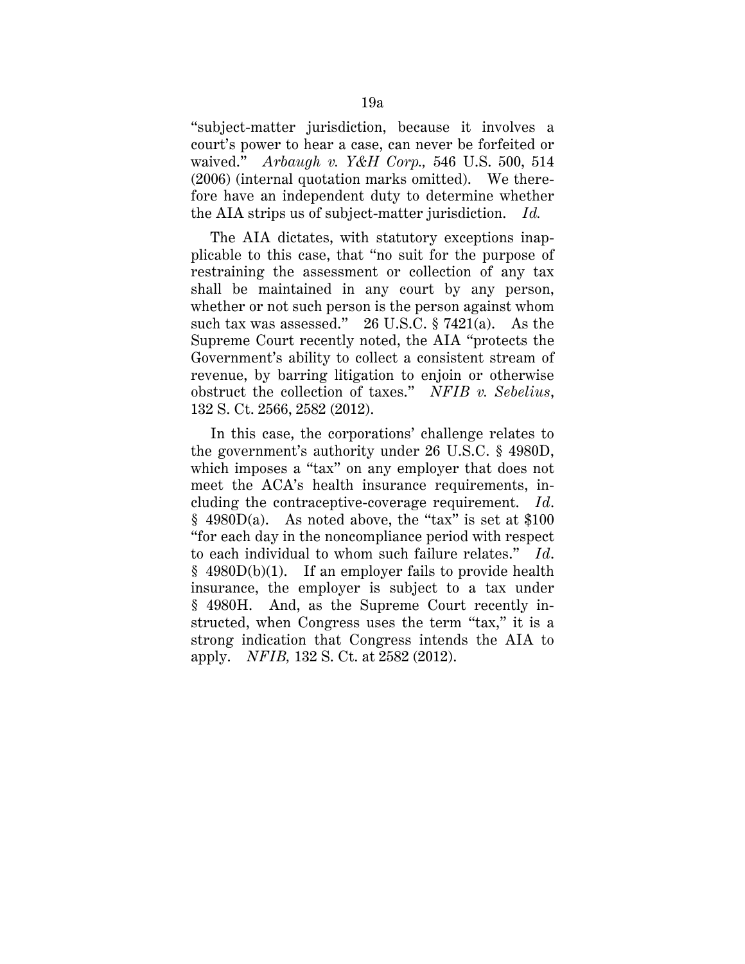"subject-matter jurisdiction, because it involves a court's power to hear a case, can never be forfeited or waived." *Arbaugh v. Y&H Corp.,* 546 U.S. 500, 514 (2006) (internal quotation marks omitted). We therefore have an independent duty to determine whether the AIA strips us of subject-matter jurisdiction. *Id.* 

The AIA dictates, with statutory exceptions inapplicable to this case, that "no suit for the purpose of restraining the assessment or collection of any tax shall be maintained in any court by any person, whether or not such person is the person against whom such tax was assessed." 26 U.S.C. § 7421(a). As the Supreme Court recently noted, the AIA "protects the Government's ability to collect a consistent stream of revenue, by barring litigation to enjoin or otherwise obstruct the collection of taxes." *NFIB v. Sebelius*, 132 S. Ct. 2566, 2582 (2012).

In this case, the corporations' challenge relates to the government's authority under 26 U.S.C. § 4980D, which imposes a "tax" on any employer that does not meet the ACA's health insurance requirements, including the contraceptive-coverage requirement. *Id*.  $§$  4980D(a). As noted above, the "tax" is set at \$100 "for each day in the noncompliance period with respect to each individual to whom such failure relates." *Id*. § 4980D(b)(1). If an employer fails to provide health insurance, the employer is subject to a tax under § 4980H. And, as the Supreme Court recently instructed, when Congress uses the term "tax," it is a strong indication that Congress intends the AIA to apply. *NFIB,* 132 S. Ct. at 2582 (2012).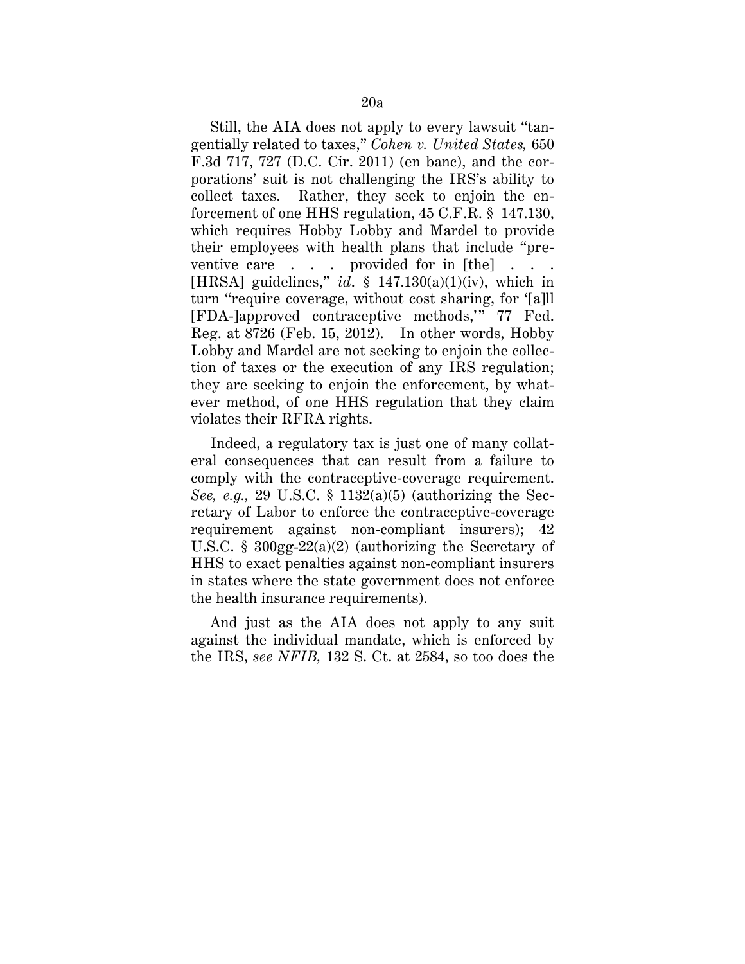Still, the AIA does not apply to every lawsuit "tangentially related to taxes," *Cohen v. United States,* 650 F.3d 717, 727 (D.C. Cir. 2011) (en banc), and the corporations' suit is not challenging the IRS's ability to collect taxes. Rather, they seek to enjoin the enforcement of one HHS regulation, 45 C.F.R. § 147.130, which requires Hobby Lobby and Mardel to provide their employees with health plans that include "preventive care . . . provided for in [the] [HRSA] guidelines," *id*. § 147.130(a)(1)(iv), which in turn "require coverage, without cost sharing, for '[a]ll [FDA-]approved contraceptive methods,'" 77 Fed. Reg. at 8726 (Feb. 15, 2012). In other words, Hobby Lobby and Mardel are not seeking to enjoin the collection of taxes or the execution of any IRS regulation; they are seeking to enjoin the enforcement, by whatever method, of one HHS regulation that they claim violates their RFRA rights.

Indeed, a regulatory tax is just one of many collateral consequences that can result from a failure to comply with the contraceptive-coverage requirement. *See, e.g.,* 29 U.S.C. § 1132(a)(5) (authorizing the Secretary of Labor to enforce the contraceptive-coverage requirement against non-compliant insurers); 42 U.S.C. § 300gg-22(a)(2) (authorizing the Secretary of HHS to exact penalties against non-compliant insurers in states where the state government does not enforce the health insurance requirements).

And just as the AIA does not apply to any suit against the individual mandate, which is enforced by the IRS, *see NFIB,* 132 S. Ct. at 2584, so too does the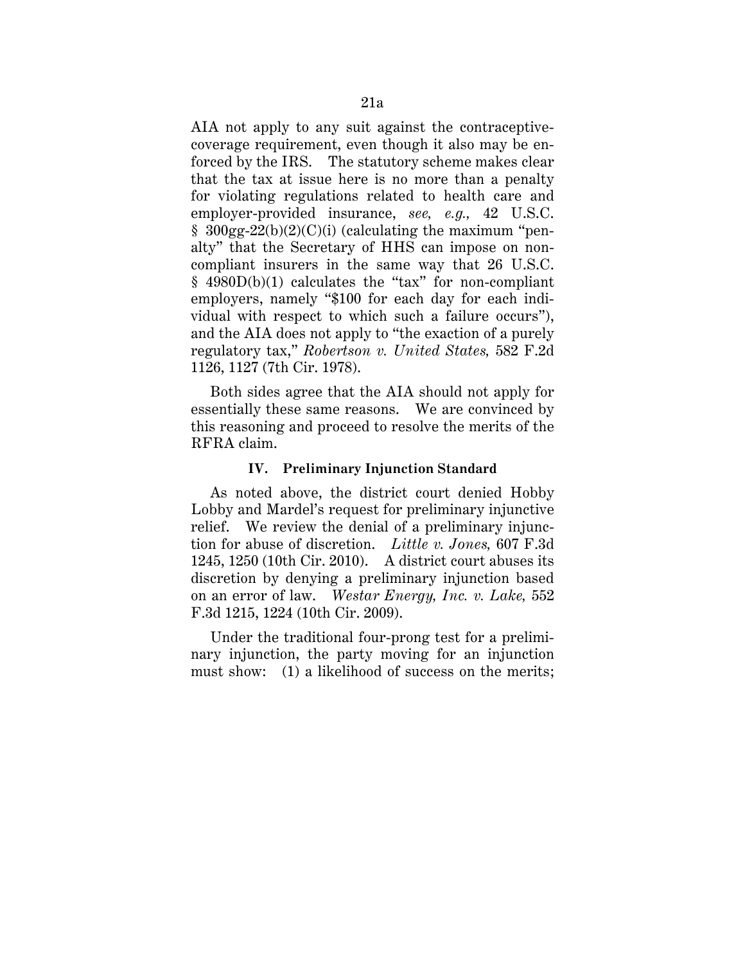AIA not apply to any suit against the contraceptivecoverage requirement, even though it also may be enforced by the IRS. The statutory scheme makes clear that the tax at issue here is no more than a penalty for violating regulations related to health care and employer-provided insurance, *see, e.g.,* 42 U.S.C.  $§$  300gg-22(b)(2)(C)(i) (calculating the maximum "penalty" that the Secretary of HHS can impose on noncompliant insurers in the same way that 26 U.S.C. § 4980D(b)(1) calculates the "tax" for non-compliant employers, namely "\$100 for each day for each individual with respect to which such a failure occurs"), and the AIA does not apply to "the exaction of a purely regulatory tax," *Robertson v. United States,* 582 F.2d 1126, 1127 (7th Cir. 1978).

Both sides agree that the AIA should not apply for essentially these same reasons. We are convinced by this reasoning and proceed to resolve the merits of the RFRA claim.

### **IV. Preliminary Injunction Standard**

As noted above, the district court denied Hobby Lobby and Mardel's request for preliminary injunctive relief. We review the denial of a preliminary injunction for abuse of discretion. *Little v. Jones,* 607 F.3d 1245, 1250 (10th Cir. 2010). A district court abuses its discretion by denying a preliminary injunction based on an error of law. *Westar Energy, Inc. v. Lake,* 552 F.3d 1215, 1224 (10th Cir. 2009).

Under the traditional four-prong test for a preliminary injunction, the party moving for an injunction must show: (1) a likelihood of success on the merits;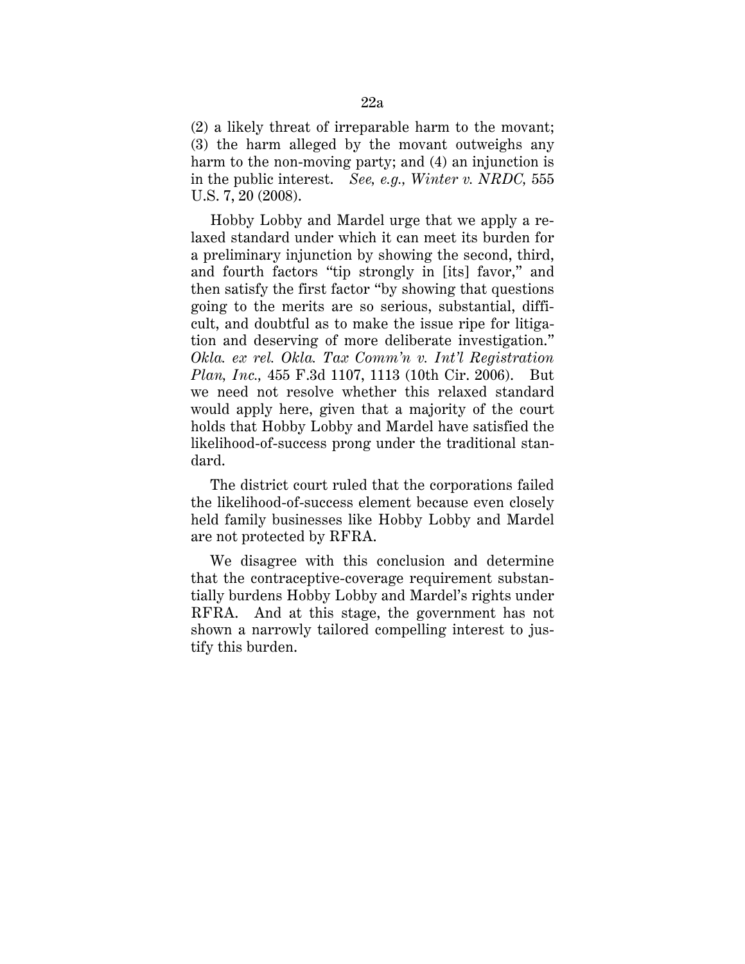(2) a likely threat of irreparable harm to the movant; (3) the harm alleged by the movant outweighs any harm to the non-moving party; and (4) an injunction is in the public interest. *See, e.g., Winter v. NRDC,* 555 U.S. 7, 20 (2008).

Hobby Lobby and Mardel urge that we apply a relaxed standard under which it can meet its burden for a preliminary injunction by showing the second, third, and fourth factors "tip strongly in [its] favor," and then satisfy the first factor "by showing that questions going to the merits are so serious, substantial, difficult, and doubtful as to make the issue ripe for litigation and deserving of more deliberate investigation." *Okla. ex rel. Okla. Tax Comm'n v. Int'l Registration Plan, Inc.,* 455 F.3d 1107, 1113 (10th Cir. 2006). But we need not resolve whether this relaxed standard would apply here, given that a majority of the court holds that Hobby Lobby and Mardel have satisfied the likelihood-of-success prong under the traditional standard.

The district court ruled that the corporations failed the likelihood-of-success element because even closely held family businesses like Hobby Lobby and Mardel are not protected by RFRA.

We disagree with this conclusion and determine that the contraceptive-coverage requirement substantially burdens Hobby Lobby and Mardel's rights under RFRA. And at this stage, the government has not shown a narrowly tailored compelling interest to justify this burden.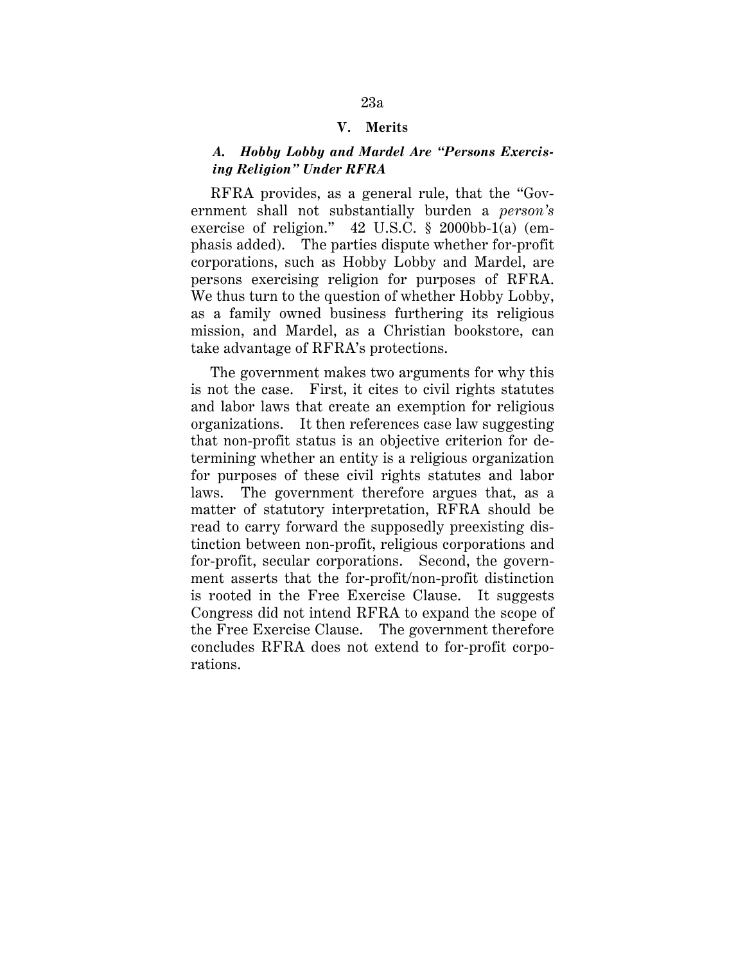## **V. Merits**

## *A. Hobby Lobby and Mardel Are "Persons Exercising Religion" Under RFRA*

RFRA provides, as a general rule, that the "Government shall not substantially burden a *person's* exercise of religion." 42 U.S.C. § 2000bb-1(a) (emphasis added). The parties dispute whether for-profit corporations, such as Hobby Lobby and Mardel, are persons exercising religion for purposes of RFRA. We thus turn to the question of whether Hobby Lobby, as a family owned business furthering its religious mission, and Mardel, as a Christian bookstore, can take advantage of RFRA's protections.

The government makes two arguments for why this is not the case. First, it cites to civil rights statutes and labor laws that create an exemption for religious organizations. It then references case law suggesting that non-profit status is an objective criterion for determining whether an entity is a religious organization for purposes of these civil rights statutes and labor laws. The government therefore argues that, as a matter of statutory interpretation, RFRA should be read to carry forward the supposedly preexisting distinction between non-profit, religious corporations and for-profit, secular corporations. Second, the government asserts that the for-profit/non-profit distinction is rooted in the Free Exercise Clause. It suggests Congress did not intend RFRA to expand the scope of the Free Exercise Clause. The government therefore concludes RFRA does not extend to for-profit corporations.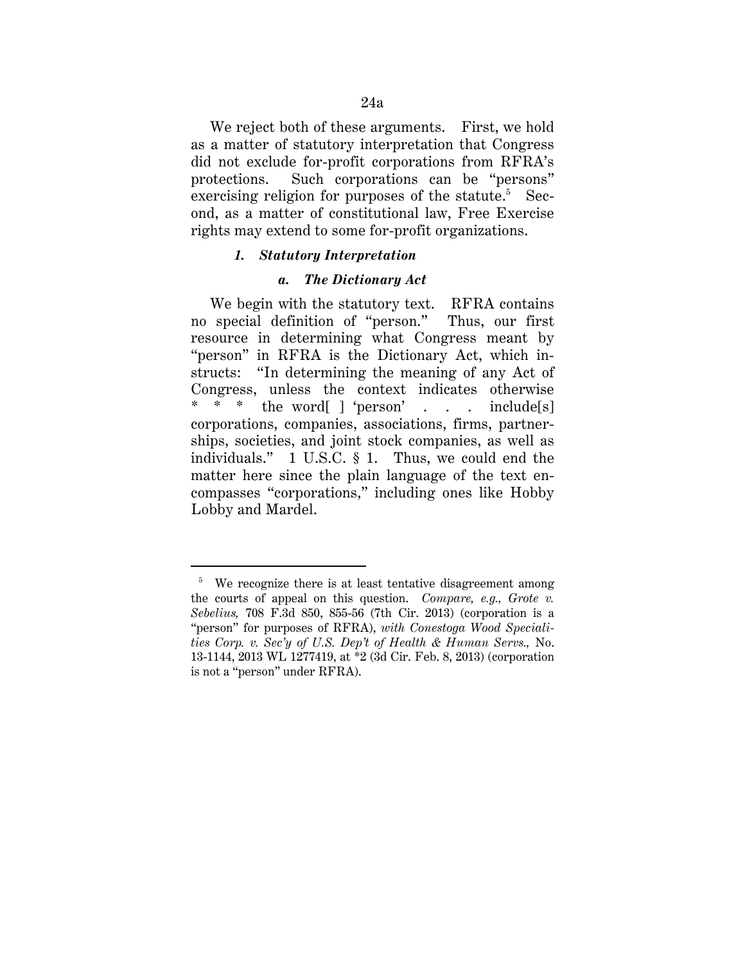We reject both of these arguments. First, we hold as a matter of statutory interpretation that Congress did not exclude for-profit corporations from RFRA's protections. Such corporations can be "persons" exercising religion for purposes of the statute.<sup>5</sup> Second, as a matter of constitutional law, Free Exercise rights may extend to some for-profit organizations.

### *1. Statutory Interpretation*

#### *a. The Dictionary Act*

We begin with the statutory text. RFRA contains no special definition of "person." Thus, our first resource in determining what Congress meant by "person" in RFRA is the Dictionary Act, which instructs: "In determining the meaning of any Act of Congress, unless the context indicates otherwise the word  $\lceil$  'person' . . . include  $\lceil s \rceil$ corporations, companies, associations, firms, partnerships, societies, and joint stock companies, as well as individuals." 1 U.S.C. § 1. Thus, we could end the matter here since the plain language of the text encompasses "corporations," including ones like Hobby Lobby and Mardel.

-

<sup>&</sup>lt;sup>5</sup> We recognize there is at least tentative disagreement among the courts of appeal on this question. *Compare, e.g., Grote v. Sebelius,* 708 F.3d 850, 855-56 (7th Cir. 2013) (corporation is a "person" for purposes of RFRA), *with Conestoga Wood Specialities Corp. v. Sec'y of U.S. Dep't of Health & Human Servs.,* No. 13-1144, 2013 WL 1277419, at \*2 (3d Cir. Feb. 8, 2013) (corporation is not a "person" under RFRA).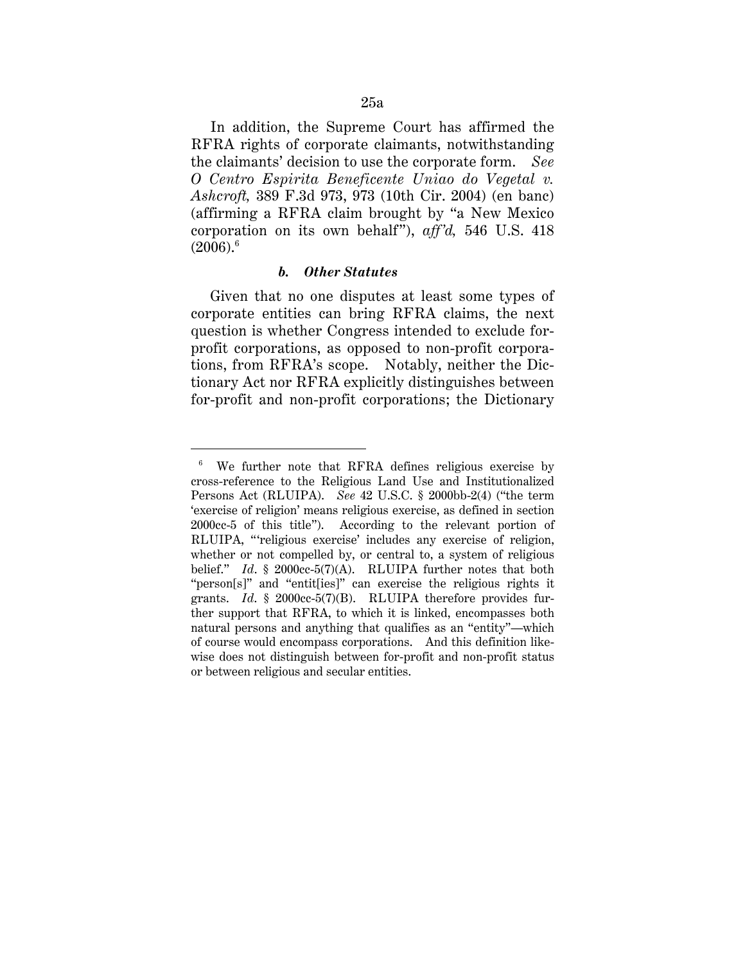In addition, the Supreme Court has affirmed the RFRA rights of corporate claimants, notwithstanding the claimants' decision to use the corporate form. *See O Centro Espirita Beneficente Uniao do Vegetal v. Ashcroft,* 389 F.3d 973, 973 (10th Cir. 2004) (en banc) (affirming a RFRA claim brought by "a New Mexico corporation on its own behalf"), *aff'd,* 546 U.S. 418  $(2006)^6$ 

#### *b. Other Statutes*

<u>.</u>

Given that no one disputes at least some types of corporate entities can bring RFRA claims, the next question is whether Congress intended to exclude forprofit corporations, as opposed to non-profit corporations, from RFRA's scope. Notably, neither the Dictionary Act nor RFRA explicitly distinguishes between for-profit and non-profit corporations; the Dictionary

<sup>6</sup> We further note that RFRA defines religious exercise by cross-reference to the Religious Land Use and Institutionalized Persons Act (RLUIPA). *See* 42 U.S.C. § 2000bb-2(4) ("the term 'exercise of religion' means religious exercise, as defined in section 2000cc-5 of this title"). According to the relevant portion of RLUIPA, "'religious exercise' includes any exercise of religion, whether or not compelled by, or central to, a system of religious belief." *Id*. § 2000cc-5(7)(A). RLUIPA further notes that both "person[s]" and "entit[ies]" can exercise the religious rights it grants. *Id*. § 2000cc-5(7)(B). RLUIPA therefore provides further support that RFRA, to which it is linked, encompasses both natural persons and anything that qualifies as an "entity"—which of course would encompass corporations. And this definition likewise does not distinguish between for-profit and non-profit status or between religious and secular entities.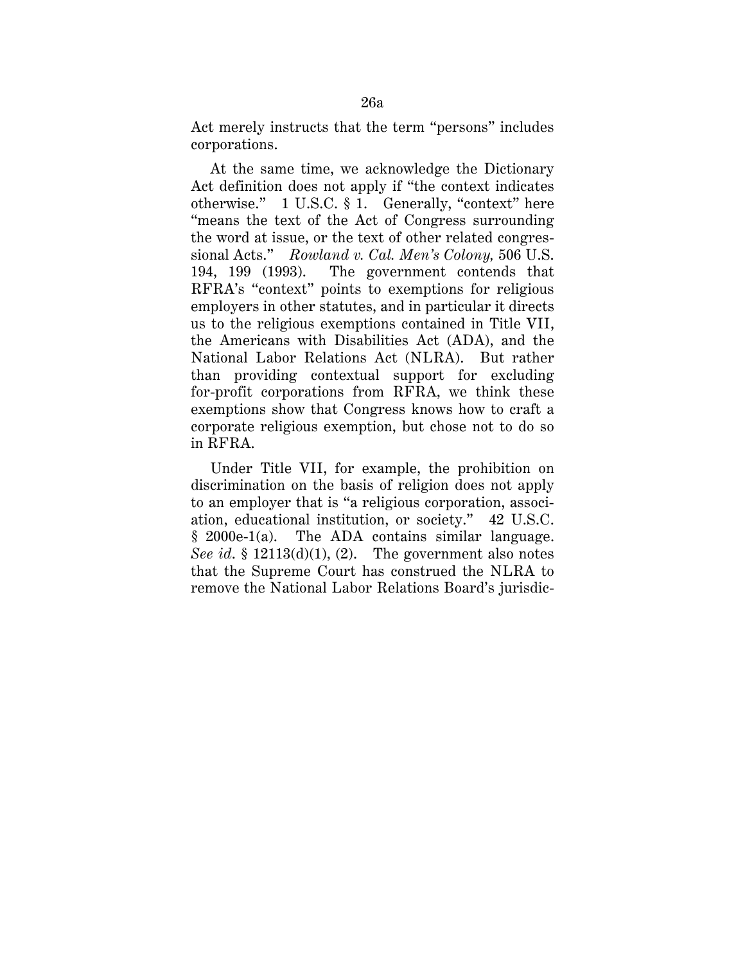Act merely instructs that the term "persons" includes corporations.

At the same time, we acknowledge the Dictionary Act definition does not apply if "the context indicates otherwise." 1 U.S.C. § 1. Generally, "context" here "means the text of the Act of Congress surrounding the word at issue, or the text of other related congressional Acts." *Rowland v. Cal. Men's Colony,* 506 U.S. 194, 199 (1993). The government contends that RFRA's "context" points to exemptions for religious employers in other statutes, and in particular it directs us to the religious exemptions contained in Title VII, the Americans with Disabilities Act (ADA), and the National Labor Relations Act (NLRA). But rather than providing contextual support for excluding for-profit corporations from RFRA, we think these exemptions show that Congress knows how to craft a corporate religious exemption, but chose not to do so in RFRA.

Under Title VII, for example, the prohibition on discrimination on the basis of religion does not apply to an employer that is "a religious corporation, association, educational institution, or society." 42 U.S.C. § 2000e-1(a). The ADA contains similar language. *See id*. § 12113(d)(1), (2). The government also notes that the Supreme Court has construed the NLRA to remove the National Labor Relations Board's jurisdic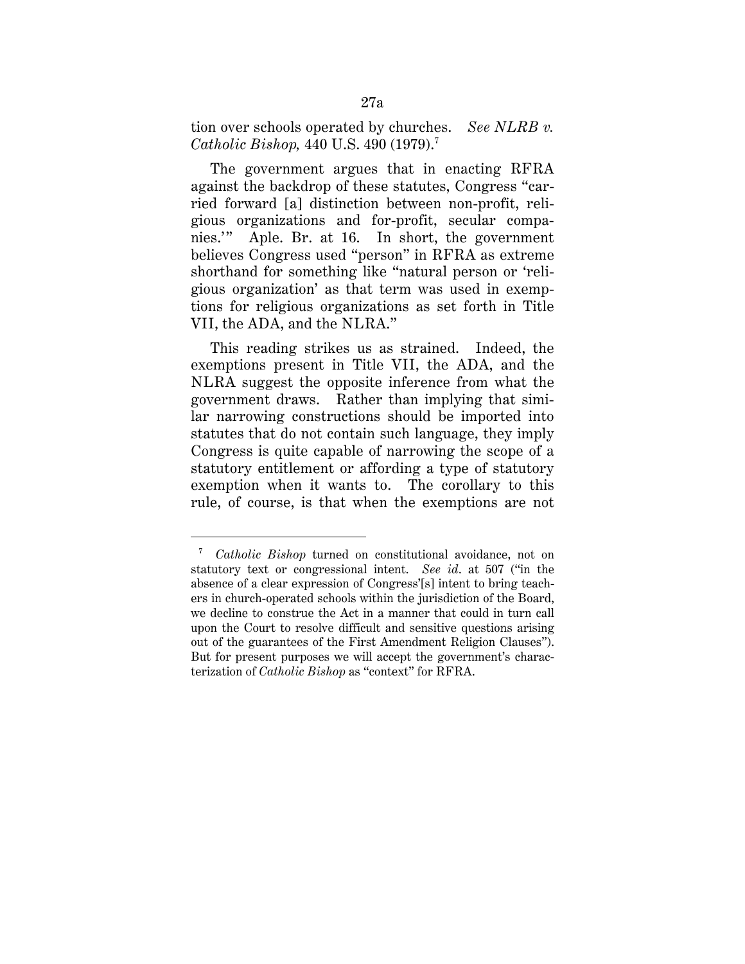tion over schools operated by churches. *See NLRB v. Catholic Bishop,* 440 U.S. 490 (1979).7

The government argues that in enacting RFRA against the backdrop of these statutes, Congress "carried forward [a] distinction between non-profit, religious organizations and for-profit, secular companies.'" Aple. Br. at 16. In short, the government believes Congress used "person" in RFRA as extreme shorthand for something like "natural person or 'religious organization' as that term was used in exemptions for religious organizations as set forth in Title VII, the ADA, and the NLRA."

This reading strikes us as strained. Indeed, the exemptions present in Title VII, the ADA, and the NLRA suggest the opposite inference from what the government draws. Rather than implying that similar narrowing constructions should be imported into statutes that do not contain such language, they imply Congress is quite capable of narrowing the scope of a statutory entitlement or affording a type of statutory exemption when it wants to. The corollary to this rule, of course, is that when the exemptions are not

-

<sup>7</sup> *Catholic Bishop* turned on constitutional avoidance, not on statutory text or congressional intent. *See id*. at 507 ("in the absence of a clear expression of Congress'[s] intent to bring teachers in church-operated schools within the jurisdiction of the Board, we decline to construe the Act in a manner that could in turn call upon the Court to resolve difficult and sensitive questions arising out of the guarantees of the First Amendment Religion Clauses"). But for present purposes we will accept the government's characterization of *Catholic Bishop* as "context" for RFRA.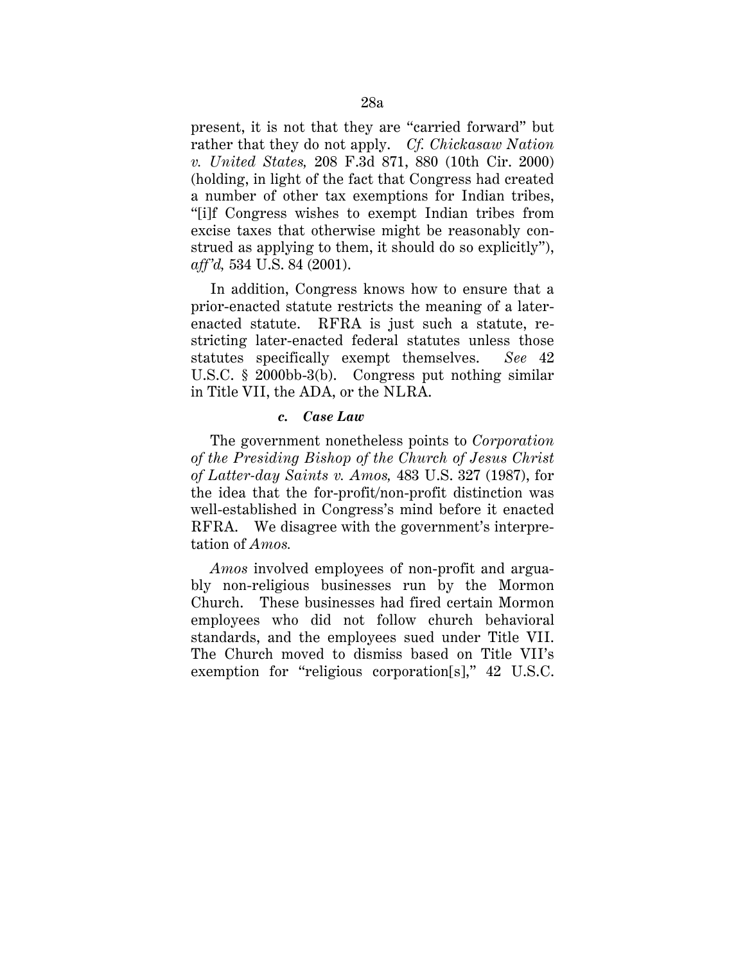present, it is not that they are "carried forward" but rather that they do not apply. *Cf. Chickasaw Nation v. United States,* 208 F.3d 871, 880 (10th Cir. 2000) (holding, in light of the fact that Congress had created a number of other tax exemptions for Indian tribes, "[i]f Congress wishes to exempt Indian tribes from excise taxes that otherwise might be reasonably construed as applying to them, it should do so explicitly"), *aff'd,* 534 U.S. 84 (2001).

In addition, Congress knows how to ensure that a prior-enacted statute restricts the meaning of a laterenacted statute. RFRA is just such a statute, restricting later-enacted federal statutes unless those statutes specifically exempt themselves. *See* 42 U.S.C. § 2000bb-3(b). Congress put nothing similar in Title VII, the ADA, or the NLRA.

#### *c. Case Law*

The government nonetheless points to *Corporation of the Presiding Bishop of the Church of Jesus Christ of Latter-day Saints v. Amos,* 483 U.S. 327 (1987), for the idea that the for-profit/non-profit distinction was well-established in Congress's mind before it enacted RFRA. We disagree with the government's interpretation of *Amos.* 

*Amos* involved employees of non-profit and arguably non-religious businesses run by the Mormon Church. These businesses had fired certain Mormon employees who did not follow church behavioral standards, and the employees sued under Title VII. The Church moved to dismiss based on Title VII's exemption for "religious corporation[s]," 42 U.S.C.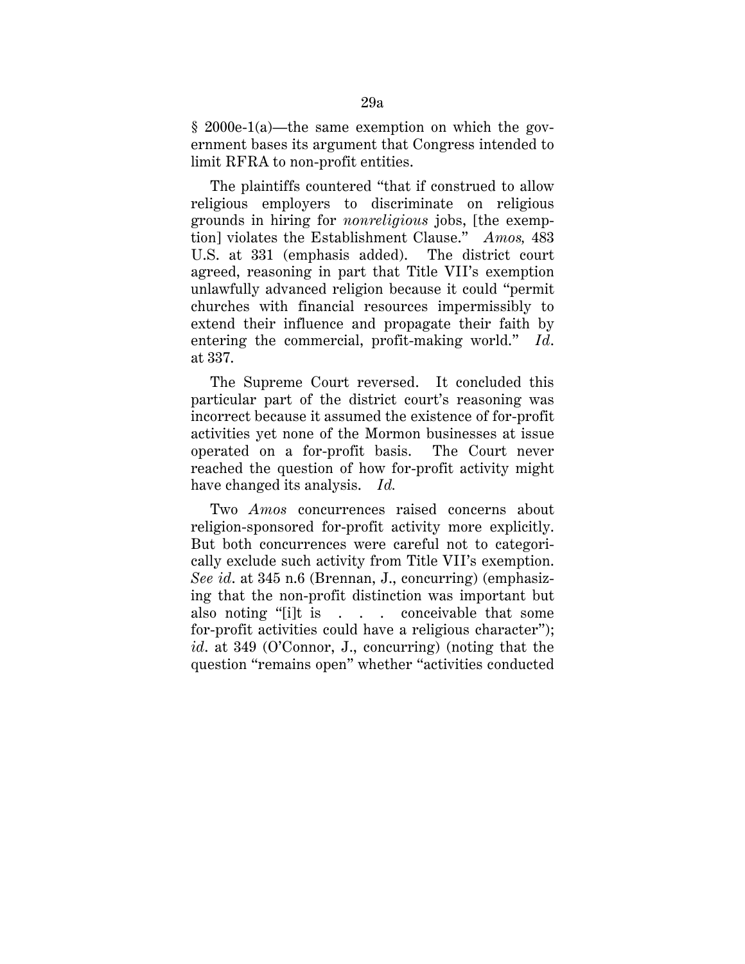§ 2000e-1(a)—the same exemption on which the government bases its argument that Congress intended to limit RFRA to non-profit entities.

The plaintiffs countered "that if construed to allow religious employers to discriminate on religious grounds in hiring for *nonreligious* jobs, [the exemption] violates the Establishment Clause." *Amos,* 483 U.S. at 331 (emphasis added). The district court agreed, reasoning in part that Title VII's exemption unlawfully advanced religion because it could "permit churches with financial resources impermissibly to extend their influence and propagate their faith by entering the commercial, profit-making world." *Id*. at 337.

The Supreme Court reversed. It concluded this particular part of the district court's reasoning was incorrect because it assumed the existence of for-profit activities yet none of the Mormon businesses at issue operated on a for-profit basis. The Court never reached the question of how for-profit activity might have changed its analysis. *Id.*

Two *Amos* concurrences raised concerns about religion-sponsored for-profit activity more explicitly. But both concurrences were careful not to categorically exclude such activity from Title VII's exemption. *See id*. at 345 n.6 (Brennan, J., concurring) (emphasizing that the non-profit distinction was important but also noting "ilt is . . . conceivable that some for-profit activities could have a religious character"); *id*. at 349 (O'Connor, J., concurring) (noting that the question "remains open" whether "activities conducted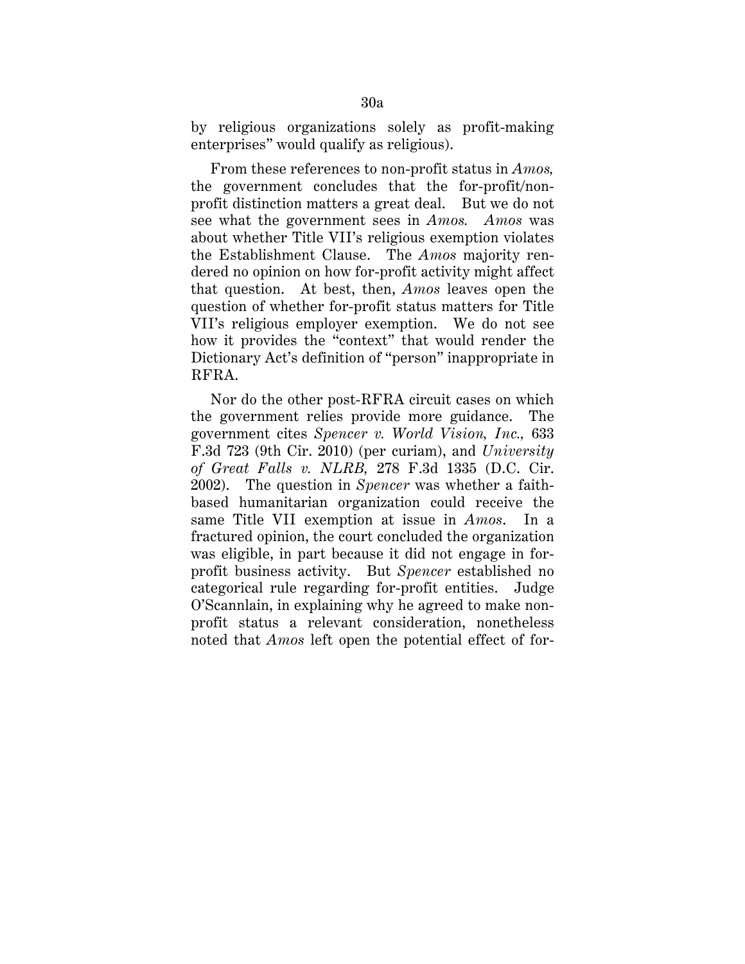by religious organizations solely as profit-making enterprises" would qualify as religious).

From these references to non-profit status in *Amos,* the government concludes that the for-profit/nonprofit distinction matters a great deal. But we do not see what the government sees in *Amos. Amos* was about whether Title VII's religious exemption violates the Establishment Clause. The *Amos* majority rendered no opinion on how for-profit activity might affect that question. At best, then, *Amos* leaves open the question of whether for-profit status matters for Title VII's religious employer exemption. We do not see how it provides the "context" that would render the Dictionary Act's definition of "person" inappropriate in RFRA.

Nor do the other post-RFRA circuit cases on which the government relies provide more guidance. The government cites *Spencer v. World Vision, Inc.,* 633 F.3d 723 (9th Cir. 2010) (per curiam), and *University of Great Falls v. NLRB,* 278 F.3d 1335 (D.C. Cir. 2002). The question in *Spencer* was whether a faithbased humanitarian organization could receive the same Title VII exemption at issue in *Amos*. In a fractured opinion, the court concluded the organization was eligible, in part because it did not engage in forprofit business activity. But *Spencer* established no categorical rule regarding for-profit entities. Judge O'Scannlain, in explaining why he agreed to make nonprofit status a relevant consideration, nonetheless noted that *Amos* left open the potential effect of for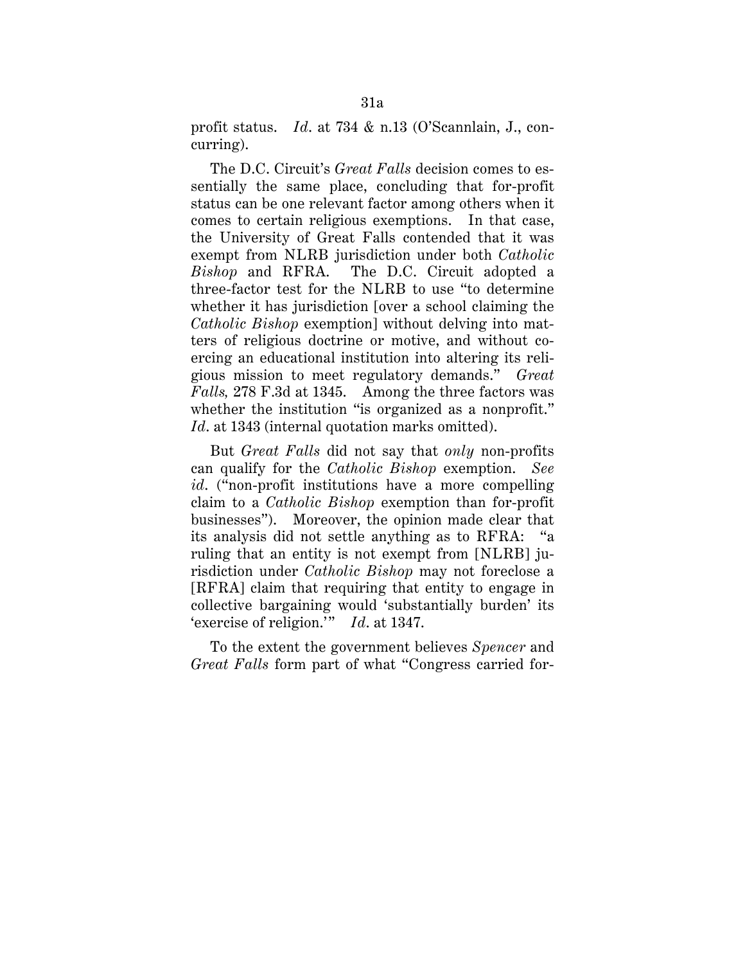profit status. *Id*. at 734 & n.13 (O'Scannlain, J., concurring).

The D.C. Circuit's *Great Falls* decision comes to essentially the same place, concluding that for-profit status can be one relevant factor among others when it comes to certain religious exemptions. In that case, the University of Great Falls contended that it was exempt from NLRB jurisdiction under both *Catholic Bishop* and RFRA. The D.C. Circuit adopted a three-factor test for the NLRB to use "to determine whether it has jurisdiction [over a school claiming the *Catholic Bishop* exemption] without delving into matters of religious doctrine or motive, and without coercing an educational institution into altering its religious mission to meet regulatory demands." *Great Falls,* 278 F.3d at 1345. Among the three factors was whether the institution "is organized as a nonprofit." *Id*. at 1343 (internal quotation marks omitted).

But *Great Falls* did not say that *only* non-profits can qualify for the *Catholic Bishop* exemption. *See id*. ("non-profit institutions have a more compelling claim to a *Catholic Bishop* exemption than for-profit businesses"). Moreover, the opinion made clear that its analysis did not settle anything as to RFRA: "a ruling that an entity is not exempt from [NLRB] jurisdiction under *Catholic Bishop* may not foreclose a [RFRA] claim that requiring that entity to engage in collective bargaining would 'substantially burden' its 'exercise of religion.'" *Id*. at 1347.

To the extent the government believes *Spencer* and *Great Falls* form part of what "Congress carried for-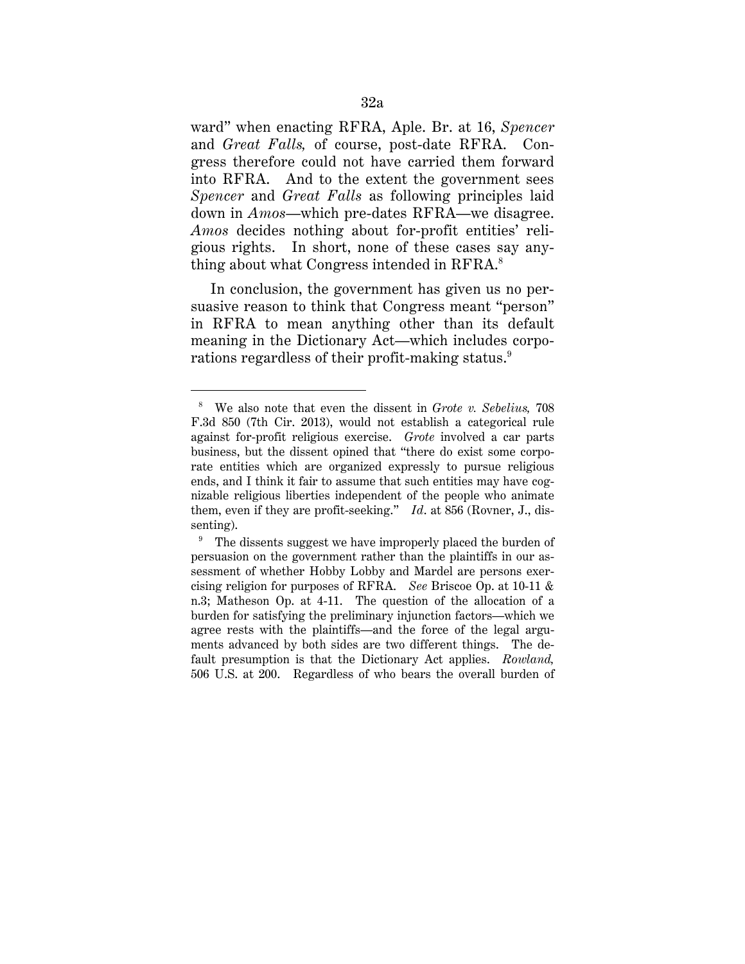ward" when enacting RFRA, Aple. Br. at 16, *Spencer* and *Great Falls,* of course, post-date RFRA. Congress therefore could not have carried them forward into RFRA. And to the extent the government sees *Spencer* and *Great Falls* as following principles laid down in *Amos*—which pre-dates RFRA—we disagree. *Amos* decides nothing about for-profit entities' religious rights. In short, none of these cases say anything about what Congress intended in  $RFRA$ <sup>8</sup>

In conclusion, the government has given us no persuasive reason to think that Congress meant "person" in RFRA to mean anything other than its default meaning in the Dictionary Act—which includes corporations regardless of their profit-making status.<sup>9</sup>

-

<sup>8</sup> We also note that even the dissent in *Grote v. Sebelius,* 708 F.3d 850 (7th Cir. 2013), would not establish a categorical rule against for-profit religious exercise. *Grote* involved a car parts business, but the dissent opined that "there do exist some corporate entities which are organized expressly to pursue religious ends, and I think it fair to assume that such entities may have cognizable religious liberties independent of the people who animate them, even if they are profit-seeking." *Id*. at 856 (Rovner, J., dissenting).

<sup>9</sup> The dissents suggest we have improperly placed the burden of persuasion on the government rather than the plaintiffs in our assessment of whether Hobby Lobby and Mardel are persons exercising religion for purposes of RFRA. *See* Briscoe Op. at 10-11 & n.3; Matheson Op. at 4-11. The question of the allocation of a burden for satisfying the preliminary injunction factors—which we agree rests with the plaintiffs—and the force of the legal arguments advanced by both sides are two different things. The default presumption is that the Dictionary Act applies. *Rowland,* 506 U.S. at 200. Regardless of who bears the overall burden of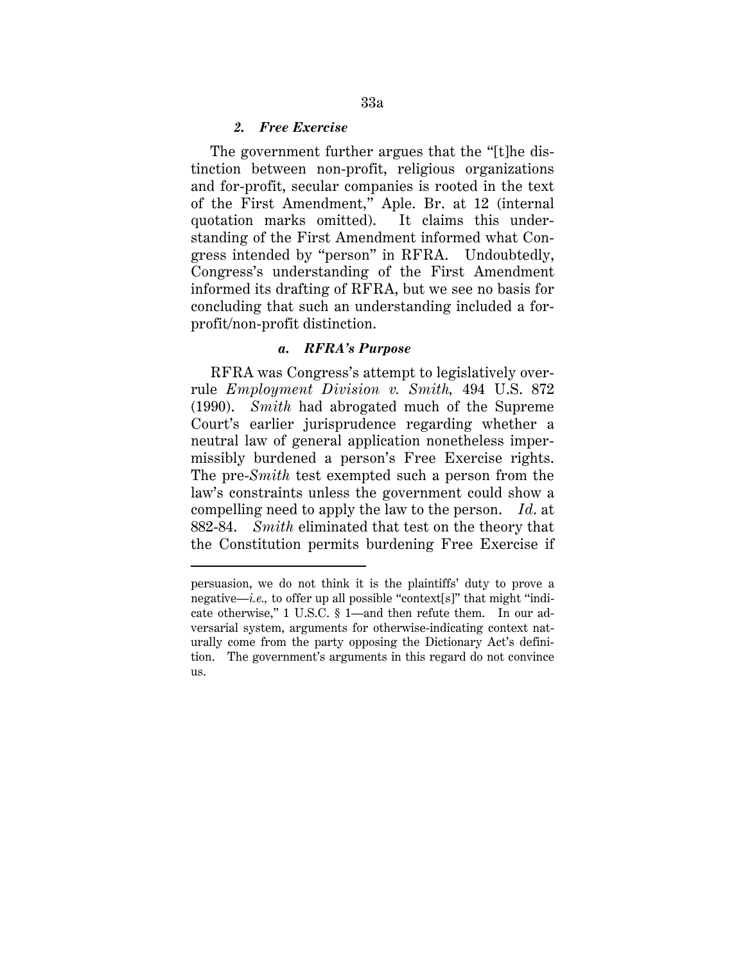#### *2. Free Exercise*

<u>.</u>

The government further argues that the "[t]he distinction between non-profit, religious organizations and for-profit, secular companies is rooted in the text of the First Amendment," Aple. Br. at 12 (internal quotation marks omitted). It claims this understanding of the First Amendment informed what Congress intended by "person" in RFRA. Undoubtedly, Congress's understanding of the First Amendment informed its drafting of RFRA, but we see no basis for concluding that such an understanding included a forprofit/non-profit distinction.

#### *a. RFRA's Purpose*

RFRA was Congress's attempt to legislatively overrule *Employment Division v. Smith,* 494 U.S. 872 (1990). *Smith* had abrogated much of the Supreme Court's earlier jurisprudence regarding whether a neutral law of general application nonetheless impermissibly burdened a person's Free Exercise rights. The pre-*Smith* test exempted such a person from the law's constraints unless the government could show a compelling need to apply the law to the person. *Id*. at 882-84. *Smith* eliminated that test on the theory that the Constitution permits burdening Free Exercise if

persuasion, we do not think it is the plaintiffs' duty to prove a negative—*i.e.*, to offer up all possible "context[s]" that might "indicate otherwise," 1 U.S.C. § 1—and then refute them. In our adversarial system, arguments for otherwise-indicating context naturally come from the party opposing the Dictionary Act's definition. The government's arguments in this regard do not convince us.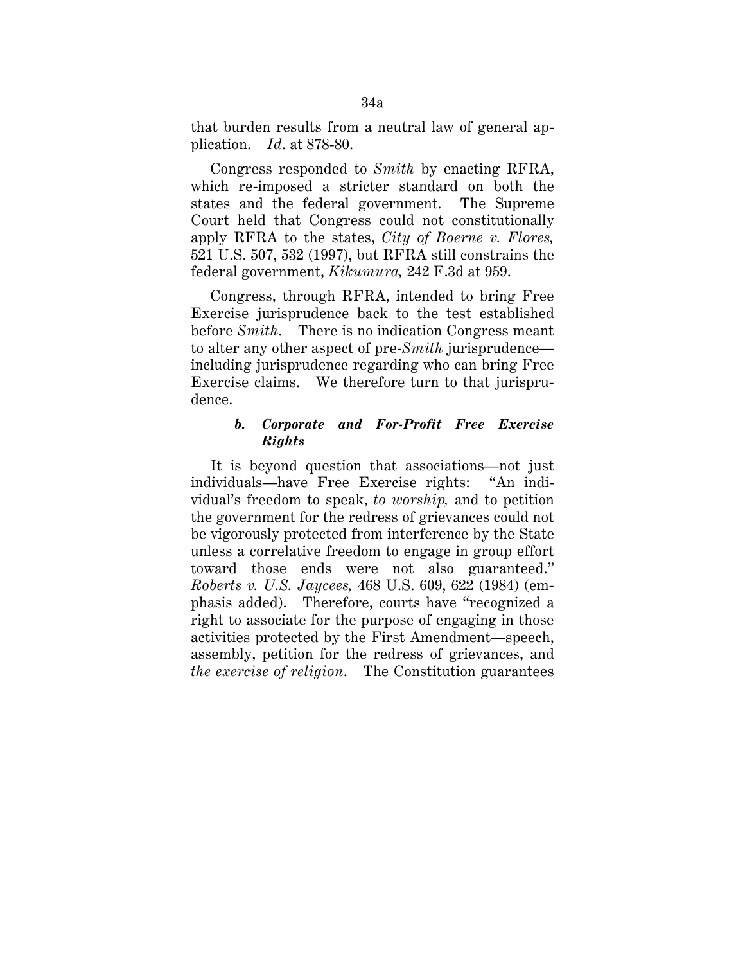that burden results from a neutral law of general application. *Id*. at 878-80.

Congress responded to *Smith* by enacting RFRA, which re-imposed a stricter standard on both the states and the federal government. The Supreme Court held that Congress could not constitutionally apply RFRA to the states, *City of Boerne v. Flores,* 521 U.S. 507, 532 (1997), but RFRA still constrains the federal government, *Kikumura,* 242 F.3d at 959.

Congress, through RFRA, intended to bring Free Exercise jurisprudence back to the test established before *Smith*. There is no indication Congress meant to alter any other aspect of pre-*Smith* jurisprudence including jurisprudence regarding who can bring Free Exercise claims. We therefore turn to that jurisprudence.

# *b. Corporate and For-Profit Free Exercise Rights*

It is beyond question that associations—not just individuals—have Free Exercise rights: "An individual's freedom to speak, *to worship,* and to petition the government for the redress of grievances could not be vigorously protected from interference by the State unless a correlative freedom to engage in group effort toward those ends were not also guaranteed." *Roberts v. U.S. Jaycees,* 468 U.S. 609, 622 (1984) (emphasis added). Therefore, courts have "recognized a right to associate for the purpose of engaging in those activities protected by the First Amendment—speech, assembly, petition for the redress of grievances, and *the exercise of religion*. The Constitution guarantees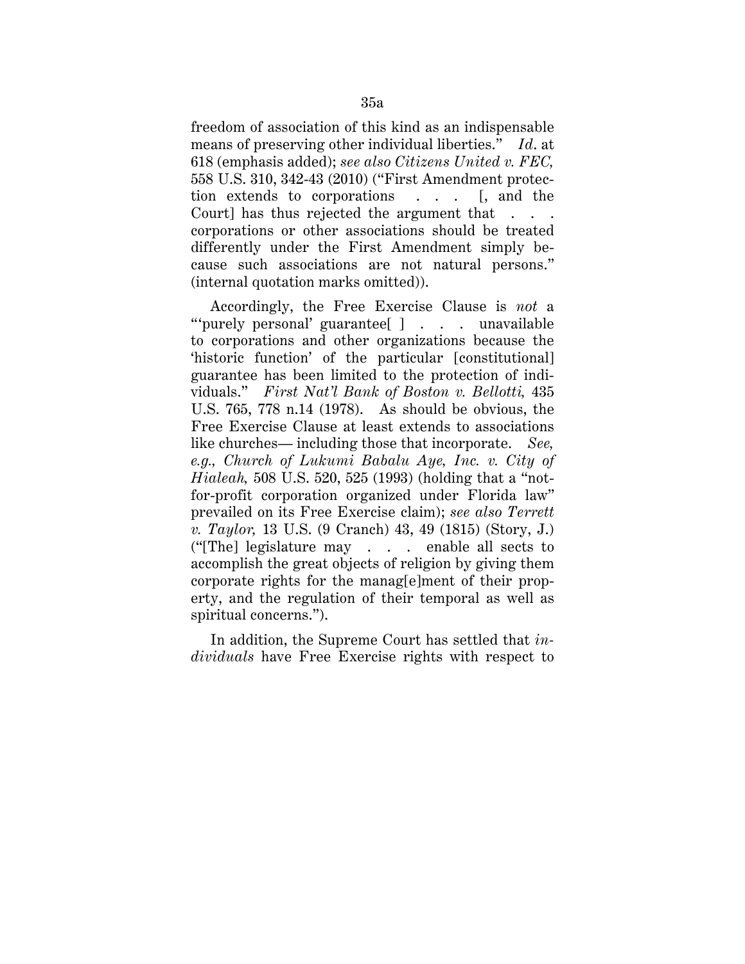freedom of association of this kind as an indispensable means of preserving other individual liberties." *Id*. at 618 (emphasis added); *see also Citizens United v. FEC,* 558 U.S. 310, 342-43 (2010) ("First Amendment protection extends to corporations . . . [, and the Court] has thus rejected the argument that . . . corporations or other associations should be treated differently under the First Amendment simply because such associations are not natural persons." (internal quotation marks omitted)).

Accordingly, the Free Exercise Clause is *not* a "'purely personal' guarantee[ ] . . . unavailable to corporations and other organizations because the 'historic function' of the particular [constitutional] guarantee has been limited to the protection of individuals." *First Nat'l Bank of Boston v. Bellotti,* 435 U.S. 765, 778 n.14 (1978). As should be obvious, the Free Exercise Clause at least extends to associations like churches— including those that incorporate. *See, e.g., Church of Lukumi Babalu Aye, Inc. v. City of Hialeah,* 508 U.S. 520, 525 (1993) (holding that a "notfor-profit corporation organized under Florida law" prevailed on its Free Exercise claim); *see also Terrett v. Taylor,* 13 U.S. (9 Cranch) 43, 49 (1815) (Story, J.) ("[The] legislature may . . . enable all sects to accomplish the great objects of religion by giving them corporate rights for the manag[e]ment of their property, and the regulation of their temporal as well as spiritual concerns.").

In addition, the Supreme Court has settled that *individuals* have Free Exercise rights with respect to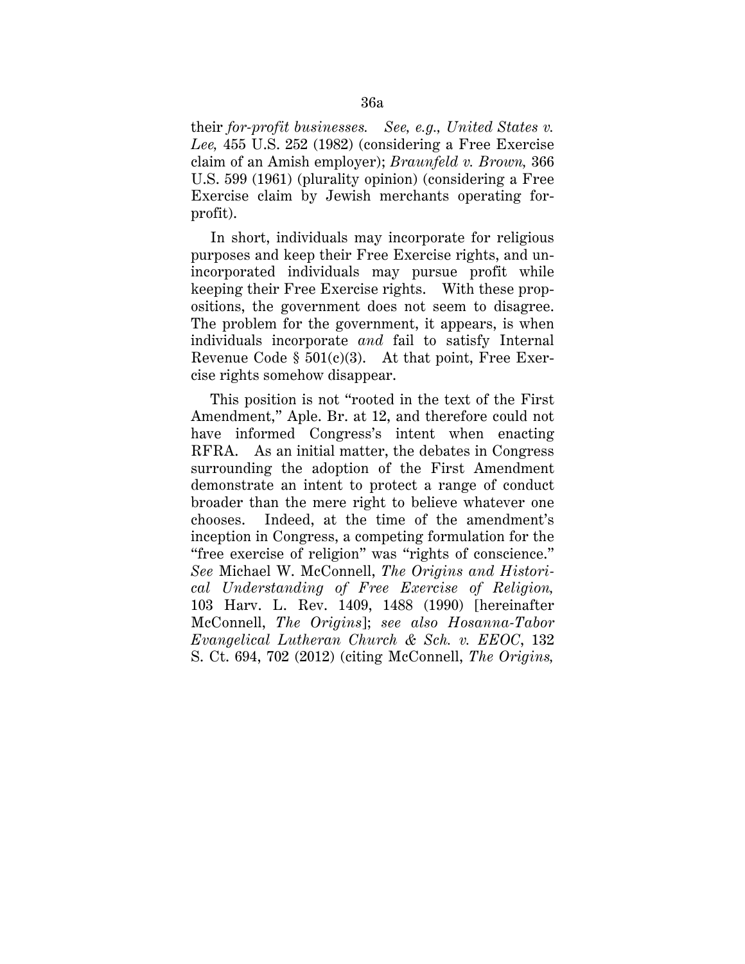their *for-profit businesses. See, e.g., United States v. Lee,* 455 U.S. 252 (1982) (considering a Free Exercise claim of an Amish employer); *Braunfeld v. Brown,* 366 U.S. 599 (1961) (plurality opinion) (considering a Free Exercise claim by Jewish merchants operating forprofit).

In short, individuals may incorporate for religious purposes and keep their Free Exercise rights, and unincorporated individuals may pursue profit while keeping their Free Exercise rights. With these propositions, the government does not seem to disagree. The problem for the government, it appears, is when individuals incorporate *and* fail to satisfy Internal Revenue Code  $\S$  501(c)(3). At that point, Free Exercise rights somehow disappear.

This position is not "rooted in the text of the First Amendment," Aple. Br. at 12, and therefore could not have informed Congress's intent when enacting RFRA. As an initial matter, the debates in Congress surrounding the adoption of the First Amendment demonstrate an intent to protect a range of conduct broader than the mere right to believe whatever one chooses. Indeed, at the time of the amendment's inception in Congress, a competing formulation for the "free exercise of religion" was "rights of conscience." *See* Michael W. McConnell, *The Origins and Historical Understanding of Free Exercise of Religion,* 103 Harv. L. Rev. 1409, 1488 (1990) [hereinafter McConnell, *The Origins*]; *see also Hosanna-Tabor Evangelical Lutheran Church & Sch. v. EEOC*, 132 S. Ct. 694, 702 (2012) (citing McConnell, *The Origins,*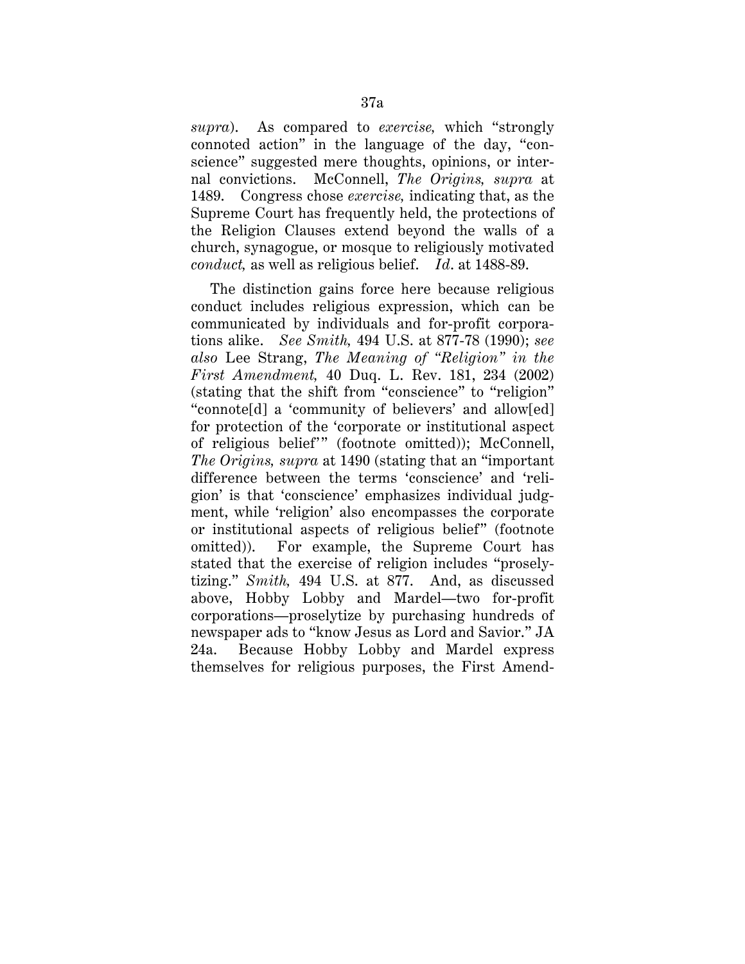*supra*). As compared to *exercise,* which "strongly connoted action" in the language of the day, "conscience" suggested mere thoughts, opinions, or internal convictions. McConnell, *The Origins, supra* at 1489. Congress chose *exercise,* indicating that, as the Supreme Court has frequently held, the protections of the Religion Clauses extend beyond the walls of a church, synagogue, or mosque to religiously motivated *conduct,* as well as religious belief. *Id*. at 1488-89.

The distinction gains force here because religious conduct includes religious expression, which can be communicated by individuals and for-profit corporations alike. *See Smith,* 494 U.S. at 877-78 (1990); *see also* Lee Strang, *The Meaning of "Religion" in the First Amendment,* 40 Duq. L. Rev. 181, 234 (2002) (stating that the shift from "conscience" to "religion" "connote[d] a 'community of believers' and allow[ed] for protection of the 'corporate or institutional aspect of religious belief'" (footnote omitted)); McConnell, *The Origins, supra* at 1490 (stating that an "important difference between the terms 'conscience' and 'religion' is that 'conscience' emphasizes individual judgment, while 'religion' also encompasses the corporate or institutional aspects of religious belief" (footnote omitted)). For example, the Supreme Court has stated that the exercise of religion includes "proselytizing." *Smith,* 494 U.S. at 877. And, as discussed above, Hobby Lobby and Mardel—two for-profit corporations—proselytize by purchasing hundreds of newspaper ads to "know Jesus as Lord and Savior." JA 24a. Because Hobby Lobby and Mardel express themselves for religious purposes, the First Amend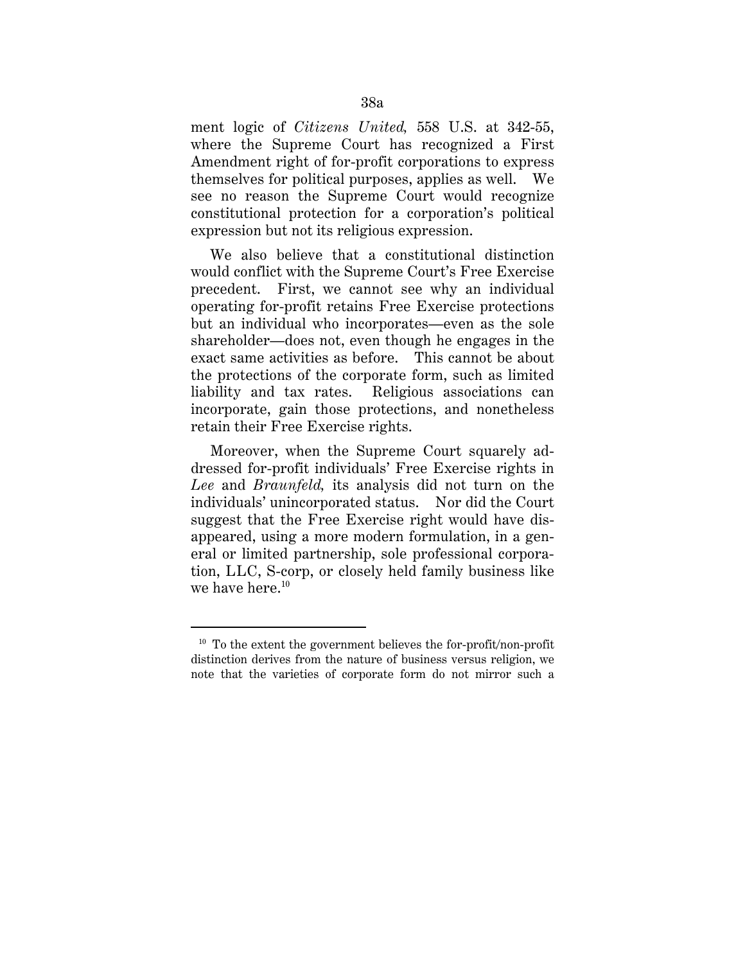ment logic of *Citizens United,* 558 U.S. at 342-55, where the Supreme Court has recognized a First Amendment right of for-profit corporations to express themselves for political purposes, applies as well. We see no reason the Supreme Court would recognize constitutional protection for a corporation's political expression but not its religious expression.

We also believe that a constitutional distinction would conflict with the Supreme Court's Free Exercise precedent. First, we cannot see why an individual operating for-profit retains Free Exercise protections but an individual who incorporates—even as the sole shareholder—does not, even though he engages in the exact same activities as before. This cannot be about the protections of the corporate form, such as limited liability and tax rates. Religious associations can incorporate, gain those protections, and nonetheless retain their Free Exercise rights.

Moreover, when the Supreme Court squarely addressed for-profit individuals' Free Exercise rights in *Lee* and *Braunfeld,* its analysis did not turn on the individuals' unincorporated status. Nor did the Court suggest that the Free Exercise right would have disappeared, using a more modern formulation, in a general or limited partnership, sole professional corporation, LLC, S-corp, or closely held family business like we have here. $^{10}$ 

-

 $10$  To the extent the government believes the for-profit/non-profit distinction derives from the nature of business versus religion, we note that the varieties of corporate form do not mirror such a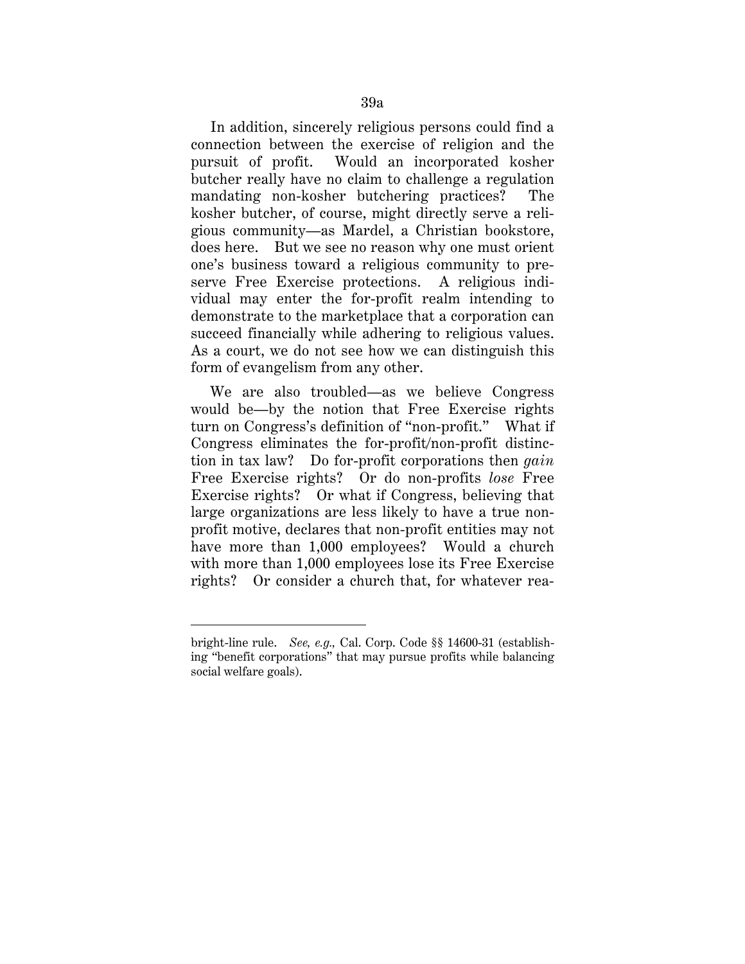In addition, sincerely religious persons could find a connection between the exercise of religion and the pursuit of profit. Would an incorporated kosher butcher really have no claim to challenge a regulation mandating non-kosher butchering practices? The kosher butcher, of course, might directly serve a religious community—as Mardel, a Christian bookstore, does here. But we see no reason why one must orient one's business toward a religious community to preserve Free Exercise protections. A religious individual may enter the for-profit realm intending to demonstrate to the marketplace that a corporation can succeed financially while adhering to religious values. As a court, we do not see how we can distinguish this form of evangelism from any other.

We are also troubled—as we believe Congress would be—by the notion that Free Exercise rights turn on Congress's definition of "non-profit." What if Congress eliminates the for-profit/non-profit distinction in tax law? Do for-profit corporations then *gain* Free Exercise rights? Or do non-profits *lose* Free Exercise rights? Or what if Congress, believing that large organizations are less likely to have a true nonprofit motive, declares that non-profit entities may not have more than 1,000 employees? Would a church with more than 1,000 employees lose its Free Exercise rights? Or consider a church that, for whatever rea-

<u>.</u>

bright-line rule. *See, e.g.,* Cal. Corp. Code §§ 14600-31 (establishing "benefit corporations" that may pursue profits while balancing social welfare goals).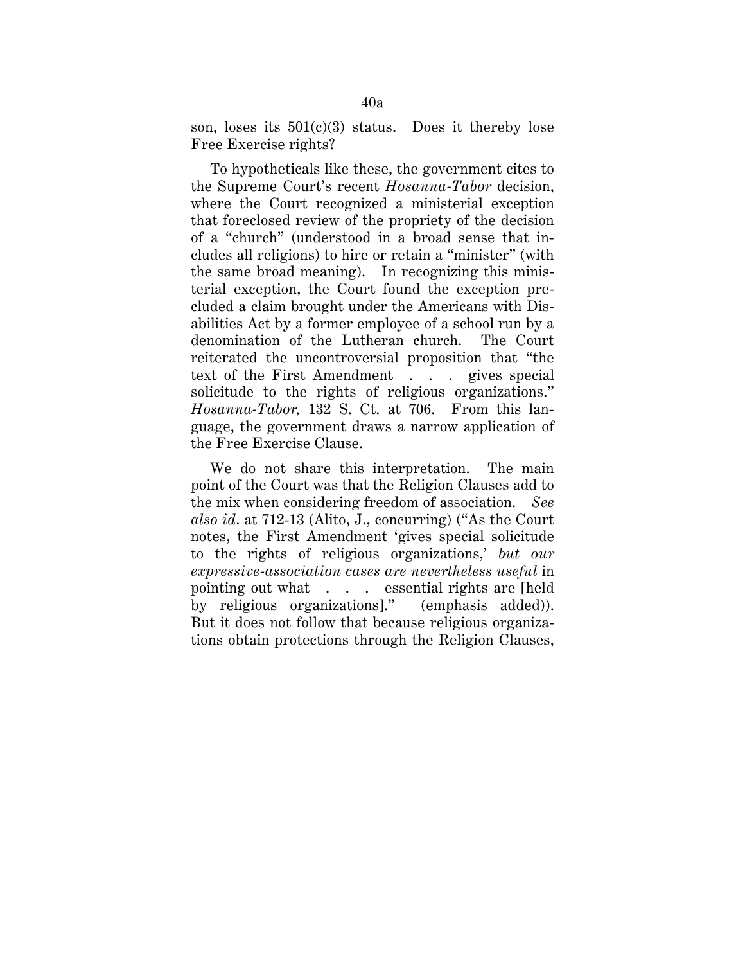son, loses its  $501(c)(3)$  status. Does it thereby lose Free Exercise rights?

To hypotheticals like these, the government cites to the Supreme Court's recent *Hosanna-Tabor* decision, where the Court recognized a ministerial exception that foreclosed review of the propriety of the decision of a "church" (understood in a broad sense that includes all religions) to hire or retain a "minister" (with the same broad meaning). In recognizing this ministerial exception, the Court found the exception precluded a claim brought under the Americans with Disabilities Act by a former employee of a school run by a denomination of the Lutheran church. The Court reiterated the uncontroversial proposition that "the text of the First Amendment . . . gives special solicitude to the rights of religious organizations." *Hosanna-Tabor,* 132 S. Ct. at 706. From this language, the government draws a narrow application of the Free Exercise Clause.

We do not share this interpretation. The main point of the Court was that the Religion Clauses add to the mix when considering freedom of association. *See also id*. at 712-13 (Alito, J., concurring) ("As the Court notes, the First Amendment 'gives special solicitude to the rights of religious organizations,' *but our expressive-association cases are nevertheless useful* in pointing out what . . . essential rights are [held by religious organizations]." (emphasis added)). But it does not follow that because religious organizations obtain protections through the Religion Clauses,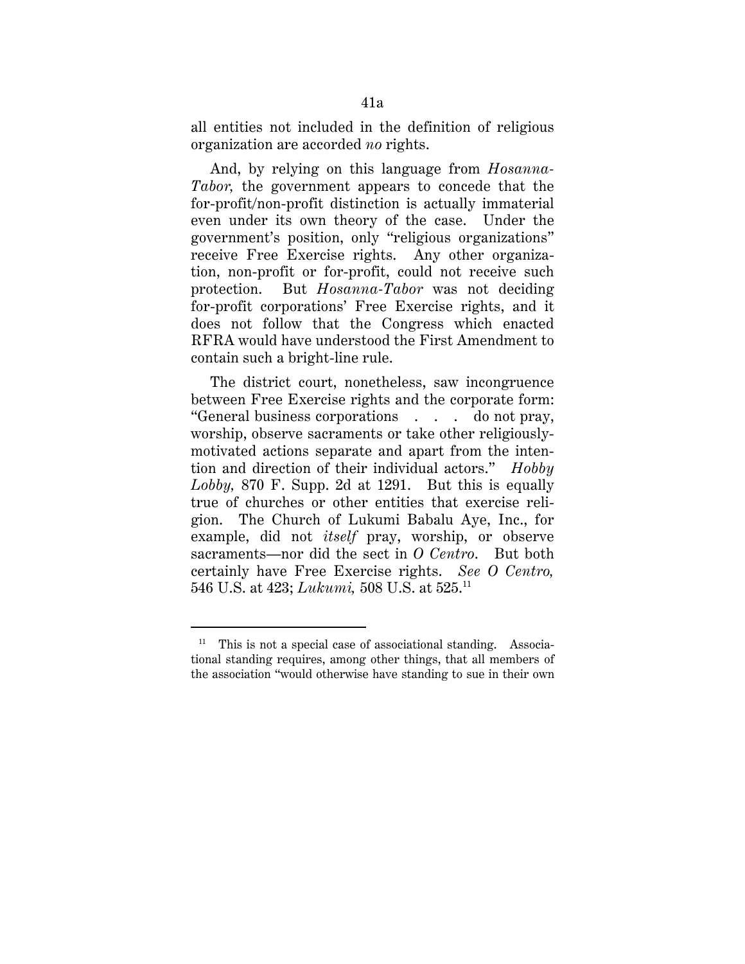all entities not included in the definition of religious organization are accorded *no* rights.

And, by relying on this language from *Hosanna-Tabor,* the government appears to concede that the for-profit/non-profit distinction is actually immaterial even under its own theory of the case. Under the government's position, only "religious organizations" receive Free Exercise rights. Any other organization, non-profit or for-profit, could not receive such protection. But *Hosanna-Tabor* was not deciding for-profit corporations' Free Exercise rights, and it does not follow that the Congress which enacted RFRA would have understood the First Amendment to contain such a bright-line rule.

The district court, nonetheless, saw incongruence between Free Exercise rights and the corporate form: "General business corporations . . . do not pray, worship, observe sacraments or take other religiouslymotivated actions separate and apart from the intention and direction of their individual actors." *Hobby Lobby,* 870 F. Supp. 2d at 1291. But this is equally true of churches or other entities that exercise religion. The Church of Lukumi Babalu Aye, Inc., for example, did not *itself* pray, worship, or observe sacraments—nor did the sect in *O Centro*. But both certainly have Free Exercise rights. *See O Centro,* 546 U.S. at 423; *Lukumi,* 508 U.S. at 525.11

-

<sup>&</sup>lt;sup>11</sup> This is not a special case of associational standing. Associational standing requires, among other things, that all members of the association "would otherwise have standing to sue in their own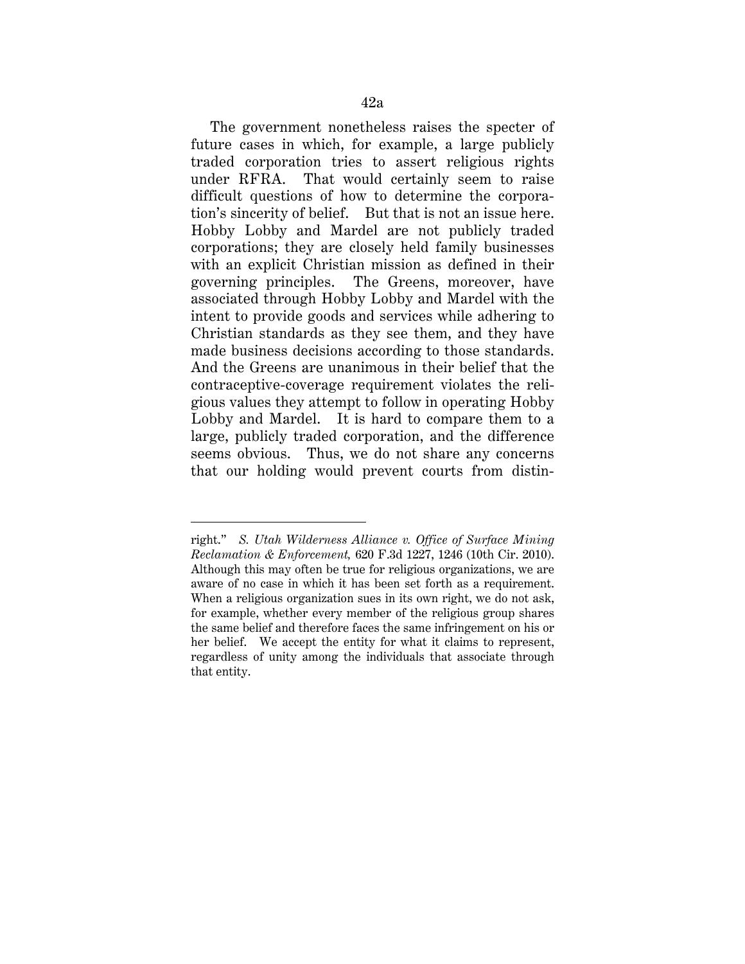The government nonetheless raises the specter of future cases in which, for example, a large publicly traded corporation tries to assert religious rights under RFRA. That would certainly seem to raise difficult questions of how to determine the corporation's sincerity of belief. But that is not an issue here. Hobby Lobby and Mardel are not publicly traded corporations; they are closely held family businesses with an explicit Christian mission as defined in their governing principles. The Greens, moreover, have associated through Hobby Lobby and Mardel with the intent to provide goods and services while adhering to Christian standards as they see them, and they have made business decisions according to those standards. And the Greens are unanimous in their belief that the contraceptive-coverage requirement violates the religious values they attempt to follow in operating Hobby Lobby and Mardel. It is hard to compare them to a large, publicly traded corporation, and the difference seems obvious. Thus, we do not share any concerns that our holding would prevent courts from distin-

-

right." *S. Utah Wilderness Alliance v. Office of Surface Mining Reclamation & Enforcement,* 620 F.3d 1227, 1246 (10th Cir. 2010). Although this may often be true for religious organizations, we are aware of no case in which it has been set forth as a requirement. When a religious organization sues in its own right, we do not ask, for example, whether every member of the religious group shares the same belief and therefore faces the same infringement on his or her belief. We accept the entity for what it claims to represent, regardless of unity among the individuals that associate through that entity.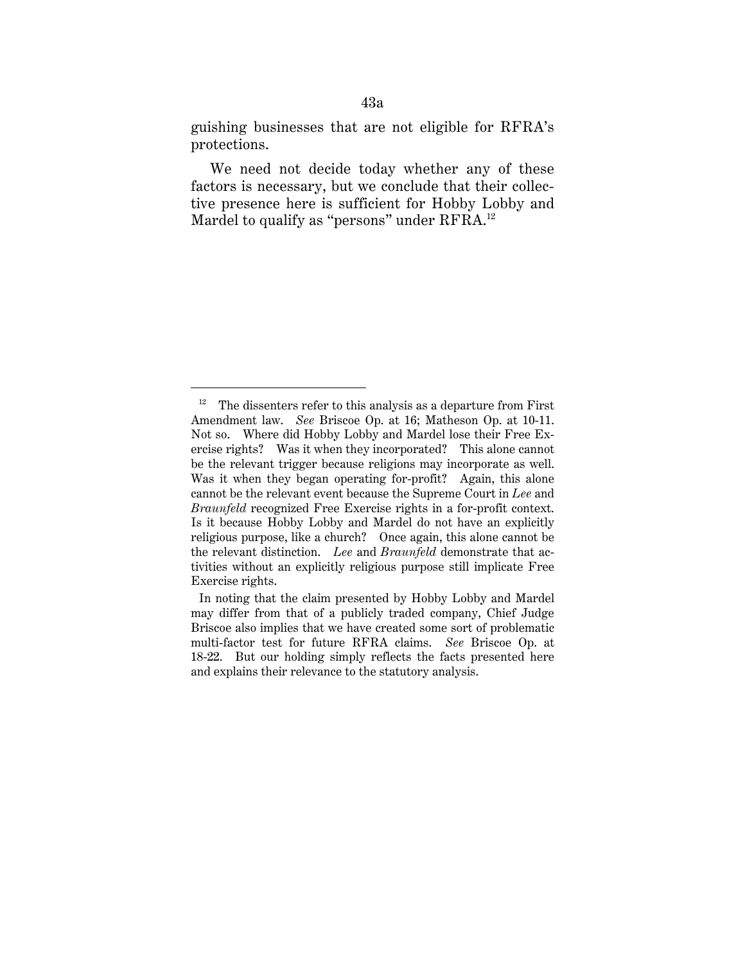guishing businesses that are not eligible for RFRA's protections.

We need not decide today whether any of these factors is necessary, but we conclude that their collective presence here is sufficient for Hobby Lobby and Mardel to qualify as "persons" under RFRA.<sup>12</sup>

<u>.</u>

 $12$  The dissenters refer to this analysis as a departure from First Amendment law. *See* Briscoe Op. at 16; Matheson Op. at 10-11. Not so. Where did Hobby Lobby and Mardel lose their Free Exercise rights? Was it when they incorporated? This alone cannot be the relevant trigger because religions may incorporate as well. Was it when they began operating for-profit? Again, this alone cannot be the relevant event because the Supreme Court in *Lee* and *Braunfeld* recognized Free Exercise rights in a for-profit context. Is it because Hobby Lobby and Mardel do not have an explicitly religious purpose, like a church? Once again, this alone cannot be the relevant distinction. *Lee* and *Braunfeld* demonstrate that activities without an explicitly religious purpose still implicate Free Exercise rights.

In noting that the claim presented by Hobby Lobby and Mardel may differ from that of a publicly traded company, Chief Judge Briscoe also implies that we have created some sort of problematic multi-factor test for future RFRA claims. *See* Briscoe Op. at 18-22. But our holding simply reflects the facts presented here and explains their relevance to the statutory analysis.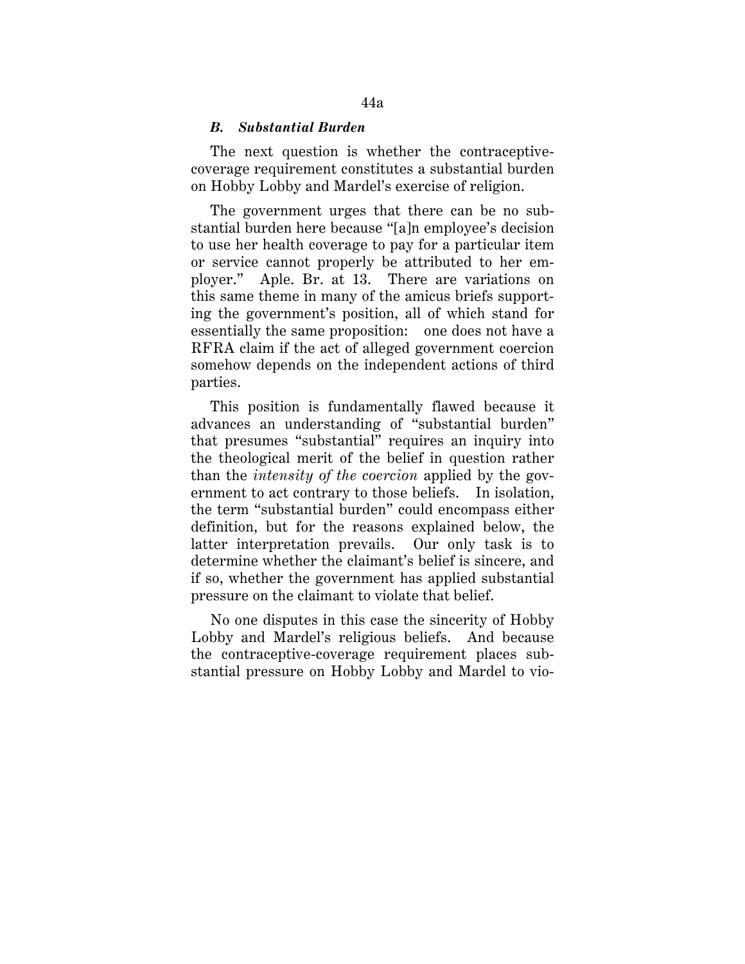#### *B. Substantial Burden*

The next question is whether the contraceptivecoverage requirement constitutes a substantial burden on Hobby Lobby and Mardel's exercise of religion.

The government urges that there can be no substantial burden here because "[a]n employee's decision to use her health coverage to pay for a particular item or service cannot properly be attributed to her employer." Aple. Br. at 13. There are variations on this same theme in many of the amicus briefs supporting the government's position, all of which stand for essentially the same proposition: one does not have a RFRA claim if the act of alleged government coercion somehow depends on the independent actions of third parties.

This position is fundamentally flawed because it advances an understanding of "substantial burden" that presumes "substantial" requires an inquiry into the theological merit of the belief in question rather than the *intensity of the coercion* applied by the government to act contrary to those beliefs. In isolation, the term "substantial burden" could encompass either definition, but for the reasons explained below, the latter interpretation prevails. Our only task is to determine whether the claimant's belief is sincere, and if so, whether the government has applied substantial pressure on the claimant to violate that belief.

No one disputes in this case the sincerity of Hobby Lobby and Mardel's religious beliefs. And because the contraceptive-coverage requirement places substantial pressure on Hobby Lobby and Mardel to vio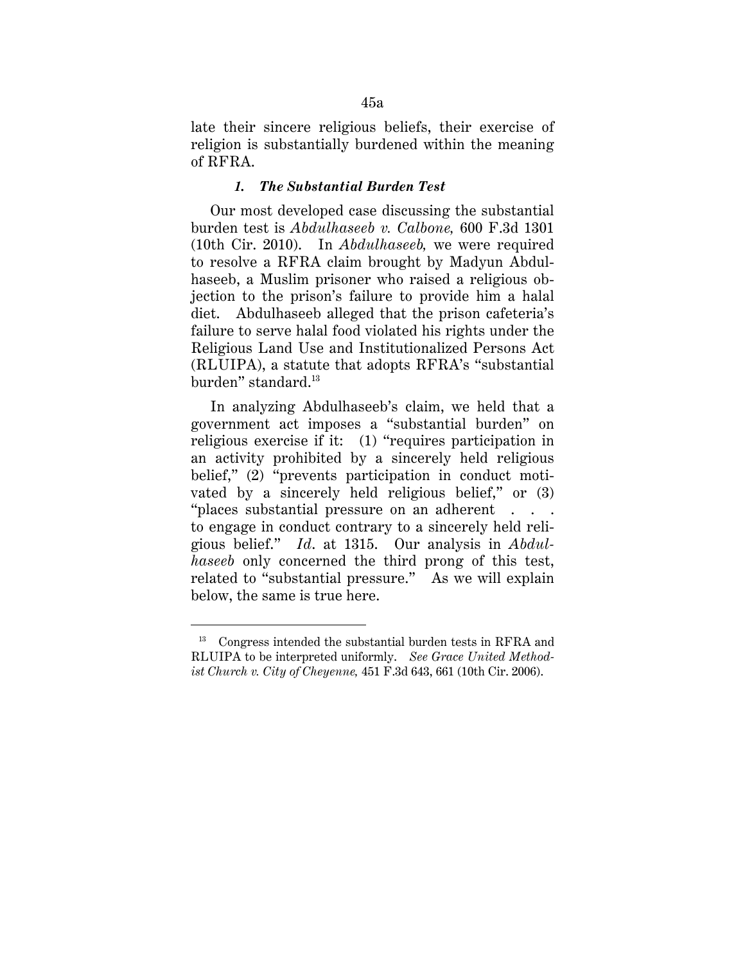late their sincere religious beliefs, their exercise of religion is substantially burdened within the meaning of RFRA.

### *1. The Substantial Burden Test*

Our most developed case discussing the substantial burden test is *Abdulhaseeb v. Calbone,* 600 F.3d 1301 (10th Cir. 2010). In *Abdulhaseeb,* we were required to resolve a RFRA claim brought by Madyun Abdulhaseeb, a Muslim prisoner who raised a religious objection to the prison's failure to provide him a halal diet. Abdulhaseeb alleged that the prison cafeteria's failure to serve halal food violated his rights under the Religious Land Use and Institutionalized Persons Act (RLUIPA), a statute that adopts RFRA's "substantial burden" standard.<sup>13</sup>

In analyzing Abdulhaseeb's claim, we held that a government act imposes a "substantial burden" on religious exercise if it: (1) "requires participation in an activity prohibited by a sincerely held religious belief," (2) "prevents participation in conduct motivated by a sincerely held religious belief," or (3) "places substantial pressure on an adherent . . . to engage in conduct contrary to a sincerely held religious belief." *Id*. at 1315. Our analysis in *Abdulhaseeb* only concerned the third prong of this test, related to "substantial pressure." As we will explain below, the same is true here.

<u>.</u>

 $^{13}$  Congress intended the substantial burden tests in RFRA and RLUIPA to be interpreted uniformly. *See Grace United Methodist Church v. City of Cheyenne,* 451 F.3d 643, 661 (10th Cir. 2006).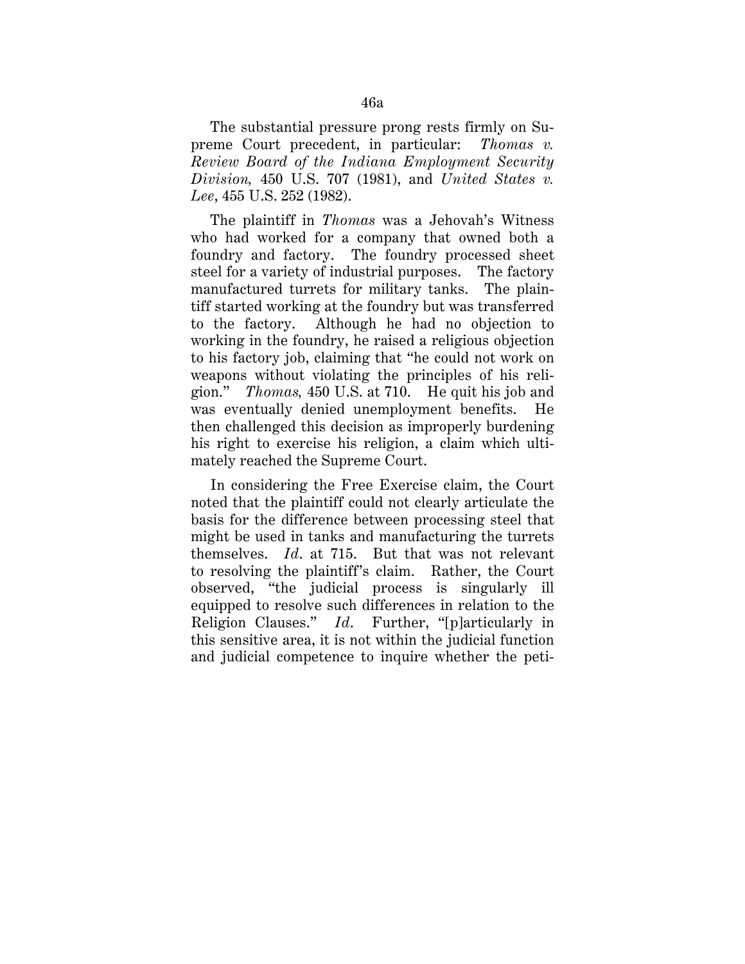The substantial pressure prong rests firmly on Supreme Court precedent, in particular: *Thomas v. Review Board of the Indiana Employment Security Division,* 450 U.S. 707 (1981), and *United States v. Lee*, 455 U.S. 252 (1982).

The plaintiff in *Thomas* was a Jehovah's Witness who had worked for a company that owned both a foundry and factory. The foundry processed sheet steel for a variety of industrial purposes. The factory manufactured turrets for military tanks. The plaintiff started working at the foundry but was transferred to the factory. Although he had no objection to working in the foundry, he raised a religious objection to his factory job, claiming that "he could not work on weapons without violating the principles of his religion." *Thomas,* 450 U.S. at 710. He quit his job and was eventually denied unemployment benefits. He then challenged this decision as improperly burdening his right to exercise his religion, a claim which ultimately reached the Supreme Court.

In considering the Free Exercise claim, the Court noted that the plaintiff could not clearly articulate the basis for the difference between processing steel that might be used in tanks and manufacturing the turrets themselves. *Id*. at 715. But that was not relevant to resolving the plaintiff's claim. Rather, the Court observed, "the judicial process is singularly ill equipped to resolve such differences in relation to the Religion Clauses." *Id*. Further, "[p]articularly in this sensitive area, it is not within the judicial function and judicial competence to inquire whether the peti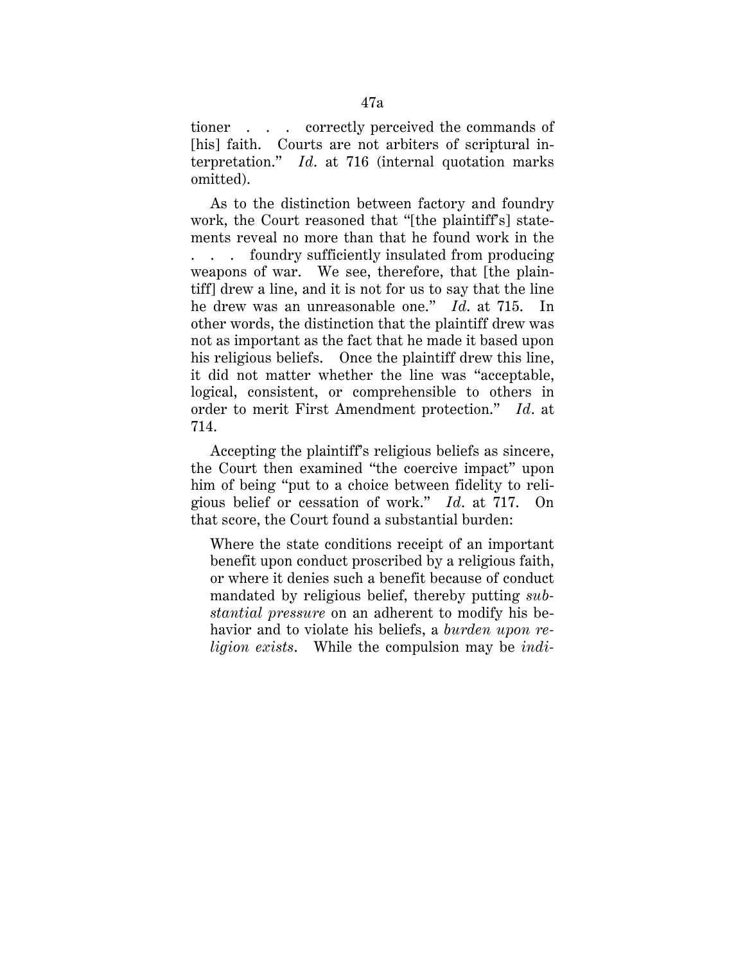tioner . . . correctly perceived the commands of [his] faith. Courts are not arbiters of scriptural interpretation." *Id*. at 716 (internal quotation marks omitted).

As to the distinction between factory and foundry work, the Court reasoned that "[the plaintiff's] statements reveal no more than that he found work in the . . . foundry sufficiently insulated from producing weapons of war. We see, therefore, that [the plaintiff] drew a line, and it is not for us to say that the line he drew was an unreasonable one." *Id*. at 715. In other words, the distinction that the plaintiff drew was not as important as the fact that he made it based upon his religious beliefs. Once the plaintiff drew this line, it did not matter whether the line was "acceptable, logical, consistent, or comprehensible to others in order to merit First Amendment protection." *Id*. at 714.

Accepting the plaintiff's religious beliefs as sincere, the Court then examined "the coercive impact" upon him of being "put to a choice between fidelity to religious belief or cessation of work." *Id*. at 717. On that score, the Court found a substantial burden:

Where the state conditions receipt of an important benefit upon conduct proscribed by a religious faith, or where it denies such a benefit because of conduct mandated by religious belief, thereby putting *substantial pressure* on an adherent to modify his behavior and to violate his beliefs, a *burden upon religion exists*. While the compulsion may be *indi-*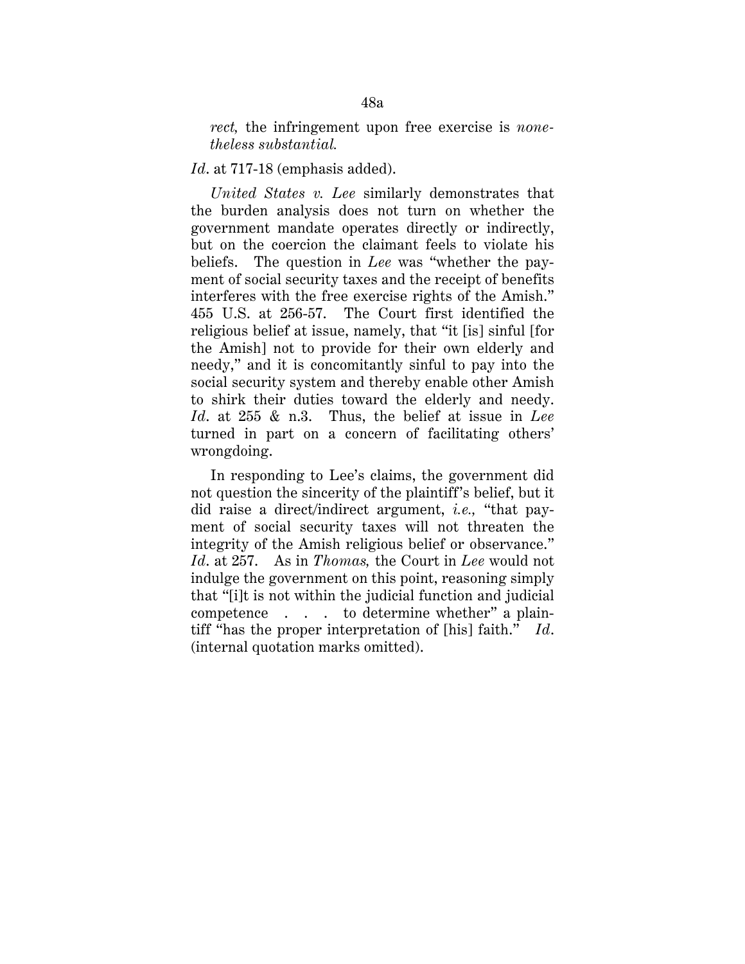*rect,* the infringement upon free exercise is *nonetheless substantial.*

### *Id*. at 717-18 (emphasis added).

*United States v. Lee* similarly demonstrates that the burden analysis does not turn on whether the government mandate operates directly or indirectly, but on the coercion the claimant feels to violate his beliefs. The question in *Lee* was "whether the payment of social security taxes and the receipt of benefits interferes with the free exercise rights of the Amish." 455 U.S. at 256-57. The Court first identified the religious belief at issue, namely, that "it [is] sinful [for the Amish] not to provide for their own elderly and needy," and it is concomitantly sinful to pay into the social security system and thereby enable other Amish to shirk their duties toward the elderly and needy. *Id*. at 255 & n.3. Thus, the belief at issue in *Lee* turned in part on a concern of facilitating others' wrongdoing.

In responding to Lee's claims, the government did not question the sincerity of the plaintiff's belief, but it did raise a direct/indirect argument, *i.e.,* "that payment of social security taxes will not threaten the integrity of the Amish religious belief or observance." *Id*. at 257. As in *Thomas,* the Court in *Lee* would not indulge the government on this point, reasoning simply that "[i]t is not within the judicial function and judicial competence . . . to determine whether" a plaintiff "has the proper interpretation of [his] faith." *Id*. (internal quotation marks omitted).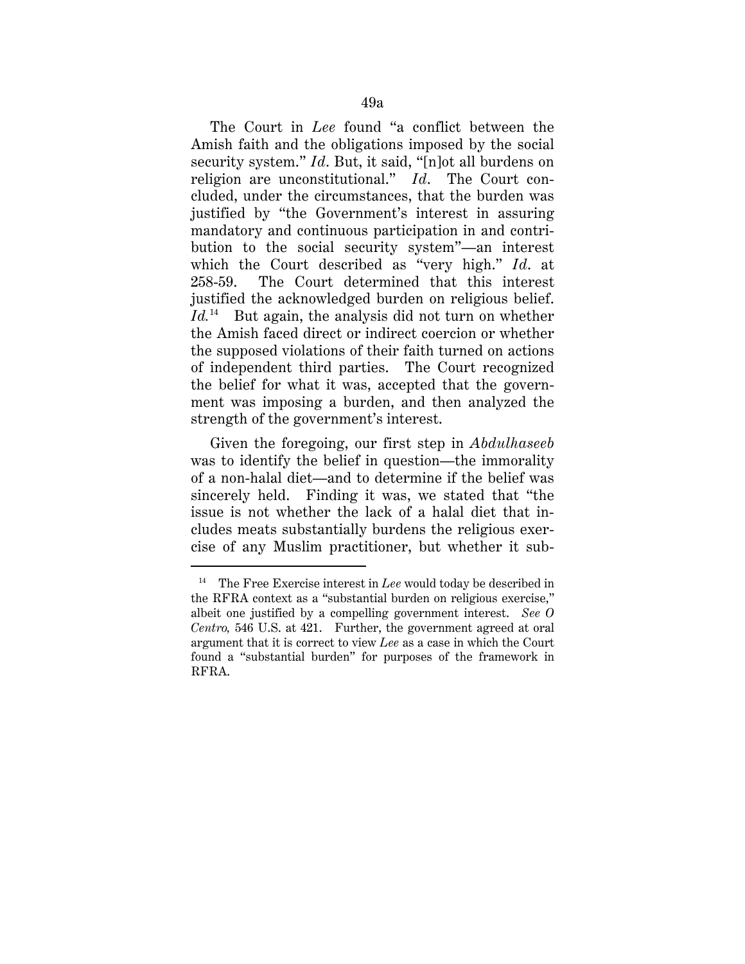The Court in *Lee* found "a conflict between the Amish faith and the obligations imposed by the social security system." *Id*. But, it said, "[n]ot all burdens on religion are unconstitutional." *Id*. The Court concluded, under the circumstances, that the burden was justified by "the Government's interest in assuring mandatory and continuous participation in and contribution to the social security system"—an interest which the Court described as "very high." *Id*. at 258-59. The Court determined that this interest justified the acknowledged burden on religious belief. *Id.*14 But again, the analysis did not turn on whether the Amish faced direct or indirect coercion or whether the supposed violations of their faith turned on actions of independent third parties. The Court recognized the belief for what it was, accepted that the government was imposing a burden, and then analyzed the strength of the government's interest.

Given the foregoing, our first step in *Abdulhaseeb* was to identify the belief in question—the immorality of a non-halal diet—and to determine if the belief was sincerely held. Finding it was, we stated that "the issue is not whether the lack of a halal diet that includes meats substantially burdens the religious exercise of any Muslim practitioner, but whether it sub-

-

<sup>&</sup>lt;sup>14</sup> The Free Exercise interest in *Lee* would today be described in the RFRA context as a "substantial burden on religious exercise," albeit one justified by a compelling government interest. *See O Centro,* 546 U.S. at 421. Further, the government agreed at oral argument that it is correct to view *Lee* as a case in which the Court found a "substantial burden" for purposes of the framework in RFRA.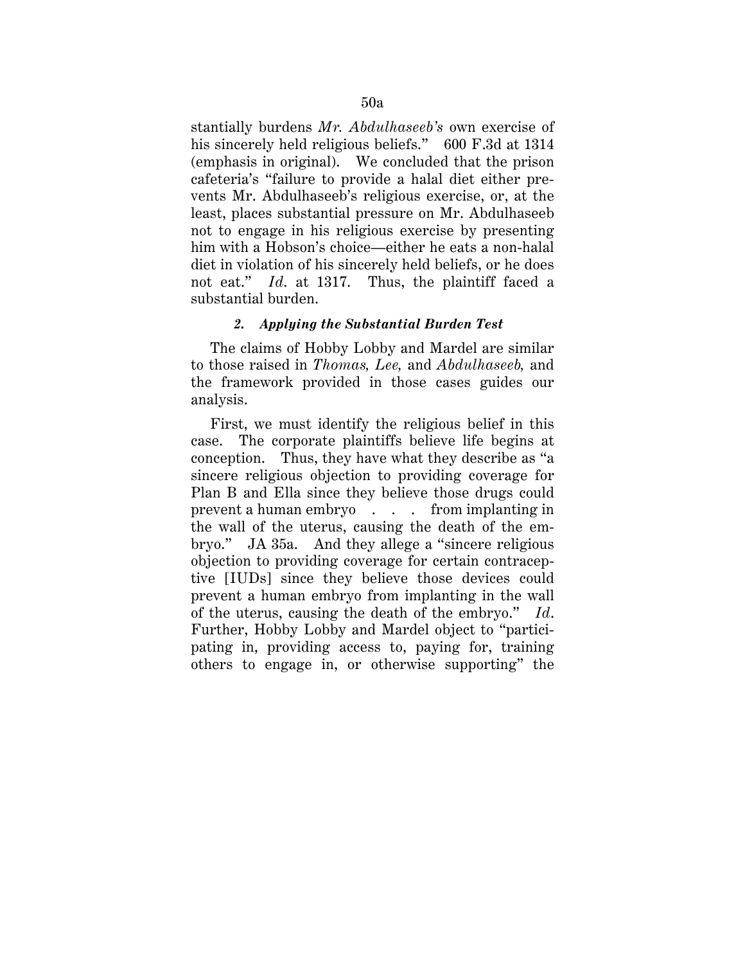stantially burdens *Mr. Abdulhaseeb's* own exercise of his sincerely held religious beliefs." 600 F.3d at 1314 (emphasis in original). We concluded that the prison cafeteria's "failure to provide a halal diet either prevents Mr. Abdulhaseeb's religious exercise, or, at the least, places substantial pressure on Mr. Abdulhaseeb not to engage in his religious exercise by presenting him with a Hobson's choice—either he eats a non-halal diet in violation of his sincerely held beliefs, or he does not eat." *Id*. at 1317. Thus, the plaintiff faced a substantial burden.

#### *2. Applying the Substantial Burden Test*

The claims of Hobby Lobby and Mardel are similar to those raised in *Thomas, Lee,* and *Abdulhaseeb,* and the framework provided in those cases guides our analysis.

First, we must identify the religious belief in this case. The corporate plaintiffs believe life begins at conception. Thus, they have what they describe as "a sincere religious objection to providing coverage for Plan B and Ella since they believe those drugs could prevent a human embryo . . . from implanting in the wall of the uterus, causing the death of the embryo." JA 35a. And they allege a "sincere religious objection to providing coverage for certain contraceptive [IUDs] since they believe those devices could prevent a human embryo from implanting in the wall of the uterus, causing the death of the embryo." *Id*. Further, Hobby Lobby and Mardel object to "participating in, providing access to, paying for, training others to engage in, or otherwise supporting" the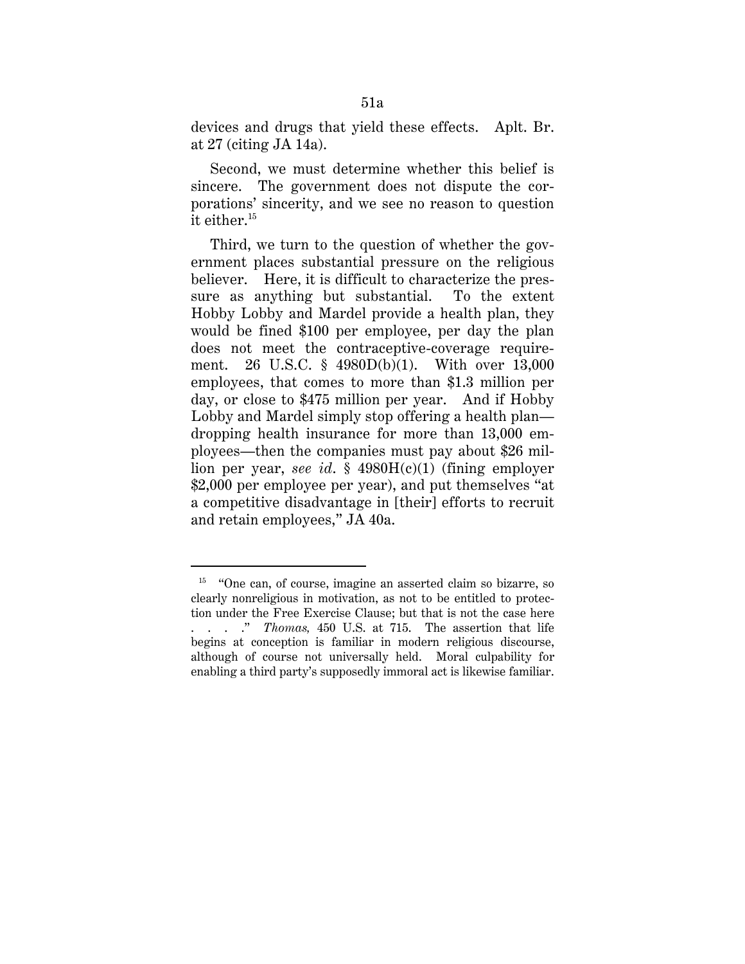devices and drugs that yield these effects. Aplt. Br. at 27 (citing JA 14a).

Second, we must determine whether this belief is sincere. The government does not dispute the corporations' sincerity, and we see no reason to question it either.15

Third, we turn to the question of whether the government places substantial pressure on the religious believer. Here, it is difficult to characterize the pressure as anything but substantial. To the extent Hobby Lobby and Mardel provide a health plan, they would be fined \$100 per employee, per day the plan does not meet the contraceptive-coverage requirement. 26 U.S.C. § 4980D(b)(1). With over 13,000 employees, that comes to more than \$1.3 million per day, or close to \$475 million per year. And if Hobby Lobby and Mardel simply stop offering a health plan dropping health insurance for more than 13,000 employees—then the companies must pay about \$26 million per year, *see id*. § 4980H(c)(1) (fining employer \$2,000 per employee per year), and put themselves "at a competitive disadvantage in [their] efforts to recruit and retain employees," JA 40a.

<u>.</u>

<sup>&</sup>lt;sup>15</sup> "One can, of course, imagine an asserted claim so bizarre, so clearly nonreligious in motivation, as not to be entitled to protection under the Free Exercise Clause; but that is not the case here . . . ." *Thomas,* 450 U.S. at 715. The assertion that life begins at conception is familiar in modern religious discourse, although of course not universally held. Moral culpability for enabling a third party's supposedly immoral act is likewise familiar.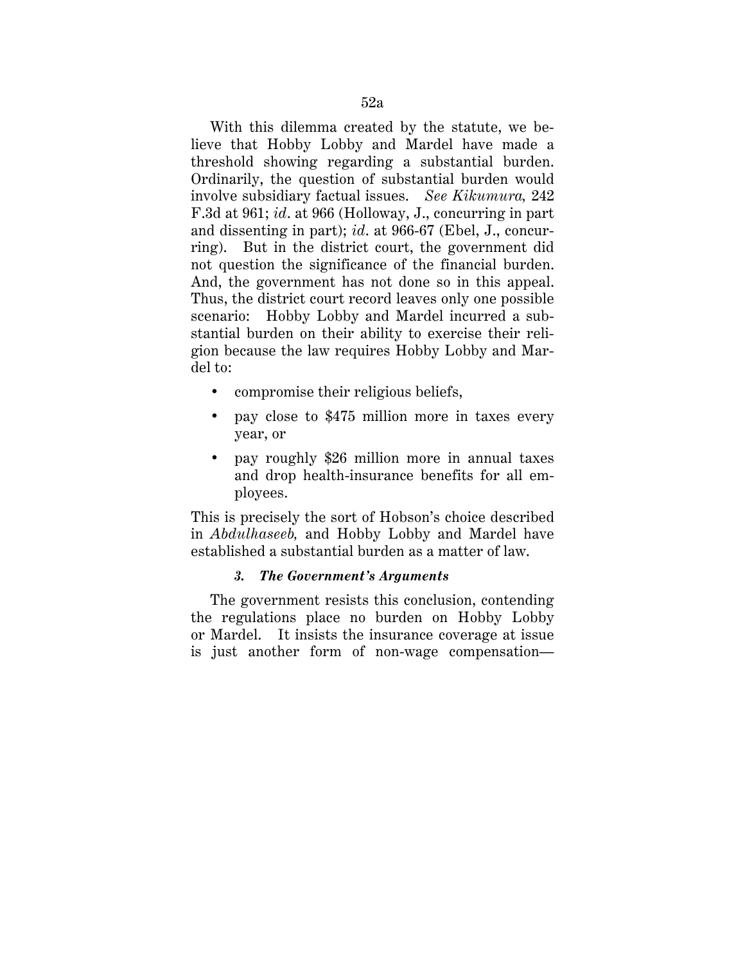With this dilemma created by the statute, we believe that Hobby Lobby and Mardel have made a threshold showing regarding a substantial burden. Ordinarily, the question of substantial burden would involve subsidiary factual issues. *See Kikumura,* 242 F.3d at 961; *id*. at 966 (Holloway, J., concurring in part and dissenting in part); *id*. at 966-67 (Ebel, J., concurring). But in the district court, the government did not question the significance of the financial burden. And, the government has not done so in this appeal. Thus, the district court record leaves only one possible scenario: Hobby Lobby and Mardel incurred a substantial burden on their ability to exercise their religion because the law requires Hobby Lobby and Mardel to:

- compromise their religious beliefs,
- pay close to \$475 million more in taxes every year, or
- pay roughly \$26 million more in annual taxes and drop health-insurance benefits for all employees.

This is precisely the sort of Hobson's choice described in *Abdulhaseeb,* and Hobby Lobby and Mardel have established a substantial burden as a matter of law.

### *3. The Government's Arguments*

The government resists this conclusion, contending the regulations place no burden on Hobby Lobby or Mardel. It insists the insurance coverage at issue is just another form of non-wage compensation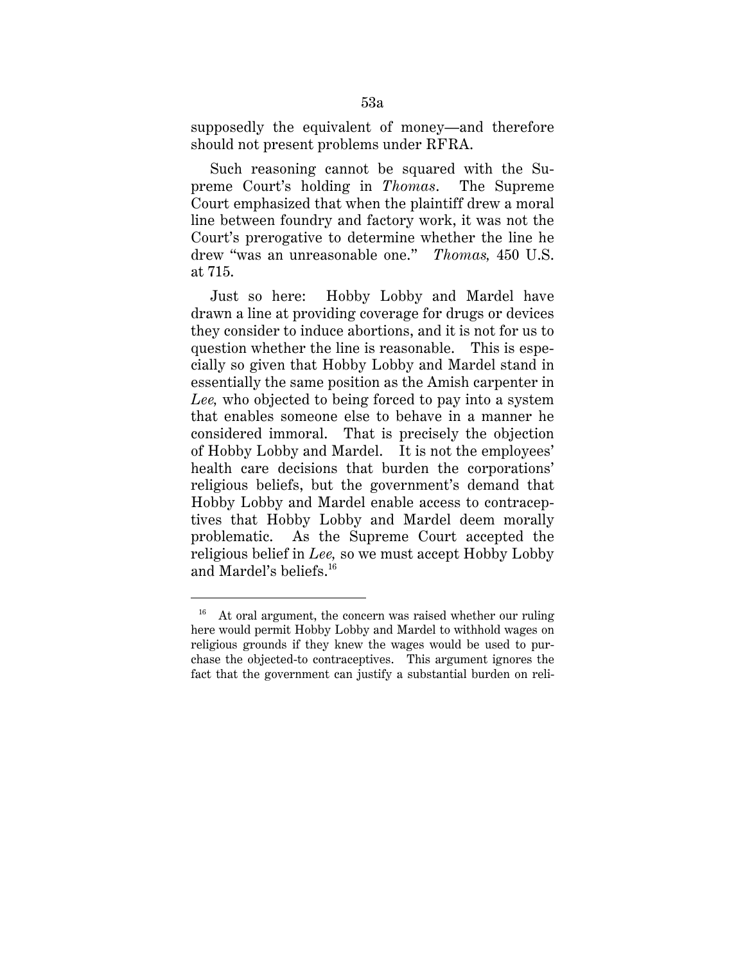supposedly the equivalent of money—and therefore should not present problems under RFRA.

Such reasoning cannot be squared with the Supreme Court's holding in *Thomas*. The Supreme Court emphasized that when the plaintiff drew a moral line between foundry and factory work, it was not the Court's prerogative to determine whether the line he drew "was an unreasonable one." *Thomas,* 450 U.S. at 715.

Just so here: Hobby Lobby and Mardel have drawn a line at providing coverage for drugs or devices they consider to induce abortions, and it is not for us to question whether the line is reasonable. This is especially so given that Hobby Lobby and Mardel stand in essentially the same position as the Amish carpenter in *Lee,* who objected to being forced to pay into a system that enables someone else to behave in a manner he considered immoral. That is precisely the objection of Hobby Lobby and Mardel. It is not the employees' health care decisions that burden the corporations' religious beliefs, but the government's demand that Hobby Lobby and Mardel enable access to contraceptives that Hobby Lobby and Mardel deem morally problematic. As the Supreme Court accepted the religious belief in *Lee,* so we must accept Hobby Lobby and Mardel's beliefs.16

-

 $16$  At oral argument, the concern was raised whether our ruling here would permit Hobby Lobby and Mardel to withhold wages on religious grounds if they knew the wages would be used to purchase the objected-to contraceptives. This argument ignores the fact that the government can justify a substantial burden on reli-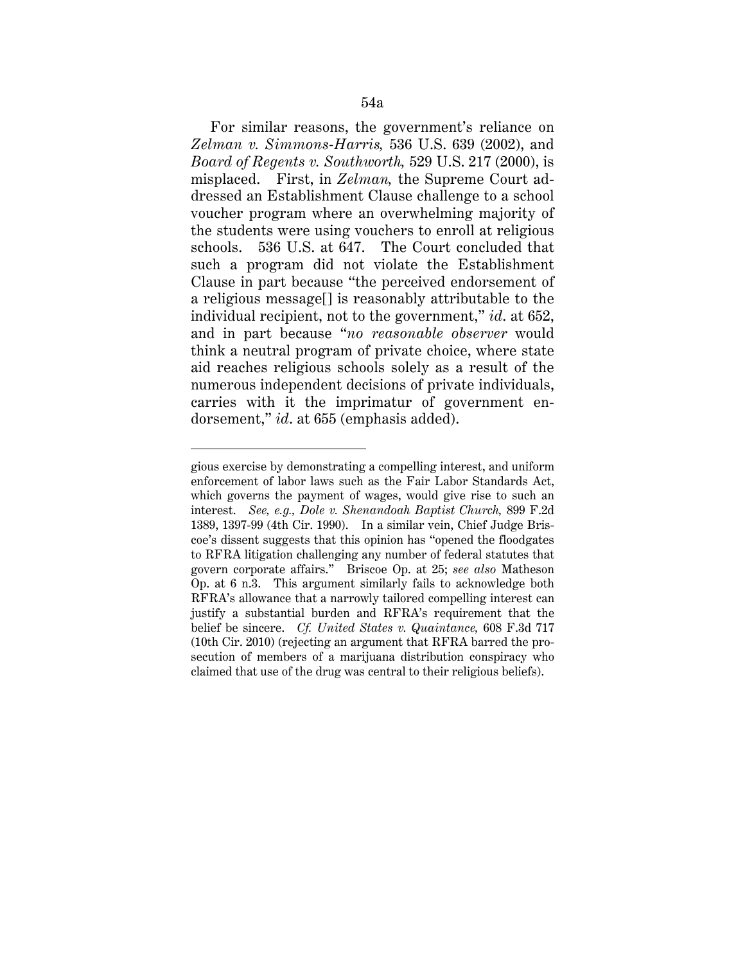For similar reasons, the government's reliance on *Zelman v. Simmons-Harris,* 536 U.S. 639 (2002), and *Board of Regents v. Southworth,* 529 U.S. 217 (2000), is misplaced. First, in *Zelman,* the Supreme Court addressed an Establishment Clause challenge to a school voucher program where an overwhelming majority of the students were using vouchers to enroll at religious schools. 536 U.S. at 647. The Court concluded that such a program did not violate the Establishment Clause in part because "the perceived endorsement of a religious message[] is reasonably attributable to the individual recipient, not to the government," *id*. at 652, and in part because "*no reasonable observer* would think a neutral program of private choice, where state aid reaches religious schools solely as a result of the numerous independent decisions of private individuals, carries with it the imprimatur of government endorsement," *id*. at 655 (emphasis added).

<u>.</u>

gious exercise by demonstrating a compelling interest, and uniform enforcement of labor laws such as the Fair Labor Standards Act, which governs the payment of wages, would give rise to such an interest. *See, e.g., Dole v. Shenandoah Baptist Church,* 899 F.2d 1389, 1397-99 (4th Cir. 1990). In a similar vein, Chief Judge Briscoe's dissent suggests that this opinion has "opened the floodgates to RFRA litigation challenging any number of federal statutes that govern corporate affairs." Briscoe Op. at 25; *see also* Matheson Op. at 6 n.3. This argument similarly fails to acknowledge both RFRA's allowance that a narrowly tailored compelling interest can justify a substantial burden and RFRA's requirement that the belief be sincere. *Cf. United States v. Quaintance,* 608 F.3d 717 (10th Cir. 2010) (rejecting an argument that RFRA barred the prosecution of members of a marijuana distribution conspiracy who claimed that use of the drug was central to their religious beliefs).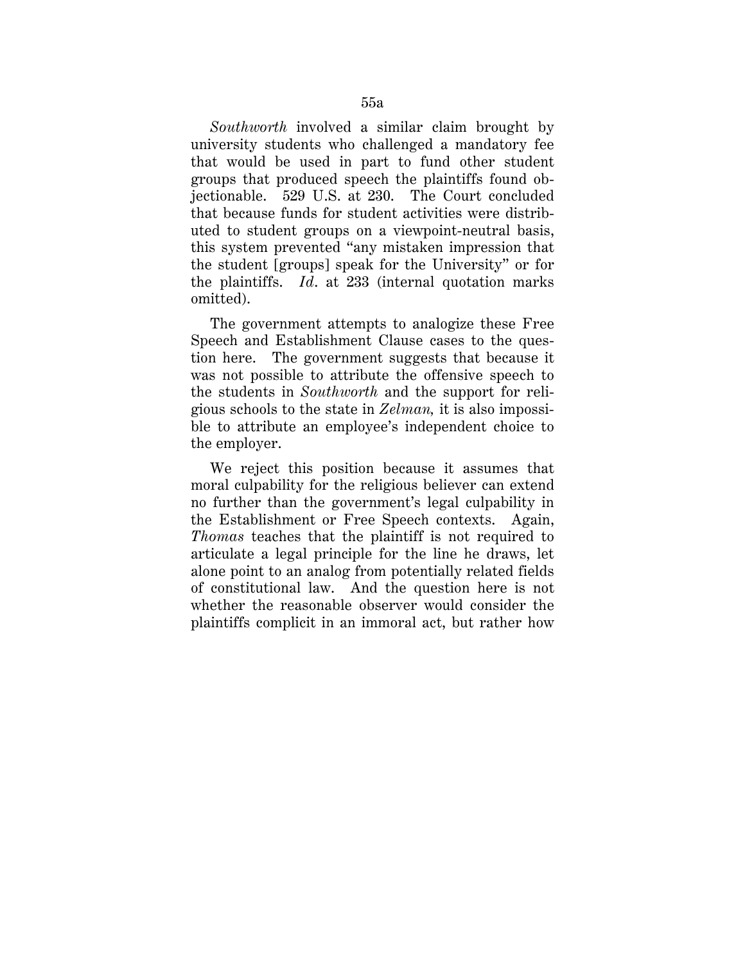*Southworth* involved a similar claim brought by university students who challenged a mandatory fee that would be used in part to fund other student groups that produced speech the plaintiffs found objectionable. 529 U.S. at 230. The Court concluded that because funds for student activities were distributed to student groups on a viewpoint-neutral basis, this system prevented "any mistaken impression that the student [groups] speak for the University" or for the plaintiffs. *Id*. at 233 (internal quotation marks omitted).

The government attempts to analogize these Free Speech and Establishment Clause cases to the question here. The government suggests that because it was not possible to attribute the offensive speech to the students in *Southworth* and the support for religious schools to the state in *Zelman,* it is also impossible to attribute an employee's independent choice to the employer.

We reject this position because it assumes that moral culpability for the religious believer can extend no further than the government's legal culpability in the Establishment or Free Speech contexts. Again, *Thomas* teaches that the plaintiff is not required to articulate a legal principle for the line he draws, let alone point to an analog from potentially related fields of constitutional law. And the question here is not whether the reasonable observer would consider the plaintiffs complicit in an immoral act, but rather how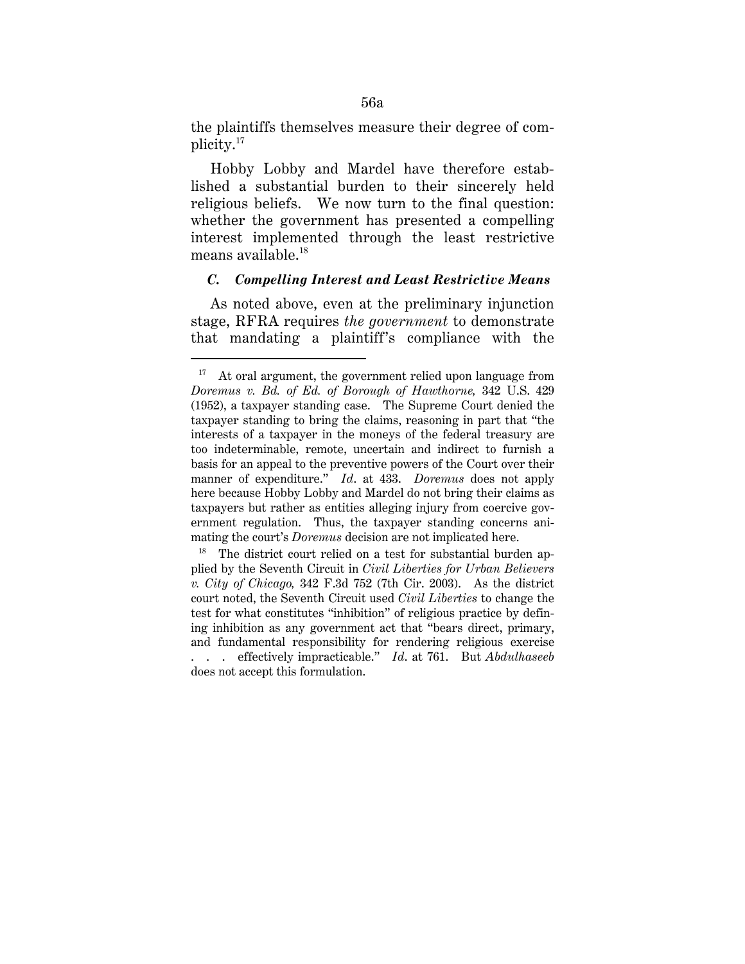the plaintiffs themselves measure their degree of complicity.17

Hobby Lobby and Mardel have therefore established a substantial burden to their sincerely held religious beliefs. We now turn to the final question: whether the government has presented a compelling interest implemented through the least restrictive means available.18

#### *C. Compelling Interest and Least Restrictive Means*

As noted above, even at the preliminary injunction stage, RFRA requires *the government* to demonstrate that mandating a plaintiff's compliance with the

<u>.</u>

plied by the Seventh Circuit in *Civil Liberties for Urban Believers v. City of Chicago,* 342 F.3d 752 (7th Cir. 2003). As the district court noted, the Seventh Circuit used *Civil Liberties* to change the test for what constitutes "inhibition" of religious practice by defining inhibition as any government act that "bears direct, primary, and fundamental responsibility for rendering religious exercise . . . effectively impracticable." *Id*. at 761. But *Abdulhaseeb* does not accept this formulation.

 $17$  At oral argument, the government relied upon language from *Doremus v. Bd. of Ed. of Borough of Hawthorne,* 342 U.S. 429 (1952), a taxpayer standing case. The Supreme Court denied the taxpayer standing to bring the claims, reasoning in part that "the interests of a taxpayer in the moneys of the federal treasury are too indeterminable, remote, uncertain and indirect to furnish a basis for an appeal to the preventive powers of the Court over their manner of expenditure." *Id*. at 433. *Doremus* does not apply here because Hobby Lobby and Mardel do not bring their claims as taxpayers but rather as entities alleging injury from coercive government regulation. Thus, the taxpayer standing concerns animating the court's *Doremus* decision are not implicated here.<br><sup>18</sup> The district court relied on a test for substantial burden ap-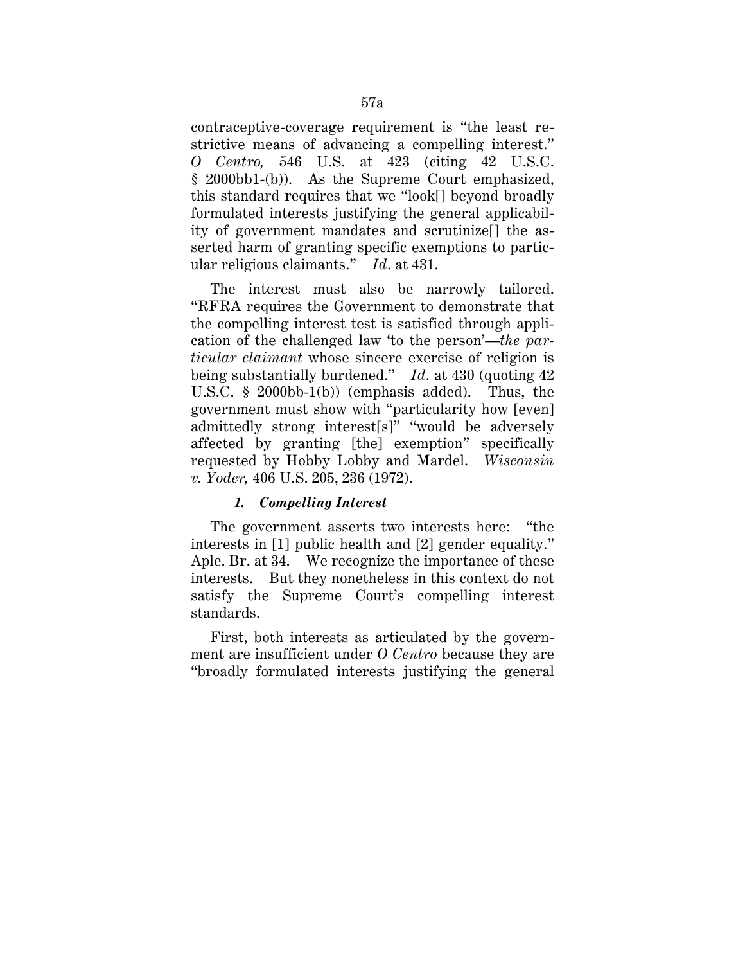contraceptive-coverage requirement is "the least restrictive means of advancing a compelling interest." *O Centro,* 546 U.S. at 423 (citing 42 U.S.C. § 2000bb1-(b)). As the Supreme Court emphasized, this standard requires that we "look[] beyond broadly formulated interests justifying the general applicability of government mandates and scrutinize[] the asserted harm of granting specific exemptions to particular religious claimants." *Id*. at 431.

The interest must also be narrowly tailored. "RFRA requires the Government to demonstrate that the compelling interest test is satisfied through application of the challenged law 'to the person'—*the particular claimant* whose sincere exercise of religion is being substantially burdened." *Id*. at 430 (quoting 42 U.S.C. § 2000bb-1(b)) (emphasis added). Thus, the government must show with "particularity how [even] admittedly strong interest[s]" "would be adversely affected by granting [the] exemption" specifically requested by Hobby Lobby and Mardel. *Wisconsin v. Yoder,* 406 U.S. 205, 236 (1972).

### *1. Compelling Interest*

The government asserts two interests here: "the interests in [1] public health and [2] gender equality." Aple. Br. at 34. We recognize the importance of these interests. But they nonetheless in this context do not satisfy the Supreme Court's compelling interest standards.

First, both interests as articulated by the government are insufficient under *O Centro* because they are "broadly formulated interests justifying the general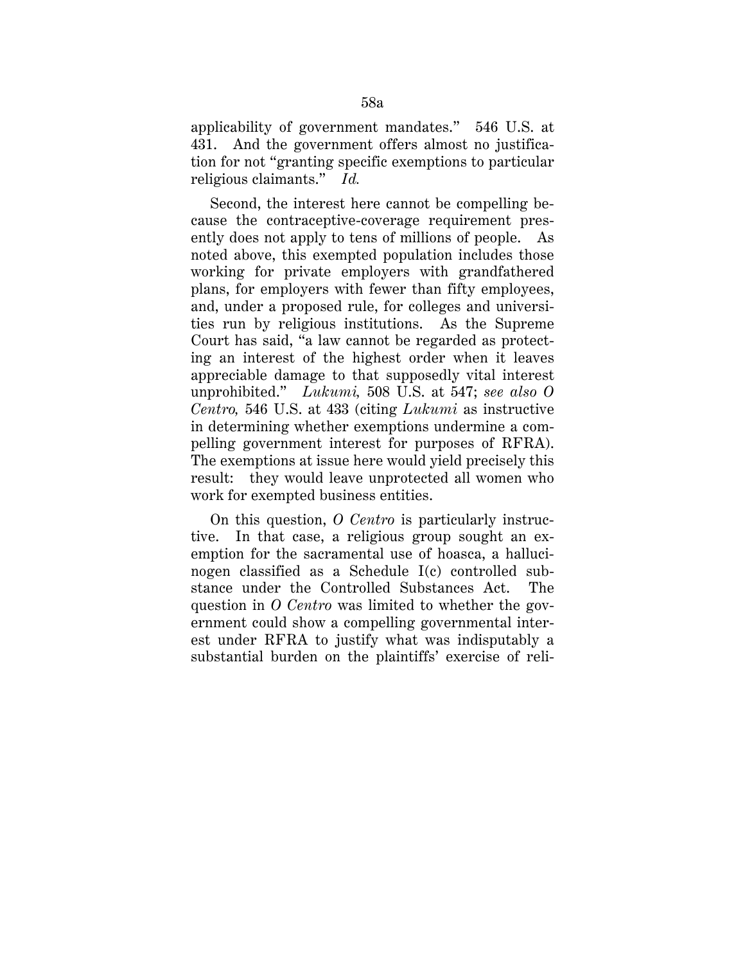applicability of government mandates." 546 U.S. at 431. And the government offers almost no justification for not "granting specific exemptions to particular religious claimants." *Id.*

Second, the interest here cannot be compelling because the contraceptive-coverage requirement presently does not apply to tens of millions of people. As noted above, this exempted population includes those working for private employers with grandfathered plans, for employers with fewer than fifty employees, and, under a proposed rule, for colleges and universities run by religious institutions. As the Supreme Court has said, "a law cannot be regarded as protecting an interest of the highest order when it leaves appreciable damage to that supposedly vital interest unprohibited." *Lukumi,* 508 U.S. at 547; *see also O Centro,* 546 U.S. at 433 (citing *Lukumi* as instructive in determining whether exemptions undermine a compelling government interest for purposes of RFRA). The exemptions at issue here would yield precisely this result: they would leave unprotected all women who work for exempted business entities.

On this question, *O Centro* is particularly instructive. In that case, a religious group sought an exemption for the sacramental use of hoasca, a hallucinogen classified as a Schedule I(c) controlled substance under the Controlled Substances Act. The question in *O Centro* was limited to whether the government could show a compelling governmental interest under RFRA to justify what was indisputably a substantial burden on the plaintiffs' exercise of reli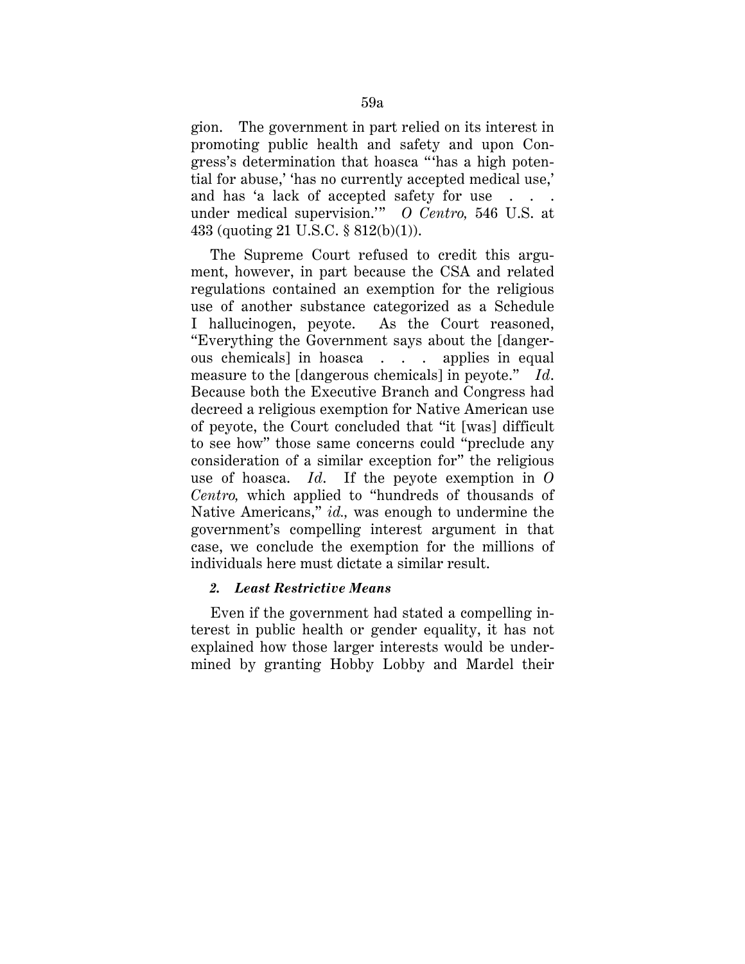gion. The government in part relied on its interest in promoting public health and safety and upon Congress's determination that hoasca "'has a high potential for abuse,' 'has no currently accepted medical use,' and has 'a lack of accepted safety for use . . . under medical supervision.'" *O Centro,* 546 U.S. at 433 (quoting 21 U.S.C. § 812(b)(1)).

The Supreme Court refused to credit this argument, however, in part because the CSA and related regulations contained an exemption for the religious use of another substance categorized as a Schedule I hallucinogen, peyote. As the Court reasoned, "Everything the Government says about the [dangerous chemicals] in hoasca . . . applies in equal measure to the [dangerous chemicals] in peyote." *Id*. Because both the Executive Branch and Congress had decreed a religious exemption for Native American use of peyote, the Court concluded that "it [was] difficult to see how" those same concerns could "preclude any consideration of a similar exception for" the religious use of hoasca. *Id*. If the peyote exemption in *O Centro,* which applied to "hundreds of thousands of Native Americans," *id.,* was enough to undermine the government's compelling interest argument in that case, we conclude the exemption for the millions of individuals here must dictate a similar result.

### *2. Least Restrictive Means*

Even if the government had stated a compelling interest in public health or gender equality, it has not explained how those larger interests would be undermined by granting Hobby Lobby and Mardel their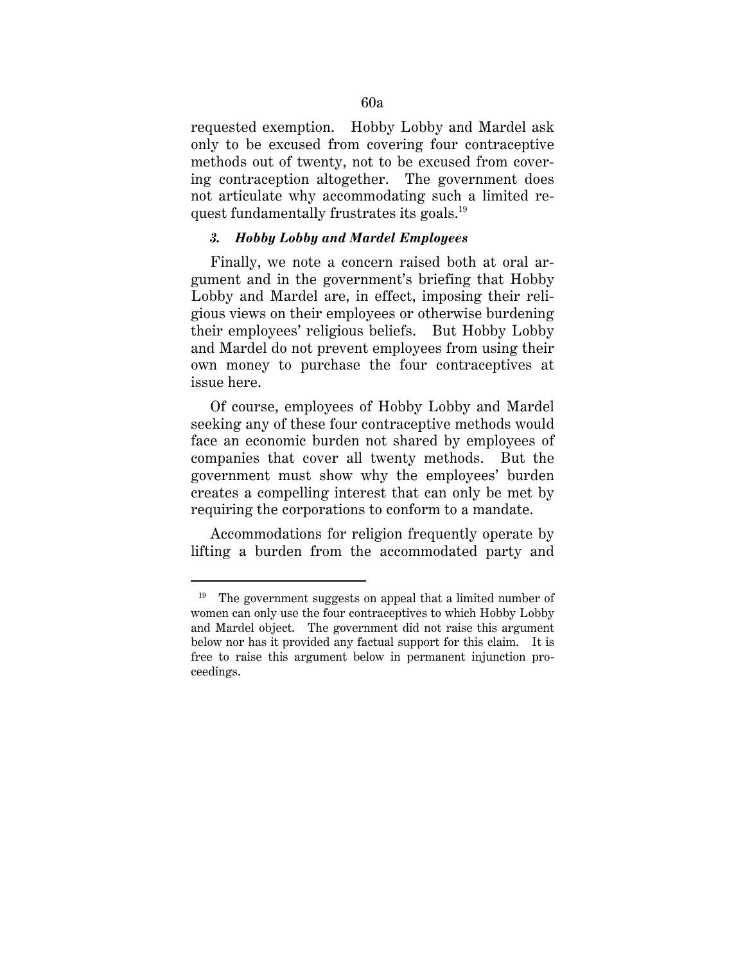requested exemption. Hobby Lobby and Mardel ask only to be excused from covering four contraceptive methods out of twenty, not to be excused from covering contraception altogether. The government does not articulate why accommodating such a limited request fundamentally frustrates its goals.19

### *3. Hobby Lobby and Mardel Employees*

Finally, we note a concern raised both at oral argument and in the government's briefing that Hobby Lobby and Mardel are, in effect, imposing their religious views on their employees or otherwise burdening their employees' religious beliefs. But Hobby Lobby and Mardel do not prevent employees from using their own money to purchase the four contraceptives at issue here.

Of course, employees of Hobby Lobby and Mardel seeking any of these four contraceptive methods would face an economic burden not shared by employees of companies that cover all twenty methods. But the government must show why the employees' burden creates a compelling interest that can only be met by requiring the corporations to conform to a mandate.

Accommodations for religion frequently operate by lifting a burden from the accommodated party and

<u>.</u>

 $19$  The government suggests on appeal that a limited number of women can only use the four contraceptives to which Hobby Lobby and Mardel object. The government did not raise this argument below nor has it provided any factual support for this claim. It is free to raise this argument below in permanent injunction proceedings.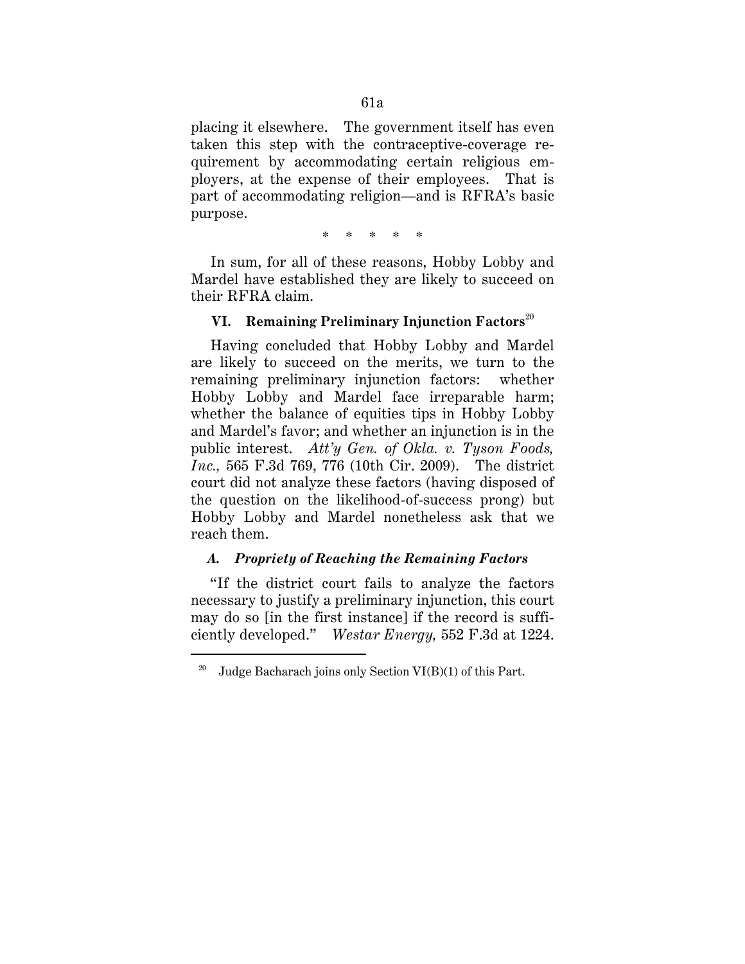placing it elsewhere. The government itself has even taken this step with the contraceptive-coverage requirement by accommodating certain religious employers, at the expense of their employees. That is part of accommodating religion—and is RFRA's basic purpose.

\* \* \* \* \*

In sum, for all of these reasons, Hobby Lobby and Mardel have established they are likely to succeed on their RFRA claim.

# **VI. Remaining Preliminary Injunction Factors**<sup>20</sup>

Having concluded that Hobby Lobby and Mardel are likely to succeed on the merits, we turn to the remaining preliminary injunction factors: whether Hobby Lobby and Mardel face irreparable harm; whether the balance of equities tips in Hobby Lobby and Mardel's favor; and whether an injunction is in the public interest. *Att'y Gen. of Okla. v. Tyson Foods, Inc.,* 565 F.3d 769, 776 (10th Cir. 2009). The district court did not analyze these factors (having disposed of the question on the likelihood-of-success prong) but Hobby Lobby and Mardel nonetheless ask that we reach them.

## *A. Propriety of Reaching the Remaining Factors*

"If the district court fails to analyze the factors necessary to justify a preliminary injunction, this court may do so [in the first instance] if the record is sufficiently developed." *Westar Energy,* 552 F.3d at 1224.

-

<sup>&</sup>lt;sup>20</sup> Judge Bacharach joins only Section VI(B)(1) of this Part.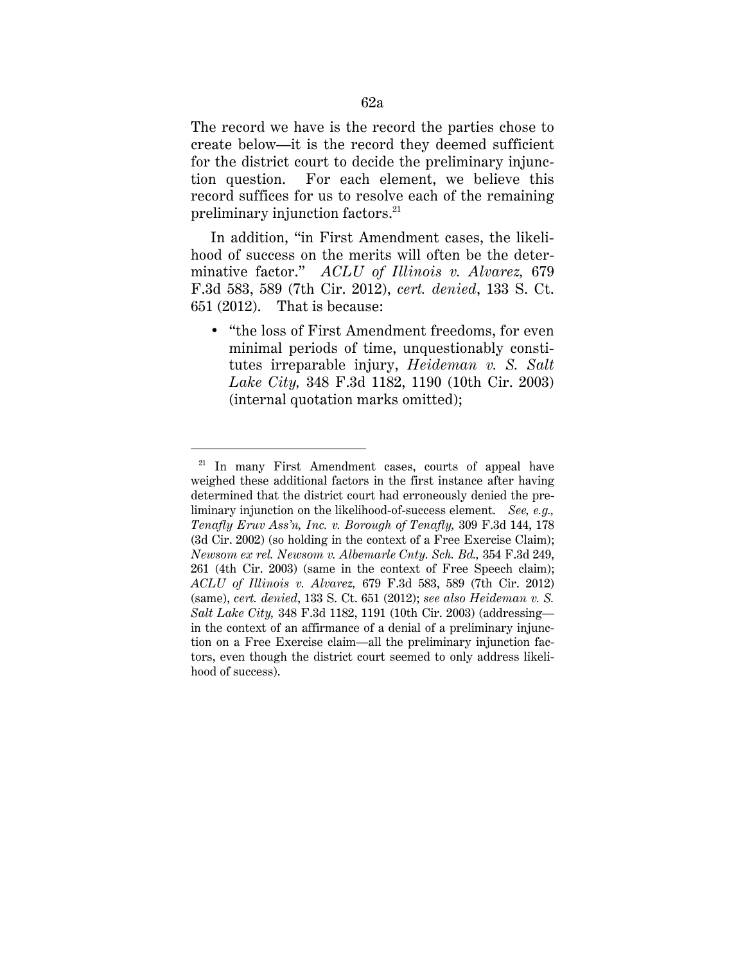The record we have is the record the parties chose to create below—it is the record they deemed sufficient for the district court to decide the preliminary injunction question. For each element, we believe this record suffices for us to resolve each of the remaining preliminary injunction factors.<sup>21</sup>

In addition, "in First Amendment cases, the likelihood of success on the merits will often be the determinative factor." *ACLU of Illinois v. Alvarez,* 679 F.3d 583, 589 (7th Cir. 2012), *cert. denied*, 133 S. Ct. 651 (2012). That is because:

• "the loss of First Amendment freedoms, for even minimal periods of time, unquestionably constitutes irreparable injury, *Heideman v. S. Salt Lake City,* 348 F.3d 1182, 1190 (10th Cir. 2003) (internal quotation marks omitted);

<u>.</u>

 $21$  In many First Amendment cases, courts of appeal have weighed these additional factors in the first instance after having determined that the district court had erroneously denied the preliminary injunction on the likelihood-of-success element. *See, e.g., Tenafly Eruv Ass'n, Inc. v. Borough of Tenafly,* 309 F.3d 144, 178 (3d Cir. 2002) (so holding in the context of a Free Exercise Claim); *Newsom ex rel. Newsom v. Albemarle Cnty. Sch. Bd.,* 354 F.3d 249, 261 (4th Cir. 2003) (same in the context of Free Speech claim); *ACLU of Illinois v. Alvarez,* 679 F.3d 583, 589 (7th Cir. 2012) (same), *cert. denied*, 133 S. Ct. 651 (2012); *see also Heideman v. S. Salt Lake City,* 348 F.3d 1182, 1191 (10th Cir. 2003) (addressing in the context of an affirmance of a denial of a preliminary injunction on a Free Exercise claim—all the preliminary injunction factors, even though the district court seemed to only address likelihood of success).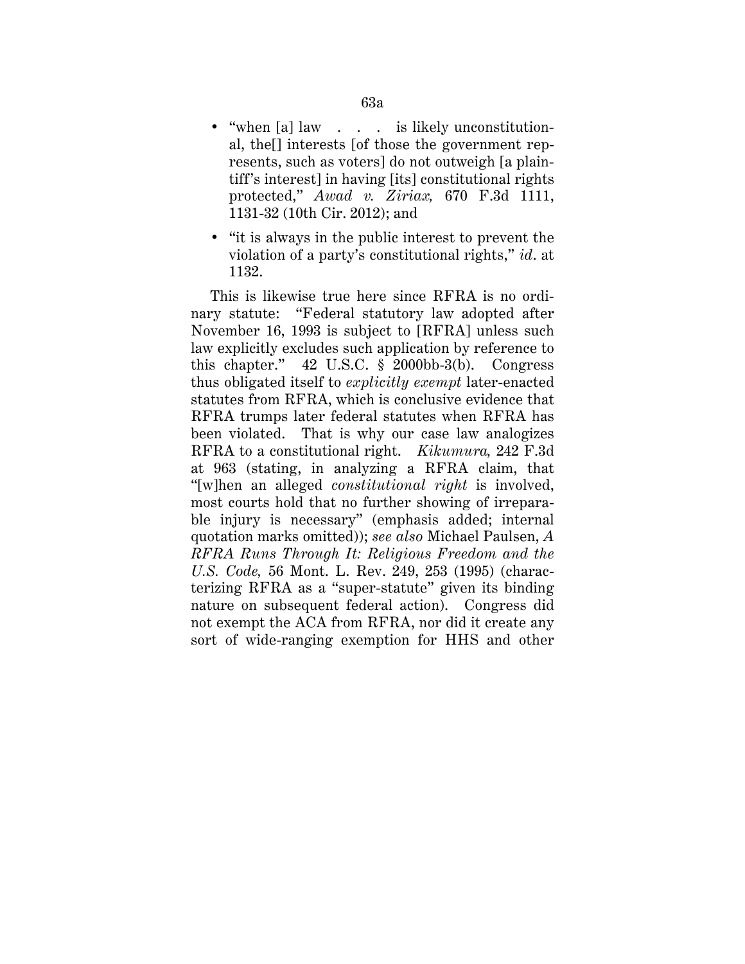- "when [a] law . . . is likely unconstitutional, the[] interests [of those the government represents, such as voters] do not outweigh [a plaintiff's interest] in having [its] constitutional rights protected," *Awad v. Ziriax,* 670 F.3d 1111, 1131-32 (10th Cir. 2012); and
- "it is always in the public interest to prevent the violation of a party's constitutional rights," *id*. at 1132.

This is likewise true here since RFRA is no ordinary statute: "Federal statutory law adopted after November 16, 1993 is subject to [RFRA] unless such law explicitly excludes such application by reference to this chapter." 42 U.S.C. § 2000bb-3(b). Congress thus obligated itself to *explicitly exempt* later-enacted statutes from RFRA, which is conclusive evidence that RFRA trumps later federal statutes when RFRA has been violated. That is why our case law analogizes RFRA to a constitutional right. *Kikumura,* 242 F.3d at 963 (stating, in analyzing a RFRA claim, that "[w]hen an alleged *constitutional right* is involved, most courts hold that no further showing of irreparable injury is necessary" (emphasis added; internal quotation marks omitted)); *see also* Michael Paulsen, *A RFRA Runs Through It: Religious Freedom and the U.S. Code,* 56 Mont. L. Rev. 249, 253 (1995) (characterizing RFRA as a "super-statute" given its binding nature on subsequent federal action). Congress did not exempt the ACA from RFRA, nor did it create any sort of wide-ranging exemption for HHS and other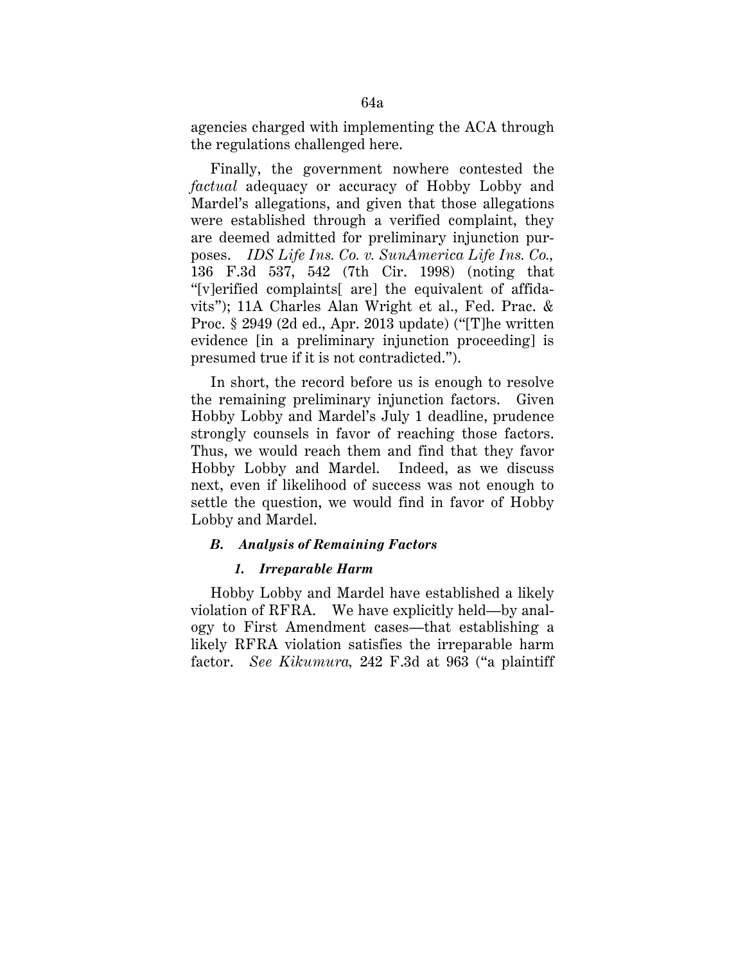agencies charged with implementing the ACA through the regulations challenged here.

Finally, the government nowhere contested the *factual* adequacy or accuracy of Hobby Lobby and Mardel's allegations, and given that those allegations were established through a verified complaint, they are deemed admitted for preliminary injunction purposes. *IDS Life Ins. Co. v. SunAmerica Life Ins. Co.,* 136 F.3d 537, 542 (7th Cir. 1998) (noting that "[v]erified complaints[ are] the equivalent of affidavits"); 11A Charles Alan Wright et al., Fed. Prac. & Proc. § 2949 (2d ed., Apr. 2013 update) ("[T]he written evidence [in a preliminary injunction proceeding] is presumed true if it is not contradicted.").

In short, the record before us is enough to resolve the remaining preliminary injunction factors. Given Hobby Lobby and Mardel's July 1 deadline, prudence strongly counsels in favor of reaching those factors. Thus, we would reach them and find that they favor Hobby Lobby and Mardel. Indeed, as we discuss next, even if likelihood of success was not enough to settle the question, we would find in favor of Hobby Lobby and Mardel.

### *B. Analysis of Remaining Factors*

#### *1. Irreparable Harm*

Hobby Lobby and Mardel have established a likely violation of RFRA. We have explicitly held—by analogy to First Amendment cases—that establishing a likely RFRA violation satisfies the irreparable harm factor. *See Kikumura,* 242 F.3d at 963 ("a plaintiff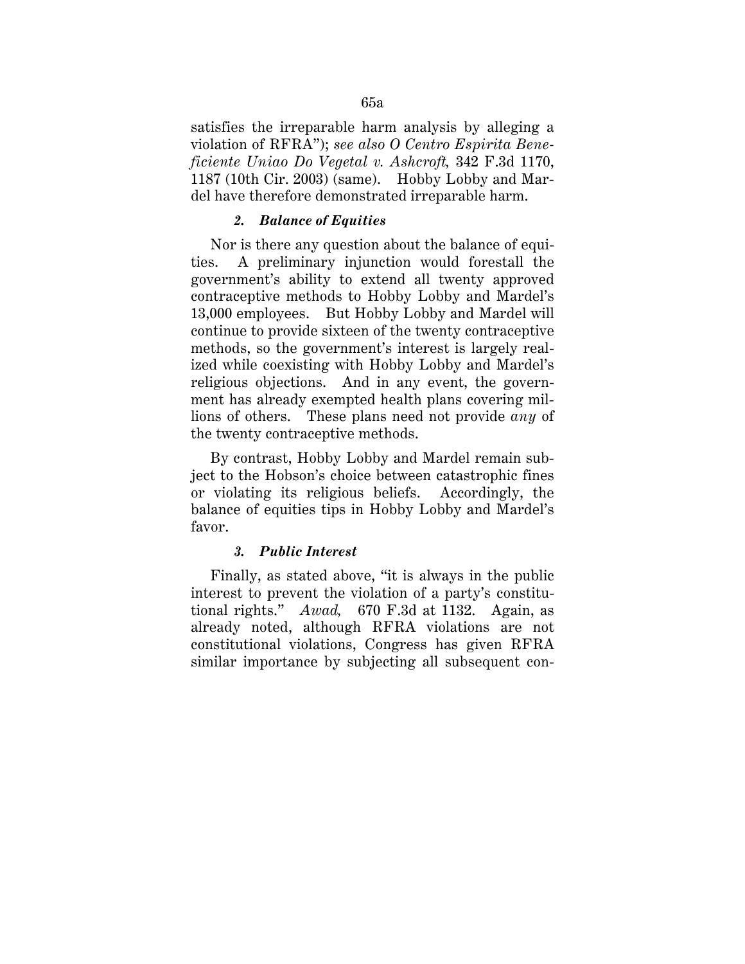satisfies the irreparable harm analysis by alleging a violation of RFRA"); *see also O Centro Espirita Beneficiente Uniao Do Vegetal v. Ashcroft,* 342 F.3d 1170, 1187 (10th Cir. 2003) (same). Hobby Lobby and Mardel have therefore demonstrated irreparable harm.

### *2. Balance of Equities*

Nor is there any question about the balance of equities. A preliminary injunction would forestall the government's ability to extend all twenty approved contraceptive methods to Hobby Lobby and Mardel's 13,000 employees. But Hobby Lobby and Mardel will continue to provide sixteen of the twenty contraceptive methods, so the government's interest is largely realized while coexisting with Hobby Lobby and Mardel's religious objections. And in any event, the government has already exempted health plans covering millions of others. These plans need not provide *any* of the twenty contraceptive methods.

By contrast, Hobby Lobby and Mardel remain subject to the Hobson's choice between catastrophic fines or violating its religious beliefs. Accordingly, the balance of equities tips in Hobby Lobby and Mardel's favor.

#### *3. Public Interest*

Finally, as stated above, "it is always in the public interest to prevent the violation of a party's constitutional rights." *Awad,* 670 F.3d at 1132. Again, as already noted, although RFRA violations are not constitutional violations, Congress has given RFRA similar importance by subjecting all subsequent con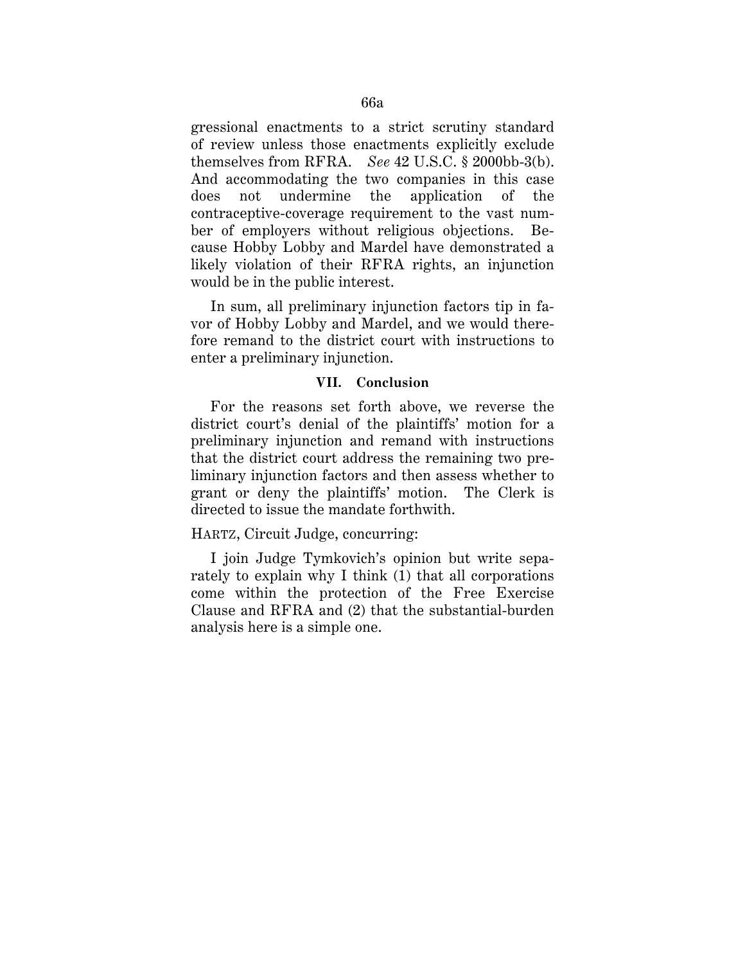gressional enactments to a strict scrutiny standard of review unless those enactments explicitly exclude themselves from RFRA. *See* 42 U.S.C. § 2000bb-3(b). And accommodating the two companies in this case does not undermine the application of the contraceptive-coverage requirement to the vast number of employers without religious objections. Because Hobby Lobby and Mardel have demonstrated a likely violation of their RFRA rights, an injunction would be in the public interest.

In sum, all preliminary injunction factors tip in favor of Hobby Lobby and Mardel, and we would therefore remand to the district court with instructions to enter a preliminary injunction.

#### **VII. Conclusion**

For the reasons set forth above, we reverse the district court's denial of the plaintiffs' motion for a preliminary injunction and remand with instructions that the district court address the remaining two preliminary injunction factors and then assess whether to grant or deny the plaintiffs' motion. The Clerk is directed to issue the mandate forthwith.

#### HARTZ, Circuit Judge, concurring:

I join Judge Tymkovich's opinion but write separately to explain why I think (1) that all corporations come within the protection of the Free Exercise Clause and RFRA and (2) that the substantial-burden analysis here is a simple one.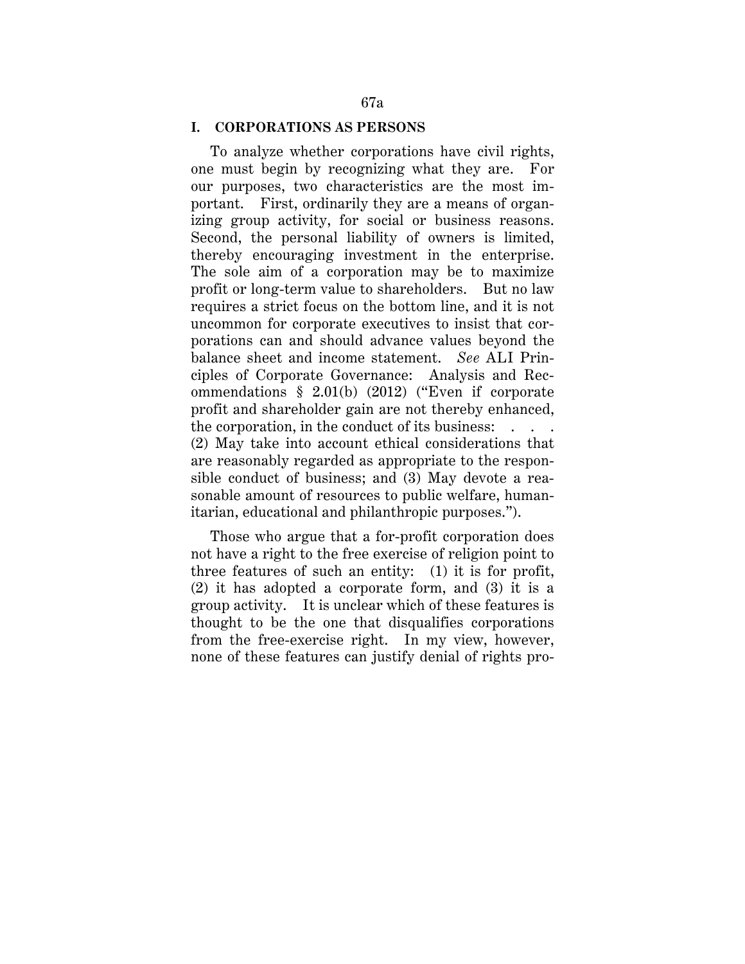#### **I. CORPORATIONS AS PERSONS**

To analyze whether corporations have civil rights, one must begin by recognizing what they are. For our purposes, two characteristics are the most important. First, ordinarily they are a means of organizing group activity, for social or business reasons. Second, the personal liability of owners is limited, thereby encouraging investment in the enterprise. The sole aim of a corporation may be to maximize profit or long-term value to shareholders. But no law requires a strict focus on the bottom line, and it is not uncommon for corporate executives to insist that corporations can and should advance values beyond the balance sheet and income statement. *See* ALI Principles of Corporate Governance: Analysis and Recommendations § 2.01(b) (2012) ("Even if corporate profit and shareholder gain are not thereby enhanced, the corporation, in the conduct of its business:  $\ldots$ . (2) May take into account ethical considerations that are reasonably regarded as appropriate to the responsible conduct of business; and (3) May devote a reasonable amount of resources to public welfare, humanitarian, educational and philanthropic purposes.").

Those who argue that a for-profit corporation does not have a right to the free exercise of religion point to three features of such an entity: (1) it is for profit, (2) it has adopted a corporate form, and (3) it is a group activity. It is unclear which of these features is thought to be the one that disqualifies corporations from the free-exercise right. In my view, however, none of these features can justify denial of rights pro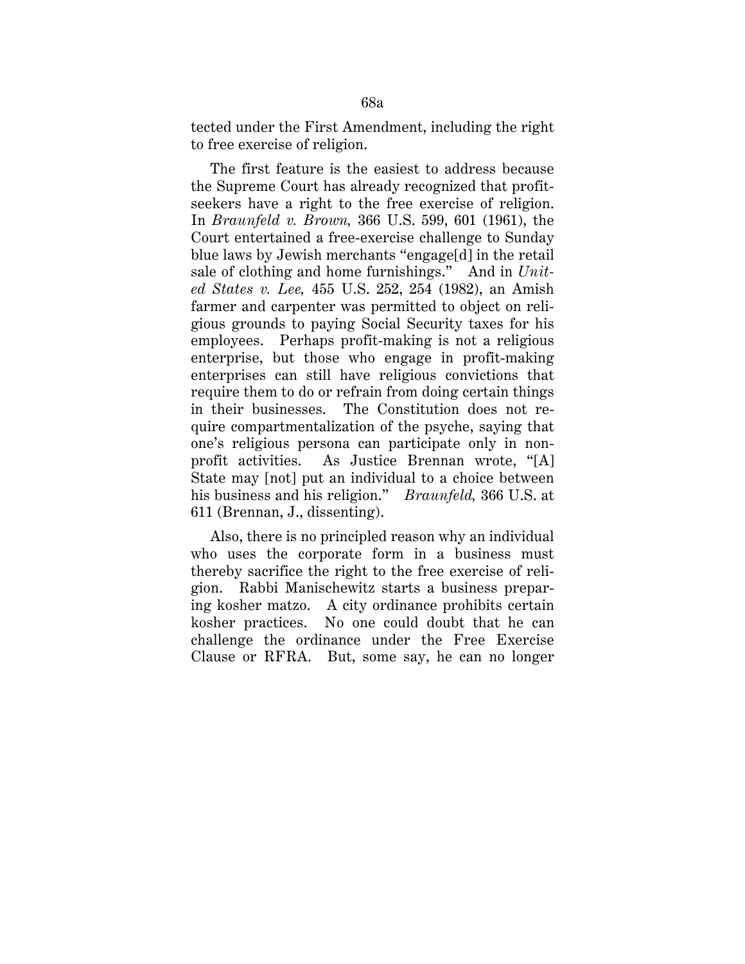tected under the First Amendment, including the right to free exercise of religion.

The first feature is the easiest to address because the Supreme Court has already recognized that profitseekers have a right to the free exercise of religion. In *Braunfeld v. Brown,* 366 U.S. 599, 601 (1961), the Court entertained a free-exercise challenge to Sunday blue laws by Jewish merchants "engage[d] in the retail sale of clothing and home furnishings." And in *United States v. Lee,* 455 U.S. 252, 254 (1982), an Amish farmer and carpenter was permitted to object on religious grounds to paying Social Security taxes for his employees. Perhaps profit-making is not a religious enterprise, but those who engage in profit-making enterprises can still have religious convictions that require them to do or refrain from doing certain things in their businesses. The Constitution does not require compartmentalization of the psyche, saying that one's religious persona can participate only in nonprofit activities. As Justice Brennan wrote, "[A] State may [not] put an individual to a choice between his business and his religion." *Braunfeld,* 366 U.S. at 611 (Brennan, J., dissenting).

Also, there is no principled reason why an individual who uses the corporate form in a business must thereby sacrifice the right to the free exercise of religion. Rabbi Manischewitz starts a business preparing kosher matzo. A city ordinance prohibits certain kosher practices. No one could doubt that he can challenge the ordinance under the Free Exercise Clause or RFRA. But, some say, he can no longer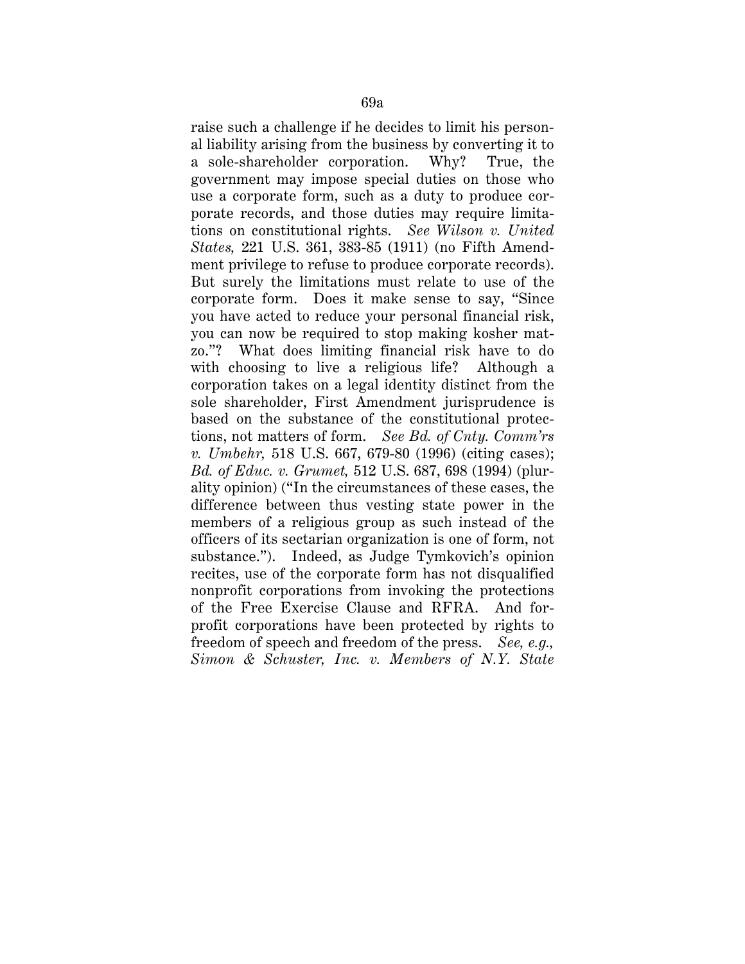raise such a challenge if he decides to limit his personal liability arising from the business by converting it to a sole-shareholder corporation. Why? True, the government may impose special duties on those who use a corporate form, such as a duty to produce corporate records, and those duties may require limitations on constitutional rights. *See Wilson v. United States,* 221 U.S. 361, 383-85 (1911) (no Fifth Amendment privilege to refuse to produce corporate records). But surely the limitations must relate to use of the corporate form. Does it make sense to say, "Since you have acted to reduce your personal financial risk, you can now be required to stop making kosher matzo."? What does limiting financial risk have to do with choosing to live a religious life? Although a corporation takes on a legal identity distinct from the sole shareholder, First Amendment jurisprudence is based on the substance of the constitutional protections, not matters of form. *See Bd. of Cnty. Comm'rs v. Umbehr,* 518 U.S. 667, 679-80 (1996) (citing cases); *Bd. of Educ. v. Grumet,* 512 U.S. 687, 698 (1994) (plurality opinion) ("In the circumstances of these cases, the difference between thus vesting state power in the members of a religious group as such instead of the officers of its sectarian organization is one of form, not substance."). Indeed, as Judge Tymkovich's opinion recites, use of the corporate form has not disqualified nonprofit corporations from invoking the protections of the Free Exercise Clause and RFRA. And forprofit corporations have been protected by rights to freedom of speech and freedom of the press. *See, e.g., Simon & Schuster, Inc. v. Members of N.Y. State*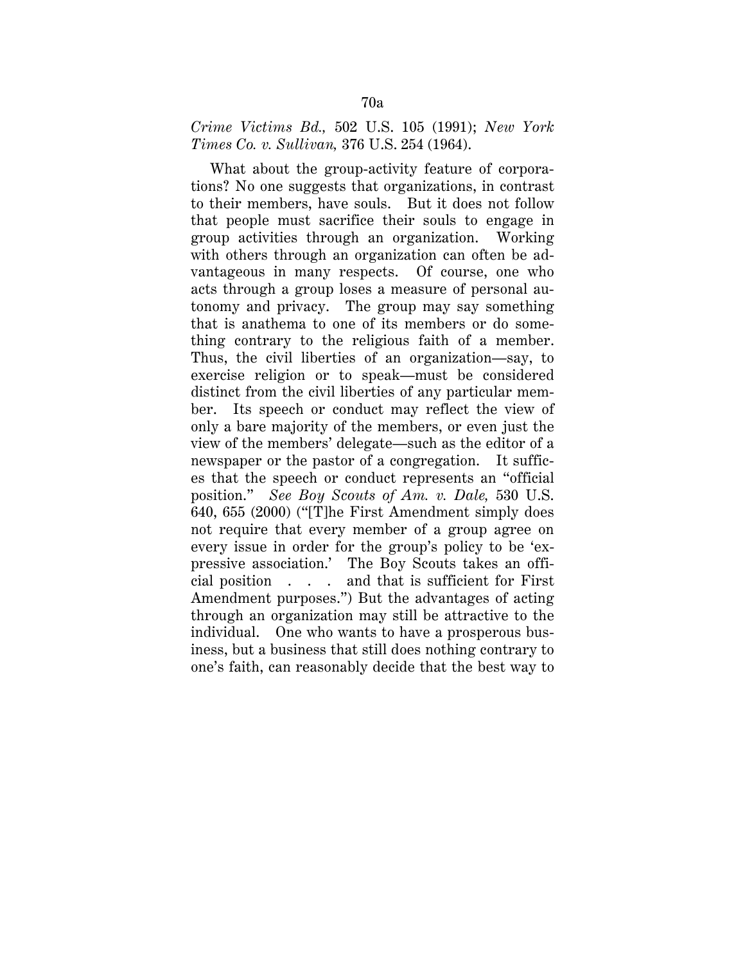*Crime Victims Bd.,* 502 U.S. 105 (1991); *New York Times Co. v. Sullivan,* 376 U.S. 254 (1964).

What about the group-activity feature of corporations? No one suggests that organizations, in contrast to their members, have souls. But it does not follow that people must sacrifice their souls to engage in group activities through an organization. Working with others through an organization can often be advantageous in many respects. Of course, one who acts through a group loses a measure of personal autonomy and privacy. The group may say something that is anathema to one of its members or do something contrary to the religious faith of a member. Thus, the civil liberties of an organization—say, to exercise religion or to speak—must be considered distinct from the civil liberties of any particular member. Its speech or conduct may reflect the view of only a bare majority of the members, or even just the view of the members' delegate—such as the editor of a newspaper or the pastor of a congregation. It suffices that the speech or conduct represents an "official position." *See Boy Scouts of Am. v. Dale,* 530 U.S. 640, 655 (2000) ("[T]he First Amendment simply does not require that every member of a group agree on every issue in order for the group's policy to be 'expressive association.' The Boy Scouts takes an official position . . . and that is sufficient for First Amendment purposes.") But the advantages of acting through an organization may still be attractive to the individual. One who wants to have a prosperous business, but a business that still does nothing contrary to one's faith, can reasonably decide that the best way to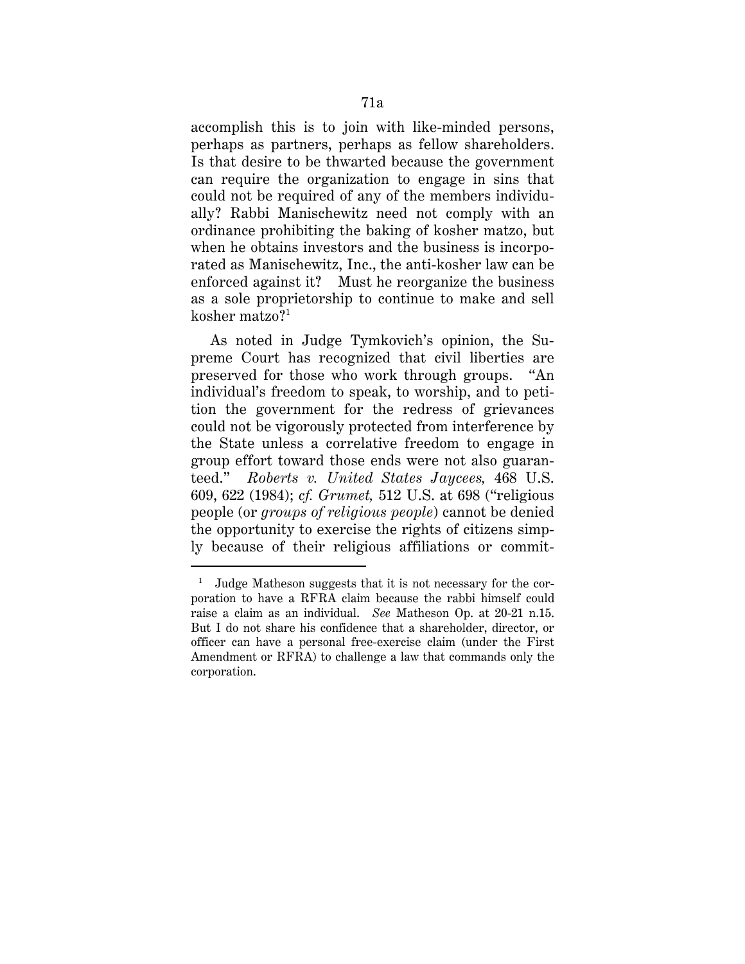accomplish this is to join with like-minded persons, perhaps as partners, perhaps as fellow shareholders. Is that desire to be thwarted because the government can require the organization to engage in sins that could not be required of any of the members individually? Rabbi Manischewitz need not comply with an ordinance prohibiting the baking of kosher matzo, but when he obtains investors and the business is incorporated as Manischewitz, Inc., the anti-kosher law can be enforced against it? Must he reorganize the business as a sole proprietorship to continue to make and sell kosher matzo? $^{\rm 1}$ 

As noted in Judge Tymkovich's opinion, the Supreme Court has recognized that civil liberties are preserved for those who work through groups. "An individual's freedom to speak, to worship, and to petition the government for the redress of grievances could not be vigorously protected from interference by the State unless a correlative freedom to engage in group effort toward those ends were not also guaranteed." *Roberts v. United States Jaycees,* 468 U.S. 609, 622 (1984); *cf. Grumet,* 512 U.S. at 698 ("religious people (or *groups of religious people*) cannot be denied the opportunity to exercise the rights of citizens simply because of their religious affiliations or commit-

<u>.</u>

<sup>1</sup> Judge Matheson suggests that it is not necessary for the corporation to have a RFRA claim because the rabbi himself could raise a claim as an individual. *See* Matheson Op. at 20-21 n.15. But I do not share his confidence that a shareholder, director, or officer can have a personal free-exercise claim (under the First Amendment or RFRA) to challenge a law that commands only the corporation.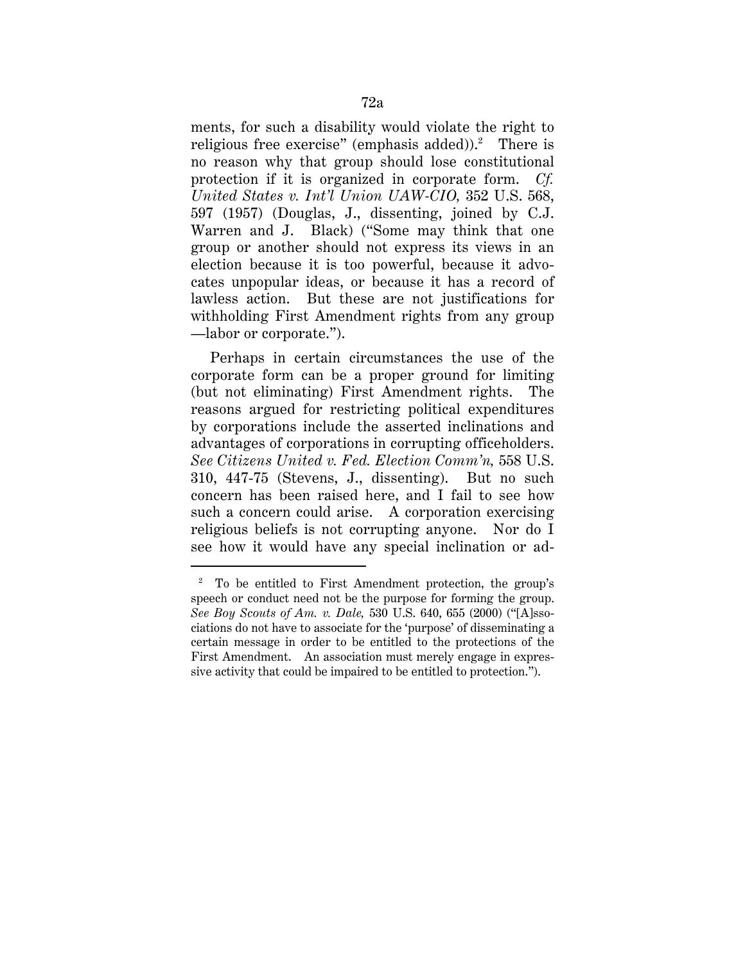ments, for such a disability would violate the right to religious free exercise" (emphasis added)).<sup>2</sup> There is no reason why that group should lose constitutional protection if it is organized in corporate form. *Cf. United States v. Int'l Union UAW-CIO,* 352 U.S. 568, 597 (1957) (Douglas, J., dissenting, joined by C.J. Warren and J. Black) ("Some may think that one group or another should not express its views in an election because it is too powerful, because it advocates unpopular ideas, or because it has a record of lawless action. But these are not justifications for withholding First Amendment rights from any group —labor or corporate.").

Perhaps in certain circumstances the use of the corporate form can be a proper ground for limiting (but not eliminating) First Amendment rights. The reasons argued for restricting political expenditures by corporations include the asserted inclinations and advantages of corporations in corrupting officeholders. *See Citizens United v. Fed. Election Comm'n,* 558 U.S. 310, 447-75 (Stevens, J., dissenting). But no such concern has been raised here, and I fail to see how such a concern could arise. A corporation exercising religious beliefs is not corrupting anyone. Nor do I see how it would have any special inclination or ad-

<u>.</u>

<sup>&</sup>lt;sup>2</sup> To be entitled to First Amendment protection, the group's speech or conduct need not be the purpose for forming the group. *See Boy Scouts of Am. v. Dale,* 530 U.S. 640, 655 (2000) ("[A]ssociations do not have to associate for the 'purpose' of disseminating a certain message in order to be entitled to the protections of the First Amendment. An association must merely engage in expressive activity that could be impaired to be entitled to protection.").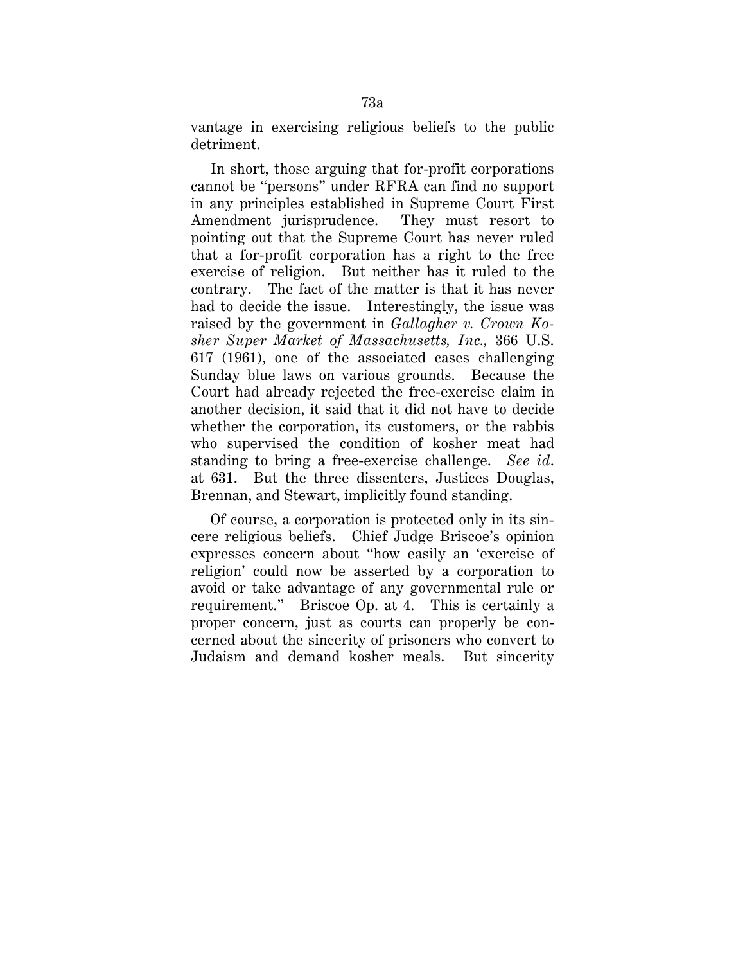vantage in exercising religious beliefs to the public detriment.

In short, those arguing that for-profit corporations cannot be "persons" under RFRA can find no support in any principles established in Supreme Court First Amendment jurisprudence. They must resort to pointing out that the Supreme Court has never ruled that a for-profit corporation has a right to the free exercise of religion. But neither has it ruled to the contrary. The fact of the matter is that it has never had to decide the issue. Interestingly, the issue was raised by the government in *Gallagher v. Crown Kosher Super Market of Massachusetts, Inc.,* 366 U.S. 617 (1961), one of the associated cases challenging Sunday blue laws on various grounds. Because the Court had already rejected the free-exercise claim in another decision, it said that it did not have to decide whether the corporation, its customers, or the rabbis who supervised the condition of kosher meat had standing to bring a free-exercise challenge. *See id*. at 631. But the three dissenters, Justices Douglas, Brennan, and Stewart, implicitly found standing.

Of course, a corporation is protected only in its sincere religious beliefs. Chief Judge Briscoe's opinion expresses concern about "how easily an 'exercise of religion' could now be asserted by a corporation to avoid or take advantage of any governmental rule or requirement." Briscoe Op. at 4. This is certainly a proper concern, just as courts can properly be concerned about the sincerity of prisoners who convert to Judaism and demand kosher meals. But sincerity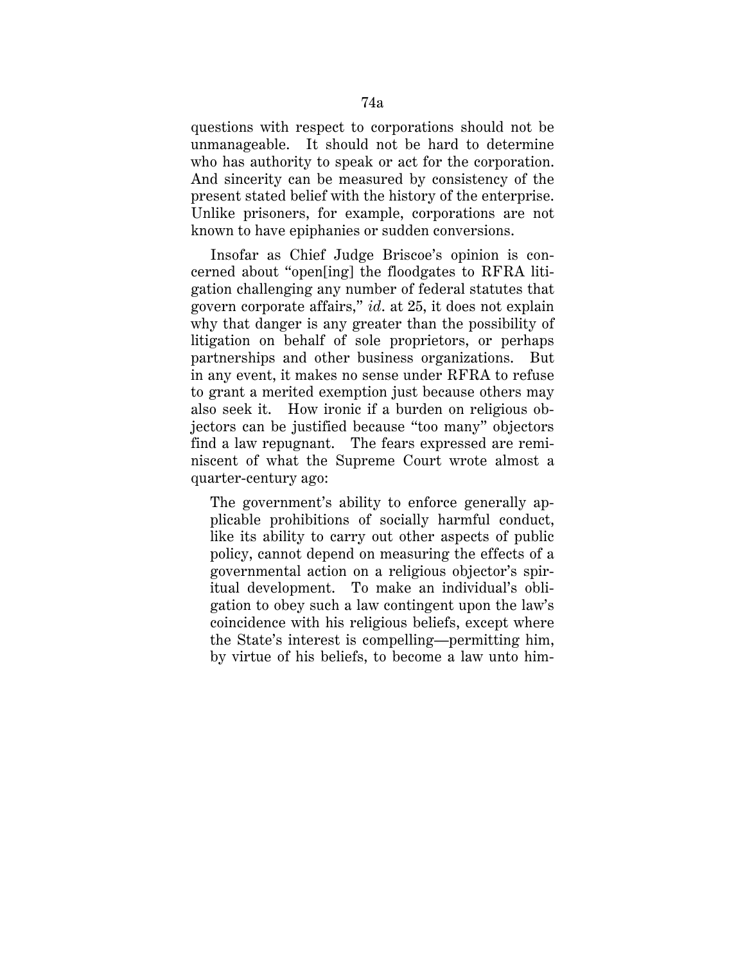questions with respect to corporations should not be unmanageable. It should not be hard to determine who has authority to speak or act for the corporation. And sincerity can be measured by consistency of the present stated belief with the history of the enterprise. Unlike prisoners, for example, corporations are not known to have epiphanies or sudden conversions.

Insofar as Chief Judge Briscoe's opinion is concerned about "open[ing] the floodgates to RFRA litigation challenging any number of federal statutes that govern corporate affairs," *id*. at 25, it does not explain why that danger is any greater than the possibility of litigation on behalf of sole proprietors, or perhaps partnerships and other business organizations. But in any event, it makes no sense under RFRA to refuse to grant a merited exemption just because others may also seek it. How ironic if a burden on religious objectors can be justified because "too many" objectors find a law repugnant. The fears expressed are reminiscent of what the Supreme Court wrote almost a quarter-century ago:

The government's ability to enforce generally applicable prohibitions of socially harmful conduct, like its ability to carry out other aspects of public policy, cannot depend on measuring the effects of a governmental action on a religious objector's spiritual development. To make an individual's obligation to obey such a law contingent upon the law's coincidence with his religious beliefs, except where the State's interest is compelling—permitting him, by virtue of his beliefs, to become a law unto him-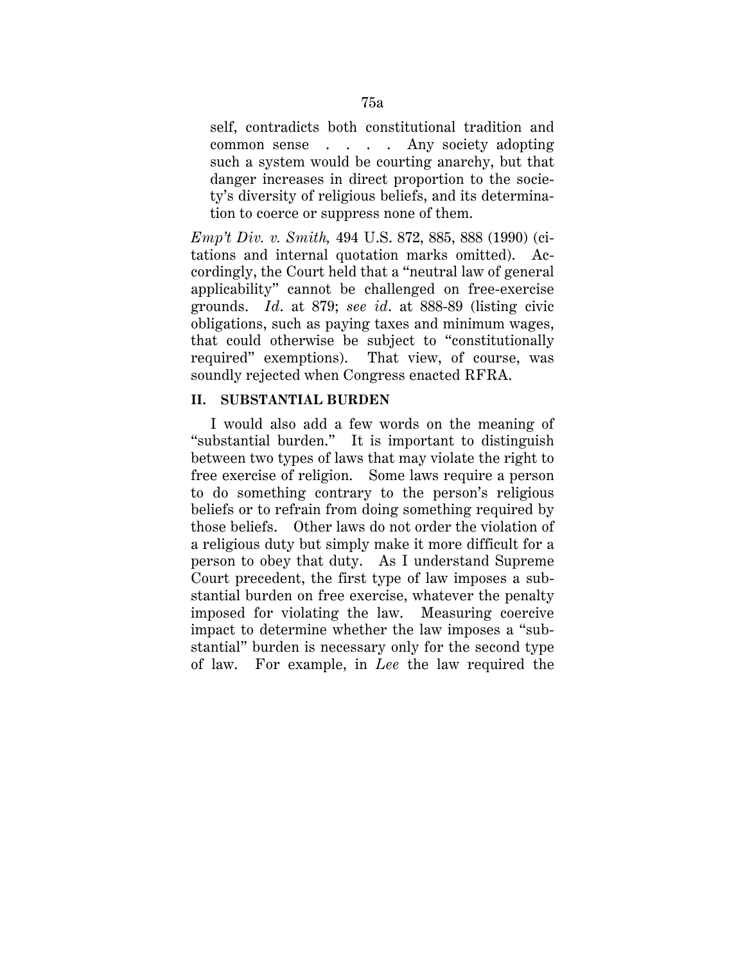self, contradicts both constitutional tradition and common sense . . . . Any society adopting such a system would be courting anarchy, but that danger increases in direct proportion to the society's diversity of religious beliefs, and its determination to coerce or suppress none of them.

*Emp't Div. v. Smith,* 494 U.S. 872, 885, 888 (1990) (citations and internal quotation marks omitted). Accordingly, the Court held that a "neutral law of general applicability" cannot be challenged on free-exercise grounds. *Id*. at 879; *see id*. at 888-89 (listing civic obligations, such as paying taxes and minimum wages, that could otherwise be subject to "constitutionally required" exemptions). That view, of course, was soundly rejected when Congress enacted RFRA.

### **II. SUBSTANTIAL BURDEN**

I would also add a few words on the meaning of "substantial burden." It is important to distinguish between two types of laws that may violate the right to free exercise of religion. Some laws require a person to do something contrary to the person's religious beliefs or to refrain from doing something required by those beliefs. Other laws do not order the violation of a religious duty but simply make it more difficult for a person to obey that duty. As I understand Supreme Court precedent, the first type of law imposes a substantial burden on free exercise, whatever the penalty imposed for violating the law. Measuring coercive impact to determine whether the law imposes a "substantial" burden is necessary only for the second type of law. For example, in *Lee* the law required the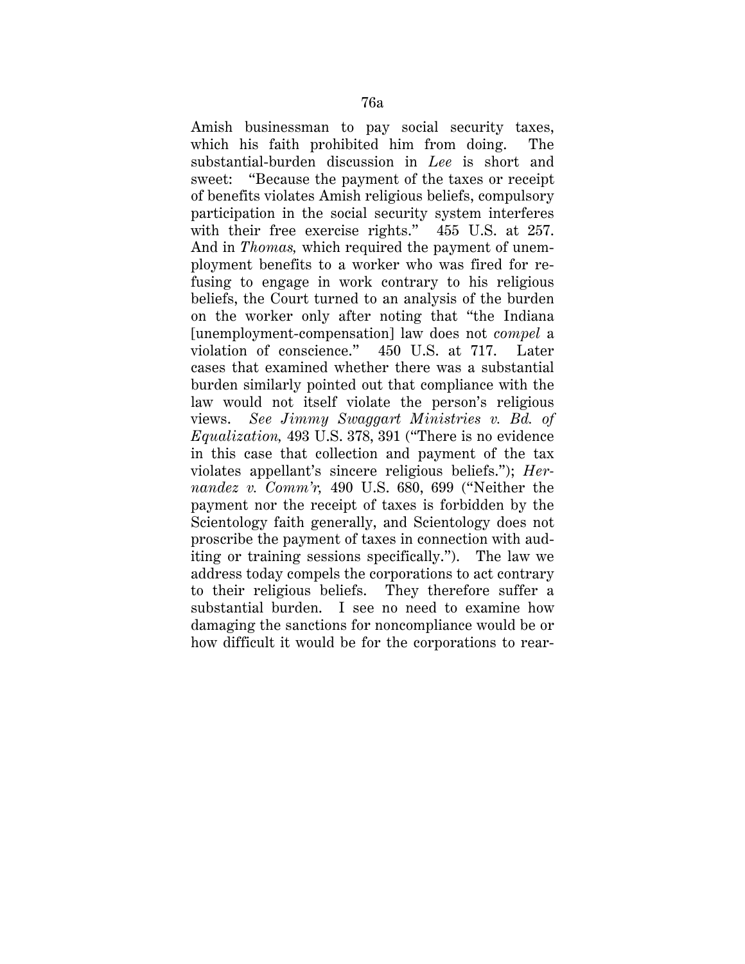Amish businessman to pay social security taxes, which his faith prohibited him from doing. The substantial-burden discussion in *Lee* is short and sweet: "Because the payment of the taxes or receipt of benefits violates Amish religious beliefs, compulsory participation in the social security system interferes with their free exercise rights." 455 U.S. at 257. And in *Thomas,* which required the payment of unemployment benefits to a worker who was fired for refusing to engage in work contrary to his religious beliefs, the Court turned to an analysis of the burden on the worker only after noting that "the Indiana [unemployment-compensation] law does not *compel* a violation of conscience." 450 U.S. at 717. Later cases that examined whether there was a substantial burden similarly pointed out that compliance with the law would not itself violate the person's religious views. *See Jimmy Swaggart Ministries v. Bd. of Equalization,* 493 U.S. 378, 391 ("There is no evidence in this case that collection and payment of the tax violates appellant's sincere religious beliefs."); *Hernandez v. Comm'r,* 490 U.S. 680, 699 ("Neither the payment nor the receipt of taxes is forbidden by the Scientology faith generally, and Scientology does not proscribe the payment of taxes in connection with auditing or training sessions specifically."). The law we address today compels the corporations to act contrary to their religious beliefs. They therefore suffer a substantial burden. I see no need to examine how damaging the sanctions for noncompliance would be or how difficult it would be for the corporations to rear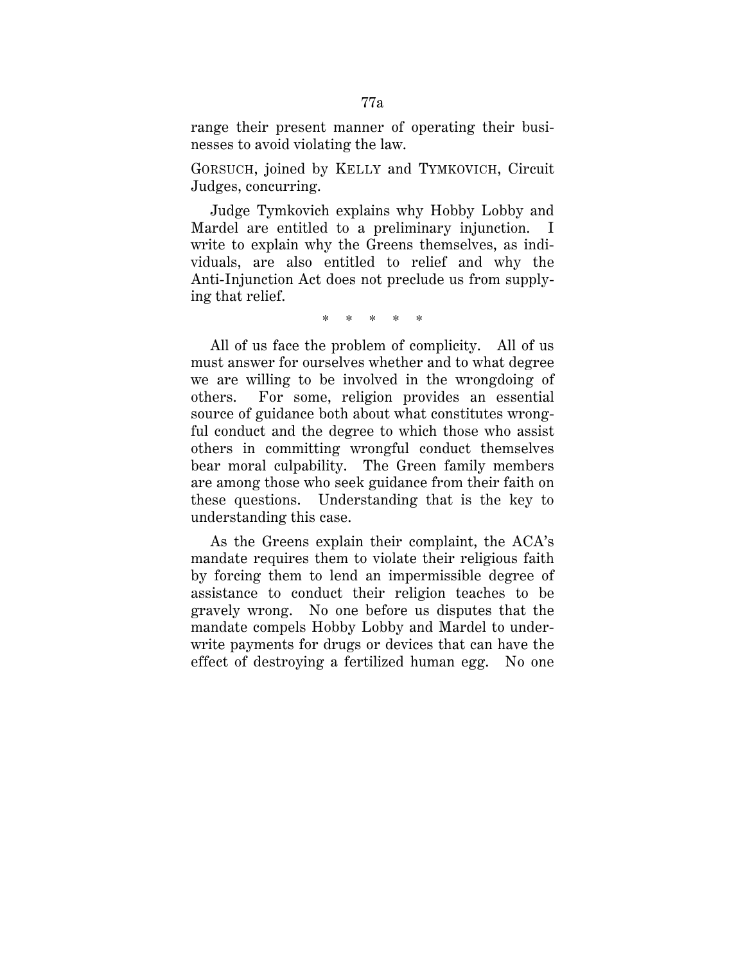range their present manner of operating their businesses to avoid violating the law.

GORSUCH, joined by KELLY and TYMKOVICH, Circuit Judges, concurring.

Judge Tymkovich explains why Hobby Lobby and Mardel are entitled to a preliminary injunction. I write to explain why the Greens themselves, as individuals, are also entitled to relief and why the Anti-Injunction Act does not preclude us from supplying that relief.

\* \* \* \* \*

All of us face the problem of complicity. All of us must answer for ourselves whether and to what degree we are willing to be involved in the wrongdoing of others. For some, religion provides an essential source of guidance both about what constitutes wrongful conduct and the degree to which those who assist others in committing wrongful conduct themselves bear moral culpability. The Green family members are among those who seek guidance from their faith on these questions. Understanding that is the key to understanding this case.

As the Greens explain their complaint, the ACA's mandate requires them to violate their religious faith by forcing them to lend an impermissible degree of assistance to conduct their religion teaches to be gravely wrong. No one before us disputes that the mandate compels Hobby Lobby and Mardel to underwrite payments for drugs or devices that can have the effect of destroying a fertilized human egg. No one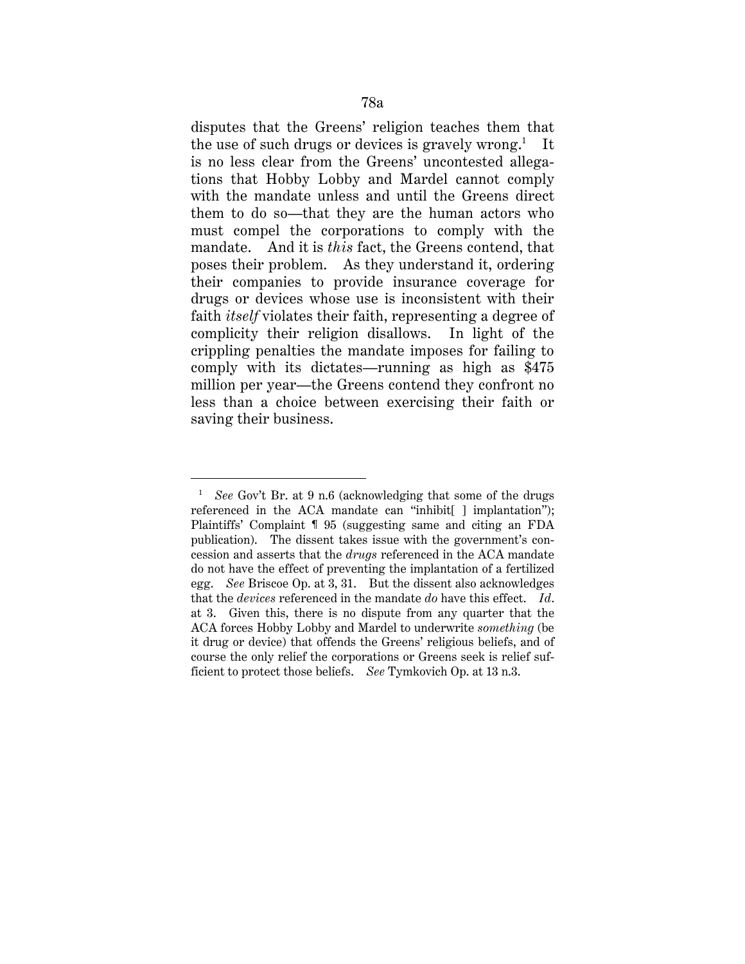disputes that the Greens' religion teaches them that the use of such drugs or devices is gravely wrong.<sup>1</sup> It is no less clear from the Greens' uncontested allegations that Hobby Lobby and Mardel cannot comply with the mandate unless and until the Greens direct them to do so—that they are the human actors who must compel the corporations to comply with the mandate. And it is *this* fact, the Greens contend, that poses their problem. As they understand it, ordering their companies to provide insurance coverage for drugs or devices whose use is inconsistent with their faith *itself* violates their faith, representing a degree of complicity their religion disallows. In light of the crippling penalties the mandate imposes for failing to comply with its dictates—running as high as \$475 million per year—the Greens contend they confront no less than a choice between exercising their faith or saving their business.

<u>.</u>

<sup>1</sup> *See* Gov't Br. at 9 n.6 (acknowledging that some of the drugs referenced in the ACA mandate can "inhibit $\lceil$  implantation"); Plaintiffs' Complaint ¶ 95 (suggesting same and citing an FDA publication). The dissent takes issue with the government's concession and asserts that the *drugs* referenced in the ACA mandate do not have the effect of preventing the implantation of a fertilized egg. *See* Briscoe Op. at 3, 31. But the dissent also acknowledges that the *devices* referenced in the mandate *do* have this effect. *Id*. at 3. Given this, there is no dispute from any quarter that the ACA forces Hobby Lobby and Mardel to underwrite *something* (be it drug or device) that offends the Greens' religious beliefs, and of course the only relief the corporations or Greens seek is relief sufficient to protect those beliefs. *See* Tymkovich Op. at 13 n.3.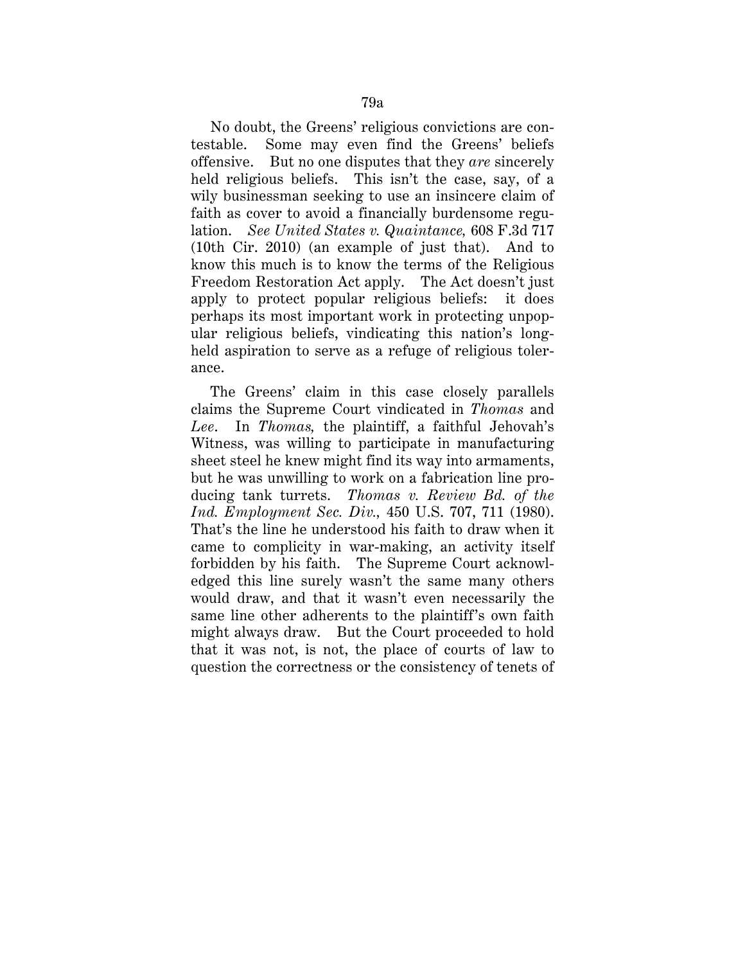No doubt, the Greens' religious convictions are contestable. Some may even find the Greens' beliefs offensive. But no one disputes that they *are* sincerely held religious beliefs. This isn't the case, say, of a wily businessman seeking to use an insincere claim of faith as cover to avoid a financially burdensome regulation. *See United States v. Quaintance,* 608 F.3d 717 (10th Cir. 2010) (an example of just that). And to know this much is to know the terms of the Religious Freedom Restoration Act apply. The Act doesn't just apply to protect popular religious beliefs: it does perhaps its most important work in protecting unpopular religious beliefs, vindicating this nation's longheld aspiration to serve as a refuge of religious tolerance.

The Greens' claim in this case closely parallels claims the Supreme Court vindicated in *Thomas* and *Lee*. In *Thomas,* the plaintiff, a faithful Jehovah's Witness, was willing to participate in manufacturing sheet steel he knew might find its way into armaments, but he was unwilling to work on a fabrication line producing tank turrets. *Thomas v. Review Bd. of the Ind. Employment Sec. Div.,* 450 U.S. 707, 711 (1980). That's the line he understood his faith to draw when it came to complicity in war-making, an activity itself forbidden by his faith. The Supreme Court acknowledged this line surely wasn't the same many others would draw, and that it wasn't even necessarily the same line other adherents to the plaintiff's own faith might always draw. But the Court proceeded to hold that it was not, is not, the place of courts of law to question the correctness or the consistency of tenets of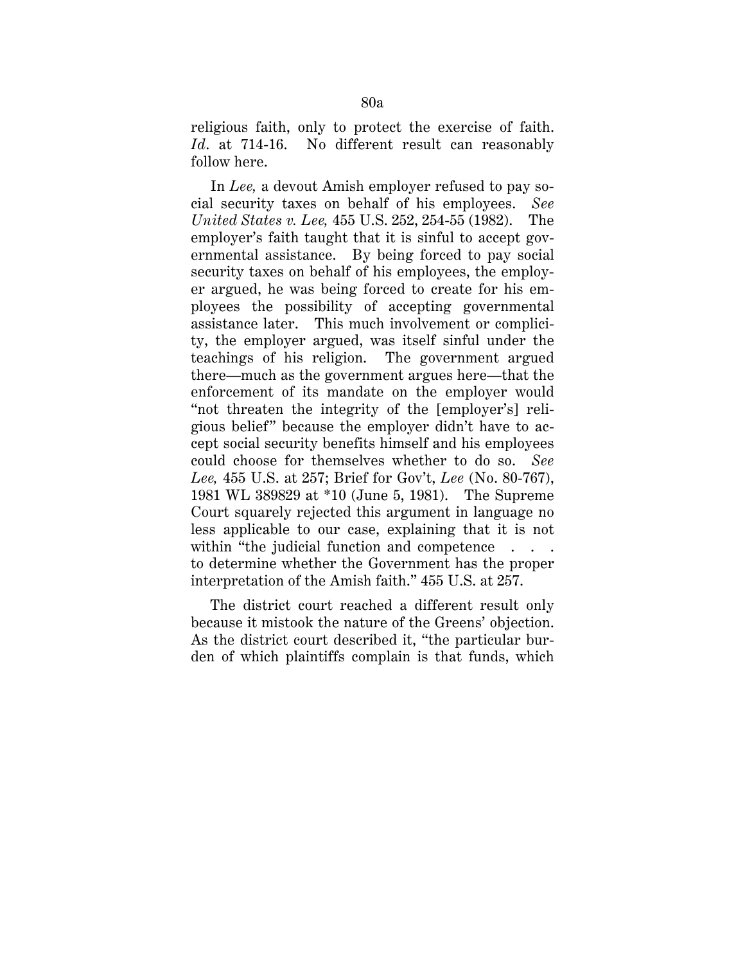religious faith, only to protect the exercise of faith. *Id.* at 714-16. No different result can reasonably follow here.

In *Lee,* a devout Amish employer refused to pay social security taxes on behalf of his employees. *See United States v. Lee,* 455 U.S. 252, 254-55 (1982). The employer's faith taught that it is sinful to accept governmental assistance. By being forced to pay social security taxes on behalf of his employees, the employer argued, he was being forced to create for his employees the possibility of accepting governmental assistance later. This much involvement or complicity, the employer argued, was itself sinful under the teachings of his religion. The government argued there—much as the government argues here—that the enforcement of its mandate on the employer would "not threaten the integrity of the [employer's] religious belief" because the employer didn't have to accept social security benefits himself and his employees could choose for themselves whether to do so. *See Lee,* 455 U.S. at 257; Brief for Gov't, *Lee* (No. 80-767), 1981 WL 389829 at \*10 (June 5, 1981). The Supreme Court squarely rejected this argument in language no less applicable to our case, explaining that it is not within "the judicial function and competence . . . to determine whether the Government has the proper interpretation of the Amish faith." 455 U.S. at 257.

The district court reached a different result only because it mistook the nature of the Greens' objection. As the district court described it, "the particular burden of which plaintiffs complain is that funds, which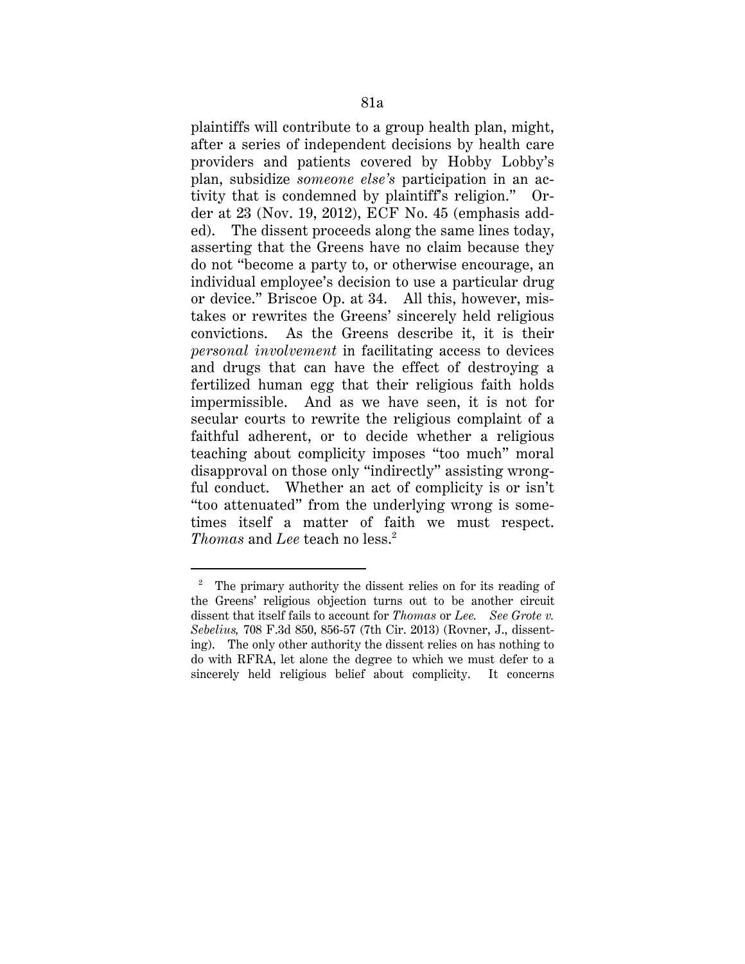plaintiffs will contribute to a group health plan, might, after a series of independent decisions by health care providers and patients covered by Hobby Lobby's plan, subsidize *someone else's* participation in an activity that is condemned by plaintiff's religion." Order at 23 (Nov. 19, 2012), ECF No. 45 (emphasis added). The dissent proceeds along the same lines today, asserting that the Greens have no claim because they do not "become a party to, or otherwise encourage, an individual employee's decision to use a particular drug or device." Briscoe Op. at 34. All this, however, mistakes or rewrites the Greens' sincerely held religious convictions. As the Greens describe it, it is their *personal involvement* in facilitating access to devices and drugs that can have the effect of destroying a fertilized human egg that their religious faith holds impermissible. And as we have seen, it is not for secular courts to rewrite the religious complaint of a faithful adherent, or to decide whether a religious teaching about complicity imposes "too much" moral disapproval on those only "indirectly" assisting wrongful conduct. Whether an act of complicity is or isn't "too attenuated" from the underlying wrong is sometimes itself a matter of faith we must respect. *Thomas* and *Lee* teach no less.2

<u>.</u>

<sup>2</sup> The primary authority the dissent relies on for its reading of the Greens' religious objection turns out to be another circuit dissent that itself fails to account for *Thomas* or *Lee. See Grote v. Sebelius,* 708 F.3d 850, 856-57 (7th Cir. 2013) (Rovner, J., dissenting). The only other authority the dissent relies on has nothing to do with RFRA, let alone the degree to which we must defer to a sincerely held religious belief about complicity. It concerns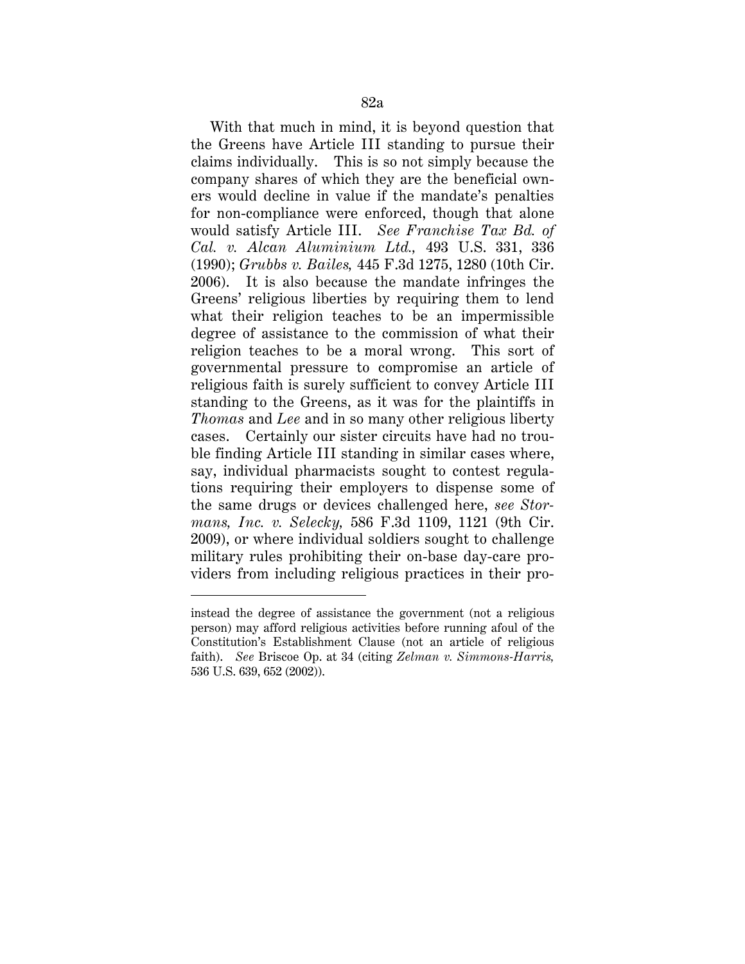With that much in mind, it is beyond question that the Greens have Article III standing to pursue their claims individually. This is so not simply because the company shares of which they are the beneficial owners would decline in value if the mandate's penalties for non-compliance were enforced, though that alone would satisfy Article III. *See Franchise Tax Bd. of Cal. v. Alcan Aluminium Ltd.,* 493 U.S. 331, 336 (1990); *Grubbs v. Bailes,* 445 F.3d 1275, 1280 (10th Cir. 2006). It is also because the mandate infringes the Greens' religious liberties by requiring them to lend what their religion teaches to be an impermissible degree of assistance to the commission of what their religion teaches to be a moral wrong. This sort of governmental pressure to compromise an article of religious faith is surely sufficient to convey Article III standing to the Greens, as it was for the plaintiffs in *Thomas* and *Lee* and in so many other religious liberty cases. Certainly our sister circuits have had no trouble finding Article III standing in similar cases where, say, individual pharmacists sought to contest regulations requiring their employers to dispense some of the same drugs or devices challenged here, *see Stormans, Inc. v. Selecky,* 586 F.3d 1109, 1121 (9th Cir. 2009), or where individual soldiers sought to challenge military rules prohibiting their on-base day-care providers from including religious practices in their pro-

<u>.</u>

instead the degree of assistance the government (not a religious person) may afford religious activities before running afoul of the Constitution's Establishment Clause (not an article of religious faith). *See* Briscoe Op. at 34 (citing *Zelman v. Simmons-Harris,* 536 U.S. 639, 652 (2002)).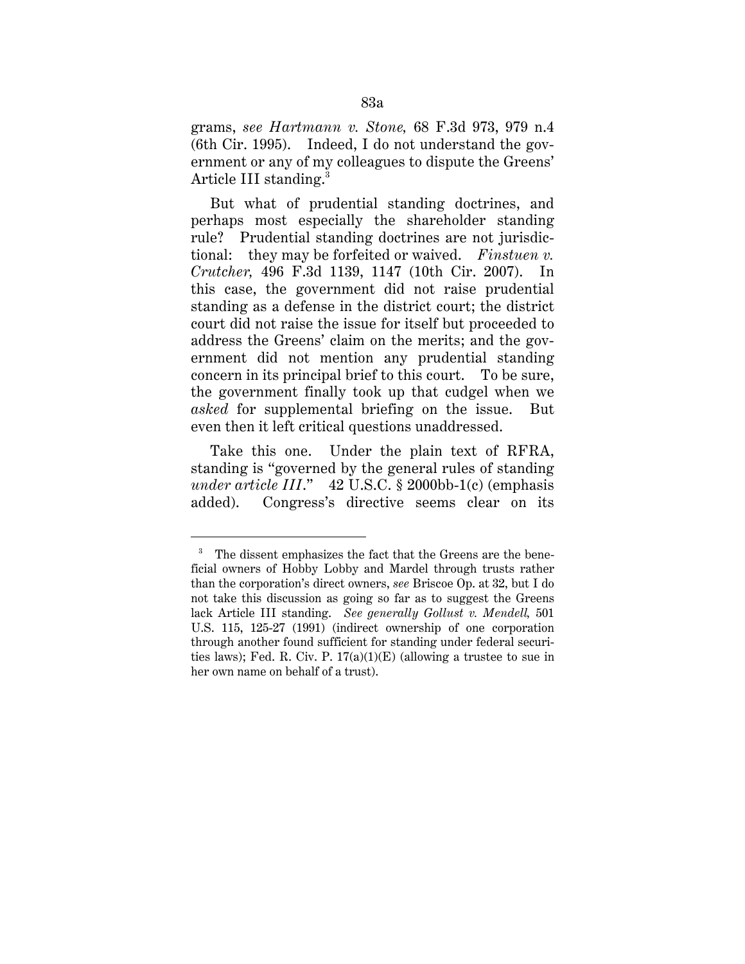grams, *see Hartmann v. Stone,* 68 F.3d 973, 979 n.4 (6th Cir. 1995). Indeed, I do not understand the government or any of my colleagues to dispute the Greens' Article III standing.<sup>3</sup>

But what of prudential standing doctrines, and perhaps most especially the shareholder standing rule? Prudential standing doctrines are not jurisdictional: they may be forfeited or waived. *Finstuen v. Crutcher,* 496 F.3d 1139, 1147 (10th Cir. 2007). In this case, the government did not raise prudential standing as a defense in the district court; the district court did not raise the issue for itself but proceeded to address the Greens' claim on the merits; and the government did not mention any prudential standing concern in its principal brief to this court. To be sure, the government finally took up that cudgel when we *asked* for supplemental briefing on the issue. But even then it left critical questions unaddressed.

Take this one. Under the plain text of RFRA, standing is "governed by the general rules of standing *under article III*." 42 U.S.C. § 2000bb-1(c) (emphasis added). Congress's directive seems clear on its

-

<sup>3</sup> The dissent emphasizes the fact that the Greens are the beneficial owners of Hobby Lobby and Mardel through trusts rather than the corporation's direct owners, *see* Briscoe Op. at 32, but I do not take this discussion as going so far as to suggest the Greens lack Article III standing. *See generally Gollust v. Mendell,* 501 U.S. 115, 125-27 (1991) (indirect ownership of one corporation through another found sufficient for standing under federal securities laws); Fed. R. Civ. P.  $17(a)(1)(E)$  (allowing a trustee to sue in her own name on behalf of a trust).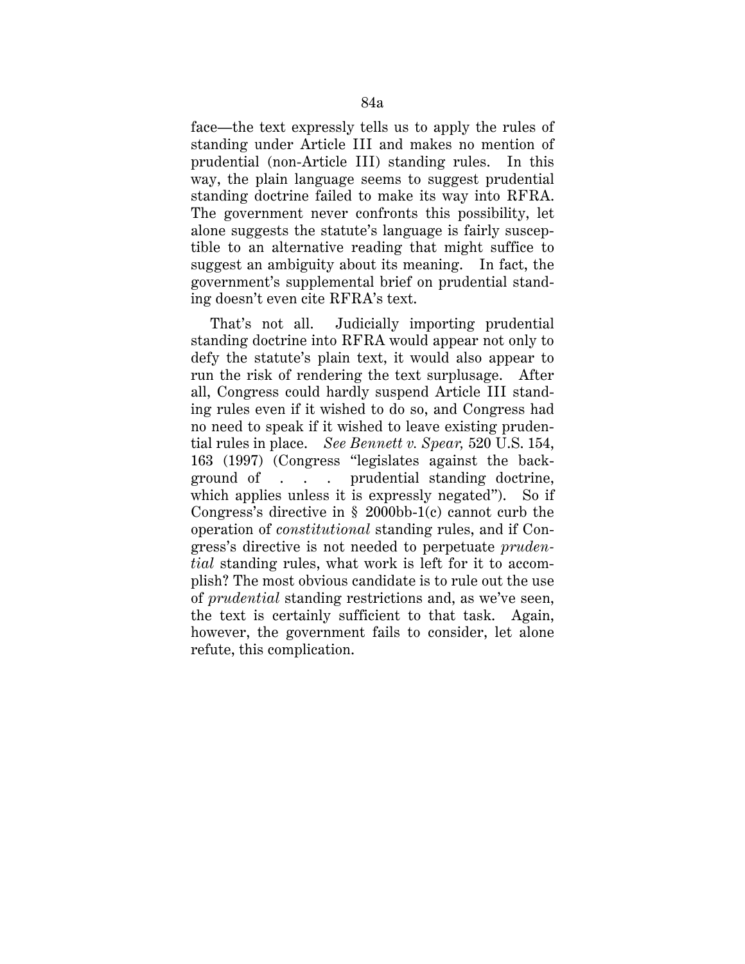face—the text expressly tells us to apply the rules of standing under Article III and makes no mention of prudential (non-Article III) standing rules. In this way, the plain language seems to suggest prudential standing doctrine failed to make its way into RFRA. The government never confronts this possibility, let alone suggests the statute's language is fairly susceptible to an alternative reading that might suffice to suggest an ambiguity about its meaning. In fact, the government's supplemental brief on prudential standing doesn't even cite RFRA's text.

That's not all. Judicially importing prudential standing doctrine into RFRA would appear not only to defy the statute's plain text, it would also appear to run the risk of rendering the text surplusage. After all, Congress could hardly suspend Article III standing rules even if it wished to do so, and Congress had no need to speak if it wished to leave existing prudential rules in place. *See Bennett v. Spear,* 520 U.S. 154, 163 (1997) (Congress "legislates against the background of . . . prudential standing doctrine, which applies unless it is expressly negated"). So if Congress's directive in  $\S$  2000bb-1(c) cannot curb the operation of *constitutional* standing rules, and if Congress's directive is not needed to perpetuate *prudential* standing rules, what work is left for it to accomplish? The most obvious candidate is to rule out the use of *prudential* standing restrictions and, as we've seen, the text is certainly sufficient to that task. Again, however, the government fails to consider, let alone refute, this complication.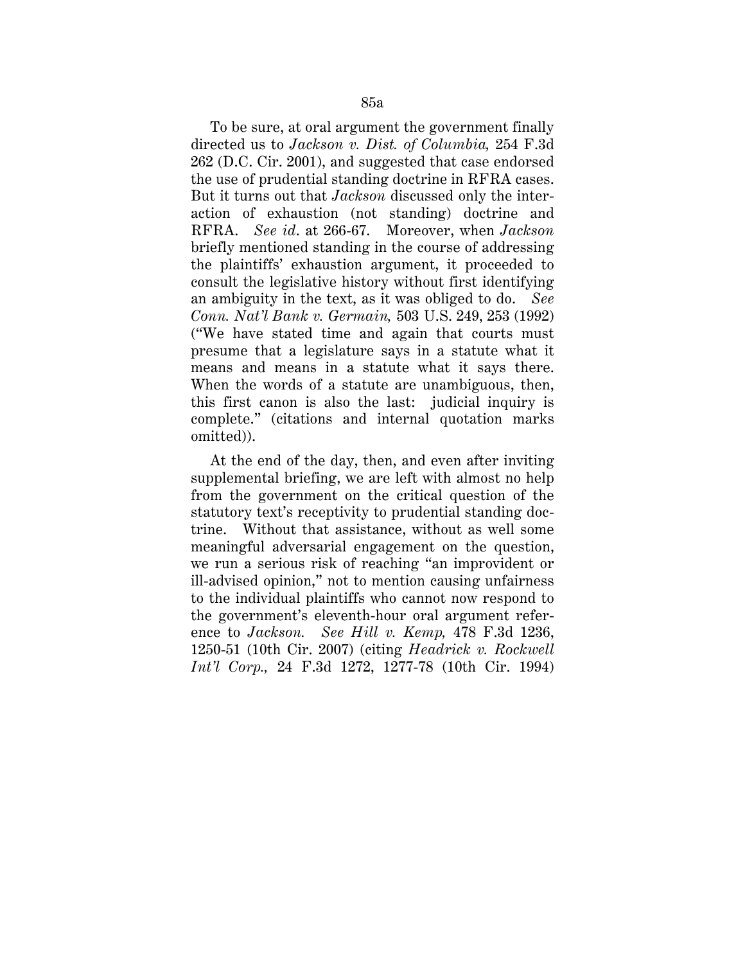To be sure, at oral argument the government finally directed us to *Jackson v. Dist. of Columbia,* 254 F.3d 262 (D.C. Cir. 2001), and suggested that case endorsed the use of prudential standing doctrine in RFRA cases. But it turns out that *Jackson* discussed only the interaction of exhaustion (not standing) doctrine and RFRA. *See id*. at 266-67. Moreover, when *Jackson* briefly mentioned standing in the course of addressing the plaintiffs' exhaustion argument, it proceeded to consult the legislative history without first identifying an ambiguity in the text, as it was obliged to do. *See Conn. Nat'l Bank v. Germain,* 503 U.S. 249, 253 (1992) ("We have stated time and again that courts must presume that a legislature says in a statute what it means and means in a statute what it says there. When the words of a statute are unambiguous, then, this first canon is also the last: judicial inquiry is complete." (citations and internal quotation marks omitted)).

At the end of the day, then, and even after inviting supplemental briefing, we are left with almost no help from the government on the critical question of the statutory text's receptivity to prudential standing doctrine. Without that assistance, without as well some meaningful adversarial engagement on the question, we run a serious risk of reaching "an improvident or ill-advised opinion," not to mention causing unfairness to the individual plaintiffs who cannot now respond to the government's eleventh-hour oral argument reference to *Jackson. See Hill v. Kemp,* 478 F.3d 1236, 1250-51 (10th Cir. 2007) (citing *Headrick v. Rockwell Int'l Corp.,* 24 F.3d 1272, 1277-78 (10th Cir. 1994)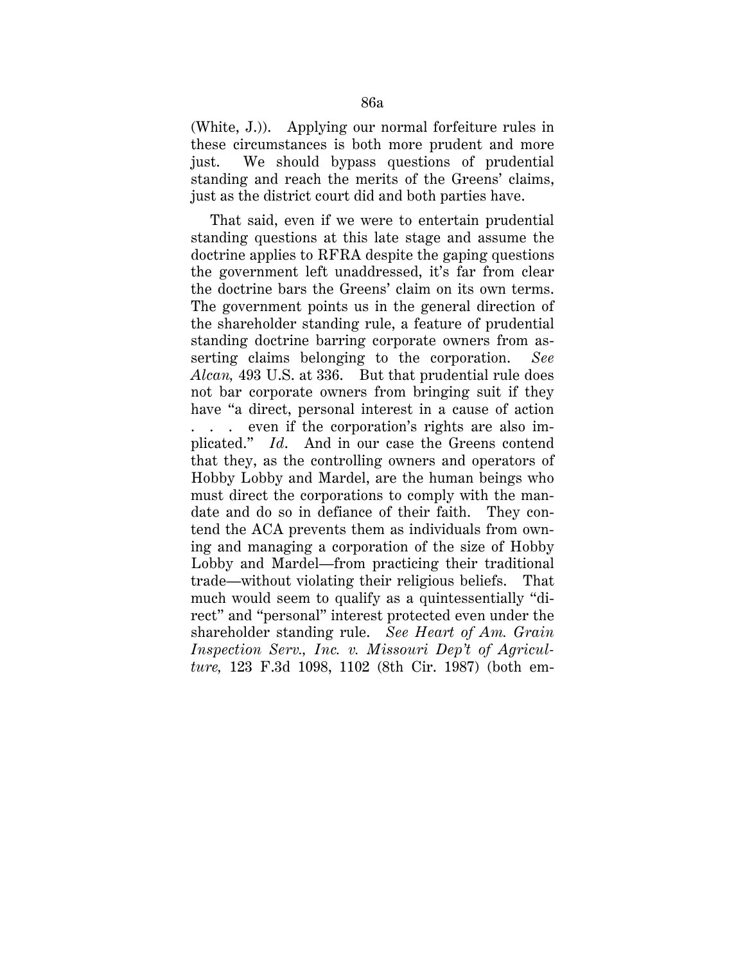(White, J.)). Applying our normal forfeiture rules in these circumstances is both more prudent and more just. We should bypass questions of prudential standing and reach the merits of the Greens' claims, just as the district court did and both parties have.

That said, even if we were to entertain prudential standing questions at this late stage and assume the doctrine applies to RFRA despite the gaping questions the government left unaddressed, it's far from clear the doctrine bars the Greens' claim on its own terms. The government points us in the general direction of the shareholder standing rule, a feature of prudential standing doctrine barring corporate owners from asserting claims belonging to the corporation. *See Alcan,* 493 U.S. at 336. But that prudential rule does not bar corporate owners from bringing suit if they have "a direct, personal interest in a cause of action . . . even if the corporation's rights are also implicated." *Id*. And in our case the Greens contend that they, as the controlling owners and operators of Hobby Lobby and Mardel, are the human beings who must direct the corporations to comply with the mandate and do so in defiance of their faith. They contend the ACA prevents them as individuals from owning and managing a corporation of the size of Hobby Lobby and Mardel—from practicing their traditional trade—without violating their religious beliefs. That much would seem to qualify as a quintessentially "direct" and "personal" interest protected even under the shareholder standing rule. *See Heart of Am. Grain Inspection Serv., Inc. v. Missouri Dep't of Agriculture,* 123 F.3d 1098, 1102 (8th Cir. 1987) (both em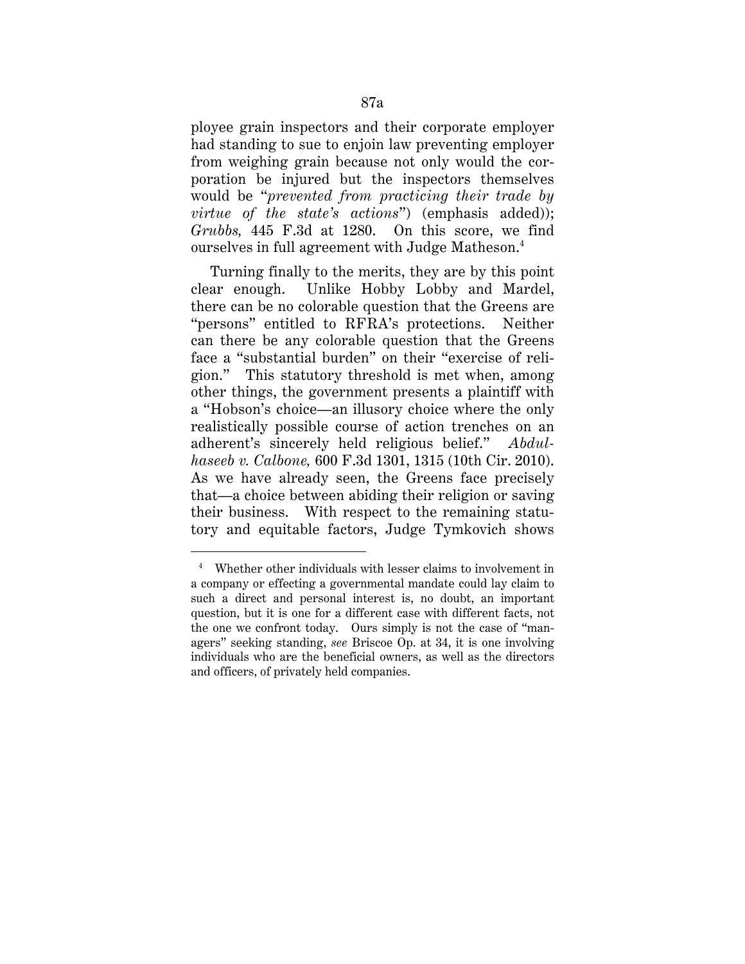ployee grain inspectors and their corporate employer had standing to sue to enjoin law preventing employer from weighing grain because not only would the corporation be injured but the inspectors themselves would be "*prevented from practicing their trade by virtue of the state's actions*") (emphasis added)); *Grubbs,* 445 F.3d at 1280. On this score, we find ourselves in full agreement with Judge Matheson.4

Turning finally to the merits, they are by this point clear enough. Unlike Hobby Lobby and Mardel, there can be no colorable question that the Greens are "persons" entitled to RFRA's protections. Neither can there be any colorable question that the Greens face a "substantial burden" on their "exercise of religion." This statutory threshold is met when, among other things, the government presents a plaintiff with a "Hobson's choice—an illusory choice where the only realistically possible course of action trenches on an adherent's sincerely held religious belief." *Abdulhaseeb v. Calbone,* 600 F.3d 1301, 1315 (10th Cir. 2010). As we have already seen, the Greens face precisely that—a choice between abiding their religion or saving their business. With respect to the remaining statutory and equitable factors, Judge Tymkovich shows

<u>.</u>

<sup>4</sup> Whether other individuals with lesser claims to involvement in a company or effecting a governmental mandate could lay claim to such a direct and personal interest is, no doubt, an important question, but it is one for a different case with different facts, not the one we confront today. Ours simply is not the case of "managers" seeking standing, *see* Briscoe Op. at 34, it is one involving individuals who are the beneficial owners, as well as the directors and officers, of privately held companies.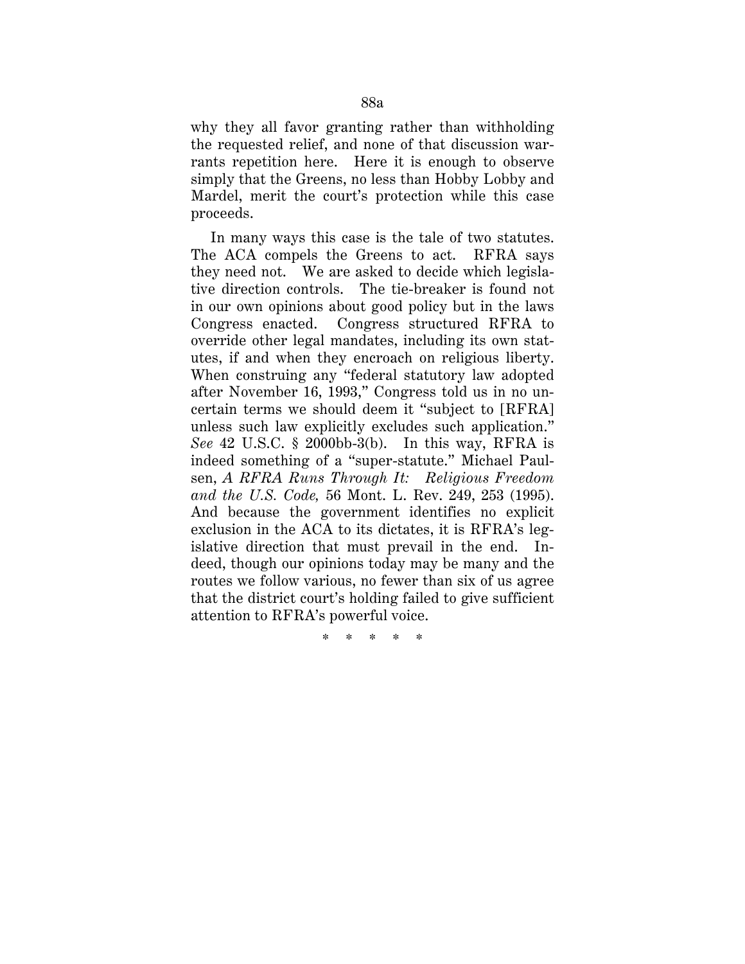why they all favor granting rather than withholding the requested relief, and none of that discussion warrants repetition here. Here it is enough to observe simply that the Greens, no less than Hobby Lobby and Mardel, merit the court's protection while this case proceeds.

In many ways this case is the tale of two statutes. The ACA compels the Greens to act. RFRA says they need not. We are asked to decide which legislative direction controls. The tie-breaker is found not in our own opinions about good policy but in the laws Congress enacted. Congress structured RFRA to override other legal mandates, including its own statutes, if and when they encroach on religious liberty. When construing any "federal statutory law adopted after November 16, 1993," Congress told us in no uncertain terms we should deem it "subject to [RFRA] unless such law explicitly excludes such application." *See* 42 U.S.C. § 2000bb-3(b). In this way, RFRA is indeed something of a "super-statute." Michael Paulsen, *A RFRA Runs Through It: Religious Freedom and the U.S. Code,* 56 Mont. L. Rev. 249, 253 (1995). And because the government identifies no explicit exclusion in the ACA to its dictates, it is RFRA's legislative direction that must prevail in the end. Indeed, though our opinions today may be many and the routes we follow various, no fewer than six of us agree that the district court's holding failed to give sufficient attention to RFRA's powerful voice.

\* \* \* \* \*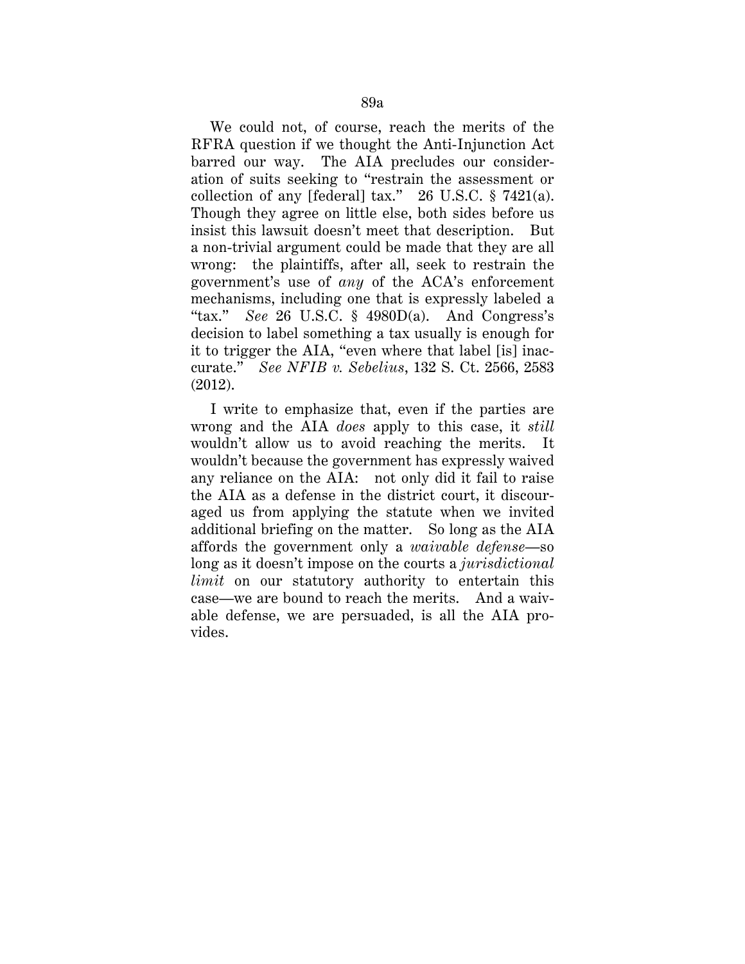We could not, of course, reach the merits of the RFRA question if we thought the Anti-Injunction Act barred our way. The AIA precludes our consideration of suits seeking to "restrain the assessment or collection of any [federal] tax."  $26$  U.S.C. § 7421(a). Though they agree on little else, both sides before us insist this lawsuit doesn't meet that description. But a non-trivial argument could be made that they are all wrong: the plaintiffs, after all, seek to restrain the government's use of *any* of the ACA's enforcement mechanisms, including one that is expressly labeled a "tax." *See* 26 U.S.C. § 4980D(a). And Congress's decision to label something a tax usually is enough for it to trigger the AIA, "even where that label [is] inaccurate." *See NFIB v. Sebelius*, 132 S. Ct. 2566, 2583 (2012).

I write to emphasize that, even if the parties are wrong and the AIA *does* apply to this case, it *still* wouldn't allow us to avoid reaching the merits. It wouldn't because the government has expressly waived any reliance on the AIA: not only did it fail to raise the AIA as a defense in the district court, it discouraged us from applying the statute when we invited additional briefing on the matter. So long as the AIA affords the government only a *waivable defense*—so long as it doesn't impose on the courts a *jurisdictional limit* on our statutory authority to entertain this case—we are bound to reach the merits. And a waivable defense, we are persuaded, is all the AIA provides.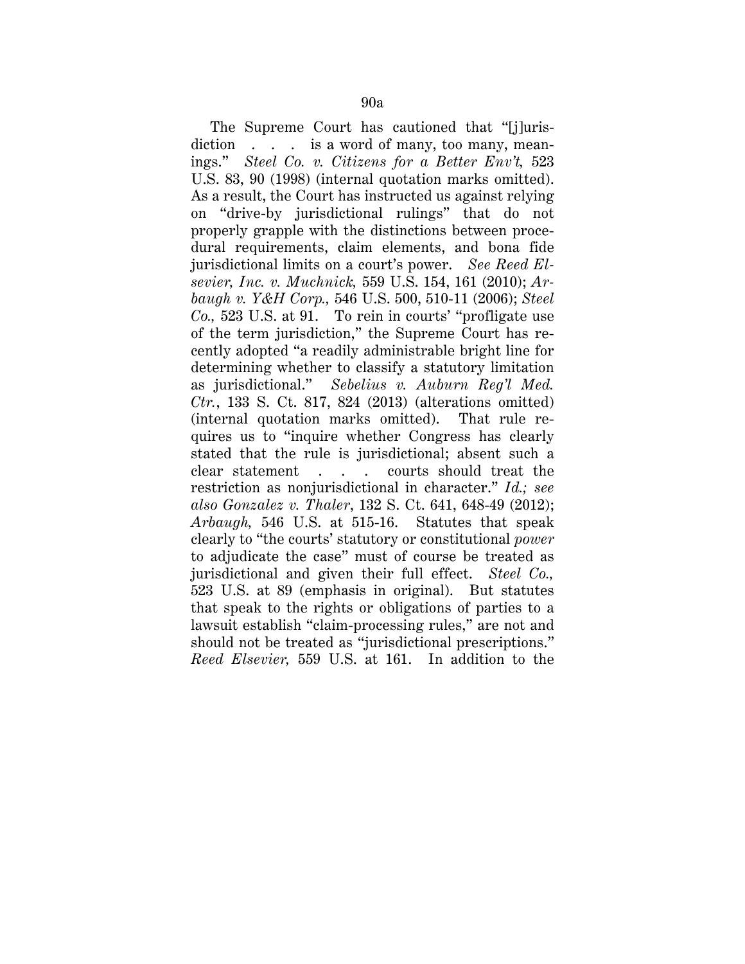The Supreme Court has cautioned that "[j]urisdiction . . . is a word of many, too many, meanings." *Steel Co. v. Citizens for a Better Env't,* 523 U.S. 83, 90 (1998) (internal quotation marks omitted). As a result, the Court has instructed us against relying on "drive-by jurisdictional rulings" that do not properly grapple with the distinctions between procedural requirements, claim elements, and bona fide jurisdictional limits on a court's power. *See Reed Elsevier, Inc. v. Muchnick,* 559 U.S. 154, 161 (2010); *Arbaugh v. Y&H Corp.,* 546 U.S. 500, 510-11 (2006); *Steel Co.,* 523 U.S. at 91. To rein in courts' "profligate use of the term jurisdiction," the Supreme Court has recently adopted "a readily administrable bright line for determining whether to classify a statutory limitation as jurisdictional." *Sebelius v. Auburn Reg'l Med. Ctr.*, 133 S. Ct. 817, 824 (2013) (alterations omitted) (internal quotation marks omitted). That rule requires us to "inquire whether Congress has clearly stated that the rule is jurisdictional; absent such a clear statement . . . courts should treat the restriction as nonjurisdictional in character." *Id.; see also Gonzalez v. Thaler*, 132 S. Ct. 641, 648-49 (2012); *Arbaugh,* 546 U.S. at 515-16. Statutes that speak clearly to "the courts' statutory or constitutional *power* to adjudicate the case" must of course be treated as jurisdictional and given their full effect. *Steel Co.,* 523 U.S. at 89 (emphasis in original). But statutes that speak to the rights or obligations of parties to a lawsuit establish "claim-processing rules," are not and should not be treated as "jurisdictional prescriptions." *Reed Elsevier,* 559 U.S. at 161. In addition to the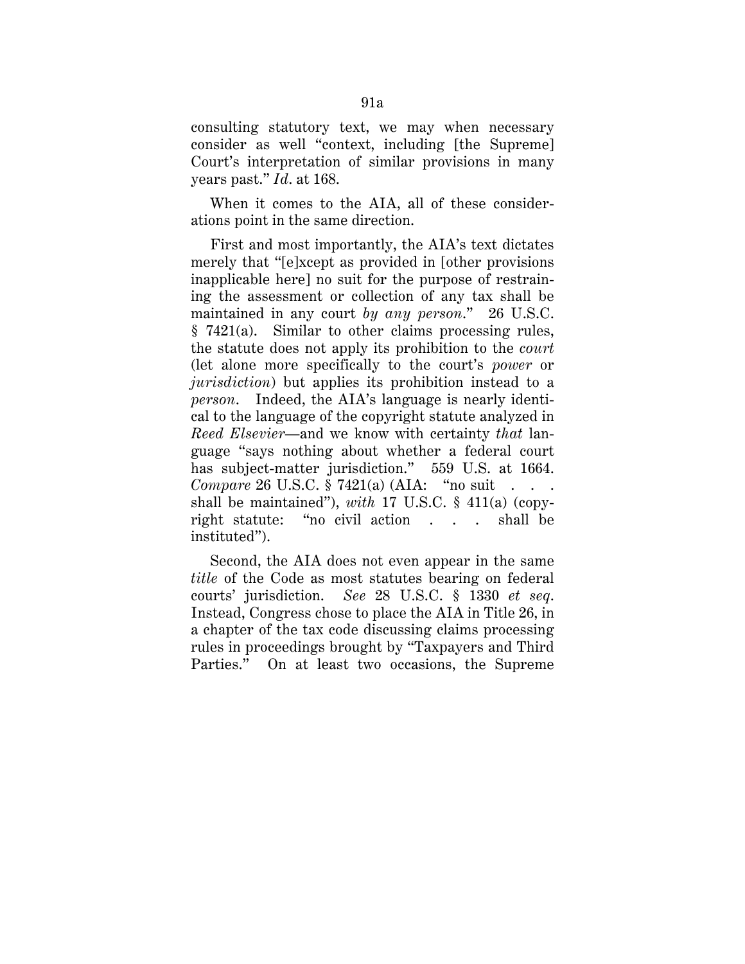consulting statutory text, we may when necessary consider as well "context, including [the Supreme] Court's interpretation of similar provisions in many years past." *Id*. at 168.

When it comes to the AIA, all of these considerations point in the same direction.

First and most importantly, the AIA's text dictates merely that "[e]xcept as provided in [other provisions inapplicable here] no suit for the purpose of restraining the assessment or collection of any tax shall be maintained in any court *by any person*." 26 U.S.C. § 7421(a). Similar to other claims processing rules, the statute does not apply its prohibition to the *court* (let alone more specifically to the court's *power* or *jurisdiction*) but applies its prohibition instead to a *person*. Indeed, the AIA's language is nearly identical to the language of the copyright statute analyzed in *Reed Elsevier*—and we know with certainty *that* language "says nothing about whether a federal court has subject-matter jurisdiction." 559 U.S. at 1664. *Compare* 26 U.S.C. § 7421(a) (AIA: "no suit. shall be maintained"), *with* 17 U.S.C. § 411(a) (copyright statute: "no civil action . . . shall be instituted").

Second, the AIA does not even appear in the same *title* of the Code as most statutes bearing on federal courts' jurisdiction. *See* 28 U.S.C. § 1330 *et seq*. Instead, Congress chose to place the AIA in Title 26, in a chapter of the tax code discussing claims processing rules in proceedings brought by "Taxpayers and Third Parties." On at least two occasions, the Supreme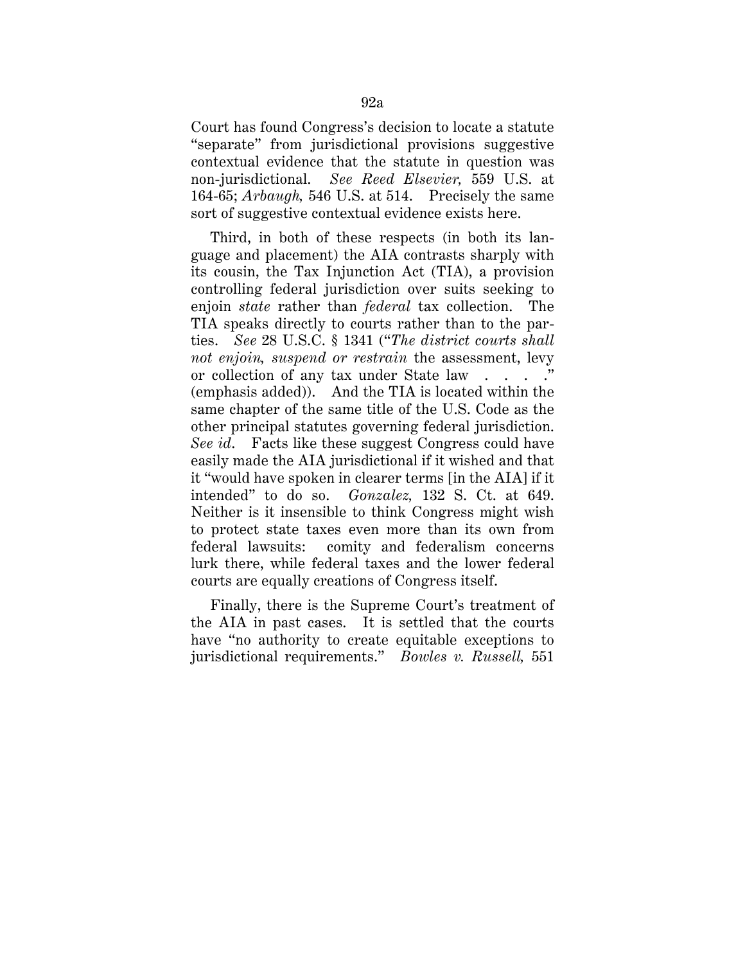Court has found Congress's decision to locate a statute "separate" from jurisdictional provisions suggestive contextual evidence that the statute in question was non-jurisdictional. *See Reed Elsevier,* 559 U.S. at 164-65; *Arbaugh,* 546 U.S. at 514. Precisely the same sort of suggestive contextual evidence exists here.

Third, in both of these respects (in both its language and placement) the AIA contrasts sharply with its cousin, the Tax Injunction Act (TIA), a provision controlling federal jurisdiction over suits seeking to enjoin *state* rather than *federal* tax collection. The TIA speaks directly to courts rather than to the parties. *See* 28 U.S.C. § 1341 ("*The district courts shall not enjoin, suspend or restrain* the assessment, levy or collection of any tax under State law . . . ." (emphasis added)). And the TIA is located within the same chapter of the same title of the U.S. Code as the other principal statutes governing federal jurisdiction. *See id*. Facts like these suggest Congress could have easily made the AIA jurisdictional if it wished and that it "would have spoken in clearer terms [in the AIA] if it intended" to do so. *Gonzalez,* 132 S. Ct. at 649. Neither is it insensible to think Congress might wish to protect state taxes even more than its own from federal lawsuits: comity and federalism concerns lurk there, while federal taxes and the lower federal courts are equally creations of Congress itself.

Finally, there is the Supreme Court's treatment of the AIA in past cases. It is settled that the courts have "no authority to create equitable exceptions to jurisdictional requirements." *Bowles v. Russell,* 551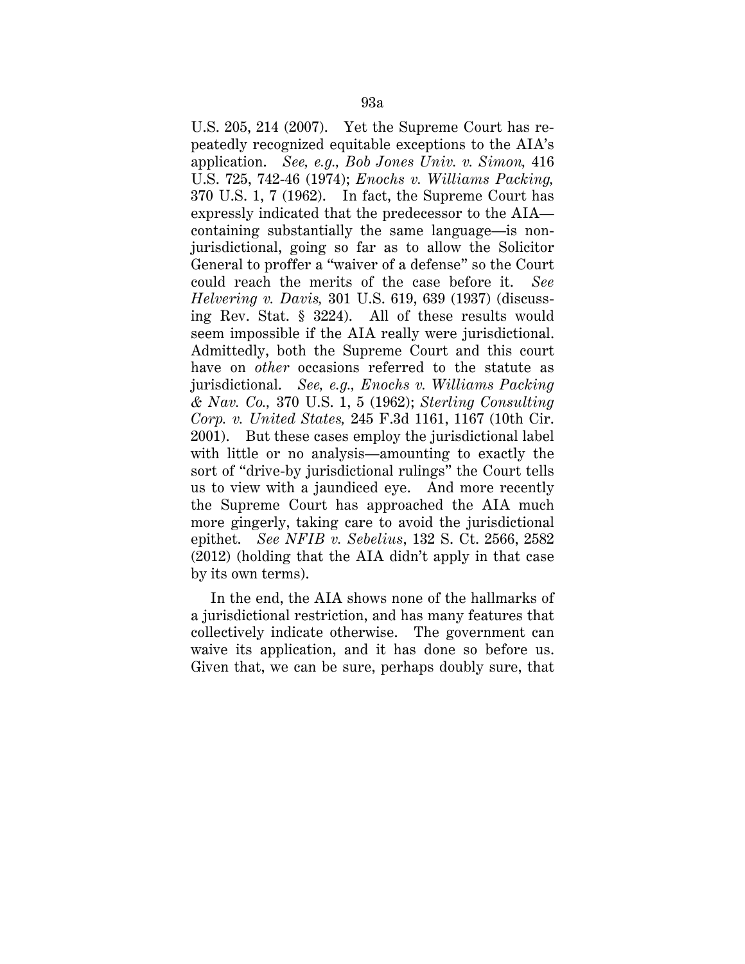U.S. 205, 214 (2007). Yet the Supreme Court has repeatedly recognized equitable exceptions to the AIA's application. *See, e.g., Bob Jones Univ. v. Simon,* 416 U.S. 725, 742-46 (1974); *Enochs v. Williams Packing,* 370 U.S. 1, 7 (1962). In fact, the Supreme Court has expressly indicated that the predecessor to the AIA containing substantially the same language—is nonjurisdictional, going so far as to allow the Solicitor General to proffer a "waiver of a defense" so the Court could reach the merits of the case before it. *See Helvering v. Davis,* 301 U.S. 619, 639 (1937) (discussing Rev. Stat. § 3224). All of these results would seem impossible if the AIA really were jurisdictional. Admittedly, both the Supreme Court and this court have on *other* occasions referred to the statute as jurisdictional. *See, e.g., Enochs v. Williams Packing & Nav. Co.,* 370 U.S. 1, 5 (1962); *Sterling Consulting Corp. v. United States,* 245 F.3d 1161, 1167 (10th Cir. 2001). But these cases employ the jurisdictional label with little or no analysis—amounting to exactly the sort of "drive-by jurisdictional rulings" the Court tells us to view with a jaundiced eye. And more recently the Supreme Court has approached the AIA much more gingerly, taking care to avoid the jurisdictional epithet. *See NFIB v. Sebelius*, 132 S. Ct. 2566, 2582 (2012) (holding that the AIA didn't apply in that case by its own terms).

In the end, the AIA shows none of the hallmarks of a jurisdictional restriction, and has many features that collectively indicate otherwise. The government can waive its application, and it has done so before us. Given that, we can be sure, perhaps doubly sure, that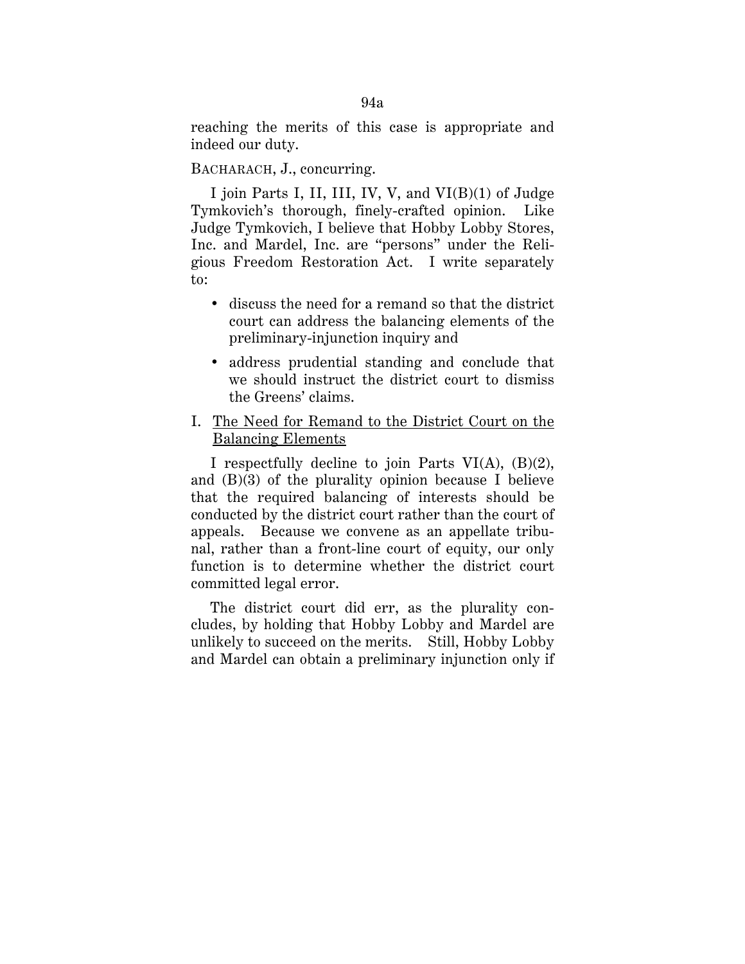reaching the merits of this case is appropriate and indeed our duty.

## BACHARACH, J., concurring.

I join Parts I, II, III, IV, V, and VI(B)(1) of Judge Tymkovich's thorough, finely-crafted opinion. Like Judge Tymkovich, I believe that Hobby Lobby Stores, Inc. and Mardel, Inc. are "persons" under the Religious Freedom Restoration Act. I write separately to:

- discuss the need for a remand so that the district court can address the balancing elements of the preliminary-injunction inquiry and
- address prudential standing and conclude that we should instruct the district court to dismiss the Greens' claims.
- I. The Need for Remand to the District Court on the Balancing Elements

I respectfully decline to join Parts VI(A), (B)(2), and  $(B)(3)$  of the plurality opinion because I believe that the required balancing of interests should be conducted by the district court rather than the court of appeals. Because we convene as an appellate tribunal, rather than a front-line court of equity, our only function is to determine whether the district court committed legal error.

The district court did err, as the plurality concludes, by holding that Hobby Lobby and Mardel are unlikely to succeed on the merits. Still, Hobby Lobby and Mardel can obtain a preliminary injunction only if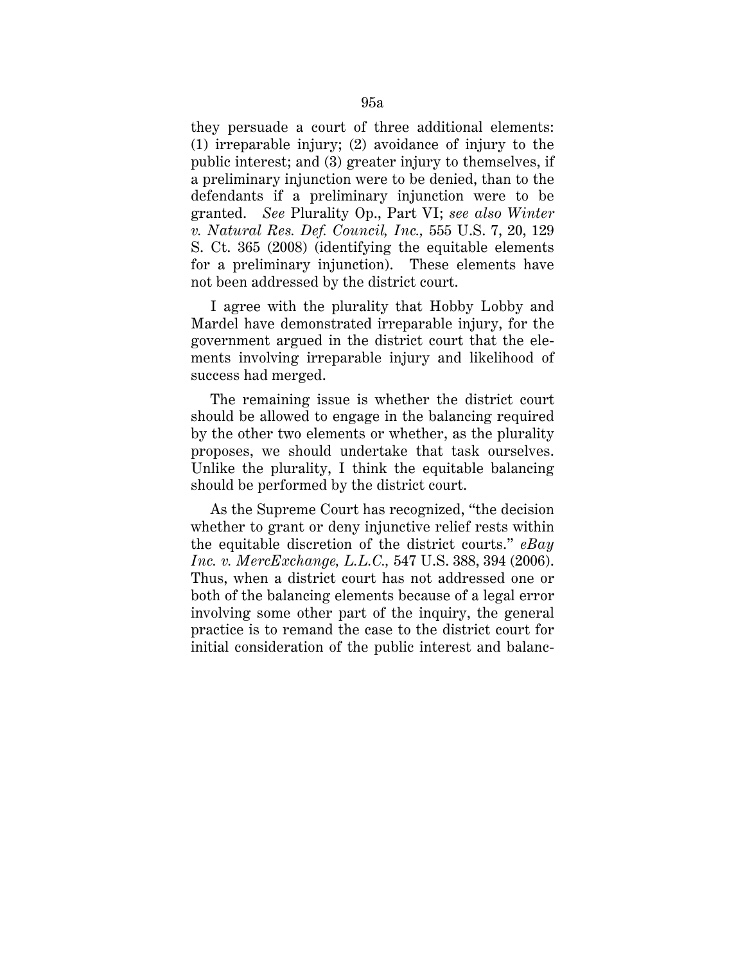they persuade a court of three additional elements: (1) irreparable injury; (2) avoidance of injury to the public interest; and (3) greater injury to themselves, if a preliminary injunction were to be denied, than to the defendants if a preliminary injunction were to be granted. *See* Plurality Op., Part VI; *see also Winter v. Natural Res. Def. Council, Inc.,* 555 U.S. 7, 20, 129 S. Ct. 365 (2008) (identifying the equitable elements for a preliminary injunction). These elements have not been addressed by the district court.

I agree with the plurality that Hobby Lobby and Mardel have demonstrated irreparable injury, for the government argued in the district court that the elements involving irreparable injury and likelihood of success had merged.

The remaining issue is whether the district court should be allowed to engage in the balancing required by the other two elements or whether, as the plurality proposes, we should undertake that task ourselves. Unlike the plurality, I think the equitable balancing should be performed by the district court.

As the Supreme Court has recognized, "the decision whether to grant or deny injunctive relief rests within the equitable discretion of the district courts." *eBay Inc. v. MercExchange, L.L.C.,* 547 U.S. 388, 394 (2006). Thus, when a district court has not addressed one or both of the balancing elements because of a legal error involving some other part of the inquiry, the general practice is to remand the case to the district court for initial consideration of the public interest and balanc-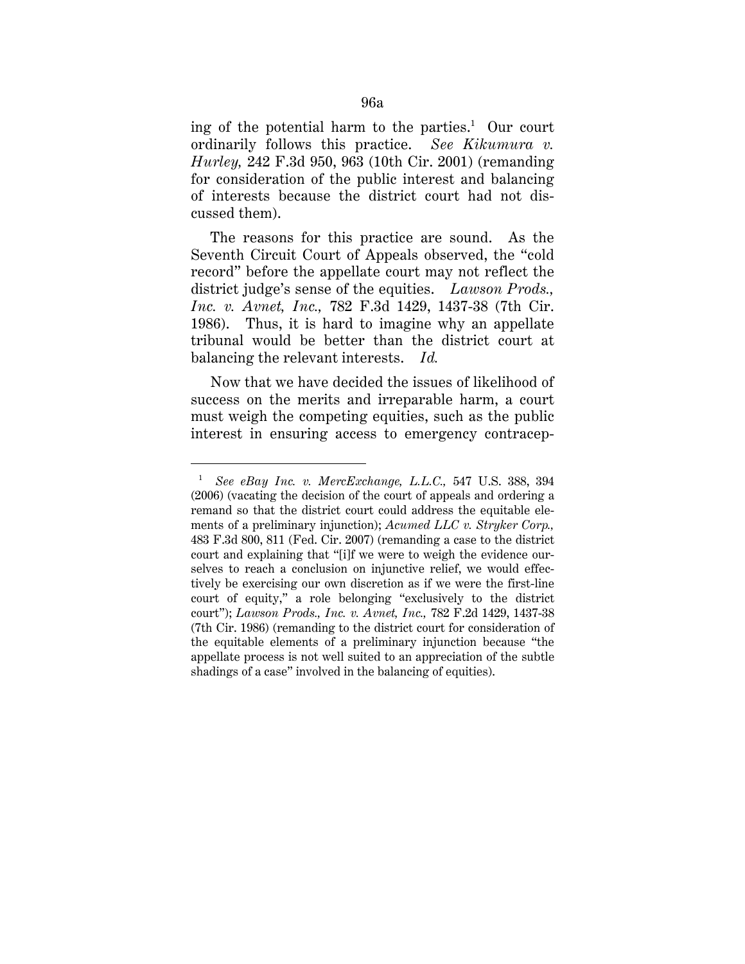ing of the potential harm to the parties.<sup>1</sup> Our court ordinarily follows this practice. *See Kikumura v. Hurley,* 242 F.3d 950, 963 (10th Cir. 2001) (remanding for consideration of the public interest and balancing of interests because the district court had not discussed them).

The reasons for this practice are sound. As the Seventh Circuit Court of Appeals observed, the "cold record" before the appellate court may not reflect the district judge's sense of the equities. *Lawson Prods., Inc. v. Avnet, Inc.,* 782 F.3d 1429, 1437-38 (7th Cir. 1986). Thus, it is hard to imagine why an appellate tribunal would be better than the district court at balancing the relevant interests. *Id.*

Now that we have decided the issues of likelihood of success on the merits and irreparable harm, a court must weigh the competing equities, such as the public interest in ensuring access to emergency contracep-

<u>.</u>

<sup>1</sup> *See eBay Inc. v. MercExchange, L.L.C.,* 547 U.S. 388, 394 (2006) (vacating the decision of the court of appeals and ordering a remand so that the district court could address the equitable elements of a preliminary injunction); *Acumed LLC v. Stryker Corp.,* 483 F.3d 800, 811 (Fed. Cir. 2007) (remanding a case to the district court and explaining that "[i]f we were to weigh the evidence ourselves to reach a conclusion on injunctive relief, we would effectively be exercising our own discretion as if we were the first-line court of equity," a role belonging "exclusively to the district court"); *Lawson Prods., Inc. v. Avnet, Inc.,* 782 F.2d 1429, 1437-38 (7th Cir. 1986) (remanding to the district court for consideration of the equitable elements of a preliminary injunction because "the appellate process is not well suited to an appreciation of the subtle shadings of a case" involved in the balancing of equities).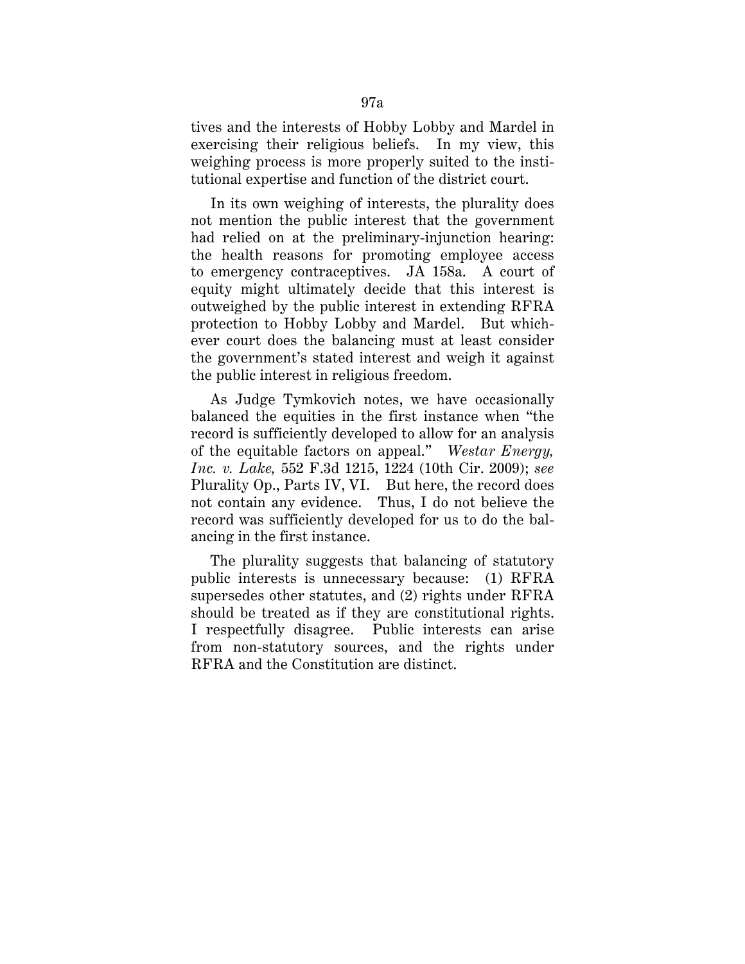tives and the interests of Hobby Lobby and Mardel in exercising their religious beliefs. In my view, this weighing process is more properly suited to the institutional expertise and function of the district court.

In its own weighing of interests, the plurality does not mention the public interest that the government had relied on at the preliminary-injunction hearing: the health reasons for promoting employee access to emergency contraceptives. JA 158a. A court of equity might ultimately decide that this interest is outweighed by the public interest in extending RFRA protection to Hobby Lobby and Mardel. But whichever court does the balancing must at least consider the government's stated interest and weigh it against the public interest in religious freedom.

As Judge Tymkovich notes, we have occasionally balanced the equities in the first instance when "the record is sufficiently developed to allow for an analysis of the equitable factors on appeal." *Westar Energy, Inc. v. Lake,* 552 F.3d 1215, 1224 (10th Cir. 2009); *see* Plurality Op., Parts IV, VI. But here, the record does not contain any evidence. Thus, I do not believe the record was sufficiently developed for us to do the balancing in the first instance.

The plurality suggests that balancing of statutory public interests is unnecessary because: (1) RFRA supersedes other statutes, and (2) rights under RFRA should be treated as if they are constitutional rights. I respectfully disagree. Public interests can arise from non-statutory sources, and the rights under RFRA and the Constitution are distinct.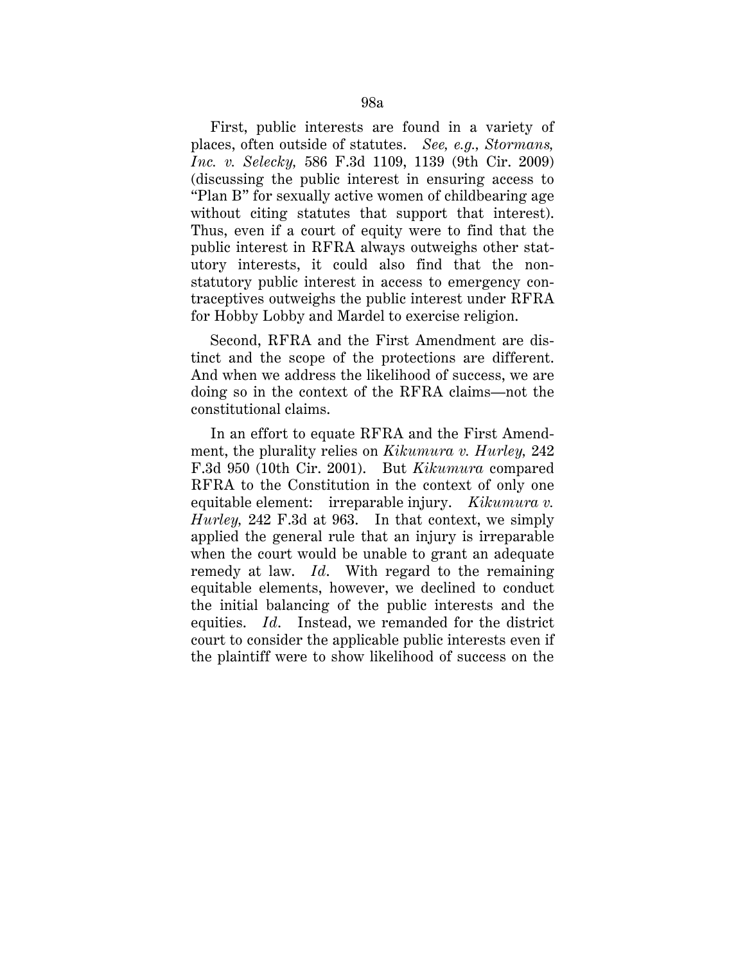First, public interests are found in a variety of places, often outside of statutes. *See, e.g., Stormans, Inc. v. Selecky,* 586 F.3d 1109, 1139 (9th Cir. 2009) (discussing the public interest in ensuring access to "Plan B" for sexually active women of childbearing age without citing statutes that support that interest). Thus, even if a court of equity were to find that the public interest in RFRA always outweighs other statutory interests, it could also find that the nonstatutory public interest in access to emergency contraceptives outweighs the public interest under RFRA for Hobby Lobby and Mardel to exercise religion.

Second, RFRA and the First Amendment are distinct and the scope of the protections are different. And when we address the likelihood of success, we are doing so in the context of the RFRA claims—not the constitutional claims.

In an effort to equate RFRA and the First Amendment, the plurality relies on *Kikumura v. Hurley,* 242 F.3d 950 (10th Cir. 2001). But *Kikumura* compared RFRA to the Constitution in the context of only one equitable element: irreparable injury. *Kikumura v. Hurley,* 242 F.3d at 963. In that context, we simply applied the general rule that an injury is irreparable when the court would be unable to grant an adequate remedy at law. *Id*. With regard to the remaining equitable elements, however, we declined to conduct the initial balancing of the public interests and the equities. *Id*. Instead, we remanded for the district court to consider the applicable public interests even if the plaintiff were to show likelihood of success on the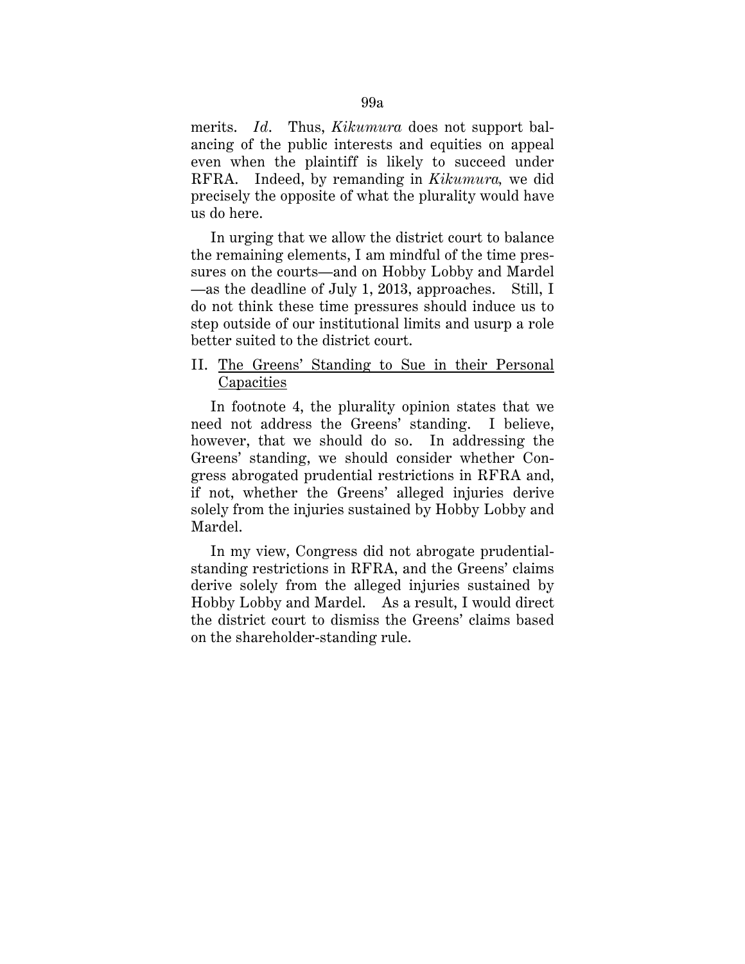merits. *Id*. Thus, *Kikumura* does not support balancing of the public interests and equities on appeal even when the plaintiff is likely to succeed under RFRA. Indeed, by remanding in *Kikumura,* we did precisely the opposite of what the plurality would have us do here.

In urging that we allow the district court to balance the remaining elements, I am mindful of the time pressures on the courts—and on Hobby Lobby and Mardel —as the deadline of July 1, 2013, approaches. Still, I do not think these time pressures should induce us to step outside of our institutional limits and usurp a role better suited to the district court.

# II. The Greens' Standing to Sue in their Personal Capacities

In footnote 4, the plurality opinion states that we need not address the Greens' standing. I believe, however, that we should do so. In addressing the Greens' standing, we should consider whether Congress abrogated prudential restrictions in RFRA and, if not, whether the Greens' alleged injuries derive solely from the injuries sustained by Hobby Lobby and Mardel.

In my view, Congress did not abrogate prudentialstanding restrictions in RFRA, and the Greens' claims derive solely from the alleged injuries sustained by Hobby Lobby and Mardel. As a result, I would direct the district court to dismiss the Greens' claims based on the shareholder-standing rule.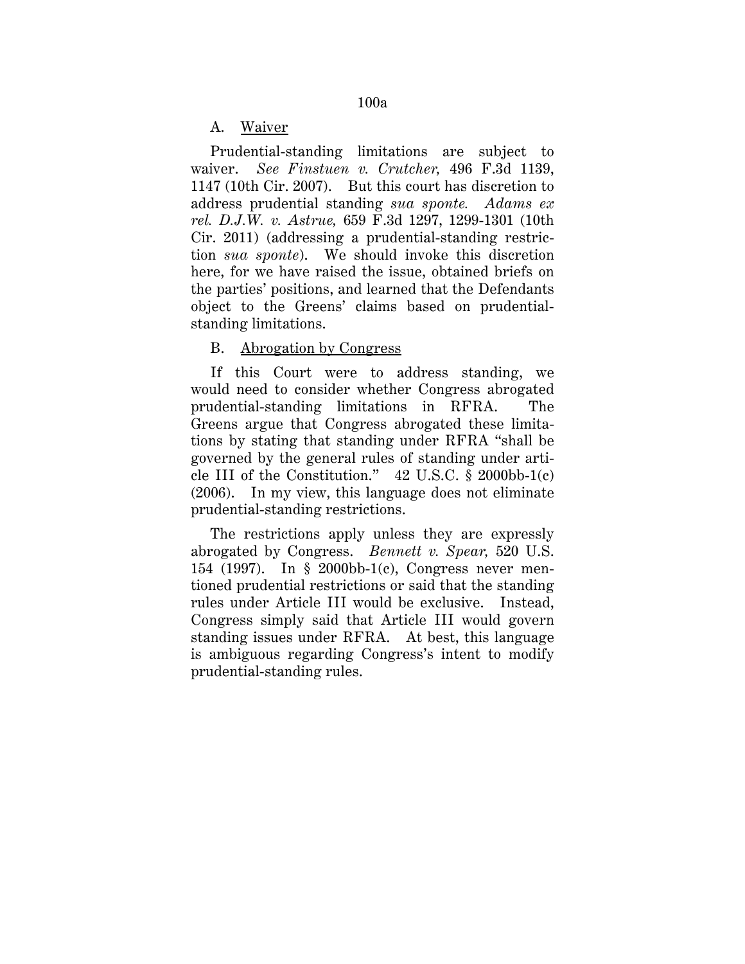A. Waiver

Prudential-standing limitations are subject to waiver. *See Finstuen v. Crutcher,* 496 F.3d 1139, 1147 (10th Cir. 2007). But this court has discretion to address prudential standing *sua sponte. Adams ex rel. D.J.W. v. Astrue,* 659 F.3d 1297, 1299-1301 (10th Cir. 2011) (addressing a prudential-standing restriction *sua sponte*). We should invoke this discretion here, for we have raised the issue, obtained briefs on the parties' positions, and learned that the Defendants object to the Greens' claims based on prudentialstanding limitations.

## B.Abrogation by Congress

If this Court were to address standing, we would need to consider whether Congress abrogated prudential-standing limitations in RFRA. The Greens argue that Congress abrogated these limitations by stating that standing under RFRA "shall be governed by the general rules of standing under article III of the Constitution."  $42$  U.S.C. § 2000bb-1(c) (2006). In my view, this language does not eliminate prudential-standing restrictions.

The restrictions apply unless they are expressly abrogated by Congress. *Bennett v. Spear,* 520 U.S. 154 (1997). In § 2000bb-1(c), Congress never mentioned prudential restrictions or said that the standing rules under Article III would be exclusive. Instead, Congress simply said that Article III would govern standing issues under RFRA. At best, this language is ambiguous regarding Congress's intent to modify prudential-standing rules.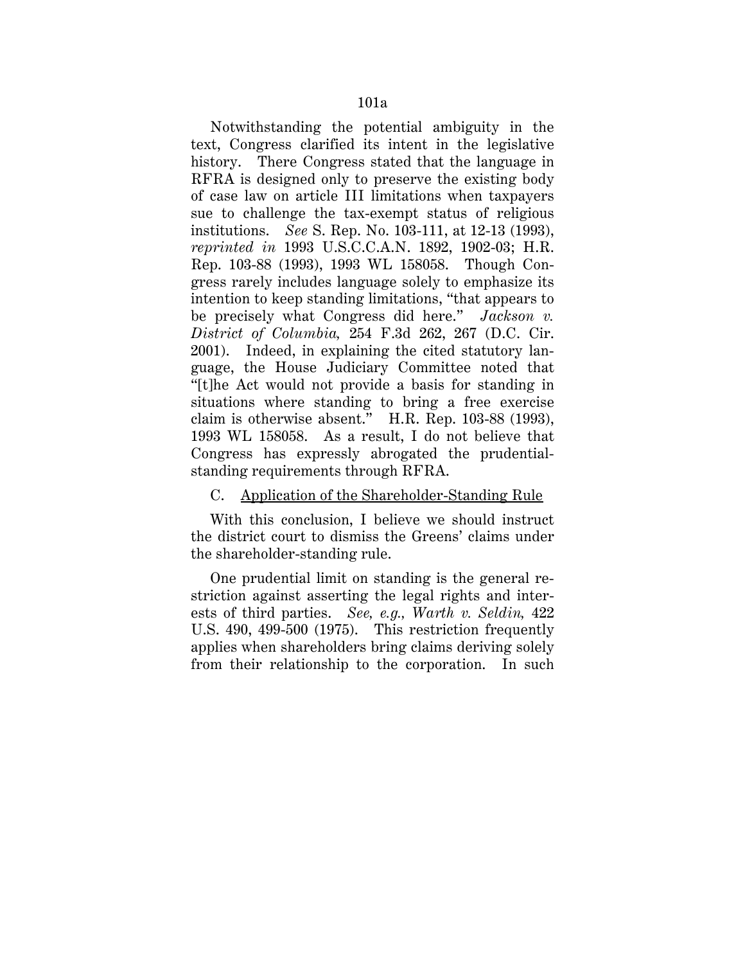Notwithstanding the potential ambiguity in the text, Congress clarified its intent in the legislative history. There Congress stated that the language in RFRA is designed only to preserve the existing body of case law on article III limitations when taxpayers sue to challenge the tax-exempt status of religious institutions. *See* S. Rep. No. 103-111, at 12-13 (1993), *reprinted in* 1993 U.S.C.C.A.N. 1892, 1902-03; H.R. Rep. 103-88 (1993), 1993 WL 158058. Though Congress rarely includes language solely to emphasize its intention to keep standing limitations, "that appears to be precisely what Congress did here." *Jackson v. District of Columbia,* 254 F.3d 262, 267 (D.C. Cir. 2001). Indeed, in explaining the cited statutory language, the House Judiciary Committee noted that "[t]he Act would not provide a basis for standing in situations where standing to bring a free exercise claim is otherwise absent." H.R. Rep. 103-88 (1993), 1993 WL 158058. As a result, I do not believe that Congress has expressly abrogated the prudentialstanding requirements through RFRA.

### C. Application of the Shareholder-Standing Rule

With this conclusion, I believe we should instruct the district court to dismiss the Greens' claims under the shareholder-standing rule.

One prudential limit on standing is the general restriction against asserting the legal rights and interests of third parties. *See, e.g., Warth v. Seldin,* 422 U.S. 490, 499-500 (1975). This restriction frequently applies when shareholders bring claims deriving solely from their relationship to the corporation. In such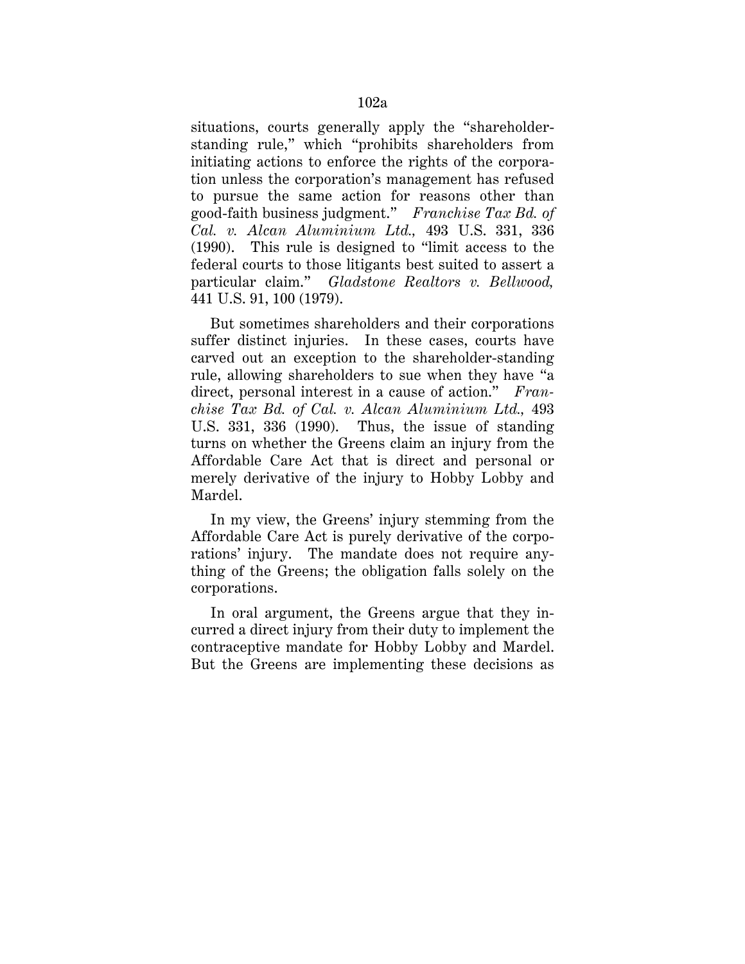situations, courts generally apply the "shareholderstanding rule," which "prohibits shareholders from initiating actions to enforce the rights of the corporation unless the corporation's management has refused to pursue the same action for reasons other than good-faith business judgment." *Franchise Tax Bd. of Cal. v. Alcan Aluminium Ltd.,* 493 U.S. 331, 336 (1990). This rule is designed to "limit access to the federal courts to those litigants best suited to assert a particular claim." *Gladstone Realtors v. Bellwood,* 441 U.S. 91, 100 (1979).

But sometimes shareholders and their corporations suffer distinct injuries. In these cases, courts have carved out an exception to the shareholder-standing rule, allowing shareholders to sue when they have "a direct, personal interest in a cause of action." *Franchise Tax Bd. of Cal. v. Alcan Aluminium Ltd.,* 493 U.S. 331, 336 (1990). Thus, the issue of standing turns on whether the Greens claim an injury from the Affordable Care Act that is direct and personal or merely derivative of the injury to Hobby Lobby and Mardel.

In my view, the Greens' injury stemming from the Affordable Care Act is purely derivative of the corporations' injury. The mandate does not require anything of the Greens; the obligation falls solely on the corporations.

In oral argument, the Greens argue that they incurred a direct injury from their duty to implement the contraceptive mandate for Hobby Lobby and Mardel. But the Greens are implementing these decisions as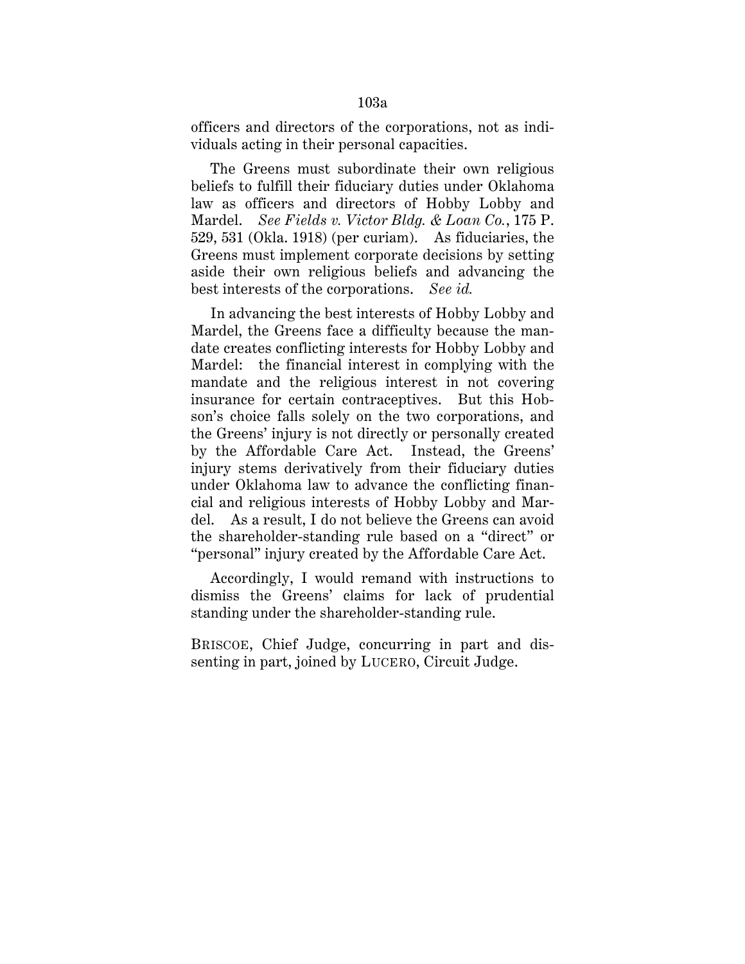officers and directors of the corporations, not as individuals acting in their personal capacities.

The Greens must subordinate their own religious beliefs to fulfill their fiduciary duties under Oklahoma law as officers and directors of Hobby Lobby and Mardel. *See Fields v. Victor Bldg. & Loan Co.*, 175 P. 529, 531 (Okla. 1918) (per curiam). As fiduciaries, the Greens must implement corporate decisions by setting aside their own religious beliefs and advancing the best interests of the corporations. *See id.*

In advancing the best interests of Hobby Lobby and Mardel, the Greens face a difficulty because the mandate creates conflicting interests for Hobby Lobby and Mardel: the financial interest in complying with the mandate and the religious interest in not covering insurance for certain contraceptives. But this Hobson's choice falls solely on the two corporations, and the Greens' injury is not directly or personally created by the Affordable Care Act. Instead, the Greens' injury stems derivatively from their fiduciary duties under Oklahoma law to advance the conflicting financial and religious interests of Hobby Lobby and Mardel. As a result, I do not believe the Greens can avoid the shareholder-standing rule based on a "direct" or "personal" injury created by the Affordable Care Act.

Accordingly, I would remand with instructions to dismiss the Greens' claims for lack of prudential standing under the shareholder-standing rule.

BRISCOE, Chief Judge, concurring in part and dissenting in part, joined by LUCERO, Circuit Judge.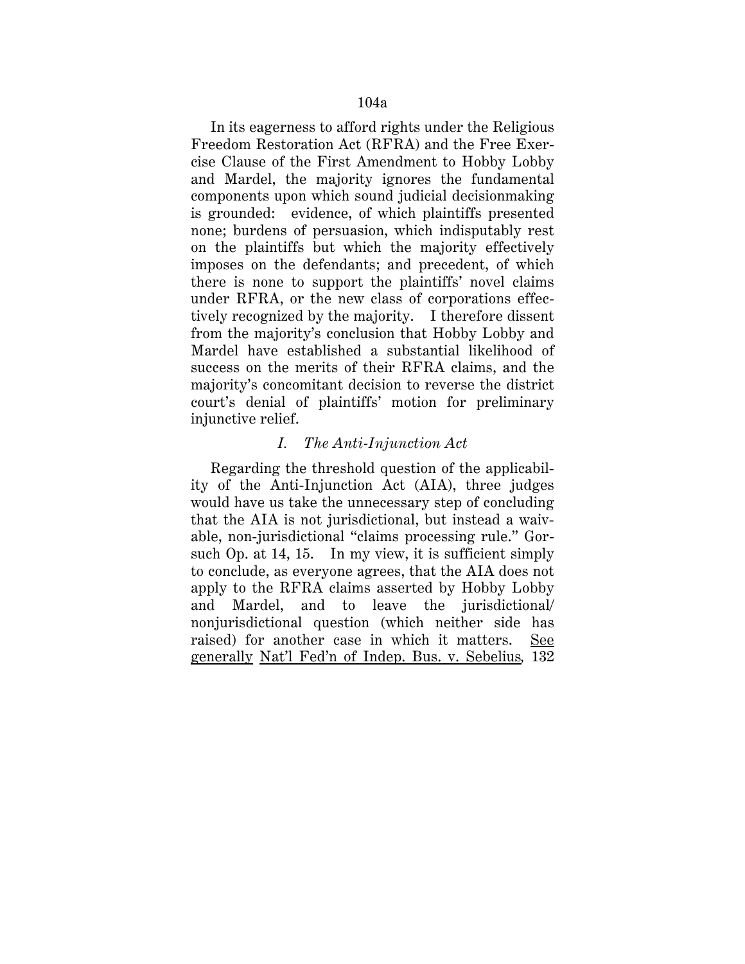In its eagerness to afford rights under the Religious Freedom Restoration Act (RFRA) and the Free Exercise Clause of the First Amendment to Hobby Lobby and Mardel, the majority ignores the fundamental components upon which sound judicial decisionmaking is grounded: evidence, of which plaintiffs presented none; burdens of persuasion, which indisputably rest on the plaintiffs but which the majority effectively imposes on the defendants; and precedent, of which there is none to support the plaintiffs' novel claims under RFRA, or the new class of corporations effectively recognized by the majority. I therefore dissent from the majority's conclusion that Hobby Lobby and Mardel have established a substantial likelihood of success on the merits of their RFRA claims, and the majority's concomitant decision to reverse the district court's denial of plaintiffs' motion for preliminary injunctive relief.

# *I. The Anti-Injunction Act*

Regarding the threshold question of the applicability of the Anti-Injunction Act (AIA), three judges would have us take the unnecessary step of concluding that the AIA is not jurisdictional, but instead a waivable, non-jurisdictional "claims processing rule." Gorsuch Op. at 14, 15. In my view, it is sufficient simply to conclude, as everyone agrees, that the AIA does not apply to the RFRA claims asserted by Hobby Lobby and Mardel, and to leave the jurisdictional/ nonjurisdictional question (which neither side has raised) for another case in which it matters. See generally Nat'l Fed'n of Indep. Bus. v. Sebelius*,* 132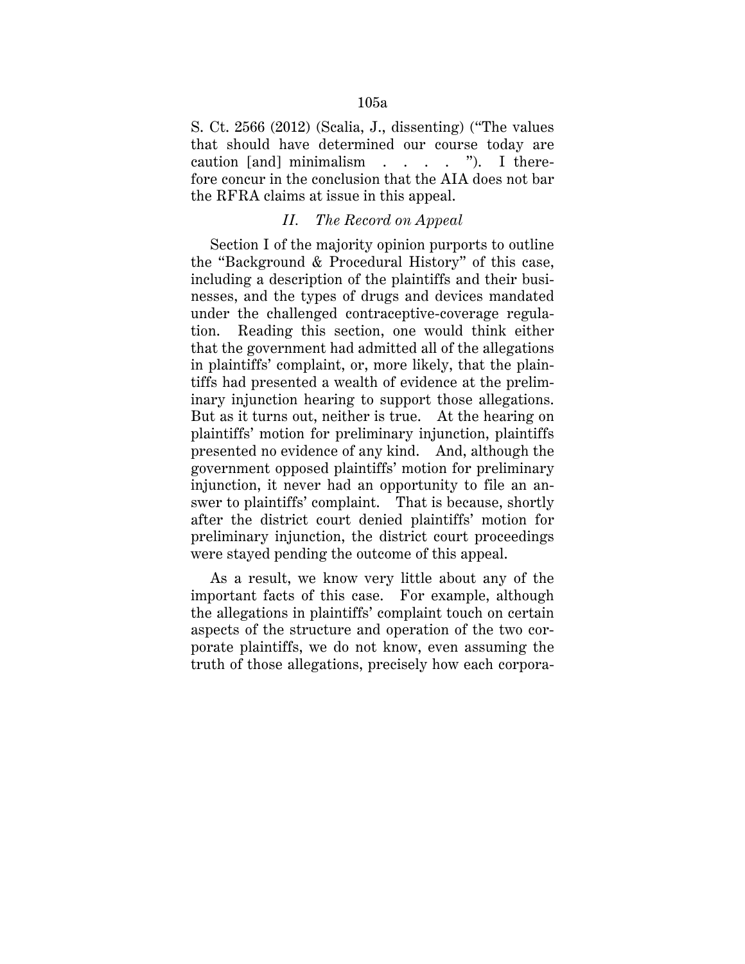S. Ct. 2566 (2012) (Scalia, J., dissenting) ("The values that should have determined our course today are caution [and] minimalism  $\ldots$   $\ldots$   $\ldots$   $\ldots$   $\ldots$  therefore concur in the conclusion that the AIA does not bar the RFRA claims at issue in this appeal.

### *II. The Record on Appeal*

Section I of the majority opinion purports to outline the "Background & Procedural History" of this case, including a description of the plaintiffs and their businesses, and the types of drugs and devices mandated under the challenged contraceptive-coverage regulation. Reading this section, one would think either that the government had admitted all of the allegations in plaintiffs' complaint, or, more likely, that the plaintiffs had presented a wealth of evidence at the preliminary injunction hearing to support those allegations. But as it turns out, neither is true. At the hearing on plaintiffs' motion for preliminary injunction, plaintiffs presented no evidence of any kind. And, although the government opposed plaintiffs' motion for preliminary injunction, it never had an opportunity to file an answer to plaintiffs' complaint. That is because, shortly after the district court denied plaintiffs' motion for preliminary injunction, the district court proceedings were stayed pending the outcome of this appeal.

As a result, we know very little about any of the important facts of this case. For example, although the allegations in plaintiffs' complaint touch on certain aspects of the structure and operation of the two corporate plaintiffs, we do not know, even assuming the truth of those allegations, precisely how each corpora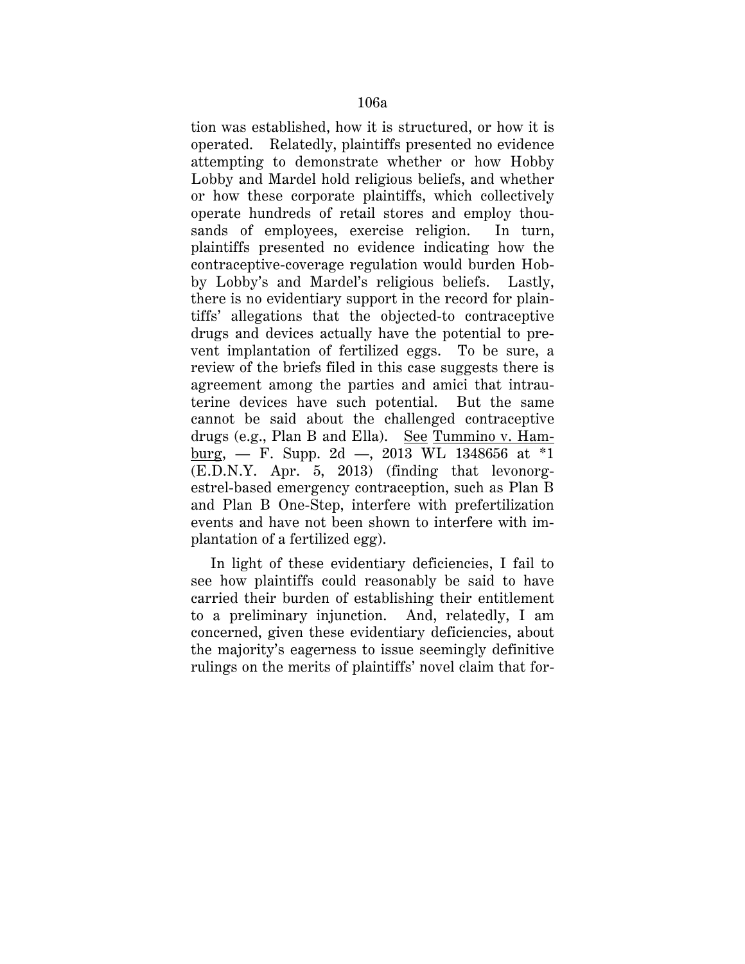tion was established, how it is structured, or how it is operated. Relatedly, plaintiffs presented no evidence attempting to demonstrate whether or how Hobby Lobby and Mardel hold religious beliefs, and whether or how these corporate plaintiffs, which collectively operate hundreds of retail stores and employ thousands of employees, exercise religion. In turn, plaintiffs presented no evidence indicating how the contraceptive-coverage regulation would burden Hobby Lobby's and Mardel's religious beliefs. Lastly, there is no evidentiary support in the record for plaintiffs' allegations that the objected-to contraceptive drugs and devices actually have the potential to prevent implantation of fertilized eggs. To be sure, a review of the briefs filed in this case suggests there is agreement among the parties and amici that intrauterine devices have such potential. But the same cannot be said about the challenged contraceptive drugs (e.g., Plan B and Ella). See Tummino v. Hamburg, — F. Supp. 2d —, 2013 WL 1348656 at \*1 (E.D.N.Y. Apr. 5, 2013) (finding that levonorgestrel-based emergency contraception, such as Plan B and Plan B One-Step, interfere with prefertilization events and have not been shown to interfere with implantation of a fertilized egg).

In light of these evidentiary deficiencies, I fail to see how plaintiffs could reasonably be said to have carried their burden of establishing their entitlement to a preliminary injunction. And, relatedly, I am concerned, given these evidentiary deficiencies, about the majority's eagerness to issue seemingly definitive rulings on the merits of plaintiffs' novel claim that for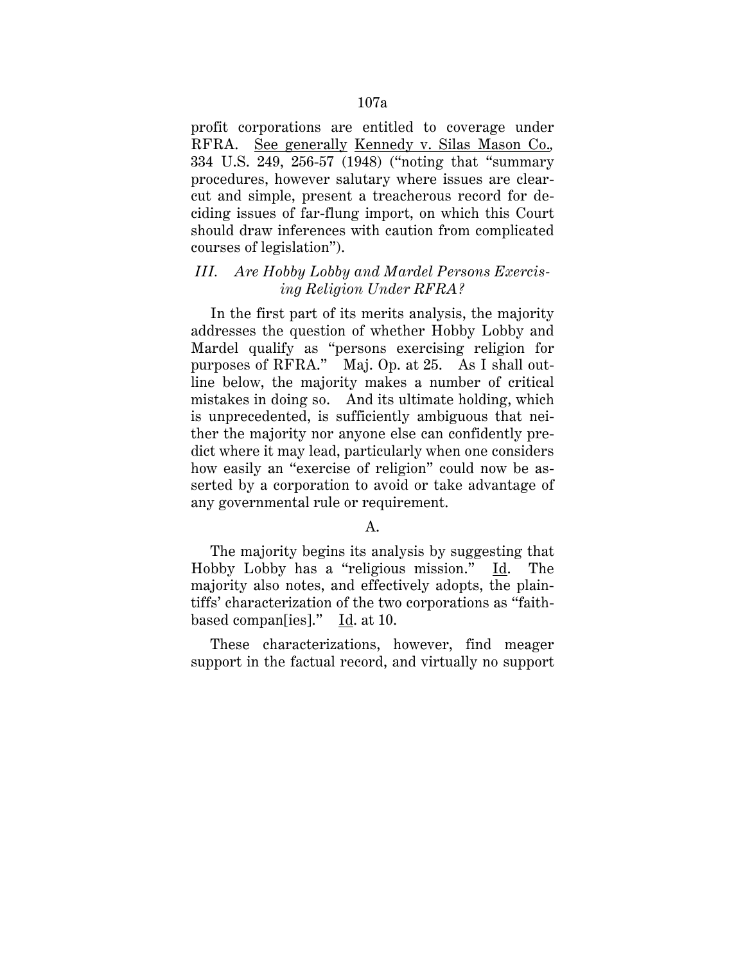profit corporations are entitled to coverage under RFRA. See generally Kennedy v. Silas Mason Co.*,* 334 U.S. 249, 256-57 (1948) ("noting that "summary procedures, however salutary where issues are clearcut and simple, present a treacherous record for deciding issues of far-flung import, on which this Court should draw inferences with caution from complicated courses of legislation").

## *III. Are Hobby Lobby and Mardel Persons Exercising Religion Under RFRA?*

In the first part of its merits analysis, the majority addresses the question of whether Hobby Lobby and Mardel qualify as "persons exercising religion for purposes of RFRA." Maj. Op. at 25. As I shall outline below, the majority makes a number of critical mistakes in doing so. And its ultimate holding, which is unprecedented, is sufficiently ambiguous that neither the majority nor anyone else can confidently predict where it may lead, particularly when one considers how easily an "exercise of religion" could now be asserted by a corporation to avoid or take advantage of any governmental rule or requirement.

### A.

The majority begins its analysis by suggesting that Hobby Lobby has a "religious mission." Id. The majority also notes, and effectively adopts, the plaintiffs' characterization of the two corporations as "faithbased compan[ies]." Id. at 10.

These characterizations, however, find meager support in the factual record, and virtually no support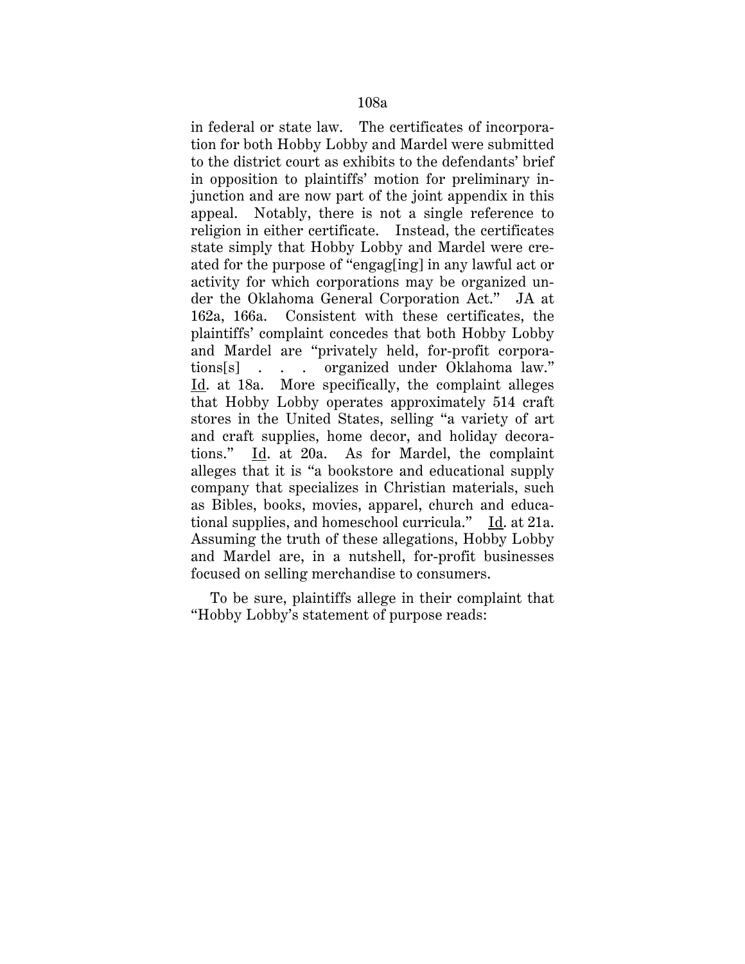in federal or state law. The certificates of incorporation for both Hobby Lobby and Mardel were submitted to the district court as exhibits to the defendants' brief in opposition to plaintiffs' motion for preliminary injunction and are now part of the joint appendix in this appeal. Notably, there is not a single reference to religion in either certificate. Instead, the certificates state simply that Hobby Lobby and Mardel were created for the purpose of "engag[ing] in any lawful act or activity for which corporations may be organized under the Oklahoma General Corporation Act." JA at 162a, 166a. Consistent with these certificates, the plaintiffs' complaint concedes that both Hobby Lobby and Mardel are "privately held, for-profit corporations[s] . . . organized under Oklahoma law." Id. at 18a. More specifically, the complaint alleges that Hobby Lobby operates approximately 514 craft stores in the United States, selling "a variety of art and craft supplies, home decor, and holiday decorations." Id. at 20a. As for Mardel, the complaint alleges that it is "a bookstore and educational supply company that specializes in Christian materials, such as Bibles, books, movies, apparel, church and educational supplies, and homeschool curricula." Id. at 21a. Assuming the truth of these allegations, Hobby Lobby and Mardel are, in a nutshell, for-profit businesses focused on selling merchandise to consumers.

To be sure, plaintiffs allege in their complaint that "Hobby Lobby's statement of purpose reads: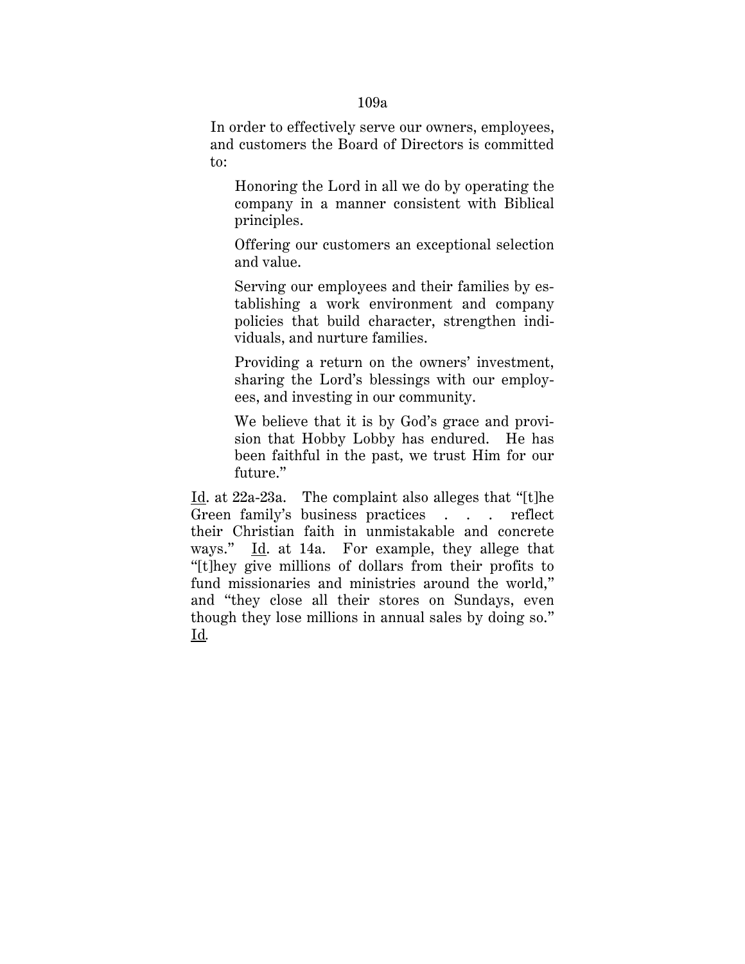### 109a

In order to effectively serve our owners, employees, and customers the Board of Directors is committed to:

Honoring the Lord in all we do by operating the company in a manner consistent with Biblical principles.

Offering our customers an exceptional selection and value.

Serving our employees and their families by establishing a work environment and company policies that build character, strengthen individuals, and nurture families.

Providing a return on the owners' investment, sharing the Lord's blessings with our employees, and investing in our community.

We believe that it is by God's grace and provision that Hobby Lobby has endured. He has been faithful in the past, we trust Him for our future."

Id. at 22a-23a. The complaint also alleges that "[t]he Green family's business practices . . . reflect their Christian faith in unmistakable and concrete ways." Id. at 14a. For example, they allege that "[t]hey give millions of dollars from their profits to fund missionaries and ministries around the world," and "they close all their stores on Sundays, even though they lose millions in annual sales by doing so." Id*.*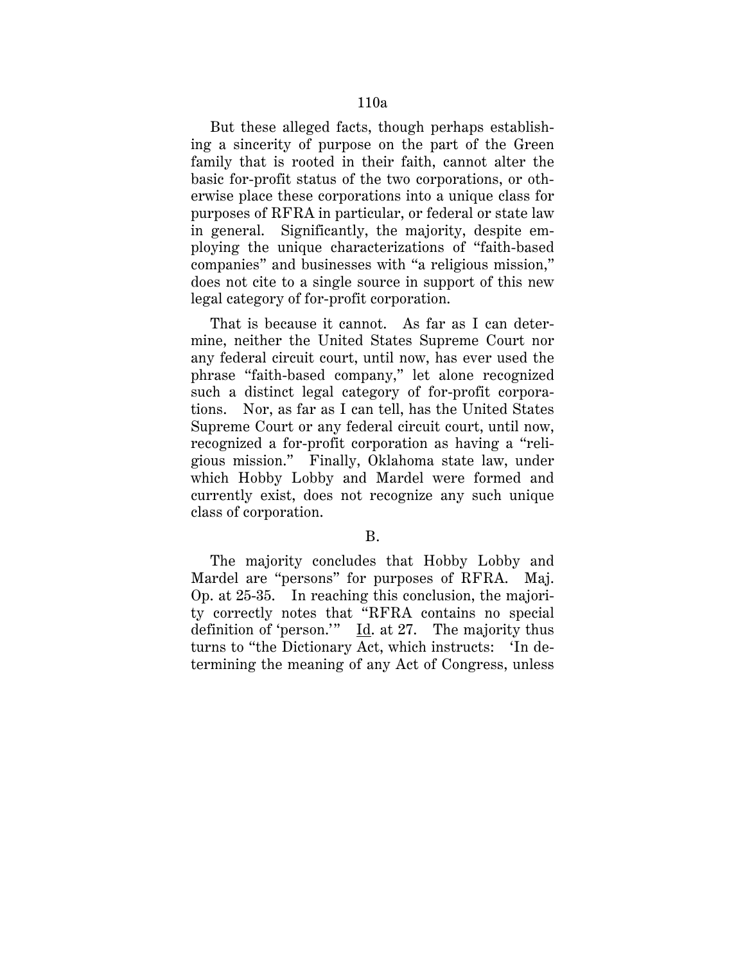But these alleged facts, though perhaps establishing a sincerity of purpose on the part of the Green family that is rooted in their faith, cannot alter the basic for-profit status of the two corporations, or otherwise place these corporations into a unique class for purposes of RFRA in particular, or federal or state law in general. Significantly, the majority, despite employing the unique characterizations of "faith-based companies" and businesses with "a religious mission," does not cite to a single source in support of this new legal category of for-profit corporation.

That is because it cannot. As far as I can determine, neither the United States Supreme Court nor any federal circuit court, until now, has ever used the phrase "faith-based company," let alone recognized such a distinct legal category of for-profit corporations. Nor, as far as I can tell, has the United States Supreme Court or any federal circuit court, until now, recognized a for-profit corporation as having a "religious mission." Finally, Oklahoma state law, under which Hobby Lobby and Mardel were formed and currently exist, does not recognize any such unique class of corporation.

### B.

The majority concludes that Hobby Lobby and Mardel are "persons" for purposes of RFRA. Maj. Op. at 25-35. In reaching this conclusion, the majority correctly notes that "RFRA contains no special definition of 'person.'" Id. at 27. The majority thus turns to "the Dictionary Act, which instructs: 'In determining the meaning of any Act of Congress, unless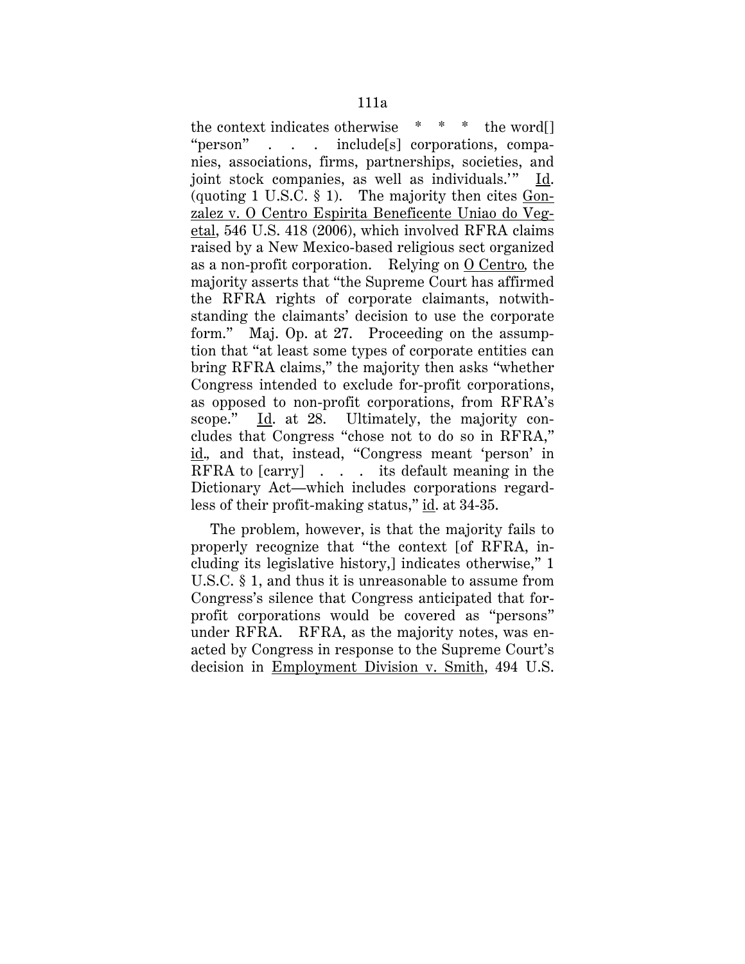the context indicates otherwise \* \* \* the word[] "person" . . . include[s] corporations, companies, associations, firms, partnerships, societies, and joint stock companies, as well as individuals.'" Id. (quoting 1 U.S.C.  $\S$  1). The majority then cites Gonzalez v. O Centro Espirita Beneficente Uniao do Vegetal, 546 U.S. 418 (2006), which involved RFRA claims raised by a New Mexico-based religious sect organized as a non-profit corporation. Relying on O Centro*,* the majority asserts that "the Supreme Court has affirmed the RFRA rights of corporate claimants, notwithstanding the claimants' decision to use the corporate form." Maj. Op. at 27. Proceeding on the assumption that "at least some types of corporate entities can bring RFRA claims," the majority then asks "whether Congress intended to exclude for-profit corporations, as opposed to non-profit corporations, from RFRA's scope." Id. at 28. Ultimately, the majority concludes that Congress "chose not to do so in RFRA," id.*,* and that, instead, "Congress meant 'person' in RFRA to  $[carry]$  . . . its default meaning in the Dictionary Act—which includes corporations regardless of their profit-making status," id. at 34-35.

The problem, however, is that the majority fails to properly recognize that "the context [of RFRA, including its legislative history,] indicates otherwise," 1 U.S.C. § 1, and thus it is unreasonable to assume from Congress's silence that Congress anticipated that forprofit corporations would be covered as "persons" under RFRA. RFRA, as the majority notes, was enacted by Congress in response to the Supreme Court's decision in Employment Division v. Smith, 494 U.S.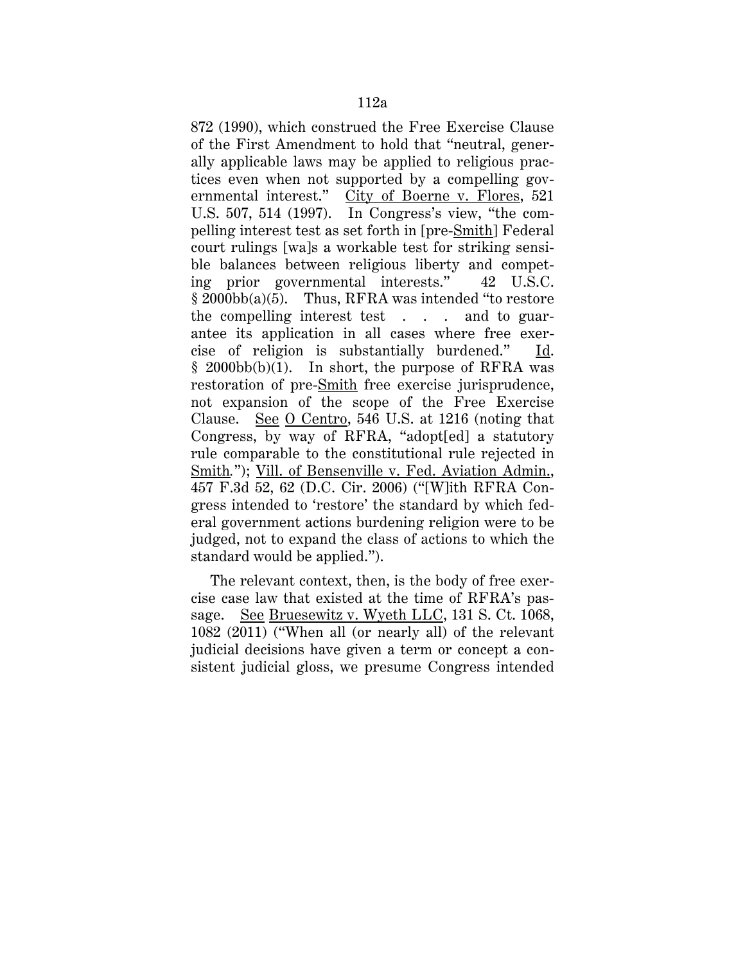872 (1990), which construed the Free Exercise Clause of the First Amendment to hold that "neutral, generally applicable laws may be applied to religious practices even when not supported by a compelling governmental interest." City of Boerne v. Flores, 521 U.S. 507, 514 (1997). In Congress's view, "the compelling interest test as set forth in [pre-Smith] Federal court rulings [wa]s a workable test for striking sensible balances between religious liberty and competing prior governmental interests." 42 U.S.C. § 2000bb(a)(5). Thus, RFRA was intended "to restore the compelling interest test . . . and to guarantee its application in all cases where free exercise of religion is substantially burdened." § 2000bb(b)(1). In short, the purpose of RFRA was restoration of pre-Smith free exercise jurisprudence, not expansion of the scope of the Free Exercise Clause. See O Centro, 546 U.S. at 1216 (noting that Congress, by way of RFRA, "adopt[ed] a statutory rule comparable to the constitutional rule rejected in Smith*.*"); Vill. of Bensenville v. Fed. Aviation Admin., 457 F.3d 52, 62 (D.C. Cir. 2006) ("[W]ith RFRA Congress intended to 'restore' the standard by which federal government actions burdening religion were to be judged, not to expand the class of actions to which the standard would be applied.").

The relevant context, then, is the body of free exercise case law that existed at the time of RFRA's passage. See Bruesewitz v. Wyeth LLC, 131 S. Ct. 1068, 1082 (2011) ("When all (or nearly all) of the relevant judicial decisions have given a term or concept a consistent judicial gloss, we presume Congress intended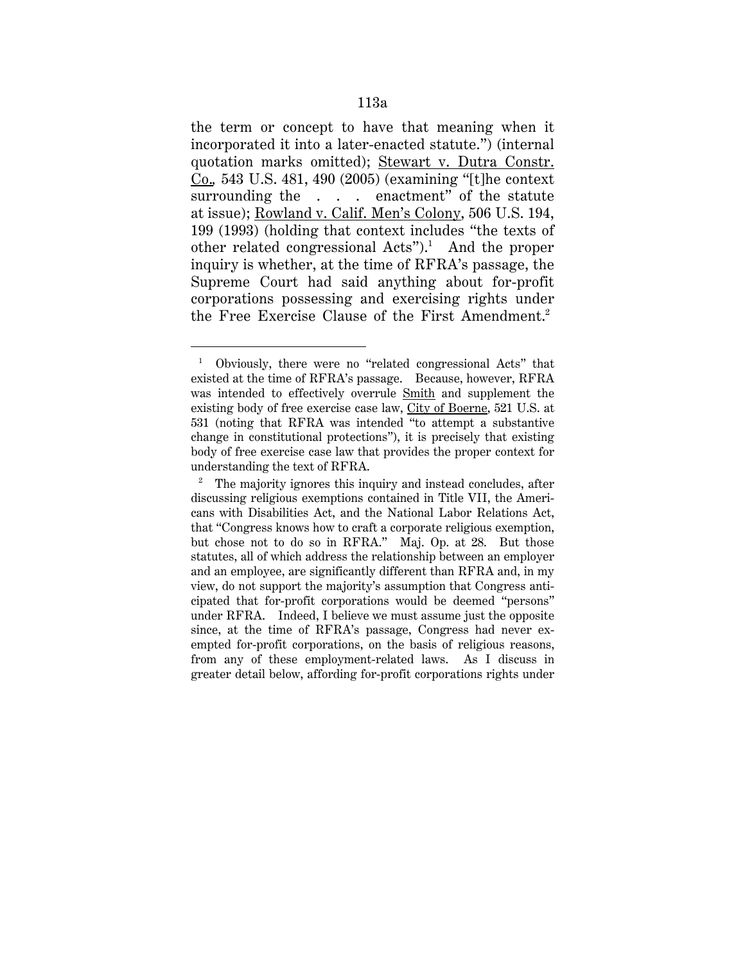the term or concept to have that meaning when it incorporated it into a later-enacted statute.") (internal quotation marks omitted); Stewart v. Dutra Constr. Co.*,* 543 U.S. 481, 490 (2005) (examining "[t]he context surrounding the . . . enactment" of the statute at issue); Rowland v. Calif. Men's Colony, 506 U.S. 194, 199 (1993) (holding that context includes "the texts of other related congressional  $Acts$ ").<sup>1</sup> And the proper inquiry is whether, at the time of RFRA's passage, the Supreme Court had said anything about for-profit corporations possessing and exercising rights under the Free Exercise Clause of the First Amendment.<sup>2</sup>

<u>.</u>

<sup>1</sup> Obviously, there were no "related congressional Acts" that existed at the time of RFRA's passage. Because, however, RFRA was intended to effectively overrule Smith and supplement the existing body of free exercise case law, City of Boerne, 521 U.S. at 531 (noting that RFRA was intended "to attempt a substantive change in constitutional protections"), it is precisely that existing body of free exercise case law that provides the proper context for understanding the text of RFRA.

<sup>2</sup> The majority ignores this inquiry and instead concludes, after discussing religious exemptions contained in Title VII, the Americans with Disabilities Act, and the National Labor Relations Act, that "Congress knows how to craft a corporate religious exemption, but chose not to do so in RFRA." Maj. Op. at 28. But those statutes, all of which address the relationship between an employer and an employee, are significantly different than RFRA and, in my view, do not support the majority's assumption that Congress anticipated that for-profit corporations would be deemed "persons" under RFRA. Indeed, I believe we must assume just the opposite since, at the time of RFRA's passage, Congress had never exempted for-profit corporations, on the basis of religious reasons, from any of these employment-related laws. As I discuss in greater detail below, affording for-profit corporations rights under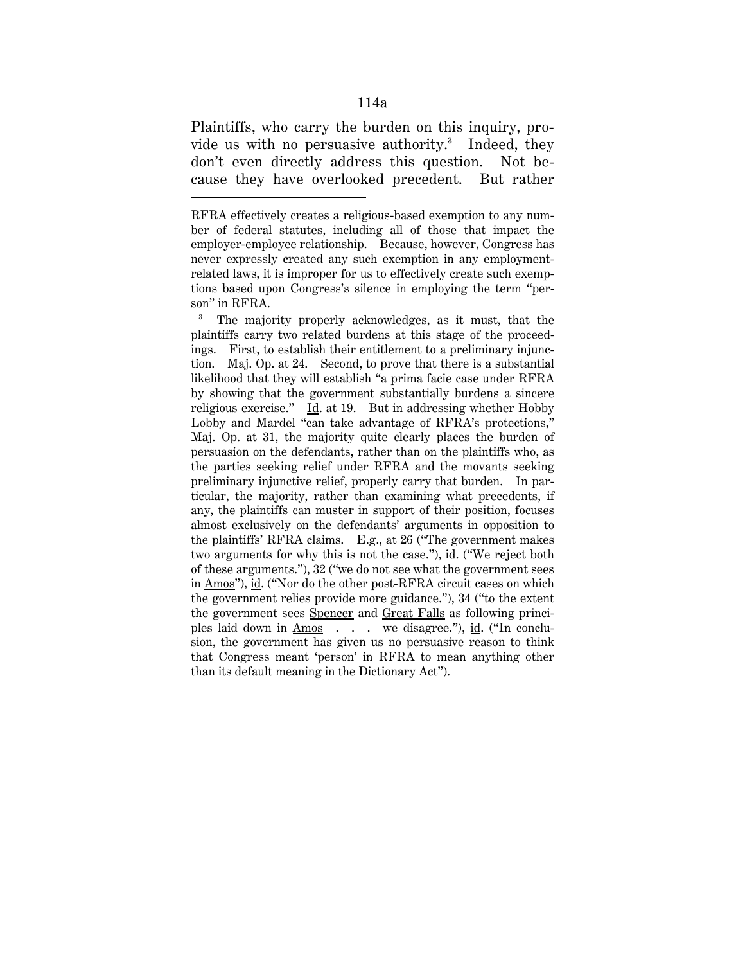Plaintiffs, who carry the burden on this inquiry, provide us with no persuasive authority. $3$  Indeed, they don't even directly address this question. Not because they have overlooked precedent. But rather

-

3 The majority properly acknowledges, as it must, that the plaintiffs carry two related burdens at this stage of the proceedings. First, to establish their entitlement to a preliminary injunction. Maj. Op. at 24. Second, to prove that there is a substantial likelihood that they will establish "a prima facie case under RFRA by showing that the government substantially burdens a sincere religious exercise." Id. at 19. But in addressing whether Hobby Lobby and Mardel "can take advantage of RFRA's protections," Maj. Op. at 31, the majority quite clearly places the burden of persuasion on the defendants, rather than on the plaintiffs who, as the parties seeking relief under RFRA and the movants seeking preliminary injunctive relief, properly carry that burden. In particular, the majority, rather than examining what precedents, if any, the plaintiffs can muster in support of their position, focuses almost exclusively on the defendants' arguments in opposition to the plaintiffs' RFRA claims.  $E.g.,$  at 26 ("The government makes two arguments for why this is not the case."), id. ("We reject both of these arguments."), 32 ("we do not see what the government sees in Amos"), id. ("Nor do the other post-RFRA circuit cases on which the government relies provide more guidance."), 34 ("to the extent the government sees Spencer and Great Falls as following principles laid down in  $\underline{Amos}$  . . . we disagree."), id. ("In conclusion, the government has given us no persuasive reason to think that Congress meant 'person' in RFRA to mean anything other than its default meaning in the Dictionary Act").

RFRA effectively creates a religious-based exemption to any number of federal statutes, including all of those that impact the employer-employee relationship. Because, however, Congress has never expressly created any such exemption in any employmentrelated laws, it is improper for us to effectively create such exemptions based upon Congress's silence in employing the term "person" in RFRA.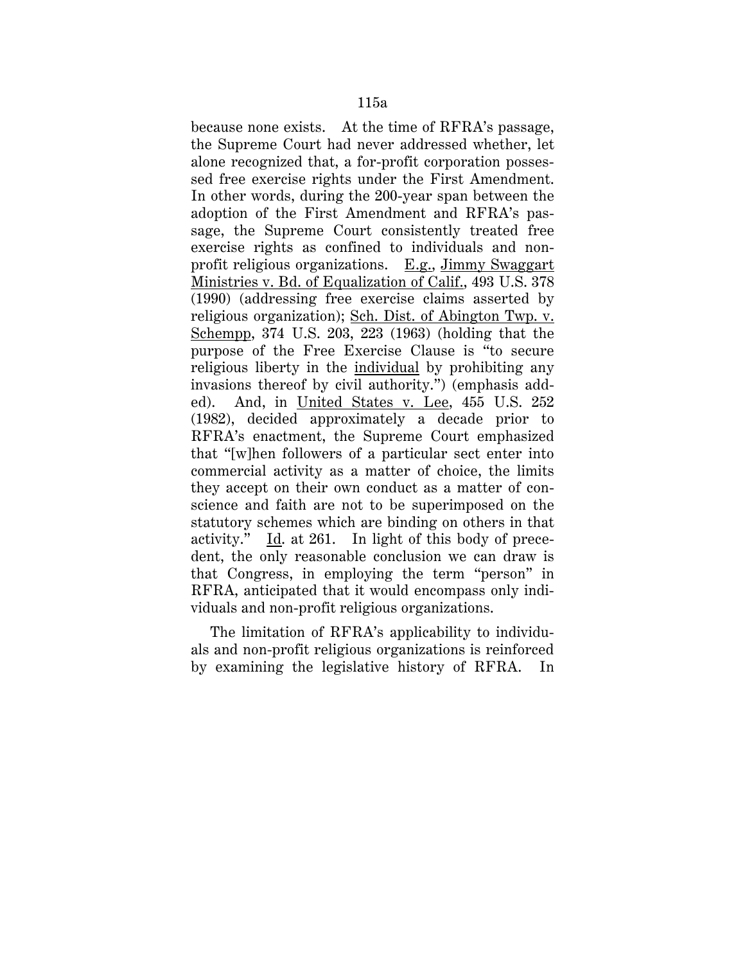because none exists. At the time of RFRA's passage, the Supreme Court had never addressed whether, let alone recognized that, a for-profit corporation possessed free exercise rights under the First Amendment. In other words, during the 200-year span between the adoption of the First Amendment and RFRA's passage, the Supreme Court consistently treated free exercise rights as confined to individuals and nonprofit religious organizations. E.g., Jimmy Swaggart Ministries v. Bd. of Equalization of Calif., 493 U.S. 378 (1990) (addressing free exercise claims asserted by religious organization); Sch. Dist. of Abington Twp. v. Schempp, 374 U.S. 203, 223 (1963) (holding that the purpose of the Free Exercise Clause is "to secure religious liberty in the individual by prohibiting any invasions thereof by civil authority.") (emphasis added). And, in United States v. Lee, 455 U.S. 252 (1982), decided approximately a decade prior to RFRA's enactment, the Supreme Court emphasized that "[w]hen followers of a particular sect enter into commercial activity as a matter of choice, the limits they accept on their own conduct as a matter of conscience and faith are not to be superimposed on the statutory schemes which are binding on others in that activity." Id. at 261. In light of this body of precedent, the only reasonable conclusion we can draw is that Congress, in employing the term "person" in RFRA, anticipated that it would encompass only individuals and non-profit religious organizations.

The limitation of RFRA's applicability to individuals and non-profit religious organizations is reinforced by examining the legislative history of RFRA. In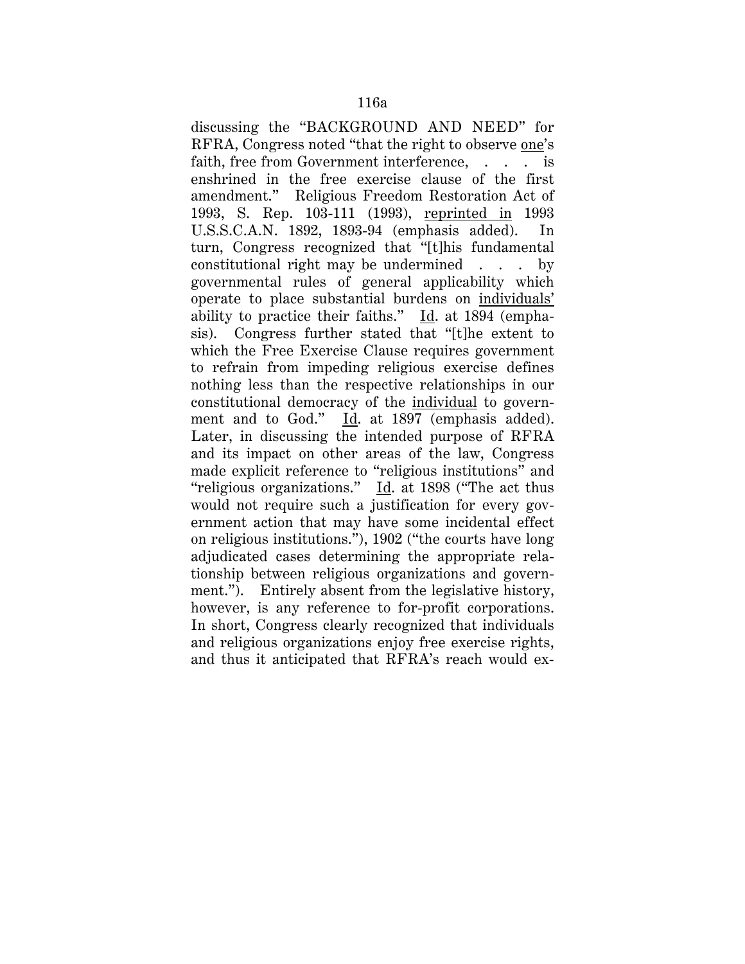discussing the "BACKGROUND AND NEED" for RFRA, Congress noted "that the right to observe one's faith, free from Government interference, . . . is enshrined in the free exercise clause of the first amendment." Religious Freedom Restoration Act of 1993, S. Rep. 103-111 (1993), reprinted in 1993 U.S.S.C.A.N. 1892, 1893-94 (emphasis added). In turn, Congress recognized that "[t]his fundamental constitutional right may be undermined . . . by governmental rules of general applicability which operate to place substantial burdens on individuals' ability to practice their faiths." Id. at 1894 (emphasis). Congress further stated that "[t]he extent to which the Free Exercise Clause requires government to refrain from impeding religious exercise defines nothing less than the respective relationships in our constitutional democracy of the individual to government and to God." Id. at 1897 (emphasis added). Later, in discussing the intended purpose of RFRA and its impact on other areas of the law, Congress made explicit reference to "religious institutions" and "religious organizations." Id. at 1898 ("The act thus would not require such a justification for every government action that may have some incidental effect on religious institutions."), 1902 ("the courts have long adjudicated cases determining the appropriate relationship between religious organizations and government."). Entirely absent from the legislative history, however, is any reference to for-profit corporations. In short, Congress clearly recognized that individuals and religious organizations enjoy free exercise rights, and thus it anticipated that RFRA's reach would ex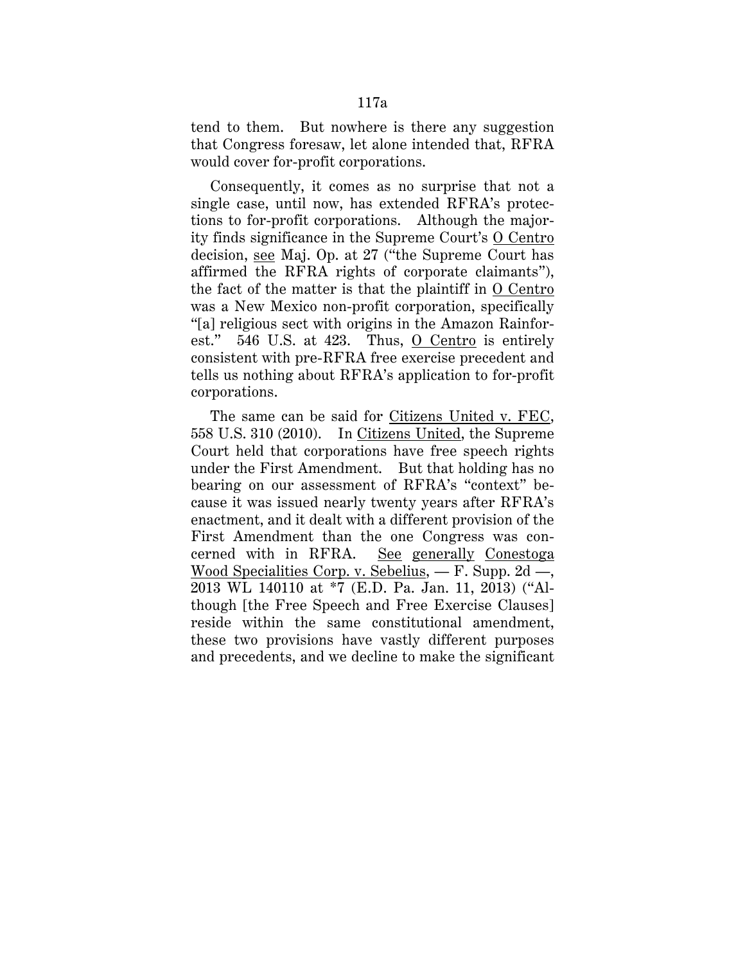tend to them. But nowhere is there any suggestion that Congress foresaw, let alone intended that, RFRA would cover for-profit corporations.

Consequently, it comes as no surprise that not a single case, until now, has extended RFRA's protections to for-profit corporations. Although the majority finds significance in the Supreme Court's O Centro decision, see Maj. Op. at 27 ("the Supreme Court has affirmed the RFRA rights of corporate claimants"), the fact of the matter is that the plaintiff in O Centro was a New Mexico non-profit corporation, specifically "[a] religious sect with origins in the Amazon Rainforest." 546 U.S. at 423. Thus, O Centro is entirely consistent with pre-RFRA free exercise precedent and tells us nothing about RFRA's application to for-profit corporations.

The same can be said for Citizens United v. FEC, 558 U.S. 310 (2010). In Citizens United, the Supreme Court held that corporations have free speech rights under the First Amendment. But that holding has no bearing on our assessment of RFRA's "context" because it was issued nearly twenty years after RFRA's enactment, and it dealt with a different provision of the First Amendment than the one Congress was concerned with in RFRA. See generally Conestoga Wood Specialities Corp. v. Sebelius, — F. Supp. 2d —, 2013 WL 140110 at \*7 (E.D. Pa. Jan. 11, 2013) ("Although [the Free Speech and Free Exercise Clauses] reside within the same constitutional amendment, these two provisions have vastly different purposes and precedents, and we decline to make the significant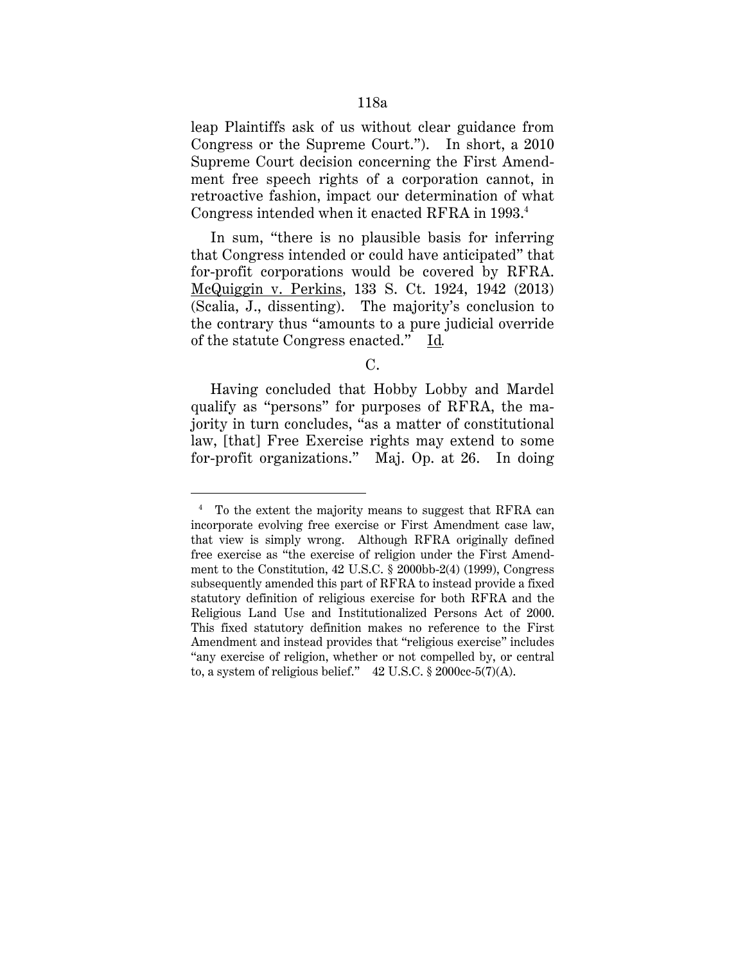leap Plaintiffs ask of us without clear guidance from Congress or the Supreme Court."). In short, a 2010 Supreme Court decision concerning the First Amendment free speech rights of a corporation cannot, in retroactive fashion, impact our determination of what Congress intended when it enacted RFRA in 1993.4

In sum, "there is no plausible basis for inferring that Congress intended or could have anticipated" that for-profit corporations would be covered by RFRA. McQuiggin v. Perkins, 133 S. Ct. 1924, 1942 (2013) (Scalia, J., dissenting). The majority's conclusion to the contrary thus "amounts to a pure judicial override of the statute Congress enacted." Id*.*

 $C<sub>1</sub>$ 

Having concluded that Hobby Lobby and Mardel qualify as "persons" for purposes of RFRA, the majority in turn concludes, "as a matter of constitutional law, [that] Free Exercise rights may extend to some for-profit organizations." Maj. Op. at 26. In doing

-

<sup>&</sup>lt;sup>4</sup> To the extent the majority means to suggest that RFRA can incorporate evolving free exercise or First Amendment case law, that view is simply wrong. Although RFRA originally defined free exercise as "the exercise of religion under the First Amendment to the Constitution, 42 U.S.C. § 2000bb-2(4) (1999), Congress subsequently amended this part of RFRA to instead provide a fixed statutory definition of religious exercise for both RFRA and the Religious Land Use and Institutionalized Persons Act of 2000. This fixed statutory definition makes no reference to the First Amendment and instead provides that "religious exercise" includes "any exercise of religion, whether or not compelled by, or central to, a system of religious belief."  $42 \text{ U.S.C.}$  §  $2000 \text{cc-}5(7)(\text{A}).$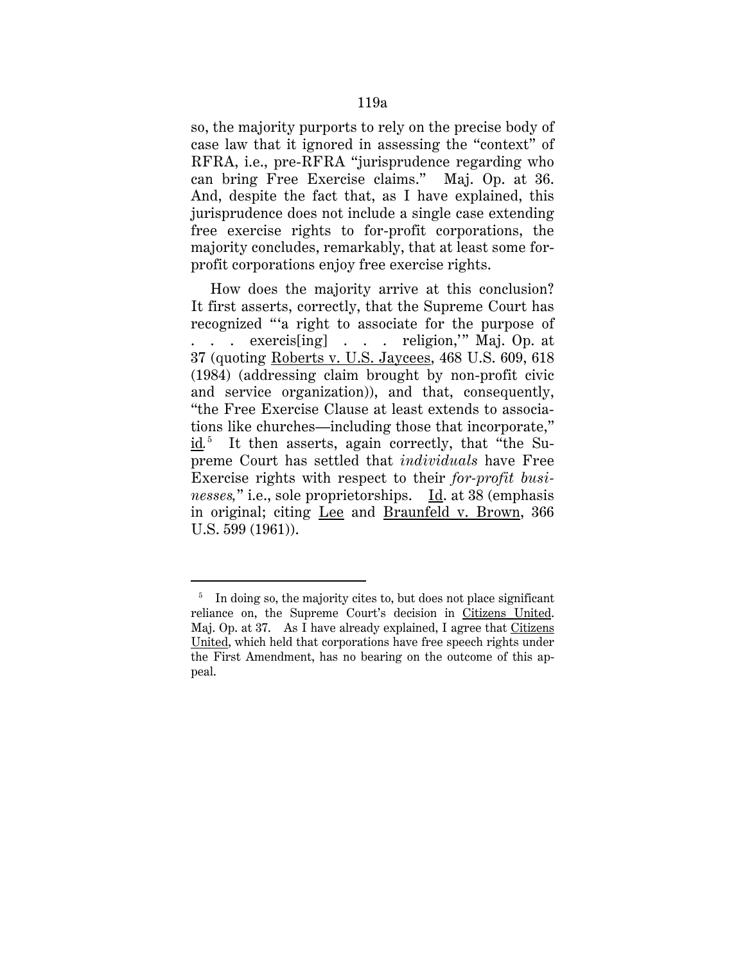so, the majority purports to rely on the precise body of case law that it ignored in assessing the "context" of RFRA, i.e., pre-RFRA "jurisprudence regarding who can bring Free Exercise claims." Maj. Op. at 36. And, despite the fact that, as I have explained, this jurisprudence does not include a single case extending free exercise rights to for-profit corporations, the majority concludes, remarkably, that at least some forprofit corporations enjoy free exercise rights.

How does the majority arrive at this conclusion? It first asserts, correctly, that the Supreme Court has recognized "'a right to associate for the purpose of . . . exercis[ing] . . . religion,'" Maj. Op. at 37 (quoting Roberts v. U.S. Jaycees, 468 U.S. 609, 618 (1984) (addressing claim brought by non-profit civic and service organization)), and that, consequently, "the Free Exercise Clause at least extends to associations like churches—including those that incorporate," id.<sup>5</sup> It then asserts, again correctly, that "the Supreme Court has settled that *individuals* have Free Exercise rights with respect to their *for-profit businesses,*" i.e., sole proprietorships. Id. at 38 (emphasis in original; citing Lee and Braunfeld v. Brown, 366 U.S. 599 (1961)).

<u>.</u>

<sup>5</sup> In doing so, the majority cites to, but does not place significant reliance on, the Supreme Court's decision in Citizens United. Maj. Op. at 37. As I have already explained, I agree that Citizens United, which held that corporations have free speech rights under the First Amendment, has no bearing on the outcome of this appeal.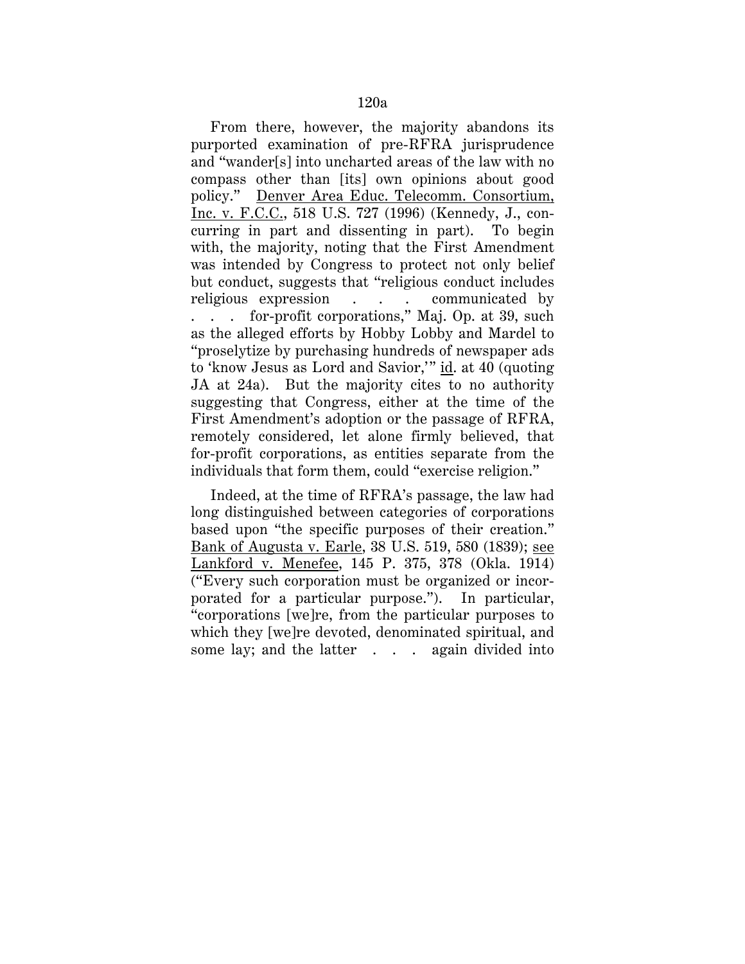From there, however, the majority abandons its purported examination of pre-RFRA jurisprudence and "wander[s] into uncharted areas of the law with no compass other than [its] own opinions about good policy." Denver Area Educ. Telecomm. Consortium, Inc. v. F.C.C., 518 U.S. 727 (1996) (Kennedy, J., concurring in part and dissenting in part). To begin with, the majority, noting that the First Amendment was intended by Congress to protect not only belief but conduct, suggests that "religious conduct includes religious expression . . . communicated by . . . for-profit corporations," Maj. Op. at 39, such as the alleged efforts by Hobby Lobby and Mardel to "proselytize by purchasing hundreds of newspaper ads to 'know Jesus as Lord and Savior,'" id. at 40 (quoting JA at 24a). But the majority cites to no authority suggesting that Congress, either at the time of the First Amendment's adoption or the passage of RFRA, remotely considered, let alone firmly believed, that

Indeed, at the time of RFRA's passage, the law had long distinguished between categories of corporations based upon "the specific purposes of their creation." Bank of Augusta v. Earle, 38 U.S. 519, 580 (1839); see Lankford v. Menefee, 145 P. 375, 378 (Okla. 1914) ("Every such corporation must be organized or incorporated for a particular purpose."). In particular, "corporations [we]re, from the particular purposes to which they [we]re devoted, denominated spiritual, and some lay; and the latter . . . again divided into

for-profit corporations, as entities separate from the individuals that form them, could "exercise religion."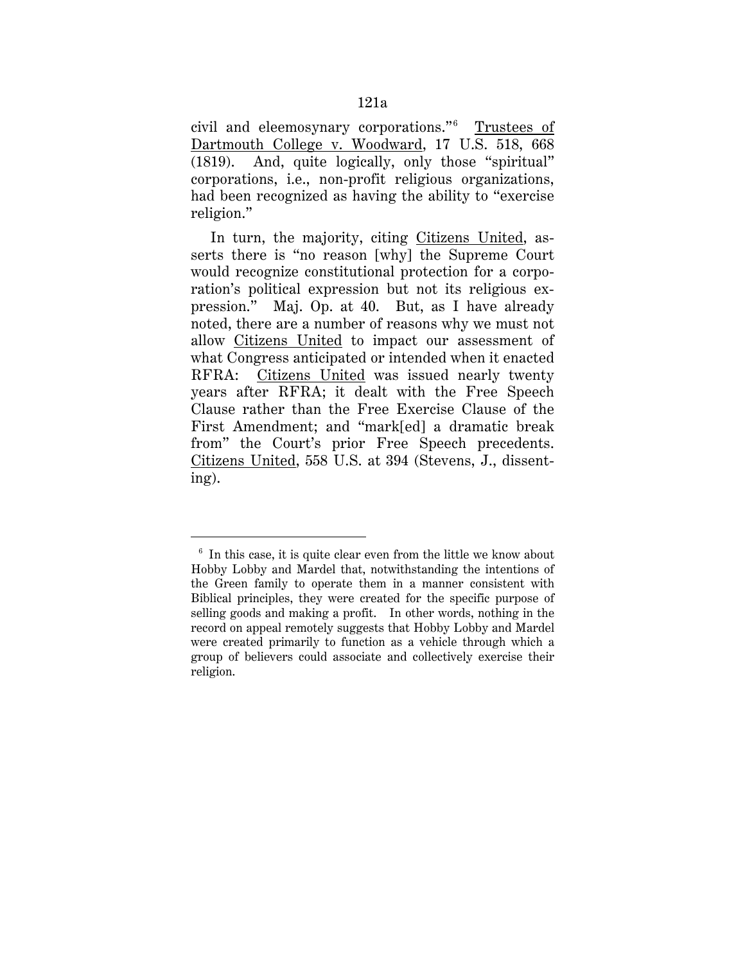civil and eleemosynary corporations."<sup>6</sup> Trustees of Dartmouth College v. Woodward, 17 U.S. 518, 668 (1819). And, quite logically, only those "spiritual" corporations, i.e., non-profit religious organizations, had been recognized as having the ability to "exercise religion."

In turn, the majority, citing Citizens United, asserts there is "no reason [why] the Supreme Court would recognize constitutional protection for a corporation's political expression but not its religious expression." Maj. Op. at 40. But, as I have already noted, there are a number of reasons why we must not allow Citizens United to impact our assessment of what Congress anticipated or intended when it enacted RFRA: Citizens United was issued nearly twenty years after RFRA; it dealt with the Free Speech Clause rather than the Free Exercise Clause of the First Amendment; and "mark[ed] a dramatic break from" the Court's prior Free Speech precedents. Citizens United, 558 U.S. at 394 (Stevens, J., dissenting).

<u>.</u>

<sup>6</sup> In this case, it is quite clear even from the little we know about Hobby Lobby and Mardel that, notwithstanding the intentions of the Green family to operate them in a manner consistent with Biblical principles, they were created for the specific purpose of selling goods and making a profit. In other words, nothing in the record on appeal remotely suggests that Hobby Lobby and Mardel were created primarily to function as a vehicle through which a group of believers could associate and collectively exercise their religion.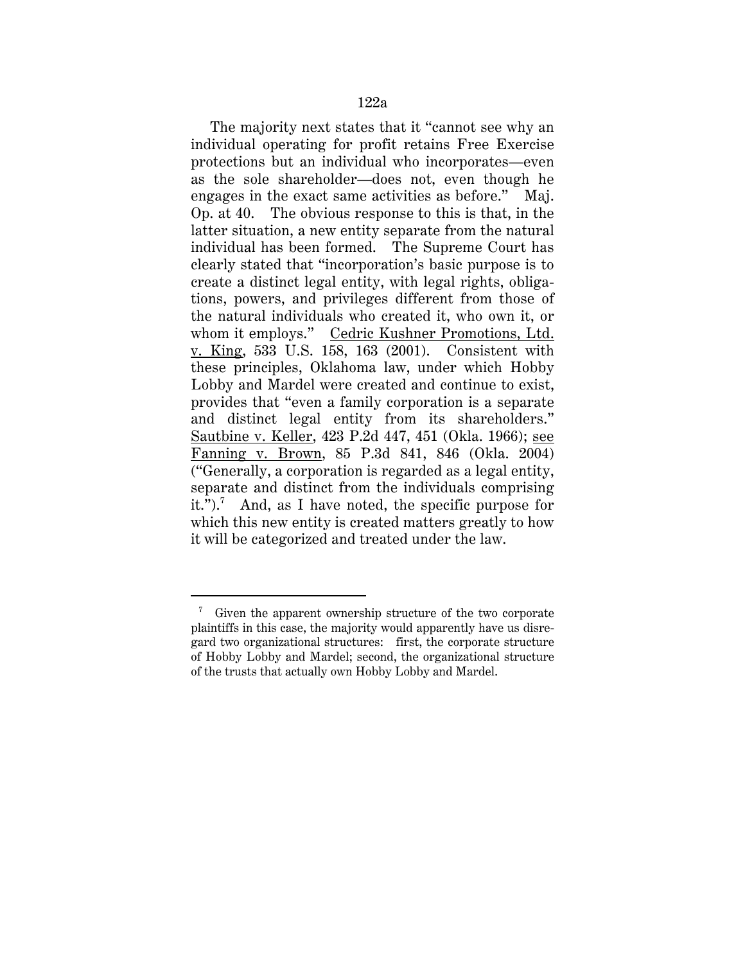The majority next states that it "cannot see why an individual operating for profit retains Free Exercise protections but an individual who incorporates—even as the sole shareholder—does not, even though he engages in the exact same activities as before." Maj. Op. at 40. The obvious response to this is that, in the latter situation, a new entity separate from the natural individual has been formed. The Supreme Court has clearly stated that "incorporation's basic purpose is to create a distinct legal entity, with legal rights, obligations, powers, and privileges different from those of the natural individuals who created it, who own it, or whom it employs." Cedric Kushner Promotions, Ltd. v. King, 533 U.S. 158, 163 (2001). Consistent with these principles, Oklahoma law, under which Hobby Lobby and Mardel were created and continue to exist, provides that "even a family corporation is a separate and distinct legal entity from its shareholders." Sautbine v. Keller, 423 P.2d 447, 451 (Okla. 1966); see Fanning v. Brown, 85 P.3d 841, 846 (Okla. 2004) ("Generally, a corporation is regarded as a legal entity, separate and distinct from the individuals comprising it."). $\cdot$  And, as I have noted, the specific purpose for which this new entity is created matters greatly to how it will be categorized and treated under the law.

<u>.</u>

<sup>&</sup>lt;sup>7</sup> Given the apparent ownership structure of the two corporate plaintiffs in this case, the majority would apparently have us disregard two organizational structures: first, the corporate structure of Hobby Lobby and Mardel; second, the organizational structure of the trusts that actually own Hobby Lobby and Mardel.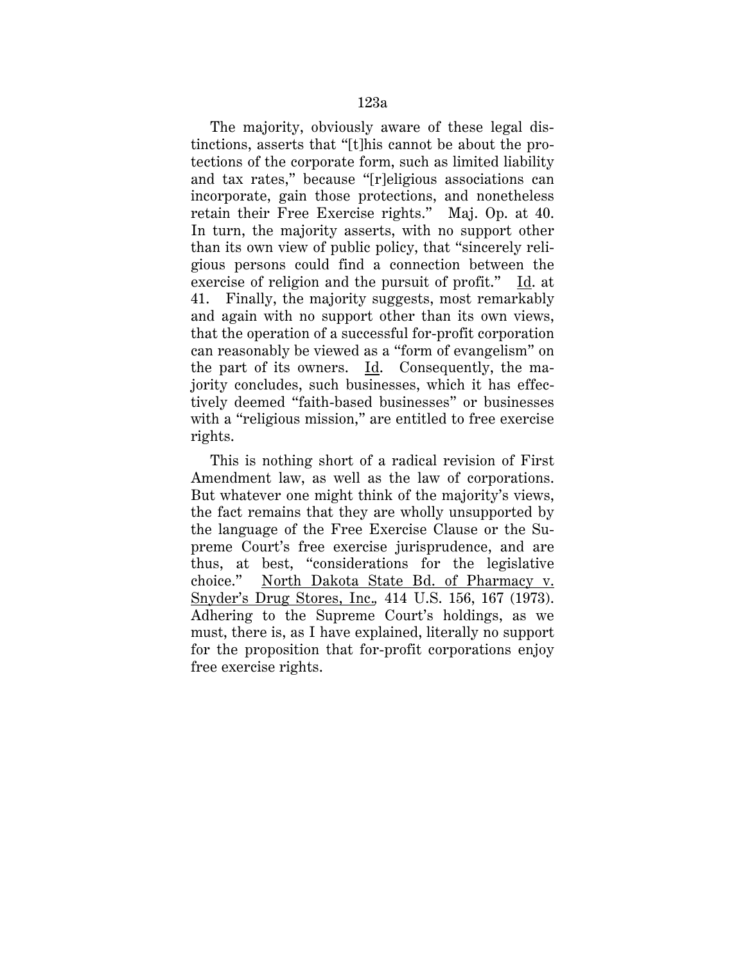The majority, obviously aware of these legal distinctions, asserts that "[t]his cannot be about the protections of the corporate form, such as limited liability and tax rates," because "[r]eligious associations can incorporate, gain those protections, and nonetheless retain their Free Exercise rights." Maj. Op. at 40. In turn, the majority asserts, with no support other than its own view of public policy, that "sincerely religious persons could find a connection between the exercise of religion and the pursuit of profit." Id. at 41. Finally, the majority suggests, most remarkably and again with no support other than its own views, that the operation of a successful for-profit corporation can reasonably be viewed as a "form of evangelism" on the part of its owners. Id. Consequently, the majority concludes, such businesses, which it has effectively deemed "faith-based businesses" or businesses with a "religious mission," are entitled to free exercise rights.

This is nothing short of a radical revision of First Amendment law, as well as the law of corporations. But whatever one might think of the majority's views, the fact remains that they are wholly unsupported by the language of the Free Exercise Clause or the Supreme Court's free exercise jurisprudence, and are thus, at best, "considerations for the legislative choice." North Dakota State Bd. of Pharmacy v. Snyder's Drug Stores, Inc.*,* 414 U.S. 156, 167 (1973). Adhering to the Supreme Court's holdings, as we must, there is, as I have explained, literally no support for the proposition that for-profit corporations enjoy free exercise rights.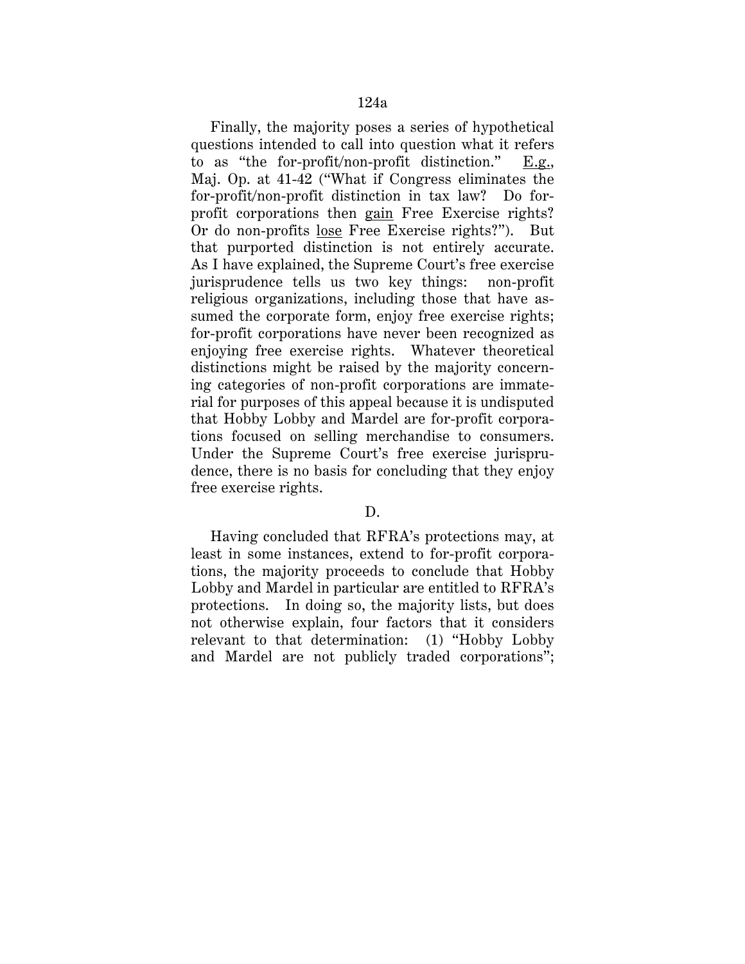Finally, the majority poses a series of hypothetical questions intended to call into question what it refers to as "the for-profit/non-profit distinction." E.g., Maj. Op. at 41-42 ("What if Congress eliminates the for-profit/non-profit distinction in tax law? Do forprofit corporations then gain Free Exercise rights? Or do non-profits lose Free Exercise rights?"). But that purported distinction is not entirely accurate. As I have explained, the Supreme Court's free exercise jurisprudence tells us two key things: non-profit religious organizations, including those that have assumed the corporate form, enjoy free exercise rights; for-profit corporations have never been recognized as enjoying free exercise rights. Whatever theoretical distinctions might be raised by the majority concerning categories of non-profit corporations are immaterial for purposes of this appeal because it is undisputed that Hobby Lobby and Mardel are for-profit corporations focused on selling merchandise to consumers. Under the Supreme Court's free exercise jurisprudence, there is no basis for concluding that they enjoy free exercise rights.

### D.

Having concluded that RFRA's protections may, at least in some instances, extend to for-profit corporations, the majority proceeds to conclude that Hobby Lobby and Mardel in particular are entitled to RFRA's protections. In doing so, the majority lists, but does not otherwise explain, four factors that it considers relevant to that determination: (1) "Hobby Lobby and Mardel are not publicly traded corporations";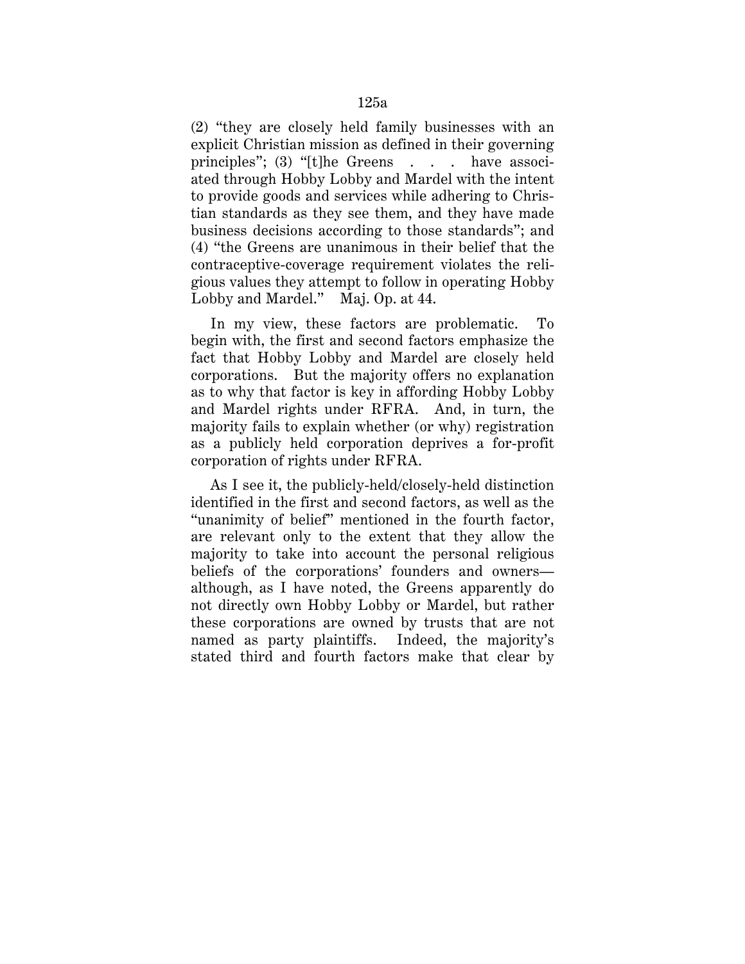(2) "they are closely held family businesses with an explicit Christian mission as defined in their governing principles"; (3) "[t]he Greens . . . have associated through Hobby Lobby and Mardel with the intent to provide goods and services while adhering to Christian standards as they see them, and they have made business decisions according to those standards"; and (4) "the Greens are unanimous in their belief that the contraceptive-coverage requirement violates the religious values they attempt to follow in operating Hobby Lobby and Mardel." Maj. Op. at 44.

In my view, these factors are problematic. To begin with, the first and second factors emphasize the fact that Hobby Lobby and Mardel are closely held corporations. But the majority offers no explanation as to why that factor is key in affording Hobby Lobby and Mardel rights under RFRA. And, in turn, the majority fails to explain whether (or why) registration as a publicly held corporation deprives a for-profit corporation of rights under RFRA.

As I see it, the publicly-held/closely-held distinction identified in the first and second factors, as well as the "unanimity of belief" mentioned in the fourth factor, are relevant only to the extent that they allow the majority to take into account the personal religious beliefs of the corporations' founders and owners although, as I have noted, the Greens apparently do not directly own Hobby Lobby or Mardel, but rather these corporations are owned by trusts that are not named as party plaintiffs. Indeed, the majority's stated third and fourth factors make that clear by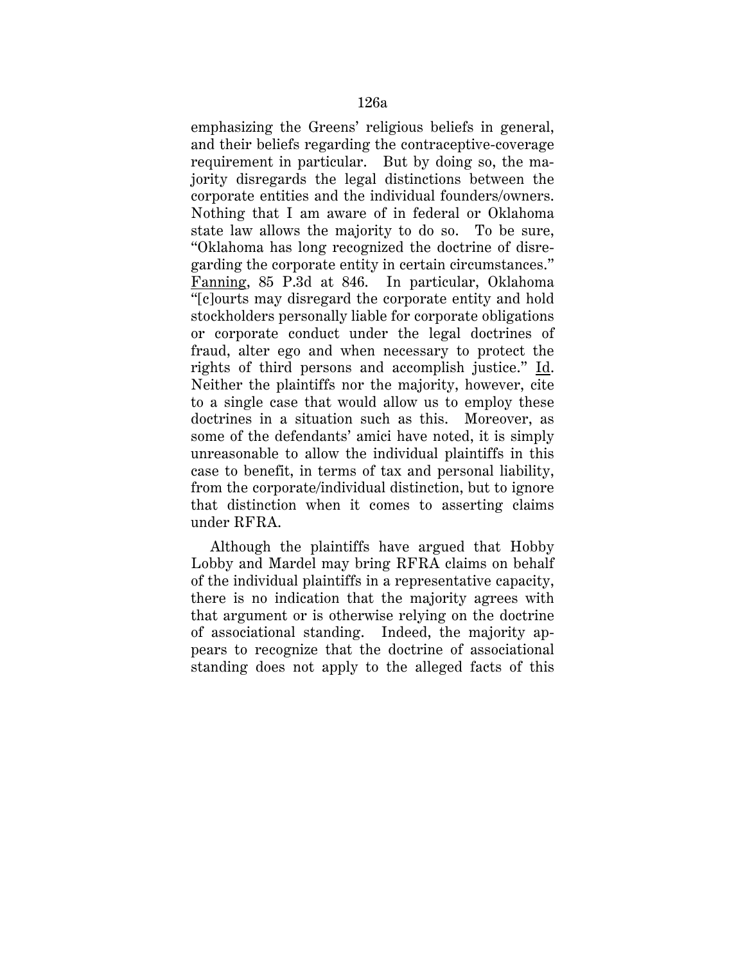emphasizing the Greens' religious beliefs in general, and their beliefs regarding the contraceptive-coverage requirement in particular. But by doing so, the majority disregards the legal distinctions between the corporate entities and the individual founders/owners. Nothing that I am aware of in federal or Oklahoma state law allows the majority to do so. To be sure, "Oklahoma has long recognized the doctrine of disregarding the corporate entity in certain circumstances." Fanning, 85 P.3d at 846. In particular, Oklahoma "[c]ourts may disregard the corporate entity and hold stockholders personally liable for corporate obligations or corporate conduct under the legal doctrines of fraud, alter ego and when necessary to protect the rights of third persons and accomplish justice." Id. Neither the plaintiffs nor the majority, however, cite to a single case that would allow us to employ these doctrines in a situation such as this. Moreover, as some of the defendants' amici have noted, it is simply unreasonable to allow the individual plaintiffs in this case to benefit, in terms of tax and personal liability, from the corporate/individual distinction, but to ignore that distinction when it comes to asserting claims under RFRA.

Although the plaintiffs have argued that Hobby Lobby and Mardel may bring RFRA claims on behalf of the individual plaintiffs in a representative capacity, there is no indication that the majority agrees with that argument or is otherwise relying on the doctrine of associational standing. Indeed, the majority appears to recognize that the doctrine of associational standing does not apply to the alleged facts of this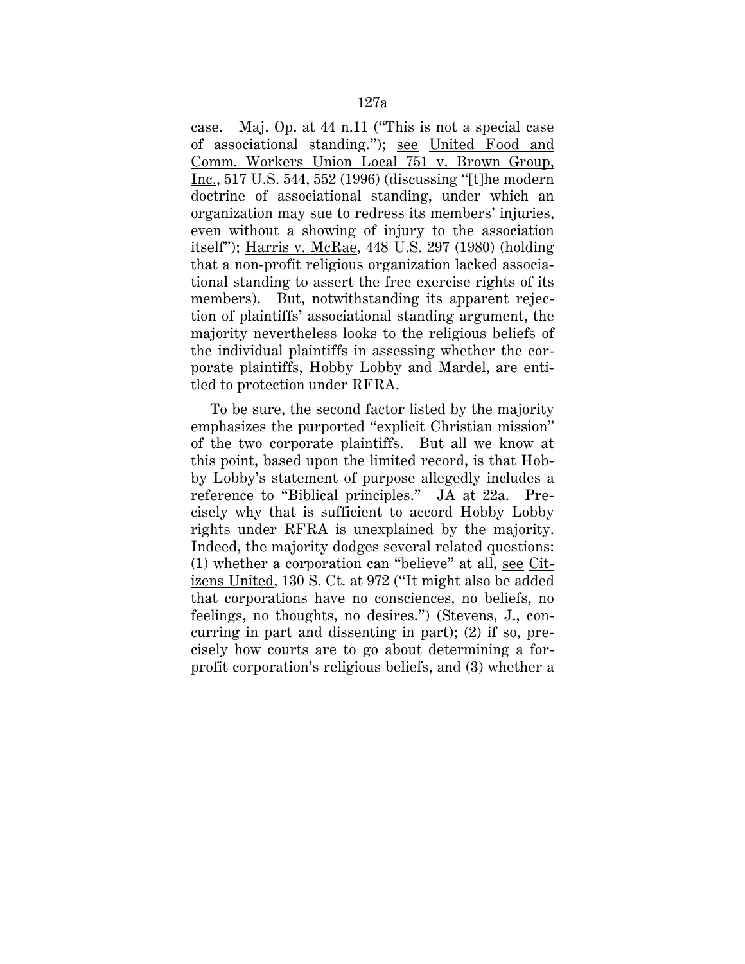case. Maj. Op. at 44 n.11 ("This is not a special case of associational standing."); see United Food and Comm. Workers Union Local 751 v. Brown Group, Inc., 517 U.S. 544, 552 (1996) (discussing "[t]he modern doctrine of associational standing, under which an organization may sue to redress its members' injuries, even without a showing of injury to the association itself"); Harris v. McRae, 448 U.S. 297 (1980) (holding that a non-profit religious organization lacked associational standing to assert the free exercise rights of its members). But, notwithstanding its apparent rejection of plaintiffs' associational standing argument, the majority nevertheless looks to the religious beliefs of the individual plaintiffs in assessing whether the corporate plaintiffs, Hobby Lobby and Mardel, are entitled to protection under RFRA.

To be sure, the second factor listed by the majority emphasizes the purported "explicit Christian mission" of the two corporate plaintiffs. But all we know at this point, based upon the limited record, is that Hobby Lobby's statement of purpose allegedly includes a reference to "Biblical principles." JA at 22a. Precisely why that is sufficient to accord Hobby Lobby rights under RFRA is unexplained by the majority. Indeed, the majority dodges several related questions: (1) whether a corporation can "believe" at all, see Citizens United, 130 S. Ct. at 972 ("It might also be added that corporations have no consciences, no beliefs, no feelings, no thoughts, no desires.") (Stevens, J., concurring in part and dissenting in part); (2) if so, precisely how courts are to go about determining a forprofit corporation's religious beliefs, and (3) whether a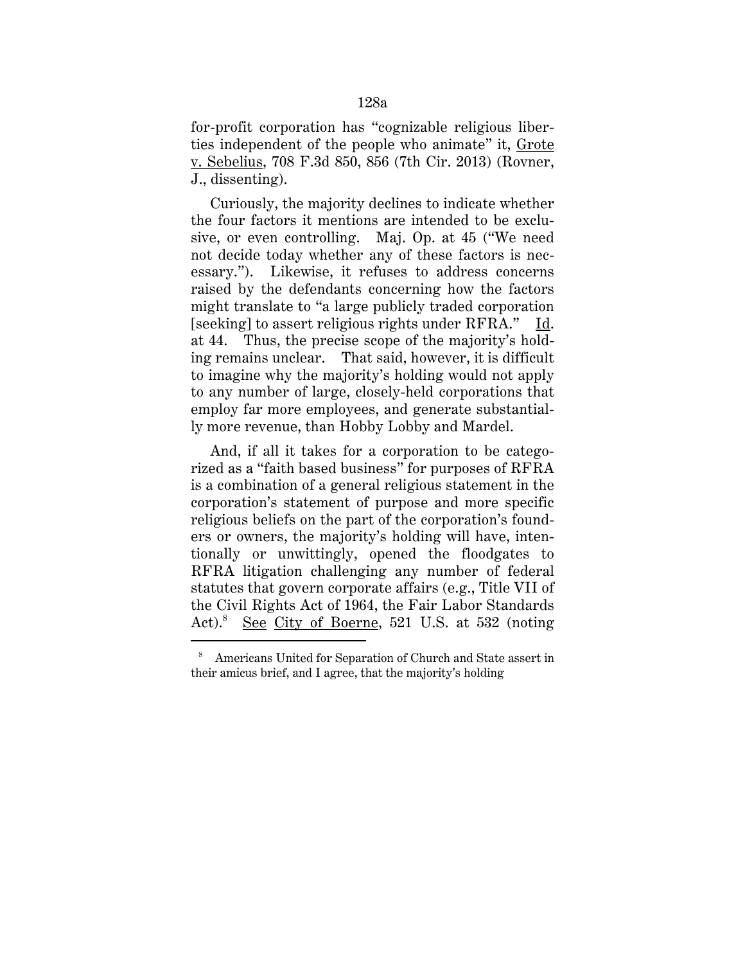for-profit corporation has "cognizable religious liberties independent of the people who animate" it, Grote v. Sebelius, 708 F.3d 850, 856 (7th Cir. 2013) (Rovner, J., dissenting).

Curiously, the majority declines to indicate whether the four factors it mentions are intended to be exclusive, or even controlling. Maj. Op. at 45 ("We need not decide today whether any of these factors is necessary."). Likewise, it refuses to address concerns raised by the defendants concerning how the factors might translate to "a large publicly traded corporation [seeking] to assert religious rights under RFRA." Id. at 44. Thus, the precise scope of the majority's holding remains unclear. That said, however, it is difficult to imagine why the majority's holding would not apply to any number of large, closely-held corporations that employ far more employees, and generate substantially more revenue, than Hobby Lobby and Mardel.

And, if all it takes for a corporation to be categorized as a "faith based business" for purposes of RFRA is a combination of a general religious statement in the corporation's statement of purpose and more specific religious beliefs on the part of the corporation's founders or owners, the majority's holding will have, intentionally or unwittingly, opened the floodgates to RFRA litigation challenging any number of federal statutes that govern corporate affairs (e.g., Title VII of the Civil Rights Act of 1964, the Fair Labor Standards  $Act).<sup>8</sup>$ See City of Boerne, 521 U.S. at 532 (noting

<u>.</u>

<sup>&</sup>lt;sup>8</sup> Americans United for Separation of Church and State assert in their amicus brief, and I agree, that the majority's holding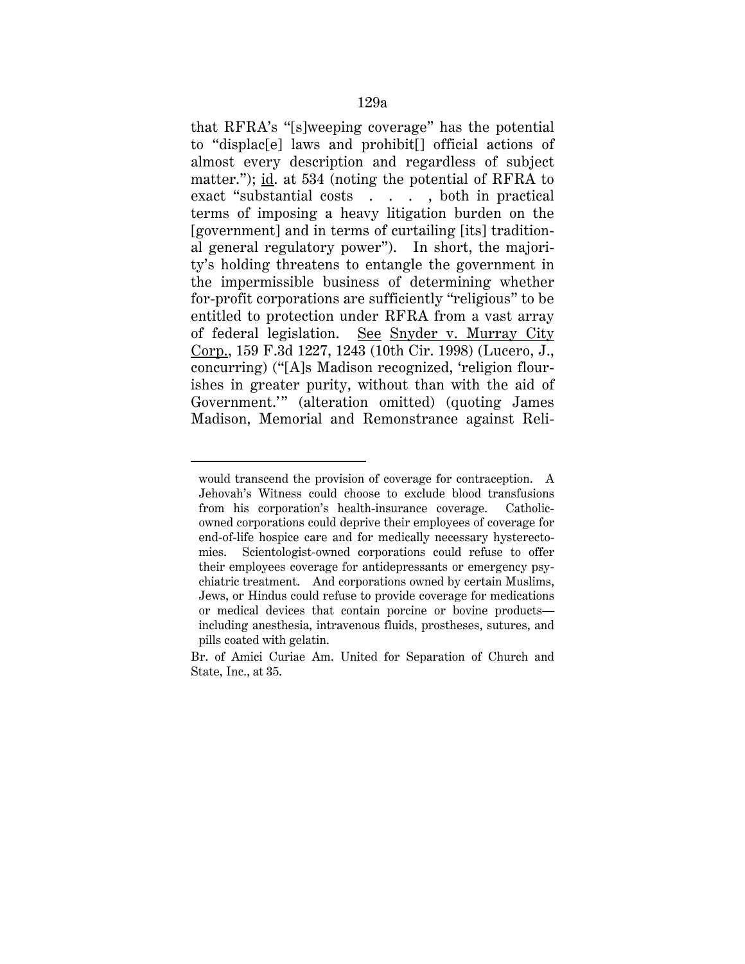that RFRA's "[s]weeping coverage" has the potential to "displac[e] laws and prohibit[] official actions of almost every description and regardless of subject matter."); id. at 534 (noting the potential of RFRA to exact "substantial costs . . . , both in practical terms of imposing a heavy litigation burden on the [government] and in terms of curtailing [its] traditional general regulatory power"). In short, the majority's holding threatens to entangle the government in the impermissible business of determining whether for-profit corporations are sufficiently "religious" to be entitled to protection under RFRA from a vast array of federal legislation. See Snyder v. Murray City Corp., 159 F.3d 1227, 1243 (10th Cir. 1998) (Lucero, J., concurring) ("[A]s Madison recognized, 'religion flourishes in greater purity, without than with the aid of Government.'" (alteration omitted) (quoting James Madison, Memorial and Remonstrance against Reli-

<u>.</u>

would transcend the provision of coverage for contraception. A Jehovah's Witness could choose to exclude blood transfusions from his corporation's health-insurance coverage. Catholicowned corporations could deprive their employees of coverage for end-of-life hospice care and for medically necessary hysterectomies. Scientologist-owned corporations could refuse to offer their employees coverage for antidepressants or emergency psychiatric treatment. And corporations owned by certain Muslims, Jews, or Hindus could refuse to provide coverage for medications or medical devices that contain porcine or bovine products including anesthesia, intravenous fluids, prostheses, sutures, and pills coated with gelatin.

Br. of Amici Curiae Am. United for Separation of Church and State, Inc., at 35.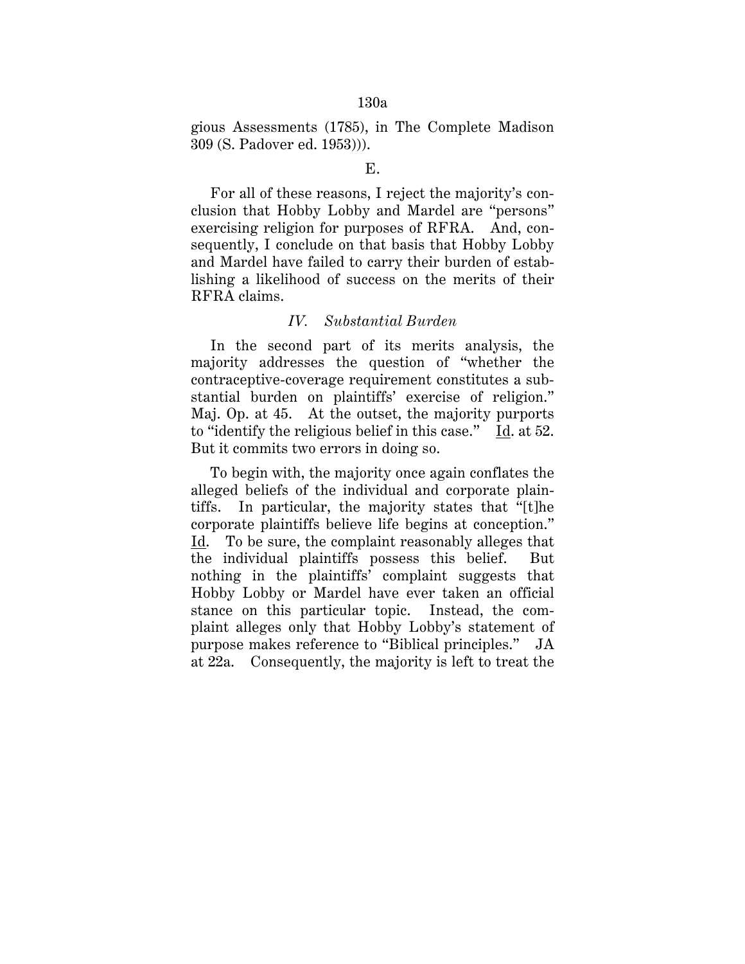gious Assessments (1785), in The Complete Madison 309 (S. Padover ed. 1953))).

For all of these reasons, I reject the majority's conclusion that Hobby Lobby and Mardel are "persons" exercising religion for purposes of RFRA. And, consequently, I conclude on that basis that Hobby Lobby and Mardel have failed to carry their burden of establishing a likelihood of success on the merits of their RFRA claims.

### *IV. Substantial Burden*

In the second part of its merits analysis, the majority addresses the question of "whether the contraceptive-coverage requirement constitutes a substantial burden on plaintiffs' exercise of religion." Maj. Op. at 45. At the outset, the majority purports to "identify the religious belief in this case." Id. at 52. But it commits two errors in doing so.

To begin with, the majority once again conflates the alleged beliefs of the individual and corporate plaintiffs. In particular, the majority states that "[t]he corporate plaintiffs believe life begins at conception." Id. To be sure, the complaint reasonably alleges that the individual plaintiffs possess this belief. But nothing in the plaintiffs' complaint suggests that Hobby Lobby or Mardel have ever taken an official stance on this particular topic. Instead, the complaint alleges only that Hobby Lobby's statement of purpose makes reference to "Biblical principles." JA at 22a. Consequently, the majority is left to treat the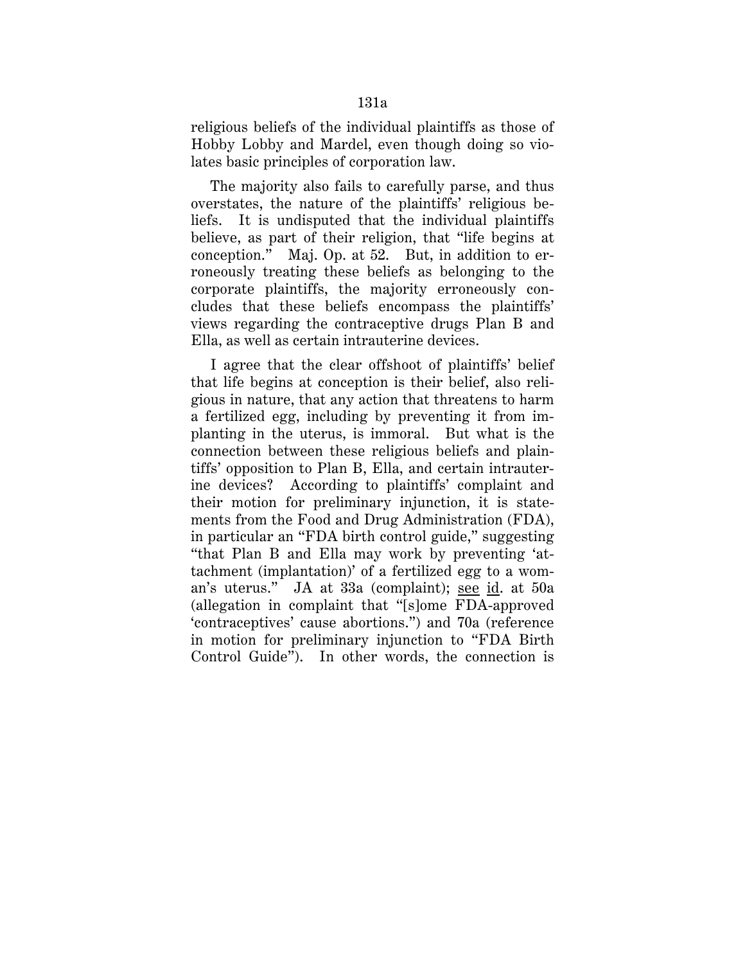religious beliefs of the individual plaintiffs as those of Hobby Lobby and Mardel, even though doing so violates basic principles of corporation law.

The majority also fails to carefully parse, and thus overstates, the nature of the plaintiffs' religious beliefs. It is undisputed that the individual plaintiffs believe, as part of their religion, that "life begins at conception." Maj. Op. at 52. But, in addition to erroneously treating these beliefs as belonging to the corporate plaintiffs, the majority erroneously concludes that these beliefs encompass the plaintiffs' views regarding the contraceptive drugs Plan B and Ella, as well as certain intrauterine devices.

I agree that the clear offshoot of plaintiffs' belief that life begins at conception is their belief, also religious in nature, that any action that threatens to harm a fertilized egg, including by preventing it from implanting in the uterus, is immoral. But what is the connection between these religious beliefs and plaintiffs' opposition to Plan B, Ella, and certain intrauterine devices? According to plaintiffs' complaint and their motion for preliminary injunction, it is statements from the Food and Drug Administration (FDA), in particular an "FDA birth control guide," suggesting "that Plan B and Ella may work by preventing 'attachment (implantation)' of a fertilized egg to a woman's uterus." JA at 33a (complaint); see id. at 50a (allegation in complaint that "[s]ome FDA-approved 'contraceptives' cause abortions.") and 70a (reference in motion for preliminary injunction to "FDA Birth Control Guide"). In other words, the connection is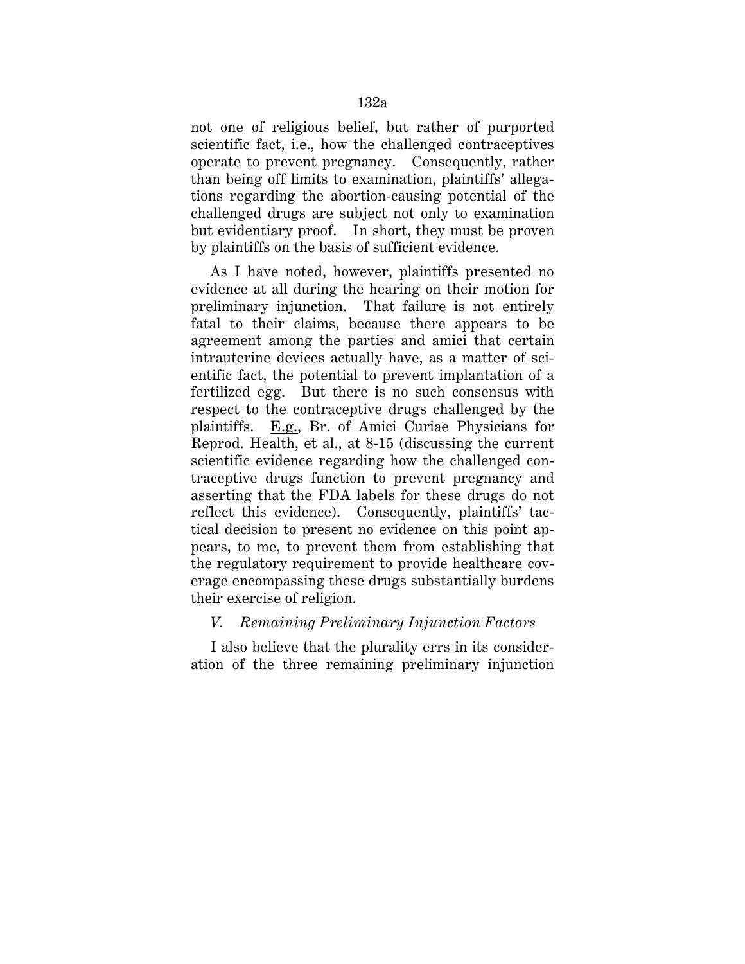not one of religious belief, but rather of purported scientific fact, i.e., how the challenged contraceptives operate to prevent pregnancy. Consequently, rather than being off limits to examination, plaintiffs' allegations regarding the abortion-causing potential of the challenged drugs are subject not only to examination but evidentiary proof. In short, they must be proven by plaintiffs on the basis of sufficient evidence.

As I have noted, however, plaintiffs presented no evidence at all during the hearing on their motion for preliminary injunction. That failure is not entirely fatal to their claims, because there appears to be agreement among the parties and amici that certain intrauterine devices actually have, as a matter of scientific fact, the potential to prevent implantation of a fertilized egg. But there is no such consensus with respect to the contraceptive drugs challenged by the plaintiffs. E.g., Br. of Amici Curiae Physicians for Reprod. Health, et al., at 8-15 (discussing the current scientific evidence regarding how the challenged contraceptive drugs function to prevent pregnancy and asserting that the FDA labels for these drugs do not reflect this evidence). Consequently, plaintiffs' tactical decision to present no evidence on this point appears, to me, to prevent them from establishing that the regulatory requirement to provide healthcare coverage encompassing these drugs substantially burdens their exercise of religion.

### *V. Remaining Preliminary Injunction Factors*

I also believe that the plurality errs in its consideration of the three remaining preliminary injunction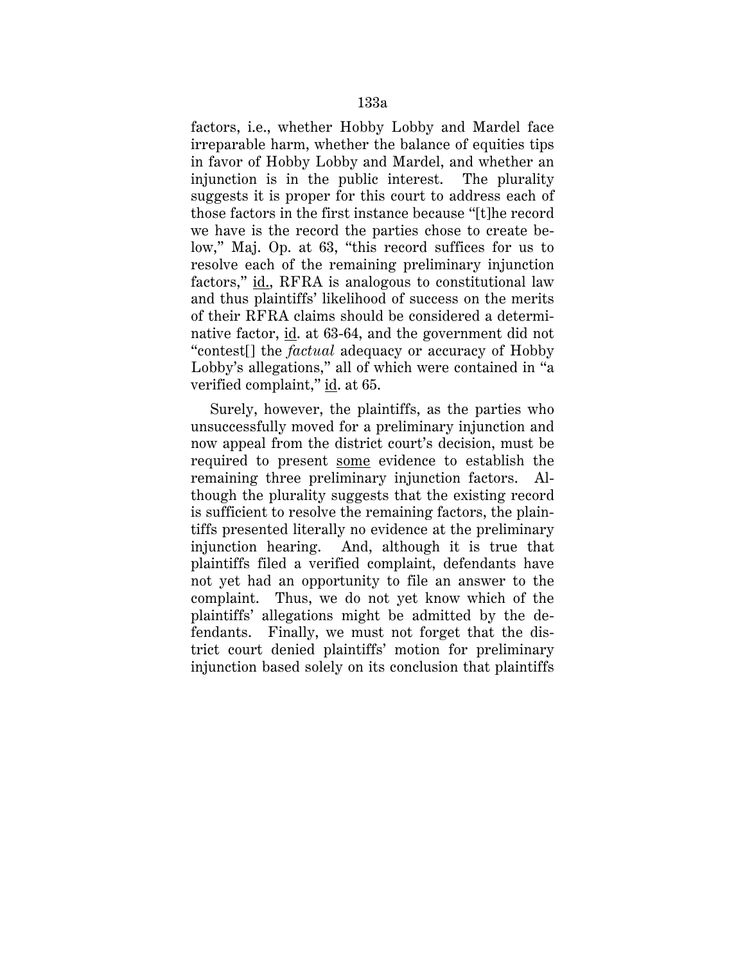factors, i.e., whether Hobby Lobby and Mardel face irreparable harm, whether the balance of equities tips in favor of Hobby Lobby and Mardel, and whether an injunction is in the public interest. The plurality suggests it is proper for this court to address each of those factors in the first instance because "[t]he record we have is the record the parties chose to create below," Maj. Op. at 63, "this record suffices for us to resolve each of the remaining preliminary injunction factors," id., RFRA is analogous to constitutional law and thus plaintiffs' likelihood of success on the merits of their RFRA claims should be considered a determinative factor, id. at 63-64, and the government did not "contest[] the *factual* adequacy or accuracy of Hobby Lobby's allegations," all of which were contained in "a verified complaint," id. at 65.

Surely, however, the plaintiffs, as the parties who unsuccessfully moved for a preliminary injunction and now appeal from the district court's decision, must be required to present some evidence to establish the remaining three preliminary injunction factors. Although the plurality suggests that the existing record is sufficient to resolve the remaining factors, the plaintiffs presented literally no evidence at the preliminary injunction hearing. And, although it is true that plaintiffs filed a verified complaint, defendants have not yet had an opportunity to file an answer to the complaint. Thus, we do not yet know which of the plaintiffs' allegations might be admitted by the defendants. Finally, we must not forget that the district court denied plaintiffs' motion for preliminary injunction based solely on its conclusion that plaintiffs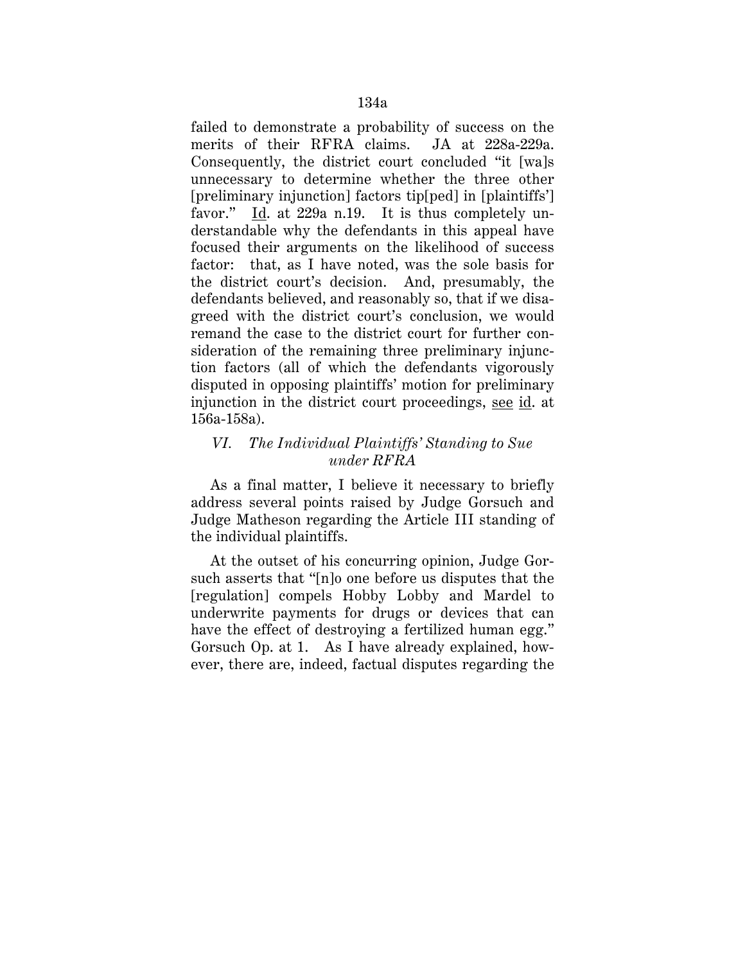failed to demonstrate a probability of success on the merits of their RFRA claims. JA at 228a-229a. Consequently, the district court concluded "it [wa]s unnecessary to determine whether the three other [preliminary injunction] factors tip[ped] in [plaintiffs'] favor." Id. at 229a n.19. It is thus completely understandable why the defendants in this appeal have focused their arguments on the likelihood of success factor: that, as I have noted, was the sole basis for the district court's decision. And, presumably, the defendants believed, and reasonably so, that if we disagreed with the district court's conclusion, we would remand the case to the district court for further consideration of the remaining three preliminary injunction factors (all of which the defendants vigorously disputed in opposing plaintiffs' motion for preliminary injunction in the district court proceedings, see id. at 156a-158a).

# *VI. The Individual Plaintiffs' Standing to Sue under RFRA*

As a final matter, I believe it necessary to briefly address several points raised by Judge Gorsuch and Judge Matheson regarding the Article III standing of the individual plaintiffs.

At the outset of his concurring opinion, Judge Gorsuch asserts that "[n]o one before us disputes that the [regulation] compels Hobby Lobby and Mardel to underwrite payments for drugs or devices that can have the effect of destroying a fertilized human egg." Gorsuch Op. at 1. As I have already explained, however, there are, indeed, factual disputes regarding the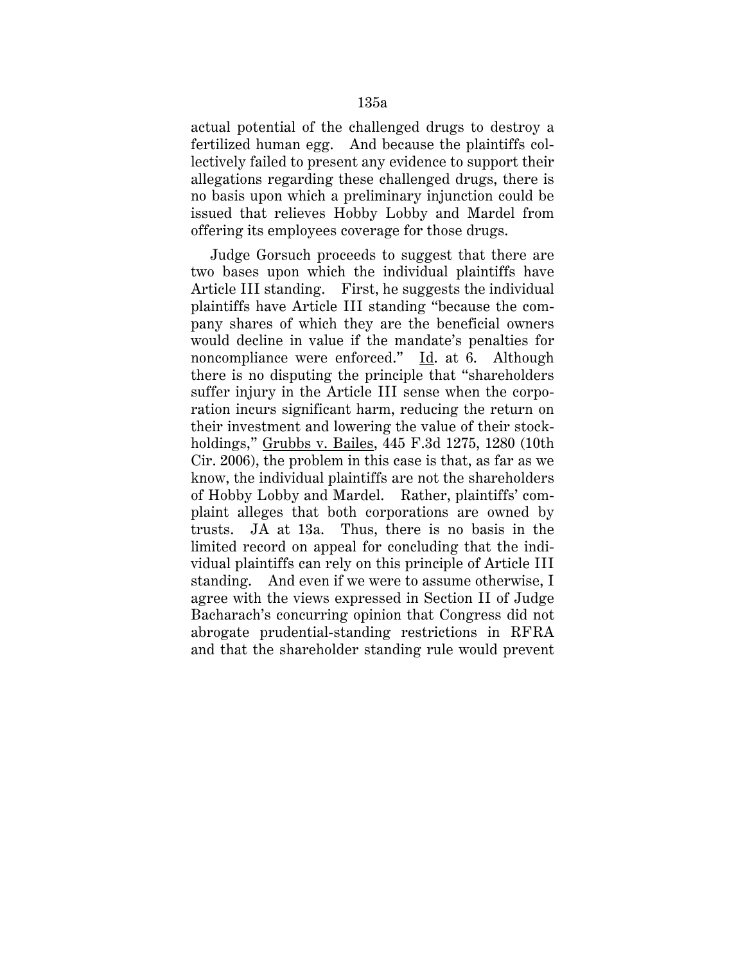actual potential of the challenged drugs to destroy a fertilized human egg. And because the plaintiffs collectively failed to present any evidence to support their allegations regarding these challenged drugs, there is no basis upon which a preliminary injunction could be issued that relieves Hobby Lobby and Mardel from offering its employees coverage for those drugs.

Judge Gorsuch proceeds to suggest that there are two bases upon which the individual plaintiffs have Article III standing. First, he suggests the individual plaintiffs have Article III standing "because the company shares of which they are the beneficial owners would decline in value if the mandate's penalties for noncompliance were enforced." Id. at 6. Although there is no disputing the principle that "shareholders suffer injury in the Article III sense when the corporation incurs significant harm, reducing the return on their investment and lowering the value of their stockholdings," Grubbs v. Bailes, 445 F.3d 1275, 1280 (10th Cir. 2006), the problem in this case is that, as far as we know, the individual plaintiffs are not the shareholders of Hobby Lobby and Mardel. Rather, plaintiffs' complaint alleges that both corporations are owned by trusts. JA at 13a. Thus, there is no basis in the limited record on appeal for concluding that the individual plaintiffs can rely on this principle of Article III standing. And even if we were to assume otherwise, I agree with the views expressed in Section II of Judge Bacharach's concurring opinion that Congress did not abrogate prudential-standing restrictions in RFRA and that the shareholder standing rule would prevent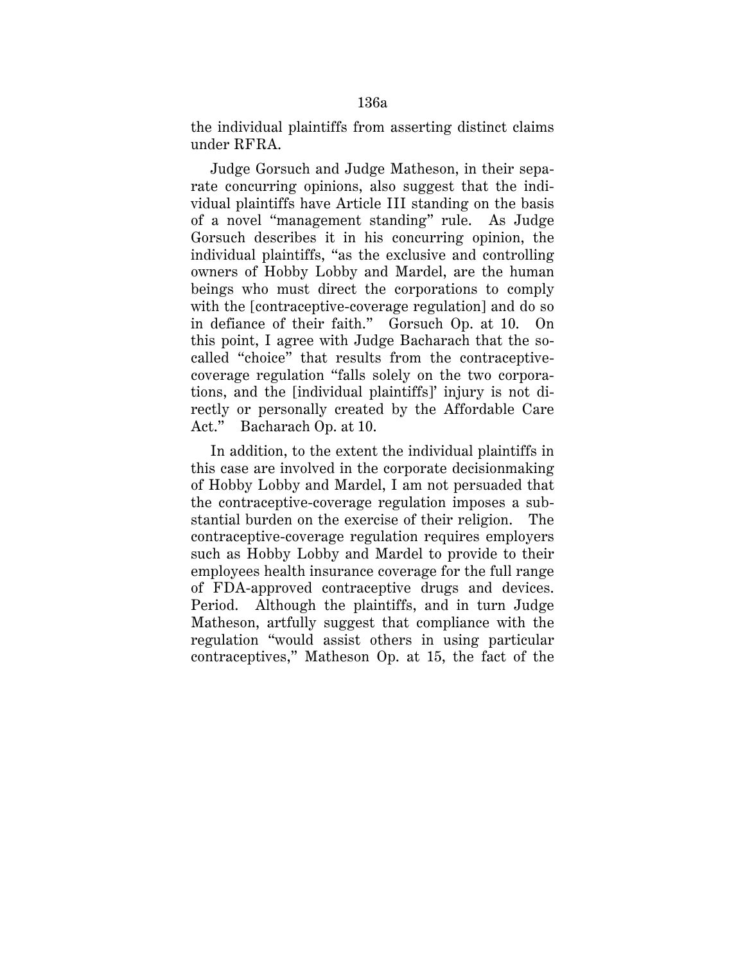the individual plaintiffs from asserting distinct claims under RFRA.

Judge Gorsuch and Judge Matheson, in their separate concurring opinions, also suggest that the individual plaintiffs have Article III standing on the basis of a novel "management standing" rule. As Judge Gorsuch describes it in his concurring opinion, the individual plaintiffs, "as the exclusive and controlling owners of Hobby Lobby and Mardel, are the human beings who must direct the corporations to comply with the [contraceptive-coverage regulation] and do so in defiance of their faith." Gorsuch Op. at 10. On this point, I agree with Judge Bacharach that the socalled "choice" that results from the contraceptivecoverage regulation "falls solely on the two corporations, and the [individual plaintiffs]' injury is not directly or personally created by the Affordable Care Act." Bacharach Op. at 10.

In addition, to the extent the individual plaintiffs in this case are involved in the corporate decisionmaking of Hobby Lobby and Mardel, I am not persuaded that the contraceptive-coverage regulation imposes a substantial burden on the exercise of their religion. The contraceptive-coverage regulation requires employers such as Hobby Lobby and Mardel to provide to their employees health insurance coverage for the full range of FDA-approved contraceptive drugs and devices. Period. Although the plaintiffs, and in turn Judge Matheson, artfully suggest that compliance with the regulation "would assist others in using particular contraceptives," Matheson Op. at 15, the fact of the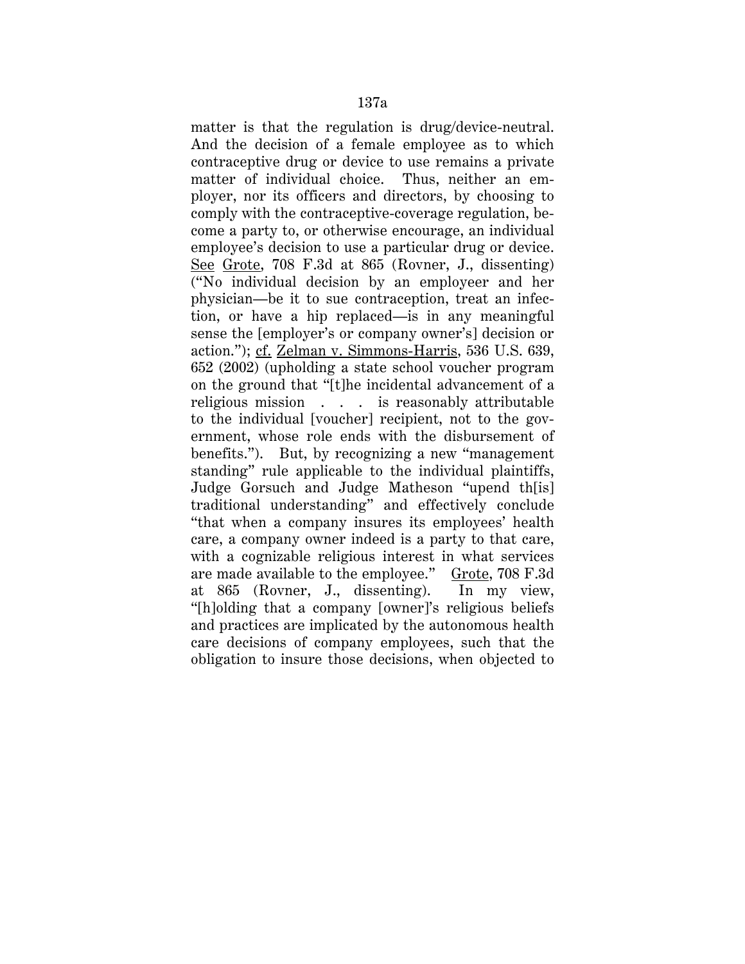matter is that the regulation is drug/device-neutral. And the decision of a female employee as to which contraceptive drug or device to use remains a private matter of individual choice. Thus, neither an employer, nor its officers and directors, by choosing to comply with the contraceptive-coverage regulation, become a party to, or otherwise encourage, an individual employee's decision to use a particular drug or device. See Grote, 708 F.3d at 865 (Rovner, J., dissenting) ("No individual decision by an employeer and her physician—be it to sue contraception, treat an infection, or have a hip replaced—is in any meaningful sense the [employer's or company owner's] decision or action."); cf. Zelman v. Simmons-Harris, 536 U.S. 639, 652 (2002) (upholding a state school voucher program on the ground that "[t]he incidental advancement of a religious mission . . . is reasonably attributable to the individual [voucher] recipient, not to the government, whose role ends with the disbursement of benefits."). But, by recognizing a new "management standing" rule applicable to the individual plaintiffs, Judge Gorsuch and Judge Matheson "upend th[is] traditional understanding" and effectively conclude "that when a company insures its employees' health care, a company owner indeed is a party to that care, with a cognizable religious interest in what services are made available to the employee." Grote, 708 F.3d at 865 (Rovner, J., dissenting). In my view, "[h]olding that a company [owner]'s religious beliefs and practices are implicated by the autonomous health care decisions of company employees, such that the obligation to insure those decisions, when objected to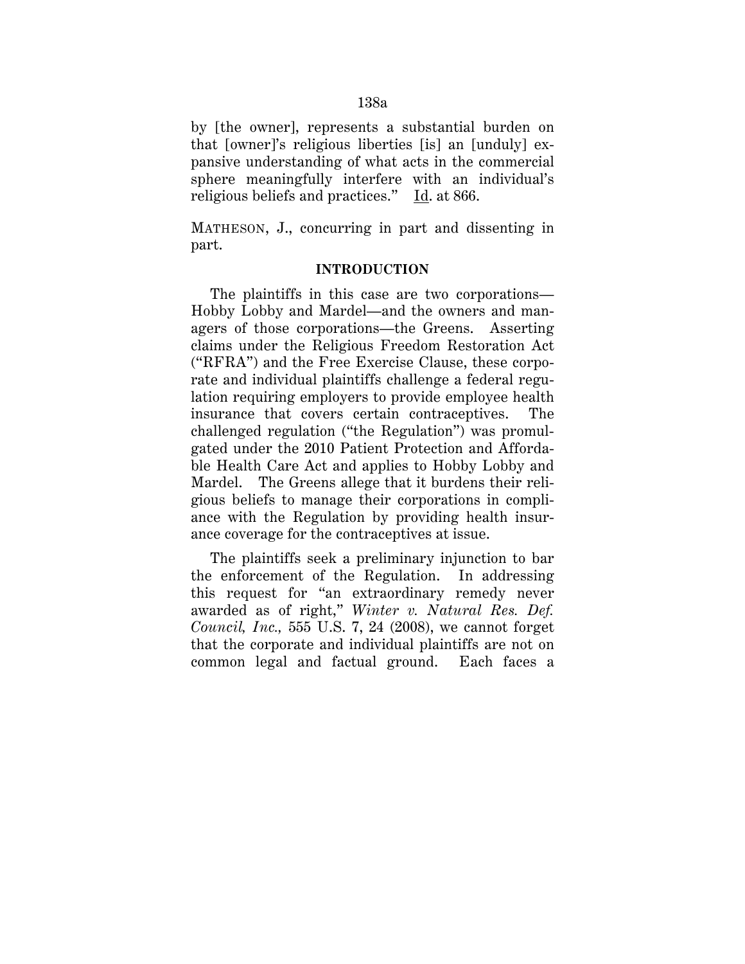by [the owner], represents a substantial burden on that [owner]'s religious liberties [is] an [unduly] expansive understanding of what acts in the commercial sphere meaningfully interfere with an individual's religious beliefs and practices." Id. at 866.

MATHESON, J., concurring in part and dissenting in part.

#### **INTRODUCTION**

The plaintiffs in this case are two corporations— Hobby Lobby and Mardel—and the owners and managers of those corporations—the Greens. Asserting claims under the Religious Freedom Restoration Act ("RFRA") and the Free Exercise Clause, these corporate and individual plaintiffs challenge a federal regulation requiring employers to provide employee health insurance that covers certain contraceptives. The challenged regulation ("the Regulation") was promulgated under the 2010 Patient Protection and Affordable Health Care Act and applies to Hobby Lobby and Mardel. The Greens allege that it burdens their religious beliefs to manage their corporations in compliance with the Regulation by providing health insurance coverage for the contraceptives at issue.

The plaintiffs seek a preliminary injunction to bar the enforcement of the Regulation. In addressing this request for "an extraordinary remedy never awarded as of right," *Winter v. Natural Res. Def. Council, Inc.,* 555 U.S. 7, 24 (2008), we cannot forget that the corporate and individual plaintiffs are not on common legal and factual ground. Each faces a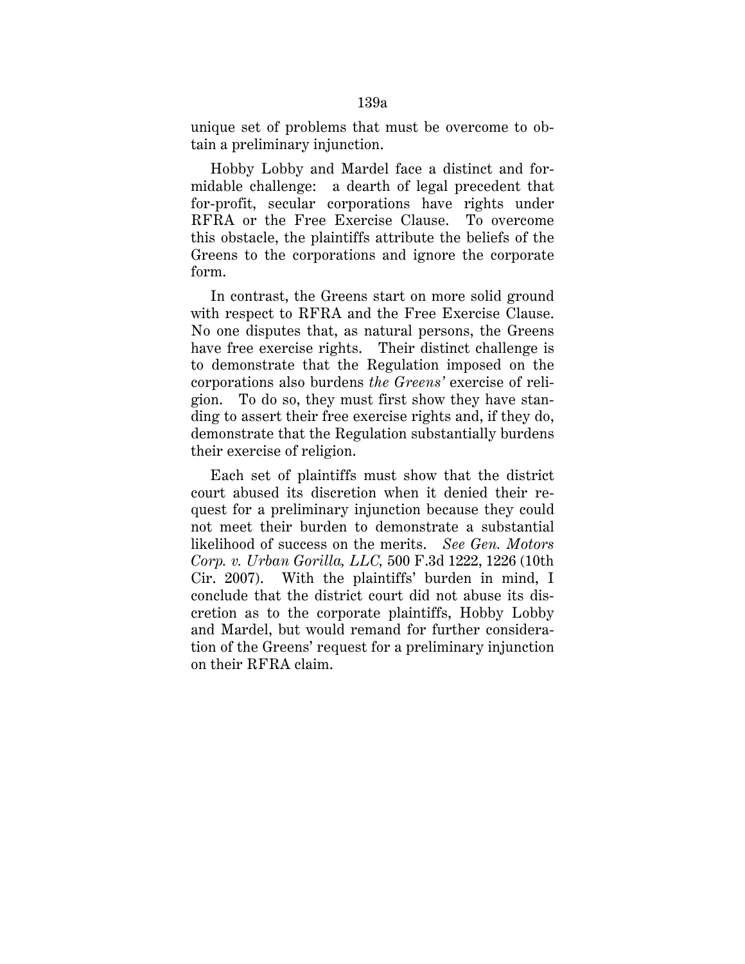unique set of problems that must be overcome to obtain a preliminary injunction.

Hobby Lobby and Mardel face a distinct and formidable challenge: a dearth of legal precedent that for-profit, secular corporations have rights under RFRA or the Free Exercise Clause. To overcome this obstacle, the plaintiffs attribute the beliefs of the Greens to the corporations and ignore the corporate form.

In contrast, the Greens start on more solid ground with respect to RFRA and the Free Exercise Clause. No one disputes that, as natural persons, the Greens have free exercise rights. Their distinct challenge is to demonstrate that the Regulation imposed on the corporations also burdens *the Greens'* exercise of religion. To do so, they must first show they have standing to assert their free exercise rights and, if they do, demonstrate that the Regulation substantially burdens their exercise of religion.

Each set of plaintiffs must show that the district court abused its discretion when it denied their request for a preliminary injunction because they could not meet their burden to demonstrate a substantial likelihood of success on the merits. *See Gen. Motors Corp. v. Urban Gorilla, LLC,* 500 F.3d 1222, 1226 (10th Cir. 2007). With the plaintiffs' burden in mind, I conclude that the district court did not abuse its discretion as to the corporate plaintiffs, Hobby Lobby and Mardel, but would remand for further consideration of the Greens' request for a preliminary injunction on their RFRA claim.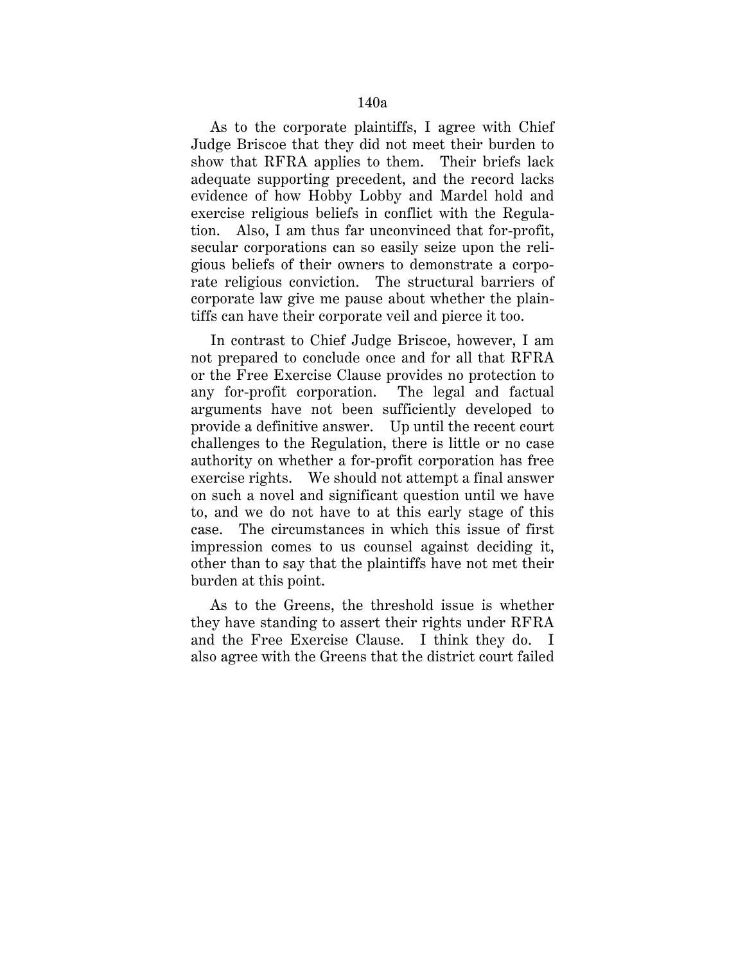As to the corporate plaintiffs, I agree with Chief Judge Briscoe that they did not meet their burden to show that RFRA applies to them. Their briefs lack adequate supporting precedent, and the record lacks evidence of how Hobby Lobby and Mardel hold and exercise religious beliefs in conflict with the Regulation. Also, I am thus far unconvinced that for-profit, secular corporations can so easily seize upon the religious beliefs of their owners to demonstrate a corporate religious conviction. The structural barriers of corporate law give me pause about whether the plaintiffs can have their corporate veil and pierce it too.

In contrast to Chief Judge Briscoe, however, I am not prepared to conclude once and for all that RFRA or the Free Exercise Clause provides no protection to any for-profit corporation. The legal and factual arguments have not been sufficiently developed to provide a definitive answer. Up until the recent court challenges to the Regulation, there is little or no case authority on whether a for-profit corporation has free exercise rights. We should not attempt a final answer on such a novel and significant question until we have to, and we do not have to at this early stage of this case. The circumstances in which this issue of first impression comes to us counsel against deciding it, other than to say that the plaintiffs have not met their burden at this point.

As to the Greens, the threshold issue is whether they have standing to assert their rights under RFRA and the Free Exercise Clause. I think they do. I also agree with the Greens that the district court failed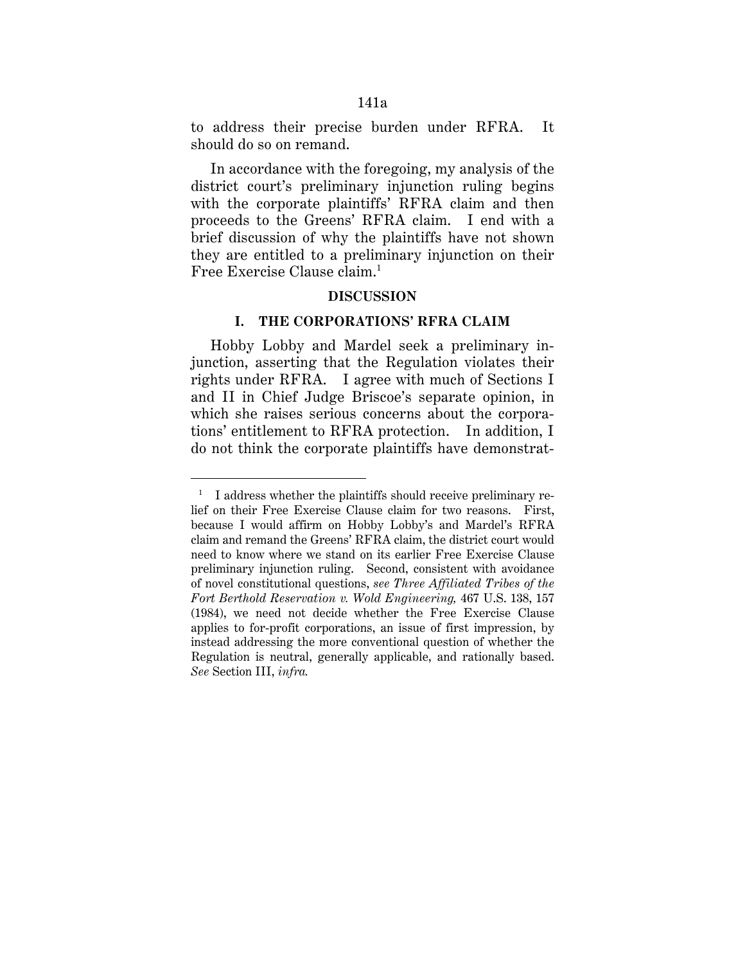to address their precise burden under RFRA. It should do so on remand.

In accordance with the foregoing, my analysis of the district court's preliminary injunction ruling begins with the corporate plaintiffs' RFRA claim and then proceeds to the Greens' RFRA claim. I end with a brief discussion of why the plaintiffs have not shown they are entitled to a preliminary injunction on their Free Exercise Clause claim.<sup>1</sup>

#### **DISCUSSION**

### **I. THE CORPORATIONS' RFRA CLAIM**

Hobby Lobby and Mardel seek a preliminary injunction, asserting that the Regulation violates their rights under RFRA. I agree with much of Sections I and II in Chief Judge Briscoe's separate opinion, in which she raises serious concerns about the corporations' entitlement to RFRA protection. In addition, I do not think the corporate plaintiffs have demonstrat-

<sup>1</sup> I address whether the plaintiffs should receive preliminary relief on their Free Exercise Clause claim for two reasons. First, because I would affirm on Hobby Lobby's and Mardel's RFRA claim and remand the Greens' RFRA claim, the district court would need to know where we stand on its earlier Free Exercise Clause preliminary injunction ruling. Second, consistent with avoidance of novel constitutional questions, *see Three Affiliated Tribes of the Fort Berthold Reservation v. Wold Engineering,* 467 U.S. 138, 157 (1984), we need not decide whether the Free Exercise Clause applies to for-profit corporations, an issue of first impression, by instead addressing the more conventional question of whether the Regulation is neutral, generally applicable, and rationally based. *See* Section III, *infra.*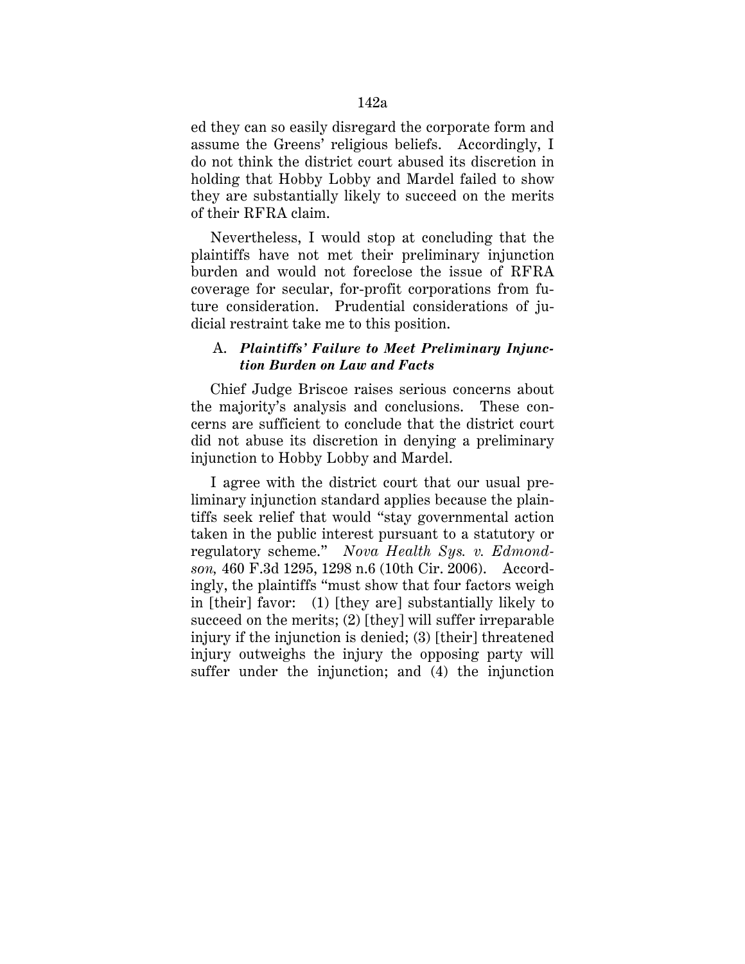ed they can so easily disregard the corporate form and assume the Greens' religious beliefs. Accordingly, I do not think the district court abused its discretion in holding that Hobby Lobby and Mardel failed to show they are substantially likely to succeed on the merits of their RFRA claim.

Nevertheless, I would stop at concluding that the plaintiffs have not met their preliminary injunction burden and would not foreclose the issue of RFRA coverage for secular, for-profit corporations from future consideration. Prudential considerations of judicial restraint take me to this position.

## A. *Plaintiffs' Failure to Meet Preliminary Injunction Burden on Law and Facts*

Chief Judge Briscoe raises serious concerns about the majority's analysis and conclusions. These concerns are sufficient to conclude that the district court did not abuse its discretion in denying a preliminary injunction to Hobby Lobby and Mardel.

I agree with the district court that our usual preliminary injunction standard applies because the plaintiffs seek relief that would "stay governmental action taken in the public interest pursuant to a statutory or regulatory scheme." *Nova Health Sys. v. Edmondson,* 460 F.3d 1295, 1298 n.6 (10th Cir. 2006). Accordingly, the plaintiffs "must show that four factors weigh in [their] favor: (1) [they are] substantially likely to succeed on the merits; (2) [they] will suffer irreparable injury if the injunction is denied; (3) [their] threatened injury outweighs the injury the opposing party will suffer under the injunction; and (4) the injunction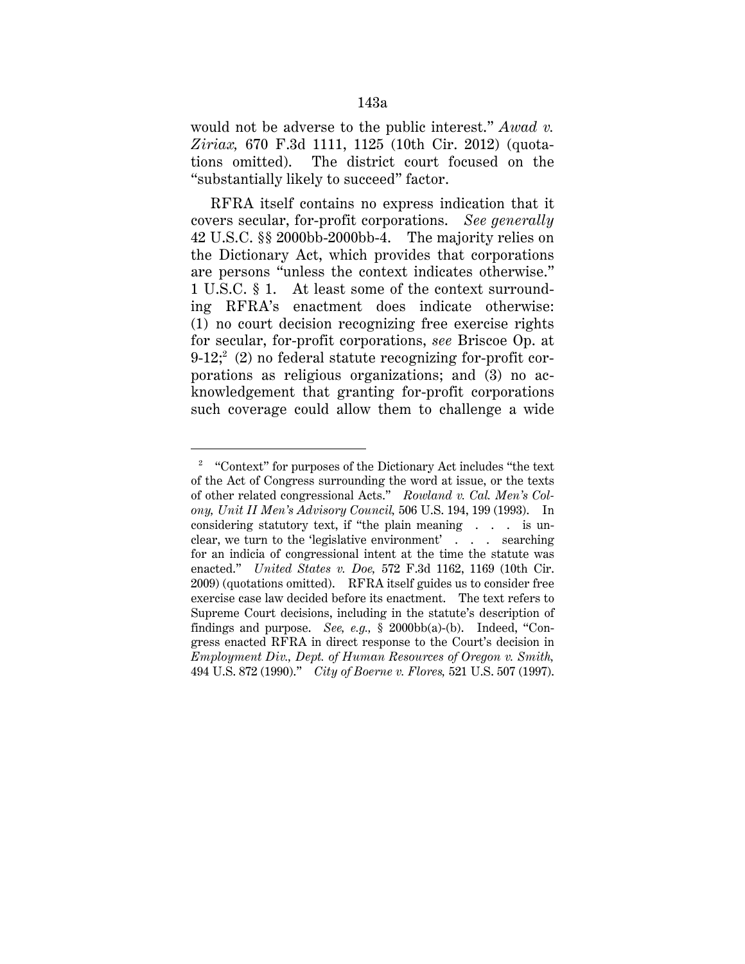would not be adverse to the public interest." *Awad v. Ziriax,* 670 F.3d 1111, 1125 (10th Cir. 2012) (quotations omitted). The district court focused on the "substantially likely to succeed" factor.

RFRA itself contains no express indication that it covers secular, for-profit corporations. *See generally* 42 U.S.C. §§ 2000bb-2000bb-4. The majority relies on the Dictionary Act, which provides that corporations are persons "unless the context indicates otherwise." 1 U.S.C. § 1. At least some of the context surrounding RFRA's enactment does indicate otherwise: (1) no court decision recognizing free exercise rights for secular, for-profit corporations, *see* Briscoe Op. at  $9-12;$ <sup>2</sup> (2) no federal statute recognizing for-profit corporations as religious organizations; and (3) no acknowledgement that granting for-profit corporations such coverage could allow them to challenge a wide

<sup>&</sup>lt;sup>2</sup> "Context" for purposes of the Dictionary Act includes "the text" of the Act of Congress surrounding the word at issue, or the texts of other related congressional Acts." *Rowland v. Cal. Men's Colony, Unit II Men's Advisory Council,* 506 U.S. 194, 199 (1993). In considering statutory text, if "the plain meaning . . . is unclear, we turn to the 'legislative environment' . . . searching for an indicia of congressional intent at the time the statute was enacted." *United States v. Doe,* 572 F.3d 1162, 1169 (10th Cir. 2009) (quotations omitted). RFRA itself guides us to consider free exercise case law decided before its enactment. The text refers to Supreme Court decisions, including in the statute's description of findings and purpose. *See, e.g.,* § 2000bb(a)-(b). Indeed, "Congress enacted RFRA in direct response to the Court's decision in *Employment Div., Dept. of Human Resources of Oregon v. Smith,* 494 U.S. 872 (1990)." *City of Boerne v. Flores,* 521 U.S. 507 (1997).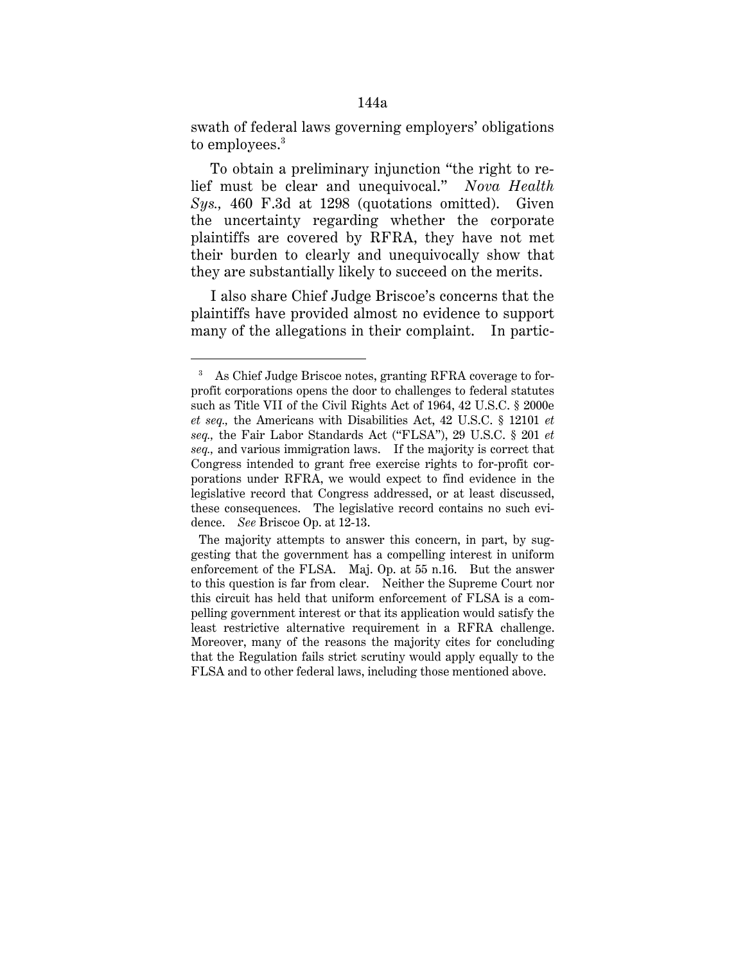swath of federal laws governing employers' obligations to employees.<sup>3</sup>

To obtain a preliminary injunction "the right to relief must be clear and unequivocal." *Nova Health Sys.,* 460 F.3d at 1298 (quotations omitted). Given the uncertainty regarding whether the corporate plaintiffs are covered by RFRA, they have not met their burden to clearly and unequivocally show that they are substantially likely to succeed on the merits.

I also share Chief Judge Briscoe's concerns that the plaintiffs have provided almost no evidence to support many of the allegations in their complaint. In partic-

<sup>3</sup> As Chief Judge Briscoe notes, granting RFRA coverage to forprofit corporations opens the door to challenges to federal statutes such as Title VII of the Civil Rights Act of 1964, 42 U.S.C. § 2000e *et seq.,* the Americans with Disabilities Act, 42 U.S.C. § 12101 *et seq.,* the Fair Labor Standards Act ("FLSA"), 29 U.S.C. § 201 *et seq.,* and various immigration laws. If the majority is correct that Congress intended to grant free exercise rights to for-profit corporations under RFRA, we would expect to find evidence in the legislative record that Congress addressed, or at least discussed, these consequences. The legislative record contains no such evidence. *See* Briscoe Op. at 12-13.

The majority attempts to answer this concern, in part, by suggesting that the government has a compelling interest in uniform enforcement of the FLSA. Maj. Op. at 55 n.16. But the answer to this question is far from clear. Neither the Supreme Court nor this circuit has held that uniform enforcement of FLSA is a compelling government interest or that its application would satisfy the least restrictive alternative requirement in a RFRA challenge. Moreover, many of the reasons the majority cites for concluding that the Regulation fails strict scrutiny would apply equally to the FLSA and to other federal laws, including those mentioned above.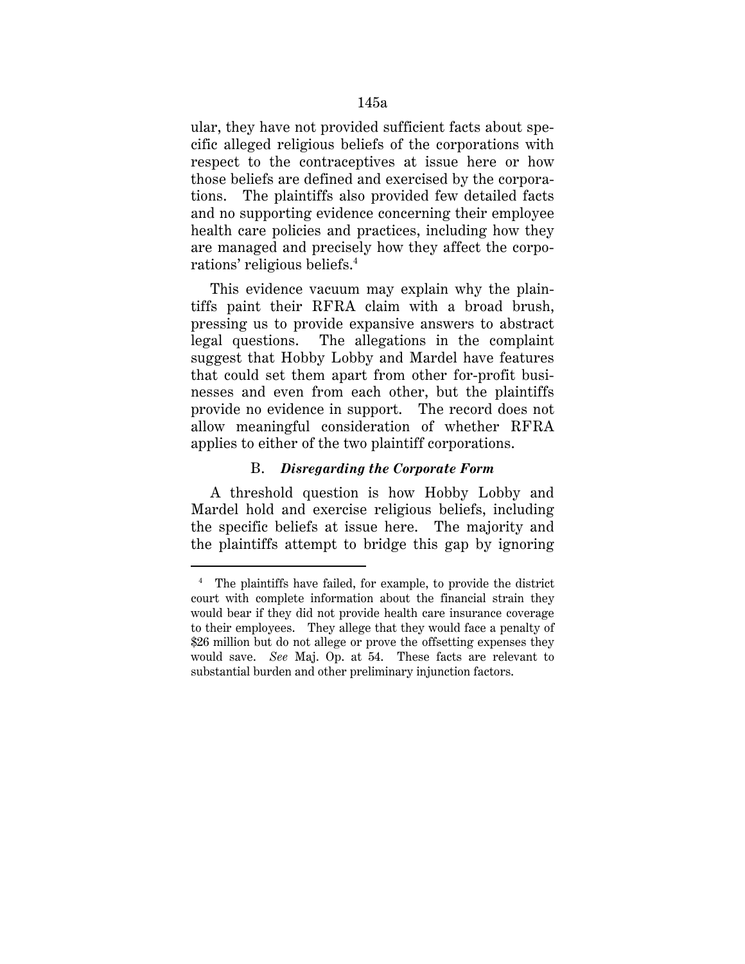ular, they have not provided sufficient facts about specific alleged religious beliefs of the corporations with respect to the contraceptives at issue here or how those beliefs are defined and exercised by the corporations. The plaintiffs also provided few detailed facts and no supporting evidence concerning their employee health care policies and practices, including how they are managed and precisely how they affect the corporations' religious beliefs.4

This evidence vacuum may explain why the plaintiffs paint their RFRA claim with a broad brush, pressing us to provide expansive answers to abstract legal questions. The allegations in the complaint suggest that Hobby Lobby and Mardel have features that could set them apart from other for-profit businesses and even from each other, but the plaintiffs provide no evidence in support. The record does not allow meaningful consideration of whether RFRA applies to either of the two plaintiff corporations.

### B. *Disregarding the Corporate Form*

A threshold question is how Hobby Lobby and Mardel hold and exercise religious beliefs, including the specific beliefs at issue here. The majority and the plaintiffs attempt to bridge this gap by ignoring

<sup>&</sup>lt;sup>4</sup> The plaintiffs have failed, for example, to provide the district court with complete information about the financial strain they would bear if they did not provide health care insurance coverage to their employees. They allege that they would face a penalty of \$26 million but do not allege or prove the offsetting expenses they would save. *See* Maj. Op. at 54. These facts are relevant to substantial burden and other preliminary injunction factors.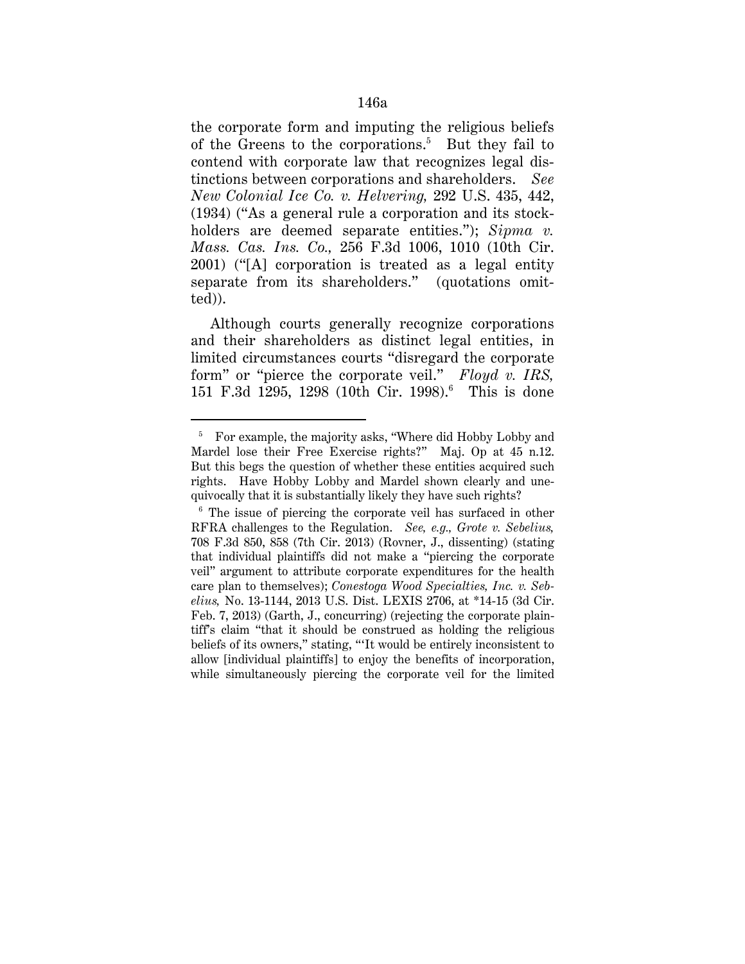the corporate form and imputing the religious beliefs of the Greens to the corporations.<sup>5</sup> But they fail to contend with corporate law that recognizes legal distinctions between corporations and shareholders. *See New Colonial Ice Co. v. Helvering,* 292 U.S. 435, 442, (1934) ("As a general rule a corporation and its stockholders are deemed separate entities."); *Sipma v. Mass. Cas. Ins. Co.,* 256 F.3d 1006, 1010 (10th Cir. 2001) ("[A] corporation is treated as a legal entity separate from its shareholders." (quotations omitted)).

Although courts generally recognize corporations and their shareholders as distinct legal entities, in limited circumstances courts "disregard the corporate form" or "pierce the corporate veil." *Floyd v. IRS,* 151 F.3d 1295, 1298 (10th Cir. 1998).<sup>6</sup> This is done

<sup>&</sup>lt;sup>5</sup> For example, the majority asks, "Where did Hobby Lobby and Mardel lose their Free Exercise rights?" Maj. Op at 45 n.12. But this begs the question of whether these entities acquired such rights. Have Hobby Lobby and Mardel shown clearly and unequivocally that it is substantially likely they have such rights?

<sup>&</sup>lt;sup>6</sup> The issue of piercing the corporate veil has surfaced in other RFRA challenges to the Regulation. *See, e.g., Grote v. Sebelius,* 708 F.3d 850, 858 (7th Cir. 2013) (Rovner, J., dissenting) (stating that individual plaintiffs did not make a "piercing the corporate veil" argument to attribute corporate expenditures for the health care plan to themselves); *Conestoga Wood Specialties, Inc. v. Sebelius,* No. 13-1144, 2013 U.S. Dist. LEXIS 2706, at \*14-15 (3d Cir. Feb. 7, 2013) (Garth, J., concurring) (rejecting the corporate plaintiff's claim "that it should be construed as holding the religious beliefs of its owners," stating, "'It would be entirely inconsistent to allow [individual plaintiffs] to enjoy the benefits of incorporation, while simultaneously piercing the corporate veil for the limited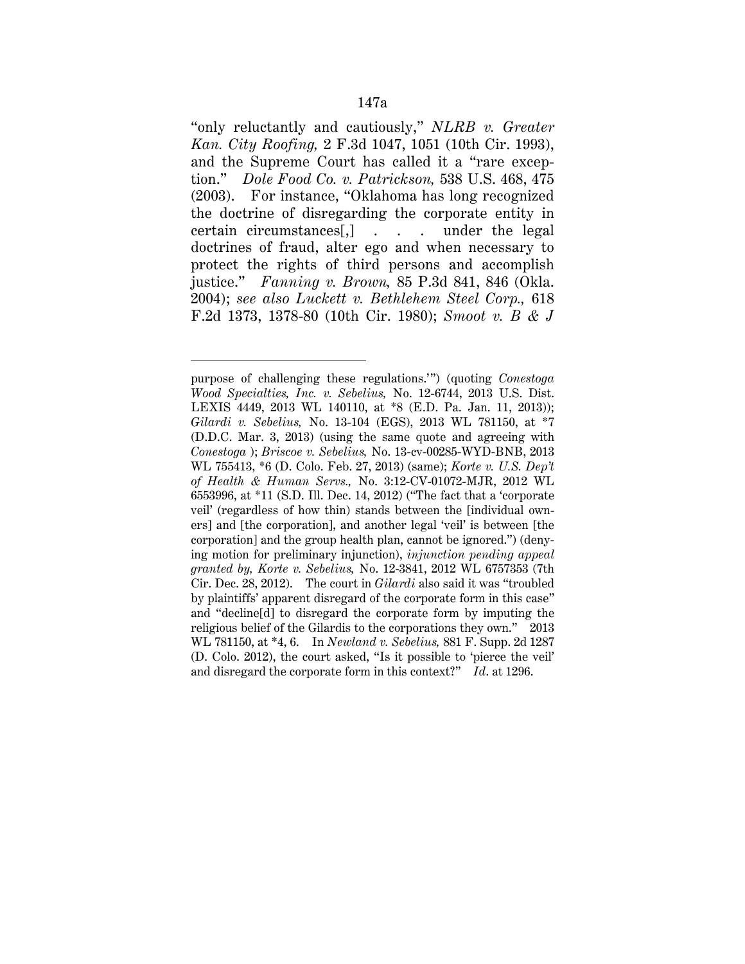"only reluctantly and cautiously," *NLRB v. Greater Kan. City Roofing,* 2 F.3d 1047, 1051 (10th Cir. 1993), and the Supreme Court has called it a "rare exception." *Dole Food Co. v. Patrickson,* 538 U.S. 468, 475 (2003). For instance, "Oklahoma has long recognized the doctrine of disregarding the corporate entity in certain circumstances[,] . . . under the legal doctrines of fraud, alter ego and when necessary to protect the rights of third persons and accomplish justice." *Fanning v. Brown,* 85 P.3d 841, 846 (Okla. 2004); *see also Luckett v. Bethlehem Steel Corp.,* 618 F.2d 1373, 1378-80 (10th Cir. 1980); *Smoot v. B & J* 

purpose of challenging these regulations.'") (quoting *Conestoga Wood Specialties, Inc. v. Sebelius,* No. 12-6744, 2013 U.S. Dist. LEXIS 4449, 2013 WL 140110, at \*8 (E.D. Pa. Jan. 11, 2013)); *Gilardi v. Sebelius,* No. 13-104 (EGS), 2013 WL 781150, at \*7 (D.D.C. Mar. 3, 2013) (using the same quote and agreeing with *Conestoga* ); *Briscoe v. Sebelius,* No. 13-cv-00285-WYD-BNB, 2013 WL 755413, \*6 (D. Colo. Feb. 27, 2013) (same); *Korte v. U.S. Dep't of Health & Human Servs.,* No. 3:12-CV-01072-MJR, 2012 WL 6553996, at \*11 (S.D. Ill. Dec. 14, 2012) ("The fact that a 'corporate veil' (regardless of how thin) stands between the [individual owners] and [the corporation], and another legal 'veil' is between [the corporation] and the group health plan, cannot be ignored.") (denying motion for preliminary injunction), *injunction pending appeal granted by, Korte v. Sebelius,* No. 12-3841, 2012 WL 6757353 (7th Cir. Dec. 28, 2012). The court in *Gilardi* also said it was "troubled by plaintiffs' apparent disregard of the corporate form in this case" and "decline[d] to disregard the corporate form by imputing the religious belief of the Gilardis to the corporations they own." 2013 WL 781150, at \*4, 6. In *Newland v. Sebelius,* 881 F. Supp. 2d 1287 (D. Colo. 2012), the court asked, "Is it possible to 'pierce the veil' and disregard the corporate form in this context?" *Id*. at 1296.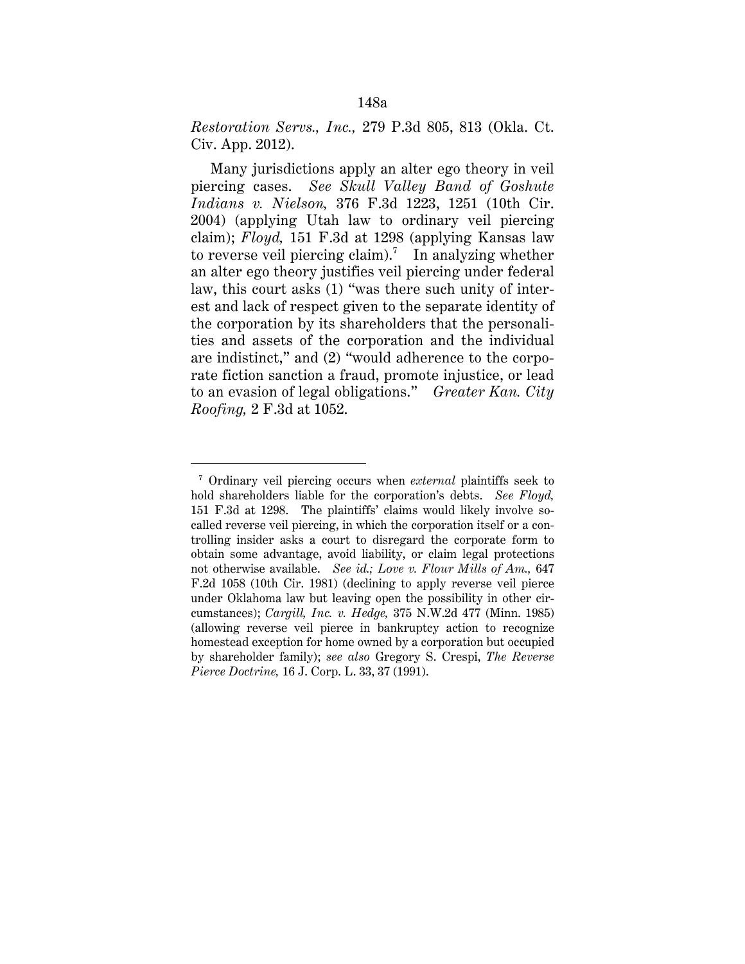*Restoration Servs., Inc.,* 279 P.3d 805, 813 (Okla. Ct. Civ. App. 2012).

Many jurisdictions apply an alter ego theory in veil piercing cases. *See Skull Valley Band of Goshute Indians v. Nielson,* 376 F.3d 1223, 1251 (10th Cir. 2004) (applying Utah law to ordinary veil piercing claim); *Floyd,* 151 F.3d at 1298 (applying Kansas law to reverse veil piercing claim).<sup>7</sup> In analyzing whether an alter ego theory justifies veil piercing under federal law, this court asks (1) "was there such unity of interest and lack of respect given to the separate identity of the corporation by its shareholders that the personalities and assets of the corporation and the individual are indistinct," and (2) "would adherence to the corporate fiction sanction a fraud, promote injustice, or lead to an evasion of legal obligations." *Greater Kan. City Roofing,* 2 F.3d at 1052.

<sup>7</sup> Ordinary veil piercing occurs when *external* plaintiffs seek to hold shareholders liable for the corporation's debts. *See Floyd,* 151 F.3d at 1298. The plaintiffs' claims would likely involve socalled reverse veil piercing, in which the corporation itself or a controlling insider asks a court to disregard the corporate form to obtain some advantage, avoid liability, or claim legal protections not otherwise available. *See id.; Love v. Flour Mills of Am.,* 647 F.2d 1058 (10th Cir. 1981) (declining to apply reverse veil pierce under Oklahoma law but leaving open the possibility in other circumstances); *Cargill, Inc. v. Hedge,* 375 N.W.2d 477 (Minn. 1985) (allowing reverse veil pierce in bankruptcy action to recognize homestead exception for home owned by a corporation but occupied by shareholder family); *see also* Gregory S. Crespi, *The Reverse Pierce Doctrine,* 16 J. Corp. L. 33, 37 (1991).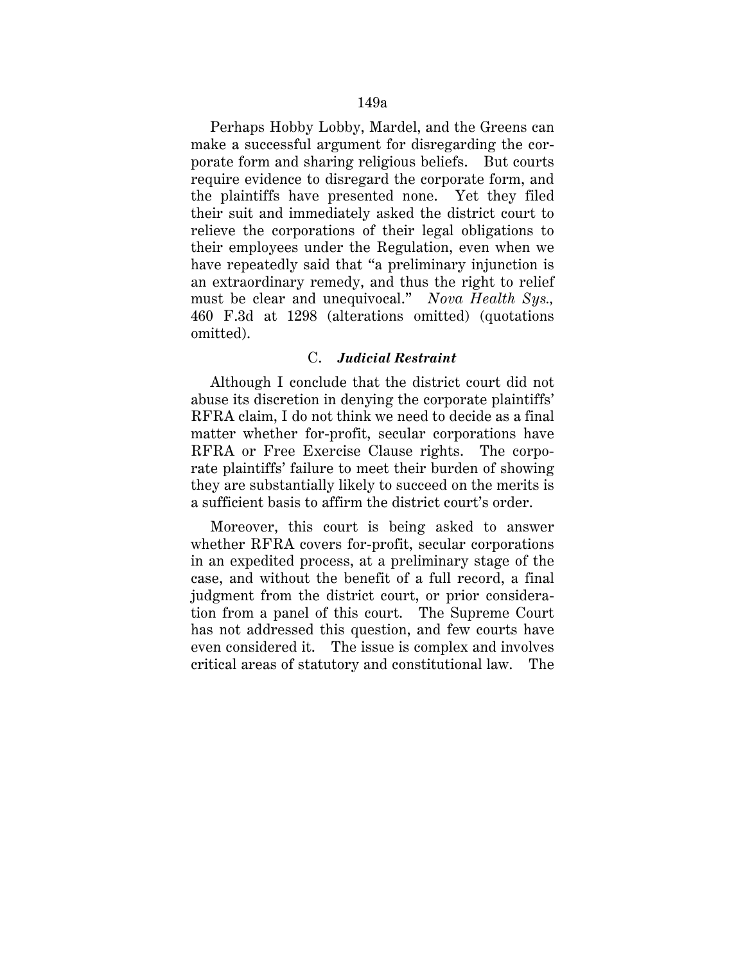Perhaps Hobby Lobby, Mardel, and the Greens can make a successful argument for disregarding the corporate form and sharing religious beliefs. But courts require evidence to disregard the corporate form, and the plaintiffs have presented none. Yet they filed their suit and immediately asked the district court to relieve the corporations of their legal obligations to their employees under the Regulation, even when we have repeatedly said that "a preliminary injunction is an extraordinary remedy, and thus the right to relief must be clear and unequivocal." *Nova Health Sys.,* 460 F.3d at 1298 (alterations omitted) (quotations omitted).

### C. *Judicial Restraint*

Although I conclude that the district court did not abuse its discretion in denying the corporate plaintiffs' RFRA claim, I do not think we need to decide as a final matter whether for-profit, secular corporations have RFRA or Free Exercise Clause rights. The corporate plaintiffs' failure to meet their burden of showing they are substantially likely to succeed on the merits is a sufficient basis to affirm the district court's order.

Moreover, this court is being asked to answer whether RFRA covers for-profit, secular corporations in an expedited process, at a preliminary stage of the case, and without the benefit of a full record, a final judgment from the district court, or prior consideration from a panel of this court. The Supreme Court has not addressed this question, and few courts have even considered it. The issue is complex and involves critical areas of statutory and constitutional law. The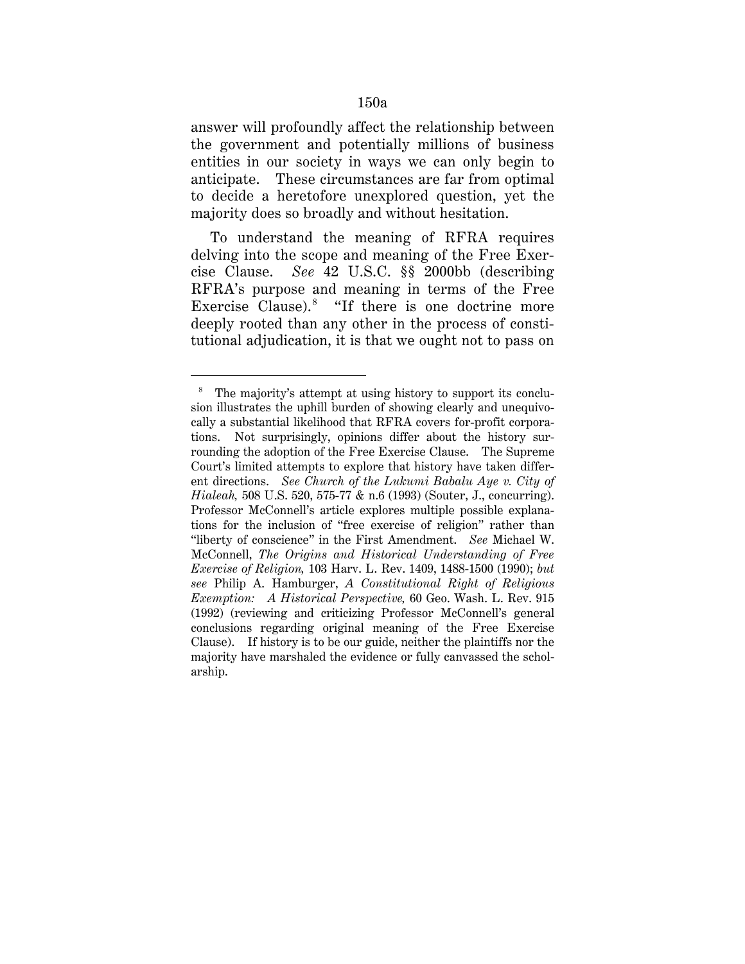answer will profoundly affect the relationship between the government and potentially millions of business entities in our society in ways we can only begin to anticipate. These circumstances are far from optimal to decide a heretofore unexplored question, yet the majority does so broadly and without hesitation.

To understand the meaning of RFRA requires delving into the scope and meaning of the Free Exercise Clause. *See* 42 U.S.C. §§ 2000bb (describing RFRA's purpose and meaning in terms of the Free Exercise Clause). $8$  "If there is one doctrine more deeply rooted than any other in the process of constitutional adjudication, it is that we ought not to pass on

-

<sup>8</sup> The majority's attempt at using history to support its conclusion illustrates the uphill burden of showing clearly and unequivocally a substantial likelihood that RFRA covers for-profit corporations. Not surprisingly, opinions differ about the history surrounding the adoption of the Free Exercise Clause. The Supreme Court's limited attempts to explore that history have taken different directions. *See Church of the Lukumi Babalu Aye v. City of Hialeah,* 508 U.S. 520, 575-77 & n.6 (1993) (Souter, J., concurring). Professor McConnell's article explores multiple possible explanations for the inclusion of "free exercise of religion" rather than "liberty of conscience" in the First Amendment. *See* Michael W. McConnell, *The Origins and Historical Understanding of Free Exercise of Religion,* 103 Harv. L. Rev. 1409, 1488-1500 (1990); *but see* Philip A. Hamburger, *A Constitutional Right of Religious Exemption: A Historical Perspective,* 60 Geo. Wash. L. Rev. 915 (1992) (reviewing and criticizing Professor McConnell's general conclusions regarding original meaning of the Free Exercise Clause). If history is to be our guide, neither the plaintiffs nor the majority have marshaled the evidence or fully canvassed the scholarship.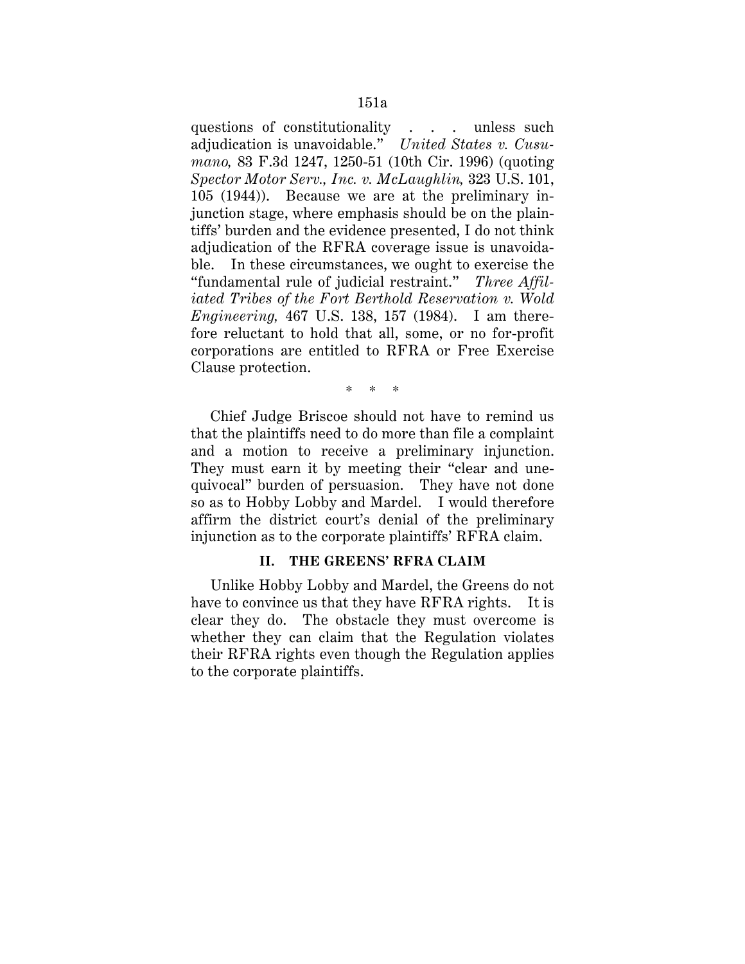questions of constitutionality . . . unless such adjudication is unavoidable." *United States v. Cusumano,* 83 F.3d 1247, 1250-51 (10th Cir. 1996) (quoting *Spector Motor Serv., Inc. v. McLaughlin,* 323 U.S. 101, 105 (1944)). Because we are at the preliminary injunction stage, where emphasis should be on the plaintiffs' burden and the evidence presented, I do not think adjudication of the RFRA coverage issue is unavoidable. In these circumstances, we ought to exercise the "fundamental rule of judicial restraint." *Three Affiliated Tribes of the Fort Berthold Reservation v. Wold Engineering,* 467 U.S. 138, 157 (1984). I am therefore reluctant to hold that all, some, or no for-profit corporations are entitled to RFRA or Free Exercise Clause protection.

\* \* \*

Chief Judge Briscoe should not have to remind us that the plaintiffs need to do more than file a complaint and a motion to receive a preliminary injunction. They must earn it by meeting their "clear and unequivocal" burden of persuasion. They have not done so as to Hobby Lobby and Mardel. I would therefore affirm the district court's denial of the preliminary injunction as to the corporate plaintiffs' RFRA claim.

### **II. THE GREENS' RFRA CLAIM**

Unlike Hobby Lobby and Mardel, the Greens do not have to convince us that they have RFRA rights. It is clear they do. The obstacle they must overcome is whether they can claim that the Regulation violates their RFRA rights even though the Regulation applies to the corporate plaintiffs.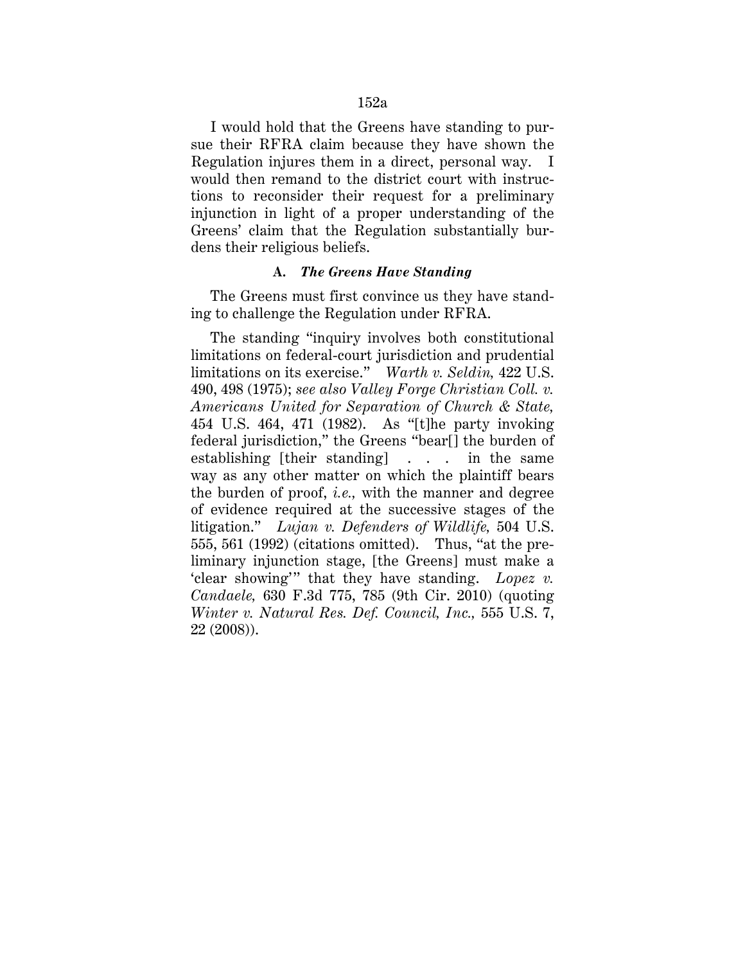I would hold that the Greens have standing to pursue their RFRA claim because they have shown the Regulation injures them in a direct, personal way. I would then remand to the district court with instructions to reconsider their request for a preliminary injunction in light of a proper understanding of the Greens' claim that the Regulation substantially burdens their religious beliefs.

### **A.** *The Greens Have Standing*

The Greens must first convince us they have standing to challenge the Regulation under RFRA.

The standing "inquiry involves both constitutional limitations on federal-court jurisdiction and prudential limitations on its exercise." *Warth v. Seldin,* 422 U.S. 490, 498 (1975); *see also Valley Forge Christian Coll. v. Americans United for Separation of Church & State,* 454 U.S. 464, 471 (1982). As "[t]he party invoking federal jurisdiction," the Greens "bear[] the burden of establishing [their standing] . . . in the same way as any other matter on which the plaintiff bears the burden of proof, *i.e.,* with the manner and degree of evidence required at the successive stages of the litigation." *Lujan v. Defenders of Wildlife,* 504 U.S. 555, 561 (1992) (citations omitted). Thus, "at the preliminary injunction stage, [the Greens] must make a 'clear showing''' that they have standing. *Lopez v. Candaele,* 630 F.3d 775, 785 (9th Cir. 2010) (quoting *Winter v. Natural Res. Def. Council, Inc.,* 555 U.S. 7, 22 (2008)).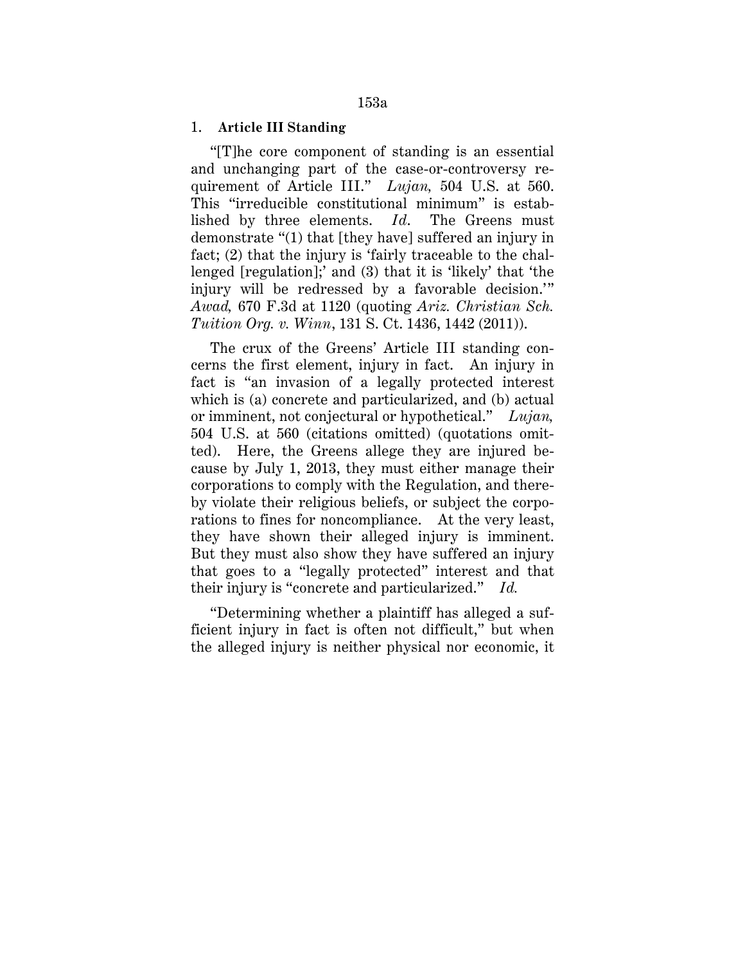### 1. **Article III Standing**

"[T]he core component of standing is an essential and unchanging part of the case-or-controversy requirement of Article III." *Lujan,* 504 U.S. at 560. This "irreducible constitutional minimum" is established by three elements. *Id*. The Greens must demonstrate "(1) that [they have] suffered an injury in fact; (2) that the injury is 'fairly traceable to the challenged [regulation];' and (3) that it is 'likely' that 'the injury will be redressed by a favorable decision.'" *Awad,* 670 F.3d at 1120 (quoting *Ariz. Christian Sch. Tuition Org. v. Winn*, 131 S. Ct. 1436, 1442 (2011)).

The crux of the Greens' Article III standing concerns the first element, injury in fact. An injury in fact is "an invasion of a legally protected interest which is (a) concrete and particularized, and (b) actual or imminent, not conjectural or hypothetical." *Lujan,* 504 U.S. at 560 (citations omitted) (quotations omitted). Here, the Greens allege they are injured because by July 1, 2013, they must either manage their corporations to comply with the Regulation, and thereby violate their religious beliefs, or subject the corporations to fines for noncompliance. At the very least, they have shown their alleged injury is imminent. But they must also show they have suffered an injury that goes to a "legally protected" interest and that their injury is "concrete and particularized." *Id.*

"Determining whether a plaintiff has alleged a sufficient injury in fact is often not difficult," but when the alleged injury is neither physical nor economic, it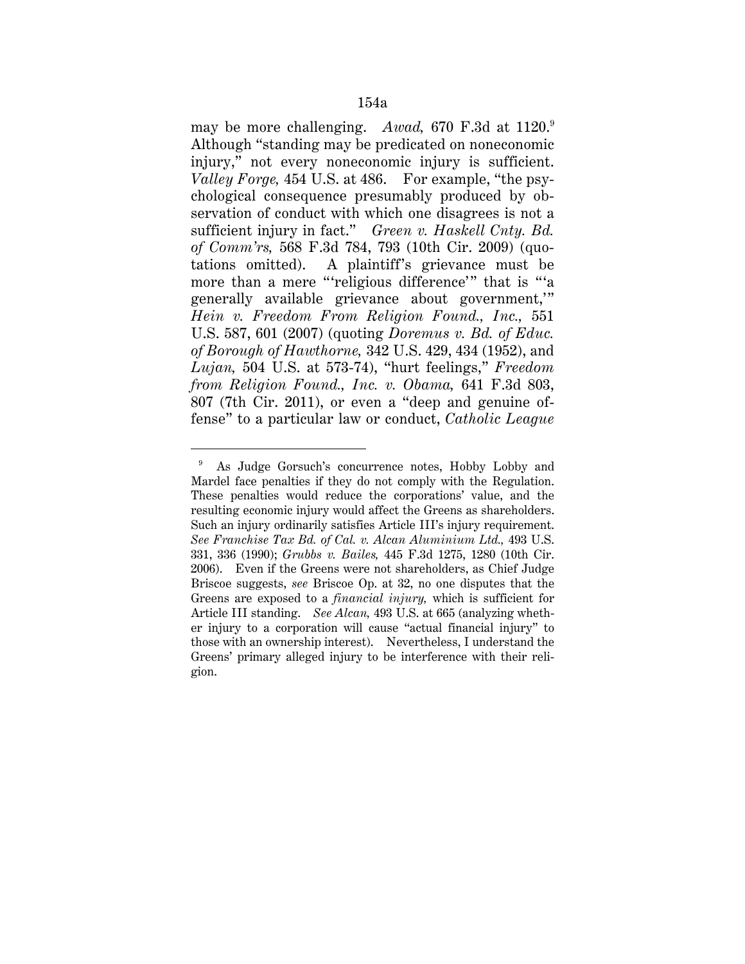may be more challenging. *Awad,* 670 F.3d at 1120.9 Although "standing may be predicated on noneconomic injury," not every noneconomic injury is sufficient. *Valley Forge,* 454 U.S. at 486. For example, "the psychological consequence presumably produced by observation of conduct with which one disagrees is not a sufficient injury in fact." *Green v. Haskell Cnty. Bd. of Comm'rs,* 568 F.3d 784, 793 (10th Cir. 2009) (quotations omitted). A plaintiff's grievance must be more than a mere "'religious difference'" that is "'a generally available grievance about government,'" *Hein v. Freedom From Religion Found., Inc.,* 551 U.S. 587, 601 (2007) (quoting *Doremus v. Bd. of Educ. of Borough of Hawthorne,* 342 U.S. 429, 434 (1952), and *Lujan,* 504 U.S. at 573-74), "hurt feelings," *Freedom from Religion Found., Inc. v. Obama,* 641 F.3d 803, 807 (7th Cir. 2011), or even a "deep and genuine offense" to a particular law or conduct, *Catholic League* 

<sup>9</sup> As Judge Gorsuch's concurrence notes, Hobby Lobby and Mardel face penalties if they do not comply with the Regulation. These penalties would reduce the corporations' value, and the resulting economic injury would affect the Greens as shareholders. Such an injury ordinarily satisfies Article III's injury requirement. *See Franchise Tax Bd. of Cal. v. Alcan Aluminium Ltd.,* 493 U.S. 331, 336 (1990); *Grubbs v. Bailes,* 445 F.3d 1275, 1280 (10th Cir. 2006). Even if the Greens were not shareholders, as Chief Judge Briscoe suggests, *see* Briscoe Op. at 32, no one disputes that the Greens are exposed to a *financial injury,* which is sufficient for Article III standing. *See Alcan,* 493 U.S. at 665 (analyzing whether injury to a corporation will cause "actual financial injury" to those with an ownership interest). Nevertheless, I understand the Greens' primary alleged injury to be interference with their religion.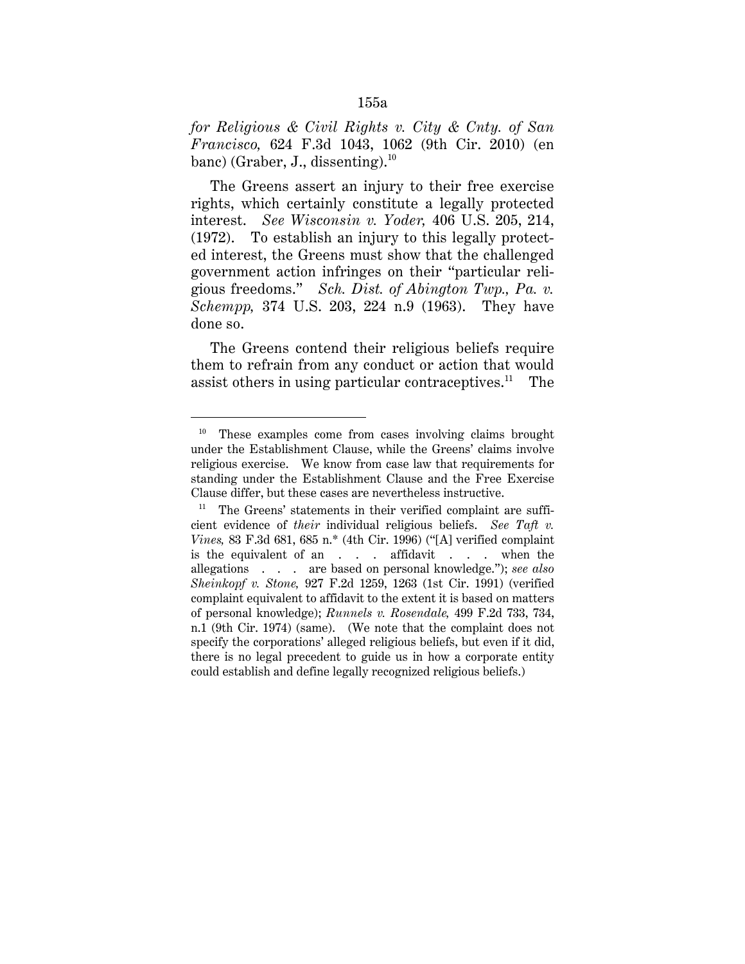*for Religious & Civil Rights v. City & Cnty. of San Francisco,* 624 F.3d 1043, 1062 (9th Cir. 2010) (en banc) (Graber, J., dissenting).<sup>10</sup>

The Greens assert an injury to their free exercise rights, which certainly constitute a legally protected interest. *See Wisconsin v. Yoder,* 406 U.S. 205, 214, (1972). To establish an injury to this legally protected interest, the Greens must show that the challenged government action infringes on their "particular religious freedoms." *Sch. Dist. of Abington Twp., Pa. v. Schempp,* 374 U.S. 203, 224 n.9 (1963). They have done so.

The Greens contend their religious beliefs require them to refrain from any conduct or action that would assist others in using particular contraceptives.<sup>11</sup> The

-

<sup>&</sup>lt;sup>10</sup> These examples come from cases involving claims brought under the Establishment Clause, while the Greens' claims involve religious exercise. We know from case law that requirements for standing under the Establishment Clause and the Free Exercise Clause differ, but these cases are nevertheless instructive.

 $11$  The Greens' statements in their verified complaint are sufficient evidence of *their* individual religious beliefs. *See Taft v. Vines,* 83 F.3d 681, 685 n.\* (4th Cir. 1996) ("[A] verified complaint is the equivalent of an . . . affidavit . . . when the allegations . . . are based on personal knowledge."); *see also Sheinkopf v. Stone,* 927 F.2d 1259, 1263 (1st Cir. 1991) (verified complaint equivalent to affidavit to the extent it is based on matters of personal knowledge); *Runnels v. Rosendale,* 499 F.2d 733, 734, n.1 (9th Cir. 1974) (same). (We note that the complaint does not specify the corporations' alleged religious beliefs, but even if it did, there is no legal precedent to guide us in how a corporate entity could establish and define legally recognized religious beliefs.)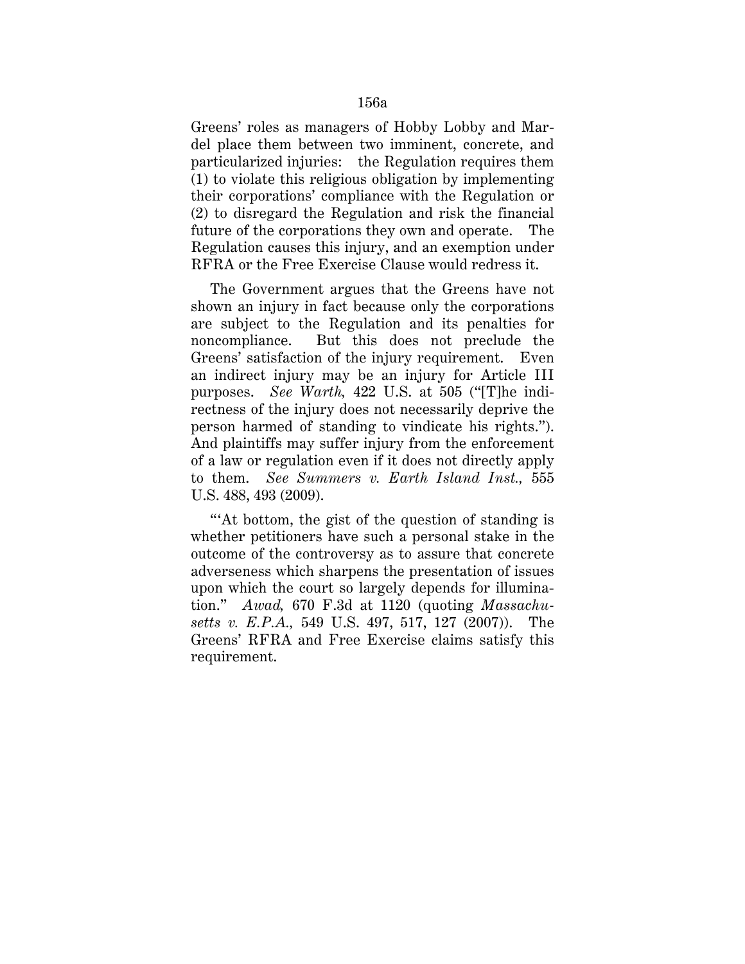Greens' roles as managers of Hobby Lobby and Mardel place them between two imminent, concrete, and particularized injuries: the Regulation requires them (1) to violate this religious obligation by implementing their corporations' compliance with the Regulation or (2) to disregard the Regulation and risk the financial future of the corporations they own and operate. The Regulation causes this injury, and an exemption under RFRA or the Free Exercise Clause would redress it.

The Government argues that the Greens have not shown an injury in fact because only the corporations are subject to the Regulation and its penalties for noncompliance. But this does not preclude the Greens' satisfaction of the injury requirement. Even an indirect injury may be an injury for Article III purposes. *See Warth,* 422 U.S. at 505 ("[T]he indirectness of the injury does not necessarily deprive the person harmed of standing to vindicate his rights."). And plaintiffs may suffer injury from the enforcement of a law or regulation even if it does not directly apply to them. *See Summers v. Earth Island Inst.,* 555 U.S. 488, 493 (2009).

"At bottom, the gist of the question of standing is whether petitioners have such a personal stake in the outcome of the controversy as to assure that concrete adverseness which sharpens the presentation of issues upon which the court so largely depends for illumination." *Awad,* 670 F.3d at 1120 (quoting *Massachusetts v. E.P.A.,* 549 U.S. 497, 517, 127 (2007)). The Greens' RFRA and Free Exercise claims satisfy this requirement.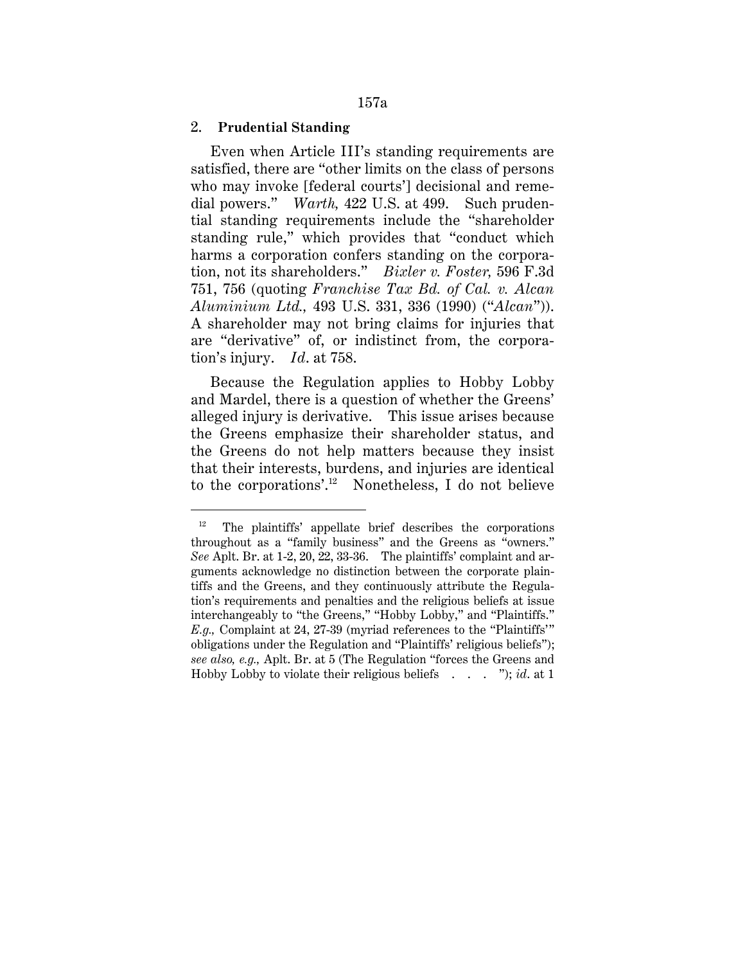### 2. **Prudential Standing**

-

Even when Article III's standing requirements are satisfied, there are "other limits on the class of persons who may invoke [federal courts'] decisional and remedial powers." *Warth,* 422 U.S. at 499. Such prudential standing requirements include the "shareholder standing rule," which provides that "conduct which harms a corporation confers standing on the corporation, not its shareholders." *Bixler v. Foster,* 596 F.3d 751, 756 (quoting *Franchise Tax Bd. of Cal. v. Alcan Aluminium Ltd.,* 493 U.S. 331, 336 (1990) ("*Alcan*")). A shareholder may not bring claims for injuries that are "derivative" of, or indistinct from, the corporation's injury. *Id*. at 758.

Because the Regulation applies to Hobby Lobby and Mardel, there is a question of whether the Greens' alleged injury is derivative. This issue arises because the Greens emphasize their shareholder status, and the Greens do not help matters because they insist that their interests, burdens, and injuries are identical to the corporations'.<sup>12</sup> Nonetheless, I do not believe

 $12$  The plaintiffs' appellate brief describes the corporations throughout as a "family business" and the Greens as "owners." *See* Aplt. Br. at 1-2, 20, 22, 33-36. The plaintiffs' complaint and arguments acknowledge no distinction between the corporate plaintiffs and the Greens, and they continuously attribute the Regulation's requirements and penalties and the religious beliefs at issue interchangeably to "the Greens," "Hobby Lobby," and "Plaintiffs." *E.g.,* Complaint at 24, 27-39 (myriad references to the "Plaintiffs'" obligations under the Regulation and "Plaintiffs' religious beliefs"); *see also, e.g.,* Aplt. Br. at 5 (The Regulation "forces the Greens and Hobby Lobby to violate their religious beliefs . . . "); *id*. at 1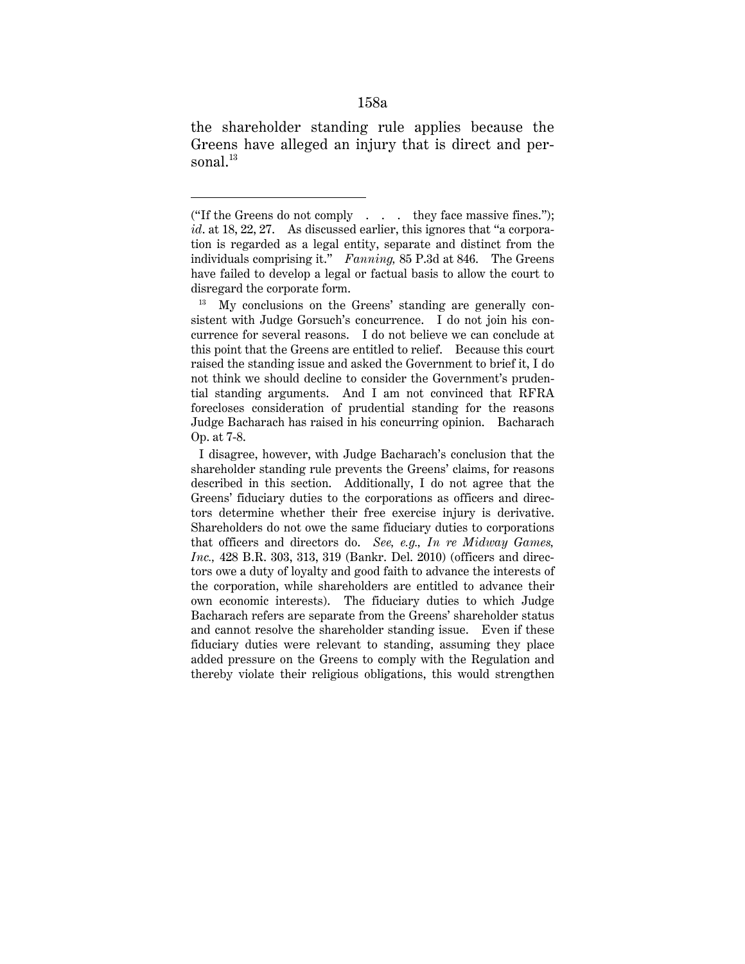the shareholder standing rule applies because the Greens have alleged an injury that is direct and personal. $13$ 

<sup>(&</sup>quot;If the Greens do not comply  $\ldots$  they face massive fines."); *id*. at 18, 22, 27. As discussed earlier, this ignores that "a corporation is regarded as a legal entity, separate and distinct from the individuals comprising it." *Fanning,* 85 P.3d at 846. The Greens have failed to develop a legal or factual basis to allow the court to disregard the corporate form.

<sup>&</sup>lt;sup>13</sup> My conclusions on the Greens' standing are generally consistent with Judge Gorsuch's concurrence. I do not join his concurrence for several reasons. I do not believe we can conclude at this point that the Greens are entitled to relief. Because this court raised the standing issue and asked the Government to brief it, I do not think we should decline to consider the Government's prudential standing arguments. And I am not convinced that RFRA forecloses consideration of prudential standing for the reasons Judge Bacharach has raised in his concurring opinion. Bacharach Op. at 7-8.

I disagree, however, with Judge Bacharach's conclusion that the shareholder standing rule prevents the Greens' claims, for reasons described in this section. Additionally, I do not agree that the Greens' fiduciary duties to the corporations as officers and directors determine whether their free exercise injury is derivative. Shareholders do not owe the same fiduciary duties to corporations that officers and directors do. *See, e.g., In re Midway Games, Inc.,* 428 B.R. 303, 313, 319 (Bankr. Del. 2010) (officers and directors owe a duty of loyalty and good faith to advance the interests of the corporation, while shareholders are entitled to advance their own economic interests). The fiduciary duties to which Judge Bacharach refers are separate from the Greens' shareholder status and cannot resolve the shareholder standing issue. Even if these fiduciary duties were relevant to standing, assuming they place added pressure on the Greens to comply with the Regulation and thereby violate their religious obligations, this would strengthen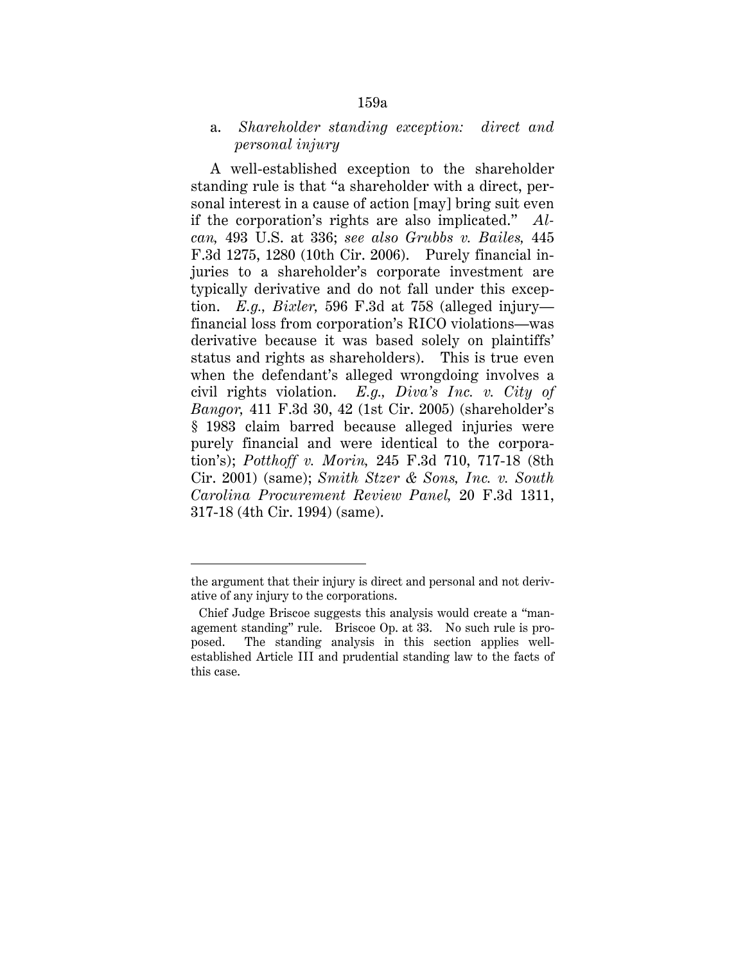## a. *Shareholder standing exception: direct and personal injury*

A well-established exception to the shareholder standing rule is that "a shareholder with a direct, personal interest in a cause of action [may] bring suit even if the corporation's rights are also implicated." *Alcan,* 493 U.S. at 336; *see also Grubbs v. Bailes,* 445 F.3d 1275, 1280 (10th Cir. 2006). Purely financial injuries to a shareholder's corporate investment are typically derivative and do not fall under this exception. *E.g., Bixler,* 596 F.3d at 758 (alleged injury financial loss from corporation's RICO violations—was derivative because it was based solely on plaintiffs' status and rights as shareholders). This is true even when the defendant's alleged wrongdoing involves a civil rights violation. *E.g., Diva's Inc. v. City of Bangor,* 411 F.3d 30, 42 (1st Cir. 2005) (shareholder's § 1983 claim barred because alleged injuries were purely financial and were identical to the corporation's); *Potthoff v. Morin,* 245 F.3d 710, 717-18 (8th Cir. 2001) (same); *Smith Stzer & Sons, Inc. v. South Carolina Procurement Review Panel,* 20 F.3d 1311, 317-18 (4th Cir. 1994) (same).

-

the argument that their injury is direct and personal and not derivative of any injury to the corporations.

Chief Judge Briscoe suggests this analysis would create a "management standing" rule. Briscoe Op. at 33. No such rule is proposed. The standing analysis in this section applies wellestablished Article III and prudential standing law to the facts of this case.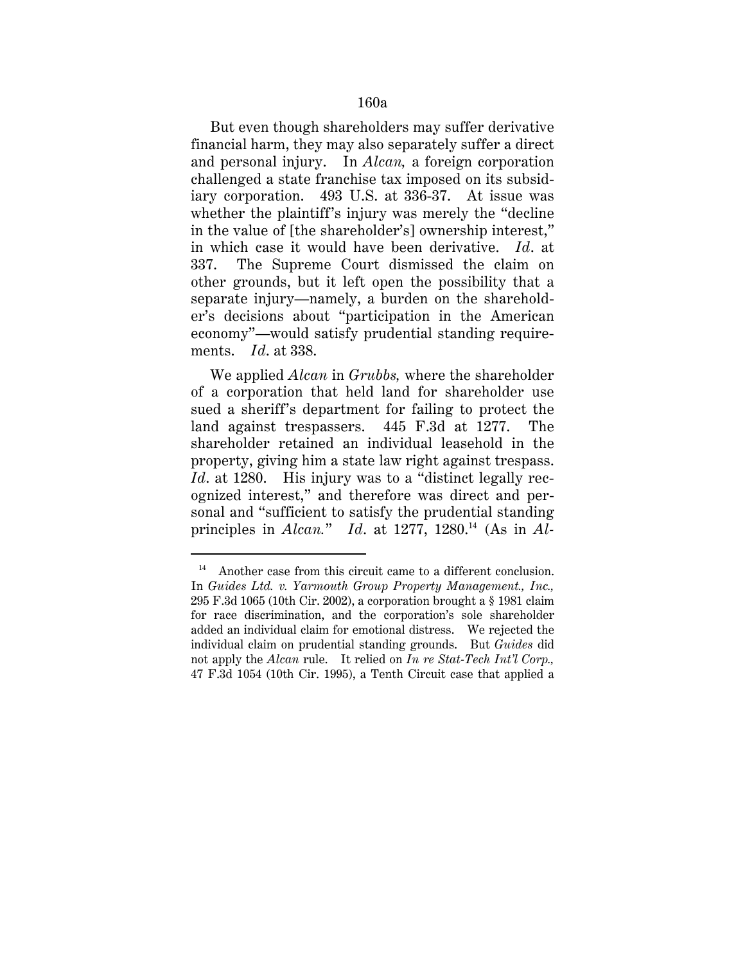# 160a

But even though shareholders may suffer derivative financial harm, they may also separately suffer a direct and personal injury. In *Alcan,* a foreign corporation challenged a state franchise tax imposed on its subsidiary corporation. 493 U.S. at 336-37. At issue was whether the plaintiff's injury was merely the "decline in the value of [the shareholder's] ownership interest," in which case it would have been derivative. *Id*. at 337. The Supreme Court dismissed the claim on other grounds, but it left open the possibility that a separate injury—namely, a burden on the shareholder's decisions about "participation in the American economy"—would satisfy prudential standing requirements. *Id*. at 338.

We applied *Alcan* in *Grubbs,* where the shareholder of a corporation that held land for shareholder use sued a sheriff's department for failing to protect the land against trespassers. 445 F.3d at 1277. The shareholder retained an individual leasehold in the property, giving him a state law right against trespass. *Id*. at 1280. His injury was to a "distinct legally recognized interest," and therefore was direct and personal and "sufficient to satisfy the prudential standing principles in  $Alcan$ ." *Id.* at 1277, 1280.<sup>14</sup> (As in  $Al$ -

Another case from this circuit came to a different conclusion. In *Guides Ltd. v. Yarmouth Group Property Management., Inc.,* 295 F.3d 1065 (10th Cir. 2002), a corporation brought a § 1981 claim for race discrimination, and the corporation's sole shareholder added an individual claim for emotional distress. We rejected the individual claim on prudential standing grounds. But *Guides* did not apply the *Alcan* rule. It relied on *In re Stat-Tech Int'l Corp.,* 47 F.3d 1054 (10th Cir. 1995), a Tenth Circuit case that applied a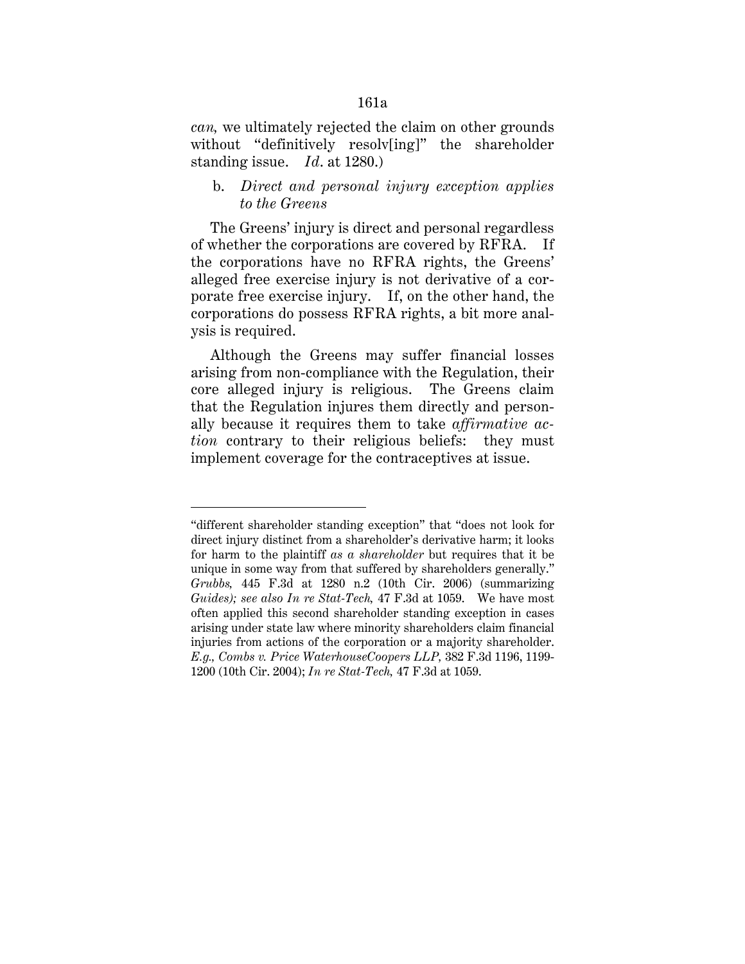*can,* we ultimately rejected the claim on other grounds without "definitively resolv[ing]" the shareholder standing issue. *Id*. at 1280.)

## b. *Direct and personal injury exception applies to the Greens*

The Greens' injury is direct and personal regardless of whether the corporations are covered by RFRA. If the corporations have no RFRA rights, the Greens' alleged free exercise injury is not derivative of a corporate free exercise injury. If, on the other hand, the corporations do possess RFRA rights, a bit more analysis is required.

Although the Greens may suffer financial losses arising from non-compliance with the Regulation, their core alleged injury is religious. The Greens claim that the Regulation injures them directly and personally because it requires them to take *affirmative action* contrary to their religious beliefs: they must implement coverage for the contraceptives at issue.

<sup>&</sup>quot;different shareholder standing exception" that "does not look for direct injury distinct from a shareholder's derivative harm; it looks for harm to the plaintiff *as a shareholder* but requires that it be unique in some way from that suffered by shareholders generally." *Grubbs,* 445 F.3d at 1280 n.2 (10th Cir. 2006) (summarizing *Guides); see also In re Stat-Tech,* 47 F.3d at 1059. We have most often applied this second shareholder standing exception in cases arising under state law where minority shareholders claim financial injuries from actions of the corporation or a majority shareholder. *E.g., Combs v. Price WaterhouseCoopers LLP,* 382 F.3d 1196, 1199- 1200 (10th Cir. 2004); *In re Stat-Tech,* 47 F.3d at 1059.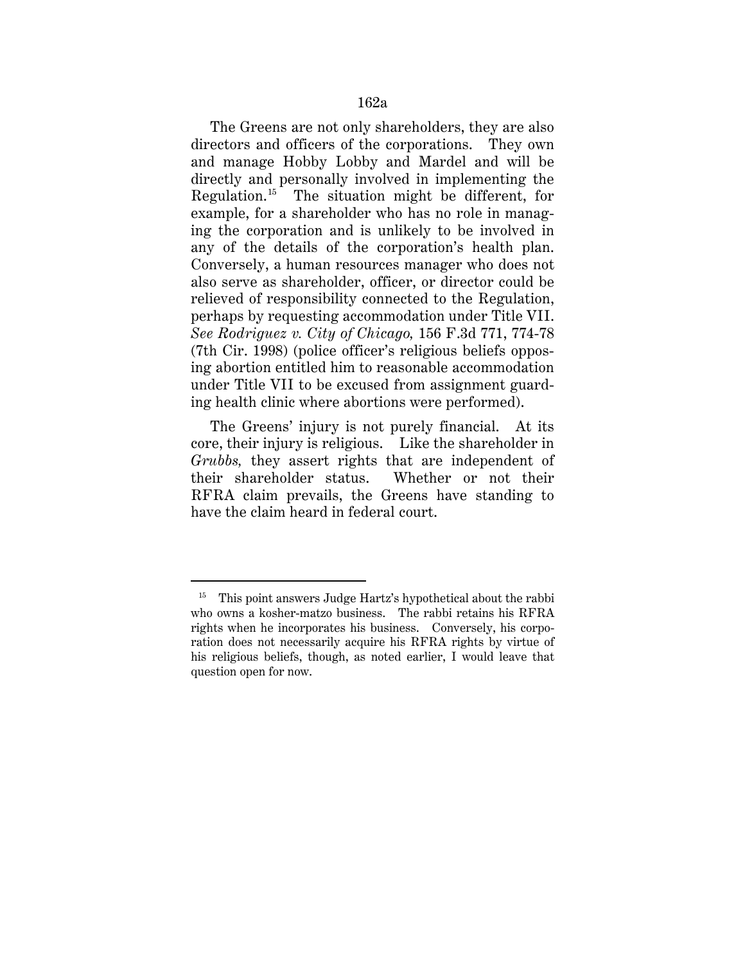The Greens are not only shareholders, they are also directors and officers of the corporations. They own and manage Hobby Lobby and Mardel and will be directly and personally involved in implementing the Regulation.15 The situation might be different, for example, for a shareholder who has no role in managing the corporation and is unlikely to be involved in any of the details of the corporation's health plan. Conversely, a human resources manager who does not also serve as shareholder, officer, or director could be relieved of responsibility connected to the Regulation, perhaps by requesting accommodation under Title VII. *See Rodriguez v. City of Chicago,* 156 F.3d 771, 774-78 (7th Cir. 1998) (police officer's religious beliefs opposing abortion entitled him to reasonable accommodation under Title VII to be excused from assignment guarding health clinic where abortions were performed).

The Greens' injury is not purely financial. At its core, their injury is religious. Like the shareholder in *Grubbs,* they assert rights that are independent of their shareholder status. Whether or not their RFRA claim prevails, the Greens have standing to have the claim heard in federal court.

 $15$  This point answers Judge Hartz's hypothetical about the rabbi who owns a kosher-matzo business. The rabbi retains his RFRA rights when he incorporates his business. Conversely, his corporation does not necessarily acquire his RFRA rights by virtue of his religious beliefs, though, as noted earlier, I would leave that question open for now.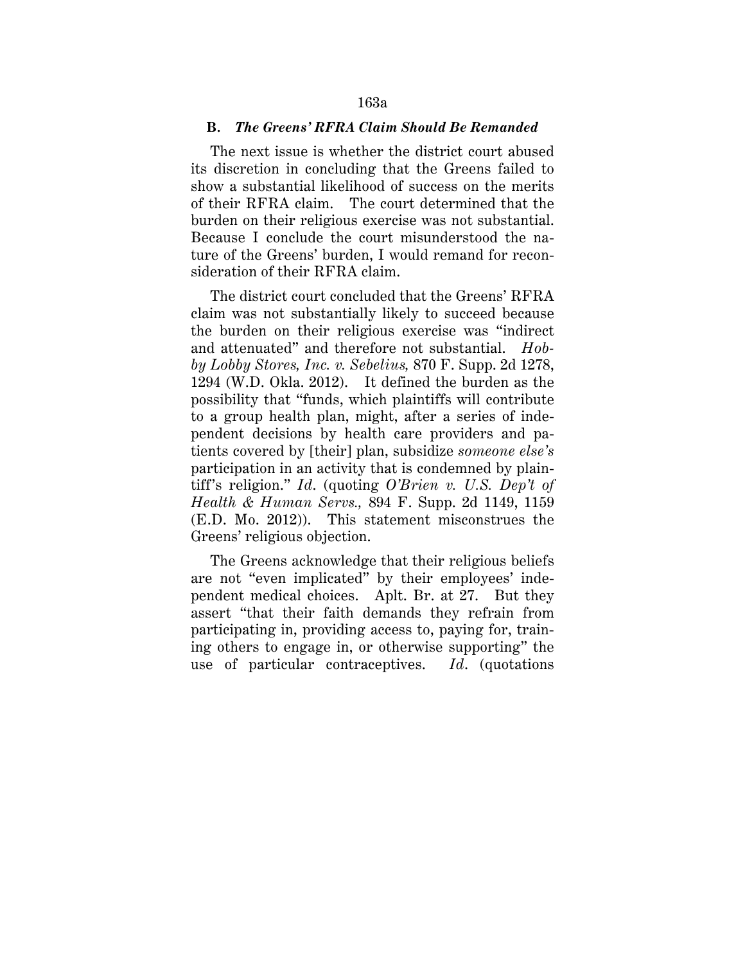### **B.** *The Greens' RFRA Claim Should Be Remanded*

The next issue is whether the district court abused its discretion in concluding that the Greens failed to show a substantial likelihood of success on the merits of their RFRA claim. The court determined that the burden on their religious exercise was not substantial. Because I conclude the court misunderstood the nature of the Greens' burden, I would remand for reconsideration of their RFRA claim.

The district court concluded that the Greens' RFRA claim was not substantially likely to succeed because the burden on their religious exercise was "indirect and attenuated" and therefore not substantial. *Hobby Lobby Stores, Inc. v. Sebelius,* 870 F. Supp. 2d 1278, 1294 (W.D. Okla. 2012). It defined the burden as the possibility that "funds, which plaintiffs will contribute to a group health plan, might, after a series of independent decisions by health care providers and patients covered by [their] plan, subsidize *someone else's* participation in an activity that is condemned by plaintiff's religion." *Id*. (quoting *O'Brien v. U.S. Dep't of Health & Human Servs.,* 894 F. Supp. 2d 1149, 1159 (E.D. Mo. 2012)). This statement misconstrues the Greens' religious objection.

The Greens acknowledge that their religious beliefs are not "even implicated" by their employees' independent medical choices. Aplt. Br. at 27. But they assert "that their faith demands they refrain from participating in, providing access to, paying for, training others to engage in, or otherwise supporting" the use of particular contraceptives. *Id*. (quotations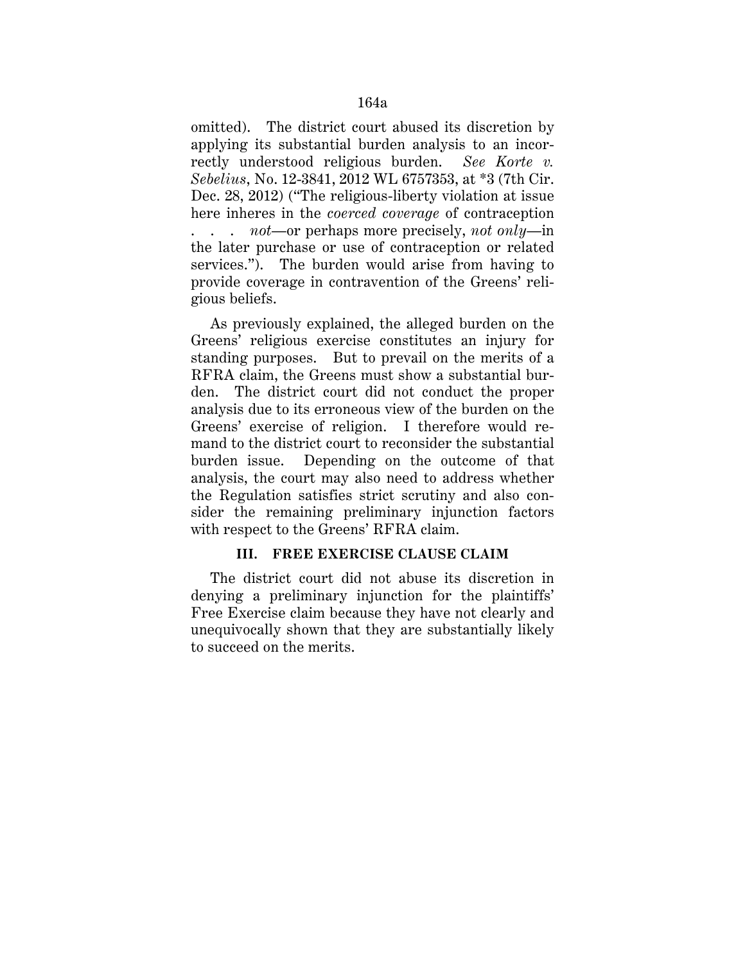omitted). The district court abused its discretion by applying its substantial burden analysis to an incorrectly understood religious burden. *See Korte v. Sebelius*, No. 12-3841, 2012 WL 6757353, at \*3 (7th Cir. Dec. 28, 2012) ("The religious-liberty violation at issue here inheres in the *coerced coverage* of contraception . . . *not*—or perhaps more precisely, *not only*—in the later purchase or use of contraception or related services."). The burden would arise from having to provide coverage in contravention of the Greens' religious beliefs.

As previously explained, the alleged burden on the Greens' religious exercise constitutes an injury for standing purposes. But to prevail on the merits of a RFRA claim, the Greens must show a substantial burden. The district court did not conduct the proper analysis due to its erroneous view of the burden on the Greens' exercise of religion. I therefore would remand to the district court to reconsider the substantial burden issue. Depending on the outcome of that analysis, the court may also need to address whether the Regulation satisfies strict scrutiny and also consider the remaining preliminary injunction factors with respect to the Greens' RFRA claim.

#### **III. FREE EXERCISE CLAUSE CLAIM**

The district court did not abuse its discretion in denying a preliminary injunction for the plaintiffs' Free Exercise claim because they have not clearly and unequivocally shown that they are substantially likely to succeed on the merits.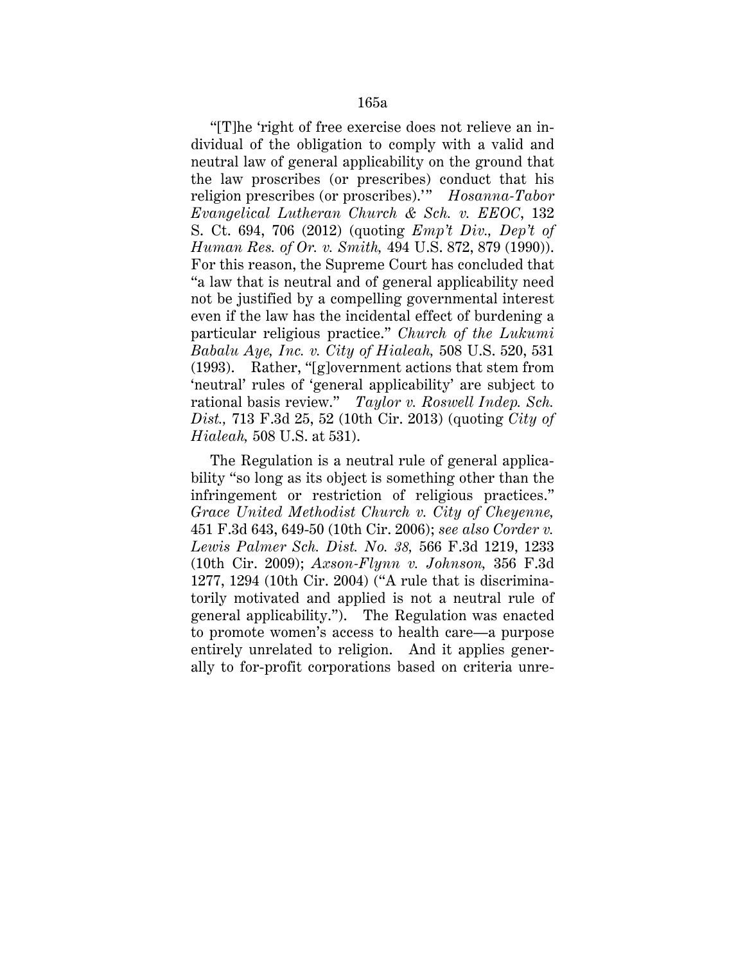"[T]he 'right of free exercise does not relieve an individual of the obligation to comply with a valid and neutral law of general applicability on the ground that the law proscribes (or prescribes) conduct that his religion prescribes (or proscribes).'" *Hosanna-Tabor Evangelical Lutheran Church & Sch. v. EEOC*, 132 S. Ct. 694, 706 (2012) (quoting *Emp't Div., Dep't of Human Res. of Or. v. Smith,* 494 U.S. 872, 879 (1990)). For this reason, the Supreme Court has concluded that "a law that is neutral and of general applicability need not be justified by a compelling governmental interest even if the law has the incidental effect of burdening a particular religious practice." *Church of the Lukumi Babalu Aye, Inc. v. City of Hialeah,* 508 U.S. 520, 531 (1993). Rather, "[g]overnment actions that stem from 'neutral' rules of 'general applicability' are subject to rational basis review." *Taylor v. Roswell Indep. Sch. Dist.,* 713 F.3d 25, 52 (10th Cir. 2013) (quoting *City of Hialeah,* 508 U.S. at 531).

The Regulation is a neutral rule of general applicability "so long as its object is something other than the infringement or restriction of religious practices." *Grace United Methodist Church v. City of Cheyenne,* 451 F.3d 643, 649-50 (10th Cir. 2006); *see also Corder v. Lewis Palmer Sch. Dist. No. 38,* 566 F.3d 1219, 1233 (10th Cir. 2009); *Axson-Flynn v. Johnson,* 356 F.3d 1277, 1294 (10th Cir. 2004) ("A rule that is discriminatorily motivated and applied is not a neutral rule of general applicability."). The Regulation was enacted to promote women's access to health care—a purpose entirely unrelated to religion. And it applies generally to for-profit corporations based on criteria unre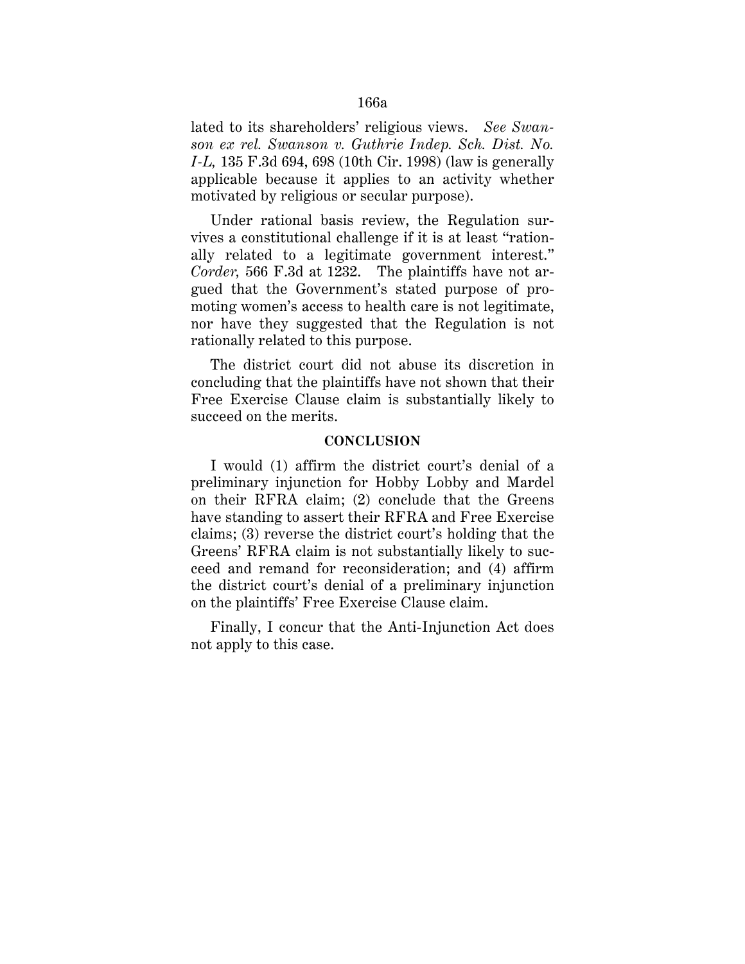lated to its shareholders' religious views. *See Swanson ex rel. Swanson v. Guthrie Indep. Sch. Dist. No. I-L,* 135 F.3d 694, 698 (10th Cir. 1998) (law is generally applicable because it applies to an activity whether motivated by religious or secular purpose).

Under rational basis review, the Regulation survives a constitutional challenge if it is at least "rationally related to a legitimate government interest." *Corder,* 566 F.3d at 1232. The plaintiffs have not argued that the Government's stated purpose of promoting women's access to health care is not legitimate, nor have they suggested that the Regulation is not rationally related to this purpose.

The district court did not abuse its discretion in concluding that the plaintiffs have not shown that their Free Exercise Clause claim is substantially likely to succeed on the merits.

### **CONCLUSION**

I would (1) affirm the district court's denial of a preliminary injunction for Hobby Lobby and Mardel on their RFRA claim; (2) conclude that the Greens have standing to assert their RFRA and Free Exercise claims; (3) reverse the district court's holding that the Greens' RFRA claim is not substantially likely to succeed and remand for reconsideration; and (4) affirm the district court's denial of a preliminary injunction on the plaintiffs' Free Exercise Clause claim.

Finally, I concur that the Anti-Injunction Act does not apply to this case.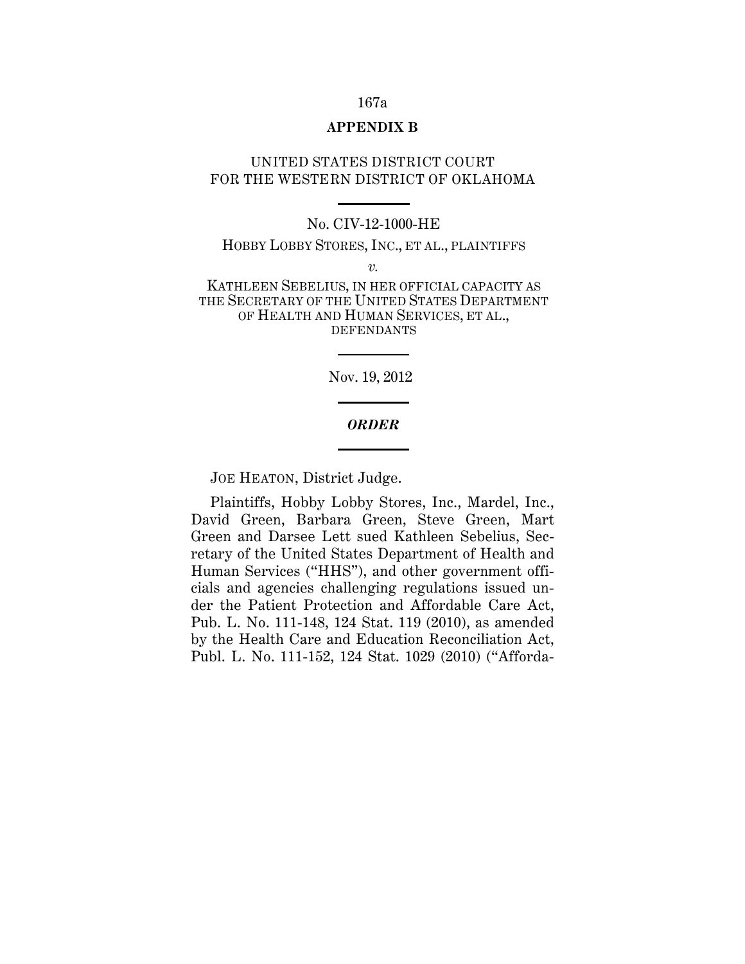## 167a

## **APPENDIX B**

## UNITED STATES DISTRICT COURT FOR THE WESTERN DISTRICT OF OKLAHOMA

### No. CIV-12-1000-HE

HOBBY LOBBY STORES, INC., ET AL., PLAINTIFFS

*v.*

KATHLEEN SEBELIUS, IN HER OFFICIAL CAPACITY AS THE SECRETARY OF THE UNITED STATES DEPARTMENT OF HEALTH AND HUMAN SERVICES, ET AL., DEFENDANTS

Nov. 19, 2012

### *ORDER*

JOE HEATON, District Judge.

Plaintiffs, Hobby Lobby Stores, Inc., Mardel, Inc., David Green, Barbara Green, Steve Green, Mart Green and Darsee Lett sued Kathleen Sebelius, Secretary of the United States Department of Health and Human Services ("HHS"), and other government officials and agencies challenging regulations issued under the Patient Protection and Affordable Care Act, Pub. L. No. 111-148, 124 Stat. 119 (2010), as amended by the Health Care and Education Reconciliation Act, Publ. L. No. 111-152, 124 Stat. 1029 (2010) ("Afforda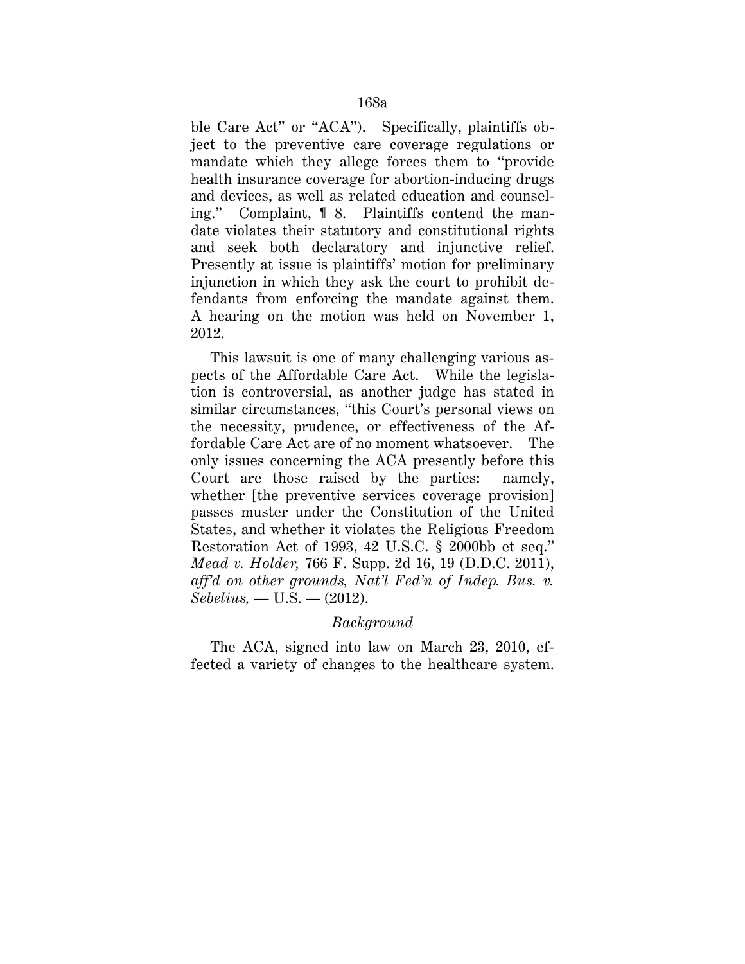ble Care Act" or "ACA"). Specifically, plaintiffs object to the preventive care coverage regulations or mandate which they allege forces them to "provide health insurance coverage for abortion-inducing drugs and devices, as well as related education and counseling." Complaint, ¶ 8. Plaintiffs contend the mandate violates their statutory and constitutional rights and seek both declaratory and injunctive relief. Presently at issue is plaintiffs' motion for preliminary injunction in which they ask the court to prohibit defendants from enforcing the mandate against them. A hearing on the motion was held on November 1, 2012.

This lawsuit is one of many challenging various aspects of the Affordable Care Act. While the legislation is controversial, as another judge has stated in similar circumstances, "this Court's personal views on the necessity, prudence, or effectiveness of the Affordable Care Act are of no moment whatsoever. The only issues concerning the ACA presently before this Court are those raised by the parties: namely, whether [the preventive services coverage provision] passes muster under the Constitution of the United States, and whether it violates the Religious Freedom Restoration Act of 1993, 42 U.S.C. § 2000bb et seq." *Mead v. Holder,* 766 F. Supp. 2d 16, 19 (D.D.C. 2011), *aff'd on other grounds, Nat'l Fed'n of Indep. Bus. v. Sebelius,* — U.S. — (2012).

### *Background*

The ACA, signed into law on March 23, 2010, effected a variety of changes to the healthcare system.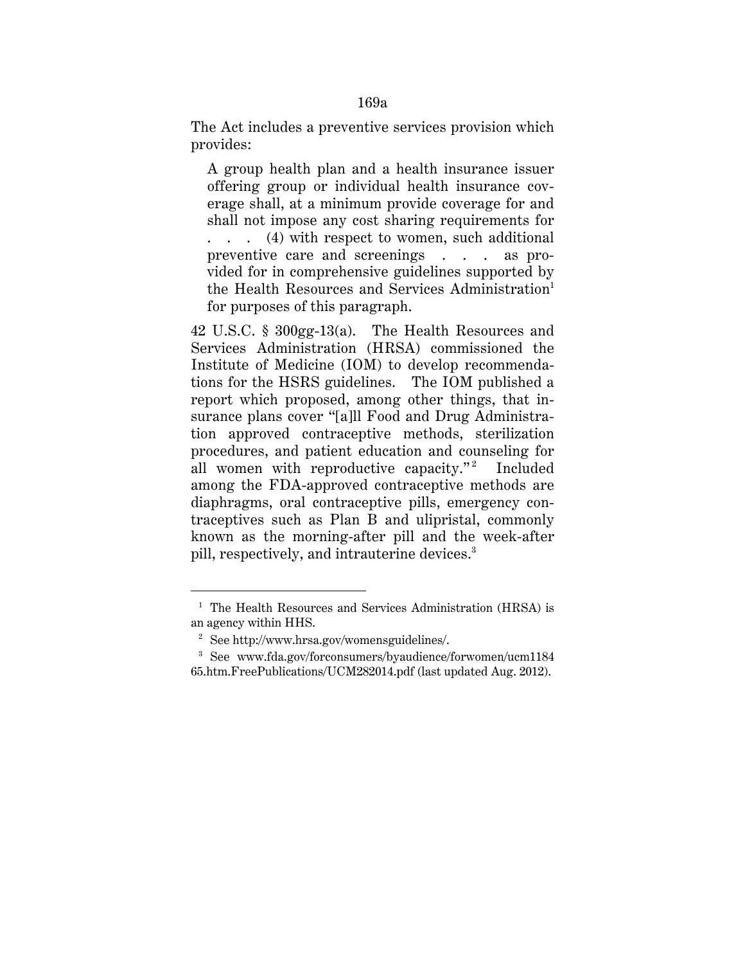The Act includes a preventive services provision which provides:

A group health plan and a health insurance issuer offering group or individual health insurance coverage shall, at a minimum provide coverage for and shall not impose any cost sharing requirements for . . . (4) with respect to women, such additional preventive care and screenings . . . as provided for in comprehensive guidelines supported by the Health Resources and Services Administration<sup>1</sup> for purposes of this paragraph.

42 U.S.C. § 300gg-13(a). The Health Resources and Services Administration (HRSA) commissioned the Institute of Medicine (IOM) to develop recommendations for the HSRS guidelines. The IOM published a report which proposed, among other things, that insurance plans cover "[a]ll Food and Drug Administration approved contraceptive methods, sterilization procedures, and patient education and counseling for all women with reproductive capacity."<sup>2</sup> Included among the FDA-approved contraceptive methods are diaphragms, oral contraceptive pills, emergency contraceptives such as Plan B and ulipristal, commonly known as the morning-after pill and the week-after pill, respectively, and intrauterine devices.<sup>3</sup>

-

<sup>&</sup>lt;sup>1</sup> The Health Resources and Services Administration (HRSA) is an agency within HHS.

<sup>2</sup> See http://www.hrsa.gov/womensguidelines/.

<sup>3</sup> See www.fda.gov/forconsumers/byaudience/forwomen/ucm1184 65.htm.FreePublications/UCM282014.pdf (last updated Aug. 2012).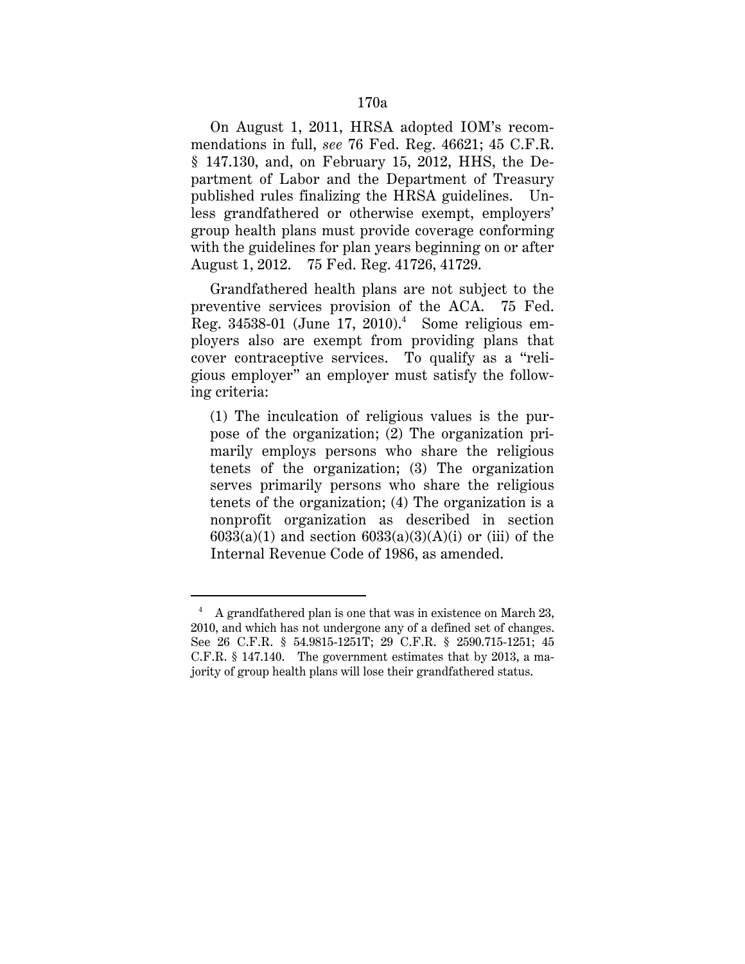On August 1, 2011, HRSA adopted IOM's recommendations in full, *see* 76 Fed. Reg. 46621; 45 C.F.R. § 147.130, and, on February 15, 2012, HHS, the Department of Labor and the Department of Treasury published rules finalizing the HRSA guidelines. Unless grandfathered or otherwise exempt, employers' group health plans must provide coverage conforming with the guidelines for plan years beginning on or after August 1, 2012. 75 Fed. Reg. 41726, 41729.

Grandfathered health plans are not subject to the preventive services provision of the ACA. 75 Fed. Reg.  $34538-01$  (June 17,  $2010$ ).<sup>4</sup> Some religious employers also are exempt from providing plans that cover contraceptive services. To qualify as a "religious employer" an employer must satisfy the following criteria:

(1) The inculcation of religious values is the purpose of the organization; (2) The organization primarily employs persons who share the religious tenets of the organization; (3) The organization serves primarily persons who share the religious tenets of the organization; (4) The organization is a nonprofit organization as described in section  $6033(a)(1)$  and section  $6033(a)(3)(A)(i)$  or (iii) of the Internal Revenue Code of 1986, as amended.

<sup>&</sup>lt;sup>4</sup> A grandfathered plan is one that was in existence on March 23, 2010, and which has not undergone any of a defined set of changes. See 26 C.F.R. § 54.9815-1251T; 29 C.F.R. § 2590.715-1251; 45 C.F.R. § 147.140. The government estimates that by 2013, a majority of group health plans will lose their grandfathered status.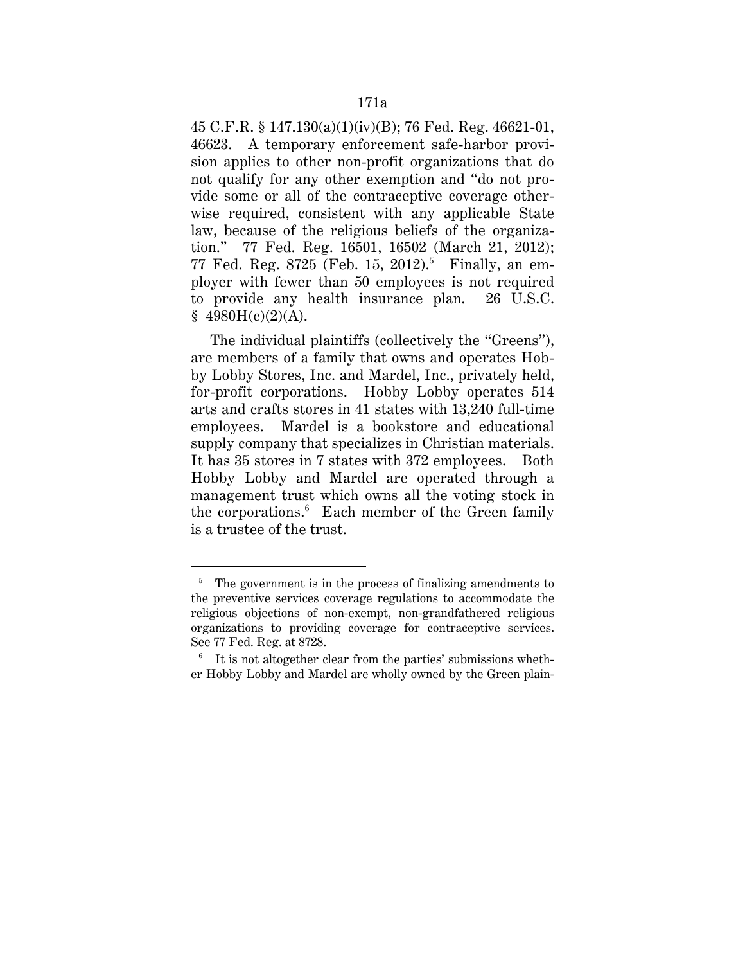45 C.F.R. § 147.130(a)(1)(iv)(B); 76 Fed. Reg. 46621-01, 46623. A temporary enforcement safe-harbor provision applies to other non-profit organizations that do not qualify for any other exemption and "do not provide some or all of the contraceptive coverage otherwise required, consistent with any applicable State law, because of the religious beliefs of the organization." 77 Fed. Reg. 16501, 16502 (March 21, 2012); 77 Fed. Reg. 8725 (Feb. 15, 2012).<sup>5</sup> Finally, an employer with fewer than 50 employees is not required to provide any health insurance plan. 26 U.S.C.  $$4980H(c)(2)(A).$ 

The individual plaintiffs (collectively the "Greens"), are members of a family that owns and operates Hobby Lobby Stores, Inc. and Mardel, Inc., privately held, for-profit corporations. Hobby Lobby operates 514 arts and crafts stores in 41 states with 13,240 full-time employees. Mardel is a bookstore and educational supply company that specializes in Christian materials. It has 35 stores in 7 states with 372 employees. Both Hobby Lobby and Mardel are operated through a management trust which owns all the voting stock in the corporations.<sup>6</sup> Each member of the Green family is a trustee of the trust.

 $5$  The government is in the process of finalizing amendments to the preventive services coverage regulations to accommodate the religious objections of non-exempt, non-grandfathered religious organizations to providing coverage for contraceptive services. See 77 Fed. Reg. at 8728.

 $6$  It is not altogether clear from the parties' submissions whether Hobby Lobby and Mardel are wholly owned by the Green plain-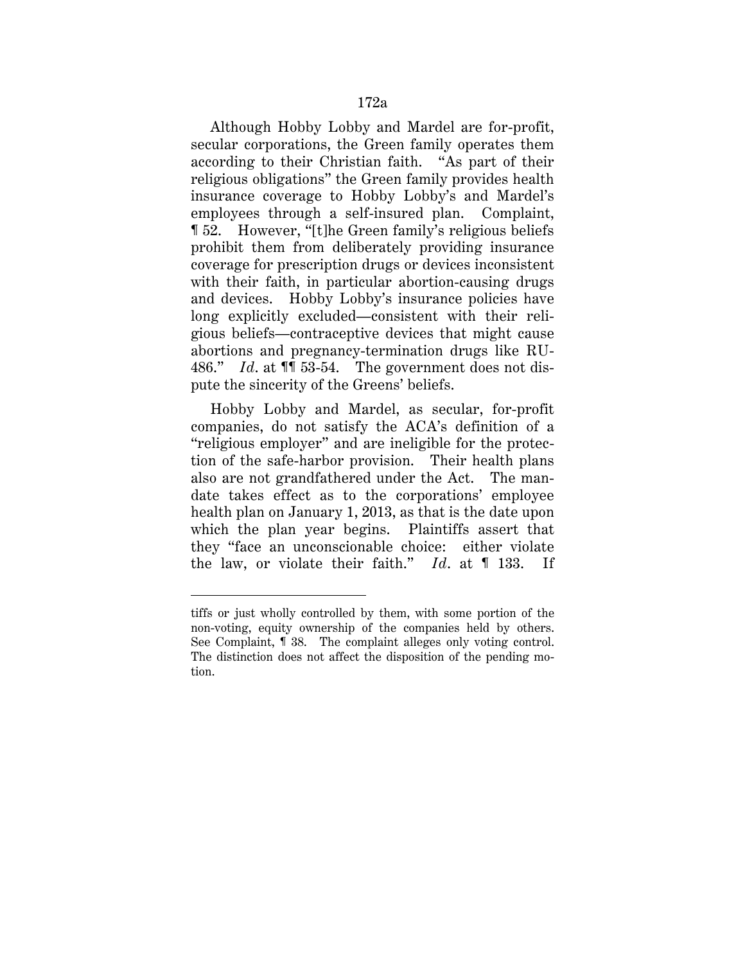Although Hobby Lobby and Mardel are for-profit, secular corporations, the Green family operates them according to their Christian faith. "As part of their religious obligations" the Green family provides health insurance coverage to Hobby Lobby's and Mardel's employees through a self-insured plan. Complaint, ¶ 52. However, "[t]he Green family's religious beliefs prohibit them from deliberately providing insurance coverage for prescription drugs or devices inconsistent with their faith, in particular abortion-causing drugs and devices. Hobby Lobby's insurance policies have long explicitly excluded—consistent with their religious beliefs—contraceptive devices that might cause abortions and pregnancy-termination drugs like RU-486." *Id*. at ¶¶ 53-54. The government does not dispute the sincerity of the Greens' beliefs.

Hobby Lobby and Mardel, as secular, for-profit companies, do not satisfy the ACA's definition of a "religious employer" and are ineligible for the protection of the safe-harbor provision. Their health plans also are not grandfathered under the Act. The mandate takes effect as to the corporations' employee health plan on January 1, 2013, as that is the date upon which the plan year begins. Plaintiffs assert that they "face an unconscionable choice: either violate the law, or violate their faith." *Id*. at ¶ 133. If

tiffs or just wholly controlled by them, with some portion of the non-voting, equity ownership of the companies held by others. See Complaint, ¶ 38. The complaint alleges only voting control. The distinction does not affect the disposition of the pending motion.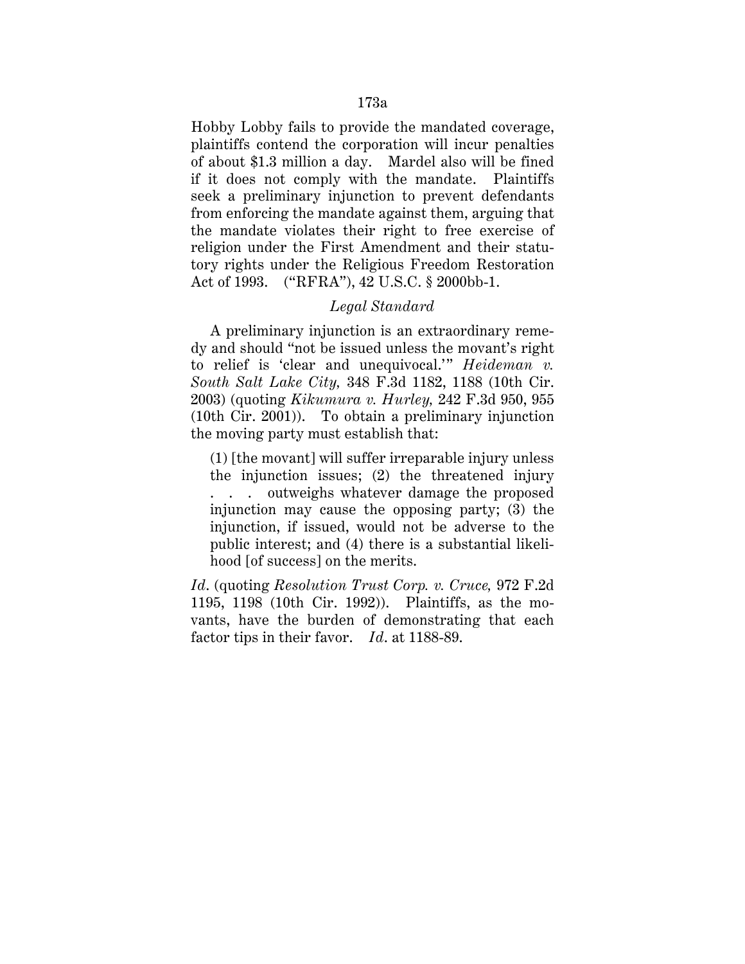Hobby Lobby fails to provide the mandated coverage, plaintiffs contend the corporation will incur penalties of about \$1.3 million a day. Mardel also will be fined if it does not comply with the mandate. Plaintiffs seek a preliminary injunction to prevent defendants from enforcing the mandate against them, arguing that the mandate violates their right to free exercise of religion under the First Amendment and their statutory rights under the Religious Freedom Restoration Act of 1993. ("RFRA"), 42 U.S.C. § 2000bb-1.

# *Legal Standard*

A preliminary injunction is an extraordinary remedy and should "not be issued unless the movant's right to relief is 'clear and unequivocal.'" *Heideman v. South Salt Lake City,* 348 F.3d 1182, 1188 (10th Cir. 2003) (quoting *Kikumura v. Hurley,* 242 F.3d 950, 955 (10th Cir. 2001)). To obtain a preliminary injunction the moving party must establish that:

(1) [the movant] will suffer irreparable injury unless the injunction issues; (2) the threatened injury . . . outweighs whatever damage the proposed injunction may cause the opposing party; (3) the injunction, if issued, would not be adverse to the public interest; and (4) there is a substantial likelihood [of success] on the merits.

*Id*. (quoting *Resolution Trust Corp. v. Cruce,* 972 F.2d 1195, 1198 (10th Cir. 1992)). Plaintiffs, as the movants, have the burden of demonstrating that each factor tips in their favor. *Id*. at 1188-89.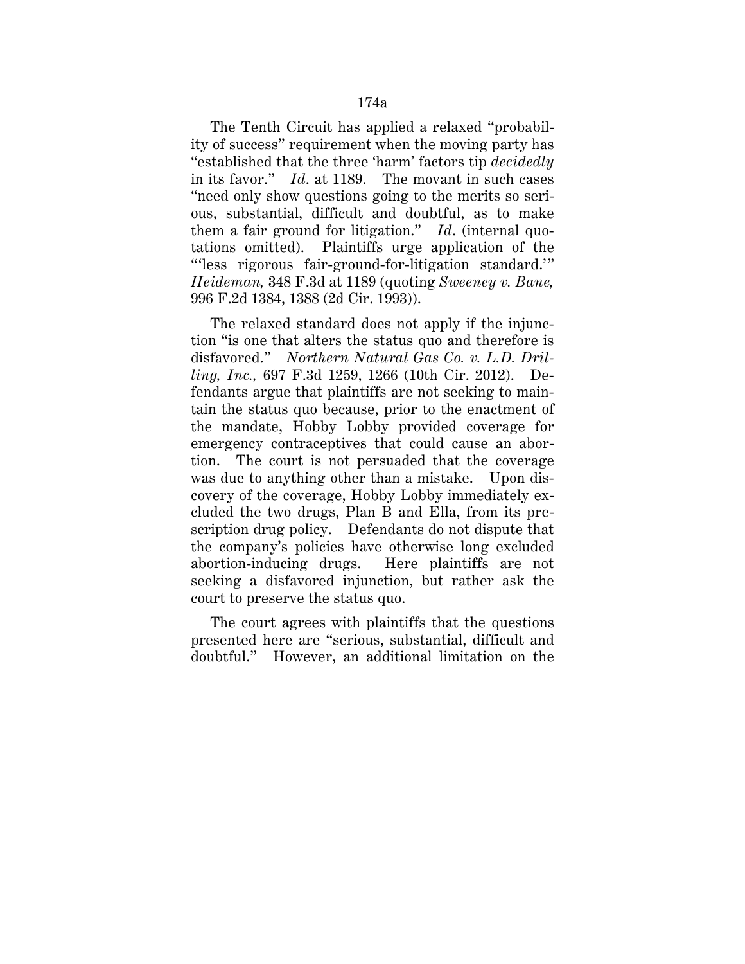The Tenth Circuit has applied a relaxed "probability of success" requirement when the moving party has "established that the three 'harm' factors tip *decidedly* in its favor." *Id*. at 1189. The movant in such cases "need only show questions going to the merits so serious, substantial, difficult and doubtful, as to make them a fair ground for litigation." *Id*. (internal quotations omitted). Plaintiffs urge application of the "'less rigorous fair-ground-for-litigation standard.'" *Heideman,* 348 F.3d at 1189 (quoting *Sweeney v. Bane,* 996 F.2d 1384, 1388 (2d Cir. 1993)).

The relaxed standard does not apply if the injunction "is one that alters the status quo and therefore is disfavored." *Northern Natural Gas Co. v. L.D. Drilling, Inc.,* 697 F.3d 1259, 1266 (10th Cir. 2012). Defendants argue that plaintiffs are not seeking to maintain the status quo because, prior to the enactment of the mandate, Hobby Lobby provided coverage for emergency contraceptives that could cause an abortion. The court is not persuaded that the coverage was due to anything other than a mistake. Upon discovery of the coverage, Hobby Lobby immediately excluded the two drugs, Plan B and Ella, from its prescription drug policy. Defendants do not dispute that the company's policies have otherwise long excluded abortion-inducing drugs. Here plaintiffs are not seeking a disfavored injunction, but rather ask the court to preserve the status quo.

The court agrees with plaintiffs that the questions presented here are "serious, substantial, difficult and doubtful." However, an additional limitation on the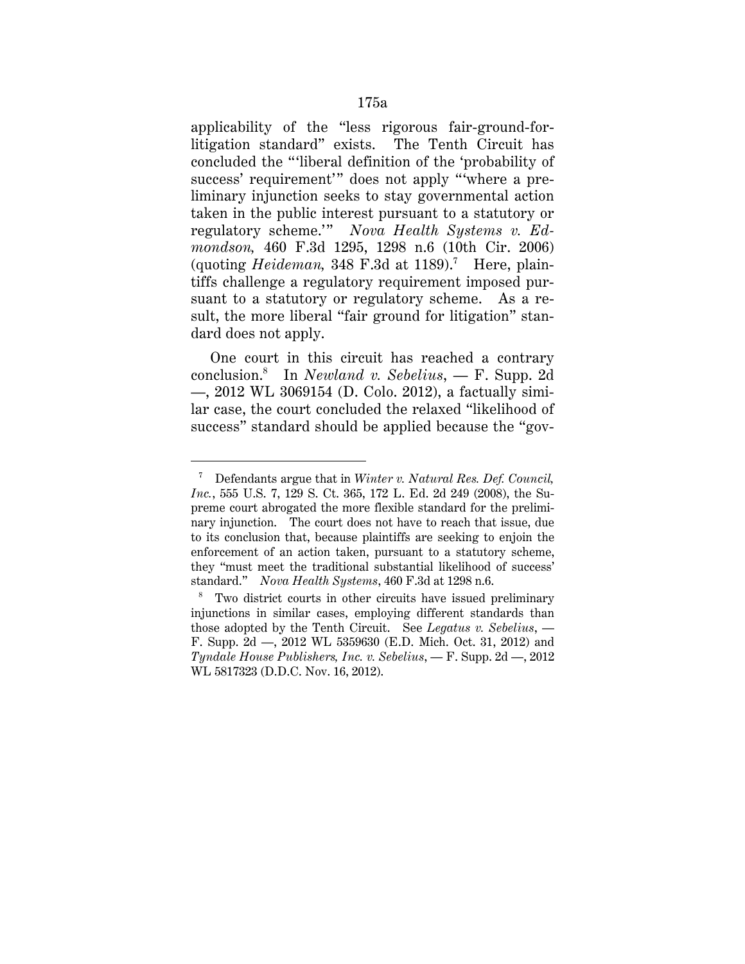applicability of the "less rigorous fair-ground-forlitigation standard" exists. The Tenth Circuit has concluded the "'liberal definition of the 'probability of success' requirement'" does not apply "'where a preliminary injunction seeks to stay governmental action taken in the public interest pursuant to a statutory or regulatory scheme.'" *Nova Health Systems v. Edmondson,* 460 F.3d 1295, 1298 n.6 (10th Cir. 2006) (quoting  $Heideman$ , 348 F.3d at 1189).<sup>7</sup> Here, plaintiffs challenge a regulatory requirement imposed pursuant to a statutory or regulatory scheme. As a result, the more liberal "fair ground for litigation" standard does not apply.

One court in this circuit has reached a contrary conclusion.8 In *Newland v. Sebelius*, — F. Supp. 2d —, 2012 WL 3069154 (D. Colo. 2012), a factually similar case, the court concluded the relaxed "likelihood of success" standard should be applied because the "gov-

<sup>7</sup> Defendants argue that in *Winter v. Natural Res. Def. Council, Inc.*, 555 U.S. 7, 129 S. Ct. 365, 172 L. Ed. 2d 249 (2008), the Supreme court abrogated the more flexible standard for the preliminary injunction. The court does not have to reach that issue, due to its conclusion that, because plaintiffs are seeking to enjoin the enforcement of an action taken, pursuant to a statutory scheme, they "must meet the traditional substantial likelihood of success' standard." *Nova Health Systems*, 460 F.3d at 1298 n.6.

Two district courts in other circuits have issued preliminary injunctions in similar cases, employing different standards than those adopted by the Tenth Circuit. See *Legatus v. Sebelius*, — F. Supp. 2d —, 2012 WL 5359630 (E.D. Mich. Oct. 31, 2012) and *Tyndale House Publishers, Inc. v. Sebelius*, — F. Supp. 2d —, 2012 WL 5817323 (D.D.C. Nov. 16, 2012).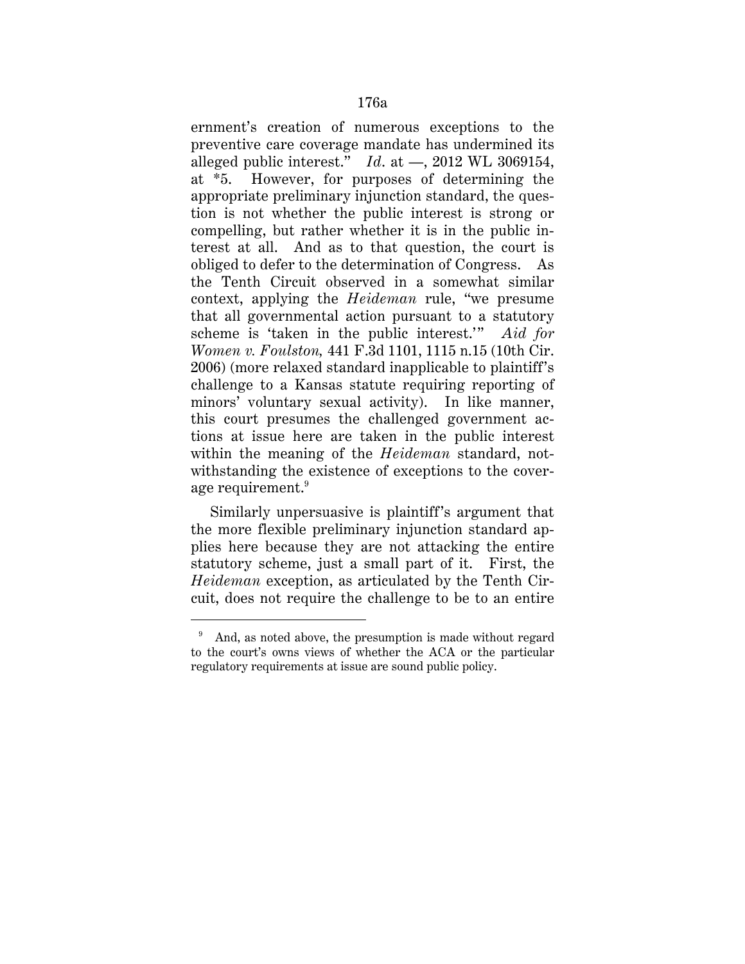ernment's creation of numerous exceptions to the preventive care coverage mandate has undermined its alleged public interest." *Id*. at —, 2012 WL 3069154, at \*5. However, for purposes of determining the appropriate preliminary injunction standard, the question is not whether the public interest is strong or compelling, but rather whether it is in the public interest at all. And as to that question, the court is obliged to defer to the determination of Congress. As the Tenth Circuit observed in a somewhat similar context, applying the *Heideman* rule, "we presume that all governmental action pursuant to a statutory scheme is 'taken in the public interest.'" *Aid for Women v. Foulston,* 441 F.3d 1101, 1115 n.15 (10th Cir. 2006) (more relaxed standard inapplicable to plaintiff's challenge to a Kansas statute requiring reporting of minors' voluntary sexual activity). In like manner, this court presumes the challenged government actions at issue here are taken in the public interest within the meaning of the *Heideman* standard, notwithstanding the existence of exceptions to the coverage requirement.<sup>9</sup>

Similarly unpersuasive is plaintiff's argument that the more flexible preliminary injunction standard applies here because they are not attacking the entire statutory scheme, just a small part of it. First, the *Heideman* exception, as articulated by the Tenth Circuit, does not require the challenge to be to an entire

<sup>9</sup> And, as noted above, the presumption is made without regard to the court's owns views of whether the ACA or the particular regulatory requirements at issue are sound public policy.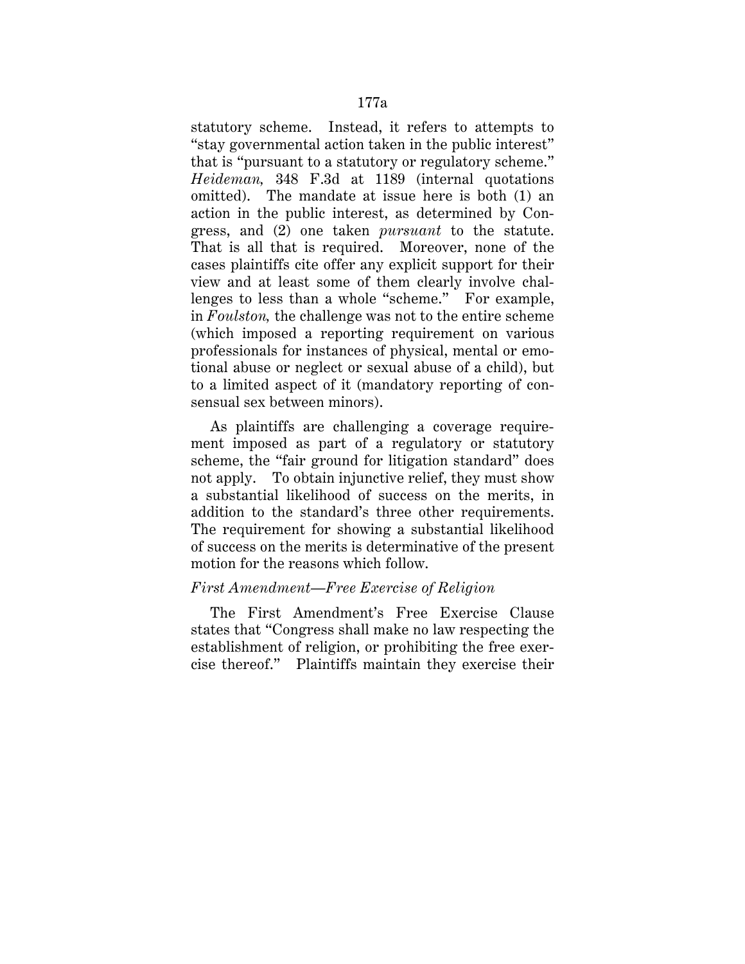statutory scheme. Instead, it refers to attempts to "stay governmental action taken in the public interest" that is "pursuant to a statutory or regulatory scheme." *Heideman,* 348 F.3d at 1189 (internal quotations omitted). The mandate at issue here is both (1) an action in the public interest, as determined by Congress, and (2) one taken *pursuant* to the statute. That is all that is required. Moreover, none of the cases plaintiffs cite offer any explicit support for their view and at least some of them clearly involve challenges to less than a whole "scheme." For example, in *Foulston,* the challenge was not to the entire scheme (which imposed a reporting requirement on various professionals for instances of physical, mental or emotional abuse or neglect or sexual abuse of a child), but to a limited aspect of it (mandatory reporting of consensual sex between minors).

As plaintiffs are challenging a coverage requirement imposed as part of a regulatory or statutory scheme, the "fair ground for litigation standard" does not apply. To obtain injunctive relief, they must show a substantial likelihood of success on the merits, in addition to the standard's three other requirements. The requirement for showing a substantial likelihood of success on the merits is determinative of the present motion for the reasons which follow.

## *First Amendment—Free Exercise of Religion*

The First Amendment's Free Exercise Clause states that "Congress shall make no law respecting the establishment of religion, or prohibiting the free exercise thereof." Plaintiffs maintain they exercise their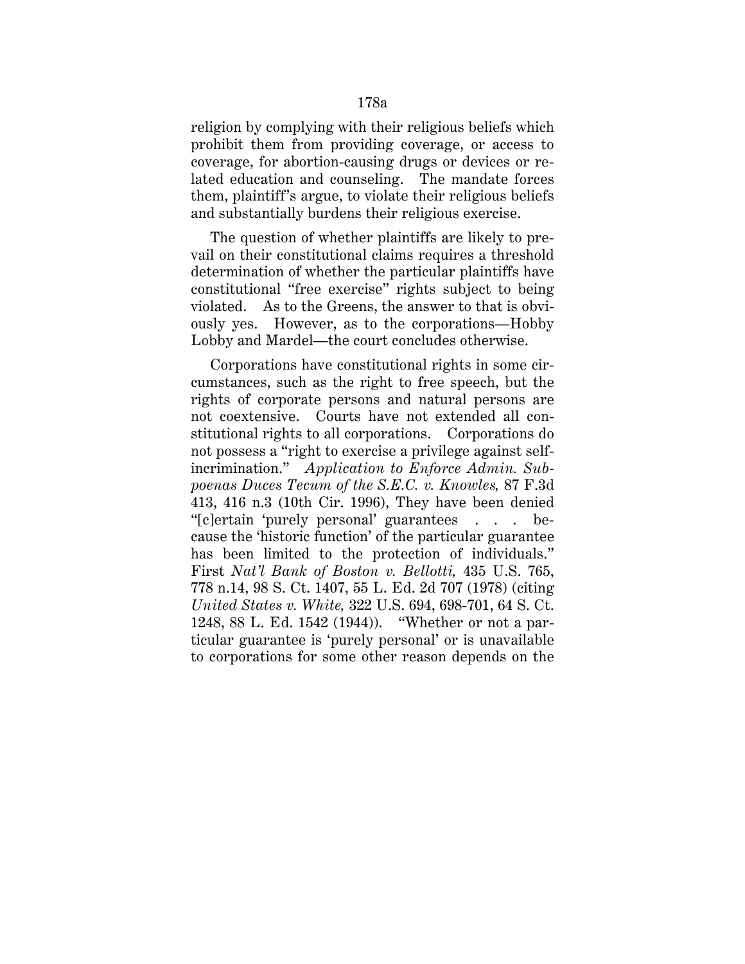religion by complying with their religious beliefs which prohibit them from providing coverage, or access to coverage, for abortion-causing drugs or devices or related education and counseling. The mandate forces them, plaintiff's argue, to violate their religious beliefs and substantially burdens their religious exercise.

The question of whether plaintiffs are likely to prevail on their constitutional claims requires a threshold determination of whether the particular plaintiffs have constitutional "free exercise" rights subject to being violated. As to the Greens, the answer to that is obviously yes. However, as to the corporations—Hobby Lobby and Mardel—the court concludes otherwise.

Corporations have constitutional rights in some circumstances, such as the right to free speech, but the rights of corporate persons and natural persons are not coextensive. Courts have not extended all constitutional rights to all corporations. Corporations do not possess a "right to exercise a privilege against selfincrimination." *Application to Enforce Admin. Subpoenas Duces Tecum of the S.E.C. v. Knowles,* 87 F.3d 413, 416 n.3 (10th Cir. 1996), They have been denied "[c]ertain 'purely personal' guarantees . . . because the 'historic function' of the particular guarantee has been limited to the protection of individuals." First *Nat'l Bank of Boston v. Bellotti,* 435 U.S. 765, 778 n.14, 98 S. Ct. 1407, 55 L. Ed. 2d 707 (1978) (citing *United States v. White,* 322 U.S. 694, 698-701, 64 S. Ct. 1248, 88 L. Ed. 1542 (1944)). "Whether or not a particular guarantee is 'purely personal' or is unavailable to corporations for some other reason depends on the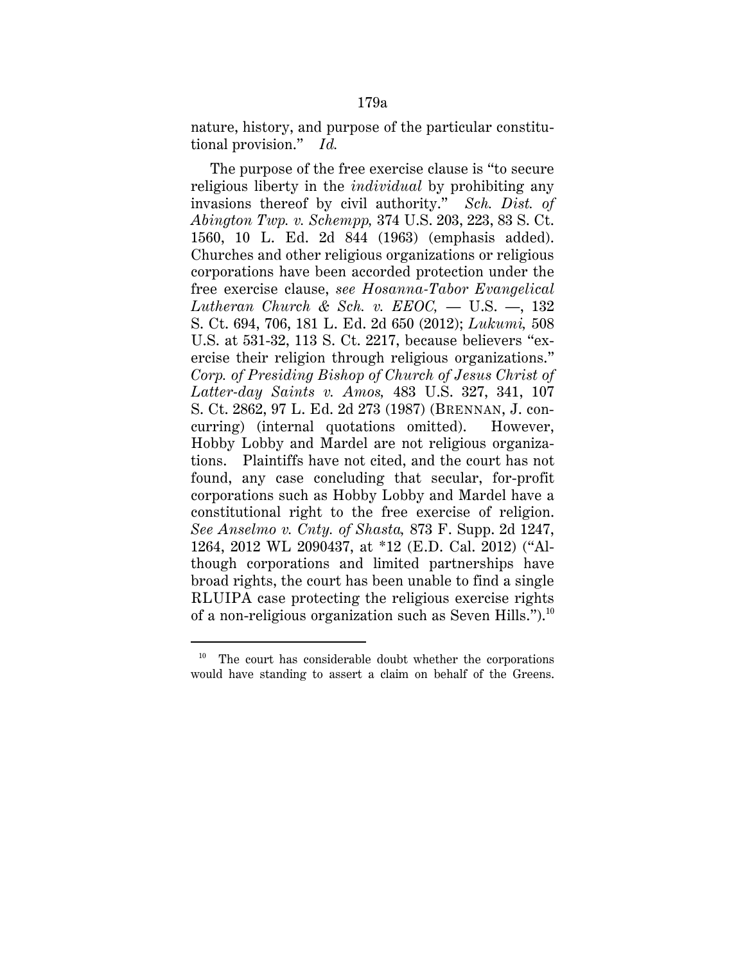nature, history, and purpose of the particular constitutional provision." *Id.*

The purpose of the free exercise clause is "to secure religious liberty in the *individual* by prohibiting any invasions thereof by civil authority." *Sch. Dist. of Abington Twp. v. Schempp,* 374 U.S. 203, 223, 83 S. Ct. 1560, 10 L. Ed. 2d 844 (1963) (emphasis added). Churches and other religious organizations or religious corporations have been accorded protection under the free exercise clause, *see Hosanna-Tabor Evangelical Lutheran Church & Sch. v. EEOC,* — U.S. —, 132 S. Ct. 694, 706, 181 L. Ed. 2d 650 (2012); *Lukumi,* 508 U.S. at 531-32, 113 S. Ct. 2217, because believers "exercise their religion through religious organizations." *Corp. of Presiding Bishop of Church of Jesus Christ of Latter-day Saints v. Amos,* 483 U.S. 327, 341, 107 S. Ct. 2862, 97 L. Ed. 2d 273 (1987) (BRENNAN, J. concurring) (internal quotations omitted). However, Hobby Lobby and Mardel are not religious organizations. Plaintiffs have not cited, and the court has not found, any case concluding that secular, for-profit corporations such as Hobby Lobby and Mardel have a constitutional right to the free exercise of religion. *See Anselmo v. Cnty. of Shasta,* 873 F. Supp. 2d 1247, 1264, 2012 WL 2090437, at \*12 (E.D. Cal. 2012) ("Although corporations and limited partnerships have broad rights, the court has been unable to find a single RLUIPA case protecting the religious exercise rights of a non-religious organization such as Seven Hills.").<sup>10</sup>

<sup>&</sup>lt;sup>10</sup> The court has considerable doubt whether the corporations would have standing to assert a claim on behalf of the Greens.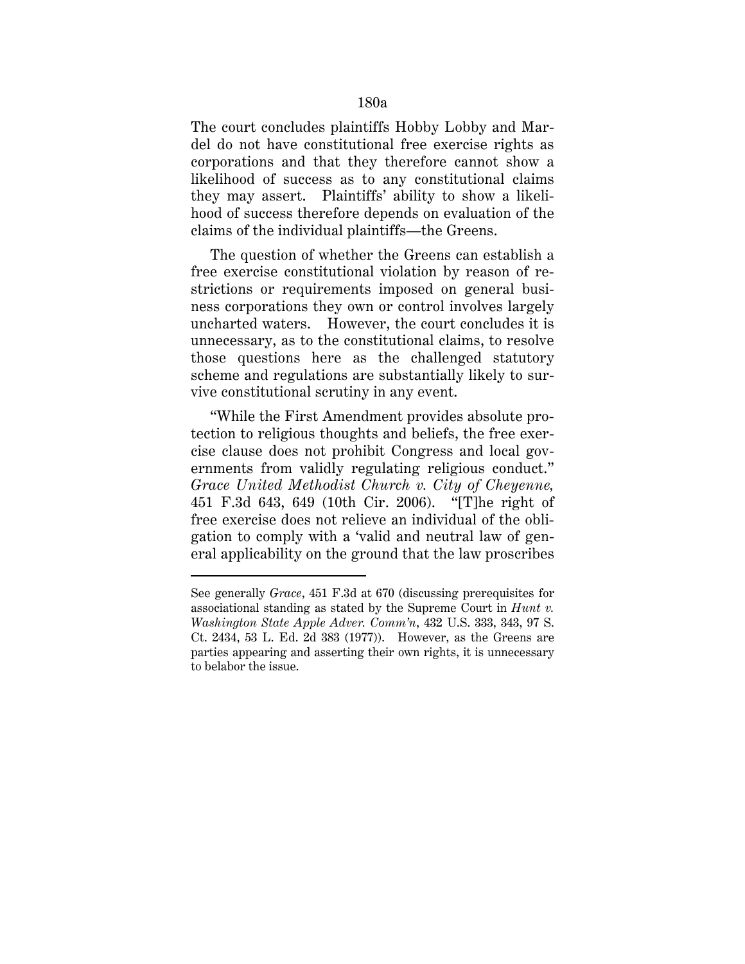The court concludes plaintiffs Hobby Lobby and Mardel do not have constitutional free exercise rights as corporations and that they therefore cannot show a likelihood of success as to any constitutional claims they may assert. Plaintiffs' ability to show a likelihood of success therefore depends on evaluation of the claims of the individual plaintiffs—the Greens.

The question of whether the Greens can establish a free exercise constitutional violation by reason of restrictions or requirements imposed on general business corporations they own or control involves largely uncharted waters. However, the court concludes it is unnecessary, as to the constitutional claims, to resolve those questions here as the challenged statutory scheme and regulations are substantially likely to survive constitutional scrutiny in any event.

"While the First Amendment provides absolute protection to religious thoughts and beliefs, the free exercise clause does not prohibit Congress and local governments from validly regulating religious conduct." *Grace United Methodist Church v. City of Cheyenne,* 451 F.3d 643, 649 (10th Cir. 2006). "[T]he right of free exercise does not relieve an individual of the obligation to comply with a 'valid and neutral law of general applicability on the ground that the law proscribes

See generally *Grace*, 451 F.3d at 670 (discussing prerequisites for associational standing as stated by the Supreme Court in *Hunt v. Washington State Apple Adver. Comm'n*, 432 U.S. 333, 343, 97 S. Ct. 2434, 53 L. Ed. 2d 383 (1977)). However, as the Greens are parties appearing and asserting their own rights, it is unnecessary to belabor the issue.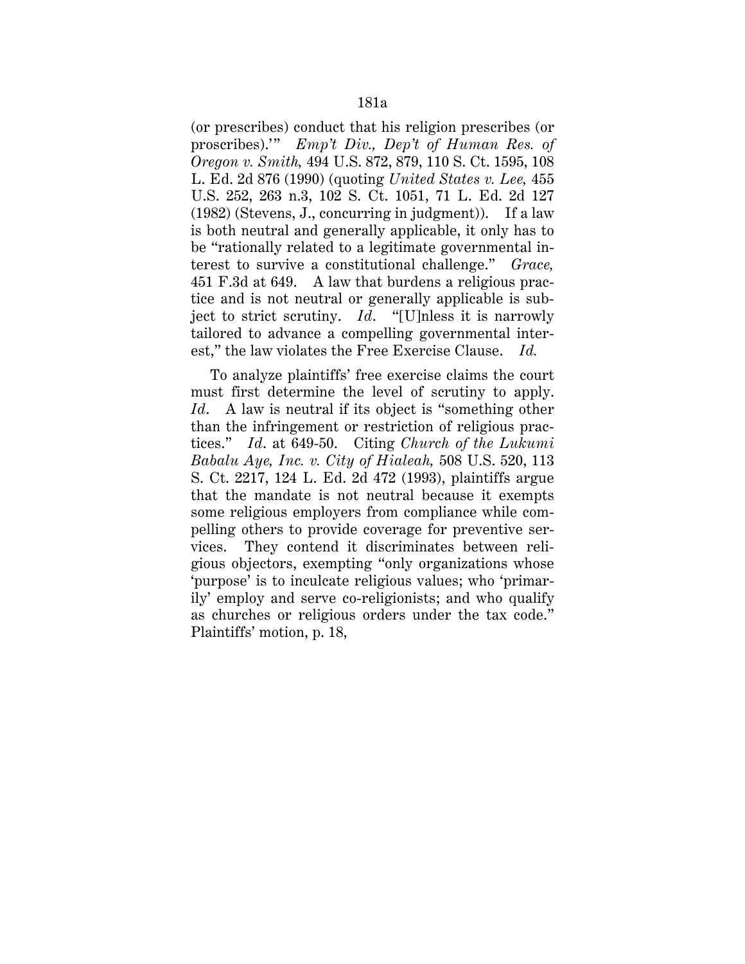(or prescribes) conduct that his religion prescribes (or proscribes).'" *Emp't Div., Dep't of Human Res. of Oregon v. Smith,* 494 U.S. 872, 879, 110 S. Ct. 1595, 108 L. Ed. 2d 876 (1990) (quoting *United States v. Lee,* 455 U.S. 252, 263 n.3, 102 S. Ct. 1051, 71 L. Ed. 2d 127 (1982) (Stevens, J., concurring in judgment)). If a law is both neutral and generally applicable, it only has to be "rationally related to a legitimate governmental interest to survive a constitutional challenge." *Grace,* 451 F.3d at 649. A law that burdens a religious practice and is not neutral or generally applicable is subject to strict scrutiny. *Id*. "[U]nless it is narrowly tailored to advance a compelling governmental interest," the law violates the Free Exercise Clause. *Id.*

To analyze plaintiffs' free exercise claims the court must first determine the level of scrutiny to apply. *Id*. A law is neutral if its object is "something other than the infringement or restriction of religious practices." *Id*. at 649-50. Citing *Church of the Lukumi Babalu Aye, Inc. v. City of Hialeah,* 508 U.S. 520, 113 S. Ct. 2217, 124 L. Ed. 2d 472 (1993), plaintiffs argue that the mandate is not neutral because it exempts some religious employers from compliance while compelling others to provide coverage for preventive services. They contend it discriminates between religious objectors, exempting "only organizations whose 'purpose' is to inculcate religious values; who 'primarily' employ and serve co-religionists; and who qualify as churches or religious orders under the tax code." Plaintiffs' motion, p. 18,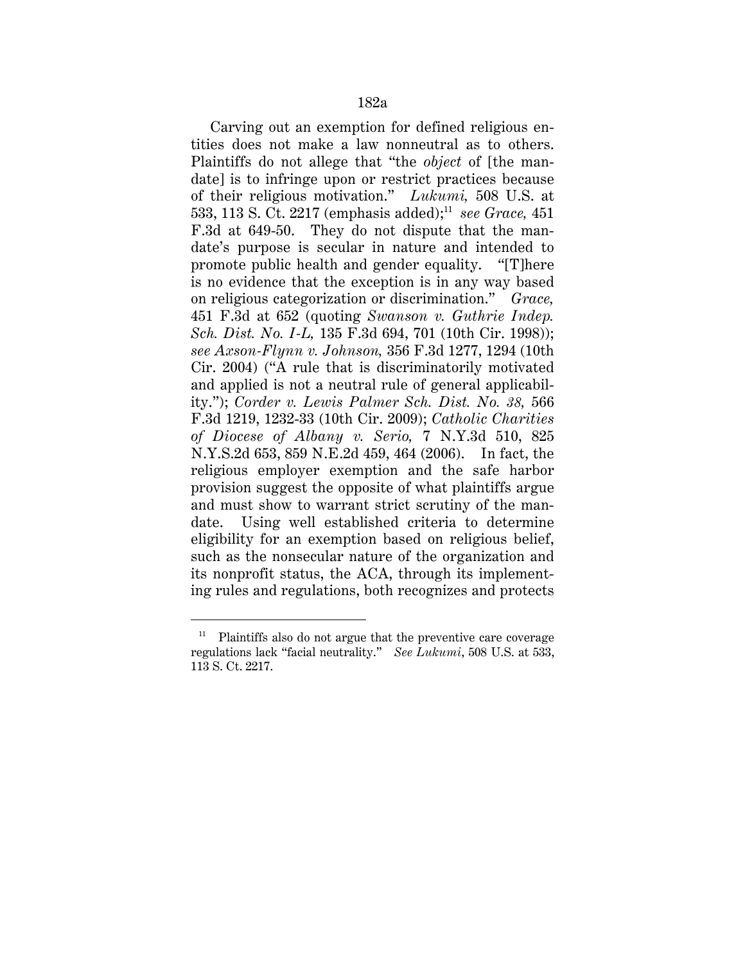Carving out an exemption for defined religious entities does not make a law nonneutral as to others. Plaintiffs do not allege that "the *object* of [the mandate] is to infringe upon or restrict practices because of their religious motivation." *Lukumi,* 508 U.S. at 533, 113 S. Ct. 2217 (emphasis added);<sup>11</sup> *see Grace*, 451 F.3d at 649-50. They do not dispute that the mandate's purpose is secular in nature and intended to promote public health and gender equality. "[T]here is no evidence that the exception is in any way based on religious categorization or discrimination." *Grace,* 451 F.3d at 652 (quoting *Swanson v. Guthrie Indep. Sch. Dist. No. I-L,* 135 F.3d 694, 701 (10th Cir. 1998)); *see Axson-Flynn v. Johnson,* 356 F.3d 1277, 1294 (10th Cir. 2004) ("A rule that is discriminatorily motivated and applied is not a neutral rule of general applicability."); *Corder v. Lewis Palmer Sch. Dist. No. 38,* 566 F.3d 1219, 1232-33 (10th Cir. 2009); *Catholic Charities of Diocese of Albany v. Serio,* 7 N.Y.3d 510, 825 N.Y.S.2d 653, 859 N.E.2d 459, 464 (2006). In fact, the religious employer exemption and the safe harbor provision suggest the opposite of what plaintiffs argue and must show to warrant strict scrutiny of the mandate. Using well established criteria to determine eligibility for an exemption based on religious belief, such as the nonsecular nature of the organization and its nonprofit status, the ACA, through its implementing rules and regulations, both recognizes and protects

 $11$  Plaintiffs also do not argue that the preventive care coverage regulations lack "facial neutrality." *See Lukumi*, 508 U.S. at 533, 113 S. Ct. 2217.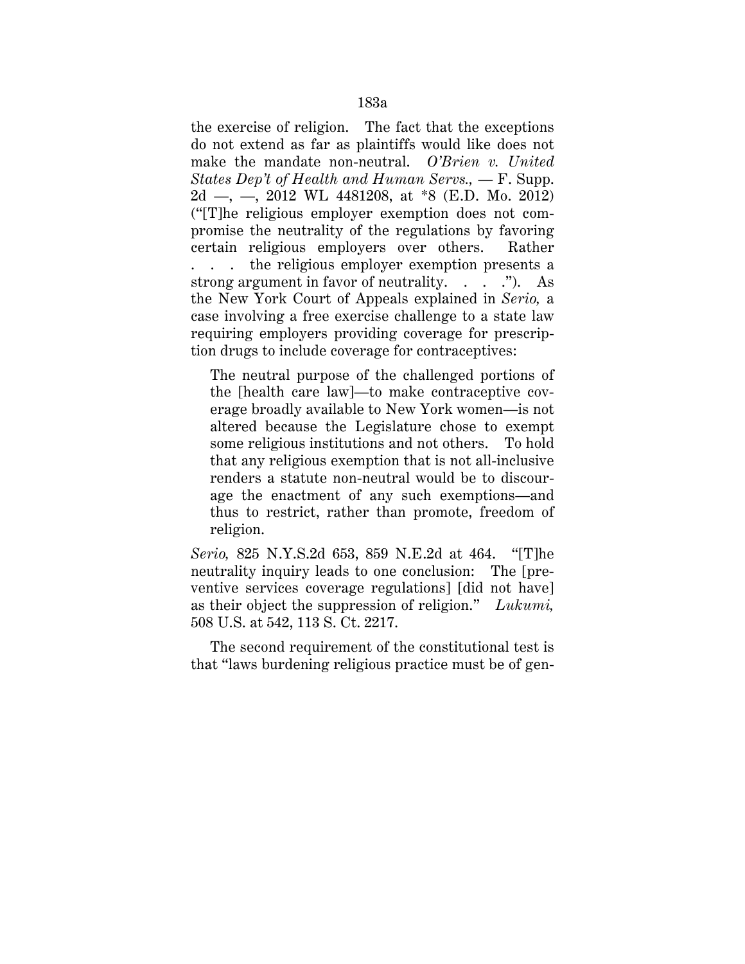the exercise of religion. The fact that the exceptions do not extend as far as plaintiffs would like does not make the mandate non-neutral. *O'Brien v. United States Dep't of Health and Human Servs.,* — F. Supp. 2d —, —, 2012 WL 4481208, at \*8 (E.D. Mo. 2012) ("[T]he religious employer exemption does not compromise the neutrality of the regulations by favoring certain religious employers over others. Rather . . . the religious employer exemption presents a strong argument in favor of neutrality.  $\ldots$  ..."). As the New York Court of Appeals explained in *Serio,* a case involving a free exercise challenge to a state law requiring employers providing coverage for prescription drugs to include coverage for contraceptives:

The neutral purpose of the challenged portions of the [health care law]—to make contraceptive coverage broadly available to New York women—is not altered because the Legislature chose to exempt some religious institutions and not others. To hold that any religious exemption that is not all-inclusive renders a statute non-neutral would be to discourage the enactment of any such exemptions—and thus to restrict, rather than promote, freedom of religion.

*Serio,* 825 N.Y.S.2d 653, 859 N.E.2d at 464. "[T]he neutrality inquiry leads to one conclusion: The [preventive services coverage regulations] [did not have] as their object the suppression of religion." *Lukumi,* 508 U.S. at 542, 113 S. Ct. 2217.

The second requirement of the constitutional test is that "laws burdening religious practice must be of gen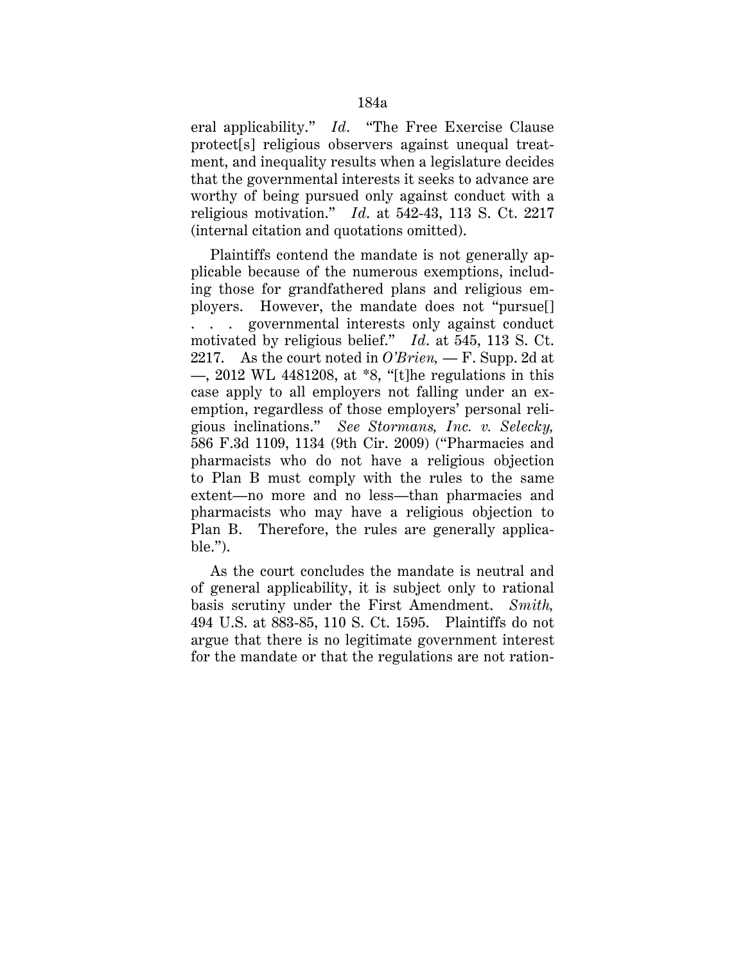eral applicability." *Id*. "The Free Exercise Clause protect[s] religious observers against unequal treatment, and inequality results when a legislature decides that the governmental interests it seeks to advance are worthy of being pursued only against conduct with a religious motivation." *Id*. at 542-43, 113 S. Ct. 2217 (internal citation and quotations omitted).

Plaintiffs contend the mandate is not generally applicable because of the numerous exemptions, including those for grandfathered plans and religious employers. However, the mandate does not "pursue[] . . . governmental interests only against conduct motivated by religious belief." *Id*. at 545, 113 S. Ct. 2217. As the court noted in *O'Brien,* — F. Supp. 2d at —, 2012 WL 4481208, at \*8, "[t]he regulations in this case apply to all employers not falling under an exemption, regardless of those employers' personal religious inclinations." *See Stormans, Inc. v. Selecky,* 586 F.3d 1109, 1134 (9th Cir. 2009) ("Pharmacies and pharmacists who do not have a religious objection to Plan B must comply with the rules to the same extent—no more and no less—than pharmacies and pharmacists who may have a religious objection to Plan B. Therefore, the rules are generally applicable.").

As the court concludes the mandate is neutral and of general applicability, it is subject only to rational basis scrutiny under the First Amendment. *Smith,* 494 U.S. at 883-85, 110 S. Ct. 1595. Plaintiffs do not argue that there is no legitimate government interest for the mandate or that the regulations are not ration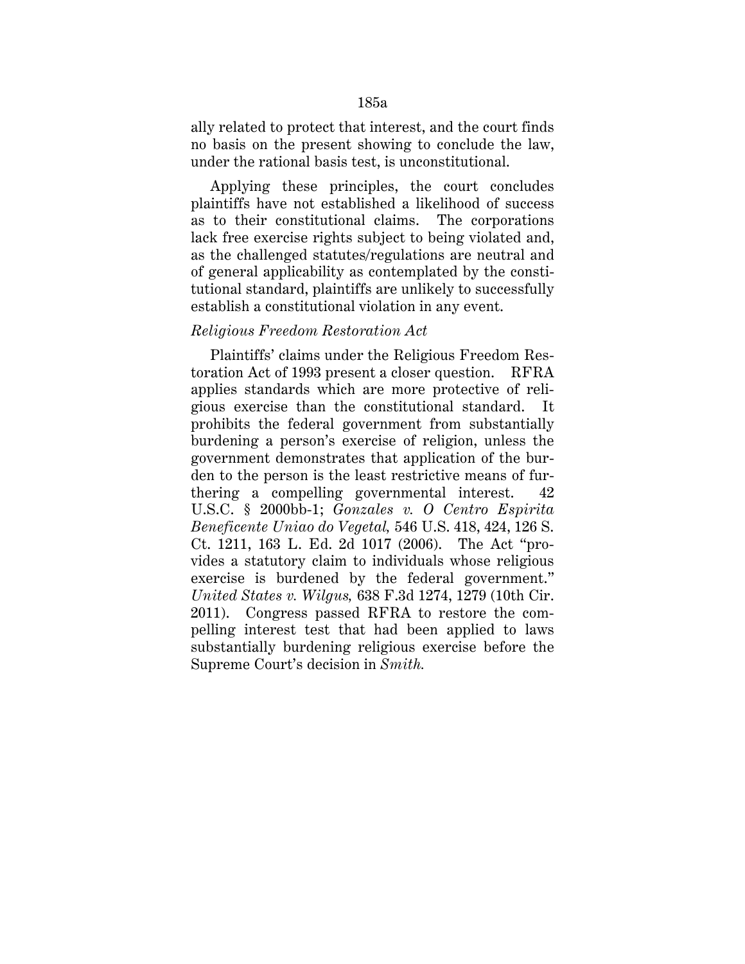ally related to protect that interest, and the court finds no basis on the present showing to conclude the law, under the rational basis test, is unconstitutional.

Applying these principles, the court concludes plaintiffs have not established a likelihood of success as to their constitutional claims. The corporations lack free exercise rights subject to being violated and, as the challenged statutes/regulations are neutral and of general applicability as contemplated by the constitutional standard, plaintiffs are unlikely to successfully establish a constitutional violation in any event.

### *Religious Freedom Restoration Act*

Plaintiffs' claims under the Religious Freedom Restoration Act of 1993 present a closer question. RFRA applies standards which are more protective of religious exercise than the constitutional standard. It prohibits the federal government from substantially burdening a person's exercise of religion, unless the government demonstrates that application of the burden to the person is the least restrictive means of furthering a compelling governmental interest. 42 U.S.C. § 2000bb-1; *Gonzales v. O Centro Espirita Beneficente Uniao do Vegetal,* 546 U.S. 418, 424, 126 S. Ct. 1211, 163 L. Ed. 2d 1017 (2006). The Act "provides a statutory claim to individuals whose religious exercise is burdened by the federal government." *United States v. Wilgus,* 638 F.3d 1274, 1279 (10th Cir. 2011). Congress passed RFRA to restore the compelling interest test that had been applied to laws substantially burdening religious exercise before the Supreme Court's decision in *Smith.*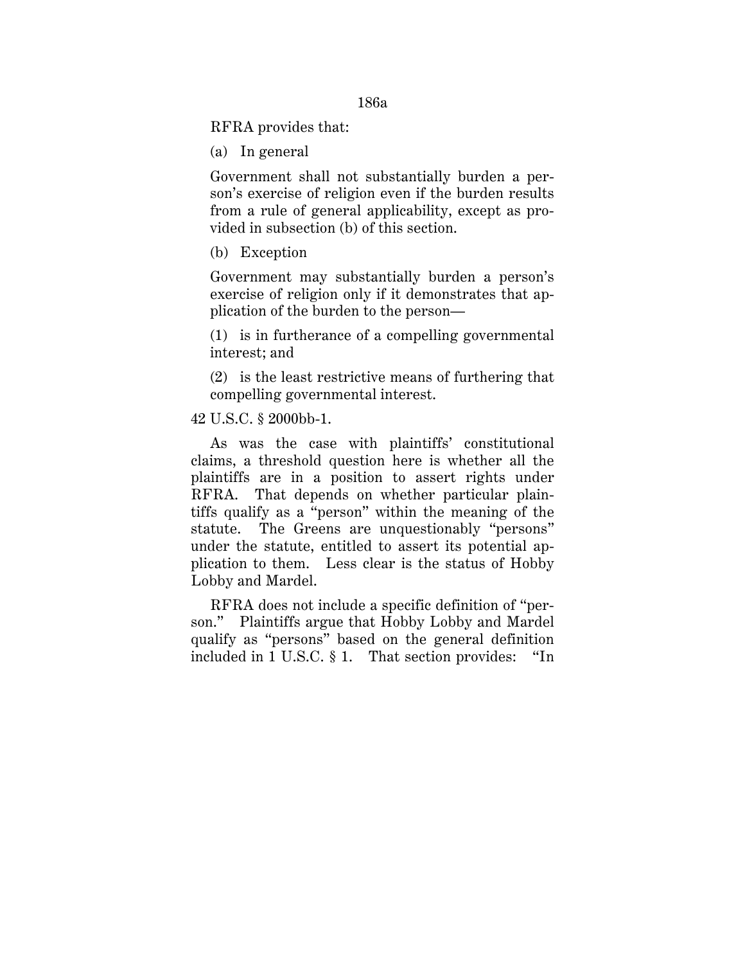186a

RFRA provides that:

(a) In general

Government shall not substantially burden a person's exercise of religion even if the burden results from a rule of general applicability, except as provided in subsection (b) of this section.

(b) Exception

Government may substantially burden a person's exercise of religion only if it demonstrates that application of the burden to the person—

(1) is in furtherance of a compelling governmental interest; and

(2) is the least restrictive means of furthering that compelling governmental interest.

# 42 U.S.C. § 2000bb-1.

As was the case with plaintiffs' constitutional claims, a threshold question here is whether all the plaintiffs are in a position to assert rights under RFRA. That depends on whether particular plaintiffs qualify as a "person" within the meaning of the statute. The Greens are unquestionably "persons" under the statute, entitled to assert its potential application to them. Less clear is the status of Hobby Lobby and Mardel.

RFRA does not include a specific definition of "person." Plaintiffs argue that Hobby Lobby and Mardel qualify as "persons" based on the general definition included in 1 U.S.C. § 1. That section provides: "In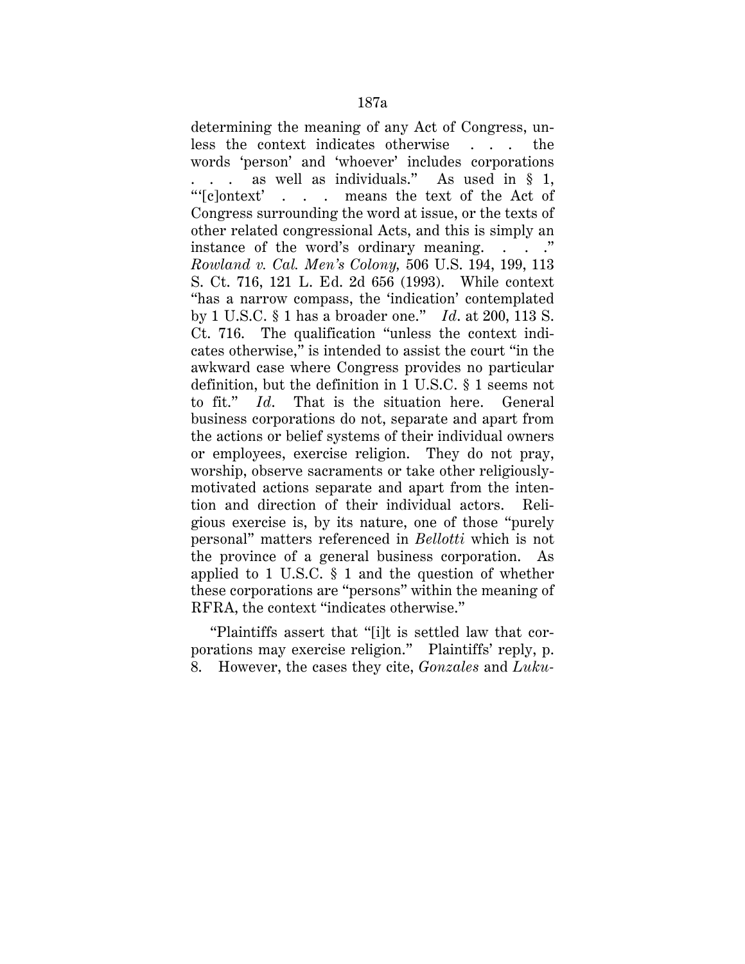determining the meaning of any Act of Congress, unless the context indicates otherwise . . . the words 'person' and 'whoever' includes corporations . . . as well as individuals." As used in § 1, "'[c]ontext' . . . means the text of the Act of Congress surrounding the word at issue, or the texts of other related congressional Acts, and this is simply an instance of the word's ordinary meaning. . . . " *Rowland v. Cal. Men's Colony,* 506 U.S. 194, 199, 113 S. Ct. 716, 121 L. Ed. 2d 656 (1993). While context "has a narrow compass, the 'indication' contemplated by 1 U.S.C. § 1 has a broader one." *Id*. at 200, 113 S. Ct. 716. The qualification "unless the context indicates otherwise," is intended to assist the court "in the awkward case where Congress provides no particular definition, but the definition in 1 U.S.C. § 1 seems not to fit." *Id*. That is the situation here. General business corporations do not, separate and apart from the actions or belief systems of their individual owners or employees, exercise religion. They do not pray, worship, observe sacraments or take other religiouslymotivated actions separate and apart from the intention and direction of their individual actors. Religious exercise is, by its nature, one of those "purely personal" matters referenced in *Bellotti* which is not the province of a general business corporation. As applied to 1 U.S.C. § 1 and the question of whether these corporations are "persons" within the meaning of RFRA, the context "indicates otherwise."

"Plaintiffs assert that "[i]t is settled law that corporations may exercise religion." Plaintiffs' reply, p. 8. However, the cases they cite, *Gonzales* and *Luku-*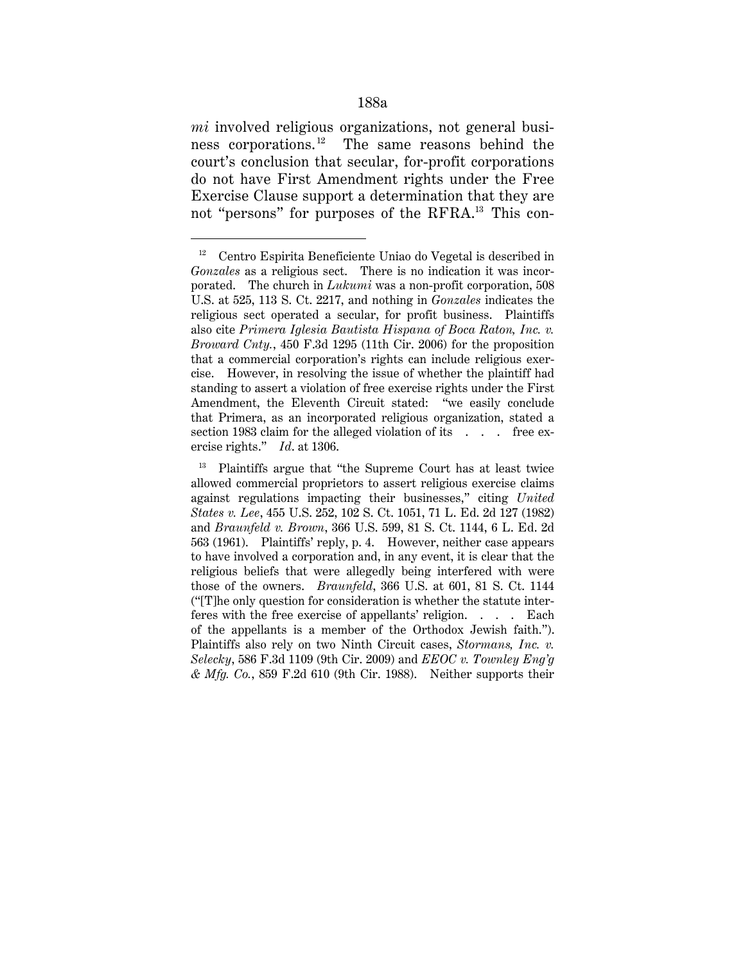*mi* involved religious organizations, not general business corporations.<sup>12</sup> The same reasons behind the court's conclusion that secular, for-profit corporations do not have First Amendment rights under the Free Exercise Clause support a determination that they are not "persons" for purposes of the RFRA.<sup>13</sup> This con-

<sup>12</sup> Centro Espirita Beneficiente Uniao do Vegetal is described in *Gonzales* as a religious sect. There is no indication it was incorporated. The church in *Lukumi* was a non-profit corporation, 508 U.S. at 525, 113 S. Ct. 2217, and nothing in *Gonzales* indicates the religious sect operated a secular, for profit business. Plaintiffs also cite *Primera Iglesia Bautista Hispana of Boca Raton, Inc. v. Broward Cnty.*, 450 F.3d 1295 (11th Cir. 2006) for the proposition that a commercial corporation's rights can include religious exercise. However, in resolving the issue of whether the plaintiff had standing to assert a violation of free exercise rights under the First Amendment, the Eleventh Circuit stated: "we easily conclude that Primera, as an incorporated religious organization, stated a section 1983 claim for the alleged violation of its . . . free exercise rights." *Id*. at 1306.

<sup>&</sup>lt;sup>13</sup> Plaintiffs argue that "the Supreme Court has at least twice allowed commercial proprietors to assert religious exercise claims against regulations impacting their businesses," citing *United States v. Lee*, 455 U.S. 252, 102 S. Ct. 1051, 71 L. Ed. 2d 127 (1982) and *Braunfeld v. Brown*, 366 U.S. 599, 81 S. Ct. 1144, 6 L. Ed. 2d 563 (1961). Plaintiffs' reply, p. 4. However, neither case appears to have involved a corporation and, in any event, it is clear that the religious beliefs that were allegedly being interfered with were those of the owners. *Braunfeld*, 366 U.S. at 601, 81 S. Ct. 1144 ("[T]he only question for consideration is whether the statute interferes with the free exercise of appellants' religion. . . . Each of the appellants is a member of the Orthodox Jewish faith."). Plaintiffs also rely on two Ninth Circuit cases, *Stormans, Inc. v. Selecky*, 586 F.3d 1109 (9th Cir. 2009) and *EEOC v. Townley Eng'g & Mfg. Co.*, 859 F.2d 610 (9th Cir. 1988). Neither supports their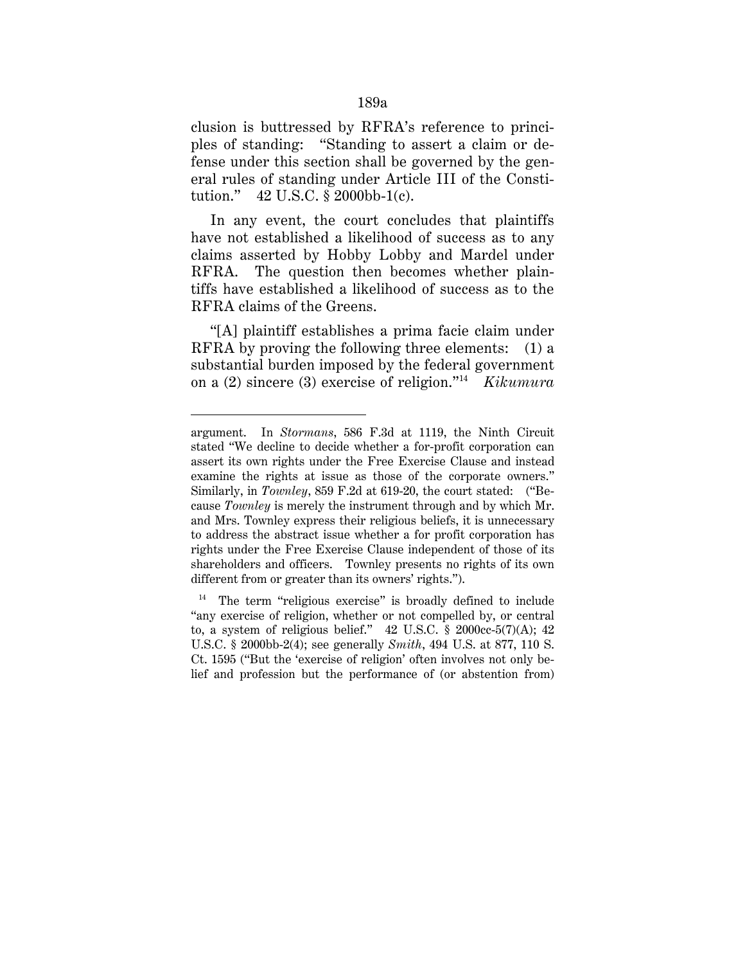clusion is buttressed by RFRA's reference to principles of standing: "Standing to assert a claim or defense under this section shall be governed by the general rules of standing under Article III of the Constitution." 42 U.S.C. § 2000bb-1(c).

In any event, the court concludes that plaintiffs have not established a likelihood of success as to any claims asserted by Hobby Lobby and Mardel under RFRA. The question then becomes whether plaintiffs have established a likelihood of success as to the RFRA claims of the Greens.

"[A] plaintiff establishes a prima facie claim under RFRA by proving the following three elements: (1) a substantial burden imposed by the federal government on a (2) sincere (3) exercise of religion."14 *Kikumura* 

argument. In *Stormans*, 586 F.3d at 1119, the Ninth Circuit stated "We decline to decide whether a for-profit corporation can assert its own rights under the Free Exercise Clause and instead examine the rights at issue as those of the corporate owners." Similarly, in *Townley*, 859 F.2d at 619-20, the court stated: ("Because *Townley* is merely the instrument through and by which Mr. and Mrs. Townley express their religious beliefs, it is unnecessary to address the abstract issue whether a for profit corporation has rights under the Free Exercise Clause independent of those of its shareholders and officers. Townley presents no rights of its own different from or greater than its owners' rights.").

<sup>&</sup>lt;sup>14</sup> The term "religious exercise" is broadly defined to include "any exercise of religion, whether or not compelled by, or central to, a system of religious belief." 42 U.S.C. § 2000cc-5(7)(A); 42 U.S.C. § 2000bb-2(4); see generally *Smith*, 494 U.S. at 877, 110 S. Ct. 1595 ("But the 'exercise of religion' often involves not only belief and profession but the performance of (or abstention from)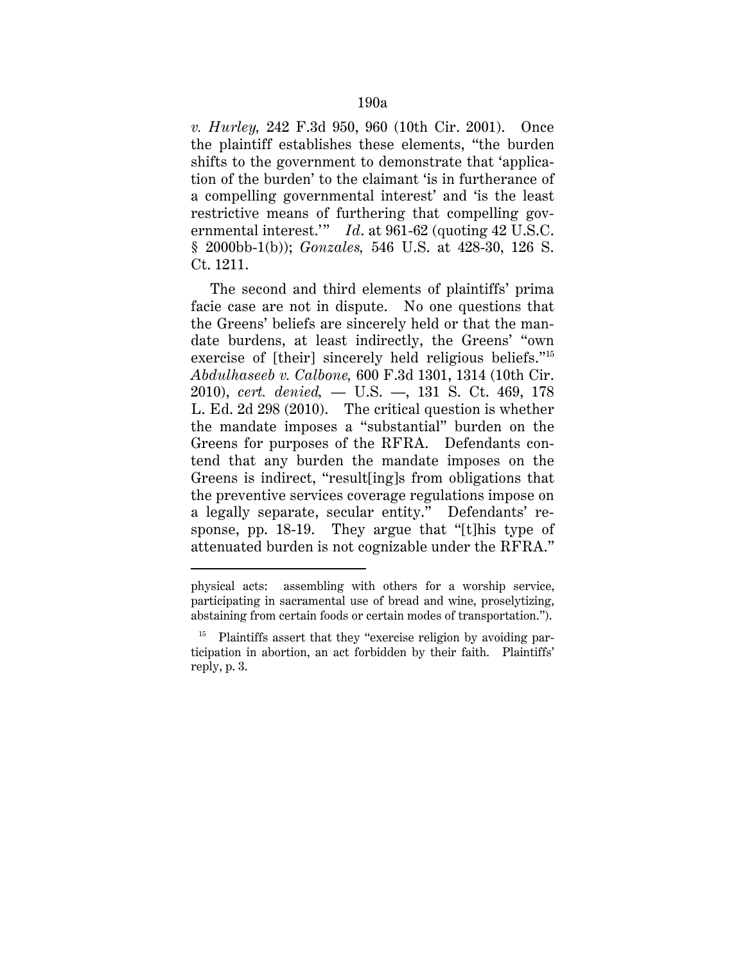*v. Hurley,* 242 F.3d 950, 960 (10th Cir. 2001). Once the plaintiff establishes these elements, "the burden shifts to the government to demonstrate that 'application of the burden' to the claimant 'is in furtherance of a compelling governmental interest' and 'is the least restrictive means of furthering that compelling governmental interest.'" *Id*. at 961-62 (quoting 42 U.S.C. § 2000bb-1(b)); *Gonzales,* 546 U.S. at 428-30, 126 S. Ct. 1211.

The second and third elements of plaintiffs' prima facie case are not in dispute. No one questions that the Greens' beliefs are sincerely held or that the mandate burdens, at least indirectly, the Greens' "own exercise of [their] sincerely held religious beliefs."<sup>15</sup> *Abdulhaseeb v. Calbone,* 600 F.3d 1301, 1314 (10th Cir. 2010), *cert. denied,* — U.S. —, 131 S. Ct. 469, 178 L. Ed. 2d 298 (2010). The critical question is whether the mandate imposes a "substantial" burden on the Greens for purposes of the RFRA. Defendants contend that any burden the mandate imposes on the Greens is indirect, "result[ing]s from obligations that the preventive services coverage regulations impose on a legally separate, secular entity." Defendants' response, pp. 18-19. They argue that "[t]his type of attenuated burden is not cognizable under the RFRA."

physical acts: assembling with others for a worship service, participating in sacramental use of bread and wine, proselytizing, abstaining from certain foods or certain modes of transportation.").

Plaintiffs assert that they "exercise religion by avoiding participation in abortion, an act forbidden by their faith. Plaintiffs' reply, p. 3.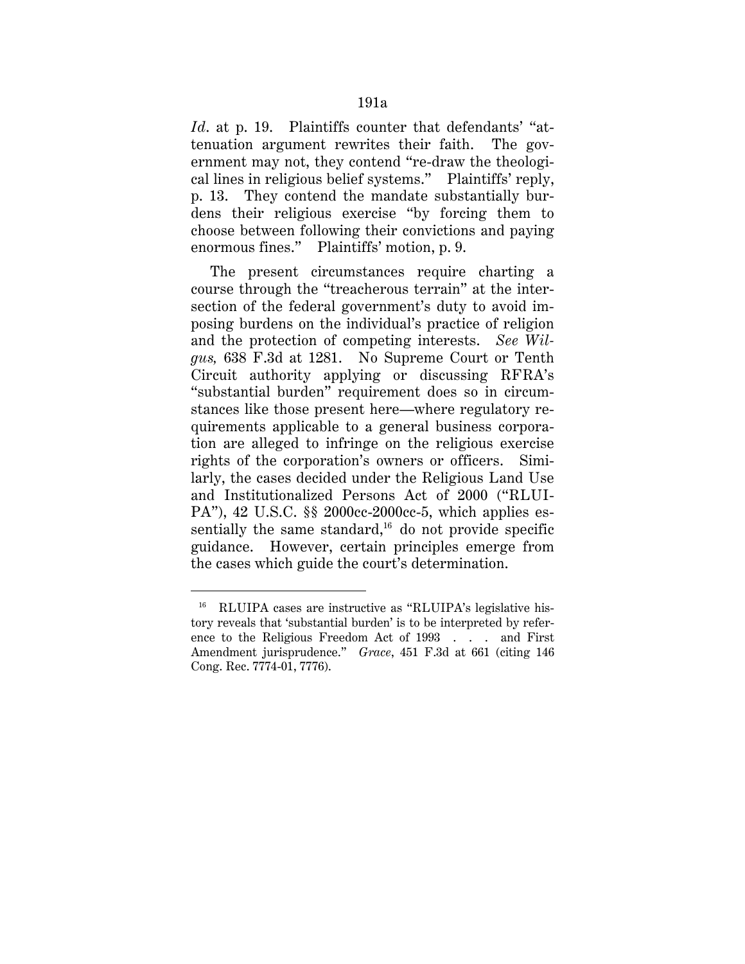*Id.* at p. 19. Plaintiffs counter that defendants' "attenuation argument rewrites their faith. The government may not, they contend "re-draw the theological lines in religious belief systems." Plaintiffs' reply, p. 13. They contend the mandate substantially burdens their religious exercise "by forcing them to choose between following their convictions and paying enormous fines." Plaintiffs' motion, p. 9.

The present circumstances require charting a course through the "treacherous terrain" at the intersection of the federal government's duty to avoid imposing burdens on the individual's practice of religion and the protection of competing interests. *See Wilgus,* 638 F.3d at 1281. No Supreme Court or Tenth Circuit authority applying or discussing RFRA's "substantial burden" requirement does so in circumstances like those present here—where regulatory requirements applicable to a general business corporation are alleged to infringe on the religious exercise rights of the corporation's owners or officers. Similarly, the cases decided under the Religious Land Use and Institutionalized Persons Act of 2000 ("RLUI-PA"), 42 U.S.C. §§ 2000cc-2000cc-5, which applies essentially the same standard,  $16$  do not provide specific guidance. However, certain principles emerge from the cases which guide the court's determination.

RLUIPA cases are instructive as "RLUIPA's legislative history reveals that 'substantial burden' is to be interpreted by reference to the Religious Freedom Act of 1993 . . . and First Amendment jurisprudence." *Grace*, 451 F.3d at 661 (citing 146 Cong. Rec. 7774-01, 7776).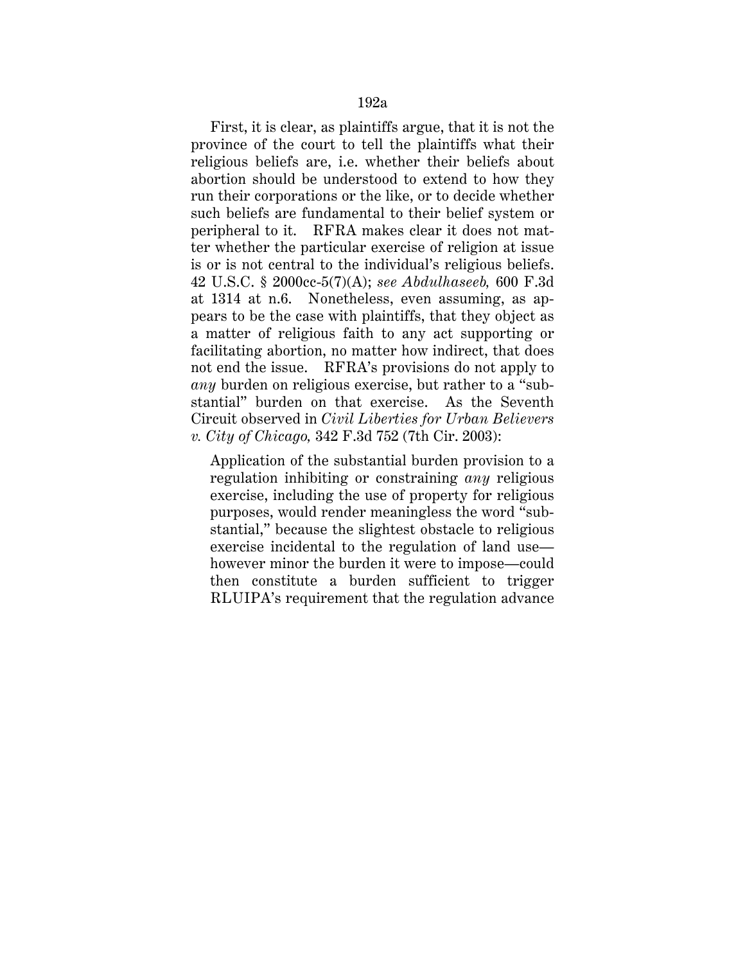First, it is clear, as plaintiffs argue, that it is not the province of the court to tell the plaintiffs what their religious beliefs are, i.e. whether their beliefs about abortion should be understood to extend to how they run their corporations or the like, or to decide whether such beliefs are fundamental to their belief system or peripheral to it. RFRA makes clear it does not matter whether the particular exercise of religion at issue is or is not central to the individual's religious beliefs. 42 U.S.C. § 2000cc-5(7)(A); *see Abdulhaseeb,* 600 F.3d at 1314 at n.6. Nonetheless, even assuming, as appears to be the case with plaintiffs, that they object as a matter of religious faith to any act supporting or facilitating abortion, no matter how indirect, that does not end the issue. RFRA's provisions do not apply to *any* burden on religious exercise, but rather to a "substantial" burden on that exercise. As the Seventh Circuit observed in *Civil Liberties for Urban Believers v. City of Chicago,* 342 F.3d 752 (7th Cir. 2003):

Application of the substantial burden provision to a regulation inhibiting or constraining *any* religious exercise, including the use of property for religious purposes, would render meaningless the word "substantial," because the slightest obstacle to religious exercise incidental to the regulation of land use however minor the burden it were to impose—could then constitute a burden sufficient to trigger RLUIPA's requirement that the regulation advance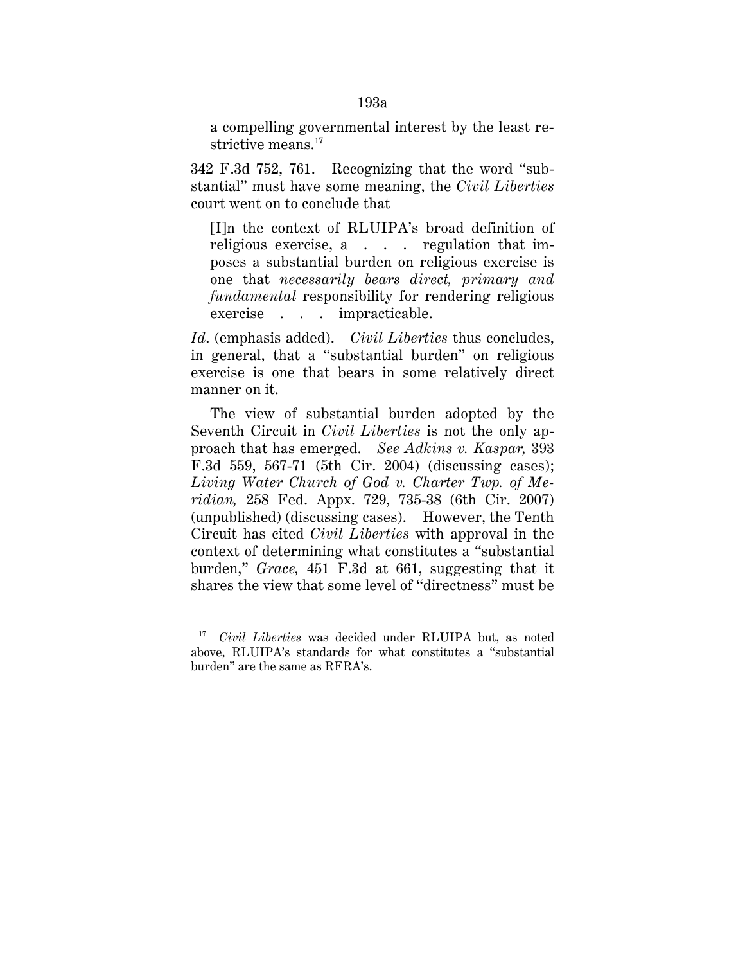a compelling governmental interest by the least restrictive means.<sup>17</sup>

342 F.3d 752, 761. Recognizing that the word "substantial" must have some meaning, the *Civil Liberties* court went on to conclude that

[I]n the context of RLUIPA's broad definition of religious exercise, a . . . regulation that imposes a substantial burden on religious exercise is one that *necessarily bears direct, primary and fundamental* responsibility for rendering religious exercise . . . impracticable.

*Id*. (emphasis added). *Civil Liberties* thus concludes, in general, that a "substantial burden" on religious exercise is one that bears in some relatively direct manner on it.

The view of substantial burden adopted by the Seventh Circuit in *Civil Liberties* is not the only approach that has emerged. *See Adkins v. Kaspar,* 393 F.3d 559, 567-71 (5th Cir. 2004) (discussing cases); *Living Water Church of God v. Charter Twp. of Meridian,* 258 Fed. Appx. 729, 735-38 (6th Cir. 2007) (unpublished) (discussing cases). However, the Tenth Circuit has cited *Civil Liberties* with approval in the context of determining what constitutes a "substantial burden," *Grace,* 451 F.3d at 661, suggesting that it shares the view that some level of "directness" must be

<sup>17</sup> *Civil Liberties* was decided under RLUIPA but, as noted above, RLUIPA's standards for what constitutes a "substantial burden" are the same as RFRA's.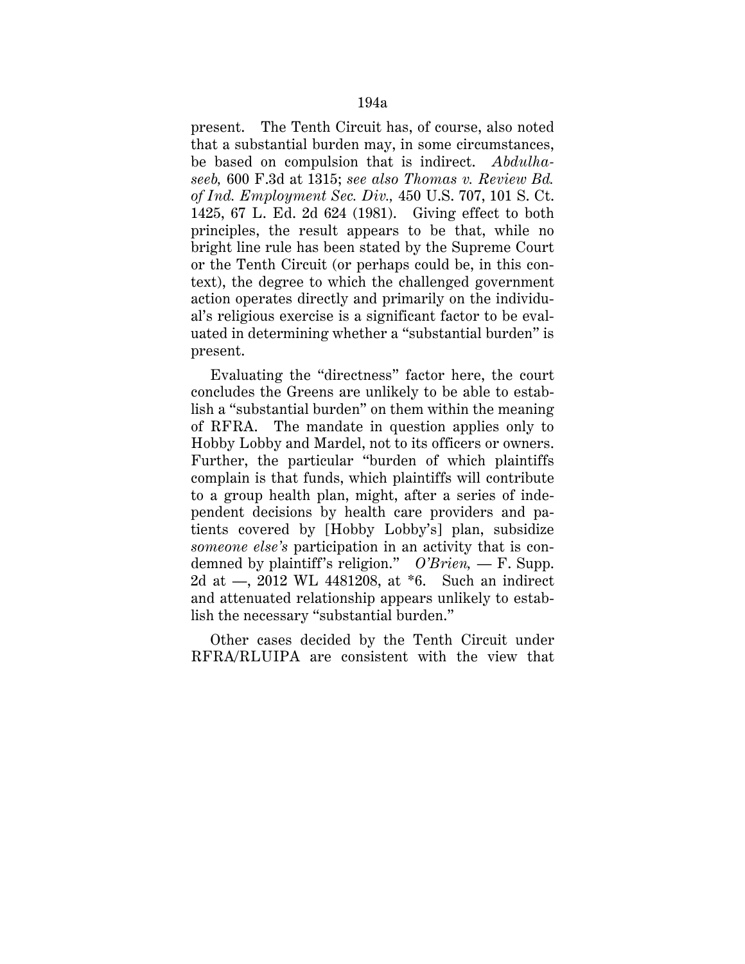present. The Tenth Circuit has, of course, also noted that a substantial burden may, in some circumstances, be based on compulsion that is indirect. *Abdulhaseeb,* 600 F.3d at 1315; *see also Thomas v. Review Bd. of Ind. Employment Sec. Div.,* 450 U.S. 707, 101 S. Ct. 1425, 67 L. Ed. 2d 624 (1981). Giving effect to both principles, the result appears to be that, while no bright line rule has been stated by the Supreme Court or the Tenth Circuit (or perhaps could be, in this context), the degree to which the challenged government action operates directly and primarily on the individual's religious exercise is a significant factor to be evaluated in determining whether a "substantial burden" is present.

Evaluating the "directness" factor here, the court concludes the Greens are unlikely to be able to establish a "substantial burden" on them within the meaning of RFRA. The mandate in question applies only to Hobby Lobby and Mardel, not to its officers or owners. Further, the particular "burden of which plaintiffs complain is that funds, which plaintiffs will contribute to a group health plan, might, after a series of independent decisions by health care providers and patients covered by [Hobby Lobby's] plan, subsidize *someone else's* participation in an activity that is condemned by plaintiff's religion." *O'Brien,* — F. Supp. 2d at —, 2012 WL 4481208, at \*6. Such an indirect and attenuated relationship appears unlikely to establish the necessary "substantial burden."

Other cases decided by the Tenth Circuit under RFRA/RLUIPA are consistent with the view that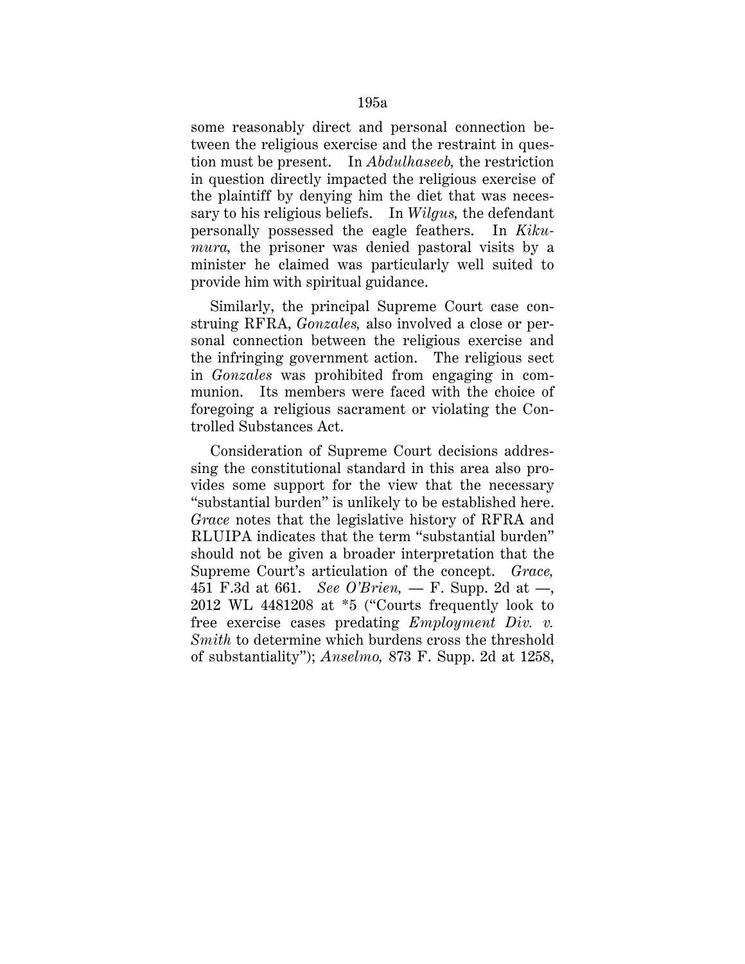some reasonably direct and personal connection between the religious exercise and the restraint in question must be present. In *Abdulhaseeb,* the restriction in question directly impacted the religious exercise of the plaintiff by denying him the diet that was necessary to his religious beliefs. In *Wilgus,* the defendant personally possessed the eagle feathers. In *Kikumura,* the prisoner was denied pastoral visits by a minister he claimed was particularly well suited to provide him with spiritual guidance.

Similarly, the principal Supreme Court case construing RFRA, *Gonzales,* also involved a close or personal connection between the religious exercise and the infringing government action. The religious sect in *Gonzales* was prohibited from engaging in communion. Its members were faced with the choice of foregoing a religious sacrament or violating the Controlled Substances Act.

Consideration of Supreme Court decisions addressing the constitutional standard in this area also provides some support for the view that the necessary "substantial burden" is unlikely to be established here. *Grace* notes that the legislative history of RFRA and RLUIPA indicates that the term "substantial burden" should not be given a broader interpretation that the Supreme Court's articulation of the concept. *Grace,* 451 F.3d at 661. *See O'Brien,* — F. Supp. 2d at —, 2012 WL 4481208 at \*5 ("Courts frequently look to free exercise cases predating *Employment Div. v. Smith* to determine which burdens cross the threshold of substantiality"); *Anselmo,* 873 F. Supp. 2d at 1258,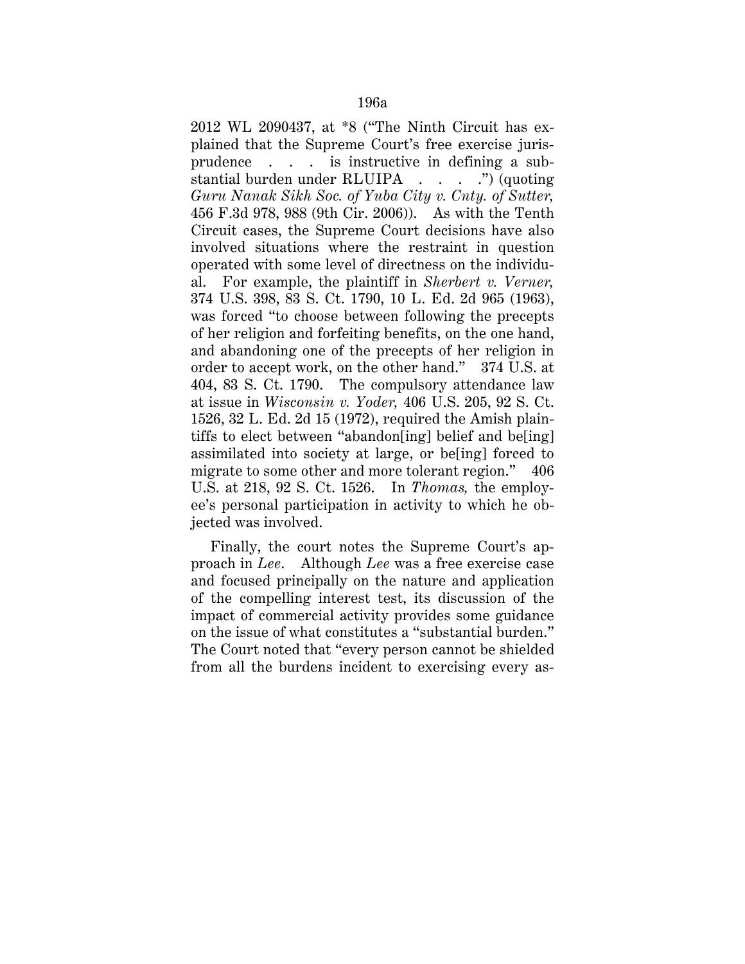2012 WL 2090437, at \*8 ("The Ninth Circuit has explained that the Supreme Court's free exercise jurisprudence . . . is instructive in defining a substantial burden under RLUIPA . . . . ") (quoting *Guru Nanak Sikh Soc. of Yuba City v. Cnty. of Sutter,* 456 F.3d 978, 988 (9th Cir. 2006)). As with the Tenth Circuit cases, the Supreme Court decisions have also involved situations where the restraint in question operated with some level of directness on the individual. For example, the plaintiff in *Sherbert v. Verner,* 374 U.S. 398, 83 S. Ct. 1790, 10 L. Ed. 2d 965 (1963), was forced "to choose between following the precepts of her religion and forfeiting benefits, on the one hand, and abandoning one of the precepts of her religion in order to accept work, on the other hand." 374 U.S. at 404, 83 S. Ct. 1790. The compulsory attendance law at issue in *Wisconsin v. Yoder,* 406 U.S. 205, 92 S. Ct. 1526, 32 L. Ed. 2d 15 (1972), required the Amish plaintiffs to elect between "abandon[ing] belief and be[ing] assimilated into society at large, or be[ing] forced to migrate to some other and more tolerant region." 406 U.S. at 218, 92 S. Ct. 1526. In *Thomas,* the employee's personal participation in activity to which he objected was involved.

Finally, the court notes the Supreme Court's approach in *Lee*. Although *Lee* was a free exercise case and focused principally on the nature and application of the compelling interest test, its discussion of the impact of commercial activity provides some guidance on the issue of what constitutes a "substantial burden." The Court noted that "every person cannot be shielded from all the burdens incident to exercising every as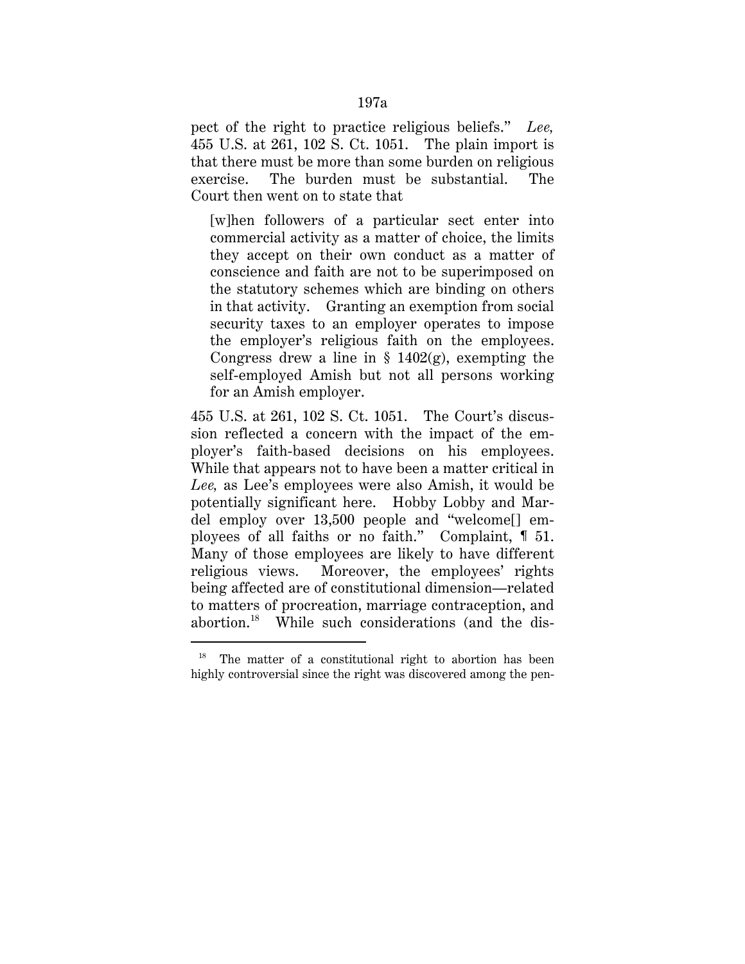pect of the right to practice religious beliefs." *Lee,* 455 U.S. at 261, 102 S. Ct. 1051. The plain import is that there must be more than some burden on religious exercise. The burden must be substantial. The Court then went on to state that

[w]hen followers of a particular sect enter into commercial activity as a matter of choice, the limits they accept on their own conduct as a matter of conscience and faith are not to be superimposed on the statutory schemes which are binding on others in that activity. Granting an exemption from social security taxes to an employer operates to impose the employer's religious faith on the employees. Congress drew a line in  $\S$  1402(g), exempting the self-employed Amish but not all persons working for an Amish employer.

455 U.S. at 261, 102 S. Ct. 1051. The Court's discussion reflected a concern with the impact of the employer's faith-based decisions on his employees. While that appears not to have been a matter critical in *Lee,* as Lee's employees were also Amish, it would be potentially significant here. Hobby Lobby and Mardel employ over 13,500 people and "welcome[] employees of all faiths or no faith." Complaint, ¶ 51. Many of those employees are likely to have different religious views. Moreover, the employees' rights being affected are of constitutional dimension—related to matters of procreation, marriage contraception, and abortion.<sup>18</sup> While such considerations (and the dis-

<sup>&</sup>lt;sup>18</sup> The matter of a constitutional right to abortion has been highly controversial since the right was discovered among the pen-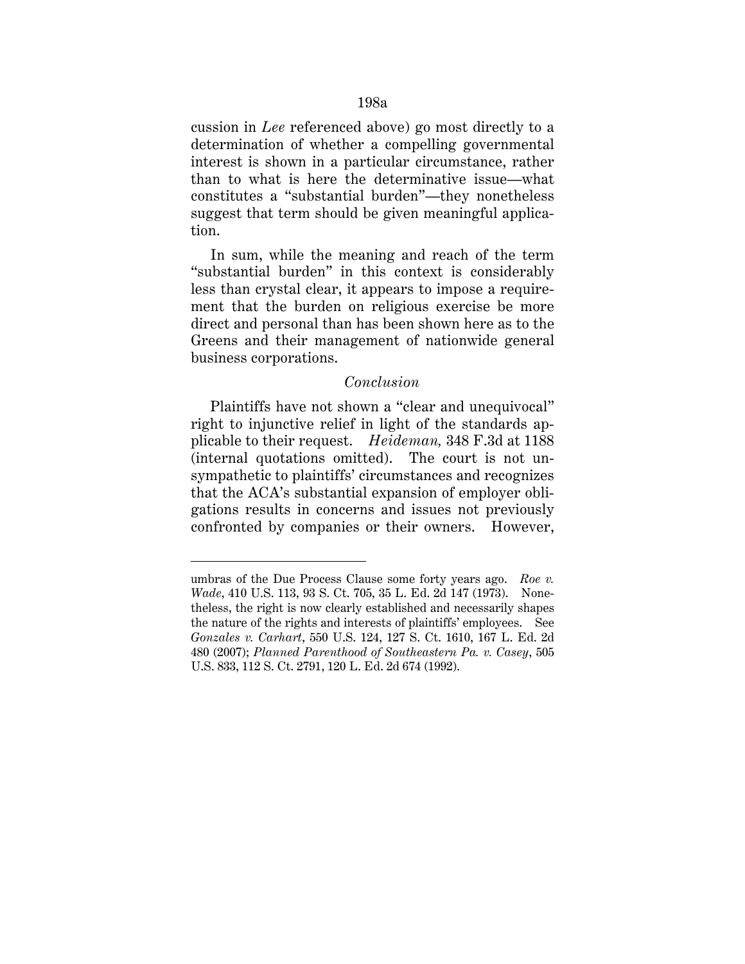cussion in *Lee* referenced above) go most directly to a determination of whether a compelling governmental interest is shown in a particular circumstance, rather than to what is here the determinative issue—what constitutes a "substantial burden"—they nonetheless suggest that term should be given meaningful application.

In sum, while the meaning and reach of the term "substantial burden" in this context is considerably less than crystal clear, it appears to impose a requirement that the burden on religious exercise be more direct and personal than has been shown here as to the Greens and their management of nationwide general business corporations.

# *Conclusion*

Plaintiffs have not shown a "clear and unequivocal" right to injunctive relief in light of the standards applicable to their request. *Heideman,* 348 F.3d at 1188 (internal quotations omitted). The court is not unsympathetic to plaintiffs' circumstances and recognizes that the ACA's substantial expansion of employer obligations results in concerns and issues not previously confronted by companies or their owners. However,

umbras of the Due Process Clause some forty years ago. *Roe v. Wade*, 410 U.S. 113, 93 S. Ct. 705, 35 L. Ed. 2d 147 (1973). Nonetheless, the right is now clearly established and necessarily shapes the nature of the rights and interests of plaintiffs' employees. See *Gonzales v. Carhart*, 550 U.S. 124, 127 S. Ct. 1610, 167 L. Ed. 2d 480 (2007); *Planned Parenthood of Southeastern Pa. v. Casey*, 505 U.S. 833, 112 S. Ct. 2791, 120 L. Ed. 2d 674 (1992).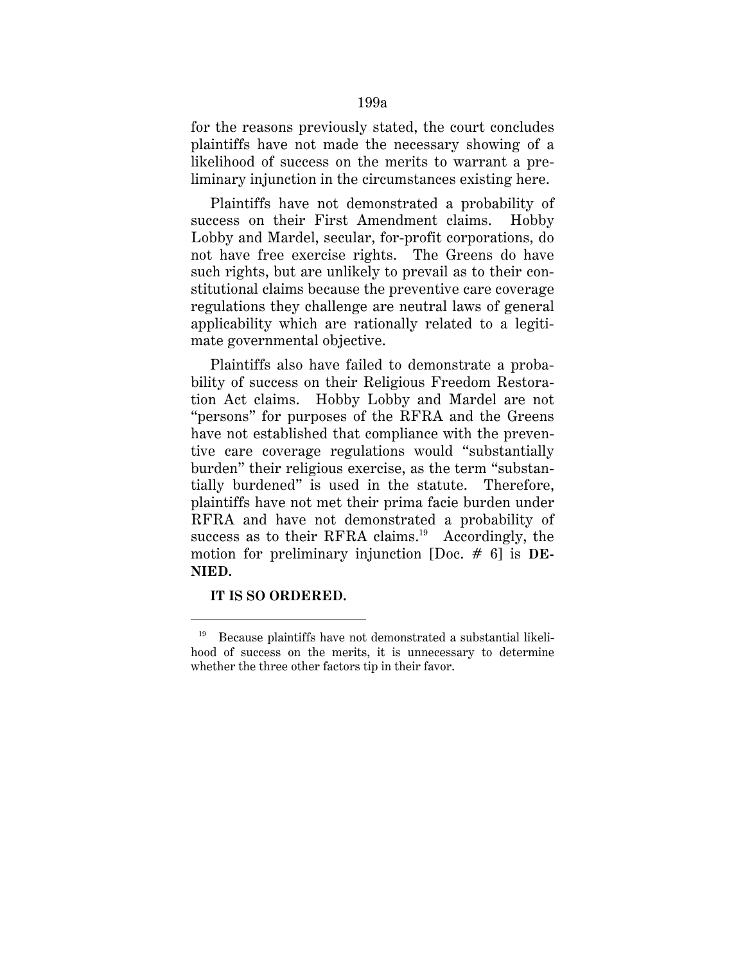for the reasons previously stated, the court concludes plaintiffs have not made the necessary showing of a likelihood of success on the merits to warrant a preliminary injunction in the circumstances existing here.

Plaintiffs have not demonstrated a probability of success on their First Amendment claims. Hobby Lobby and Mardel, secular, for-profit corporations, do not have free exercise rights. The Greens do have such rights, but are unlikely to prevail as to their constitutional claims because the preventive care coverage regulations they challenge are neutral laws of general applicability which are rationally related to a legitimate governmental objective.

Plaintiffs also have failed to demonstrate a probability of success on their Religious Freedom Restoration Act claims. Hobby Lobby and Mardel are not "persons" for purposes of the RFRA and the Greens have not established that compliance with the preventive care coverage regulations would "substantially burden" their religious exercise, as the term "substantially burdened" is used in the statute. Therefore, plaintiffs have not met their prima facie burden under RFRA and have not demonstrated a probability of success as to their RFRA claims.<sup>19</sup> Accordingly, the motion for preliminary injunction [Doc. # 6] is **DE-NIED.**

### **IT IS SO ORDERED.**

<sup>19</sup> Because plaintiffs have not demonstrated a substantial likelihood of success on the merits, it is unnecessary to determine whether the three other factors tip in their favor.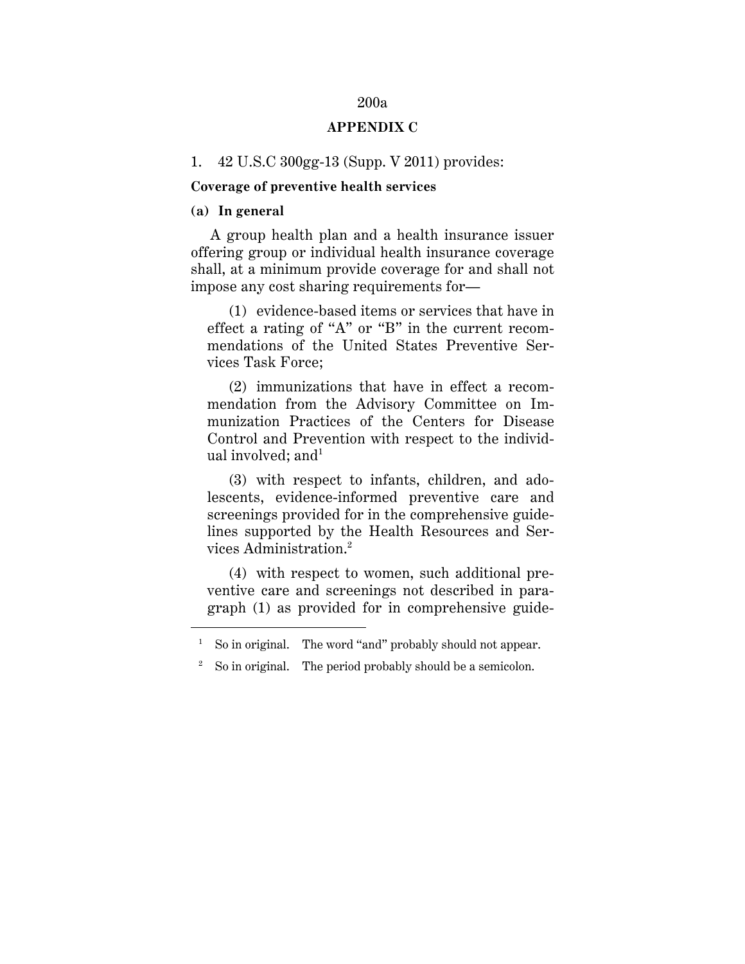# 200a

# **APPENDIX C**

## 1. 42 U.S.C 300gg-13 (Supp. V 2011) provides:

#### **Coverage of preventive health services**

### **(a) In general**

<u>.</u>

A group health plan and a health insurance issuer offering group or individual health insurance coverage shall, at a minimum provide coverage for and shall not impose any cost sharing requirements for—

(1) evidence-based items or services that have in effect a rating of "A" or "B" in the current recommendations of the United States Preventive Services Task Force;

(2) immunizations that have in effect a recommendation from the Advisory Committee on Immunization Practices of the Centers for Disease Control and Prevention with respect to the individual involved; and<sup>1</sup>

(3) with respect to infants, children, and adolescents, evidence-informed preventive care and screenings provided for in the comprehensive guidelines supported by the Health Resources and Services Administration.2

(4) with respect to women, such additional preventive care and screenings not described in paragraph (1) as provided for in comprehensive guide-

 $<sup>1</sup>$  So in original. The word "and" probably should not appear.</sup>

<sup>2</sup> So in original. The period probably should be a semicolon.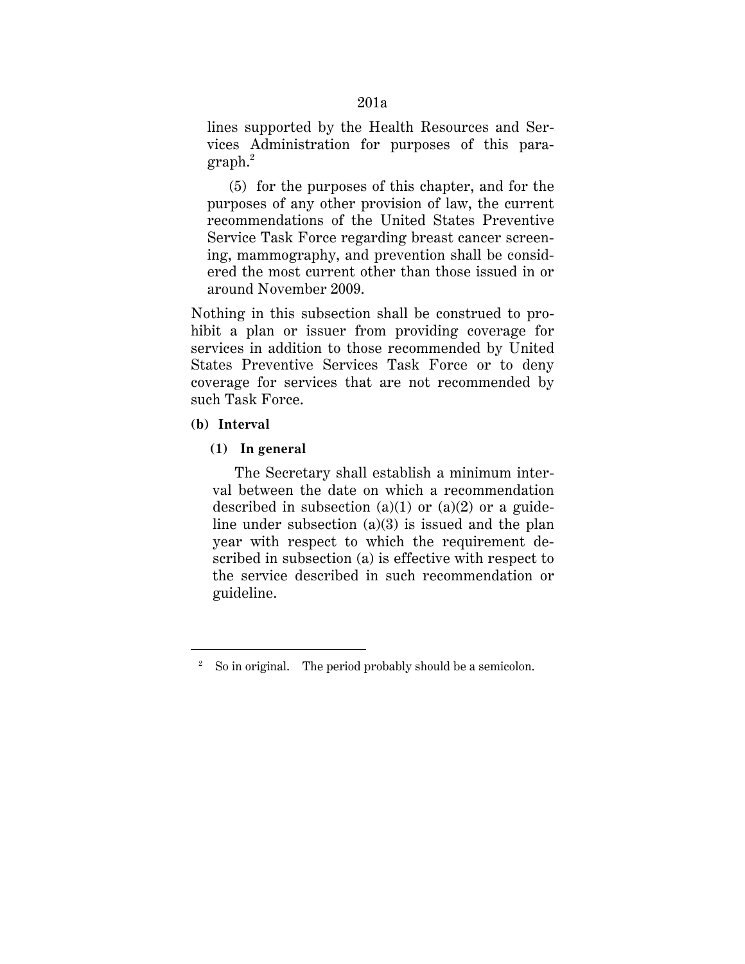lines supported by the Health Resources and Services Administration for purposes of this para $graph.<sup>2</sup>$ 

(5) for the purposes of this chapter, and for the purposes of any other provision of law, the current recommendations of the United States Preventive Service Task Force regarding breast cancer screening, mammography, and prevention shall be considered the most current other than those issued in or around November 2009.

Nothing in this subsection shall be construed to prohibit a plan or issuer from providing coverage for services in addition to those recommended by United States Preventive Services Task Force or to deny coverage for services that are not recommended by such Task Force.

# **(b) Interval**

<u>.</u>

# **(1) In general**

The Secretary shall establish a minimum interval between the date on which a recommendation described in subsection (a)(1) or (a)(2) or a guideline under subsection (a)(3) is issued and the plan year with respect to which the requirement described in subsection (a) is effective with respect to the service described in such recommendation or guideline.

 $2^2$  So in original. The period probably should be a semicolon.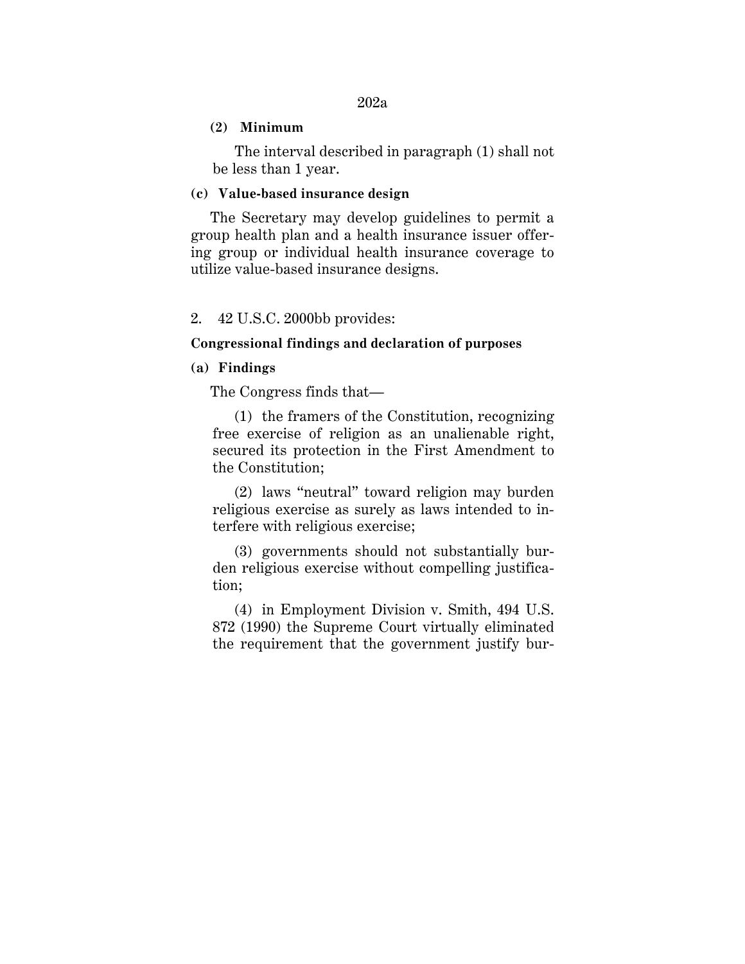## 202a

## **(2) Minimum**

The interval described in paragraph (1) shall not be less than 1 year.

# **(c) Value-based insurance design**

The Secretary may develop guidelines to permit a group health plan and a health insurance issuer offering group or individual health insurance coverage to utilize value-based insurance designs.

### 2. 42 U.S.C. 2000bb provides:

### **Congressional findings and declaration of purposes**

## **(a) Findings**

The Congress finds that—

(1) the framers of the Constitution, recognizing free exercise of religion as an unalienable right, secured its protection in the First Amendment to the Constitution;

(2) laws "neutral" toward religion may burden religious exercise as surely as laws intended to interfere with religious exercise;

(3) governments should not substantially burden religious exercise without compelling justification;

(4) in Employment Division v. Smith, 494 U.S. 872 (1990) the Supreme Court virtually eliminated the requirement that the government justify bur-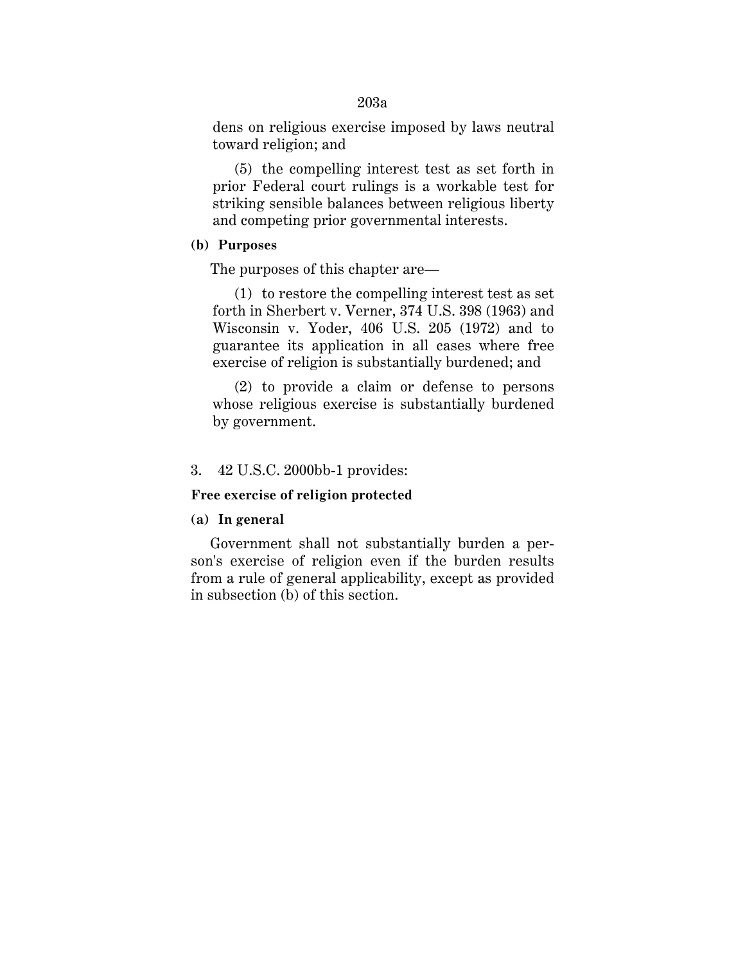# 203a

dens on religious exercise imposed by laws neutral toward religion; and

(5) the compelling interest test as set forth in prior Federal court rulings is a workable test for striking sensible balances between religious liberty and competing prior governmental interests.

### **(b) Purposes**

The purposes of this chapter are—

(1) to restore the compelling interest test as set forth in Sherbert v. Verner, 374 U.S. 398 (1963) and Wisconsin v. Yoder, 406 U.S. 205 (1972) and to guarantee its application in all cases where free exercise of religion is substantially burdened; and

(2) to provide a claim or defense to persons whose religious exercise is substantially burdened by government.

# 3. 42 U.S.C. 2000bb-1 provides:

# **Free exercise of religion protected**

## **(a) In general**

Government shall not substantially burden a person's exercise of religion even if the burden results from a rule of general applicability, except as provided in subsection (b) of this section.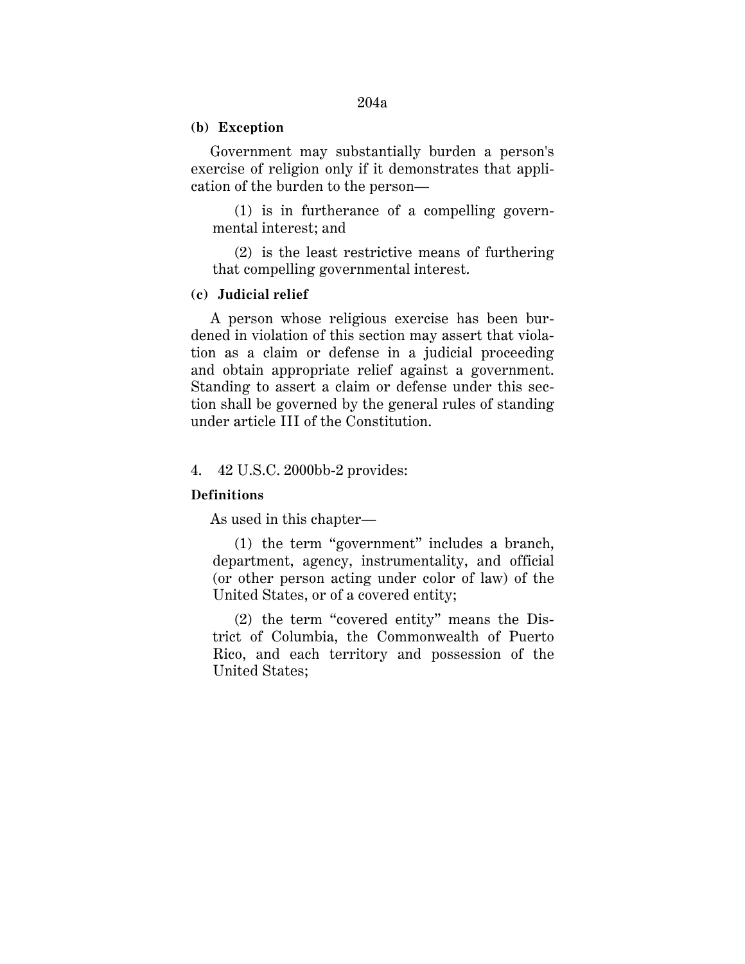### **(b) Exception**

Government may substantially burden a person's exercise of religion only if it demonstrates that application of the burden to the person—

(1) is in furtherance of a compelling governmental interest; and

(2) is the least restrictive means of furthering that compelling governmental interest.

### **(c) Judicial relief**

A person whose religious exercise has been burdened in violation of this section may assert that violation as a claim or defense in a judicial proceeding and obtain appropriate relief against a government. Standing to assert a claim or defense under this section shall be governed by the general rules of standing under article III of the Constitution.

### 4. 42 U.S.C. 2000bb-2 provides:

### **Definitions**

As used in this chapter—

(1) the term "government" includes a branch, department, agency, instrumentality, and official (or other person acting under color of law) of the United States, or of a covered entity;

(2) the term "covered entity" means the District of Columbia, the Commonwealth of Puerto Rico, and each territory and possession of the United States;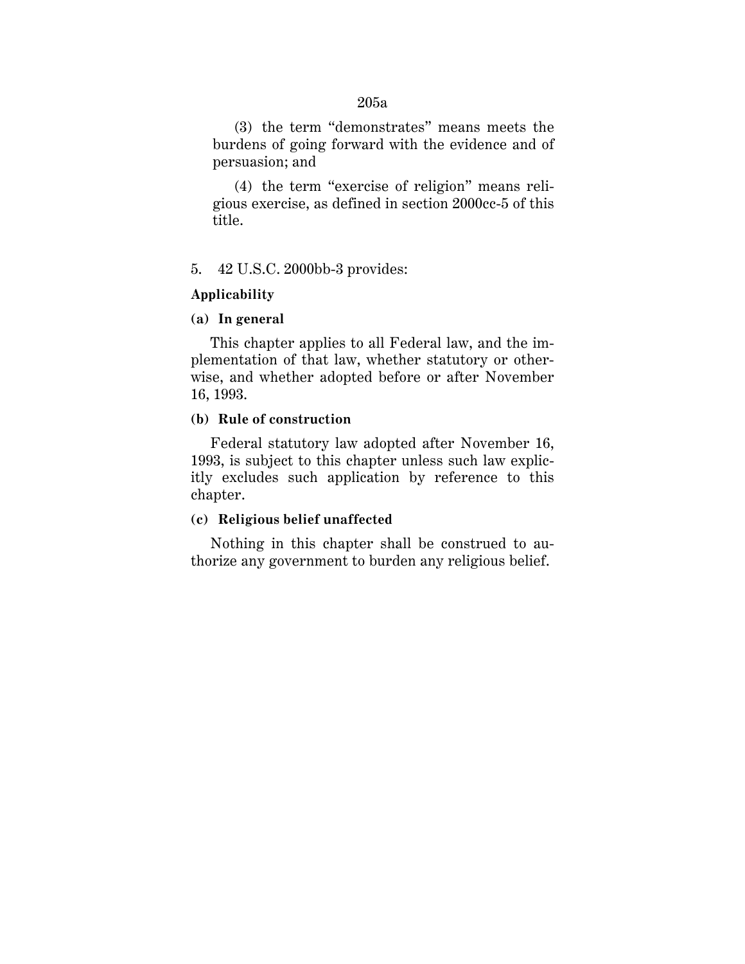# 205a

(3) the term "demonstrates" means meets the burdens of going forward with the evidence and of persuasion; and

(4) the term "exercise of religion" means religious exercise, as defined in section 2000cc-5 of this title.

# 5. 42 U.S.C. 2000bb-3 provides:

## **Applicability**

### **(a) In general**

This chapter applies to all Federal law, and the implementation of that law, whether statutory or otherwise, and whether adopted before or after November 16, 1993.

## **(b) Rule of construction**

Federal statutory law adopted after November 16, 1993, is subject to this chapter unless such law explicitly excludes such application by reference to this chapter.

### **(c) Religious belief unaffected**

Nothing in this chapter shall be construed to authorize any government to burden any religious belief.